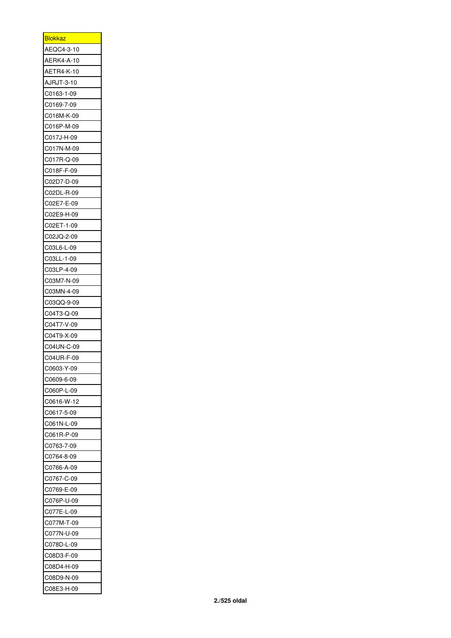| <b>Blokkaz</b> |
|----------------|
| AEQC4-3-10     |
| AERK4-A-10     |
| AETR4-K-10     |
| AJRJT-3-10     |
| C0163-1-09     |
| C0169-7-09     |
| C016M-K-09     |
| C016P-M-09     |
| C017J-H-09     |
| C017N-M-09     |
| C017R-Q-09     |
| C018F-F-09     |
| C02D7-D-09     |
| C02DL-R-09     |
| C02E7-E-09     |
| C02E9-H-09     |
|                |
| C02ET-1-09     |
| C02JQ-2-09     |
| C03L6-L-09     |
| C03LL-1-09     |
| C03LP-4-09     |
| C03M7-N-09     |
| C03MN-4-09     |
| C03QQ-9-09     |
| C04T3-Q-09     |
| C04T7-V-09     |
| C04T9-X-09     |
| C04UN-C-09     |
| C04UR-F-09     |
| C0603-Y-09     |
| C0609-6-09     |
| C060P-L-09     |
| C0616-W-12     |
| C0617-5-09     |
| C061N-L-09     |
| C061R-P-09     |
| C0763-7-09     |
| C0764-8-09     |
| C0766-A-09     |
| C0767-C-09     |
| C0769-E-09     |
| C076P-U-09     |
| C077E-L-09     |
| C077M-T-09     |
| C077N-U-09     |
| C078D-L-09     |
| C08D3-F-09     |
| C08D4-H-09     |
| C08D9-N-09     |
| C08E3-H-09     |
|                |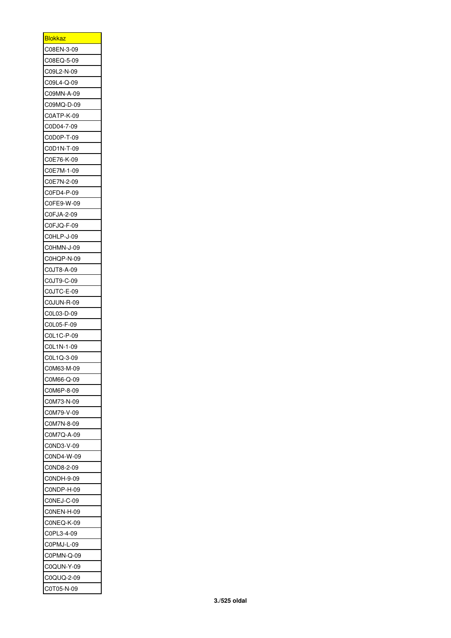| <u>Blokkaz</u> |
|----------------|
| C08EN-3-09     |
| C08EQ-5-09     |
| C09L2-N-09     |
| C09L4-Q-09     |
| C09MN-A-09     |
| C09MQ-D-09     |
| C0ATP-K-09     |
| C0D04-7-09     |
| C0D0P-T-09     |
| C0D1N-T-09     |
| C0E76-K-09     |
| C0E7M-1-09     |
| C0E7N-2-09     |
| C0FD4-P-09     |
| C0FE9-W-09     |
| C0FJA-2-09     |
| C0FJQ-F-09     |
| C0HLP-J-09     |
|                |
| C0HMN-J-09     |
| C0HQP-N-09     |
| C0JT8-A-09     |
| C0JT9-C-09     |
| C0JTC-E-09     |
| C0JUN-R-09     |
| C0L03-D-09     |
| C0L05-F-09     |
| C0L1C-P-09     |
| C0L1N-1-09     |
| C0L1Q-3-09     |
| C0M63-M-09     |
| C0M66-Q-09     |
| C0M6P-8-09     |
| C0M73-N-09     |
| C0M79-V-09     |
| C0M7N-8-09     |
| C0M7Q-A-09     |
| C0ND3-V-09     |
| C0ND4-W-09     |
| C0ND8-2-09     |
| C0NDH-9-09     |
| C0NDP-H-09     |
| C0NEJ-C-09     |
| C0NEN-H-09     |
| C0NEQ-K-09     |
| C0PL3-4-09     |
| C0PMJ-L-09     |
| C0PMN-Q-09     |
| C0QUN-Y-09     |
| C0QUQ-2-09     |
| C0T05-N-09     |
|                |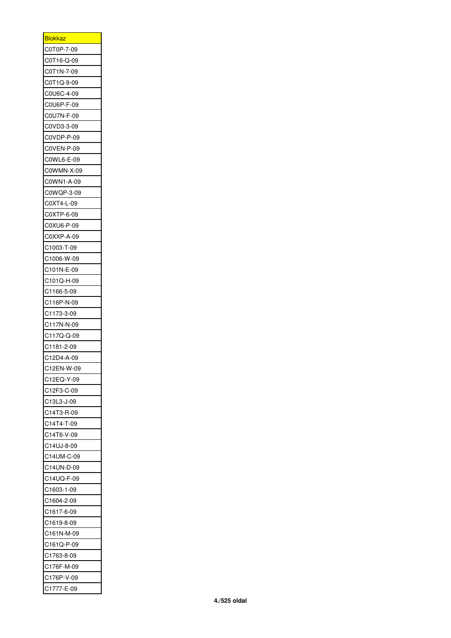| <b>Blokkaz</b> |
|----------------|
| C0T0P-7-09     |
| C0T16-Q-09     |
| C0T1N-7-09     |
| C0T1Q-9-09     |
| C0U6C-4-09     |
| C0U6P-F-09     |
| C0U7N-F-09     |
| C0VD3-3-09     |
| C0VDP-P-09     |
| C0VEN-P-09     |
| C0WL6-E-09     |
| C0WMN-X-09     |
| C0WN1-A-09     |
| C0WQP-3-09     |
| C0XT4-L-09     |
| C0XTP-6-09     |
| C0XU6-P-09     |
|                |
| C0XXP-A-09     |
| C1003-T-09     |
| C1006-W-09     |
| C101N-E-09     |
| C101Q-H-09     |
| C1166-5-09     |
| C116P-N-09     |
| C1173-3-09     |
| C117N-N-09     |
| C117Q-Q-09     |
| C1181-2-09     |
| C12D4-A-09     |
| C12EN-W-09     |
| C12EQ-Y-09     |
| C12F3-C-09     |
| C13L3-J-09     |
| C14T3-R-09     |
| C14T4-T-09     |
| C14T6-V-09     |
| C14UJ-8-09     |
| C14UM-C-09     |
| C14UN-D-09     |
| C14UQ-F-09     |
| C1603-1-09     |
| C1604-2-09     |
| C1617-6-09     |
| C1619-8-09     |
| C161N-M-09     |
| C161Q-P-09     |
| C1763-8-09     |
| C176F-M-09     |
| C176P-V-09     |
| C1777-E-09     |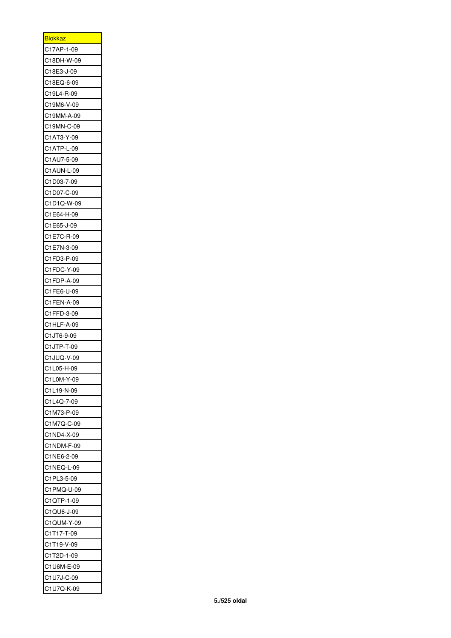| <mark>Blokkaz</mark> |
|----------------------|
| C17AP-1-09           |
| C18DH-W-09           |
| C18E3-J-09           |
| C18EQ-6-09           |
| C19L4-R-09           |
| C19M6-V-09           |
| C19MM-A-09           |
| C19MN-C-09           |
| C1AT3-Y-09           |
| C1ATP-L-09           |
| C1AU7-5-09           |
| C1AUN-L-09           |
| C1D03-7-09           |
| C1D07-C-09           |
|                      |
| C1D1Q-W-09           |
| C1E64-H-09           |
| C1E65-J-09           |
| C1E7C-R-09           |
| C1E7N-3-09           |
| C1FD3-P-09           |
| C1FDC-Y-09           |
| C1FDP-A-09           |
| C1FE6-U-09           |
| C1FEN-A-09           |
| C1FFD-3-09           |
| C1HLF-A-09           |
| C1JT6-9-09           |
| C1JTP-T-09           |
| C1JUQ-V-09           |
| C1L05-H-09           |
| C1L0M-Y-09           |
| C1L19-N-09           |
| C1L4Q-7-09           |
| C1M73-P-09           |
| C1M7Q-C-09           |
| C1ND4-X-09           |
| C1NDM-F-09           |
| C1NE6-2-09           |
| C1NEQ-L-09           |
| C1PL3-5-09           |
| C1PMQ-U-09           |
| C1QTP-1-09           |
| C1QU6-J-09           |
|                      |
| C1QUM-Y-09           |
| C1T17-T-09           |
| C1T19-V-09           |
| C1T2D-1-09           |
| C1U6M-E-09           |
| C1U7J-C-09           |
| C1U7Q-K-09           |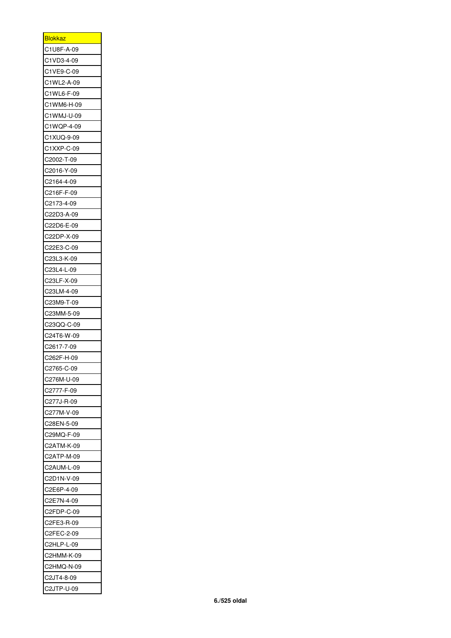| <u>Blokkaz</u> |
|----------------|
| C1U8F-A-09     |
| C1VD3-4-09     |
| C1VE9-C-09     |
| C1WL2-A-09     |
| C1WL6-F-09     |
| C1WM6-H-09     |
| C1WMJ-U-09     |
| C1WQP-4-09     |
| C1XUQ-9-09     |
| C1XXP-C-09     |
| C2002-T-09     |
| C2016-Y-09     |
| C2164-4-09     |
| C216F-F-09     |
|                |
| C2173-4-09     |
| C22D3-A-09     |
| C22D6-E-09     |
| C22DP-X-09     |
| C22E3-C-09     |
| C23L3-K-09     |
| C23L4-L-09     |
| C23LF-X-09     |
| C23LM-4-09     |
| C23M9-T-09     |
| C23MM-5-09     |
| C23QQ-C-09     |
| C24T6-W-09     |
| C2617-7-09     |
| C262F-H-09     |
| C2765-C-09     |
| C276M-U-09     |
| C2777-F-09     |
| C277J-R-09     |
| C277M-V-09     |
| C28EN-5-09     |
| C29MQ-F-09     |
| C2ATM-K-09     |
| C2ATP-M-09     |
| C2AUM-L-09     |
| C2D1N-V-09     |
| C2E6P-4-09     |
| C2E7N-4-09     |
| C2FDP-C-09     |
| C2FE3-R-09     |
|                |
| C2FEC-2-09     |
| C2HLP-L-09     |
| C2HMM-K-09     |
| C2HMQ-N-09     |
| C2JT4-8-09     |
| C2JTP-U-09     |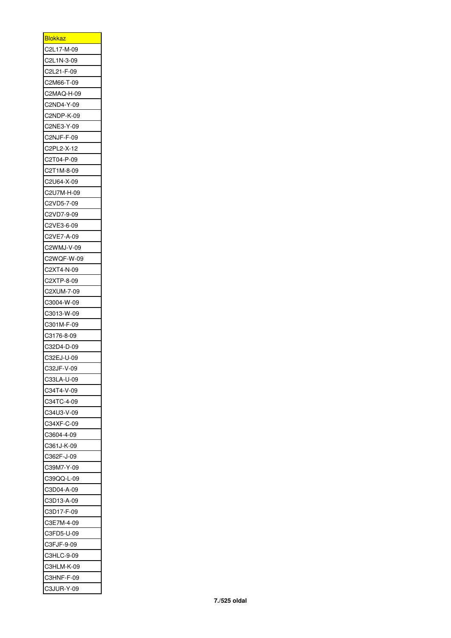| <u>Blokkaz</u> |
|----------------|
| C2L17-M-09     |
| C2L1N-3-09     |
| C2L21-F-09     |
| C2M66-T-09     |
| C2MAQ-H-09     |
| C2ND4-Y-09     |
| C2NDP-K-09     |
| C2NE3-Y-09     |
| C2NJF-F-09     |
| C2PL2-X-12     |
| C2T04-P-09     |
| C2T1M-8-09     |
| C2U64-X-09     |
| C2U7M-H-09     |
| C2VD5-7-09     |
| C2VD7-9-09     |
| C2VE3-6-09     |
| C2VE7-A-09     |
| C2WMJ-V-09     |
| C2WQF-W-09     |
| C2XT4-N-09     |
| C2XTP-8-09     |
| C2XUM-7-09     |
| C3004-W-09     |
|                |
| C3013-W-09     |
| C301M-F-09     |
| C3176-8-09     |
| C32D4-D-09     |
| C32EJ-U-09     |
| C32JF-V-09     |
| C33LA-U-09     |
| C34T4-V-09     |
| C34TC-4-09     |
| C34U3-V-09     |
| C34XF-C-09     |
| C3604-4-09     |
| C361J-K-09     |
| C362F-J-09     |
| C39M7-Y-09     |
| C39QQ-L-09     |
| C3D04-A-09     |
| C3D13-A-09     |
| C3D17-F-09     |
| C3E7M-4-09     |
| C3FD5-U-09     |
| C3FJF-9-09     |
| C3HLC-9-09     |
| C3HLM-K-09     |
| C3HNF-F-09     |
| C3JUR-Y-09     |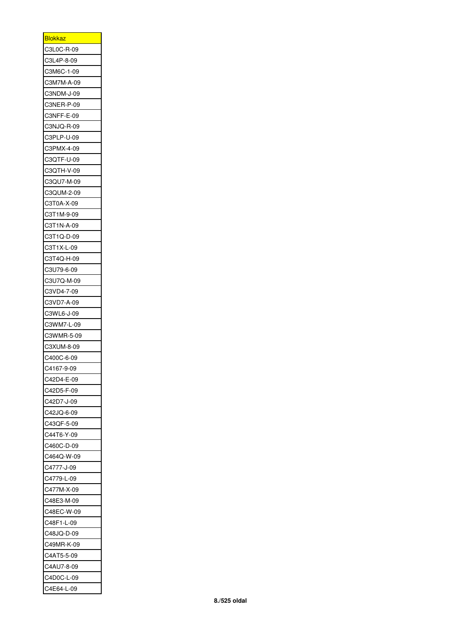| <u>Blokkaz</u> |
|----------------|
| C3L0C-R-09     |
| C3L4P-8-09     |
| C3M6C-1-09     |
| C3M7M-A-09     |
| C3NDM-J-09     |
| C3NER-P-09     |
| C3NFF-E-09     |
| C3NJQ-R-09     |
| C3PLP-U-09     |
| C3PMX-4-09     |
| C3QTF-U-09     |
| C3QTH-V-09     |
| C3QU7-M-09     |
| C3QUM-2-09     |
| C3T0A-X-09     |
| C3T1M-9-09     |
| C3T1N-A-09     |
|                |
| C3T1Q-D-09     |
| C3T1X-L-09     |
| C3T4Q-H-09     |
| C3U79-6-09     |
| C3U7Q-M-09     |
| C3VD4-7-09     |
| C3VD7-A-09     |
| C3WL6-J-09     |
| C3WM7-L-09     |
| C3WMR-5-09     |
| C3XUM-8-09     |
| C400C-6-09     |
| C4167-9-09     |
| C42D4-E-09     |
| C42D5-F-09     |
| C42D7-J-09     |
| C42JQ-6-09     |
| C43QF-5-09     |
| C44T6-Y-09     |
| C460C-D-09     |
| C464Q-W-09     |
| C4777-J-09     |
| C4779-L-09     |
| C477M-X-09     |
| C48E3-M-09     |
| C48EC-W-09     |
| C48F1-L-09     |
| C48JQ-D-09     |
| C49MR-K-09     |
| C4AT5-5-09     |
| C4AU7-8-09     |
| C4D0C-L-09     |
| C4E64-L-09     |
|                |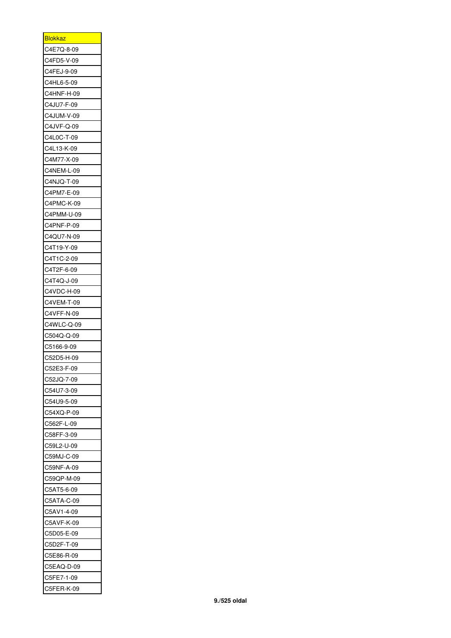| <b>Blokkaz</b> |
|----------------|
| C4E7Q-8-09     |
| C4FD5-V-09     |
| C4FEJ-9-09     |
| C4HL6-5-09     |
| C4HNF-H-09     |
| C4JU7-F-09     |
| C4JUM-V-09     |
| C4JVF-Q-09     |
| C4L0C-T-09     |
| C4L13-K-09     |
| C4M77-X-09     |
| C4NEM-L-09     |
| C4NJQ-T-09     |
| C4PM7-E-09     |
| C4PMC-K-09     |
|                |
| C4PMM-U-09     |
| C4PNF-P-09     |
| C4QU7-N-09     |
| C4T19-Y-09     |
| C4T1C-2-09     |
| C4T2F-6-09     |
| C4T4Q-J-09     |
| C4VDC-H-09     |
| C4VEM-T-09     |
| C4VFF-N-09     |
| C4WLC-Q-09     |
| C504Q-Q-09     |
| C5166-9-09     |
| C52D5-H-09     |
| C52E3-F-09     |
| C52JQ-7-09     |
| C54U7-3-09     |
| C54U9-5-09     |
| C54XQ-P-09     |
| C562F-L-09     |
| C58FF-3-09     |
| C59L2-U-09     |
| C59MJ-C-09     |
| C59NF-A-09     |
| C59QP-M-09     |
| C5AT5-6-09     |
| C5ATA-C-09     |
| C5AV1-4-09     |
| C5AVF-K-09     |
| C5D05-E-09     |
| C5D2F-T-09     |
| C5E86-R-09     |
| C5EAQ-D-09     |
| C5FE7-1-09     |
| C5FER-K-09     |
|                |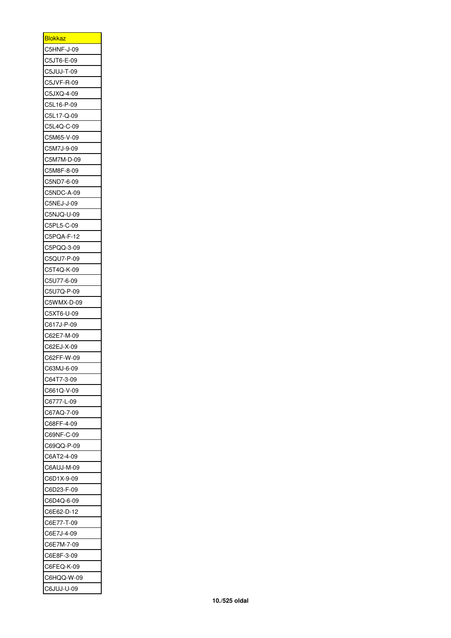| <b>Blokkaz</b> |
|----------------|
| C5HNF-J-09     |
| C5JT6-E-09     |
| C5JUJ-T-09     |
| C5JVF-R-09     |
| C5JXQ-4-09     |
| C5L16-P-09     |
| C5L17-Q-09     |
| C5L4Q-C-09     |
| C5M65-V-09     |
| C5M7J-9-09     |
| C5M7M-D-09     |
| C5M8F-8-09     |
| C5ND7-6-09     |
| C5NDC-A-09     |
| C5NEJ-J-09     |
| C5NJQ-U-09     |
| C5PL5-C-09     |
|                |
| C5PQA-F-12     |
| C5PQQ-3-09     |
| C5QU7-P-09     |
| C5T4Q-K-09     |
| C5U77-6-09     |
| C5U7Q-P-09     |
| C5WMX-D-09     |
| C5XT6-U-09     |
| C617J-P-09     |
| C62E7-M-09     |
| C62EJ-X-09     |
| C62FF-W-09     |
| C63MJ-6-09     |
| C64T7-3-09     |
| C661Q-V-09     |
| C6777-L-09     |
| C67AQ-7-09     |
| C68FF-4-09     |
| C69NF-C-09     |
| C69QQ-P-09     |
| C6AT2-4-09     |
| C6AUJ-M-09     |
| C6D1X-9-09     |
| C6D23-F-09     |
| C6D4Q-6-09     |
| C6E62-D-12     |
| C6E77-T-09     |
| C6E7J-4-09     |
| C6E7M-7-09     |
|                |
| C6E8F-3-09     |
| C6FEQ-K-09     |
| C6HQQ-W-09     |
| C6JUJ-U-09     |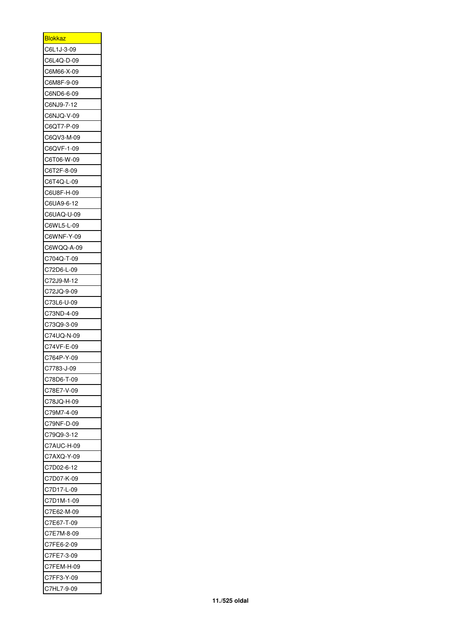| <b>Blokkaz</b><br>C6L1J-3-09<br>C6L4Q-D-09<br>C6M66-X-09<br>C6M8F-9-09<br>C6ND6-6-09<br>C6NJ9-7-12<br>C6NJQ-V-09<br>C6QT7-P-09<br>C6QV3-M-09<br>C6QVF-1-09<br>C6T06-W-09<br>C6T2F-8-09<br>C6T4Q-L-09<br>C6U8F-H-09<br>C6UA9-6-12<br>C6UAQ-U-09<br>C6WL5-L-09<br>C6WNF-Y-09<br>C6WQQ-A-09<br>C704Q-T-09<br>C72D6-L-09<br>C72J9-M-12<br>C72JQ-9-09<br>C73L6-U-09<br>C73ND-4-09<br>C73Q9-3-09<br>C74UQ-N-09<br>C74VF-E-09<br>C764P-Y-09<br>C7783-J-09<br>C78D6-T-09<br>C78E7-V-09<br>C78JQ-H-09<br>C79M7-4-09<br>C79NF-D-09<br>C79Q9-3-12<br>C7AUC-H-09<br>C7AXQ-Y-09<br>C7D02-6-12<br>C7D07-K-09<br>C7D17-L-09<br>C7D1M-1-09<br>C7E62-M-09<br>C7E67-T-09<br>C7E7M-8-09<br>C7FE6-2-09<br>C7FE7-3-09<br>C7FEM-H-09<br>C7FF3-Y-09 |            |
|------------------------------------------------------------------------------------------------------------------------------------------------------------------------------------------------------------------------------------------------------------------------------------------------------------------------------------------------------------------------------------------------------------------------------------------------------------------------------------------------------------------------------------------------------------------------------------------------------------------------------------------------------------------------------------------------------------------------------|------------|
|                                                                                                                                                                                                                                                                                                                                                                                                                                                                                                                                                                                                                                                                                                                              |            |
|                                                                                                                                                                                                                                                                                                                                                                                                                                                                                                                                                                                                                                                                                                                              |            |
|                                                                                                                                                                                                                                                                                                                                                                                                                                                                                                                                                                                                                                                                                                                              |            |
|                                                                                                                                                                                                                                                                                                                                                                                                                                                                                                                                                                                                                                                                                                                              |            |
|                                                                                                                                                                                                                                                                                                                                                                                                                                                                                                                                                                                                                                                                                                                              |            |
|                                                                                                                                                                                                                                                                                                                                                                                                                                                                                                                                                                                                                                                                                                                              |            |
|                                                                                                                                                                                                                                                                                                                                                                                                                                                                                                                                                                                                                                                                                                                              |            |
|                                                                                                                                                                                                                                                                                                                                                                                                                                                                                                                                                                                                                                                                                                                              |            |
|                                                                                                                                                                                                                                                                                                                                                                                                                                                                                                                                                                                                                                                                                                                              |            |
|                                                                                                                                                                                                                                                                                                                                                                                                                                                                                                                                                                                                                                                                                                                              |            |
|                                                                                                                                                                                                                                                                                                                                                                                                                                                                                                                                                                                                                                                                                                                              |            |
|                                                                                                                                                                                                                                                                                                                                                                                                                                                                                                                                                                                                                                                                                                                              |            |
|                                                                                                                                                                                                                                                                                                                                                                                                                                                                                                                                                                                                                                                                                                                              |            |
|                                                                                                                                                                                                                                                                                                                                                                                                                                                                                                                                                                                                                                                                                                                              |            |
|                                                                                                                                                                                                                                                                                                                                                                                                                                                                                                                                                                                                                                                                                                                              |            |
|                                                                                                                                                                                                                                                                                                                                                                                                                                                                                                                                                                                                                                                                                                                              |            |
|                                                                                                                                                                                                                                                                                                                                                                                                                                                                                                                                                                                                                                                                                                                              |            |
|                                                                                                                                                                                                                                                                                                                                                                                                                                                                                                                                                                                                                                                                                                                              |            |
|                                                                                                                                                                                                                                                                                                                                                                                                                                                                                                                                                                                                                                                                                                                              |            |
|                                                                                                                                                                                                                                                                                                                                                                                                                                                                                                                                                                                                                                                                                                                              |            |
|                                                                                                                                                                                                                                                                                                                                                                                                                                                                                                                                                                                                                                                                                                                              |            |
|                                                                                                                                                                                                                                                                                                                                                                                                                                                                                                                                                                                                                                                                                                                              |            |
|                                                                                                                                                                                                                                                                                                                                                                                                                                                                                                                                                                                                                                                                                                                              |            |
|                                                                                                                                                                                                                                                                                                                                                                                                                                                                                                                                                                                                                                                                                                                              |            |
|                                                                                                                                                                                                                                                                                                                                                                                                                                                                                                                                                                                                                                                                                                                              |            |
|                                                                                                                                                                                                                                                                                                                                                                                                                                                                                                                                                                                                                                                                                                                              |            |
|                                                                                                                                                                                                                                                                                                                                                                                                                                                                                                                                                                                                                                                                                                                              |            |
|                                                                                                                                                                                                                                                                                                                                                                                                                                                                                                                                                                                                                                                                                                                              |            |
|                                                                                                                                                                                                                                                                                                                                                                                                                                                                                                                                                                                                                                                                                                                              |            |
|                                                                                                                                                                                                                                                                                                                                                                                                                                                                                                                                                                                                                                                                                                                              |            |
|                                                                                                                                                                                                                                                                                                                                                                                                                                                                                                                                                                                                                                                                                                                              |            |
|                                                                                                                                                                                                                                                                                                                                                                                                                                                                                                                                                                                                                                                                                                                              |            |
|                                                                                                                                                                                                                                                                                                                                                                                                                                                                                                                                                                                                                                                                                                                              |            |
|                                                                                                                                                                                                                                                                                                                                                                                                                                                                                                                                                                                                                                                                                                                              |            |
|                                                                                                                                                                                                                                                                                                                                                                                                                                                                                                                                                                                                                                                                                                                              |            |
|                                                                                                                                                                                                                                                                                                                                                                                                                                                                                                                                                                                                                                                                                                                              |            |
|                                                                                                                                                                                                                                                                                                                                                                                                                                                                                                                                                                                                                                                                                                                              |            |
|                                                                                                                                                                                                                                                                                                                                                                                                                                                                                                                                                                                                                                                                                                                              |            |
|                                                                                                                                                                                                                                                                                                                                                                                                                                                                                                                                                                                                                                                                                                                              |            |
|                                                                                                                                                                                                                                                                                                                                                                                                                                                                                                                                                                                                                                                                                                                              |            |
|                                                                                                                                                                                                                                                                                                                                                                                                                                                                                                                                                                                                                                                                                                                              |            |
|                                                                                                                                                                                                                                                                                                                                                                                                                                                                                                                                                                                                                                                                                                                              |            |
|                                                                                                                                                                                                                                                                                                                                                                                                                                                                                                                                                                                                                                                                                                                              |            |
|                                                                                                                                                                                                                                                                                                                                                                                                                                                                                                                                                                                                                                                                                                                              |            |
|                                                                                                                                                                                                                                                                                                                                                                                                                                                                                                                                                                                                                                                                                                                              |            |
|                                                                                                                                                                                                                                                                                                                                                                                                                                                                                                                                                                                                                                                                                                                              |            |
|                                                                                                                                                                                                                                                                                                                                                                                                                                                                                                                                                                                                                                                                                                                              |            |
|                                                                                                                                                                                                                                                                                                                                                                                                                                                                                                                                                                                                                                                                                                                              |            |
|                                                                                                                                                                                                                                                                                                                                                                                                                                                                                                                                                                                                                                                                                                                              |            |
|                                                                                                                                                                                                                                                                                                                                                                                                                                                                                                                                                                                                                                                                                                                              |            |
|                                                                                                                                                                                                                                                                                                                                                                                                                                                                                                                                                                                                                                                                                                                              |            |
|                                                                                                                                                                                                                                                                                                                                                                                                                                                                                                                                                                                                                                                                                                                              | C7HL7-9-09 |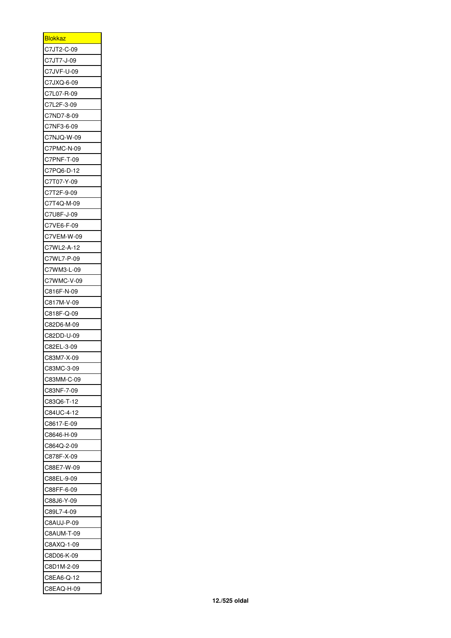| <b>Blokkaz</b> |
|----------------|
| C7JT2-C-09     |
| C7JT7-J-09     |
| C7JVF-U-09     |
| C7JXQ-6-09     |
| C7L07-R-09     |
| C7L2F-3-09     |
| C7ND7-8-09     |
| C7NF3-6-09     |
| C7NJQ-W-09     |
| C7PMC-N-09     |
| C7PNF-T-09     |
| C7PQ6-D-12     |
| C7T07-Y-09     |
| C7T2F-9-09     |
| C7T4Q-M-09     |
| C7U8F-J-09     |
|                |
| C7VE6-F-09     |
| C7VEM-W-09     |
| C7WL2-A-12     |
| C7WL7-P-09     |
| C7WM3-L-09     |
| C7WMC-V-09     |
| C816F-N-09     |
| C817M-V-09     |
| C818F-Q-09     |
| C82D6-M-09     |
| C82DD-U-09     |
| C82EL-3-09     |
| C83M7-X-09     |
| C83MC-3-09     |
| C83MM-C-09     |
| C83NF-7-09     |
| C83Q6-T-12     |
| C84UC-4-12     |
| C8617-E-09     |
|                |
| C8646-H-09     |
| C864Q-2-09     |
| C878F-X-09     |
| C88E7-W-09     |
| C88EL-9-09     |
| C88FF-6-09     |
| C88J6-Y-09     |
| C89L7-4-09     |
| C8AUJ-P-09     |
| C8AUM-T-09     |
| C8AXQ-1-09     |
| C8D06-K-09     |
| C8D1M-2-09     |
| C8EA6-Q-12     |
| C8EAQ-H-09     |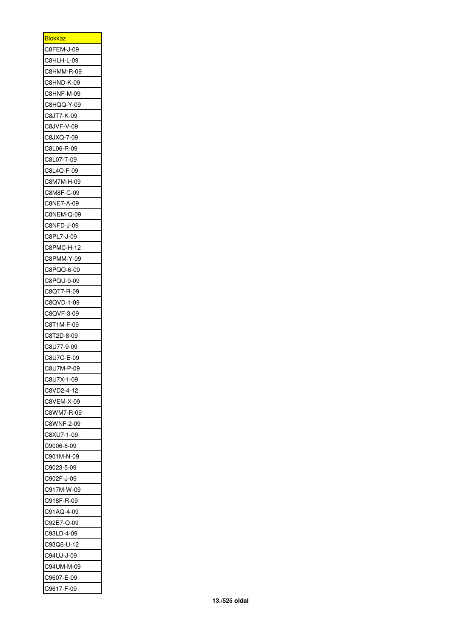| <u>Blokkaz</u> |
|----------------|
| C8FEM-J-09     |
| C8HLH-L-09     |
| C8HMM-R-09     |
| C8HND-K-09     |
| C8HNF-M-09     |
| C8HQQ-Y-09     |
| C8JT7-K-09     |
| C8JVF-V-09     |
| C8JXQ-7-09     |
| C8L06-R-09     |
| C8L07-T-09     |
| C8L4Q-F-09     |
| C8M7M-H-09     |
| C8M8F-C-09     |
| C8NE7-A-09     |
| C8NEM-Q-09     |
| C8NFD-J-09     |
| C8PL7-J-09     |
|                |
| C8PMC-H-12     |
| C8PMM-Y-09     |
| C8PQQ-6-09     |
| C8PQU-9-09     |
| C8QT7-R-09     |
| C8QVD-1-09     |
| C8QVF-3-09     |
| C8T1M-F-09     |
| C8T2D-8-09     |
| C8U77-9-09     |
| C8U7C-E-09     |
| C8U7M-P-09     |
| C8U7X-1-09     |
| C8VD2-4-12     |
| C8VEM-X-09     |
| C8WM7-R-09     |
| C8WNF-2-09     |
| C8XU7-1-09     |
| C9006-6-09     |
| C901M-N-09     |
| C9023-5-09     |
| C902F-J-09     |
| C917M-W-09     |
| C918F-R-09     |
| C91AQ-4-09     |
| C92E7-Q-09     |
| C93LD-4-09     |
| C93Q6-U-12     |
| C94UJ-J-09     |
| C94UM-M-09     |
| C9607-E-09     |
| C9617-F-09     |
|                |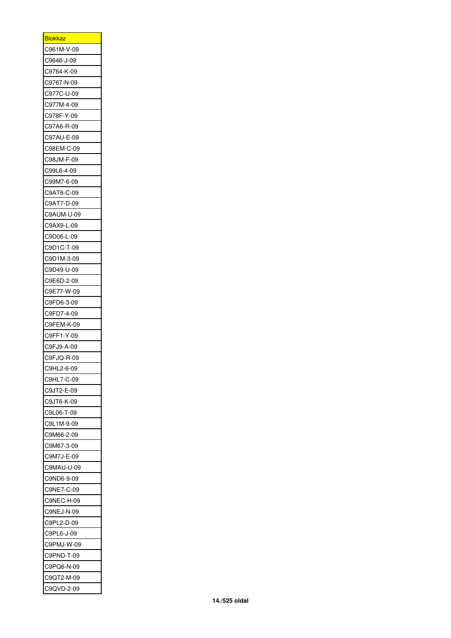| <b>Blokkaz</b> |
|----------------|
| C961M-V-09     |
| C9646-J-09     |
| C9764-K-09     |
| C9767-N-09     |
| C977C-U-09     |
| C977M-4-09     |
| C978F-Y-09     |
| C97A6-R-09     |
| C97AU-E-09     |
| C98EM-C-09     |
| C98JM-F-09     |
| C99L6-4-09     |
| C99M7-6-09     |
| C9AT6-C-09     |
| C9AT7-D-09     |
| C9AUM-U-09     |
| C9AX9-L-09     |
| C9D06-L-09     |
|                |
| C9D1C-T-09     |
| C9D1M-3-09     |
| C9D49-U-09     |
| C9E6D-2-09     |
| C9E77-W-09     |
| C9FD6-3-09     |
| C9FD7-4-09     |
| C9FEM-K-09     |
| C9FF1-Y-09     |
| C9FJ9-A-09     |
| C9FJQ-R-09     |
| C9HL2-6-09     |
| C9HL7-C-09     |
| C9JT2-E-09     |
| C9JT6-K-09     |
| C9L06-T-09     |
| C9L1M-9-09     |
| C9M66-2-09     |
| C9M67-3-09     |
| C9M7J-E-09     |
| C9MAU-U-09     |
| C9ND6-9-09     |
| C9NE7-C-09     |
| C9NEC-H-09     |
| C9NEJ-N-09     |
| C9PL2-D-09     |
| C9PL6-J-09     |
| C9PMJ-W-09     |
| C9PND-T-09     |
| C9PQ6-N-09     |
| C9QT2-M-09     |
| C9QVD-2-09     |
|                |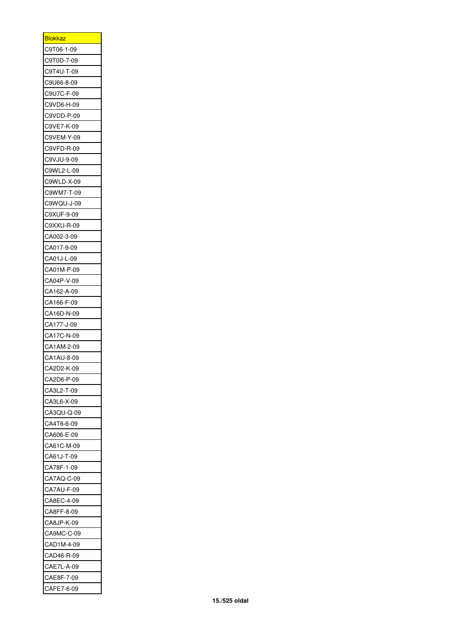| <b>Blokkaz</b> |
|----------------|
| C9T06-1-09     |
| C9T0D-7-09     |
| C9T4U-T-09     |
| C9U66-8-09     |
| C9U7C-F-09     |
| C9VD6-H-09     |
| C9VDD-P-09     |
| C9VE7-K-09     |
| C9VEM-Y-09     |
| C9VFD-R-09     |
| C9VJU-9-09     |
| C9WL2-L-09     |
| C9WLD-X-09     |
| C9WM7-T-09     |
| C9WQU-J-09     |
| C9XUF-9-09     |
| C9XXU-R-09     |
| CA002-3-09     |
|                |
| CA017-9-09     |
| CA01J-L-09     |
| CA01M-P-09     |
| CA04P-V-09     |
| CA162-A-09     |
| CA166-F-09     |
| CA16D-N-09     |
| CA177-J-09     |
| CA17C-N-09     |
| CA1AM-2-09     |
| CA1AU-8-09     |
| CA2D2-K-09     |
| CA2D6-P-09     |
| CA3L2-T-09     |
| CA3L6-X-09     |
| CA3QU-Q-09     |
| CA4T6-6-09     |
| CA606-E-09     |
| CA61C-M-09     |
| CA61J-T-09     |
| CA78F-1-09     |
| CA7AQ-C-09     |
| CA7AU-F-09     |
| CA8EC-4-09     |
| CA8FF-8-09     |
| CA8JP-K-09     |
| CA9MC-C-09     |
| CAD1M-4-09     |
| CAD46-R-09     |
| CAE7L-A-09     |
|                |
| CAE8F-7-09     |
| CAFE7-6-09     |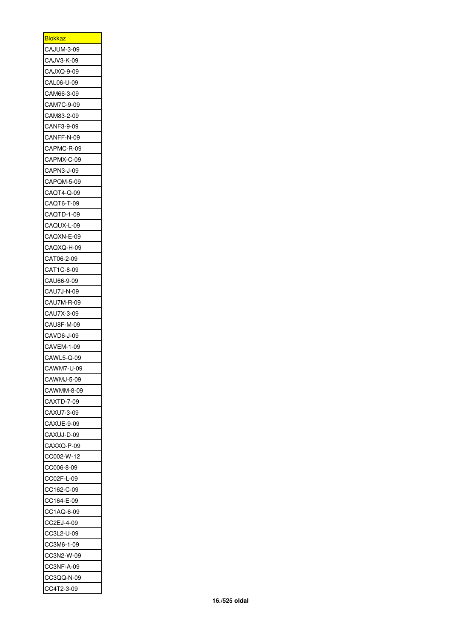| <u>Blokkaz</u> |
|----------------|
| CAJUM-3-09     |
| CAJV3-K-09     |
| CAJXQ-9-09     |
| CAL06-U-09     |
| CAM66-3-09     |
| CAM7C-9-09     |
| CAM83-2-09     |
| CANF3-9-09     |
| CANFF-N-09     |
| CAPMC-R-09     |
| CAPMX-C-09     |
| CAPN3-J-09     |
| CAPQM-5-09     |
|                |
| CAQT4-Q-09     |
| CAQT6-T-09     |
| CAQTD-1-09     |
| CAQUX-L-09     |
| CAQXN-E-09     |
| CAQXQ-H-09     |
| CAT06-2-09     |
| CAT1C-8-09     |
| CAU66-9-09     |
| CAU7J-N-09     |
| CAU7M-R-09     |
| CAU7X-3-09     |
| CAU8F-M-09     |
| CAVD6-J-09     |
| CAVEM-1-09     |
| CAWL5-Q-09     |
| CAWM7-U-09     |
| CAWMJ-5-09     |
| CAWMM-8-09     |
| CAXTD-7-09     |
| CAXU7-3-09     |
| CAXUE-9-09     |
| CAXUJ-D-09     |
|                |
| CAXXQ-P-09     |
| CC002-W-12     |
| CC006-8-09     |
| CC02F-L-09     |
| CC162-C-09     |
| CC164-E-09     |
| CC1AQ-6-09     |
| CC2EJ-4-09     |
| CC3L2-U-09     |
| CC3M6-1-09     |
| CC3N2-W-09     |
| CC3NF-A-09     |
| CC3QQ-N-09     |
| CC4T2-3-09     |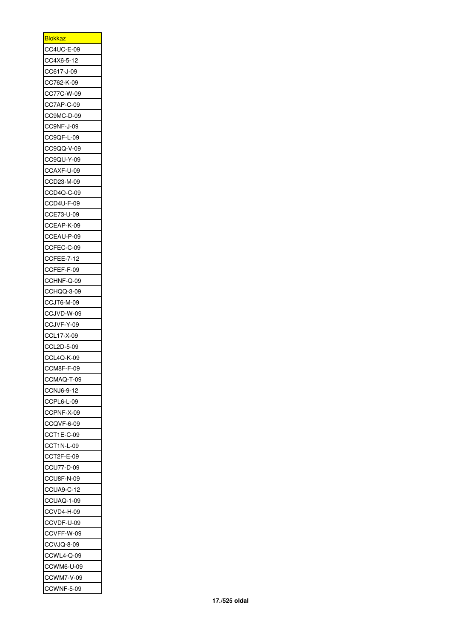| <b>Blokkaz</b>    |
|-------------------|
| CC4UC-E-09        |
| CC4X6-5-12        |
| CC617-J-09        |
| CC762-K-09        |
| CC77C-W-09        |
| CC7AP-C-09        |
| CC9MC-D-09        |
| CC9NF-J-09        |
| CC9QF-L-09        |
| CC9QQ-V-09        |
| CC9QU-Y-09        |
| CCAXF-U-09        |
| CCD23-M-09        |
| CCD4Q-C-09        |
| CCD4U-F-09        |
|                   |
| CCE73-U-09        |
| CCEAP-K-09        |
| CCEAU-P-09        |
| CCFEC-C-09        |
| <b>CCFEE-7-12</b> |
| CCFEF-F-09        |
| CCHNF-Q-09        |
| CCHQQ-3-09        |
| CCJT6-M-09        |
| CCJVD-W-09        |
| CCJVF-Y-09        |
| CCL17-X-09        |
| CCL2D-5-09        |
| CCL4Q-K-09        |
| CCM8F-F-09        |
| CCMAQ-T-09        |
| CCNJ6-9-12        |
| CCPL6-L-09        |
| CCPNF-X-09        |
| CCQVF-6-09        |
| CCT1E-C-09        |
| CCT1N-L-09        |
| CCT2F-E-09        |
| CCU77-D-09        |
| CCU8F-N-09        |
| CCUA9-C-12        |
| CCUAQ-1-09        |
| CCVD4-H-09        |
| CCVDF-U-09        |
| CCVFF-W-09        |
| CCVJQ-8-09        |
|                   |
| CCWL4-Q-09        |
| CCWM6-U-09        |
| CCWM7-V-09        |
| <b>CCWNF-5-09</b> |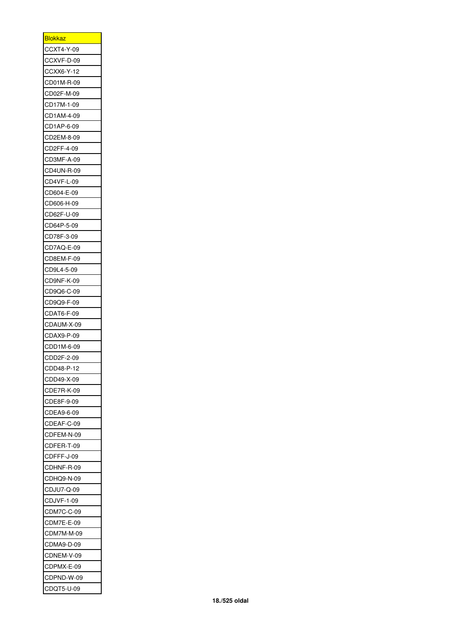| <u>Blokkaz</u> |
|----------------|
| CCXT4-Y-09     |
| CCXVF-D-09     |
| CCXX6-Y-12     |
| CD01M-R-09     |
| CD02F-M-09     |
| CD17M-1-09     |
| CD1AM-4-09     |
| CD1AP-6-09     |
| CD2EM-8-09     |
| CD2FF-4-09     |
| CD3MF-A-09     |
| CD4UN-R-09     |
| CD4VF-L-09     |
| CD604-E-09     |
| CD606-H-09     |
| CD62F-U-09     |
| CD64P-5-09     |
| CD78F-3-09     |
|                |
| CD7AQ-E-09     |
| CD8EM-F-09     |
| CD9L4-5-09     |
| CD9NF-K-09     |
| CD9Q6-C-09     |
| CD9Q9-F-09     |
| CDAT6-F-09     |
| CDAUM-X-09     |
| CDAX9-P-09     |
| CDD1M-6-09     |
| CDD2F-2-09     |
| CDD48-P-12     |
| CDD49-X-09     |
| CDE7R-K-09     |
| CDE8F-9-09     |
| CDEA9-6-09     |
| CDEAF-C-09     |
| CDFEM-N-09     |
| CDFER-T-09     |
| CDFFF-J-09     |
| CDHNF-R-09     |
| CDHQ9-N-09     |
| CDJU7-Q-09     |
| CDJVF-1-09     |
| CDM7C-C-09     |
| CDM7E-E-09     |
| CDM7M-M-09     |
| CDMA9-D-09     |
| CDNEM-V-09     |
| CDPMX-E-09     |
| CDPND-W-09     |
| CDQT5-U-09     |
|                |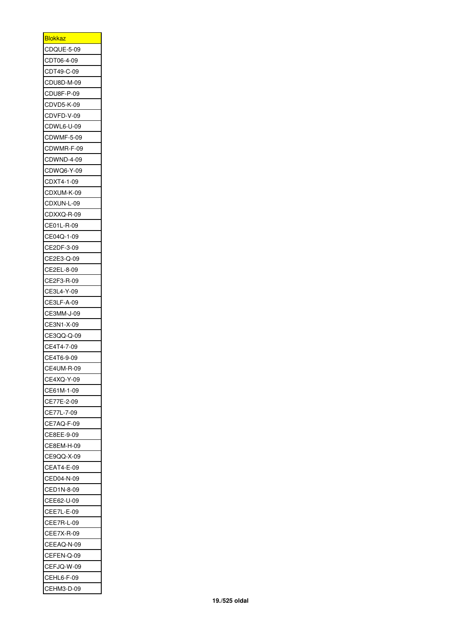| <b>Blokkaz</b>    |
|-------------------|
| CDQUE-5-09        |
| CDT06-4-09        |
| CDT49-C-09        |
| CDU8D-M-09        |
| CDU8F-P-09        |
|                   |
| CDVD5-K-09        |
| CDVFD-V-09        |
| CDWL6-U-09        |
| <b>CDWMF-5-09</b> |
| CDWMR-F-09        |
| CDWND-4-09        |
| CDWQ6-Y-09        |
| CDXT4-1-09        |
| CDXUM-K-09        |
| CDXUN-L-09        |
| CDXXQ-R-09        |
| CE01L-R-09        |
| CE04Q-1-09        |
| CE2DF-3-09        |
| CE2E3-Q-09        |
| CE2EL-8-09        |
| CE2F3-R-09        |
| CE3L4-Y-09        |
|                   |
| CE3LF-A-09        |
| CE3MM-J-09        |
| CE3N1-X-09        |
| CE3QQ-Q-09        |
| CE4T4-7-09        |
| CE4T6-9-09        |
| CE4UM-R-09        |
| CE4XQ-Y-09        |
| CE61M-1-09        |
| CE77E-2-09        |
| CE77L-7-09        |
| CE7AQ-F-09        |
| CE8EE-9-09        |
| CE8EM-H-09        |
| CE9QQ-X-09        |
| CEAT4-E-09        |
| CED04-N-09        |
| CED1N-8-09        |
|                   |
| CEE62-U-09        |
| CEE7L-E-09        |
| CEE7R-L-09        |
| CEE7X-R-09        |
| CEEAQ-N-09        |
| CEFEN-Q-09        |
| CEFJQ-W-09        |
| CEHL6-F-09        |
| CEHM3-D-09        |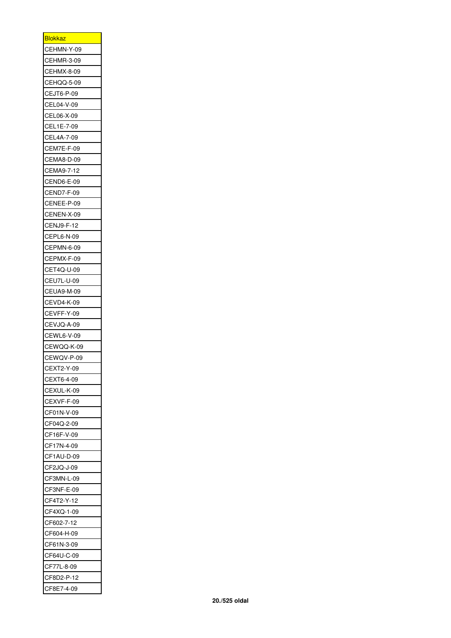| <b>Blokkaz</b>           |
|--------------------------|
| CEHMN-Y-09               |
| CEHMR-3-09               |
| CEHMX-8-09               |
| CEHQQ-5-09               |
| <b>CEJT6-P-09</b>        |
| CEL04-V-09               |
| CEL06-X-09               |
| CEL1E-7-09               |
| CEL4A-7-09               |
| CEM7E-F-09               |
| CEMA8-D-09               |
| CEMA9-7-12               |
| CEND6-E-09               |
| <b>CEND7-F-09</b>        |
| CENEE-P-09               |
| CENEN-X-09               |
|                          |
| CENJ9-F-12               |
| CEPL6-N-09               |
| CEPMN-6-09               |
| CEPMX-F-09               |
| CET4Q-U-09               |
| CEU7L-U-09               |
| CEUA9-M-09               |
| <b>CEVD4-K-09</b>        |
| CEVFF-Y-09               |
| CEVJQ-A-09               |
| CEWL6-V-09               |
| CEWQQ-K-09               |
| CEWQV-P-09               |
| CEXT2-Y-09               |
| CEXT6-4-09               |
| CEXUL-K-09               |
| CEXVF-F-09               |
| CF01N-V-09               |
| CF04Q-2-09               |
| CF16F-V-09               |
| CF17N-4-09               |
| CF1AU-D-09               |
| CF2JQ-J-09               |
| CF3MN-L-09               |
| CF3NF-E-09               |
| CF4T2-Y-12               |
| CF4XQ-1-09               |
| CF602-7-12               |
|                          |
|                          |
| CF604-H-09               |
| СF<br>-61N-3-09          |
| CF64U-C-09               |
| CF77L-8-09               |
| CF8D2-P-12<br>CF8E7-4-09 |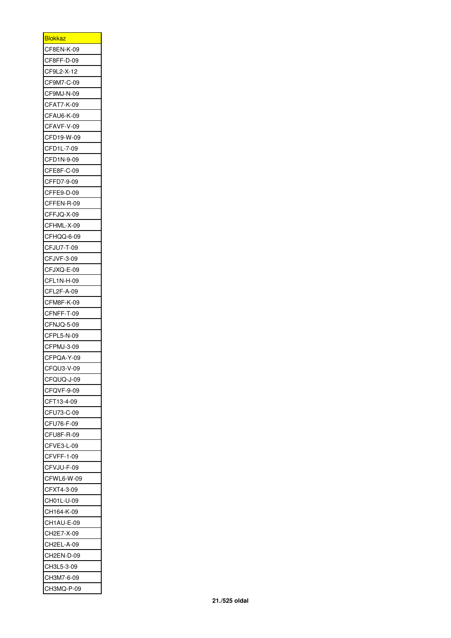| <b>Blokkaz</b> |
|----------------|
| CF8EN-K-09     |
| CF8FF-D-09     |
| CF9L2-X-12     |
| CF9M7-C-09     |
| CF9MJ-N-09     |
| CFAT7-K-09     |
| CFAU6-K-09     |
| CFAVF-V-09     |
| CFD19-W-09     |
| CFD1L-7-09     |
| CFD1N-9-09     |
| CFE8F-C-09     |
| CFFD7-9-09     |
| CFFE9-D-09     |
| CFFEN-R-09     |
| CFFJQ-X-09     |
|                |
| CFHML-X-09     |
| CFHQQ-6-09     |
| CFJU7-T-09     |
| CFJVF-3-09     |
| CFJXQ-E-09     |
| CFL1N-H-09     |
| CFL2F-A-09     |
| CFM8F-K-09     |
| CFNFF-T-09     |
| CFNJQ-5-09     |
| CFPL5-N-09     |
| CFPMJ-3-09     |
| CFPQA-Y-09     |
| CFQU3-V-09     |
| CFQUQ-J-09     |
| CFQVF-9-09     |
| CFT13-4-09     |
| CFU73-C-09     |
| CFU76-F-09     |
| CFU8F-R-09     |
| CFVE3-L-09     |
| CFVFF-1-09     |
| CFVJU-F-09     |
| CFWL6-W-09     |
| XT4-3-09<br>СF |
| CH01L-U-09     |
| CH164-K-09     |
| CH1AU-E-09     |
| CH2E7-X-09     |
| CH2EL-A-09     |
| CH2EN-D-09     |
| CH3L5-3-09     |
|                |
| CH3M7-6-09     |
| CH3MQ-P-09     |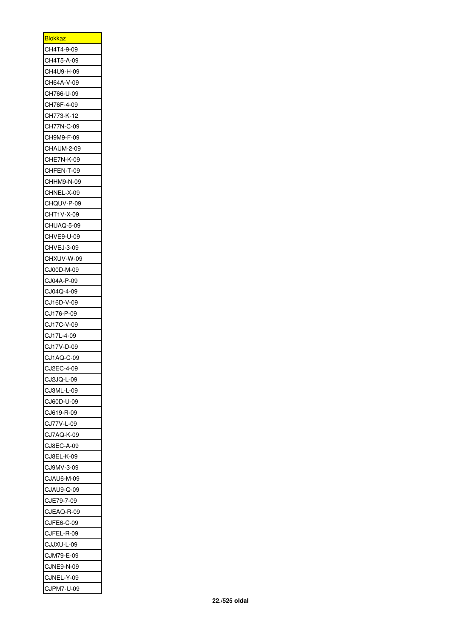| <b>Blokkaz</b>    |
|-------------------|
| CH4T4-9-09        |
| CH4T5-A-09        |
| CH4U9-H-09        |
| CH64A-V-09        |
| CH766-U-09        |
| CH76F-4-09        |
| CH773-K-12        |
| CH77N-C-09        |
| CH9M9-F-09        |
| CHAUM-2-09        |
| CHE7N-K-09        |
| CHFEN-T-09        |
|                   |
| CHHM9-N-09        |
| CHNEL-X-09        |
| CHQUV-P-09        |
| CHT1V-X-09        |
| CHUAQ-5-09        |
| CHVE9-U-09        |
| CHVEJ-3-09        |
| CHXUV-W-09        |
| CJ00D-M-09        |
| CJ04A-P-09        |
| CJ04Q-4-09        |
| CJ16D-V-09        |
| CJ176-P-09        |
| CJ17C-V-09        |
| CJ17L-4-09        |
| CJ17V-D-09        |
| CJ1AQ-C-09        |
| CJ2EC-4-09        |
| CJ2JQ-L-09        |
| CJ3ML-L-09        |
| CJ60D-U-09        |
| CJ619-R-09        |
| CJ77V-L-09        |
| CJ7AQ-K-09        |
|                   |
| CJ8EC-A-09        |
| CJ8EL-K-09        |
| CJ9MV-3-09        |
| CJAU6-M-09        |
| CJAU9-Q-09        |
| CJE79-7-09        |
| CJEAQ-R-09        |
| CJFE6-C-09        |
| CJFEL-R-09        |
| CJJXU-L-09        |
| CJM79-E-09        |
| <b>CJNE9-N-09</b> |
| CJNEL-Y-09        |
| CJPM7-U-09        |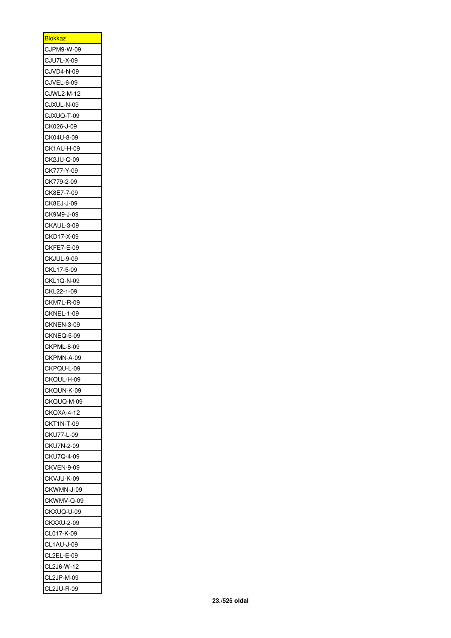| <b>Blokkaz</b>    |
|-------------------|
| CJPM9-W-09        |
| CJU7L-X-09        |
| <b>CJVD4-N-09</b> |
| CJVEL-6-09        |
| <b>CJWL2-M-12</b> |
| CJXUL-N-09        |
| CJXUQ-T-09        |
| CK026-J-09        |
| CK04U-8-09        |
| CK1AU-H-09        |
| CK2JU-Q-09        |
| CK777-Y-09        |
| CK779-2-09        |
| CK8E7-7-09        |
| CK8EJ-J-09        |
| CK9M9-J-09        |
| CKAUL-3-09        |
| CKD17-X-09        |
| <b>CKFE7-E-09</b> |
| <b>CKJUL-9-09</b> |
| CKL17-5-09        |
|                   |
| <b>CKL1Q-N-09</b> |
| CKL22-1-09        |
| CKM7L-R-09        |
| <b>CKNEL-1-09</b> |
| <b>CKNEN-3-09</b> |
| CKNEQ-5-09        |
| <b>CKPML-8-09</b> |
| CKPMN-A-09        |
| CKPQU-L-09        |
| CKQUL-H-09        |
| CKQUN-K-09        |
| CKQUQ-M-09        |
| CKQXA-4-12        |
| <b>CKT1N-T-09</b> |
| CKU77-L-09        |
| CKU7N-2-09        |
| CKU7Q-4-09        |
| CKVEN-9-09        |
| CKVJU-K-09        |
| CKWMN-J-09        |
| CKWMV-Q-09        |
| CKXUQ-U-09        |
| CKXXU-2-09        |
| CL017-K-09        |
| CL1AU-J-09        |
| CL2EL-E-09        |
| CL2J6-W-12        |
| CL2JP-M-09        |
| CL2JU-R-09        |
|                   |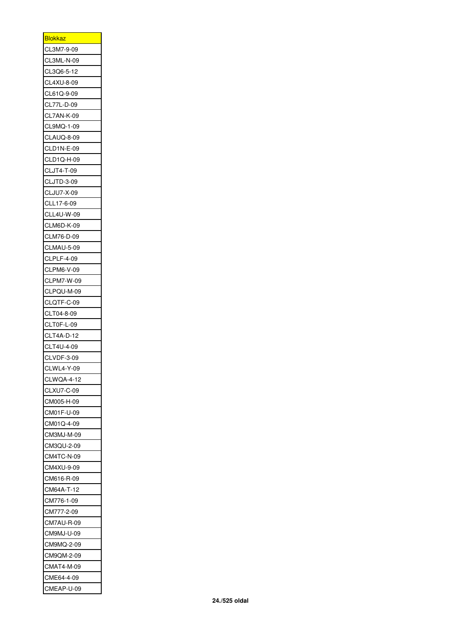| <b>Blokkaz</b>           |
|--------------------------|
| CL3M7-9-09               |
| CL3ML-N-09               |
| CL3Q6-5-12               |
| CL4XU-8-09               |
| CL61Q-9-09               |
| CL77L-D-09               |
| CL7AN-K-09               |
| CL9MQ-1-09               |
| <b>CLAUQ-8-09</b>        |
| CLD1N-E-09               |
| CLD1Q-H-09               |
| CLJT4-T-09               |
| CLJTD-3-09               |
| <b>CLJU7-X-09</b>        |
|                          |
| CLL17-6-09<br>CLL4U-W-09 |
|                          |
| <b>CLM6D-K-09</b>        |
| CLM76-D-09               |
| <b>CLMAU-5-09</b>        |
| <b>CLPLF-4-09</b>        |
| CLPM6-V-09               |
| CLPM7-W-09               |
| CLPQU-M-09               |
| CLQTF-C-09               |
| CLT04-8-09               |
| CLT0F-L-09               |
| <b>CLT4A-D-12</b>        |
| CLT4U-4-09               |
| CLVDF-3-09               |
| CLWL4-Y-09               |
| CLWQA-4-12               |
| CLXU7-C-09               |
| CM005-H-09               |
| CM01F-U-09               |
| CM01Q-4-09               |
| CM3MJ-M-09               |
| CM3QU-2-09               |
| CM4TC-N-09               |
| CM4XU-9-09               |
| CM616-R-09               |
| CM64A-T-12               |
| CM776-1-09               |
|                          |
| CM777-2-09               |
| CM7AU-R-09               |
| CM9MJ-U-09               |
| CM9MQ-2-09               |
| CM9QM-2-09               |
| CMAT4-M-09               |
| CME64-4-09               |
| CMEAP-U-09               |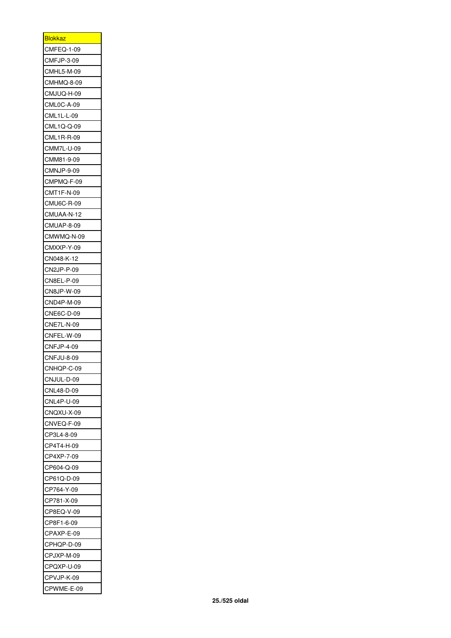| <b>Blokkaz</b>    |
|-------------------|
| <b>CMFEQ-1-09</b> |
| <b>CMFJP-3-09</b> |
| CMHL5-M-09        |
| CMHMQ-8-09        |
| CMJUQ-H-09        |
| CML0C-A-09        |
| CML1L-L-09        |
| CML1Q-Q-09        |
| CML1R-R-09        |
| CMM7L-U-09        |
| CMM81-9-09        |
| CMNJP-9-09        |
| CMPMQ-F-09        |
| CMT1F-N-09        |
|                   |
| CMU6C-R-09        |
| CMUAA-N-12        |
| CMUAP-8-09        |
| CMWMQ-N-09        |
| CMXXP-Y-09        |
| CN048-K-12        |
| CN2JP-P-09        |
| CN8EL-P-09        |
| CN8JP-W-09        |
| CND4P-M-09        |
| CNE6C-D-09        |
| <b>CNE7L-N-09</b> |
| CNFEL-W-09        |
| <b>CNFJP-4-09</b> |
| CNFJU-8-09        |
| CNHQP-C-09        |
| CNJUL-D-09        |
| CNL48-D-09        |
| <b>CNL4P-U-09</b> |
| CNQXU-X-09        |
| CNVEQ-F-09        |
| CP3L4-8-09        |
| CP4T4-H-09        |
|                   |
| CP4XP-7-09        |
| CP604-Q-09        |
| CP61Q-D-09        |
| CP764-Y-09        |
| CP781-X-09        |
| CP8EQ-V-09        |
| CP8F1-6-09        |
| CPAXP-E-09        |
| CPHQP-D-09        |
| CPJXP-M-09        |
| CPQXP-U-09        |
| CPVJP-K-09        |
| CPWME-E-09        |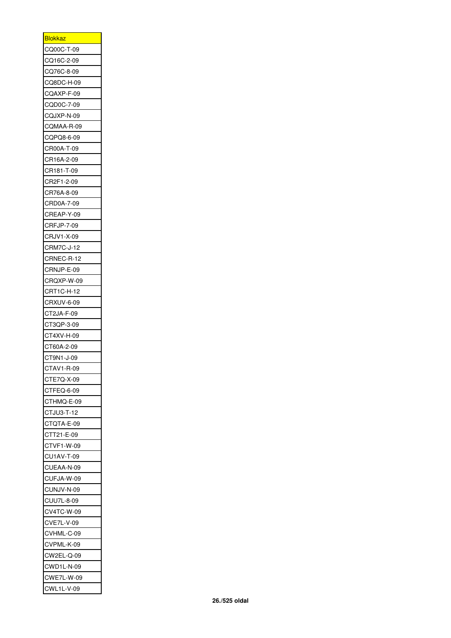| <b>Blokkaz</b>    |
|-------------------|
| CQ00C-T-09        |
| CQ16C-2-09        |
| CQ76C-8-09        |
| CQ8DC-H-09        |
| CQAXP-F-09        |
| CQD0C-7-09        |
| CQJXP-N-09        |
| CQMAA-R-09        |
| CQPQ8-6-09        |
| CR00A-T-09        |
| CR16A-2-09        |
| CR181-T-09        |
| CR2F1-2-09        |
| CR76A-8-09        |
|                   |
| CRD0A-7-09        |
| CREAP-Y-09        |
| <b>CRFJP-7-09</b> |
| CRJV1-X-09        |
| <b>CRM7C-J-12</b> |
| CRNEC-R-12        |
| CRNJP-E-09        |
| CRQXP-W-09        |
| CRT1C-H-12        |
| <b>CRXUV-6-09</b> |
| CT2JA-F-09        |
| CT3QP-3-09        |
| CT4XV-H-09        |
| CT60A-2-09        |
| CT9N1-J-09        |
| CTAV1-R-09        |
| CTE7Q-X-09        |
| CTFEQ-6-09        |
| CTHMQ-E-09        |
| CTJU3-T-12        |
| CTQTA-E-09        |
| CTT21-E-09        |
| CTVF1-W-09        |
| <b>CU1AV-T-09</b> |
| CUEAA-N-09        |
| CUFJA-W-09        |
| CUNJV-N-09        |
| CUU7L-8-09        |
| CV4TC-W-09        |
|                   |
| <b>CVE7L-V-09</b> |
| CVHML-C-09        |
| CVPML-K-09        |
| CW2EL-Q-09        |
| CWD1L-N-09        |
| CWE7L-W-09        |
| CWL1L-V-09        |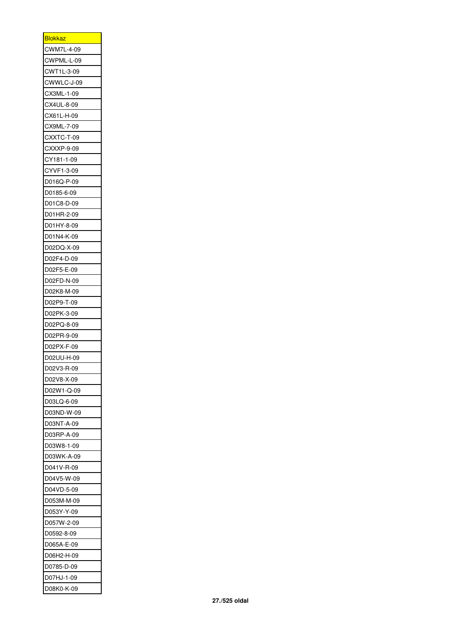| <u>Blokkaz</u> |
|----------------|
| CWM7L-4-09     |
|                |
| CWPML-L-09     |
| CWT1L-3-09     |
| CWWLC-J-09     |
| CX3ML-1-09     |
| CX4UL-8-09     |
| CX61L-H-09     |
| CX9ML-7-09     |
| CXXTC-T-09     |
| CXXXP-9-09     |
| CY181-1-09     |
| CYVF1-3-09     |
| D016Q-P-09     |
| D0185-6-09     |
| D01C8-D-09     |
| D01HR-2-09     |
| D01HY-8-09     |
| D01N4-K-09     |
| D02DQ-X-09     |
| D02F4-D-09     |
| D02F5-E-09     |
| D02FD-N-09     |
| D02K8-M-09     |
| D02P9-T-09     |
| D02PK-3-09     |
| D02PQ-8-09     |
| D02PR-9-09     |
|                |
| D02PX-F-09     |
| D02UU-H-09     |
| D02V3-R-09     |
| D02V8-X-09     |
| D02W1-Q-09     |
| D03LQ-6-09     |
| D03ND-W-09     |
| D03NT-A-09     |
| D03RP-A-09     |
| D03W8-1-09     |
| D03WK-A-09     |
| D041V-R-09     |
| D04V5-W-09     |
| D04VD-5-09     |
| D053M-M-09     |
| D053Y-Y-09     |
| D057W-2-09     |
| D0592-8-09     |
| D065A-E-09     |
| D06H2-H-09     |
| D0785-D-09     |
| D07HJ-1-09     |
| D08K0-K-09     |
|                |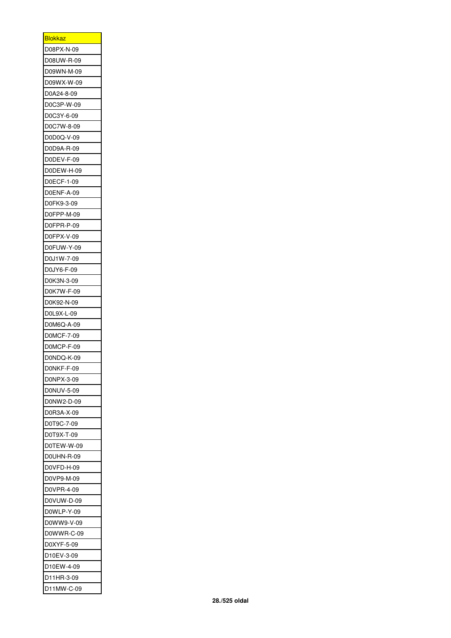| <b>Blokkaz</b> |
|----------------|
| D08PX-N-09     |
| D08UW-R-09     |
| D09WN-M-09     |
| D09WX-W-09     |
| D0A24-8-09     |
| D0C3P-W-09     |
| D0C3Y-6-09     |
| D0C7W-8-09     |
| D0D0Q-V-09     |
| D0D9A-R-09     |
| D0DEV-F-09     |
| D0DEW-H-09     |
| D0ECF-1-09     |
| D0ENF-A-09     |
| D0FK9-3-09     |
|                |
| D0FPP-M-09     |
| D0FPR-P-09     |
| D0FPX-V-09     |
| D0FUW-Y-09     |
| D0J1W-7-09     |
| D0JY6-F-09     |
| D0K3N-3-09     |
| D0K7W-F-09     |
| D0K92-N-09     |
| D0L9X-L-09     |
| D0M6Q-A-09     |
| D0MCF-7-09     |
| D0MCP-F-09     |
| D0NDQ-K-09     |
| D0NKF-F-09     |
| D0NPX-3-09     |
| D0NUV-5-09     |
| D0NW2-D-09     |
| D0R3A-X-09     |
| D0T9C-7-09     |
| D0T9X-T-09     |
| D0TEW-W-09     |
| D0UHN-R-09     |
| D0VFD-H-09     |
| D0VP9-M-09     |
| D0VPR-4-09     |
| D0VUW-D-09     |
| D0WLP-Y-09     |
| D0WW9-V-09     |
| D0WWR-C-09     |
|                |
| D0XYF-5-09     |
| D10EV-3-09     |
| D10EW-4-09     |
| D11HR-3-09     |
| D11MW-C-09     |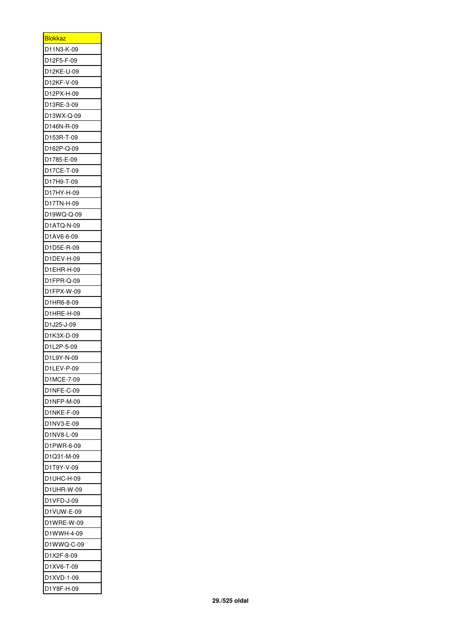| <u>Blokkaz</u>          |
|-------------------------|
| D11N3-K-09              |
| D12F5-F-09              |
| D12KE-U-09              |
| D12KF-V-09              |
| D12PX-H-09              |
| D13RE-3-09              |
| D13WX-Q-09              |
| D146N-R-09              |
| D153R-T-09              |
| D162P-Q-09              |
| D1785-E-09              |
| D17CE-T-09              |
| D17H9-T-09              |
| D17HY-H-09              |
| D17TN-H-09              |
| D19WQ-Q-09              |
| D1ATQ-N-09              |
| D1AV6-6-09              |
|                         |
| D1D5E-R-09              |
| D1DEV-H-09              |
| D1EHR-H-09              |
| D1FPR-Q-09              |
| D1FPX-W-09              |
| D1HR6-8-09              |
| D1HRE-H-09              |
| D1J25-J-09              |
| D1K3X-D-09              |
| D1L2P-5-09              |
| D1L9Y-N-09              |
| D <sub>1</sub> LEV-P-09 |
| D1MCE-7-09              |
| D1NFE-C-09              |
| D1NFP-M-09              |
| D1NKE-F-09              |
| D1NV3-E-09              |
| D1NV8-L-09              |
|                         |
| D1PWR-6-09              |
| D1Q31-M-09              |
| D1T9Y-V-09              |
| D1UHC-H-09              |
| D1UHR-W-09              |
| D1VFD-J-09              |
| D1VUW-E-09              |
| D1WRE-W-09              |
| D1WWH-4-09              |
| D1WWQ-C-09              |
| D1X2F-8-09              |
| D1XV6-T-09              |
| D1XVD-1-09              |
| D1Y8F-H-09              |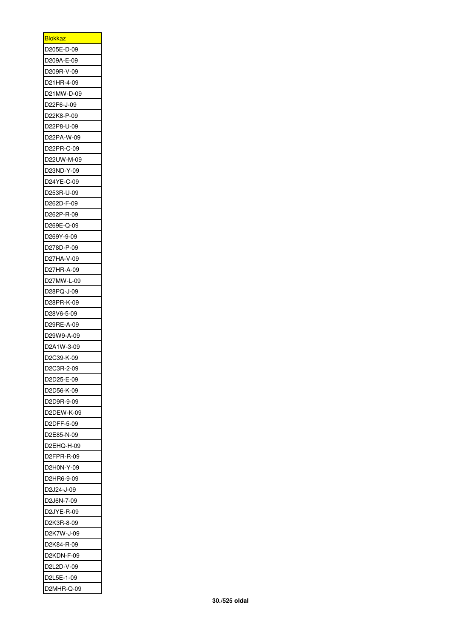| <u>Blokkaz</u>           |
|--------------------------|
| D205E-D-09               |
| D209A-E-09               |
| D209R-V-09               |
| D21HR-4-09               |
| D21MW-D-09               |
| D22F6-J-09               |
| D22K8-P-09               |
| D22P8-U-09               |
| D22PA-W-09               |
| D22PR-C-09               |
| D22UW-M-09               |
| D23ND-Y-09               |
| D24YE-C-09               |
| D253R-U-09               |
| D262D-F-09               |
| D262P-R-09               |
| D269E-Q-09               |
| D269Y-9-09               |
| D278D-P-09               |
| D27HA-V-09               |
| D27HR-A-09               |
| D27MW-L-09               |
| D28PQ-J-09               |
| D28PR-K-09               |
| D28V6-5-09               |
|                          |
|                          |
| D29RE-A-09               |
| D29W9-A-09               |
| D2A1W-3-09               |
| D2C39-K-09               |
| D2C3R-2-09               |
| D2D25-E-09               |
| D2D56-K-09               |
| D2D9R-9-09               |
| D2DEW-K-09               |
| D2DFF-5-09               |
| D2E85-N-09               |
| D2EHQ-H-09               |
| D2FPR-R-09               |
| D2H0N-Y-09               |
| D2HR6-9-09               |
| D2J24-J-09               |
| D2J6N-7-09               |
| D2JYE-R-09               |
| D2K3R-8-09               |
| D2K7W-J-09               |
| D2K84-R-09               |
| D2KDN-F-09               |
| D2L2D-V-09               |
| D2L5E-1-09<br>D2MHR-Q-09 |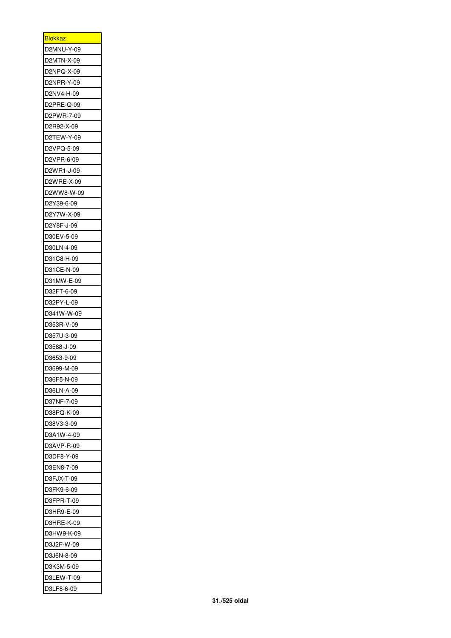| <u>Blokkaz</u> |
|----------------|
| D2MNU-Y-09     |
| D2MTN-X-09     |
| D2NPQ-X-09     |
| D2NPR-Y-09     |
| D2NV4-H-09     |
| D2PRE-Q-09     |
| D2PWR-7-09     |
| D2R92-X-09     |
| D2TEW-Y-09     |
| D2VPQ-5-09     |
| D2VPR-6-09     |
| D2WR1-J-09     |
| D2WRE-X-09     |
| D2WW8-W-09     |
| D2Y39-6-09     |
| D2Y7W-X-09     |
| D2Y8F-J-09     |
| D30EV-5-09     |
| D30LN-4-09     |
| D31C8-H-09     |
| D31CE-N-09     |
| D31MW-E-09     |
| D32FT-6-09     |
| D32PY-L-09     |
| D341W-W-09     |
|                |
| D353R-V-09     |
| D357U-3-09     |
| D3588-J-09     |
| D3653-9-09     |
| D3699-M-09     |
| D36F5-N-09     |
| D36LN-A-09     |
| D37NF-7-09     |
| D38PQ-K-09     |
| D38V3-3-09     |
| D3A1W-4-09     |
| D3AVP-R-09     |
| D3DF8-Y-09     |
| D3EN8-7-09     |
| D3FJX-T-09     |
| D3FK9-6-09     |
| D3FPR-T-09     |
| D3HR9-E-09     |
| D3HRE-K-09     |
| D3HW9-K-09     |
| D3J2F-W-09     |
| D3J6N-8-09     |
| D3K3M-5-09     |
| D3LEW-T-09     |
| D3LF8-6-09     |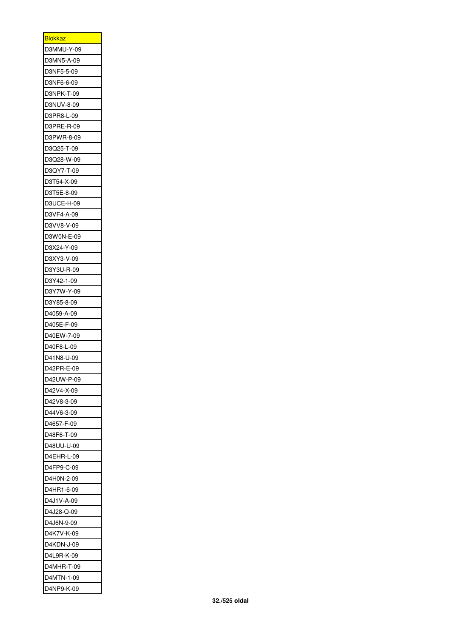| <u>Blokkaz</u> |
|----------------|
| D3MMU-Y-09     |
| D3MN5-A-09     |
| D3NF5-5-09     |
| D3NF6-6-09     |
| D3NPK-T-09     |
| D3NUV-8-09     |
| D3PR8-L-09     |
| D3PRE-R-09     |
| D3PWR-8-09     |
| D3Q25-T-09     |
| D3Q28-W-09     |
| D3QY7-T-09     |
| D3T54-X-09     |
| D3T5E-8-09     |
| D3UCE-H-09     |
| D3VF4-A-09     |
| D3VV8-V-09     |
| D3W0N-E-09     |
| D3X24-Y-09     |
|                |
| D3XY3-V-09     |
| D3Y3U-R-09     |
| D3Y42-1-09     |
| D3Y7W-Y-09     |
| D3Y85-8-09     |
| D4059-A-09     |
| D405E-F-09     |
| D40EW-7-09     |
| D40F8-L-09     |
| D41N8-U-09     |
| D42PR-E-09     |
| D42UW-P-09     |
| D42V4-X-09     |
| D42V8-3-09     |
| D44V6-3-09     |
| D4657-F-09     |
| D48F6-T-09     |
| D48UU-U-09     |
| D4EHR-L-09     |
| D4FP9-C-09     |
| D4H0N-2-09     |
| D4HR1-6-09     |
| D4J1V-A-09     |
|                |
| D4J28-Q-09     |
| D4J6N-9-09     |
| D4K7V-K-09     |
| D4KDN-J-09     |
| D4L9R-K-09     |
| D4MHR-T-09     |
| D4MTN-1-09     |
| D4NP9-K-09     |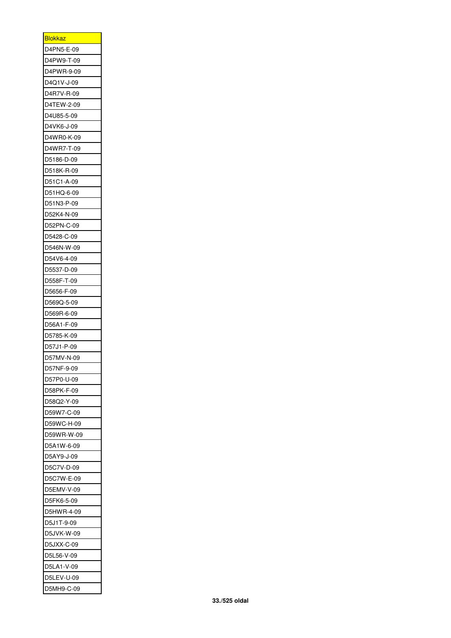| <u>Blokkaz</u>           |
|--------------------------|
| D4PN5-E-09               |
| D4PW9-T-09               |
| D4PWR-9-09               |
| D4Q1V-J-09               |
| D4R7V-R-09               |
| D4TEW-2-09               |
| D4U85-5-09               |
| D4VK6-J-09               |
| D4WR0-K-09               |
| D4WR7-T-09               |
| D5186-D-09               |
| D518K-R-09               |
| D51C1-A-09               |
| D51HQ-6-09               |
| D51N3-P-09               |
|                          |
| D52K4-N-09<br>D52PN-C-09 |
|                          |
| D5428-C-09               |
| D546N-W-09               |
| D54V6-4-09               |
| D5537-D-09               |
| D558F-T-09               |
| D5656-F-09               |
| D569Q-5-09               |
| D569R-6-09               |
| D56A1-F-09               |
| D5785-K-09               |
| D57J1-P-09               |
| D57MV-N-09               |
| D57NF-9-09               |
| D57P0-U-09               |
| D58PK-F-09               |
| D58Q2-Y-09               |
| D59W7-C-09               |
| D59WC-H-09               |
| D59WR-W-09               |
| D5A1W-6-09               |
| D5AY9-J-09               |
| D5C7V-D-09               |
| D5C7W-E-09               |
| D5EMV-V-09               |
| D5FK6-5-09               |
| D5HWR-4-09               |
| D5J1T-9-09               |
| D5JVK-W-09               |
| D5JXX-C-09               |
| D5L56-V-09               |
| D5LA1-V-09               |
| D5LEV-U-09               |
| D5MH9-C-09               |
|                          |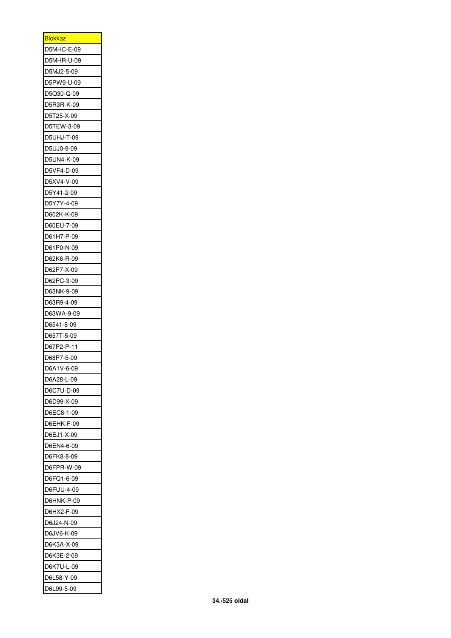| <u>Blokkaz</u> |
|----------------|
| D5MHC-E-09     |
| D5MHR-U-09     |
| D5MJ2-5-09     |
| D5PW9-U-09     |
| D5Q30-Q-09     |
| D5R3R-K-09     |
| D5T25-X-09     |
| D5TEW-3-09     |
| D5UHJ-T-09     |
| D5UJ0-9-09     |
| D5UN4-K-09     |
| D5VF4-D-09     |
| D5XV4-V-09     |
| D5Y41-2-09     |
| D5Y7Y-4-09     |
| D602K-K-09     |
| D60EU-7-09     |
| D61H7-P-09     |
| D61P0-N-09     |
| D62K6-R-09     |
| D62P7-X-09     |
| D62PC-3-09     |
|                |
| D63NK-9-09     |
| D63R9-4-09     |
| D63WA-9-09     |
| D6541-8-09     |
| D657T-5-09     |
| D67P2-P-11     |
| D68P7-5-09     |
| D6A1V-6-09     |
| D6A28-L-09     |
| D6C7U-D-09     |
| D6D99-X-09     |
| D6EC8-1-09     |
| D6EHK-F-09     |
| D6EJ1-X-09     |
| D6EN4-6-09     |
| D6FK8-8-09     |
| D6FPR-W-09     |
| D6FQ1-6-09     |
| D6FUU-4-09     |
| D6HNK-P-09     |
| D6HX2-F-09     |
| D6J24-N-09     |
| D6JV6-K-09     |
| D6K3A-X-09     |
| D6K3E-2-09     |
| D6K7U-L-09     |
| D6L58-Y-09     |
| D6L99-5-09     |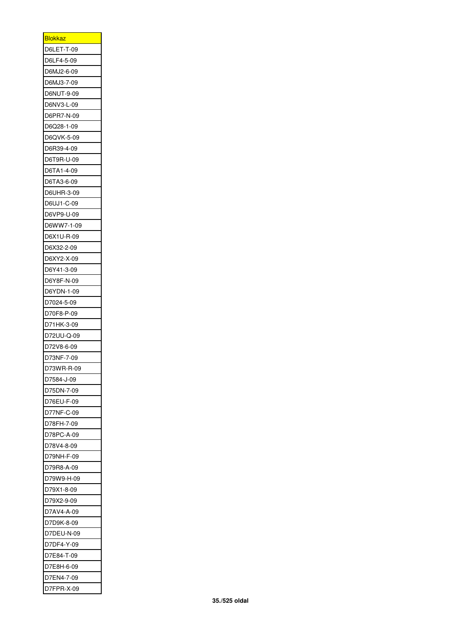| <u>Blokkaz</u> |
|----------------|
| D6LET-T-09     |
| D6LF4-5-09     |
| D6MJ2-6-09     |
| D6MJ3-7-09     |
| D6NUT-9-09     |
| D6NV3-L-09     |
| D6PR7-N-09     |
| D6Q28-1-09     |
| D6QVK-5-09     |
| D6R39-4-09     |
| D6T9R-U-09     |
| D6TA1-4-09     |
| D6TA3-6-09     |
| D6UHR-3-09     |
| D6UJ1-C-09     |
| D6VP9-U-09     |
| D6WW7-1-09     |
| D6X1U-R-09     |
| D6X32-2-09     |
| D6XY2-X-09     |
|                |
| D6Y41-3-09     |
| D6Y8F-N-09     |
| D6YDN-1-09     |
| D7024-5-09     |
| D70F8-P-09     |
| D71HK-3-09     |
| D72UU-Q-09     |
| D72V8-6-09     |
| D73NF-7-09     |
| D73WR-R-09     |
| D7584-J-09     |
| D75DN-7-09     |
| D76EU-F-09     |
| D77NF-C-09     |
| D78FH-7-09     |
| D78PC-A-09     |
| D78V4-8-09     |
| D79NH-F-09     |
| D79R8-A-09     |
| D79W9-H-09     |
| D79X1-8-09     |
| D79X2-9-09     |
| D7AV4-A-09     |
| D7D9K-8-09     |
| D7DEU-N-09     |
| D7DF4-Y-09     |
| D7E84-T-09     |
| D7E8H-6-09     |
| D7EN4-7-09     |
| D7FPR-X-09     |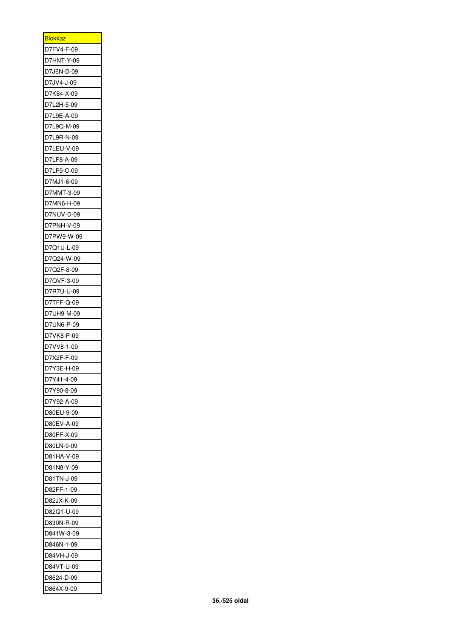| <u>Blokkaz</u> |
|----------------|
| D7FV4-F-09     |
| D7HNT-Y-09     |
| D7J6N-D-09     |
| D7JV4-J-09     |
| D7K84-X-09     |
| D7L2H-5-09     |
| D7L9E-A-09     |
| D7L9Q-M-09     |
| D7L9R-N-09     |
| D7LEU-V-09     |
| D7LF8-A-09     |
| D7LF9-C-09     |
| D7MJ1-6-09     |
| D7MMT-3-09     |
| D7MN6-H-09     |
| D7NUV-D-09     |
| D7PNH-V-09     |
|                |
| D7PW9-W-09     |
| D7Q1U-L-09     |
| D7Q24-W-09     |
| D7Q2F-8-09     |
| D7QVF-3-09     |
| D7R7U-U-09     |
| D7TFF-Q-09     |
| D7UH9-M-09     |
| D7UN6-P-09     |
| D7VK8-P-09     |
| D7VV8-1-09     |
| D7X2F-F-09     |
| D7Y3E-H-09     |
| D7Y41-4-09     |
| D7Y90-8-09     |
| D7Y92-A-09     |
| D80EU-9-09     |
| D80EV-A-09     |
| D80FF-X-09     |
| D80LN-9-09     |
| D81HA-V-09     |
| D81N8-Y-09     |
| D81TN-J-09     |
| D82FF-1-09     |
| D82JX-K-09     |
| D82Q1-U-09     |
| D830N-R-09     |
| D841W-3-09     |
| D846N-1-09     |
|                |
| D84VH-J-09     |
| D84VT-U-09     |
| D8624-D-09     |
| D864X-9-09     |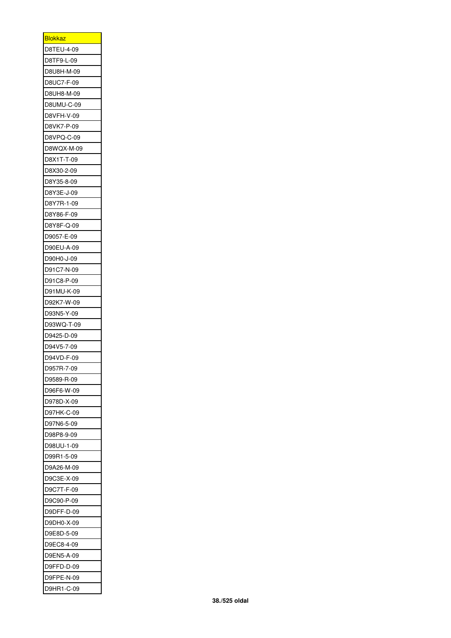| <u>Blokkaz</u>           |
|--------------------------|
| D8TEU-4-09               |
| D8TF9-L-09               |
| D8U8H-M-09               |
| D8UC7-F-09               |
| D8UH8-M-09               |
| D8UMU-C-09               |
| D8VFH-V-09               |
| D8VK7-P-09               |
| D8VPQ-C-09               |
| D8WQX-M-09               |
|                          |
| D8X1T-T-09               |
| D8X30-2-09               |
| D8Y35-8-09               |
| D8Y3E-J-09               |
| D8Y7R-1-09               |
| D8Y86-F-09               |
| D8Y8F-Q-09               |
| D9057-E-09               |
| D90EU-A-09               |
| D90H0-J-09               |
| D91C7-N-09               |
| D91C8-P-09               |
| D91MU-K-09               |
| D92K7-W-09               |
|                          |
| D93N5-Y-09               |
| D93WQ-T-09               |
| D9425-D-09               |
| D94V5-7-09               |
| D94VD-F-09               |
| D957R-7-09               |
| D9589-R-09               |
|                          |
| D96F6-W-09<br>D978D-X-09 |
|                          |
| D97HK-C-09               |
| D97N6-5-09               |
| D98P8-9-09               |
| D98UU-1-09               |
| D99R1-5-09               |
| D9A26-M-09               |
| D9C3E-X-09               |
| D9C7T-F-09               |
| D9C90-P-09               |
| D9DFF-D-09               |
| D9DH0-X-09               |
| D9E8D-5-09               |
| D9EC8-4-09               |
| D9EN5-A-09               |
| D9FFD-D-09               |
| D9FPE-N-09               |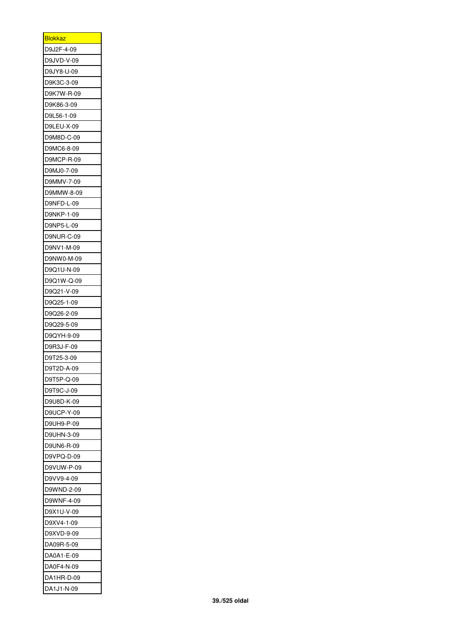| <b>Blokkaz</b> |
|----------------|
| D9J2F-4-09     |
| D9JVD-V-09     |
| D9JY8-U-09     |
| D9K3C-3-09     |
| D9K7W-R-09     |
| D9K86-3-09     |
| D9L56-1-09     |
| D9LEU-X-09     |
| D9M8D-C-09     |
| D9MC6-8-09     |
| D9MCP-R-09     |
| D9MJ0-7-09     |
| D9MMV-7-09     |
| D9MMW-8-09     |
| D9NFD-L-09     |
| D9NKP-1-09     |
| D9NP5-L-09     |
| D9NUR-C-09     |
| D9NV1-M-09     |
| D9NW0-M-09     |
| D9Q1U-N-09     |
| D9Q1W-Q-09     |
| D9Q21-V-09     |
| D9Q25-1-09     |
| D9Q26-2-09     |
| D9Q29-5-09     |
| D9QYH-9-09     |
| D9R3J-F-09     |
| D9T25-3-09     |
| D9T2D-A-09     |
| D9T5P-Q-09     |
| D9T9C-J-09     |
|                |
| D9U8D-K-09     |
| D9UCP-Y-09     |
| D9UH9-P-09     |
| D9UHN-3-09     |
| D9UN6-R-09     |
| D9VPQ-D-09     |
| D9VUW-P-09     |
| D9VV9-4-09     |
| D9WND-2-09     |
| D9WNF-4-09     |
| D9X1U-V-09     |
| D9XV4-1-09     |
| D9XVD-9-09     |
| DA09R-5-09     |
| DA0A1-E-09     |
| DA0F4-N-09     |
| DA1HR-D-09     |
| DA1J1-N-09     |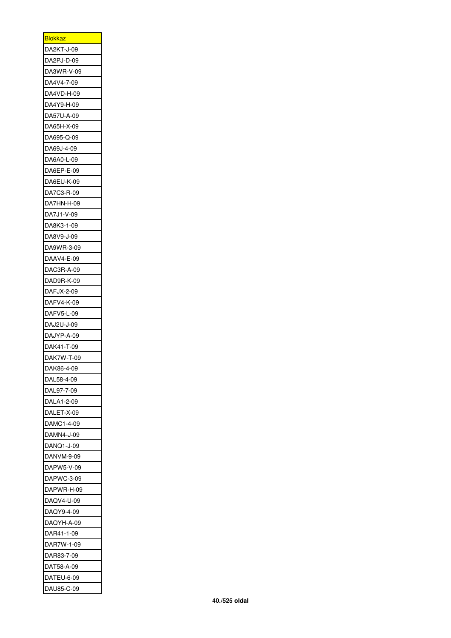| <u>Blokkaz</u> |
|----------------|
| DA2KT-J-09     |
| DA2PJ-D-09     |
| DA3WR-V-09     |
| DA4V4-7-09     |
| DA4VD-H-09     |
| DA4Y9-H-09     |
| DA57U-A-09     |
| DA65H-X-09     |
| DA695-Q-09     |
| DA69J-4-09     |
| DA6A0-L-09     |
| DA6EP-E-09     |
| DA6EU-K-09     |
| DA7C3-R-09     |
| DA7HN-H-09     |
| DA7J1-V-09     |
| DA8K3-1-09     |
| DA8V9-J-09     |
|                |
| DA9WR-3-09     |
| DAAV4-E-09     |
| DAC3R-A-09     |
| DAD9R-K-09     |
| DAFJX-2-09     |
| DAFV4-K-09     |
| DAFV5-L-09     |
| DAJ2U-J-09     |
| DAJYP-A-09     |
| DAK41-T-09     |
| DAK7W-T-09     |
| DAK86-4-09     |
| DAL58-4-09     |
| DAL97-7-09     |
| DALA1-2-09     |
| DALET-X-09     |
| DAMC1-4-09     |
| DAMN4-J-09     |
| DANQ1-J-09     |
| DANVM-9-09     |
| DAPW5-V-09     |
| DAPWC-3-09     |
| DAPWR-H-09     |
| DAQV4-U-09     |
| DAQY9-4-09     |
| DAQYH-A-09     |
| DAR41-1-09     |
| DAR7W-1-09     |
| DAR83-7-09     |
| DAT58-A-09     |
|                |
| DATEU-6-09     |
| DAU85-C-09     |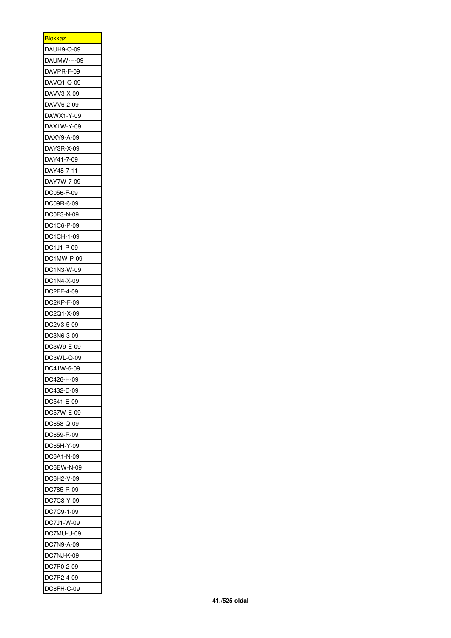| <u>Blokkaz</u> |
|----------------|
| DAUH9-Q-09     |
| DAUMW-H-09     |
| DAVPR-F-09     |
| DAVQ1-Q-09     |
| DAVV3-X-09     |
| DAVV6-2-09     |
| DAWX1-Y-09     |
| DAX1W-Y-09     |
| DAXY9-A-09     |
| DAY3R-X-09     |
| DAY41-7-09     |
| DAY48-7-11     |
| DAY7W-7-09     |
| DC056-F-09     |
| DC09R-6-09     |
| DC0F3-N-09     |
| DC1C6-P-09     |
|                |
| DC1CH-1-09     |
| DC1J1-P-09     |
| DC1MW-P-09     |
| DC1N3-W-09     |
| DC1N4-X-09     |
| DC2FF-4-09     |
| DC2KP-F-09     |
| DC2Q1-X-09     |
| DC2V3-5-09     |
| DC3N6-3-09     |
| DC3W9-E-09     |
| DC3WL-Q-09     |
| DC41W-6-09     |
| DC426-H-09     |
| DC432-D-09     |
| DC541-E-09     |
| DC57W-E-09     |
| DC658-Q-09     |
| DC659-R-09     |
| DC65H-Y-09     |
| DC6A1-N-09     |
| DC6EW-N-09     |
| DC6H2-V-09     |
| DC785-R-09     |
| DC7C8-Y-09     |
| DC7C9-1-09     |
| DC7J1-W-09     |
| DC7MU-U-09     |
|                |
| DC7N9-A-09     |
| DC7NJ-K-09     |
| DC7P0-2-09     |
| DC7P2-4-09     |
| DC8FH-C-09     |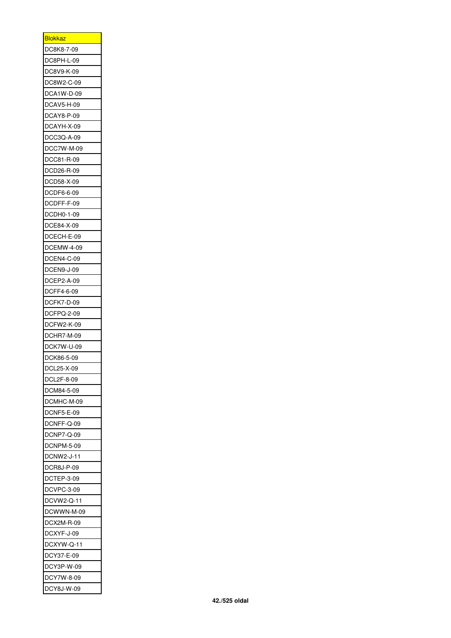| <u>Blokkaz</u> |
|----------------|
| DC8K8-7-09     |
| DC8PH-L-09     |
| DC8V9-K-09     |
| DC8W2-C-09     |
| DCA1W-D-09     |
| DCAV5-H-09     |
| DCAY8-P-09     |
| DCAYH-X-09     |
| DCC3Q-A-09     |
| DCC7W-M-09     |
| DCC81-R-09     |
| DCD26-R-09     |
| DCD58-X-09     |
| DCDF6-6-09     |
| DCDFF-F-09     |
| DCDH0-1-09     |
| DCE84-X-09     |
| DCECH-E-09     |
|                |
| DCEMW-4-09     |
| DCEN4-C-09     |
| DCEN9-J-09     |
| DCEP2-A-09     |
| DCFF4-6-09     |
| DCFK7-D-09     |
| DCFPQ-2-09     |
| DCFW2-K-09     |
| DCHR7-M-09     |
| DCK7W-U-09     |
| DCK86-5-09     |
| DCL25-X-09     |
| DCL2F-8-09     |
| DCM84-5-09     |
| DCMHC-M-09     |
| DCNF5-E-09     |
| DCNFF-Q-09     |
| DCNP7-Q-09     |
| DCNPM-5-09     |
| DCNW2-J-11     |
| DCR8J-P-09     |
| DCTEP-3-09     |
| DCVPC-3-09     |
| DCVW2-Q-11     |
| DCWWN-M-09     |
| DCX2M-R-09     |
| DCXYF-J-09     |
| DCXYW-Q-11     |
|                |
| DCY37-E-09     |
| DCY3P-W-09     |
| DCY7W-8-09     |
| DCY8J-W-09     |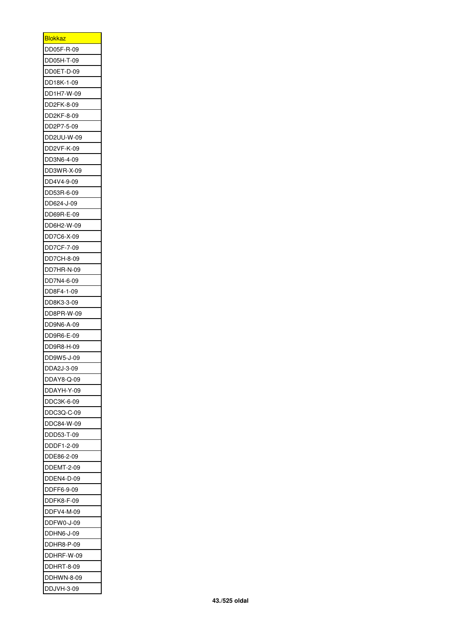| <b>Blokkaz</b> |
|----------------|
| DD05F-R-09     |
| DD05H-T-09     |
| DD0ET-D-09     |
| DD18K-1-09     |
| DD1H7-W-09     |
| DD2FK-8-09     |
| DD2KF-8-09     |
| DD2P7-5-09     |
| DD2UU-W-09     |
| DD2VF-K-09     |
| DD3N6-4-09     |
| DD3WR-X-09     |
| DD4V4-9-09     |
| DD53R-6-09     |
| DD624-J-09     |
| DD69R-E-09     |
| DD6H2-W-09     |
| DD7C6-X-09     |
| DD7CF-7-09     |
| DD7CH-8-09     |
|                |
| DD7HR-N-09     |
| DD7N4-6-09     |
| DD8F4-1-09     |
| DD8K3-3-09     |
| DD8PR-W-09     |
| DD9N6-A-09     |
| DD9R6-E-09     |
| DD9R8-H-09     |
| DD9W5-J-09     |
| DDA2J-3-09     |
| DDAY8-Q-09     |
| DDAYH-Y-09     |
| DDC3K-6-09     |
| DDC3Q-C-09     |
| DDC84-W-09     |
| DDD53-T-09     |
| DDDF1-2-09     |
| DDE86-2-09     |
| DDEMT-2-09     |
| DDEN4-D-09     |
| DDFF6-9-09     |
| DDFK8-F-09     |
| DDFV4-M-09     |
| DDFW0-J-09     |
| DDHN6-J-09     |
| DDHR8-P-09     |
| DDHRF-W-09     |
| DDHRT-8-09     |
| DDHWN-8-09     |
| DDJVH-3-09     |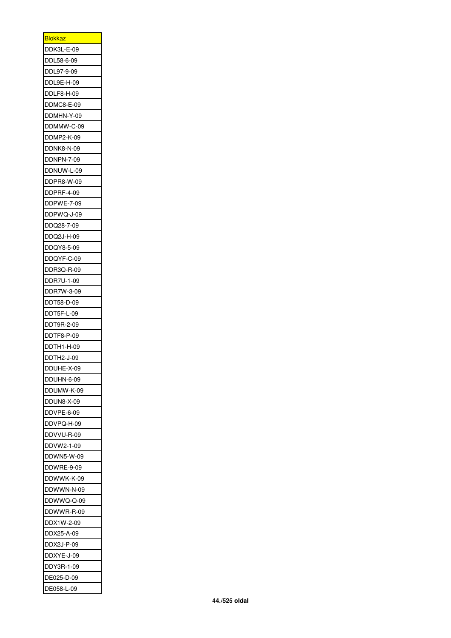| <b>Blokkaz</b> |
|----------------|
| DDK3L-E-09     |
| DDL58-6-09     |
| DDL97-9-09     |
| DDL9E-H-09     |
| DDLF8-H-09     |
| DDMC8-E-09     |
| DDMHN-Y-09     |
| DDMMW-C-09     |
| DDMP2-K-09     |
| DDNK8-N-09     |
| DDNPN-7-09     |
| DDNUW-L-09     |
| DDPR8-W-09     |
| DDPRF-4-09     |
| DDPWE-7-09     |
|                |
| DDPWQ-J-09     |
| DDQ28-7-09     |
| DDQ2J-H-09     |
| DDQY8-5-09     |
| DDQYF-C-09     |
| DDR3Q-R-09     |
| DDR7U-1-09     |
| DDR7W-3-09     |
| DDT58-D-09     |
| DDT5F-L-09     |
| DDT9R-2-09     |
| DDTF8-P-09     |
| DDTH1-H-09     |
| DDTH2-J-09     |
| DDUHE-X-09     |
| DDUHN-6-09     |
| DDUMW-K-09     |
| DDUN8-X-09     |
| DDVPE-6-09     |
| DDVPQ-H-09     |
| DDVVU-R-09     |
| DDVW2-1-09     |
| DDWN5-W-09     |
| DDWRE-9-09     |
| DDWWK-K-09     |
| DDWWN-N-09     |
| DDWWQ-Q-09     |
| DDWWR-R-09     |
| DDX1W-2-09     |
| DDX25-A-09     |
| DDX2J-P-09     |
| DDXYE-J-09     |
|                |
| DDY3R-1-09     |
| DE025-D-09     |
| DE058-L-09     |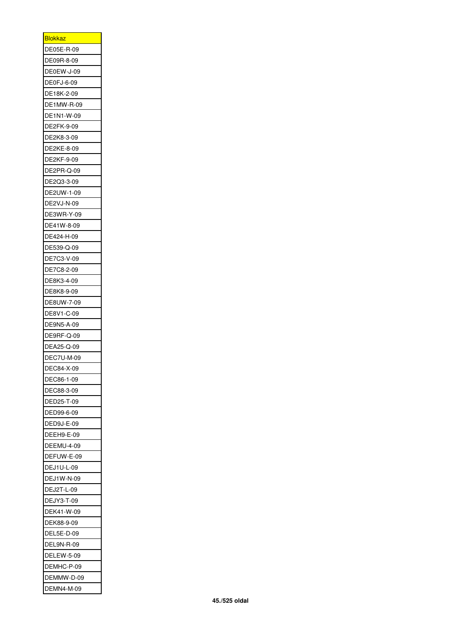| <b>Blokkaz</b> |
|----------------|
| DE05E-R-09     |
| DE09R-8-09     |
| DE0EW-J-09     |
| DE0FJ-6-09     |
| DE18K-2-09     |
| DE1MW-R-09     |
| DE1N1-W-09     |
| DE2FK-9-09     |
| DE2K8-3-09     |
| DE2KE-8-09     |
| DE2KF-9-09     |
| DE2PR-Q-09     |
| DE2Q3-3-09     |
| DE2UW-1-09     |
|                |
| DE2VJ-N-09     |
| DE3WR-Y-09     |
| DE41W-8-09     |
| DE424-H-09     |
| DE539-Q-09     |
| DE7C3-V-09     |
| DE7C8-2-09     |
| DE8K3-4-09     |
| DE8K8-9-09     |
| DE8UW-7-09     |
| DE8V1-C-09     |
| DE9N5-A-09     |
| DE9RF-Q-09     |
| DEA25-Q-09     |
| DEC7U-M-09     |
| DEC84-X-09     |
| DEC86-1-09     |
| DEC88-3-09     |
| DED25-T-09     |
| DED99-6-09     |
| DED9J-E-09     |
| DEEH9-E-09     |
| DEEMU-4-09     |
| DEFUW-E-09     |
| DEJ1U-L-09     |
| DEJ1W-N-09     |
| DEJ2T-L-09     |
| DEJY3-T-09     |
| DEK41-W-09     |
| DEK88-9-09     |
| DEL5E-D-09     |
| DEL9N-R-09     |
| DELEW-5-09     |
|                |
| DEMHC-P-09     |
| DEMMW-D-09     |
| DEMN4-M-09     |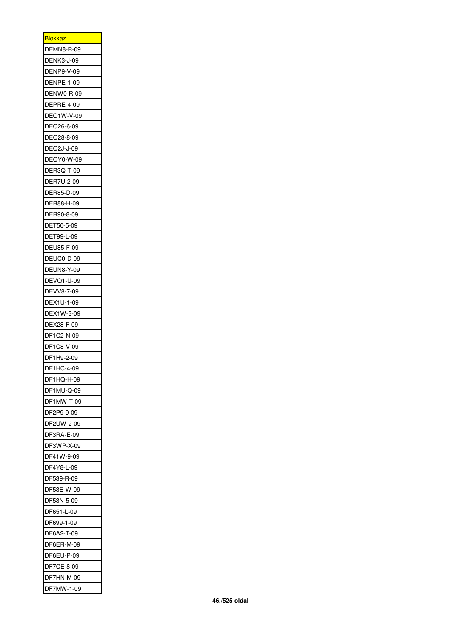| <b>Blokkaz</b>    |
|-------------------|
| DEMN8-R-09        |
| DENK3-J-09        |
| DENP9-V-09        |
| <b>DENPE-1-09</b> |
| DENW0-R-09        |
| DEPRE-4-09        |
| DEQ1W-V-09        |
| DEQ26-6-09        |
| DEQ28-8-09        |
| DEQ2J-J-09        |
| DEQY0-W-09        |
| DER3Q-T-09        |
| DER7U-2-09        |
| DER85-D-09        |
| DER88-H-09        |
|                   |
| DER90-8-09        |
| DET50-5-09        |
| DET99-L-09        |
| DEU85-F-09        |
| DEUC0-D-09        |
| <b>DEUN8-Y-09</b> |
| DEVQ1-U-09        |
| DEVV8-7-09        |
| DEX1U-1-09        |
| DEX1W-3-09        |
| DEX28-F-09        |
| DF1C2-N-09        |
| DF1C8-V-09        |
| DF1H9-2-09        |
| DF1HC-4-09        |
| DF1HQ-H-09        |
| DF1MU-Q-09        |
| DF1MW-T-09        |
| DF2P9-9-09        |
| DF2UW-2-09        |
| DF3RA-E-09        |
| DF3WP-X-09        |
| DF41W-9-09        |
| DF4Y8-L-09        |
| DF539-R-09        |
| DF53E-W-09        |
| DF53N-5-09        |
| DF651-L-09        |
| DF699-1-09        |
| DF6A2-T-09        |
|                   |
| DF6ER-M-09        |
| DF6EU-P-09        |
| DF7CE-8-09        |
| DF7HN-M-09        |
| DF7MW-1-09        |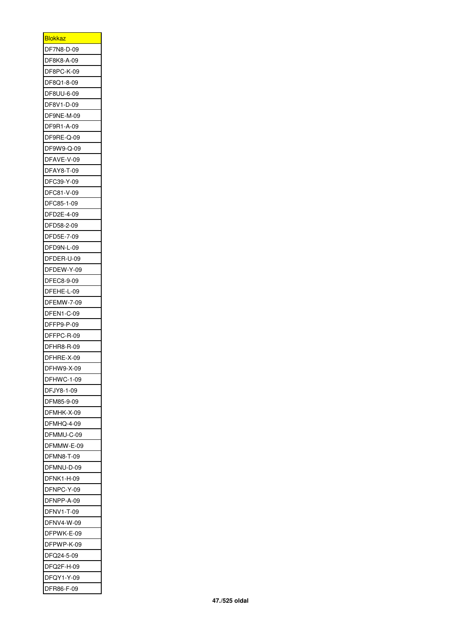| <b>Blokkaz</b> |
|----------------|
| DF7N8-D-09     |
| DF8K8-A-09     |
| DF8PC-K-09     |
| DF8Q1-8-09     |
| DF8UU-6-09     |
| DF8V1-D-09     |
| DF9NE-M-09     |
| DF9R1-A-09     |
| DF9RE-Q-09     |
| DF9W9-Q-09     |
| DFAVE-V-09     |
| DFAY8-T-09     |
| DFC39-Y-09     |
| DFC81-V-09     |
| DFC85-1-09     |
|                |
| DFD2E-4-09     |
| DFD58-2-09     |
| DFD5E-7-09     |
| DFD9N-L-09     |
| DFDER-U-09     |
| DFDEW-Y-09     |
| DFEC8-9-09     |
| DFEHE-L-09     |
| DFEMW-7-09     |
| DFEN1-C-09     |
| DFFP9-P-09     |
| DFFPC-R-09     |
| DFHR8-R-09     |
| DFHRE-X-09     |
| DFHW9-X-09     |
| DFHWC-1-09     |
| DFJY8-1-09     |
| DFM85-9-09     |
| DFMHK-X-09     |
| DFMHQ-4-09     |
| DFMMU-C-09     |
| DFMMW-E-09     |
| DFMN8-T-09     |
| DFMNU-D-09     |
| DFNK1-H-09     |
| DFNPC-Y-09     |
| DFNPP-A-09     |
| DFNV1-T-09     |
| DFNV4-W-09     |
|                |
| DFPWK-E-09     |
| DFPWP-K-09     |
| DFQ24-5-09     |
| DFQ2F-H-09     |
| DFQY1-Y-09     |
| DFR86-F-09     |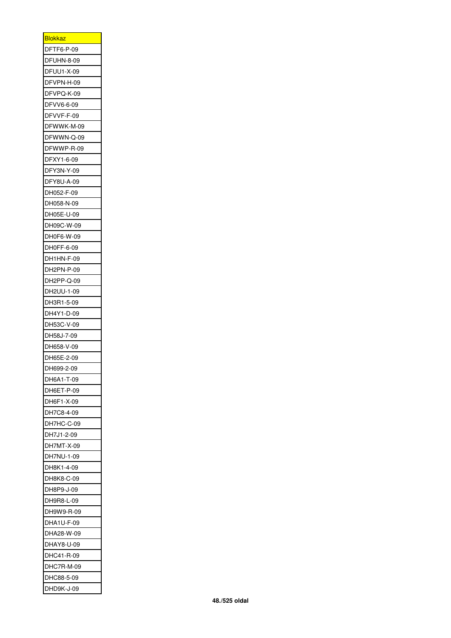| <b>Blokkaz</b>              |
|-----------------------------|
| TF6-P-09 <sup>.</sup><br>DF |
| DFUHN-8-09                  |
| DFUU1-X-09                  |
| DFVPN-H-09                  |
| DFVPQ-K-09                  |
| DFVV6-6-09                  |
| DFVVF-F-09                  |
| DFWWK-M-09                  |
| DFWWN-Q-09                  |
| DFWWP-R-09                  |
| DFXY1-6-09                  |
| DFY3N-Y-09                  |
| DFY8U-A-09                  |
| DH052-F-09                  |
| DH058-N-09                  |
| DH05E-U-09                  |
| DH09C-W-09                  |
| DH0F6-W-09                  |
| DH0FF-6-09                  |
| DH1HN-F-09                  |
| DH2PN-P-09                  |
| DH2PP-Q-09                  |
| DH2UU-1-09                  |
| DH3R1-5-09                  |
| DH4Y1-D-09                  |
| DH53C-V-09                  |
| DH58J-7-09                  |
| DH658-V-09                  |
| DH65E-2-09                  |
| DH699-2-09                  |
| DH6A1-T-09                  |
| DH6ET-P-09                  |
| DH6F1-X-09                  |
| DH7C8-4-09                  |
| DH7HC-C-09                  |
| DH7J1-2-09                  |
| DH7MT-X-09                  |
| DH7NU-1-09                  |
| DH8K1-4-09                  |
| DH8K8-C-09                  |
| DH8P9-J-09                  |
| DH9R8-L-09                  |
| DH9W9-R-09                  |
| DHA1U-F-09                  |
| DHA28-W-09                  |
| DHAY8-U-09                  |
| DHC41-R-09                  |
| DHC7R-M-09                  |
| DHC88-5-09                  |
| DHD9K-J-09                  |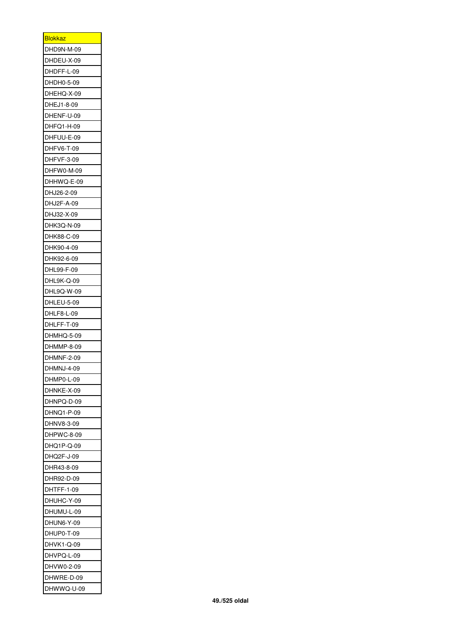| <b>Blokkaz</b> |
|----------------|
| DHD9N-M-09     |
| DHDEU-X-09     |
| DHDFF-L-09     |
| DHDH0-5-09     |
| DHEHQ-X-09     |
| DHEJ1-8-09     |
| DHENF-U-09     |
| DHFQ1-H-09     |
| DHFUU-E-09     |
| DHFV6-T-09     |
| DHFVF-3-09     |
| DHFW0-M-09     |
| DHHWQ-E-09     |
| DHJ26-2-09     |
| DHJ2F-A-09     |
| DHJ32-X-09     |
| DHK3Q-N-09     |
| DHK88-C-09     |
| DHK90-4-09     |
| DHK92-6-09     |
| DHL99-F-09     |
|                |
| DHL9K-Q-09     |
| DHL9Q-W-09     |
| DHLEU-5-09     |
| DHLF8-L-09     |
| DHLFF-T-09     |
| DHMHQ-5-09     |
| DHMMP-8-09     |
| DHMNF-2-09     |
| DHMNJ-4-09     |
| DHMP0-L-09     |
| DHNKE-X-09     |
| DHNPQ-D-09     |
| DHNQ1-P-09     |
| DHNV8-3-09     |
| DHPWC-8-09     |
| DHQ1P-Q-09     |
| DHQ2F-J-09     |
| DHR43-8-09     |
| DHR92-D-09     |
| DHTFF-1-09     |
| DHUHC-Y-09     |
| DHUMU-L-09     |
| DHUN6-Y-09     |
| DHUP0-T-09     |
| DHVK1-Q-09     |
| DHVPQ-L-09     |
| DHVW0-2-09     |
| DHWRE-D-09     |
| DHWWQ-U-09     |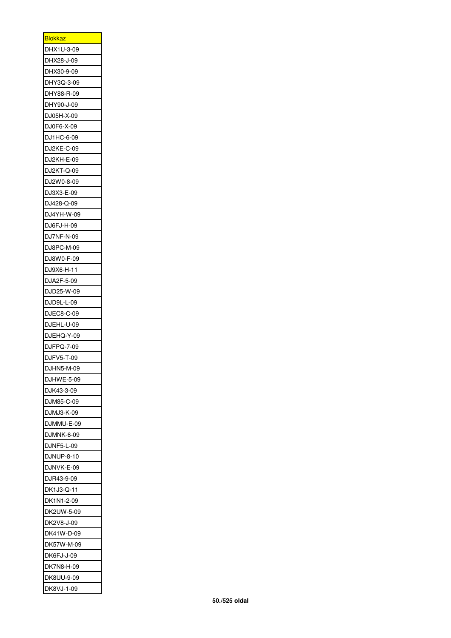| <b>Blokkaz</b> |
|----------------|
| DHX1U-3-09     |
| DHX28-J-09     |
| DHX30-9-09     |
| DHY3Q-3-09     |
| DHY88-R-09     |
| DHY90-J-09     |
| DJ05H-X-09     |
| DJ0F6-X-09     |
| DJ1HC-6-09     |
| DJ2KE-C-09     |
| DJ2KH-E-09     |
| DJ2KT-Q-09     |
| DJ2W0-8-09     |
| DJ3X3-E-09     |
| DJ428-Q-09     |
| DJ4YH-W-09     |
| DJ6FJ-H-09     |
| DJ7NF-N-09     |
| DJ8PC-M-09     |
|                |
| DJ8W0-F-09     |
| DJ9X6-H-11     |
| DJA2F-5-09     |
| DJD25-W-09     |
| DJD9L-L-09     |
| DJEC8-C-09     |
| DJEHL-U-09     |
| DJEHQ-Y-09     |
| DJFPQ-7-09     |
| DJFV5-T-09     |
| DJHN5-M-09     |
| DJHWE-5-09     |
| DJK43-3-09     |
| DJM85-C-09     |
| DJMJ3-K-09     |
| DJMMU-E-09     |
| DJMNK-6-09     |
| DJNF5-L-09     |
| DJNUP-8-10     |
| DJNVK-E-09     |
| DJR43-9-09     |
| DK1J3-Q-11     |
| DK1N1-2-09     |
| DK2UW-5-09     |
| DK2V8-J-09     |
| DK41W-D-09     |
| DK57W-M-09     |
| DK6FJ-J-09     |
| DK7N8-H-09     |
| DK8UU-9-09     |
| DK8VJ-1-09     |
|                |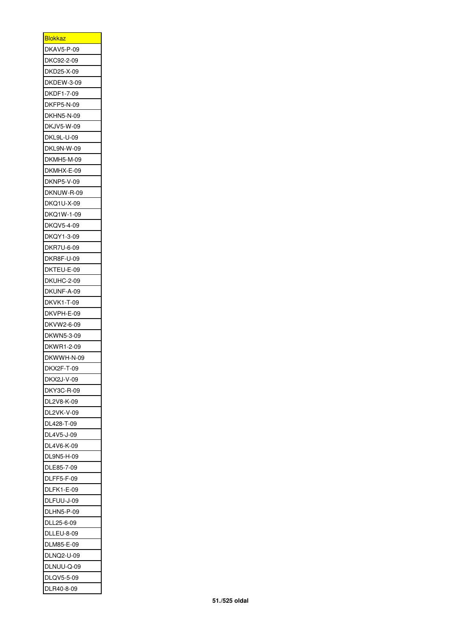| <u>Blokkaz</u>    |
|-------------------|
| DKAV5-P-09        |
| DKC92-2-09        |
| DKD25-X-09        |
| DKDEW-3-09        |
| DKDF1-7-09        |
| DKFP5-N-09        |
| <b>DKHN5-N-09</b> |
| DKJV5-W-09        |
| DKL9L-U-09        |
| DKL9N-W-09        |
| DKMH5-M-09        |
| DKMHX-E-09        |
| DKNP5-V-09        |
| DKNUW-R-09        |
| DKQ1U-X-09        |
| DKQ1W-1-09        |
| DKQV5-4-09        |
|                   |
| DKQY1-3-09        |
| DKR7U-6-09        |
| DKR8F-U-09        |
| DKTEU-E-09        |
| DKUHC-2-09        |
| DKUNF-A-09        |
| DKVK1-T-09        |
| DKVPH-E-09        |
| DKVW2-6-09        |
| DKWN5-3-09        |
| DKWR1-2-09        |
| DKWWH-N-09        |
| DKX2F-T-09        |
| DKX2J-V-09        |
| DKY3C-R-09        |
| DL2V8-K-09        |
| DL2VK-V-09        |
| DL428-T-09        |
| DL4V5-J-09        |
| DL4V6-K-09        |
| DL9N5-H-09        |
| DLE85-7-09        |
| DLFF5-F-09        |
| DLFK1-E-09        |
| DLFUU-J-09        |
| DLHN5-P-09        |
| DLL25-6-09        |
| DLLEU-8-09        |
| DLM85-E-09        |
| DLNQ2-U-09        |
| DLNUU-Q-09        |
| DLQV5-5-09        |
| DLR40-8-09        |
|                   |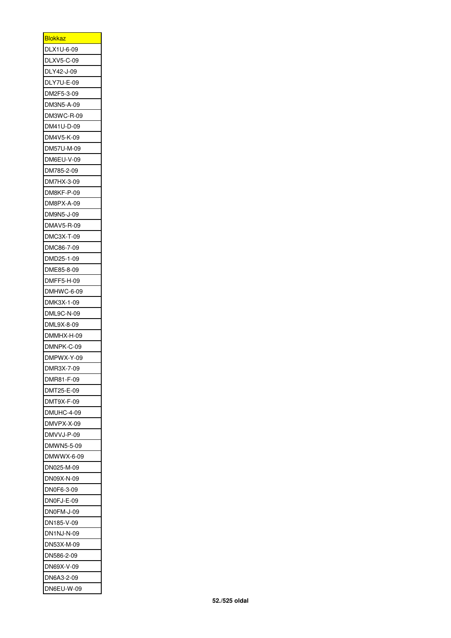| <b>Blokkaz</b> |
|----------------|
| DLX1U-6-09     |
| DLXV5-C-09     |
| DLY42-J-09     |
| DLY7U-E-09     |
| DM2F5-3-09     |
| DM3N5-A-09     |
| DM3WC-R-09     |
| DM41U-D-09     |
| DM4V5-K-09     |
| DM57U-M-09     |
| DM6EU-V-09     |
| DM785-2-09     |
| DM7HX-3-09     |
| DM8KF-P-09     |
| DM8PX-A-09     |
| DM9N5-J-09     |
| DMAV5-R-09     |
| DMC3X-T-09     |
| DMC86-7-09     |
| DMD25-1-09     |
| DME85-8-09     |
| DMFF5-H-09     |
| DMHWC-6-09     |
| DMK3X-1-09     |
| DML9C-N-09     |
| DML9X-8-09     |
| DMMHX-H-09     |
| DMNPK-C-09     |
| DMPWX-Y-09     |
| DMR3X-7-09     |
| DMR81-F-09     |
| DMT25-E-09     |
| DMT9X-F-09     |
| DMUHC-4-09     |
| DMVPX-X-09     |
| DMVVJ-P-09     |
| DMWN5-5-09     |
| DMWWX-6-09     |
| DN025-M-09     |
| DN09X-N-09     |
| DN0F6-3-09     |
| DN0FJ-E-09     |
| DN0FM-J-09     |
| DN185-V-09     |
| DN1NJ-N-09     |
| DN53X-M-09     |
| DN586-2-09     |
| DN69X-V-09     |
| DN6A3-2-09     |
| DN6EU-W-09     |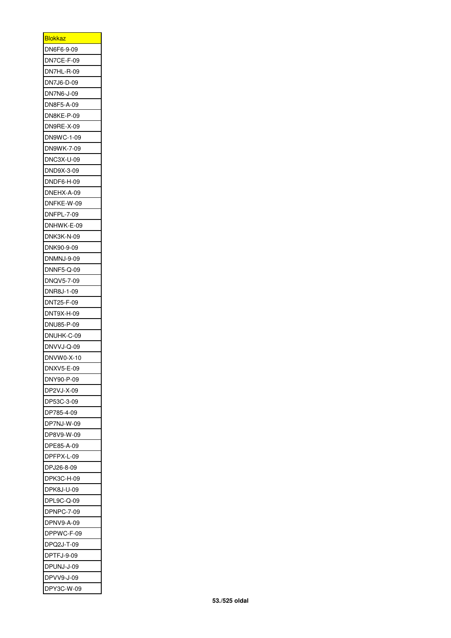| <u>Blokkaz</u>    |
|-------------------|
| DN6F6-9-09        |
| DN7CE-F-09        |
| DN7HL-R-09        |
| DN7J6-D-09        |
| DN7N6-J-09        |
| DN8F5-A-09        |
| DN8KE-P-09        |
| DN9RE-X-09        |
| DN9WC-1-09        |
| DN9WK-7-09        |
| DNC3X-U-09        |
| DND9X-3-09        |
| DNDF6-H-09        |
| DNEHX-A-09        |
|                   |
| DNFKE-W-09        |
| DNFPL-7-09        |
| DNHWK-E-09        |
| DNK3K-N-09        |
| DNK90-9-09        |
| DNMNJ-9-09        |
| DNNF5-Q-09        |
| DNQV5-7-09        |
| DNR8J-1-09        |
| DNT25-F-09        |
| DNT9X-H-09        |
| DNU85-P-09        |
| DNUHK-C-09        |
| DNVVJ-Q-09        |
| DNVW0-X-10        |
| DNXV5-E-09        |
| DNY90-P-09        |
| DP2VJ-X-09        |
| DP53C-3-09        |
| DP785-4-09        |
| DP7NJ-W-09        |
| DP8V9-W-09        |
| DPE85-A-09        |
| DPFPX-L-09        |
| DPJ26-8-09        |
| DPK3C-H-09        |
| DPK8J-U-09        |
| DPL9C-Q-09        |
| <b>DPNPC-7-09</b> |
|                   |
| DPNV9-A-09        |
| DPPWC-F-09        |
| DPQ2J-T-09        |
| DPTFJ-9-09        |
| DPUNJ-J-09        |
| DPVV9-J-09        |
| DPY3C-W-09        |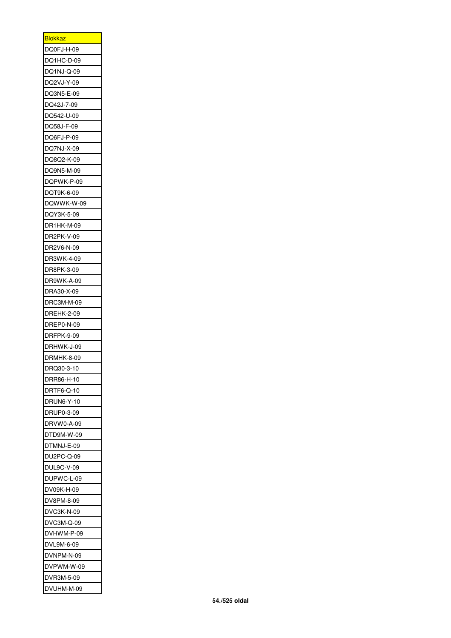| <u>Blokkaz</u> |
|----------------|
| DQ0FJ-H-09     |
| DQ1HC-D-09     |
| DQ1NJ-Q-09     |
| DQ2VJ-Y-09     |
| DQ3N5-E-09     |
| DQ42J-7-09     |
| DQ542-U-09     |
| DQ58J-F-09     |
| DQ6FJ-P-09     |
| DQ7NJ-X-09     |
| DQ8Q2-K-09     |
| DQ9N5-M-09     |
| DQPWK-P-09     |
|                |
| DQT9K-6-09     |
| DQWWK-W-09     |
| DQY3K-5-09     |
| DR1HK-M-09     |
| DR2PK-V-09     |
| DR2V6-N-09     |
| DR3WK-4-09     |
| DR8PK-3-09     |
| DR9WK-A-09     |
| DRA30-X-09     |
| DRC3M-M-09     |
| DREHK-2-09     |
| DREP0-N-09     |
| DRFPK-9-09     |
| DRHWK-J-09     |
| DRMHK-8-09     |
| DRQ30-3-10     |
| DRR86-H-10     |
| DRTF6-Q-10     |
| DRUN6-Y-10     |
| DRUP0-3-09     |
| DRVW0-A-09     |
| DTD9M-W-09     |
| DTMNJ-E-09     |
| DU2PC-Q-09     |
| DUL9C-V-09     |
| DUPWC-L-09     |
|                |
| DV09K-H-09     |
| DV8PM-8-09     |
| DVC3K-N-09     |
| DVC3M-Q-09     |
| DVHWM-P-09     |
| DVL9M-6-09     |
| DVNPM-N-09     |
| DVPWM-W-09     |
| DVR3M-5-09     |
| DVUHM-M-09     |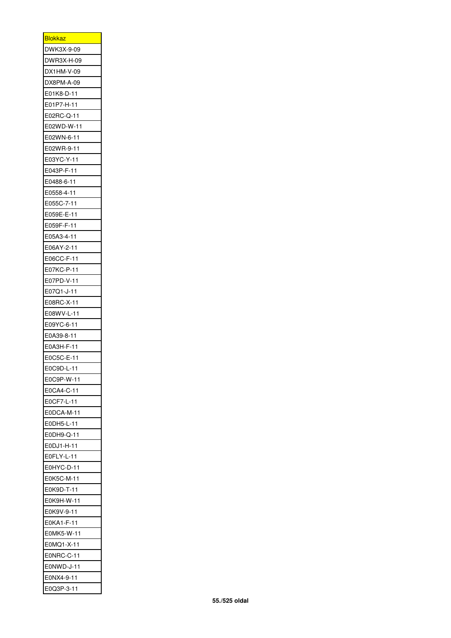| <u>Blokkaz</u>    |
|-------------------|
| DWK3X-9-09        |
| DWR3X-H-09        |
| DX1HM-V-09        |
| DX8PM-A-09        |
| E01K8-D-11        |
| E01P7-H-11        |
| E02RC-Q-11        |
| E02WD-W-11        |
| E02WN-6-11        |
| E02WR-9-11        |
| E03YC-Y-11        |
|                   |
| E043P-F-11        |
| E0488-6-11        |
| E0558-4-11        |
| :055C-7-11<br>E   |
| E059E-E-11        |
| E059F-F-11        |
| E05A3-4-11        |
| E06AY-2-11        |
| E06CC-F-11        |
| E07KC-P-11        |
| E07PD-V-11        |
| E07Q1-J-11        |
| E08RC-X-11        |
| E08WV-L-11        |
| E09YC-6-11        |
| :0A39-8-11<br>E   |
| E0A3H-F-11        |
| E0C5C-E-11        |
| E0C9D-L-11        |
| E0C9P-W-11        |
| E0CA4-C-11        |
| E0CF7-L-11        |
| ODCA-M-11<br>E    |
| E0DH5-L-11        |
| E0DH9-Q-11        |
| E0DJ1-H-11        |
| E0FLY-L-11        |
| $EOHYC-D-11$<br>E |
| E0K5C-M-11        |
| E0K9D-T-11        |
| E0K9H-W-11        |
| E0K9V-9-11        |
|                   |
| E0KA1-F-11        |
| E0MK5-W-11        |
| :0MQ1-X-11<br>E   |
| E0NRC-C-11        |
| E0NWD-J-11        |
| E0NX4-9-11        |
| E0Q3P-3-11        |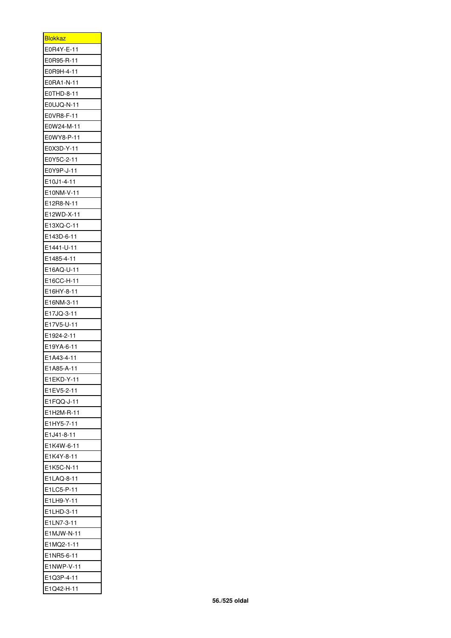| <b>Blokkaz</b>  |
|-----------------|
| E0R4Y-E-11      |
| E0R95-R-11      |
| E0R9H-4-11<br>Е |
| E0RA1-N-11      |
| E0THD-8-11      |
| E0UJQ-N-11      |
| E0VR8-F-11      |
| E0W24-M-11      |
| E0WY8-P-11      |
| E0X3D-Y-11      |
| E0Y5C-2-11      |
| E0Y9P-J-11      |
| E10J1-4-11      |
| E10NM-V-11      |
| E12R8-N-11      |
| E12WD-X-11      |
| E13XQ-C-11      |
| E143D-6-11      |
| E1441-U-11      |
| E1485-4-11      |
| E16AQ-U-11      |
| 16CC-H-11<br>Е  |
| E16HY-8-11      |
| E16NM-3-11      |
| E17JQ-3-11      |
| E17V5-U-11      |
| Е<br>1924-2-11: |
| E19YA-6-11      |
| E1A43-4-11      |
| E1A85-A-1<br>1  |
| E1EKD-Y-11      |
| E1EV5-2-11      |
| E1FQQ-J-11      |
| E1H2M-R-11      |
| E1HY5-7-11      |
| E1J41-8-11      |
| E1K4W-6-11      |
|                 |
| E1K4Y-8-11      |
| E1K5C-N-11      |
| E1LAQ-8-11      |
| 1LC5-P-11<br>E  |
| E1LH9-Y-11      |
| E1LHD-3-11      |
| E1LN7-3-11      |
| E1MJW-N-11      |
| 1MQ2-1-11<br>Е  |
| E1NR5-6-11      |
| E1NWP-V-11      |
| E1Q3P-4-11      |
| E1Q42-H-11      |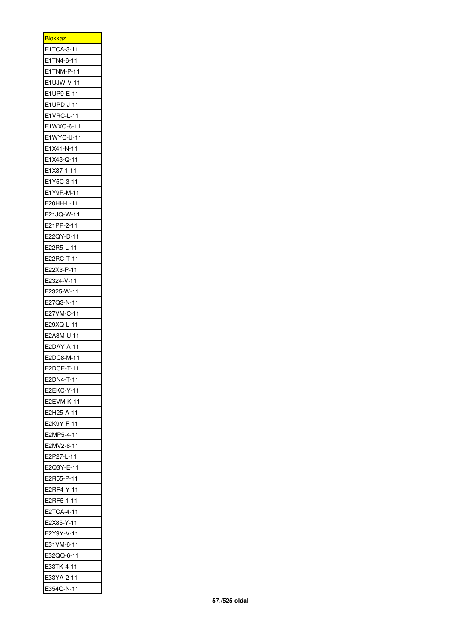| <u>Blokkaz</u>  |
|-----------------|
| E1TCA-3-11      |
| E1TN4-6-11      |
| E1TNM-P-11      |
| E1UJW-V-11      |
| E1UP9-E-11      |
| E1UPD-J-11      |
| E1VRC-L-11      |
| E1WXQ-6-11      |
| E1WYC-U-11      |
| E1X41-N-11      |
| E1X43-Q-11      |
| E1X87-1-11      |
| E1Y5C-3-11      |
| E1Y9R-M-11      |
| E20HH-L-11      |
| E21JQ-W-11      |
| E21PP-2-11      |
| E22QY-D-11      |
| E22R5-L-11      |
| E22RC-T-11      |
|                 |
| E22X3-P-11      |
| E2324-V-11      |
| E2325-W-11      |
| E27Q3-N-11      |
| E27VM-C-11      |
| E29XQ-L-11      |
| 2A8M-U-11<br>Е  |
| E2DAY-A-11      |
| E2DC8-M-11      |
| E2DCE-T-11      |
| E2DN4-T-11      |
| E2EKC-Y-11      |
| E2EVM-K-11      |
| Е<br>E2H25-A-11 |
| E2K9Y-F-11      |
| E2MP5-4-11      |
| E2MV2-6-11      |
| E2P27-L-11      |
| E2Q3Y-E-11      |
| E2R55-P-11      |
| E2RF4-Y-11      |
| E2RF5-1-11      |
| E2TCA-4-11      |
|                 |
| E2X85-Y-11      |
| E2Y9Y-V-11      |
| 31VM-6-11<br>E  |
| E32QQ-6-11      |
| E33TK-4-11      |
| E33YA-2-11      |
| E354Q-N-11      |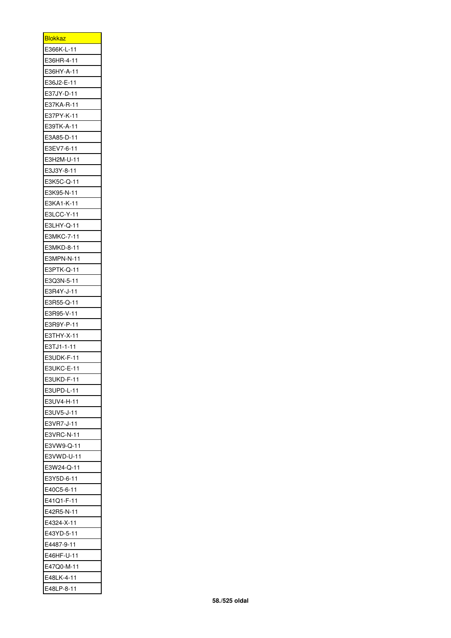| <u>Blokkaz</u>  |
|-----------------|
| E366K-L-11      |
| E36HR-4-11      |
| Е<br>:36HY-A-11 |
| E36J2-E-11      |
| E37JY-D-11      |
| E37KA-R-11      |
| E37PY-K-11      |
| E39TK-A-11      |
| E3A85-D-11      |
| E3EV7-6-11      |
| E3H2M-U-11      |
| E3J3Y-8-11      |
| E3K5C-Q-11      |
| E3K95-N-11      |
| E3KA1-K-11      |
| E3LCC-Y-11      |
| E3LHY-Q-11      |
| E3MKC-7-11      |
| E3MKD-8-11      |
| E3MPN-N-11      |
| E3PTK-Q-11      |
| Е<br>:3Q3N-5-11 |
| E3R4Y-J-11      |
| E3R55-Q-11      |
| E3R95-V-11      |
| E3R9Y-P-11      |
| E3THY-X-11      |
| E3TJ1-1-11      |
| E3UDK-F-11      |
| E3UKC-E-11      |
| E3UKD-F-11      |
| E3UPD-L-11      |
| E3UV4-H-11      |
| E3UV5-J-11      |
| E3VR7-J-11      |
| E3VRC-N-11      |
| E3VW9-Q-11      |
| E3VWD-U-11      |
| E3W24-Q-11      |
| E3Y5D-6-11      |
| :40C5-6-11<br>E |
| E41Q1-F-11      |
| E42R5-N-11      |
| E4324-X-11      |
| E43YD-5-11      |
| Е<br>:4487-9-11 |
| E46HF-U-11      |
| E47Q0-M-11      |
| E48LK-4-11      |
| E48LP-8-11      |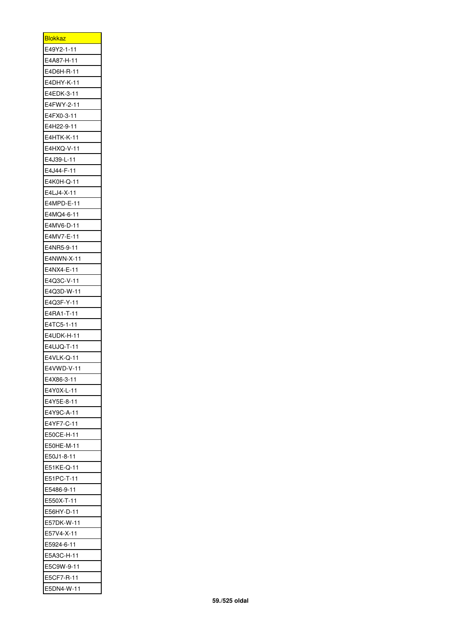| <u>Blokkaz</u>  |
|-----------------|
| E49Y2-1-11      |
| E4A87-H-11      |
| E4D6H-R-11      |
| E4DHY-K-11      |
| E4EDK-3-11      |
| E4FWY-2-11      |
| E4FX0-3-11      |
| E4H22-9-11      |
| E4HTK-K-11      |
| E4HXQ-V-11      |
| E4J39-L-11      |
| E4J44-F-11      |
| E4K0H-Q-11      |
| E4LJ4-X-11      |
| E4MPD-E-11      |
| E4MQ4-6-11      |
| E4MV6-D-11      |
| E4MV7-E-11      |
| E4NR5-9-11      |
| E4NWN-X-11      |
| E4NX4-E-11      |
| 4Q3C-V-11<br>Е  |
| E4Q3D-W-11      |
| E4Q3F-Y-11      |
| E4RA1-T-11      |
| E4TC5-1-11      |
| E4UDK-H-11      |
| E4UJQ-T-11      |
| E4VLK-Q-11      |
| E4VWD-V-11      |
| E4X86-3-11      |
| E4Y0X-L-11      |
| E4Y5E-8-11      |
| E4Y9C-A-11      |
| E4YF7-C-11      |
| E50CE-H-11      |
| E50HE-M-11      |
| E50J1-8-11      |
| E51KE-Q-11      |
| E51PC-T-11      |
| :5486-9-11<br>E |
| E550X-T-11      |
| E56HY-D-11      |
| E57DK-W-11      |
| E57V4-X-11      |
| Е<br>:5924-6-11 |
|                 |
| E5A3C-H-11      |
| E5C9W-9-11      |
| E5CF7-R-11      |
| E5DN4-W-11      |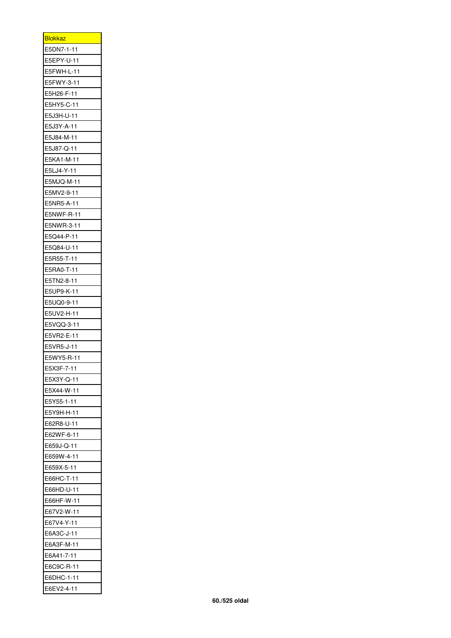| <b>Blokkaz</b>  |
|-----------------|
| E5DN7-1-11      |
| E5EPY-U-11      |
| :5FWH-L-11<br>E |
| E5FWY-3-11      |
| E5H26-F-11      |
| E5HY5-C-11      |
| E5J3H-U-11      |
| E5J3Y-A-11      |
| E5J84-M-11      |
| E5J87-Q-11      |
| E5KA1-M-11      |
| E5LJ4-Y-11      |
| E5MJQ-M-11      |
| E5MV2-9-11      |
| E5NR5-A-11      |
| E5NWF-R-11      |
| E5NWR-3-11      |
| E5Q44-P-11      |
| E5Q84-U-11      |
| E5R55-T-11      |
| E5RA0-T-11      |
| E<br>:5TN2-8-11 |
| E5UP9-K-11      |
| E5UQ0-9-11      |
| E5UV2-H-11      |
| E5VQQ-3-11      |
| E<br>E5VR2-E-11 |
| E5VR5-J-11      |
| E5WY5-R-11      |
| E5X3F-7-1       |
| E5X3Y-Q-11      |
| E5X44-W-11      |
| E5Y55-1-11      |
| E<br>E5Y9H-H-11 |
| E62R8-U-11      |
| E62WF-6-11      |
| E659J-Q-11      |
| E659W-4-11      |
| E659X-5-11      |
| E66HC-T-11      |
| :66HD-U-11<br>E |
| E66HF-W-11      |
| E67V2-W-11      |
| E67V4-Y-11      |
| E6A3C-J-11      |
| E<br>E6A3F-M-11 |
| E6A41-7-11      |
| E6C9C-R-11      |
| E6DHC-1-11      |
| E6EV2-4-11      |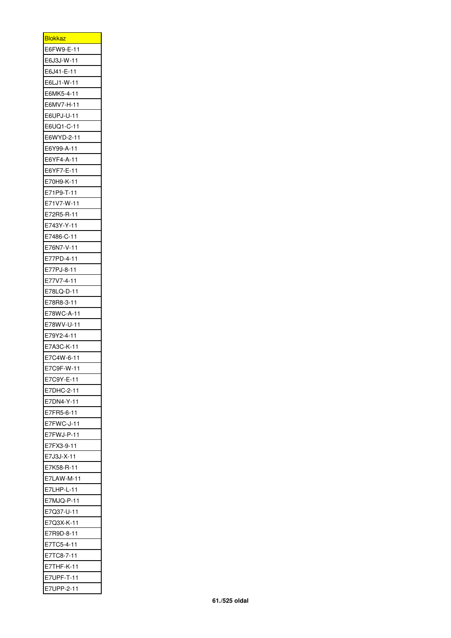| <b>Blokkaz</b>  |
|-----------------|
| E6FW9-E-11      |
| E6J3J-W-11      |
| E6J41-E-11      |
| E6LJ1-W-11      |
| E6MK5-4-11      |
| E6MV7-H-11      |
| E6UPJ-U-11      |
| E6UQ1-C-11      |
| E6WYD-2-11      |
| E6Y99-A-11<br>E |
| E6YF4-A-11      |
| E6YF7-E-11      |
| E70H9-K-11      |
| E71P9-T-11      |
| E71V7-W-11      |
| E72R5-R-11      |
| E743Y-Y-11      |
| E7486-C-11      |
| E76N7-V-11      |
| E77PD-4-11      |
| E77PJ-8-11      |
|                 |
| E77V7-4-11      |
| E78LQ-D-11      |
| E78R8-3-11      |
| E78WC-A-11      |
| E78WV-U-11      |
| E79Y2-4-11      |
| E7A3C-K-11      |
| 7C4W-6-11<br>E  |
| E7C9F-W-1       |
| E7C9Y-E-11      |
| E7DHC-2-11      |
| E7DN4-Y-11      |
| E7FR5-6-11      |
| E7FWC-J-11      |
| E7FWJ-P-11      |
| E7FX3-9-11      |
| E7J3J-X-11      |
| :7K58-R-11<br>E |
| E7LAW-M-11      |
| E7LHP-L-11      |
| E7MJQ-P-11      |
| E7Q37-U-11      |
| E7Q3X-K-11      |
| E7R9D-8-11      |
| E7TC5-4-11      |
| E7TC8-7-11      |
| 7THF-K-11<br>Е  |
| E7UPF-T-11      |
| E7UPP-2-11      |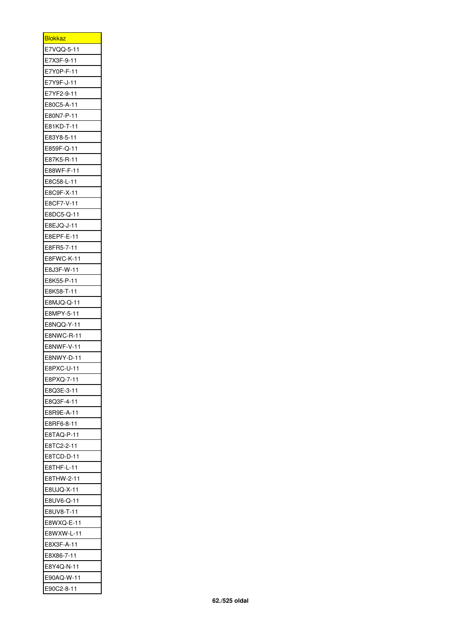| <u>Blokkaz</u>  |
|-----------------|
| E7VQQ-5-11      |
| E7X3F-9-11      |
| E7Y0P-F-11      |
| E7Y9F-J-11      |
| E7YF2-9-11      |
| E80C5-A-11      |
| E80N7-P-11      |
| E81KD-T-11      |
| E83Y8-5-11      |
| E859F-Q-11      |
| E87K5-R-11      |
| E88WF-F-11      |
| E8C58-L-11      |
| E8C9F-X-11      |
| E8CF7-V-11      |
| E8DC5-Q-11      |
| E8EJQ-J-11      |
| E8EPF-E-11      |
| E8FR5-7-11      |
| E8FWC-K-11      |
| E8J3F-W-11      |
| E8K55-P-11      |
| E8K58-T-11      |
| E8MJQ-Q-11      |
| E8MPY-5-11      |
| E8NQQ-Y-11      |
|                 |
|                 |
| E8NWC-R-11      |
| E8NWF-V-11      |
| E8NWY-D-11      |
| E8PXC-U-11      |
| E8PXQ-7-11      |
| E8Q3E-3-11      |
| E8Q3F-4-11      |
| E8R9E-A-11      |
| E8RF6-8-11      |
| E8TAQ-P-11      |
| E8TC2-2-11      |
| E8TCD-D-11      |
| E8THF-L-11      |
| E8THW-2-11      |
| :8UJQ-X-11<br>E |
| E8UV6-Q-11      |
| E8UV8-T-11      |
| E8WXQ-E-11      |
| E8WXW-L-11      |
| Е<br>E8X3F-A-11 |
| E8X86-7-11      |
| E8Y4Q-N-11      |
| E90AQ-W-11      |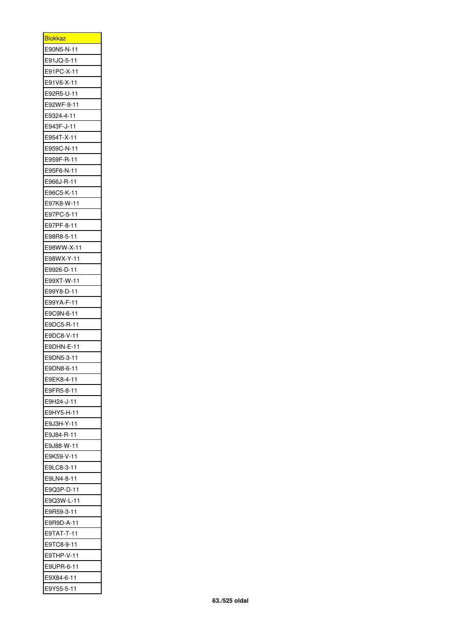| <u>Blokkaz</u>  |
|-----------------|
| E90N5-N-11      |
| E91JQ-5-11      |
| E91PC-X-11      |
| E91V6-X-11      |
| E92R5-U-11      |
| E92WF-9-11      |
| E9324-4-11      |
| E943F-J-11      |
| E954T-X-11      |
| E959C-N-11      |
| E959F-R-11      |
| E95F6-N-11      |
| E966J-R-11      |
| E96C5-K-11      |
| :97K8-W-11<br>E |
| E97PC-5-11      |
| E97PF-8-11      |
| E98R8-5-11      |
| E98WW-X-11      |
| E98WX-Y-11      |
| E9926-D-11      |
| E99XT-W-11      |
| E99Y8-D-11      |
| E99YA-F-11      |
| E9C9N-6-11      |
| E9DC5-R-11      |
| 9DC8-V-11<br>Е  |
| E9DHN-E-11      |
| E9DN5-3-11      |
| E9DN8-6-1<br>1  |
| E9EK8-4-11      |
| E9FR5-8-11      |
|                 |
| E9H24-J-11      |
| 9HY5-H-11<br>Е  |
| E9J3H-Y-11      |
| E9J84-R-11      |
| E9J88-W-11      |
| E9K59-V-11      |
| Е<br>:9LC8-3-11 |
| E9LN4-8-11      |
| E9Q3P-D-11      |
| E9Q3W-L-11      |
| E9R59-3-11      |
| E9R9D-A-11      |
| E9TAT-T-11      |
| 9TC8-9-11<br>E  |
| E9THP-V-11      |
| E9UPR-6-11      |
| E9X84-6-11      |
| E9Y55-5-11      |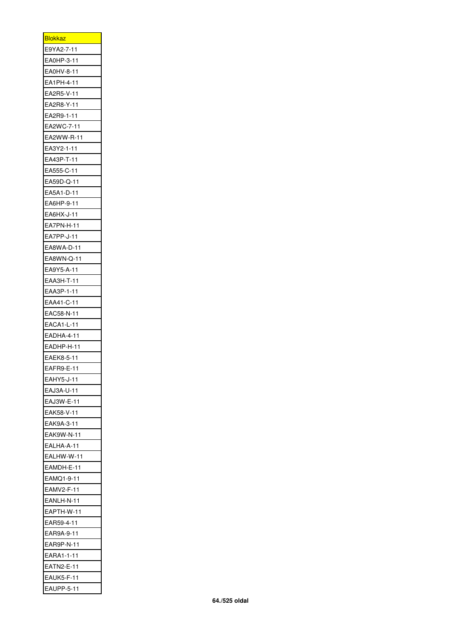| <b>Blokkaz</b>           |
|--------------------------|
| E9YA2-7-11               |
| EA0HP-3-11               |
| EA0HV-8-11               |
| EA1PH-4-11               |
| EA2R5-V-11               |
| EA2R8-Y-11               |
| EA2R9-1-11               |
| EA2WC-7-11               |
| EA2WW-R-11               |
| EA3Y2-1-11               |
| EA43P-T-11               |
| EA555-C-11               |
| EA59D-Q-11               |
| EA5A1-D-11               |
| EA6HP-9-11               |
| EA6HX-J-11               |
| EA7PN-H-11               |
| EA7PP-J-11               |
| EA8WA-D-11               |
| EA8WN-Q-11               |
| EA9Y5-A-11               |
| EAA3H-T-11               |
| EAA3P-1-11               |
| EAA41-C-11               |
| EAC58-N-11               |
| EACA1-L-11               |
| EADHA-4-11               |
| EADHP-H-11               |
| EAEK8-5-11               |
|                          |
| EAFR9-E-11<br>EAHY5-J-11 |
|                          |
| EAJ3A-U-11               |
| EAJ3W-E-11               |
| EAK58-V-11               |
| EAK9A-3-11               |
| EAK9W-N-11               |
| EALHA-A-11               |
| EALHW-W-11               |
| EAMDH-E-11               |
| EAMQ1-9-11               |
| :AMV2-F-11<br>Е          |
| EANLH-N-11               |
| EAPTH-W-11               |
| EAR59-4-11               |
| EAR9A-9-11               |
| EAR9P-N-11               |
| EARA1-1-11               |
| EATN2-E-11               |
| EAUK5-F-11               |
| <b>EAUPP-5-11</b>        |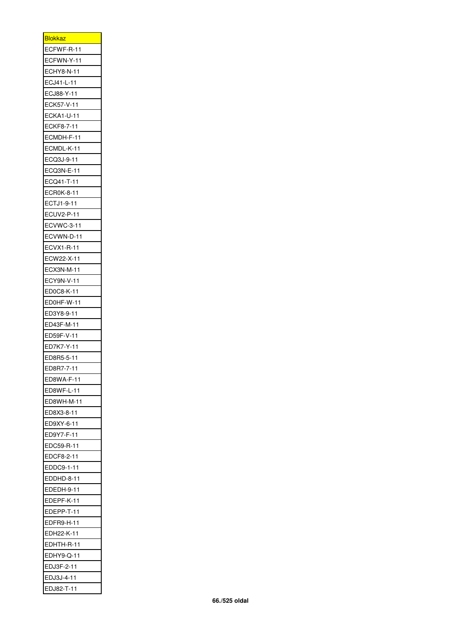| <b>Blokkaz</b>        |
|-----------------------|
| ECFWF-R-11            |
| ECFWN-Y-11            |
| ECHY8-N-11<br>Е       |
| ECJ41-L-11            |
| ECJ88-Y-11            |
| ECK57-V-11            |
| ECKA1-U-11            |
| ECKF8-7-11            |
| ECMDH-F-11            |
| ECMDL-K-11            |
| ECQ3J-9-11            |
| ECQ3N-E-11            |
| ECQ41-T-11            |
| ECR0K-8-11            |
| ECTJ1-9-11            |
| ECUV2-P-11            |
| <b>ECVWC-3-11</b>     |
| ECVWN-D-11            |
|                       |
| ECVX1-R-11            |
| ECW22-X-11            |
| ECX3N-M-11            |
| ECY9N-V-11<br>Е       |
| ED0C8-K-11            |
| ED0HF-W-11            |
| ED3Y8-9-11            |
| ED43F-M-11            |
| ED59F-V-11            |
| ED7K7-Y-11            |
| ED8R5-5-11            |
| ED8R7-7-1             |
| ED8WA-F-11            |
| ED8WF-L-11            |
| ED8WH-M-11            |
| ED8X3-8-11            |
| ED9XY-6-11            |
| ED9Y7-F-11            |
| EDC59-R-11            |
| EDCF8-2-11            |
| EDDC9-1-11            |
| EDDHD-8-11            |
| <b>DEDH-9-11</b><br>E |
| EDEPF-K-11            |
| EDEPP-T-11            |
| EDFR9-H-11            |
| EDH22-K-11            |
| Е<br>EDHTH-R-11       |
| EDHY9-Q-11            |
| EDJ3F-2-11            |
| EDJ3J-4-11            |
| EDJ82-T-11            |
|                       |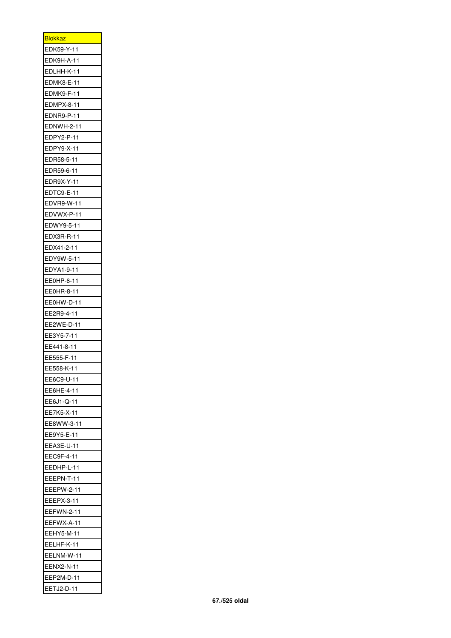| <b>Blokkaz</b>              |
|-----------------------------|
| EDK59-Y-11                  |
| EDK9H-A-11                  |
| EDLHH-K-11<br>F             |
| <b>EDMK8-E-11</b>           |
| EDMK9-F-11                  |
| EDMPX-8-11                  |
| EDNR9-P-11                  |
| <b>EDNWH-2-11</b>           |
| EDPY2-P-11                  |
| EDPY9-X-11                  |
| EDR58-5-11                  |
| EDR59-6-11                  |
| EDR9X-Y-11                  |
| EDTC9-E-11                  |
| EDVR9-W-11                  |
| EDVWX-P-11                  |
| EDWY9-5-11                  |
| EDX3R-R-11                  |
| EDX41-2-11                  |
| EDY9W-5-11                  |
| EDYA1-9-11                  |
| Е<br>E0HP-6-11 <del>!</del> |
|                             |
| EE0HR-8-11<br>EE0HW-D-11    |
|                             |
| EE2R9-4-11                  |
| EE2WE-D-11<br>EE3Y5-7-11    |
|                             |
| EE441-8-11                  |
| EE555-F-11                  |
| EE558-K-1<br>1              |
| EE6C9-U-11                  |
| EE6HE-4-11                  |
| EE6J1-Q-11                  |
| EE7K5-X-11                  |
| EE8WW-3-11                  |
| EE9Y5-E-11                  |
| EEA3E-U-11                  |
| EEC9F-4-11                  |
| EEDHP-L-11                  |
| EEEPN-T-11                  |
| EEPW-2-11<br>E              |
| EEEPX-3-11                  |
| <b>EEFWN-2-11</b>           |
| EEFWX-A-11                  |
| EEHY5-M-11                  |
| EELHF-K-11                  |
| EELNM-W-11                  |
|                             |
| <b>EENX2-N-11</b>           |
| EEP2M-D-11<br>EETJ2-D-11    |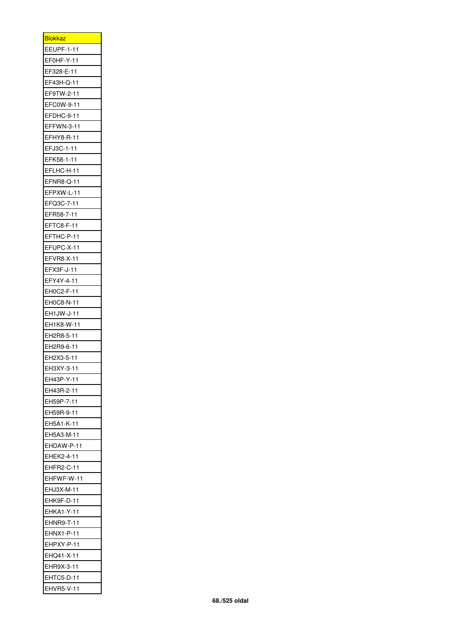| <u>Blokkaz</u>           |
|--------------------------|
| <b>EEUPF-1-11</b>        |
| EF0HF-Y-11               |
| EF328-E-11               |
| EF43H-Q-11               |
| EF9TW-2-11               |
| EFC0W-9-11               |
| EFDHC-9-11               |
| <b>EFFWN-3-11</b>        |
| EFHY8-R-11               |
| EFJ3C-1-11               |
| EFK58-1-11               |
| EFLHC-H-11               |
| EFNR8-Q-11               |
| EFPXW-L-11               |
| EFQ3C-7-11               |
| EFR58-7-11               |
| EFTC8-F-11               |
| EFTHC-P-11               |
| EFUPC-X-11               |
| <b>EFVR8-X-11</b>        |
| EFX3F-J-11               |
| EFY4Y-4-11               |
| EH0C2-F-11               |
| EH0C8-N-11               |
| EH1JW-J-11               |
| EH1K8-W-11               |
| EH2R8-5-11               |
| EH2R9-6-11               |
|                          |
| EH2X3-5-11               |
| EH3XY-3-1                |
| EH43P-Y-11               |
| EH43R-2-11               |
| EH59P-7-11               |
| EH59R-9-11               |
| EH5A1-K-11               |
| EH5A3-M-11               |
| EHDAW-P-11               |
| EHEK2-4-11               |
| EHFR2-C-11               |
| EHFWF-W-11               |
| :HJ3X-M-11<br>Е          |
| EHK9F-D-11               |
| <b>EHKA1-Y-11</b>        |
| EHNR9-T-11               |
|                          |
| EHNX1-P-11<br>EHPXY-P-11 |
| EHQ41-X-11               |
| EHR9X-3-11               |
| EHTC5-D-11               |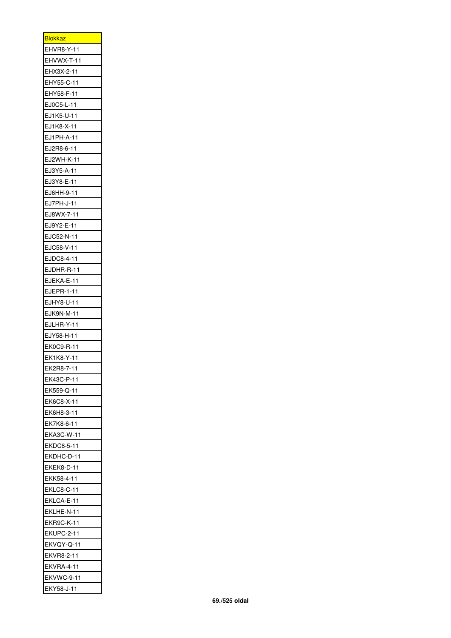| <b>Blokkaz</b>    |
|-------------------|
| EHVR8-Y-11        |
| EHVWX-T-11        |
| EHX3X-2-11        |
| EHY55-C-11        |
| EHY58-F-11        |
| EJ0C5-L-11        |
| EJ1K5-U-11        |
| EJ1K8-X-11        |
| EJ1PH-A-11        |
| EJ2R8-6-11        |
| EJ2WH-K-11        |
| EJ3Y5-A-11        |
| EJ3Y8-E-11        |
| EJ6HH-9-11        |
| EJ7PH-J-11        |
| EJ8WX-7-11        |
| EJ9Y2-E-11        |
|                   |
| EJC52-N-11        |
| EJC58-V-11        |
| EJDC8-4-11        |
| EJDHR-R-11        |
| EJEKA-E-11        |
| EJEPR-1-11        |
| EJHY8-U-11        |
| EJK9N-M-11        |
| EJLHR-Y-11        |
| EJY58-H-11        |
| EK0C9-R-11        |
| EK1K8-Y-11        |
| EK2R8-7-1         |
| EK43C-P-11        |
| EK559-Q-11        |
| EK6C8-X-11        |
| EK6H8-3-11        |
| EK7K8-6-11        |
| EKA3C-W-11        |
| EKDC8-5-11        |
| EKDHC-D-11        |
| EKEK8-D-11        |
| EKK58-4-11        |
| :KLC8-C-11<br>E   |
| EKLCA-E-11        |
| EKLHE-N-11        |
| EKR9C-K-11        |
| EKUPC-2-11        |
| E<br>EKVQY-Q-11   |
| EKVR8-2-11        |
| <b>EKVRA-4-11</b> |
| EKVWC-9-11        |
| EKY58-J-11        |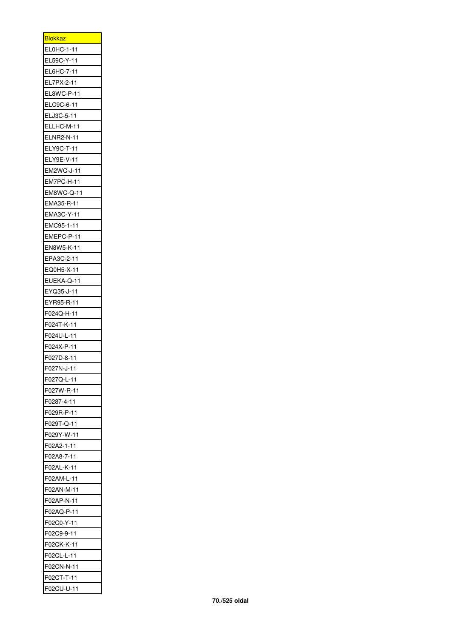| <b>Blokkaz</b>    |
|-------------------|
| EL0HC-1-11        |
| EL59C-Y-11        |
| EL6HC-7-11        |
| EL7PX-2-11        |
| EL8WC-P-11        |
| ELC9C-6-11        |
| ELJ3C-5-11        |
| ELLHC-M-11        |
| ELNR2-N-11        |
| ELY9C-T-11        |
| ELY9E-V-11        |
| EM2WC-J-11        |
| EM7PC-H-11        |
| EM8WC-Q-11        |
| EMA35-R-11        |
| EMA3C-Y-11        |
| EMC95-1-11        |
| EMEPC-P-11        |
| EN8W5-K-11        |
| EPA3C-2-11        |
| EQ0H5-X-11        |
| EUEKA-Q-11        |
| EYQ35-J-11        |
| EYR95-R-11        |
| F024Q-H-11        |
| F024T-K-11        |
| F024U-L-11        |
| F024X-P-11        |
| $-027D-8-11$<br>F |
|                   |
| 027N-J-1<br>F     |
| F027Q-L-11        |
| F027W-R-11        |
| F0287-4-11        |
| F029R-P-11        |
| F029T-Q-11        |
| F029Y-W-11        |
| F02A2-1-11        |
| F02A8-7-11        |
| F02AL-K-11        |
| F02AM-L-11        |
| F02AN-M-11        |
| F02AP-N-11        |
| F02AQ-P-11        |
| F02C0-Y-11        |
| F02C9-9-11        |
| F02CK-K-11        |
| F02CL-L-11        |
| 02CN-N-11<br>F    |
| F02CT-T-11        |
| F02CU-U-11        |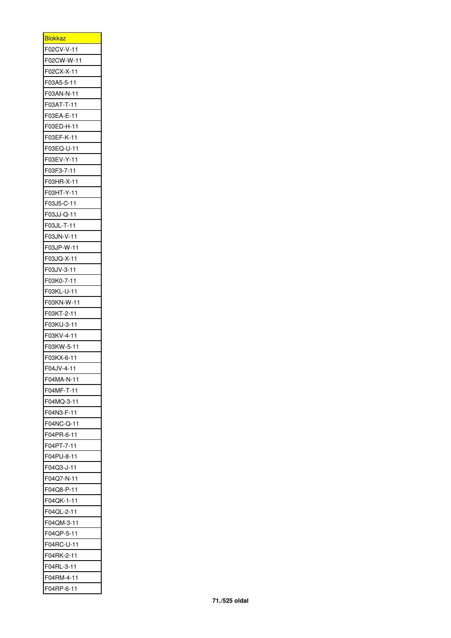| <b>Blokkaz</b>              |
|-----------------------------|
| F02CV-V-11                  |
| F02CW-W-11                  |
| F02CX-X-11                  |
| F03A5-5-11                  |
| F03AN-N-11                  |
| F03AT-T-11                  |
| F03EA-E-11                  |
| F03ED-H-11                  |
| F03EF-K-11                  |
| F03EQ-U-11                  |
| F03EV-Y-11                  |
| F03F3-7-11                  |
| F03HR-X-11                  |
| F03HT-Y-11                  |
| F03J5-C-11                  |
| F03JJ-Q-11                  |
| F03JL-T-11                  |
| F03JN-V-11                  |
| F03JP-W-11                  |
| F03JQ-X-11                  |
| F03JV-3-11                  |
| F03K0-7-11                  |
| F03KL-U-11                  |
| F03KN-W-11                  |
| F03KT-2-11                  |
| F03KU-3-11                  |
| F03KV-4-11                  |
| F03KW-5-11                  |
| F03KX-6-11                  |
| F04JV-4-11                  |
| F04MA-N-11                  |
| F04MF-T-11                  |
| F04MQ-3-11                  |
| F04N3-F-11                  |
| F04NC-Q-11                  |
| F04PR-6-11                  |
| F04PT-7-11                  |
| F04PU-8-11                  |
| F04Q3-J-11                  |
| F04Q7-N-11                  |
| 04Q8-P-11<br>F              |
| F04QK-1-11                  |
| F04QL-2-11                  |
| F04QM-3-11                  |
| F04QP-5-11                  |
| 04RC-U-11 <sup>-</sup><br>F |
| F04RK-2-11                  |
| F04RL-3-11                  |
| F04RM-4-11                  |
| F04RP-6-11                  |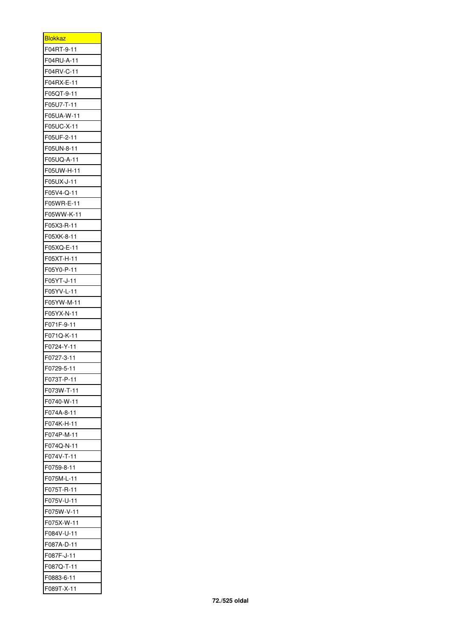| <u>Blokkaz</u>        |
|-----------------------|
| F04RT-9-11            |
| F04RU-A-11            |
| F04RV-C-11            |
| F04RX-E-11            |
| F05QT-9-11            |
| F05U7-T-11            |
| F05UA-W-11            |
| F05UC-X-11            |
| F05UF-2-11            |
| 05UN-8-11-<br>F       |
| F05UQ-A-11            |
| F05UW-H-11            |
| F05UX-J-11            |
| F05V4-Q-11            |
| F05WR-E-11            |
| F05WW-K-11            |
| F05X3-R-11            |
| F05XK-8-11            |
| F05XQ-E-11            |
| F05XT-H-11            |
| F05Y0-P-11            |
| F05YT-J-11            |
| F05YV-L-11            |
| F05YW-M-11            |
| F05YX-N-11            |
| F071F-9-11            |
| F071Q-K-11            |
| F0724-Y-11            |
| $-0727 - 3 - 11$<br>F |
| F0729-5-1<br>1        |
| F073T-P-11            |
| F073W-T-11            |
| F0740-W-11            |
| F074A-8-11            |
| F074K-H-11            |
| F074P-M-11            |
| F074Q-N-11            |
| F074V-T-11            |
| F0759-8-11            |
| F075M-L-11            |
| F075T-R-11            |
| F075V-U-11            |
| F075W-V-11            |
| F075X-W-11            |
| F084V-U-11            |
| F087A-D-11            |
| F087F-J-11            |
| 087Q-T-11<br>F        |
| F0883-6-11            |
| F089T-X-11            |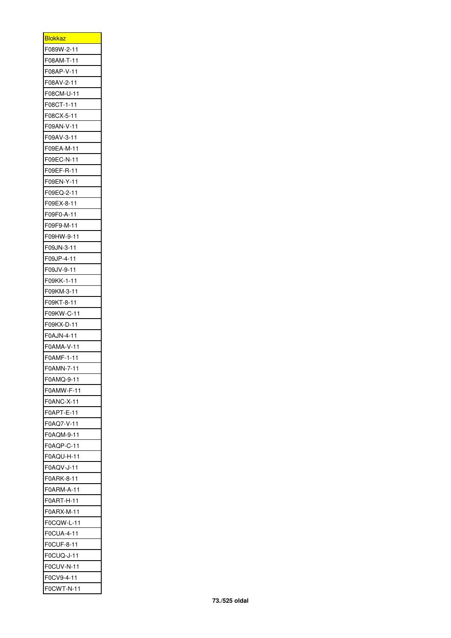| <b>Blokkaz</b> |
|----------------|
| F089W-2-11     |
| F08AM-T-11     |
| F08AP-V-11     |
| F08AV-2-11     |
| F08CM-U-11     |
| F08CT-1-11     |
| F08CX-5-11     |
| F09AN-V-11     |
| F09AV-3-11     |
| F09EA-M-11     |
| F09EC-N-11     |
| F09EF-R-11     |
| F09EN-Y-11     |
| F09EQ-2-11     |
| F09EX-8-11     |
| F09F0-A-11     |
| F09F9-M-11     |
| F09HW-9-11     |
| F09JN-3-11     |
| F09JP-4-11     |
| F09JV-9-11     |
| F09KK-1-11     |
| F09KM-3-11     |
| F09KT-8-11     |
| F09KW-C-11     |
| F09KX-D-11     |
| F0AJN-4-11     |
| F0AMA-V-11     |
| F0AMF-1-11     |
| F0AMN-7-11     |
| F0AMQ-9-11     |
| F0AMW-F-11     |
| F0ANC-X-11     |
| F0APT-E-11     |
| F0AQ7-V-11     |
| F<br>0AQM-9-11 |
| F0AQP-C-11     |
| F0AQU-H-11     |
| F0AQV-J-11     |
| F0ARK-8-11     |
| F0ARM-A-11     |
| F0ART-H-11     |
| F0ARX-M-11     |
| F0CQW-L-11     |
| F0CUA-4-11     |
| F0CUF-8-11     |
| F0CUQ-J-11     |
| F0CUV-N-11     |
| F0CV9-4-11     |
| F0CWT-N-11     |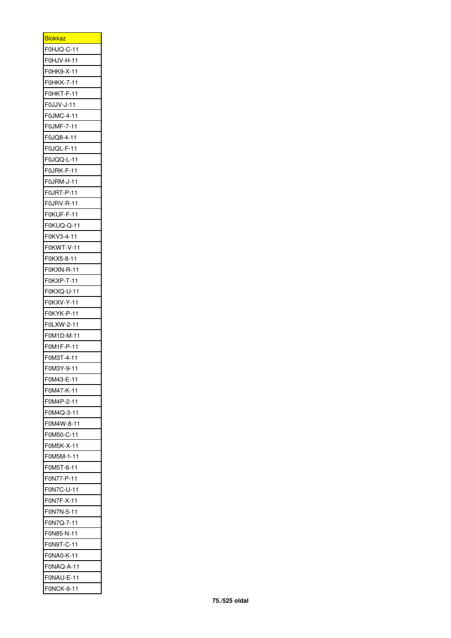| <b>Blokkaz</b> |
|----------------|
| F0HJQ-C-11     |
| F0HJV-H-11     |
| F0HK9-X-11     |
| F0HKK-7-11     |
| F0HKT-F-11     |
| F0JJV-J-11     |
| F0JMC-4-11     |
| F0JMF-7-11     |
| F0JQ8-4-11     |
| 0JQL-F-11<br>F |
| F0JQQ-L-11     |
| F0JRK-F-11     |
| F0JRM-J-11     |
| F0JRT-P-11     |
| F0JRV-R-11     |
| F0KUF-F-11     |
| F0KUQ-Q-11     |
| F0KV3-4-11     |
| F0KWT-V-11     |
| F0KX5-8-11     |
| F0KXN-R-11     |
| F0KXP-T-11     |
| F0KXQ-U-11     |
| F0KXV-Y-11     |
| F0KYK-P-11     |
| F0LXW-2-11     |
| F0M1D-M-11     |
| F0M1F-P-11     |
| OM3T-4-11<br>F |
| OM3Y-9-1<br>F  |
| F0M43-E-11     |
| F0M47-K-11     |
| F0M4P-2-11     |
| F0M4Q-3-11     |
| F0M4W-8-11     |
| F0M50-C-11     |
| F0M5K-X-11     |
| F0M5M-1-11     |
| F0M5T-6-11     |
| F0N77-P-11     |
| F0N7C-U-11     |
| F0N7F-X-11     |
| F0N7N-5-11     |
| F0N7Q-7-11     |
| F0N85-N-11     |
| F0N9T-C-11     |
| F0NA0-K-11     |
| ONAQ-A-11<br>F |
| F0NAU-E-11     |
| F0NCK-6-11     |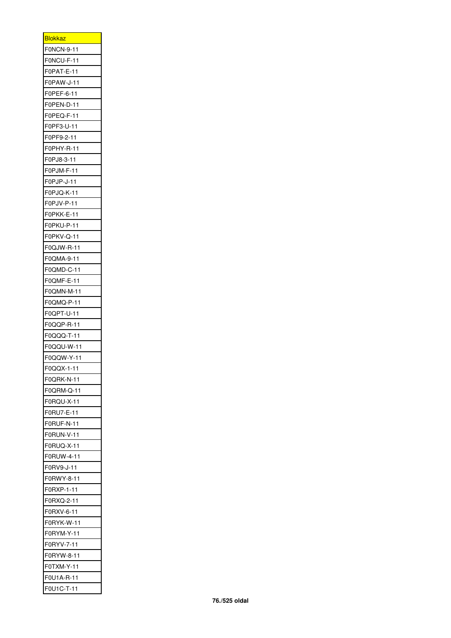| <b>Blokkaz</b>           |
|--------------------------|
| F0NCN-9-11               |
| F0NCU-F-11               |
| F0PAT-E-11               |
| F0PAW-J-11               |
| F0PEF-6-11               |
| F0PEN-D-11               |
| F0PEQ-F-11               |
| F0PF3-U-11               |
| F0PF9-2-11               |
| OPHY-R-11<br>F           |
| F0PJ8-3-11               |
| F0PJM-F-11               |
| F0PJP-J-11               |
| F0PJQ-K-11               |
| F0PJV-P-11               |
| F0PKK-E-11               |
| F0PKU-P-11               |
| F0PKV-Q-11               |
| F0QJW-R-11               |
| F0QMA-9-11               |
| F0QMD-C-11               |
| F0QMF-E-11               |
|                          |
| F0QMN-M-11<br>F0QMQ-P-11 |
|                          |
| F0QPT-U-11               |
| F0QQP-R-11<br>F0QQQ-T-11 |
|                          |
| F0QQU-W-11               |
| 0QQW-Y-11<br>F           |
| 0QQX-1-1<br>F            |
|                          |
| F0QRK-N-11               |
| F0QRM-Q-11               |
| F0RQU-X-11               |
| F0RU7-E-11               |
| F0RUF-N-11               |
| F0RUN-V-11               |
| F0RUQ-X-11               |
| F0RUW-4-11               |
| F0RV9-J-11               |
| F0RWY-8-11               |
| F0RXP-1-11               |
| F0RXQ-2-11               |
| F0RXV-6-11               |
| F0RYK-W-11               |
| F0RYM-Y-11               |
| F0RYV-7-11               |
| F0RYW-8-11               |
| 0TXM-Y-11<br>F           |
| F0U1A-R-11               |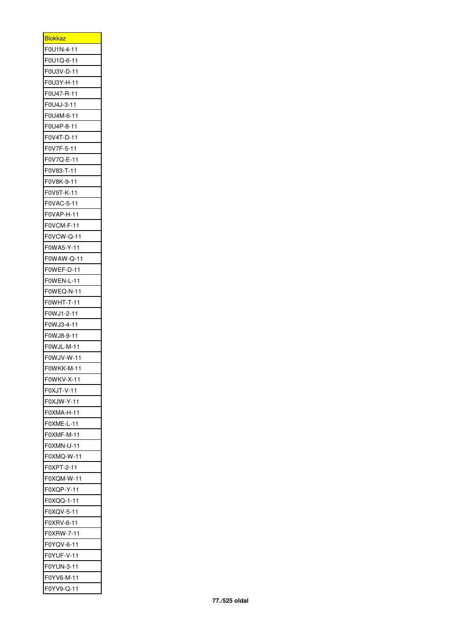| <b>Blokkaz</b> |
|----------------|
| F0U1N-4-11     |
| F0U1Q-6-11     |
| F0U3V-D-11     |
| F0U3Y-H-11     |
| F0U47-R-11     |
| F0U4J-3-11     |
| F0U4M-6-11     |
| F0U4P-8-11     |
| F0V4T-D-11     |
| F0V7F-5-11     |
| F0V7Q-E-11     |
| F0V83-T-11     |
| F0V8K-9-11     |
| F0V9T-K-11     |
| F0VAC-5-11     |
| F0VAP-H-11     |
| F0VCM-F-11     |
| F0VCW-Q-11     |
| F0WA5-Y-11     |
| F0WAW-Q-11     |
| F0WEF-D-11     |
| FOWEN-L-11     |
| F0WEQ-N-11     |
| F0WHT-T-11     |
| F0WJ1-2-11     |
| F0WJ3-4-11     |
| F0WJ8-9-11     |
| F0WJL-M-11     |
| F0WJV-W-11     |
| F0WKK-M-11     |
| F0WKV-X-11     |
| F0XJT-V-11     |
| F0XJW-Y-11     |
| F0XMA-H-11     |
| F0XME-L-11     |
| 0XMF-M-11<br>F |
| F0XMN-U-11     |
| F0XMQ-W-11     |
| F0XPT-2-11     |
| F0XQM-W-11     |
| F0XQP-Y-11     |
| F0XQQ-1-11     |
| F0XQV-5-11     |
| F0XRV-6-11     |
| F0XRW-7-11     |
| F0YQV-6-11     |
| F0YUF-V-11     |
| F0YUN-3-11     |
| F0YV6-M-11     |
| F0YV9-Q-11     |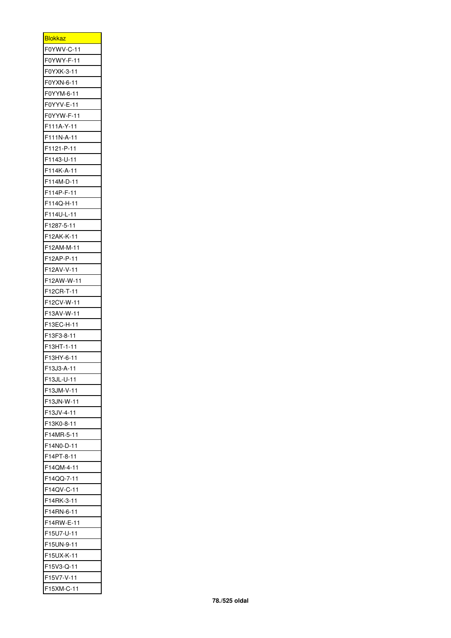| <b>Blokkaz</b>              |
|-----------------------------|
| F0YWV-C-11                  |
| F0YWY-F-11                  |
| F0YXK-3-11                  |
| F0YXN-6-11                  |
| F0YYM-6-11                  |
| F0YYV-E-11                  |
| F0YYW-F-11                  |
| F111A-Y-11                  |
| F111N-A-11                  |
| F1121-P-11                  |
| F1143-U-11                  |
| F114K-A-11                  |
| F114M-D-11                  |
| F114P-F-11                  |
| F114Q-H-11                  |
| F114U-L-11                  |
| F1287-5-11                  |
| F12AK-K-11                  |
| F12AM-M-11                  |
| F12AP-P-11                  |
| F12AV-V-11                  |
| F12AW-W-11                  |
| F12CR-T-11                  |
| F12CV-W-11                  |
| F13AV-W-11                  |
| F13EC-H-11                  |
| F13F3-8-11                  |
| F13HT-1-11                  |
| F13HY-6-11                  |
| F13J3-A-11                  |
| F13JL-U-11                  |
| F13JM-V-11                  |
| F13JN-W-11                  |
| F13JV-4-11                  |
| F13K0-8-11                  |
|                             |
| F14MR-5-11                  |
| F14N0-D-11                  |
| F14PT-8-11                  |
| F14QM-4-11                  |
| F14QQ-7-11                  |
| 14QV-C-11<br>F              |
| F14RK-3-11                  |
| F14RN-6-11                  |
| F14RW-E-11                  |
| F15U7-U-11                  |
| F<br>15UN-9-11 <del>-</del> |
| F15UX-K-11                  |
| F15V3-Q-11                  |
| F15V7-V-11<br>F15XM-C-11    |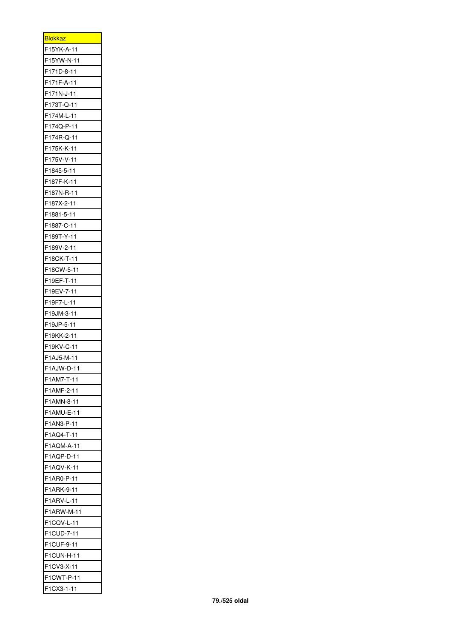| <b>Blokkaz</b> |
|----------------|
| F15YK-A-11     |
| F15YW-N-11     |
| F171D-8-11     |
| F171F-A-11     |
| F171N-J-11     |
| F173T-Q-11     |
| F174M-L-11     |
| F174Q-P-11     |
| F174R-Q-11     |
| F175K-K-11     |
| F175V-V-11     |
| F1845-5-11     |
| F187F-K-11     |
| F187N-R-11     |
| F187X-2-11     |
| F1881-5-11     |
| F1887-C-11     |
| F189T-Y-11     |
| F189V-2-11     |
| F18CK-T-11     |
| F18CW-5-11     |
| F19EF-T-11     |
| F19EV-7-11     |
| F19F7-L-11     |
| F19JM-3-11     |
| F19JP-5-11     |
| F19KK-2-11     |
| F19KV-C-11     |
| F1AJ5-M-11     |
| F1AJW-D-11     |
| F1AM7-T-11     |
| F1AMF-2-11     |
| F1AMN-8-11     |
| F1AMU-E-11     |
| F1AN3-P-11     |
| F1AQ4-T-11     |
| F1AQM-A-11     |
| F1AQP-D-11     |
| F1AQV-K-11     |
| F1AR0-P-11     |
| F1ARK-9-11     |
| F1ARV-L-11     |
| F1ARW-M-11     |
| F1CQV-L-11     |
| F1CUD-7-11     |
| F1CUF-9-11     |
| F1CUN-H-11     |
| F1CV3-X-11     |
| F1CWT-P-11     |
| F1CX3-1-11     |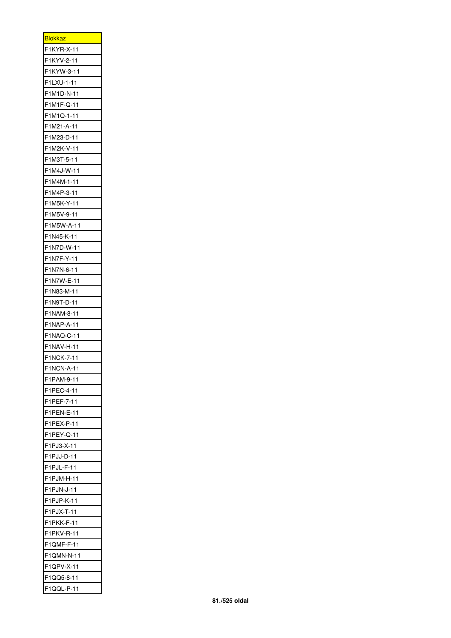| <b>Blokkaz</b> |
|----------------|
| F1KYR-X-11     |
| F1KYV-2-11     |
| F1KYW-3-11     |
| F1LXU-1-11     |
| F1M1D-N-11     |
| F1M1F-Q-11     |
| F1M1Q-1-11     |
| F1M21-A-11     |
| F1M23-D-11     |
| F1M2K-V-11     |
| F1M3T-5-11     |
| F1M4J-W-11     |
| F1M4M-1-11     |
| F1M4P-3-11     |
| F1M5K-Y-11     |
| F1M5V-9-11     |
| F1M5W-A-11     |
| F1N45-K-11     |
| F1N7D-W-11     |
| F1N7F-Y-11     |
| F1N7N-6-11     |
| F1N7W-E-11     |
| F1N83-M-11     |
| F1N9T-D-11     |
| F1NAM-8-11     |
| F1NAP-A-11     |
| F1NAQ-C-11     |
| F1NAV-H-11     |
| F1NCK-7-11     |
| F1NCN-A-11     |
| F1PAM-9-11     |
| F1PEC-4-11     |
| F1PEF-7-11     |
| F1PEN-E-11     |
| F1PEX-P-11     |
| F1PEY-Q-11     |
| F1PJ3-X-11     |
| F1PJJ-D-11     |
| F1PJL-F-11     |
| F1PJM-H-11     |
| F1PJN-J-11     |
| F1PJP-K-11     |
| F1PJX-T-11     |
| F1PKK-F-11     |
| F1PKV-R-11     |
| F1QMF-F-11     |
| F1QMN-N-11     |
| F1QPV-X-11     |
| F1QQ5-8-11     |
| F1QQL-P-11     |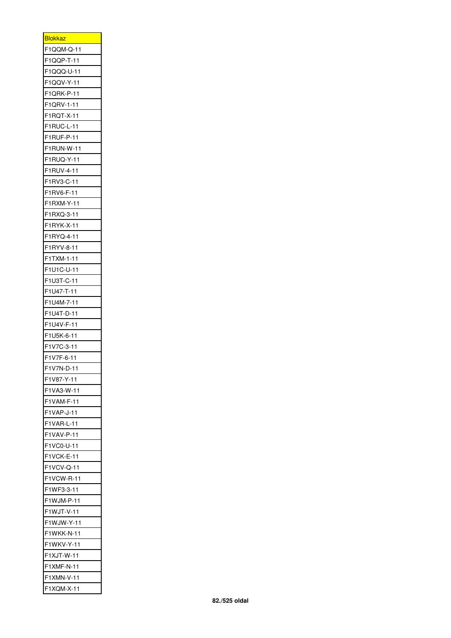| <b>Blokkaz</b> |
|----------------|
| F1QQM-Q-11     |
| F1QQP-T-11     |
| F1QQQ-U-11     |
| F1QQV-Y-11     |
| F1QRK-P-11     |
| F1QRV-1-11     |
| F1RQT-X-11     |
| F1RUC-L-11     |
| F1RUF-P-11     |
| F1RUN-W-11     |
| F1RUQ-Y-11     |
| F1RUV-4-11     |
| F1RV3-C-11     |
| F1RV6-F-11     |
| F1RXM-Y-11     |
| F1RXQ-3-11     |
| F1RYK-X-11     |
| F1RYQ-4-11     |
| F1RYV-8-11     |
| F1TXM-1-11     |
| F1U1C-U-11     |
| F1U3T-C-11     |
| F1U47-T-11     |
| F1U4M-7-11     |
| F1U4T-D-11     |
| F1U4V-F-11     |
| F1U5K-6-11     |
| F1V7C-3-11     |
| F1V7F-6-11     |
| F1V7N-D-11     |
| F1V87-Y-11     |
| F1VA3-W-11     |
| F1VAM-F-11     |
| F1VAP-J-11     |
| F1VAR-L-11     |
| F1VAV-P-11     |
| F1VC0-U-11     |
| F1VCK-E-11     |
| F1VCV-Q-11     |
| F1VCW-R-11     |
| F1WF3-3-11     |
| F1WJM-P-11     |
| F1WJT-V-11     |
| F1WJW-Y-11     |
| F1WKK-N-11     |
| F1WKV-Y-11     |
| F1XJT-W-11     |
| F1XMF-N-11     |
| F1XMN-V-11     |
| F1XQM-X-11     |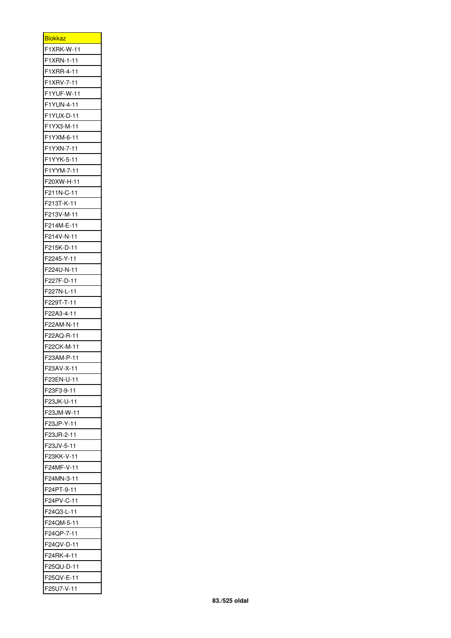| <u>Blokkaz</u>   |
|------------------|
| F1XRK-W-11       |
| F1XRN-1-11       |
| F1XRR-4-11       |
| F1XRV-7-11       |
| F1YUF-W-11       |
| F1YUN-4-11       |
| F1YUX-D-11       |
| F1YX3-M-11       |
| F1YXM-6-11       |
| F1YXN-7-11       |
| F1YYK-5-11       |
| F1YYM-7-11       |
| F20XW-H-11       |
| F211N-C-11       |
| F213T-K-11       |
| F213V-M-11       |
| F214M-E-11       |
| F214V-N-11       |
| F215K-D-11       |
| F2245-Y-11       |
| F224U-N-11       |
| F227F-D-11       |
| F227N-L-11       |
| F229T-T-11       |
| F22A3-4-11       |
| F22AM-N-11       |
| F22AQ-R-11       |
| F22CK-M-11       |
| F23AM-P-11       |
| F23AV-X-11       |
| F23EN-U-11       |
| F23F3-9-11       |
| F23JK-U-11       |
| F23JM-W-11       |
| F23JP-Y-11       |
| F23JR-2-11       |
| F23JV-5-11       |
| F23KK-V-11       |
| F24MF-V-11       |
| F24MN-3-11       |
| 24PT-9-11<br>F   |
| F24PV-C-11       |
| F24Q3-L-11       |
| F24QM-5-11       |
| F24QP-7-11       |
| $24QV-D-11$<br>F |
| F24RK-4-11       |
| F25QU-D-11       |
| F25QV-E-11       |
| F25U7-V-11       |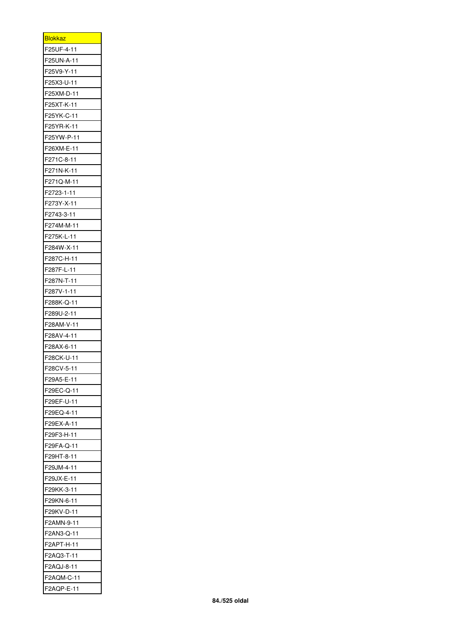| <b>Blokkaz</b>              |
|-----------------------------|
| F25UF-4-11                  |
| F25UN-A-11                  |
| F25V9-Y-11                  |
| F25X3-U-11                  |
| F25XM-D-11                  |
| F25XT-K-11                  |
| F25YK-C-11                  |
| F25YR-K-11                  |
| F25YW-P-11                  |
| F26XM-E-11                  |
| F271C-8-11                  |
| F271N-K-11                  |
| F271Q-M-11                  |
| F2723-1-11                  |
| F273Y-X-11                  |
| F2743-3-11                  |
| F274M-M-11                  |
|                             |
| F275K-L-11                  |
| F284W-X-11                  |
| F287C-H-11                  |
| F287F-L-11                  |
| F287N-T-11                  |
| F287V-1-11                  |
| F288K-Q-11                  |
| F289U-2-11                  |
| F28AM-V-11                  |
| F28AV-4-11                  |
| F28AX-6-11                  |
| F28CK-U-11                  |
| F28CV-5-11                  |
| F29A5-E-11                  |
| F29EC-Q-11                  |
| F29EF-U-11                  |
| F29EQ-4-11                  |
| F29EX-A-11                  |
| F29F3-H-11                  |
| F29FA-Q-11                  |
| F29HT-8-11                  |
| F29JM-4-11                  |
| F29JX-E-11                  |
| 29KK-3-11<br>F              |
| F29KN-6-11                  |
| F29KV-D-11                  |
| F2AMN-9-11                  |
| F2AN3-Q-11                  |
| 2APT-H-11 <del>:</del><br>F |
| F2AQ3-T-11                  |
| F2AQJ-8-11                  |
| F2AQM-C-11                  |
| F2AQP-E-11                  |
|                             |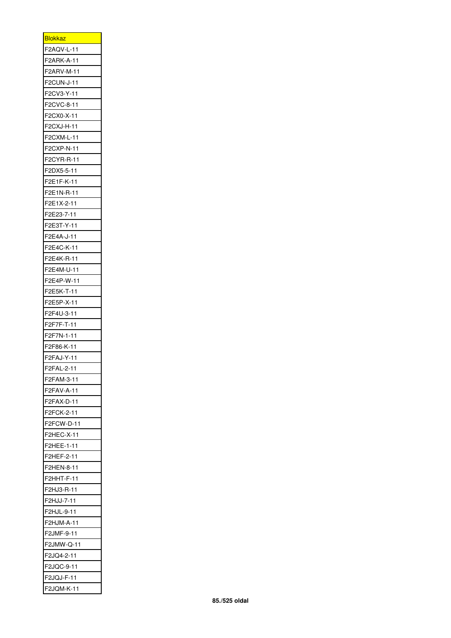| <b>Blokkaz</b>   |
|------------------|
| F2AQV-L-11       |
| F2ARK-A-11       |
| F2ARV-M-11       |
| F2CUN-J-11       |
| F2CV3-Y-11       |
| F2CVC-8-11       |
| F2CX0-X-11       |
| F2CXJ-H-11       |
| F2CXM-L-11       |
| F2CXP-N-11       |
| F2CYR-R-11       |
| F2DX5-5-11       |
| F2E1F-K-11       |
| F2E1N-R-11       |
| F2E1X-2-11       |
| F2E23-7-11       |
| F2E3T-Y-11       |
| F2E4A-J-11       |
| F2E4C-K-11       |
| F2E4K-R-11       |
| F2E4M-U-11       |
| F2E4P-W-11       |
| F2E5K-T-11       |
| F2E5P-X-11       |
| F2F4U-3-11       |
| F2F7F-T-11       |
| F2F7N-1-11       |
| F2F86-K-11       |
| F2FAJ-Y-11       |
| F2FAL-2-1<br>1   |
| F2FAM-3-11       |
| F2FAV-A-11       |
| F2FAX-D-11       |
| F2FCK-2-11       |
| F2FCW-D-11       |
| F2HEC-X-11       |
| F2HEE-1-11       |
| F2HEF-2-11       |
| F2HEN-8-11       |
| F2HHT-F-11       |
| F2HJ3-R-11       |
| F2HJJ-7-11       |
| F2HJL-9-11       |
| F2HJM-A-11       |
| F2JMF-9-11       |
| F2JMW-Q-11       |
| F2JQ4-2-11       |
| $2JQC-9-11$<br>F |
| F2JQJ-F-11       |
| F2JQM-K-11       |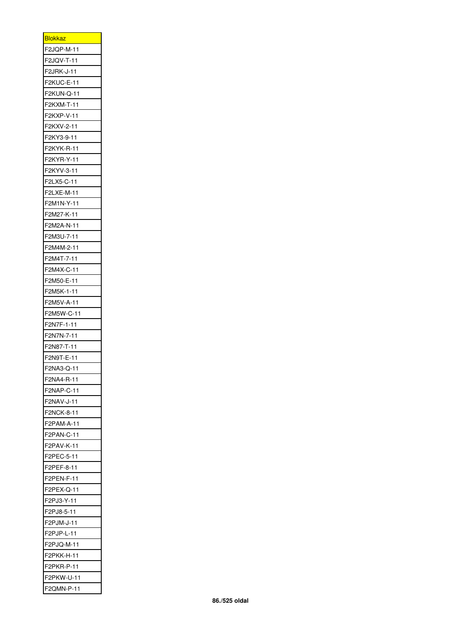| <b>Blokkaz</b>              |
|-----------------------------|
| F2JQP-M-11                  |
| F2JQV-T-11                  |
| F2JRK-J-11                  |
| F2KUC-E-11                  |
| F2KUN-Q-11                  |
| F2KXM-T-11                  |
| F2KXP-V-11                  |
| F2KXV-2-11                  |
| F2KY3-9-11                  |
| F2KYK-R-11                  |
| F2KYR-Y-11                  |
| F2KYV-3-11                  |
| F2LX5-C-11                  |
| F2LXE-M-11                  |
| F2M1N-Y-11                  |
| F2M27-K-11                  |
| F2M2A-N-11                  |
| F2M3U-7-11                  |
| F2M4M-2-11                  |
| F2M4T-7-11                  |
| F2M4X-C-11                  |
| F2M50-E-11                  |
| F2M5K-1-11                  |
| F2M5V-A-11                  |
|                             |
| F2M5W-C-11                  |
|                             |
| F2N7F-1-11                  |
| F2N7N-7-11                  |
| F2N87-T-11                  |
| F2N9T-E-11                  |
| F2NA3-Q-11                  |
| F2NA4-R-11                  |
| <b>F2NAP-C-11</b>           |
| F2NAV-J-11                  |
| F2NCK-8-11                  |
| F2PAM-A-11                  |
| F2PAN-C-11                  |
| F2PAV-K-11                  |
| F2PEC-5-11                  |
| F2PEF-8-11                  |
| F2PEN-F-11                  |
| $PEX-Q-11$<br>F             |
| F2PJ3-Y-11                  |
| F2PJ8-5-11                  |
| F2PJM-J-11                  |
| F2PJP-L-11                  |
| F<br>2PJQ-M-11 <del>:</del> |
| F2PKK-H-11                  |
| F2PKR-P-11                  |
| F2PKW-U-11                  |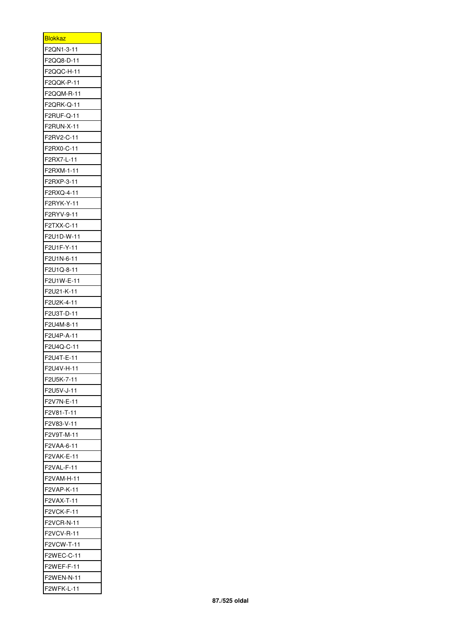| <b>Blokkaz</b>           |
|--------------------------|
| F2QN1-3-11               |
| F2QQ8-D-11               |
| F2QQC-H-11               |
| F2QQK-P-11               |
| F2QQM-R-11               |
| F2QRK-Q-11               |
| F2RUF-Q-11               |
| F2RUN-X-11               |
| F2RV2-C-11               |
| F2RX0-C-11               |
| F2RX7-L-11               |
| F2RXM-1-11               |
| F2RXP-3-11               |
| F2RXQ-4-11               |
| F2RYK-Y-11               |
|                          |
| F2RYV-9-11<br>F2TXX-C-11 |
|                          |
| F2U1D-W-11               |
| F2U1F-Y-11               |
| F2U1N-6-11               |
| F2U1Q-8-11               |
| F2U1W-E-11               |
| F2U21-K-11               |
| F2U2K-4-11               |
| F2U3T-D-11               |
| F2U4M-8-11               |
| F2U4P-A-11               |
| F2U4Q-C-11               |
| F2U4T-E-11               |
| F2U4V-H-1<br>1           |
| F2U5K-7-11               |
| F2U5V-J-11               |
| F2V7N-E-11               |
| F2V81-T-11               |
| F2V83-V-11               |
| F2V9T-M-11               |
| F2VAA-6-11               |
| F2VAK-E-11               |
| F2VAL-F-11               |
| F2VAM-H-11               |
| 2VAP-K-11<br>F           |
| F2VAX-T-11               |
| F2VCK-F-11               |
| F2VCR-N-11               |
| F2VCV-R-11               |
| 2VCW-T-11<br>F           |
| F2WEC-C-11               |
| F2WEF-F-11               |
| F2WEN-N-11               |
| F2WFK-L-11               |
|                          |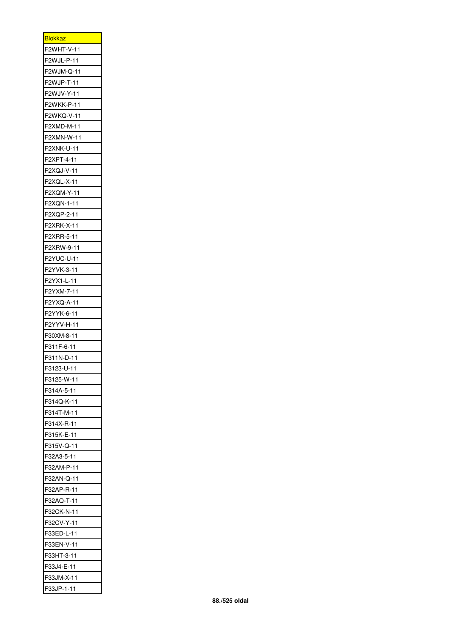| <b>Blokkaz</b>   |
|------------------|
| F2WHT-V-11       |
| F2WJL-P-11       |
| F2WJM-Q-11       |
| F2WJP-T-11       |
| F2WJV-Y-11       |
| F2WKK-P-11       |
| F2WKQ-V-11       |
| F2XMD-M-11       |
| F2XMN-W-11       |
| F2XNK-U-11       |
| F2XPT-4-11       |
| F2XQJ-V-11       |
| F2XQL-X-11       |
| F2XQM-Y-11       |
| F2XQN-1-11       |
| F2XQP-2-11       |
| F2XRK-X-11       |
| F2XRR-5-11       |
| F2XRW-9-11       |
| F2YUC-U-11       |
| F2YVK-3-11       |
| F2YX1-L-11       |
| F2YXM-7-11       |
| F2YXQ-A-11       |
| F2YYK-6-11       |
| F2YYV-H-11       |
| F30XM-8-11       |
| F311F-6-11       |
| F311N-D-11       |
| F3123-U-11       |
| F3125-W-11       |
| F314A-5-11       |
| F314Q-K-11       |
| $314T-M-11$<br>F |
| F314X-R-11       |
| F315K-E-11       |
| F315V-Q-11       |
| F32A3-5-11       |
| F32AM-P-11       |
| F32AN-Q-11       |
| F32AP-R-11       |
| F32AQ-T-11       |
| F32CK-N-11       |
| F32CV-Y-11       |
| F33ED-L-11       |
| 33EN-V-11<br>F   |
| F33HT-3-11       |
| F33J4-E-11       |
| F33JM-X-11       |
| F33JP-1-11       |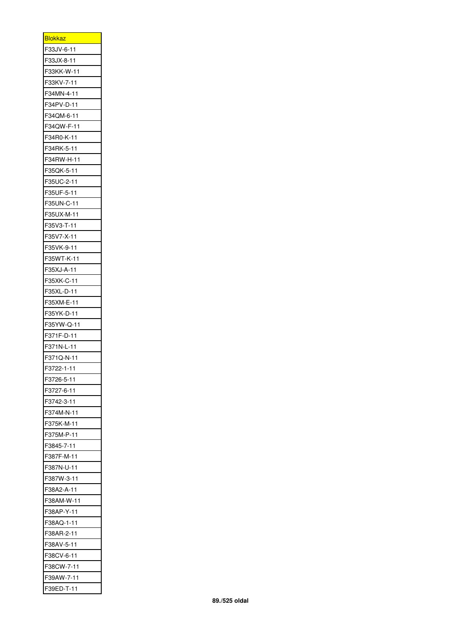| <u>Blokkaz</u>    |
|-------------------|
| F33JV-6-11        |
| F33JX-8-11        |
| F33KK-W-11        |
| F33KV-7-11        |
| F34MN-4-11        |
| F34PV-D-11        |
| F34QM-6-11        |
| F34QW-F-11        |
| F34R0-K-11        |
| F34RK-5-11        |
| F34RW-H-11        |
| F35QK-5-11        |
| F35UC-2-11        |
| F35UF-5-11        |
| 35UN-C-11<br>F    |
| F35UX-M-11        |
| F35V3-T-11        |
| F35V7-X-11        |
| F35VK-9-11        |
| F35WT-K-11        |
| F35XJ-A-11        |
| F35XK-C-11        |
| F35XL-D-11        |
| F35XM-E-11        |
| F35YK-D-11        |
| F35YW-Q-11        |
| $-371F-D-11$<br>F |
| F371N-L-11        |
| F371Q-N-11        |
| F3722-1-11        |
| F3726-5-11        |
| F3727-6-11        |
| F3742-3-11        |
|                   |
|                   |
| 374M-N-11<br>F    |
| F375K-M-11        |
| F375M-P-11        |
| F3845-7-11        |
| F387F-M-11        |
| F387N-U-11        |
| F387W-3-11        |
| F38A2-A-11        |
| F38AM-W-11        |
| F38AP-Y-11        |
| F38AQ-1-11        |
| F38AR-2-11        |
| 38AV-5-11<br>F    |
| F38CV-6-11        |
| F38CW-7-11        |
| F39AW-7-11        |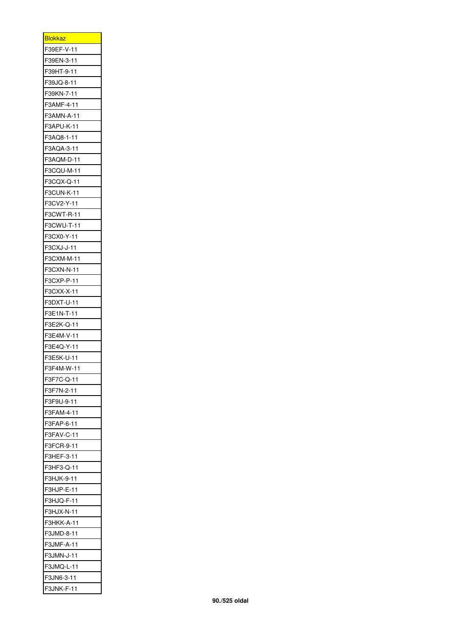| <b>Blokkaz</b>              |
|-----------------------------|
| F39EF-V-11                  |
| F39EN-3-11                  |
| 39HT-9-11 <sup>:</sup><br>F |
| F39JQ-8-11                  |
| F39KN-7-11                  |
| F3AMF-4-11                  |
| F3AMN-A-11                  |
| F3APU-K-11                  |
| F3AQ8-1-11                  |
| F3AQA-3-11                  |
| F3AQM-D-11                  |
| F3CQU-M-11                  |
| F3CQX-Q-11                  |
| F3CUN-K-11                  |
| F3CV2-Y-11                  |
| F3CWT-R-11                  |
| F3CWU-T-11                  |
| F3CX0-Y-11                  |
| F3CXJ-J-11                  |
| F3CXM-M-11                  |
| F3CXN-N-11                  |
| 3CXP-P-11<br>F              |
| F3CXX-X-11                  |
| F3DXT-U-11                  |
| F3E1N-T-11                  |
| F3E2K-Q-11                  |
| 3E4M-V-11<br>F              |
| F3E4Q-Y-11                  |
| F3E5K-U-11                  |
| F3F4M-W-1<br>1              |
| F3F7C-Q-11                  |
| F3F7N-2-11                  |
| F3F9U-9-11                  |
| F3FAM-4-11                  |
| F3FAP-6-11                  |
| F3FAV-C-11                  |
| F3FCR-9-11                  |
| F3HEF-3-11                  |
| F3HF3-Q-11                  |
|                             |
| F3HJK-9-11                  |
| 3HJP-E<br>-11<br>F          |
| F3HJQ-F-11                  |
| F3HJX-N-11                  |
| F3HKK-A-11                  |
| F3JMD-8-11                  |
| F<br>3JMF-A-11              |
| F3JMN-J-11                  |
| F3JMQ-L-11                  |
| F3JN6-3-11                  |
| F3JNK-F-11                  |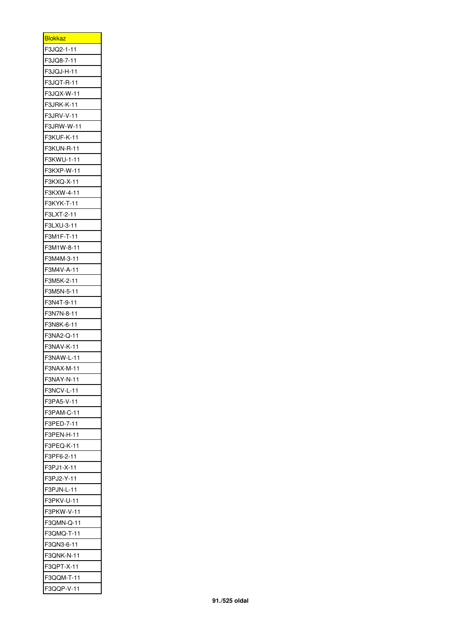| <u>Blokkaz</u>              |
|-----------------------------|
| F3JQ2-1-11                  |
| F3JQ8-7-11                  |
| 3JQJ-H-11<br>F              |
| F3JQT-R-11                  |
| F3JQX-W-11                  |
| F3JRK-K-11                  |
| F3JRV-V-11                  |
| F3JRW-W-11                  |
| F3KUF-K-11                  |
| F3KUN-R-11                  |
| F3KWU-1-11                  |
| F3KXP-W-11                  |
| F3KXQ-X-11                  |
| F3KXW-4-11                  |
| F3KYK-T-11                  |
| F3LXT-2-11                  |
| F3LXU-3-11                  |
| F3M1F-T-11                  |
| F3M1W-8-11                  |
| F3M4M-3-11                  |
| F3M4V-A-11                  |
| 3M5K-2-11<br>F              |
| F3M5N-5-11                  |
| F3N4T-9-11                  |
| F3N7N-8-11                  |
| F3N8K-6-11                  |
| 3NA2-Q-11<br>F              |
| F3NAV-K-11                  |
| F3NAW-L-11                  |
| F3NAX-M-11                  |
| F3NAY-N-11                  |
| F3NCV-L-11                  |
| F3PA5-V-11                  |
| F3PAM-C-11                  |
| F3PED-7-11                  |
| F3PEN-H-11                  |
| F3PEQ-K-11                  |
| F3PF6-2-11                  |
| F3PJ1-X-11                  |
| F3PJ2-Y-11                  |
| 3PJN-L-11<br>F              |
| F3PKV-U-11                  |
| F3PKW-V-11                  |
| F3QMN-Q-11                  |
| F3QMQ-T-11                  |
| F<br>3QN3-6-11 <sup>-</sup> |
| F3QNK-N-11                  |
| F3QPT-X-11                  |
| F3QQM-T-11                  |
| F3QQP-V-11                  |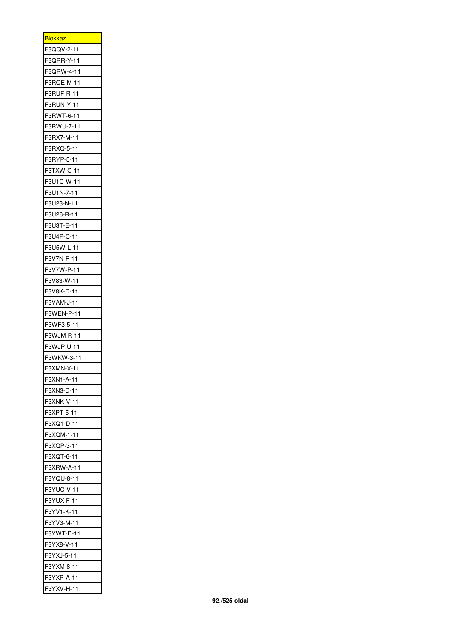| <u>Blokkaz</u>           |
|--------------------------|
| F3QQV-2-11               |
| F3QRR-Y-11               |
| 3QRW-4-11<br>F           |
| F3RQE-M-11               |
| F3RUF-R-11               |
| F3RUN-Y-11               |
| F3RWT-6-11               |
| F3RWU-7-11               |
| F3RX7-M-11               |
| F3RXQ-5-11               |
| F3RYP-5-11               |
| F3TXW-C-11               |
| F3U1C-W-11               |
| F3U1N-7-11               |
| F3U23-N-11               |
| F3U26-R-11               |
| F3U3T-E-11               |
|                          |
| F3U4P-C-11               |
| F3U5W-L-11               |
| F3V7N-F-11               |
| F3V7W-P-11               |
| 3V83-W-11<br>F           |
| F3V8K-D-11               |
| F3VAM-J-11               |
|                          |
| F3WEN-P-11               |
| F3WF3-5-11               |
| 3WJM-R-11<br>F           |
| F3WJP-U-11               |
| F3WKW-3-11               |
| F3XMN-X-11               |
| F3XN1-A-11               |
| F3XN3-D-11               |
| F3XNK-V-11               |
| F3XPT-5-11               |
| F3XQ1-D-11               |
| F3XQM-1-11               |
| F3XQP-3-11               |
| F3XQT-6-11               |
| F3XRW-A-11               |
| F3YQU-8-11               |
| 3YUC-V-11<br>F           |
| F3YUX-F-11               |
| F3YV1-K-11               |
|                          |
| F3YV3-M-11               |
| F3YWT-D-11<br>F          |
| 3YX8-V-11                |
| F3YXJ-5-11               |
| F3YXM-8-11               |
| F3YXP-A-11<br>F3YXV-H-11 |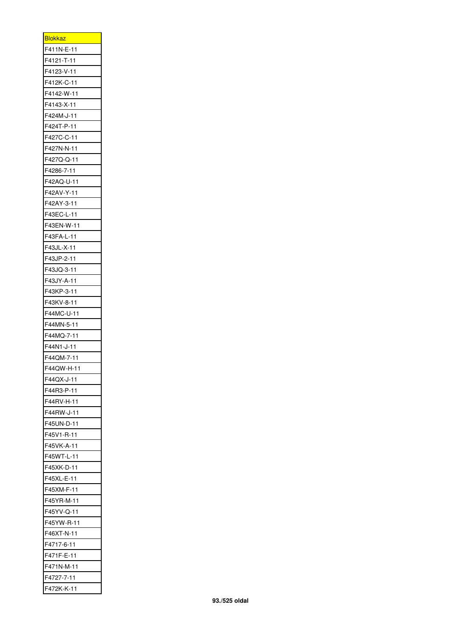| <b>Blokkaz</b> |
|----------------|
| F411N-E-11     |
| F4121-T-11     |
| F4123-V-11     |
| F412K-C-11     |
| F4142-W-11     |
| F4143-X-11     |
| F424M-J-11     |
| F424T-P-11     |
| F427C-C-11     |
| F427N-N-11     |
| F427Q-Q-11     |
| F4286-7-11     |
| F42AQ-U-11     |
| F42AV-Y-11     |
| F42AY-3-11     |
| F43EC-L-11     |
| F43EN-W-11     |
|                |
| F43FA-L-11     |
| F43JL-X-11     |
| F43JP-2-11     |
| F43JQ-3-11     |
| F43JY-A-11     |
| F43KP-3-11     |
| F43KV-8-11     |
| F44MC-U-11     |
| F44MN-5-11     |
| F44MQ-7-11     |
| F44N1-J-11     |
| F44QM-7-11     |
| F44QW-H-11     |
| F44QX-J-11     |
| F44R3-P-11     |
| F44RV-H-11     |
| F44RW-J-11     |
| F45UN-D-11     |
| F45V1-R-11     |
| F45VK-A-11     |
| F45WT-L-11     |
| F45XK-D-11     |
| F45XL-E-11     |
|                |
| F45XM-F-11     |
| F45YR-M-11     |
| F45YV-Q-11     |
| F45YW-R-11     |
| F46XT-N-11     |
| F4717-6-11     |
| F471F-E-11     |
| F471N-M-11     |
| F4727-7-11     |
| F472K-K-11     |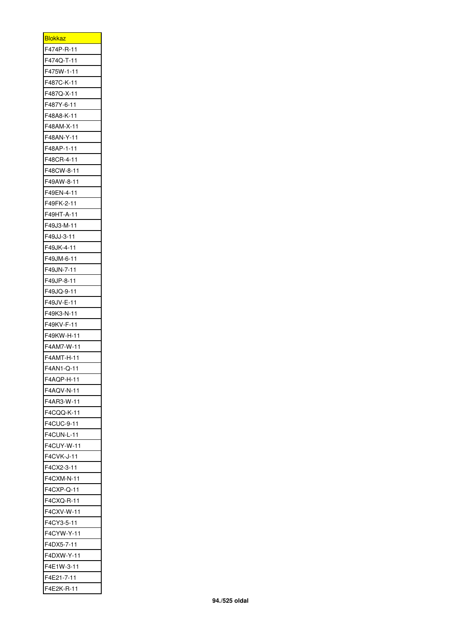| <b>Blokkaz</b>             |
|----------------------------|
| F474P-R-11                 |
| F474Q-T-11                 |
| F475W-1-11                 |
| F487C-K-11                 |
| F487Q-X-11                 |
| F487Y-6-11                 |
| F48A8-K-11                 |
| F48AM-X-11                 |
| F48AN-Y-11                 |
| $-48AP - 1 - 11$<br>F      |
| F48CR-4-11                 |
| F48CW-8-11                 |
| F49AW-8-11                 |
| F49EN-4-11                 |
| F49FK-2-11                 |
| F49HT-A-11                 |
| F49J3-M-11                 |
| F49JJ-3-11                 |
| F49JK-4-11                 |
|                            |
| F49JM-6-11                 |
| F49JN-7-11                 |
| F49JP-8-11                 |
| F49JQ-9-11                 |
| F49JV-E-11                 |
| F49K3-N-11                 |
| F49KV-F-11                 |
| F49KW-H-11                 |
| F4AM7-W-11                 |
| 4AMT-H-11<br>F             |
| $4AN1-Q-1$<br>F            |
| F4AQP-H-11                 |
| F4AQV-N-11                 |
| F4AR3-W-11                 |
| F4CQQ-K-11                 |
| F4CUC-9-11                 |
| <b>F4CUN-L-11</b>          |
| F4CUY-W-11                 |
| F4CVK-J-11                 |
| F4CX2-3-11                 |
| F4CXM-N-11                 |
| F4CXP-Q-11                 |
| F4CXQ-R-11                 |
| F4CXV-W-11                 |
| F4CY3-5-11                 |
| F4CYW-Y-11                 |
| F4DX5-7-11                 |
| F4DXW-Y-11                 |
| <b>4E</b><br>:1W-3-11<br>F |
| F4E21-7-11                 |
| F4E2K-R-11                 |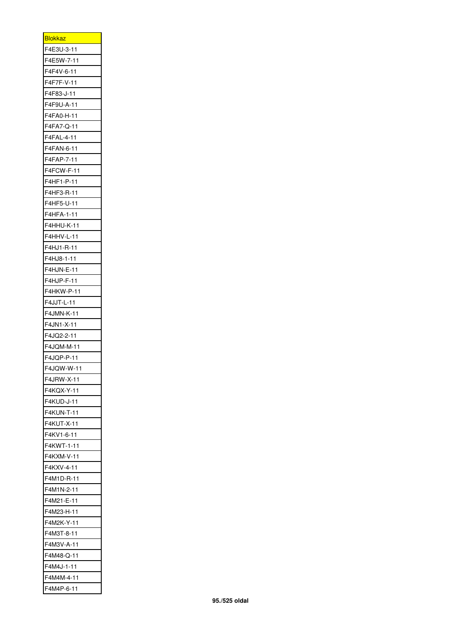| <b>Blokkaz</b>           |
|--------------------------|
| F4E3U-3-11               |
| F4E5W-7-11               |
| F4F4V-6-11               |
| F4F7F-V-11               |
| F4F83-J-11               |
| F4F9U-A-11               |
| F4FA0-H-11               |
| F4FA7-Q-11               |
| F4FAL-4-11               |
| F4FAN-6-11               |
| F4FAP-7-11               |
| F4FCW-F-11               |
| F4HF1-P-11               |
| F4HF3-R-11               |
| F4HF5-U-11               |
| F4HFA-1-11               |
| F4HHU-K-11               |
| F4HHV-L-11               |
| F4HJ1-R-11               |
| F4HJ8-1-11               |
| F4HJN-E-11               |
| F4HJP-F-11               |
| F4HKW-P-11               |
| F4JJT-L-11               |
| F4JMN-K-11               |
|                          |
| F4JN1-X-11               |
| F4JQ2-2-11               |
| F4JQM-M-11<br>F4JQP-P-11 |
|                          |
| 4JQW-W-1<br>F<br>1       |
| F4JRW-X-11               |
| F4KQX-Y-11               |
| F4KUD-J-11               |
| F4KUN-T-11               |
| F4KUT-X-11               |
| F4KV1-6-11               |
| F4KWT-1-11               |
| F4KXM-V-11               |
| F4KXV-4-11               |
| F4M1D-R-11               |
| F4M1N-2-11               |
| F4M21-E-11               |
| F4M23-H-11               |
| F4M2K-Y-11               |
| F4M3T-8-11               |
| F4M3V-A-11               |
| F4M48-Q-11               |
| 4M4J-1-11<br>F           |
| F4M4M-4-11               |
| F4M4P-6-11               |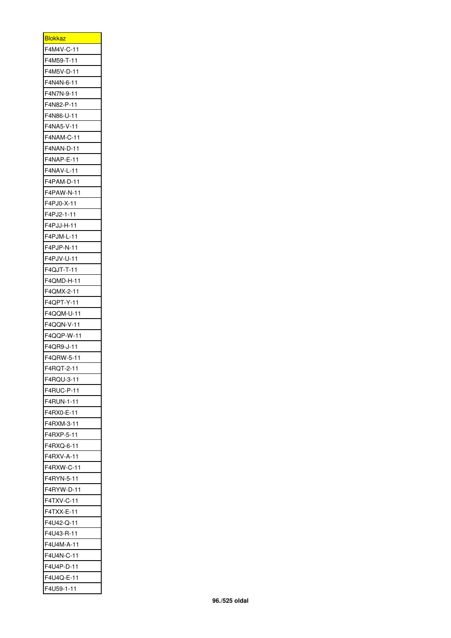| <b>Blokkaz</b>               |
|------------------------------|
| F4M4V-C-11                   |
| F4M59-T-11                   |
| F4M5V-D-11                   |
| F4N4N-6-11                   |
| F4N7N-9-11                   |
| F4N82-P-11                   |
| F4N86-U-11                   |
| F4NA5-V-11                   |
| F4NAM-C-11                   |
| F4NAN-D-11                   |
| F4NAP-E-11                   |
| F4NAV-L-11                   |
| F4PAM-D-11                   |
| F4PAW-N-11                   |
| F4PJ0-X-11                   |
|                              |
| F4PJ2-1-11<br>F4PJJ-H-11     |
|                              |
| F4PJM-L-11                   |
| F4PJP-N-11                   |
| F4PJV-U-11                   |
| F4QJT-T-11                   |
| F4QMD-H-11                   |
| F4QMX-2-11                   |
| F4QPT-Y-11                   |
|                              |
| F4QQM-U-11                   |
| F4QQN-V-11                   |
| F4QQP-W-11                   |
| F4QR9-J-11                   |
| F4QRW-5-11                   |
| F4RQT-2-11                   |
| F4RQU-3-11                   |
| F4RUC-P-11                   |
| F4RUN-1-11                   |
| F4RX0-E-11                   |
| F4RXM-3-11                   |
| F4RXP-5-11                   |
| F4RXQ-6-11                   |
| F4RXV-A-11                   |
| F4RXW-C-11                   |
| F4RYN-5-11                   |
| $4$ RYW-D-11<br>F            |
| F4TXV-C-11                   |
| F4TXX-E-11                   |
| F4U42-Q-11                   |
|                              |
| F4U43-R-11<br>F<br>4U4M-A-11 |
|                              |
| F4U4N-C-11                   |
| F4U4P-D-11                   |
| F4U4Q-E-11<br>F4U59-1-11     |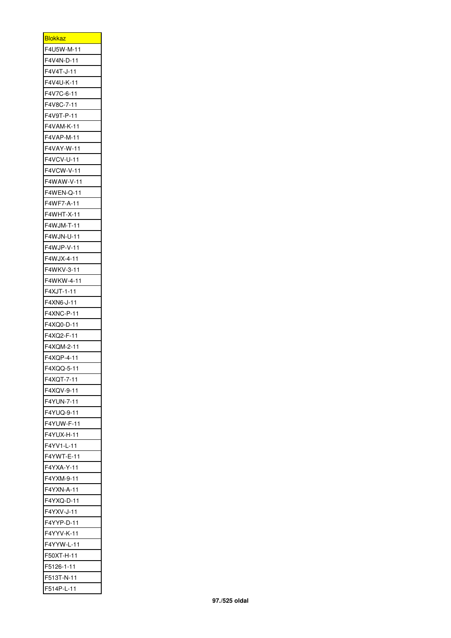| <b>Blokkaz</b> |
|----------------|
| F4U5W-M-11     |
| F4V4N-D-11     |
| F4V4T-J-11     |
| F4V4U-K-11     |
| F4V7C-6-11     |
| F4V8C-7-11     |
| F4V9T-P-11     |
| F4VAM-K-11     |
| F4VAP-M-11     |
| F4VAY-W-11     |
| F4VCV-U-11     |
| F4VCW-V-11     |
| F4WAW-V-11     |
| F4WEN-Q-11     |
| F4WF7-A-11     |
| F4WHT-X-11     |
| F4WJM-T-11     |
| F4WJN-U-11     |
| F4WJP-V-11     |
| F4WJX-4-11     |
| F4WKV-3-11     |
| F4WKW-4-11     |
| F4XJT-1-11     |
| F4XN6-J-11     |
| F4XNC-P-11     |
| F4XQ0-D-11     |
| F4XQ2-F-11     |
| F4XQM-2-11     |
| F4XQP-4-11     |
| 4XQQ-5-1<br>F  |
| F4XQT-7-11     |
| F4XQV-9-11     |
| F4YUN-7-11     |
| F4YUQ-9-11     |
| F4YUW-F-11     |
| F4YUX-H-11     |
| F4YV1-L-11     |
| F4YWT-E-11     |
| F4YXA-Y-11     |
| F4YXM-9-11     |
| F4YXN-A-11     |
| F4YXQ-D-11     |
| F4YXV-J-11     |
| F4YYP-D-11     |
| F4YYV-K-11     |
| F4YYW-L-11     |
| F50XT-H-11     |
| 5126-1-11<br>F |
| F513T-N-11     |
| F514P-L-11     |
|                |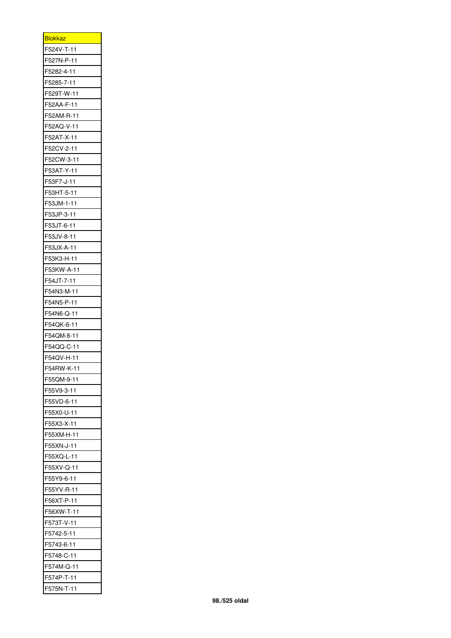| <u>Blokkaz</u>  |
|-----------------|
| F524V-T-11      |
| F527N-P-11      |
| F5282-4-11      |
| F5285-7-11      |
| F529T-W-11      |
| F52AA-F-11      |
| F52AM-R-11      |
| F52AQ-V-11      |
| F52AT-X-11      |
| F52CV-2-11      |
| F52CW-3-11      |
| F53AT-Y-11      |
| F53F7-J-11      |
| F53HT-5-11      |
| F53JM-1-11      |
| F53JP-3-11      |
| F53JT-6-11      |
| F53JV-8-11      |
|                 |
| F53JX-A-11      |
| F53K3-H-11      |
| F53KW-A-11      |
| F54JT-7-11      |
| F54N3-M-11      |
| F54N5-P-11      |
| F54N6-Q-11      |
| F54QK-6-11      |
| F54QM-8-11      |
| F54QQ-C-11      |
| F54QV-H-11      |
| F54RW-K-11      |
| F55QM-9-11      |
| F55V9-3-11      |
| F55VD-6-11      |
| F55X0-U-11      |
| F55X3-X-11      |
| F55XM-H-11      |
| F55XN-J-11      |
| F55XQ-L-11      |
| F55XV-Q-11      |
| F55Y9-6-11      |
| 55YV-R-11<br>F  |
| F56XT-P-11      |
| F56XW-T-11      |
| F573T-V-11      |
| F5742-5-11      |
| F<br>-5743-6-11 |
| F5748-C-11      |
| F574M-Q-11      |
| F574P-T-11      |
| F575N-T-11      |
|                 |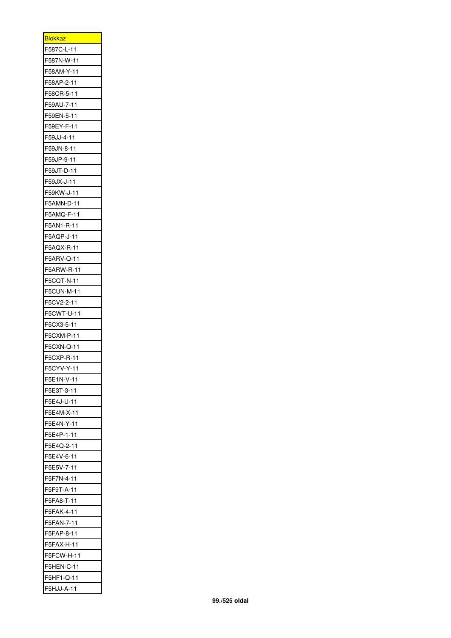| <b>Blokkaz</b>    |
|-------------------|
| F587C-L-11        |
| F587N-W-11        |
| F58AM-Y-11        |
| F58AP-2-11        |
| F58CR-5-11        |
|                   |
| F59AU-7-11        |
| F59EN-5-11        |
| F59EY-F-11        |
| F59JJ-4-11        |
| F59JN-8-11        |
| F59JP-9-11        |
| F59JT-D-11        |
| F59JX-J-11        |
| F59KW-J-11        |
| F5AMN-D-11        |
| F5AMQ-F-11        |
| F5AN1-R-11        |
| F5AQP-J-11        |
| F5AQX-R-11        |
| F5ARV-Q-11        |
| F5ARW-R-11        |
| F5CQT-N-11        |
| F5CUN-M-11        |
| F5CV2-2-11        |
| F5CWT-U-11        |
| F5CX3-5-11        |
| F5CXM-P-11        |
| F5CXN-Q-11        |
| F5CXP-R-11        |
| 5CYV-Y-11<br>F    |
|                   |
| F5E1N-V-11        |
| F5E3T-3-11        |
| F5E4J-U-11        |
| F5E4M-X-11        |
| F5E4N-Y-11        |
| F5E4P-1-11        |
| F5E4Q-2-11        |
| F5E4V-6-11        |
| $-5E5V-7-11$<br>F |
| F5F7N-4-11        |
| F5F9T-A-11        |
| F5FA8-T-11        |
| F5FAK-4-11        |
| F5FAN-7-11        |
| F5FAP-8-11        |
| $5FAX-H-11$<br>F  |
| F5FCW-H-11        |
| F5HEN-C-11        |
| F5HF1-Q-11        |
|                   |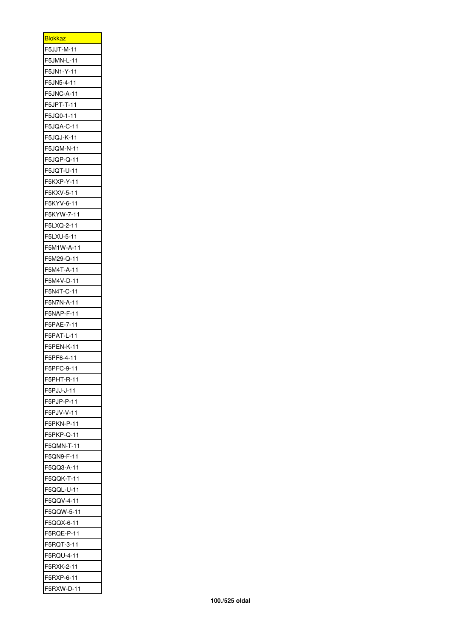| <u>Blokkaz</u>    |
|-------------------|
| F5JJT-M-11        |
| F5JMN-L-11        |
| 5JN1-Y-11<br>F    |
| F5JN5-4-11        |
| F5JNC-A-11        |
| F5JPT-T-11        |
| F5JQ0-1-11        |
| F5JQA-C-11        |
| F5JQJ-K-11        |
| <b>F5JQM-N-11</b> |
| F5JQP-Q-11        |
| F5JQT-U-11        |
| F5KXP-Y-11        |
| F5KXV-5-11        |
| F5KYV-6-11        |
| F5KYW-7-11        |
| F5LXQ-2-11        |
| F5LXU-5-11        |
| F5M1W-A-11        |
| F5M29-Q-11        |
| F5M4T-A-11        |
| F5M4V-D-11        |
| F5N4T-C-11        |
| F5N7N-A-11        |
| F5NAP-F-11        |
| F5PAE-7-11        |
| F5PAT-L-11        |
| F5PEN-K-11        |
|                   |
| F5PF6-4-11        |
| F5PFC-9-11        |
| F5PHT-R-11        |
| F5PJJ-J-11        |
| F5PJP-P-11        |
| F5PJV-V-11        |
| F5PKN-P-11        |
| F5PKP-Q-11        |
| F5QMN-T-11        |
| F5QN9-F-11        |
| F5QQ3-A-11        |
| F5QQK-T-11        |
| 5QQL-U-11<br>F    |
| F5QQV-4-11        |
| F5QQW-5-11        |
| F5QQX-6-11        |
| F5RQE-P-11        |
| F<br>5RQT-3-11    |
| F5RQU-4-11        |
| F5RXK-2-11        |
| F5RXP-6-11        |
| F5RXW-D-11        |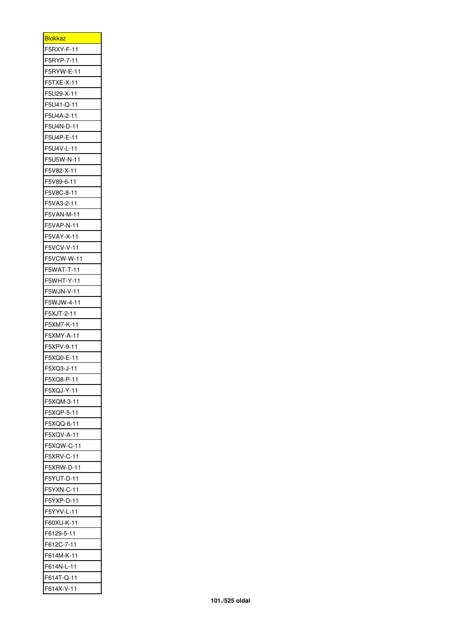| <u>Blokkaz</u>           |
|--------------------------|
| F5RXY-F-11               |
| F5RYP-7-11               |
| F5RYW-E-11               |
| F5TXE-X-11               |
| F5U29-X-11               |
| F5U41-Q-11               |
| F5U4A-2-11               |
| F5U4N-D-11               |
| F5U4P-E-11               |
| F5U4V-L-11               |
| F5U5W-N-11               |
| F5V82-X-11               |
| F5V89-6-11               |
| F5V8C-8-11               |
| F5VA3-2-11               |
| F5VAN-M-11               |
| F5VAP-N-11               |
| F5VAY-X-11               |
| F5VCV-V-11               |
| F5VCW-W-11               |
| F5WAT-T-11               |
| 5WHT-Y-11<br>F           |
| F5WJN-V-11               |
| F5WJW-4-11               |
| F5XJT-2-11               |
| F5XM7-K-11               |
| F5XMY-A-11               |
| F5XPV-9-11               |
| F5XQ0-E-11               |
| F5XQ3-J-11               |
|                          |
| F5XQ8-P-11               |
|                          |
| F5XQJ-Y-11<br>F5XQM-3-11 |
| F5XQP-5-11               |
| F5XQQ-6-11               |
| F5XQV-A-11               |
| F5XQW-C-11               |
| F5XRV-C-11               |
| F5XRW-D-11               |
| F5YUT-D-11               |
| 5YXN-C-11<br>F           |
| F5YXP-D-11               |
| F5YYV-L-11               |
| F60XU-K-11               |
| F6129-5-11               |
| -612C-7-11<br>F          |
| F614M-K-11               |
| F614N-L-11               |
| F614T-Q-11               |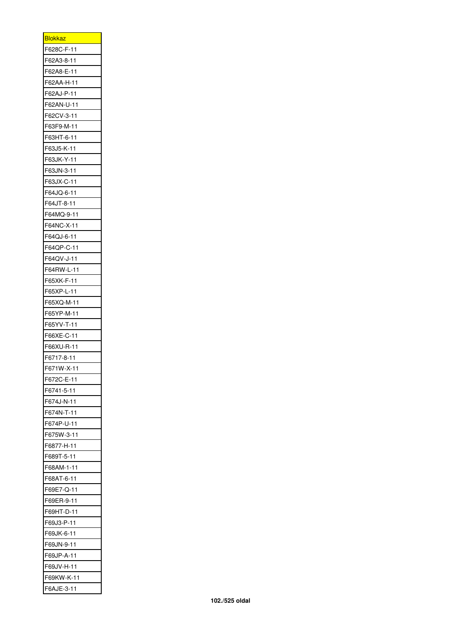| <b>Blokkaz</b>  |
|-----------------|
| F628C-F-11      |
| F62A3-8-11      |
| F62A8-E-11      |
| F62AA-H-11      |
| F62AJ-P-11      |
| F62AN-U-11      |
| F62CV-3-11      |
| F63F9-M-11      |
| F63HT-6-11      |
| F63J5-K-11      |
| F63JK-Y-11      |
| F63JN-3-11      |
| F63JX-C-11      |
| F64JQ-6-11      |
| F64JT-8-11      |
| F64MQ-9-11      |
| F64NC-X-11      |
| F64QJ-6-11      |
| F64QP-C-11      |
| F64QV-J-11      |
| F64RW-L-11      |
| F65XK-F-11      |
| F65XP-L-11      |
| F65XQ-M-11      |
| F65YP-M-11      |
| F65YV-T-11      |
| F66XE-C-11      |
| F66XU-R-11      |
| F6717-8-11      |
| F671W-X-11      |
| F672C-E-11      |
| F6741-5-11      |
| F674J-N-11      |
| F674N-T-11      |
| F674P-U-11      |
| F675W-3-11      |
| F6877-H-11      |
| F689T-5-11      |
| F68AM-1-11      |
| F68AT-6-11      |
| 69E7-Q-11<br>F  |
| F69ER-9-11      |
| F69HT-D-11      |
| F69J3-P-11      |
| F69JK-6-11      |
| -69JN-9-11<br>F |
| F69JP-A-11      |
| F69JV-H-11      |
| F69KW-K-11      |
| F6AJE-3-11      |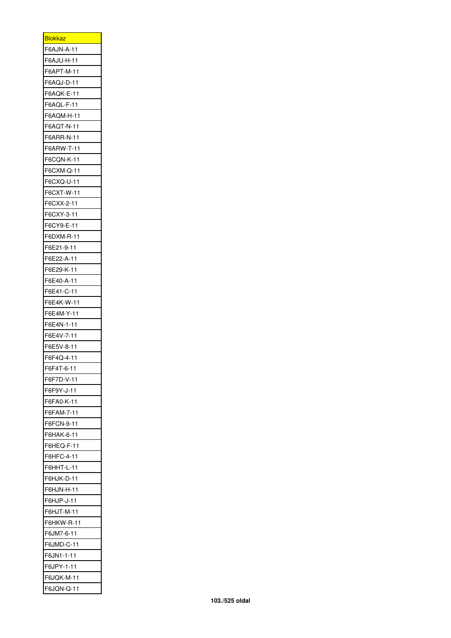| <b>Blokkaz</b>    |
|-------------------|
| F6AJN-A-11        |
| F6AJU-H-11        |
| F6APT-M-11        |
| F6AQJ-D-11        |
| F6AQK-E-11        |
| F6AQL-F-11        |
| F6AQM-H-11        |
| F6AQT-N-11        |
| F6ARR-N-11        |
| 6ARW-T-11-<br>F   |
| F6CQN-K-11        |
| F6CXM-Q-11        |
| F6CXQ-U-11        |
| F6CXT-W-11        |
| F6CXX-2-11        |
| F6CXY-3-11        |
| F6CY9-E-11        |
| F6DXM-R-11        |
| F6E21-9-11        |
| F6E22-A-11        |
| F6E29-K-11        |
| F6E40-A-11        |
| F6E41-C-11        |
| F6E4K-W-11        |
| F6E4M-Y-11        |
| F6E4N-1-11        |
| F6E4V-7-11        |
| F6E5V-8-11        |
| 6F4Q-4-11-<br>F   |
| $F6F4T-6-11$<br>F |
| F6F7D-V-11        |
| F6F9Y-J-11        |
| F6FA0-K-11        |
| F6FAM-7-11        |
| F6FCN-9-11        |
| F6HAK-6-11        |
| F6HEQ-F-11        |
| F6HFC-4-11        |
| F6HHT-L-11        |
| F6HJK-D-11        |
| F6HJN-H-11        |
| F6HJP-J-11        |
| F6HJT-M-11        |
| F6HKW-R-11        |
| F6JM7-6-11        |
| F6JMD-C-11        |
| F6JN1-1-11        |
| 6JPY-1-11<br>F    |
| F6JQK-M-11        |
| F6JQN-Q-11        |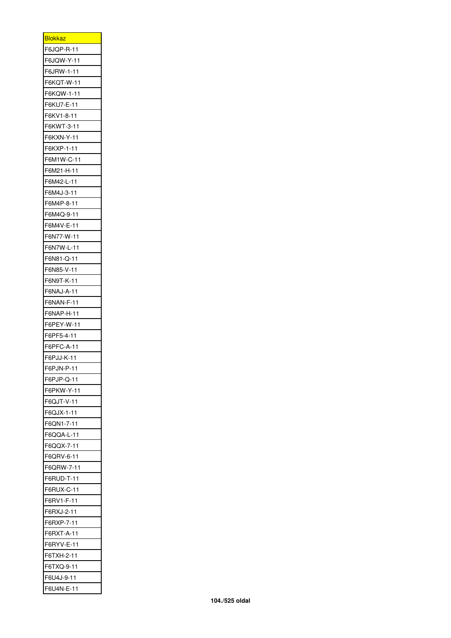| <b>Blokkaz</b>  |
|-----------------|
| F6JQP-R-11      |
| F6JQW-Y-11      |
| F6JRW-1-11      |
| F6KQT-W-11      |
| F6KQW-1-11      |
| F6KU7-E-11      |
| F6KV1-8-11      |
| F6KWT-3-11      |
| F6KXN-Y-11      |
| F6KXP-1-11      |
| F6M1W-C-11      |
| F6M21-H-11      |
| F6M42-L-11      |
| F6M4J-3-11      |
| F6M4P-8-11      |
| F6M4Q-9-11      |
| F6M4V-E-11      |
| F6N77-W-11      |
| F6N7W-L-11      |
| F6N81-Q-11      |
| F6N85-V-11      |
| F6N9T-K-11      |
| F6NAJ-A-11      |
| F6NAN-F-11      |
| F6NAP-H-11      |
| F6PEY-W-11      |
| F6PF5-4-11      |
| F6PFC-A-11      |
| F6PJJ-K-11      |
| F6PJN-P-11      |
| F6PJP-Q-11      |
| F6PKW-Y-11      |
| F6QJT-V-11      |
| F6QJX-1-11      |
| F6QN1-7-11      |
| F6QQA-L-11      |
| F6QQX-7-11      |
| F6QRV-6-11      |
| F6QRW-7-11      |
| F6RUD-T-11      |
| 6RUX-C-11<br>F  |
| F6RV1-F-11      |
| F6RXJ-2-11      |
| F6RXP-7-11      |
| F6RXT-A-11      |
| -6RYV-E-11<br>F |
| F6TXH-2-11      |
| F6TXQ-9-11      |
| F6U4J-9-11      |
| F6U4N-E-11      |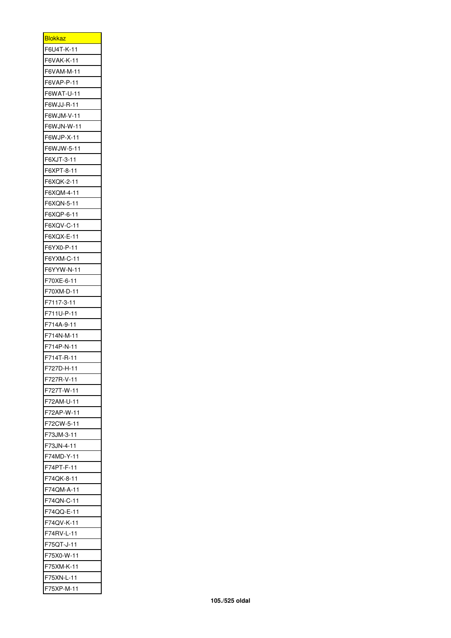| <u>Blokkaz</u>   |
|------------------|
| F6U4T-K-11       |
| F6VAK-K-11       |
| F6VAM-M-11       |
| F6VAP-P-11       |
| F6WAT-U-11       |
| F6WJJ-R-11       |
| F6WJM-V-11       |
| F6WJN-W-11       |
| F6WJP-X-11       |
| F6WJW-5-11       |
| F6XJT-3-11       |
| F6XPT-8-11       |
| F6XQK-2-11       |
| F6XQM-4-11       |
| F6XQN-5-11       |
| F6XQP-6-11       |
| F6XQV-C-11       |
| F6XQX-E-11       |
| F6YX0-P-11       |
| F6YXM-C-11       |
| F6YYW-N-11       |
| 70XE-6-11<br>F   |
| F70XM-D-11       |
| F7117-3-11       |
| $711U-P-11$<br>F |
| F714A-9-11       |
| F<br>714N-M-11-  |
| F714P-N-11       |
| F714T-R-11       |
| F727D-H-1        |
| 727R-V-11<br>F   |
| F727T-W-11       |
| F72AM-U-11       |
| 72AP-W-11<br>F   |
| F72CW-5-11       |
| F73JM-3-11       |
| F73JN-4-11       |
| 74MD-Y-11<br>F   |
| F74PT-F-11       |
| F74QK-8-11       |
| 74QM-A-11<br>F   |
| F74QN-C-11       |
| F74QQ-E-11       |
| F<br>74QV-K-11   |
| F74RV-L-11       |
| 75QT-J-11<br>F   |
| 75X0-W-11<br>F   |
| F75XM-K-11       |
| F75XN-L-11       |
| 75XP-M-11<br>F   |
|                  |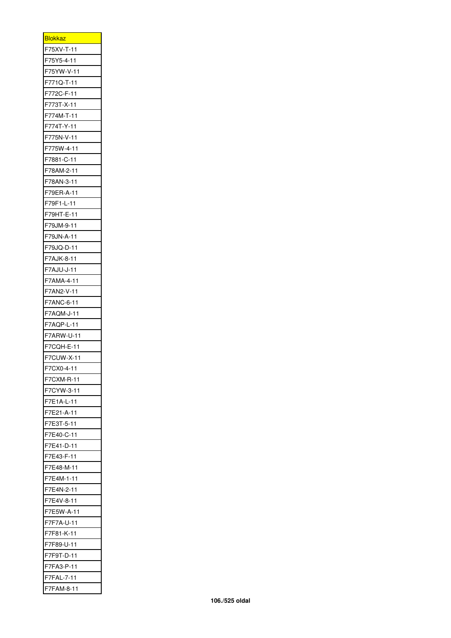| <b>Blokkaz</b>     |
|--------------------|
| $75XY-T-11$<br>F   |
| F75Y5-4-11         |
| F75YW-V-11         |
| F771Q-T-11         |
| F772C-F-11         |
| F773T-X-11         |
| F774M-T-11         |
| F774T-Y-11         |
| F775N-V-11         |
| F775W-4-11         |
| F7881-C-11         |
| F78AM-2-11         |
| F78AN-3-11         |
| F79ER-A-11         |
| 79F1-L-11<br>F     |
| F79HT-E-11         |
| F79JM-9-11         |
| F<br>79JN-A-11     |
|                    |
| F79JQ-D-11         |
| F7AJK-8-11         |
| F7AJU-J-11         |
| F7AMA-4-11         |
| F7AN2-V-11         |
| F7ANC-6-11         |
| F7AQM-J-11         |
| F7AQP-L-11         |
| 7ARW-U-11<br>F     |
| F7CQH-E-11         |
| F7CUW-X-11         |
| 7CX0-4-1<br>F<br>1 |
| F7CXM-R-11         |
| F7CYW-3-11         |
| F7E1A-L-11         |
| 7E21-A-11<br>F     |
| F7E3T-5-11         |
| F7E40-C-11         |
| 7E41-D-11<br>F     |
| F7E43-F-11         |
|                    |
| F<br>7E48-M-11     |
| F7E4M-1-11         |
| F7E4N-2-11         |
| F7E4V-8-11         |
| F7E5W-A-11         |
| F7F7A-U-11         |
| F7F81-K-11         |
| F<br>7F89-U-11     |
| F7F9T-D-11         |
| F7FA3-P-11         |
| F7FAL-7-11         |
| F7FAM-8-11         |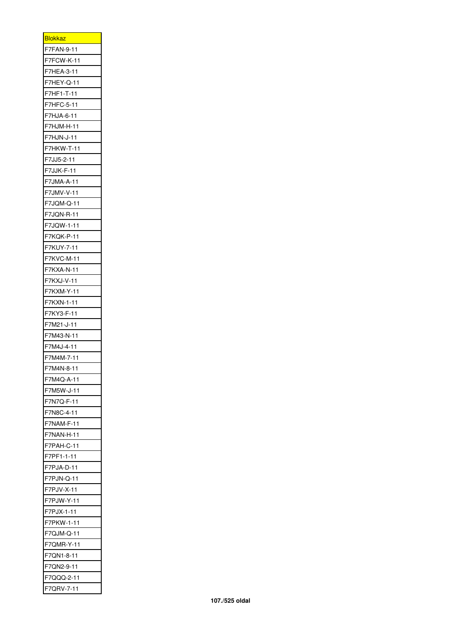| <b>Blokkaz</b>              |
|-----------------------------|
| 7FAN-9-11<br>F              |
| F7FCW-K-11                  |
| F7HEA-3-11                  |
| <b>F7HEY-Q-11</b>           |
| F7HF1-T-11                  |
| F7HFC-5-11                  |
| 7HJA-6-11<br>F              |
| F7HJM-H-11                  |
| F7HJN-J-11                  |
| 7HKW-T-11<br>F              |
| F7JJ5-2-11                  |
| F7JJK-F-11                  |
| 7JMA-A-11<br>F              |
| F7JMV-V-11                  |
| F7JQM-Q-11                  |
| F7JQN-R-11                  |
| F7JQW-1-11                  |
| F7KQK-P-11                  |
| F7KUY-7-11                  |
| F7KVC-M-11                  |
| F7KXA-N-11                  |
| F7KXJ-V-11                  |
| F7KXM-Y-11                  |
| F7KXN-1-11                  |
| F7KY3-F-11                  |
| 7M21-J-11<br>F              |
| F7M43-N-11                  |
| F7M4J-4-11                  |
| 7M4M-7-11<br>F              |
| 7M4N-8-1<br>F               |
| F7M4Q-A-11                  |
| 7M5W-J-11<br>F              |
| F7N7Q-F-11                  |
| F7N8C-4-11                  |
| F<br><sup>-</sup> 7NAM-F-11 |
| F7NAN-H-11                  |
| F7PAH-C-11                  |
| F7PF1-1-11                  |
| F7PJA-D-11                  |
| F7PJN-Q-11                  |
| F7PJV-X-11                  |
| F7PJW-Y-11                  |
| F7PJX-1-11                  |
| F7PKW-1-11                  |
| 7QJM-Q-11<br>F              |
| F7QMR-Y-11                  |
| F7QN1-8-11                  |
| F<br>7QN2-9-11              |
| F7QQQ-2-11                  |
| F7QRV-7-11                  |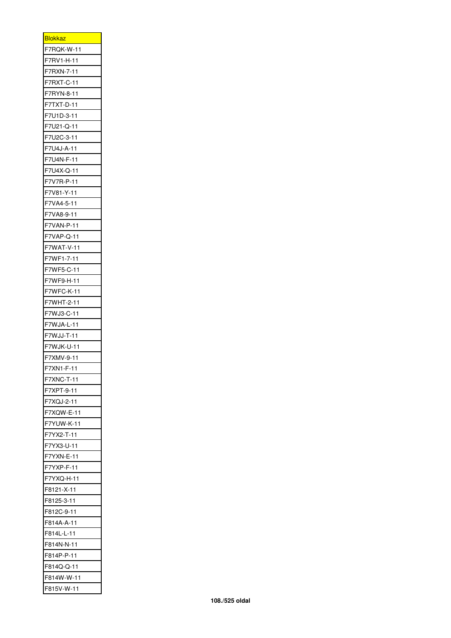| <b>Blokkaz</b>              |
|-----------------------------|
| F7RQK-W-11                  |
| F7RV1-H-11                  |
| 7RXN-7-11<br>F              |
| F7RXT-C-11                  |
| F7RYN-8-11                  |
| F<br>7TXT-D-11              |
| F7U1D-3-11                  |
| F7U21-Q-11                  |
| F7U2C-3-11                  |
| F7U4J-A-11                  |
| F7U4N-F-11                  |
| F7U4X-Q-11                  |
| F7V7R-P-11                  |
| F7V81-Y-11                  |
| F7VA4-5-11                  |
| F7VA8-9-11                  |
| F7VAN-P-11                  |
| F7VAP-Q-11                  |
| F7WAT-V-11                  |
| F7WF1-7-11                  |
| F7WF5-C-11                  |
| F<br>7WF9-H-11              |
| F7WFC-K-11                  |
| F7WHT-2-11                  |
| F                           |
| 7WJ3-C-11<br>F7WJA-L-11     |
| F<br>$7WJJ-T-11$            |
|                             |
| F7WJK-U-11                  |
| F7XMV-9-11                  |
| F7XN1-F-1                   |
| F7XNC-T-11                  |
| F7XPT-9-11                  |
| F7XQJ-2-11                  |
| F7XQW-E-11                  |
| F7YUW-K-11                  |
| F7YX2-T-11                  |
| F7YX3-U-11                  |
| F7YXN-E-11                  |
| F7YXP-F-11                  |
| F7YXQ-H-11                  |
| 8121-X-11 <sup>-</sup><br>F |
| F8125-3-11                  |
| F812C-9-11                  |
| F814A-A-11                  |
| F814L-L-11                  |
| F<br>-814N-N-11             |
| F814P-P-11                  |
| F814Q-Q-11                  |
| F814W-W-11                  |
| F815V-W-11                  |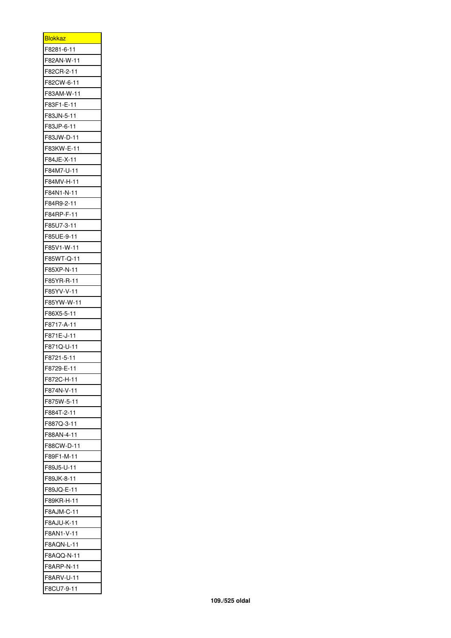| <u>Blokkaz</u>                  |
|---------------------------------|
| F8281-6-11                      |
| F82AN-W-11<br>F82CR-2-11        |
|                                 |
| F82CW-6-11<br>F83AM-W-11        |
|                                 |
| F83F1-E-11                      |
| F83JN-5-11                      |
| F83JP-6-11                      |
| F83JW-D-11                      |
| F83KW-E-11                      |
| F84JE-X-11<br>F84M7-U-11        |
|                                 |
| F84MV-H-11                      |
| F84N1-N-11<br>$-84R9-2-11$<br>F |
|                                 |
| F84RP-F-11<br>F85U7-3-11        |
|                                 |
| F85UE-9-11                      |
| F85V1-W-11                      |
| F85WT-Q-11                      |
| F85XP-N-11                      |
| F85YR-R-11                      |
| F85YV-V-11                      |
| F85YW-W-11                      |
| F86X5-5-11                      |
| F8717-A-11<br>871E-J-11         |
| F                               |
| F871Q-U-11                      |
| F8721-5-11                      |
| F8729-E-11                      |
| F872C-H-11                      |
| F874N-V-11                      |
| F875W-5-11                      |
| -884T-2-11<br>F                 |
| F887Q-3-11                      |
| F88AN-4-11                      |
| F88CW-D-11                      |
| F89F1-M-11                      |
| F<br>-89J5-U-11                 |
| F89JK-8-11                      |
| F89JQ-E-11                      |
| F89KR-H-11                      |
| F8AJM-C-11                      |
| F8AJU-K-11                      |
| F8AN1-V-11                      |
| 8AQN-L-11<br>F                  |
| F8AQQ-N-11                      |
| F8ARP-N-11                      |
| F8ARV-U-11                      |
| F8CU7-9-11                      |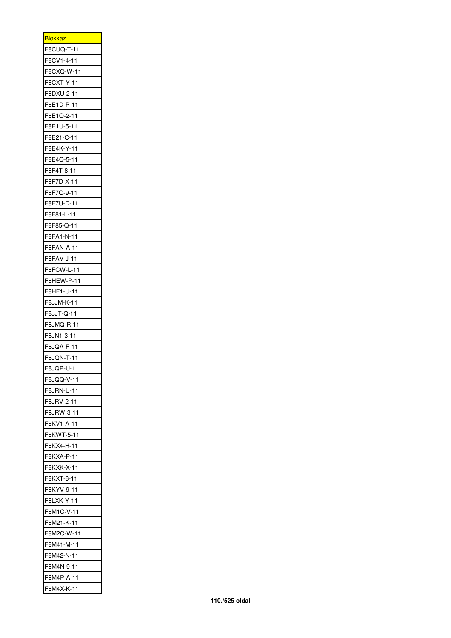| <u>Blokkaz</u> |
|----------------|
| F8CUQ-T-11     |
| F8CV1-4-11     |
| F8CXQ-W-11     |
| F8CXT-Y-11     |
| F8DXU-2-11     |
| F8E1D-P-11     |
| F8E1Q-2-11     |
| F8E1U-5-11     |
| F8E21-C-11     |
| F8E4K-Y-11     |
| F8E4Q-5-11     |
| F8F4T-8-11     |
| F8F7D-X-11     |
| F8F7Q-9-11     |
| F8F7U-D-11     |
| F8F81-L-11     |
| F8F85-Q-11     |
| F8FA1-N-11     |
| F8FAN-A-11     |
| F8FAV-J-11     |
| F8FCW-L-11     |
| F8HEW-P-11     |
| F8HF1-U-11     |
| F8JJM-K-11     |
| F8JJT-Q-11     |
| F8JMQ-R-11     |
| F8JN1-3-11     |
| F8JQA-F-11     |
| F8JQN-T-11     |
| F8JQP-U-1<br>1 |
| F8JQQ-V-11     |
| F8JRN-U-11     |
| F8JRV-2-11     |
| F8JRW-3-11     |
| F8KV1-A-11     |
| F8KWT-5-11     |
| F8KX4-H-11     |
| F8KXA-P-11     |
| F8KXK-X-11     |
| F8KXT-6-11     |
| 8KYV-9-11<br>F |
| F8LXK-Y-11     |
| F8M1C-V-11     |
| F8M21-K-11     |
| F8M2C-W-11     |
| 8M41-M-11<br>F |
| F8M42-N-11     |
| F8M4N-9-11     |
| F8M4P-A-11     |
| F8M4X-K-11     |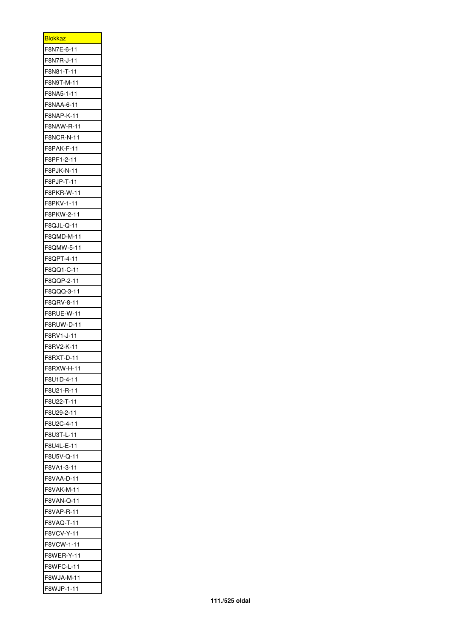| <b>Blokkaz</b>        |
|-----------------------|
| F8N7E-6-11            |
| F8N7R-J-11            |
| F8N81-T-11            |
| F8N9T-M-11            |
| F8NA5-1-11            |
| F8NAA-6-11            |
| F8NAP-K-11            |
| F8NAW-R-11            |
| F8NCR-N-11            |
| <b>BPAK-F-11</b><br>F |
| F8PF1-2-11            |
| F8PJK-N-11            |
| F8PJP-T-11            |
| F8PKR-W-11            |
| F8PKV-1-11            |
| F8PKW-2-11            |
| F8QJL-Q-11            |
|                       |
| F8QMD-M-11            |
| F8QMW-5-11            |
| F8QPT-4-11            |
| F8QQ1-C-11            |
| F8QQP-2-11            |
| F8QQQ-3-11            |
| F8QRV-8-11            |
| F8RUE-W-11            |
| F8RUW-D-11            |
| F8RV1-J-11            |
| F8RV2-K-11            |
| F8RXT-D-11            |
| F8RXW-H-1             |
| F8U1D-4-11            |
| F8U21-R-11            |
| F8U22-T-11            |
| F8U29-2-11            |
| F8U2C-4-11            |
| F8U3T-L-11            |
| F8U4L-E-11            |
| F8U5V-Q-11            |
| F8VA1-3-11            |
| F8VAA-D-11            |
| F8VAK-M-11            |
| F8VAN-Q-11            |
| F8VAP-R-11            |
| F8VAQ-T-11            |
| F8VCV-Y-11            |
| F8VCW-1-11            |
| F8WER-Y-11            |
| 8WFC-L-11<br>F        |
| F8WJA-M-11            |
| F8WJP-1-11            |
|                       |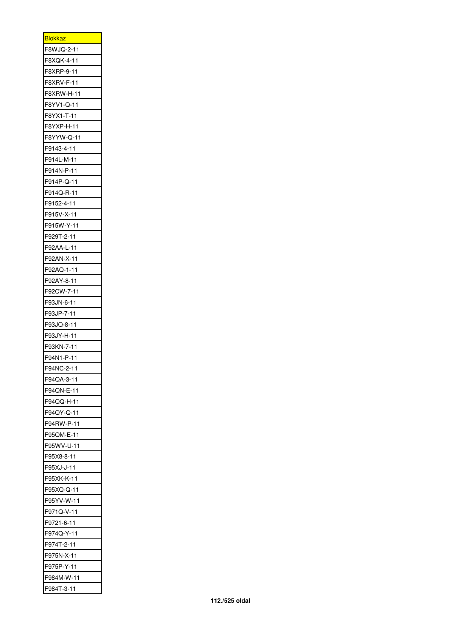| <b>Blokkaz</b>           |
|--------------------------|
| F8WJQ-2-11               |
| F8XQK-4-11               |
| F8XRP-9-11               |
| F8XRV-F-11               |
| F8XRW-H-11               |
| F8YV1-Q-11               |
| F8YX1-T-11               |
| F8YXP-H-11               |
| F8YYW-Q-11               |
| F9143-4-11               |
| F914L-M-11               |
| F914N-P-11               |
| F914P-Q-11               |
| F914Q-R-11               |
| F9152-4-11               |
| F915V-X-11               |
| F915W-Y-11               |
|                          |
| F929T-2-11<br>F92AA-L-11 |
|                          |
| F92AN-X-11               |
| F92AQ-1-11               |
| F92AY-8-11               |
| F92CW-7-11               |
| F93JN-6-11               |
| F93JP-7-11               |
| F93JQ-8-11               |
| F93JY-H-11               |
| F93KN-7-11               |
| $-94N1 - P - 11$<br>F    |
| F94NC-2-1<br>1           |
| F94QA-3-11               |
| F94QN-E-11               |
| F94QQ-H-11               |
| F94QY-Q-11               |
| F94RW-P-11               |
| F95QM-E-11               |
| F95WV-U-11               |
| F95X8-8-11               |
| F95XJ-J-11               |
| F95XK-K-11               |
| F95XQ-Q-11               |
| F95YV-W-11               |
| F971Q-V-11               |
| F9721-6-11               |
| F974Q-Y-11               |
| F974T-2-11               |
| F975N-X-11               |
| 975P-Y-11<br>F           |
|                          |
| F984M-W-11               |
| F984T-3-11               |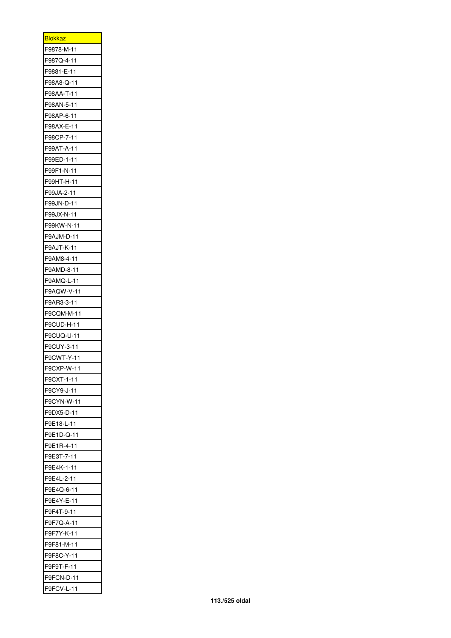| <b>Blokkaz</b>              |
|-----------------------------|
| F9878-M-11                  |
| F987Q-4-11                  |
| F9881-E-11                  |
| F98A8-Q-11                  |
| F98AA-T-11                  |
| F98AN-5-11                  |
| F98AP-6-11                  |
| F98AX-E-11                  |
| F98CP-7-11                  |
| 99AT-A-11 <sup>.</sup><br>F |
| F99ED-1-11                  |
| F99F1-N-11                  |
| F99HT-H-11                  |
| F99JA-2-11                  |
| F99JN-D-11                  |
| F99JX-N-11                  |
| F99KW-N-11                  |
| F9AJM-D-11                  |
| F9AJT-K-11                  |
| F9AM8-4-11                  |
| F9AMD-8-11                  |
| F9AMQ-L-11                  |
|                             |
| F9AQW-V-11                  |
| F9AR3-3-11                  |
| F9CQM-M-11                  |
| F9CUD-H-11                  |
| F9CUQ-U-11                  |
| F9CUY-3-11                  |
| 9CWT-Y-11<br>F              |
| 9CXP-W-1<br>F               |
| F9CXT-1-11                  |
| F9CY9-J-11                  |
| F9CYN-W-11                  |
| F9DX5-D-11                  |
| F9E18-L-11                  |
| F9E1D-Q-11                  |
| F9E1R-4-11                  |
| F9E3T-7-11                  |
| F9E4K-1-11                  |
| F9E4L-2-11                  |
| F9E4Q-6-11                  |
| F9E4Y-E-11                  |
| F9F4T-9-11                  |
| F9F7Q-A-11                  |
| F9F7Y-K-11                  |
| F9F81-M-11                  |
| F9F8C-Y-11                  |
| 9F9T-F-11 <sup>:</sup><br>F |
| F9FCN-D-11                  |
| F9FCV-L-11                  |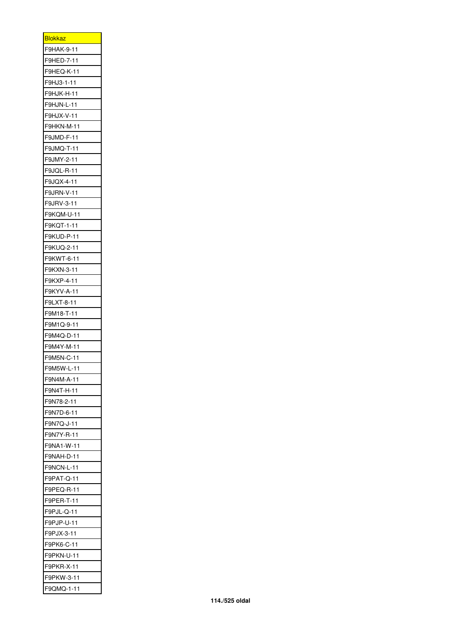| <b>Blokkaz</b>           |
|--------------------------|
| F9HAK-9-11               |
| F9HED-7-11               |
| F9HEQ-K-11               |
| F9HJ3-1-11               |
| F9HJK-H-11               |
| F9HJN-L-11               |
| F9HJX-V-11               |
| F9HKN-M-11               |
| F9JMD-F-11               |
| 9JMQ-T-11<br>F           |
| F9JMY-2-11               |
| F9JQL-R-11               |
| F9JQX-4-11               |
| F9JRN-V-11               |
| F9JRV-3-11               |
| F9KQM-U-11               |
| F9KQT-1-11               |
| F9KUD-P-11               |
| F9KUQ-2-11               |
| F9KWT-6-11               |
| F9KXN-3-11               |
| F9KXP-4-11               |
|                          |
| F9KYV-A-11<br>F9LXT-8-11 |
|                          |
| F9M18-T-11               |
| F9M1Q-9-11               |
| F9M4Q-D-11               |
| F9M4Y-M-11               |
| 9M5N-C-11<br>F           |
| 9M5W-L-1<br>F<br>1       |
| F9N4M-A-11               |
| F9N4T-H-11               |
| F9N78-2-11               |
| F9N7D-6-11               |
| F9N7Q-J-11               |
| F9N7Y-R-11               |
| F9NA1-W-11               |
| F9NAH-D-11               |
| F9NCN-L-11               |
| F9PAT-Q-11               |
| F9PEQ-R-11               |
| F9PER-T-11               |
| F9PJL-Q-11               |
| F9PJP-U-11               |
| F9PJX-3-11               |
| F9PK6-C-11               |
| F9PKN-U-11               |
| 9PKR-X-11<br>F           |
| F9PKW-3-11               |
| F9QMQ-1-11               |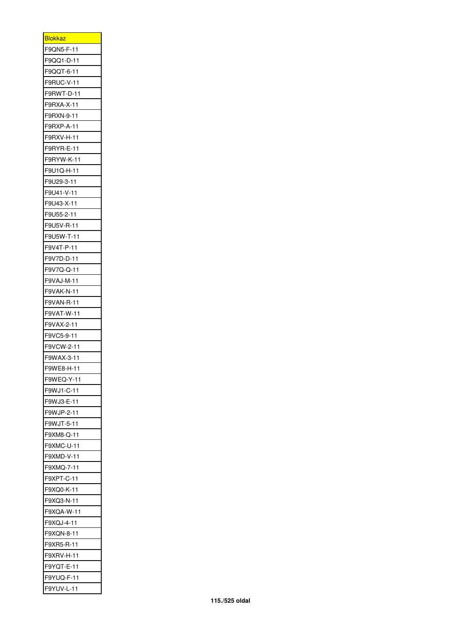| <b>Blokkaz</b>         |
|------------------------|
| F9QN5-F-11             |
| F9QQ1-D-11             |
| F9QQT-6-11             |
| F9RUC-V-11             |
| F9RWT-D-11             |
| F9RXA-X-11             |
| F9RXN-9-11             |
| F9RXP-A-11             |
| F9RXV-H-11             |
| 9RYR-E-11<br>F         |
| F9RYW-K-11             |
| F9U1Q-H-11             |
| F9U29-3-11             |
| F9U41-V-11             |
| F9U43-X-11             |
| F9U55-2-11             |
| F9U5V-R-11             |
| F9U5W-T-11             |
| F9V4T-P-11             |
| F9V7D-D-11             |
| F9V7Q-Q-11             |
| F9VAJ-M-11             |
| F9VAK-N-11             |
| F9VAN-R-11             |
| F9VAT-W-11             |
| F9VAX-2-11             |
| F9VC5-9-11             |
| F9VCW-2-11             |
| 9WAX-3-11<br>F         |
| F                      |
| 9WE8-H-1<br>F9WEQ-Y-11 |
|                        |
| F9WJ1-C-11             |
| F9WJ3-E-11             |
| F9WJP-2-11             |
| F9WJT-5-11             |
| F9XM8-Q-11             |
| F9XMC-U-11             |
| F9XMD-V-11             |
| F9XMQ-7-11             |
| F9XPT-C-11             |
| F9XQ0-K-11             |
| F9XQ3-N-11             |
| F9XQA-W-11             |
| F9XQJ-4-11             |
| F9XQN-8-11             |
| F9XR5-R-11             |
| F9XRV-H-11             |
| 9YQT-E-11<br>F         |
| F9YUQ-F-11             |
| F9YUV-L-11             |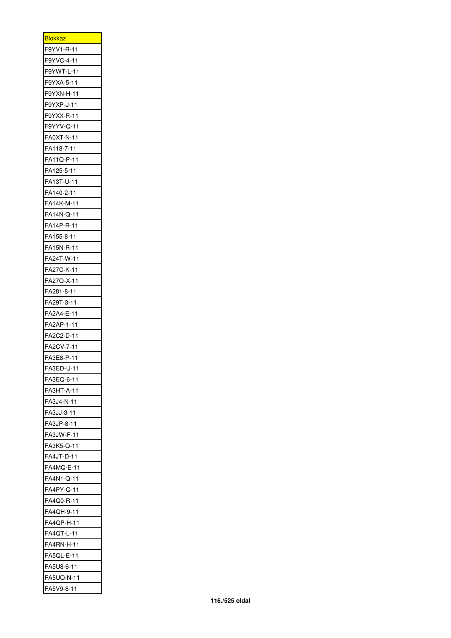| Blokkaz           |
|-------------------|
| F9YV1-R-11        |
| F9YVC-4-11        |
| F9YWT-L-11        |
| F9YXA-5-11        |
| F9YXN-H-11        |
| F9YXP-J-11        |
| F9YXX-R-11        |
| F9YYV-Q-11        |
| FA0XT-N-11        |
| FA118-7-11        |
| FA11Q-P-11        |
| FA125-5-11        |
| FA13T-U-11        |
| FA140-2-11        |
| FA14K-M-11        |
| FA14N-Q-11        |
| FA14P-R-11        |
| FA155-8-11        |
| FA15N-R-11        |
| FA24T-W-11        |
| FA27C-K-11        |
| FA27Q-X-11        |
| FA281-8-11        |
| FA29T-3-11        |
| FA2A4-E-11        |
| FA2AP-1-11        |
| FA2C2-D-11        |
| FA2CV-7-11        |
| FA3E8-P-11        |
| FA3ED-U-11        |
| FA3EQ-6-11        |
| FA3HT-A-11        |
| FA3J4-N-11        |
| FA3JJ-3-11        |
| FA3JP-8-11        |
| FA3JW-F-11        |
| FA3K5-Q-11        |
| <b>FA4JT-D-11</b> |
| FA4MQ-E-11        |
| FA4N1-Q-11        |
| FA4PY-Q-11        |
| FA4Q0-R-11        |
| FA4QH-9-11        |
| FA4QP-H-11        |
| FA4QT-L-11        |
| FA4RN-H-11        |
| FA5QL-E-11        |
| FA5U8-6-11        |
| FA5UQ-N-11        |
| FA5V9-8-11        |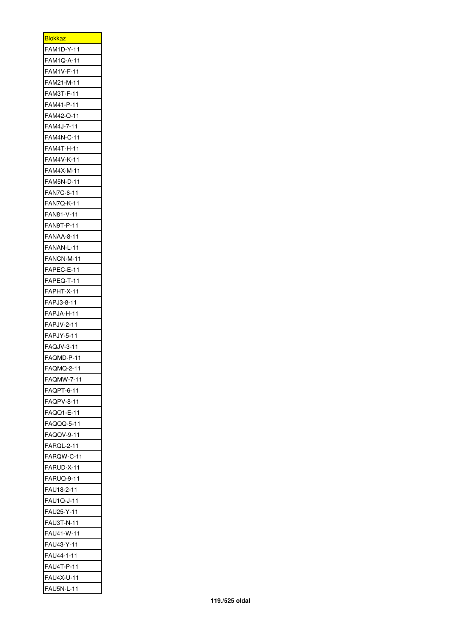| <b>Blokkaz</b>    |
|-------------------|
| FAM1D-Y-11        |
| FAM1Q-A-11        |
| FAM1V-F-11        |
| FAM21-M-11        |
| FAM3T-F-11        |
| FAM41-P-11        |
| FAM42-Q-11        |
| FAM4J-7-11        |
| FAM4N-C-11        |
| FAM4T-H-11        |
| FAM4V-K-11        |
| FAM4X-M-11        |
| FAM5N-D-11        |
| FAN7C-6-11        |
| <b>FAN7Q-K-11</b> |
| FAN81-V-11        |
| FAN9T-P-11        |
| <b>FANAA-8-11</b> |
| FANAN-L-11        |
| FANCN-M-11        |
| FAPEC-E-11        |
| FAPEQ-T-11        |
| FAPHT-X-11        |
| FAPJ3-8-11        |
| FAPJA-H-11        |
| FAPJV-2-11        |
| <b>FAPJY-5-11</b> |
| FAQJV-3-11        |
| FAQMD-P-11        |
| FAQMQ-2-1         |
| FAQMW-7-11        |
| FAQPT-6-11        |
| FAQPV-8-11        |
| FAQQ1-E-11        |
| FAQQQ-5-11        |
| <b>FAQQV-9-11</b> |
| FARQL-2-11        |
| FARQW-C-11        |
| FARUD-X-11        |
| <b>FARUQ-9-11</b> |
| AU18-2-11<br>F    |
| FAU1Q-J-11        |
| FAU25-Y-11        |
| AU3T-N-11-<br>F   |
| FAU41-W-11        |
| FAU43-Y-11        |
| FAU44-1-11        |
| <b>FAU4T-P-11</b> |
| FAU4X-U-11        |
| <b>FAU5N-L-11</b> |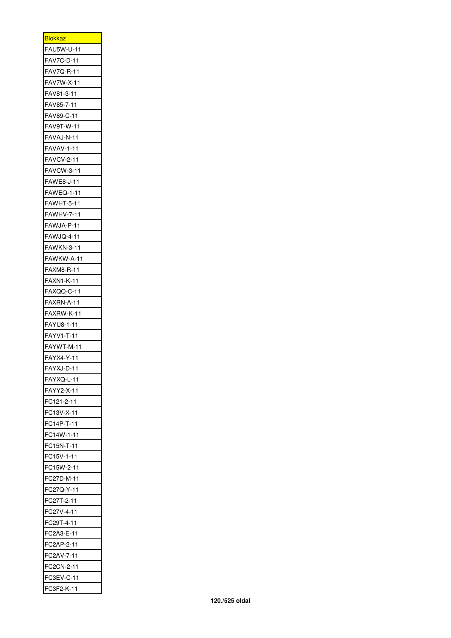| <b>Blokkaz</b>    |
|-------------------|
| FAU5W-U-11        |
| FAV7C-D-11        |
| FAV7Q-R-11        |
| FAV7W-X-11        |
| FAV81-3-11        |
| FAV85-7-11        |
| FAV89-C-11        |
| FAV9T-W-11        |
| FAVAJ-N-11        |
| <b>FAVAV-1-11</b> |
| <b>FAVCV-2-11</b> |
| <b>FAVCW-3-11</b> |
| FAWE8-J-11        |
| <b>FAWEQ-1-11</b> |
| <b>FAWHT-5-11</b> |
| <b>FAWHV-7-11</b> |
| FAWJA-P-11        |
| <b>FAWJQ-4-11</b> |
| FAWKN-3-11        |
| FAWKW-A-11        |
| FAXM8-R-11        |
| FAXN1-K-11        |
| FAXQQ-C-11        |
| FAXRN-A-11        |
| FAXRW-K-11        |
| FAYU8-1-11        |
| FAYV1-T-11        |
| FAYWT-M-11        |
| FAYX4-Y-11        |
| FAYXJ-D-11        |
| FAYXQ-L-11        |
| FAYY2-X-11        |
| FC121-2-11        |
| FC13V-X-11        |
| FC14P-T-11        |
| FC14W-1-11        |
| FC15N-T-11        |
| FC15V-1-11        |
| FC15W-2-11        |
| FC27D-M-11        |
| C27Q-Y-11<br>F    |
| FC27T-2-11        |
| FC27V-4-11        |
| FC29T-4-11        |
| FC2A3-E-11        |
| FC2AP-2-11        |
| FC2AV-7-11        |
| FC2CN-2-11        |
| FC3EV-C-11        |
| FC3F2-K-11        |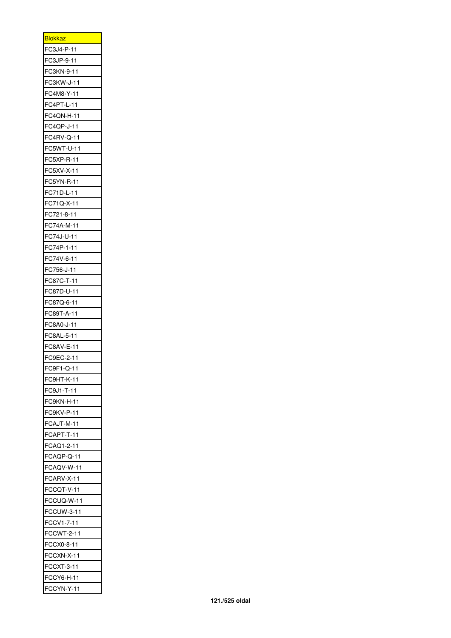| <b>Blokkaz</b>    |
|-------------------|
| FC3J4-P-11        |
| FC3JP-9-11        |
| FC3KN-9-11        |
| FC3KW-J-11        |
| FC4M8-Y-11        |
| FC4PT-L-11        |
| FC4QN-H-11        |
| FC4QP-J-11        |
| FC4RV-Q-11        |
| FC5WT-U-11        |
| FC5XP-R-11        |
| FC5XV-X-11        |
| FC5YN-R-11        |
| FC71D-L-11        |
| FC71Q-X-11        |
| FC721-8-11        |
| FC74A-M-11        |
| FC74J-U-11        |
| FC74P-1-11        |
| FC74V-6-11        |
| FC756-J-11        |
| FC87C-T-11        |
| FC87D-U-11        |
| FC87Q-6-11        |
| FC89T-A-11        |
| FC8A0-J-11        |
| FC8AL-5-11        |
| FC8AV-E-11        |
| FC9EC-2-11        |
| FC9F1-Q-1<br>1    |
| FC9HT-K-11        |
| FC9J1-T-11        |
| FC9KN-H-11        |
|                   |
| FC9KV-P-11        |
| FCAJT-M-11        |
| FCAPT-T-11        |
| FCAQ1-2-11        |
| FCAQP-Q-11        |
| FCAQV-W-11        |
| FCARV-X-11        |
| CCQT-V-11<br>F    |
| FCCUQ-W-11        |
| FCCUW-3-11        |
| FCCV1-7-11        |
| <b>FCCWT-2-11</b> |
| FCCX0-8-11        |
| FCCXN-X-11        |
| FCCXT-3-11        |
| FCCY6-H-11        |
| FCCYN-Y-11        |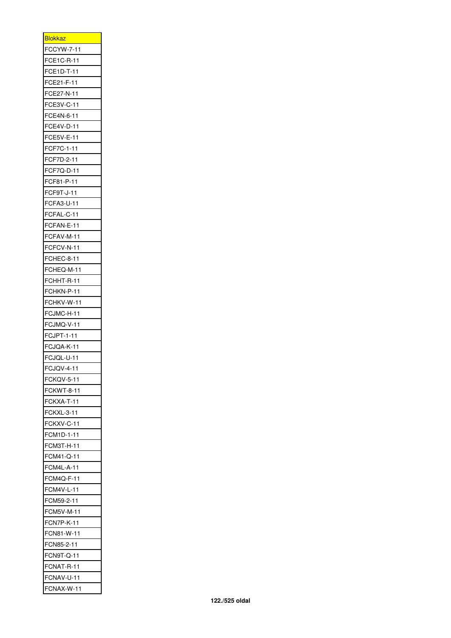| <u>Blokkaz l</u>  |
|-------------------|
| FCCYW-7-11        |
| FCE1C-R-11        |
| FCE1D-T-11        |
| FCE21-F-11        |
| FCE27-N-11        |
| FCE3V-C-11        |
| FCE4N-6-11        |
| FCE4V-D-11        |
| FCE5V-E-11        |
| FCF7C-1-11        |
| FCF7D-2-11        |
| FCF7Q-D-11        |
| FCF81-P-11        |
| FCF9T-J-11        |
| FCFA3-U-11        |
| FCFAL-C-11        |
| FCFAN-E-11        |
| FCFAV-M-11        |
| FCFCV-N-11        |
| FCHEC-8-11        |
| FCHEQ-M-11        |
| FCHHT-R-11        |
| FCHKN-P-11        |
| FCHKV-W-11        |
| FCJMC-H-11        |
| FCJMQ-V-11        |
| FCJPT-1-11        |
| FCJQA-K-11        |
| FCJQL-U-11        |
| FCJQV-4-1<br>1    |
| <b>FCKQV-5-11</b> |
| FCKWT-8-11        |
| FCKXA-T-11        |
| FCKXL-3-11        |
| FCKXV-C-11        |
| FCM1D-1-11        |
| FCM3T-H-11        |
| FCM41-Q-11        |
| FCM4L-A-11        |
| FCM4Q-F-11        |
| CM4V-L-11<br>F    |
| FCM59-2-11        |
| <b>FCM5V-M-11</b> |
| FCN7P-K-11        |
| FCN81-W-11        |
| FCN85-2-11        |
| FCN9T-Q-11        |
| FCNAT-R-11        |
| FCNAV-U-11        |
| FCNAX-W-11        |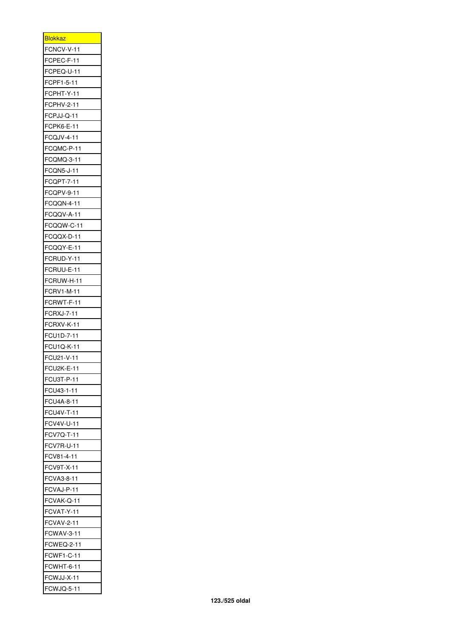| <b>Blokkaz</b>                  |
|---------------------------------|
| FCNCV-V-11                      |
| FCPEC-F-11                      |
| FCPEQ-U-11                      |
| FCPF1-5-11                      |
| FCPHT-Y-11                      |
| FCPHV-2-11                      |
| FCPJJ-Q-11                      |
| FCPK6-E-11                      |
| FCQJV-4-11                      |
| FCQMC-P-11                      |
| FCQMQ-3-11                      |
| <b>FCQN5-J-11</b>               |
| FCQPT-7-11                      |
| FCQPV-9-11                      |
| FCQQN-4-11                      |
| FCQQV-A-11                      |
| FCQQW-C-11                      |
| FCQQX-D-11                      |
| FCQQY-E-11                      |
| FCRUD-Y-11                      |
| FCRUU-E-11                      |
|                                 |
| FCRUW-H-11                      |
| <b>FCRV1-M-11</b><br>FCRWT-F-11 |
|                                 |
| <b>FCRXJ-7-11</b>               |
| FCRXV-K-11                      |
| FCU1D-7-11                      |
| FCU1Q-K-11                      |
| FCU21-V-11                      |
| FCU2K-E-1                       |
| FCU3T-P-11                      |
| FCU43-1-11                      |
| FCU4A-8-11                      |
| FCU4V-T-11                      |
| FCV4V-U-11                      |
| FCV7Q-T-11                      |
| FCV7R-U-11                      |
| FCV81-4-11                      |
| FCV9T-X-11                      |
| FCVA3-8-11                      |
| FCVAJ-P-11                      |
| FCVAK-Q-11                      |
| FCVAT-Y-11                      |
| <b>FCVAV-2-11</b>               |
| <b>FCWAV-3-11</b>               |
| FCWEQ-2-11                      |
| FCWF1-C-11                      |
| CWHT-6-11 <sup>.</sup><br>F     |
| FCWJJ-X-11                      |
| FCWJQ-5-11                      |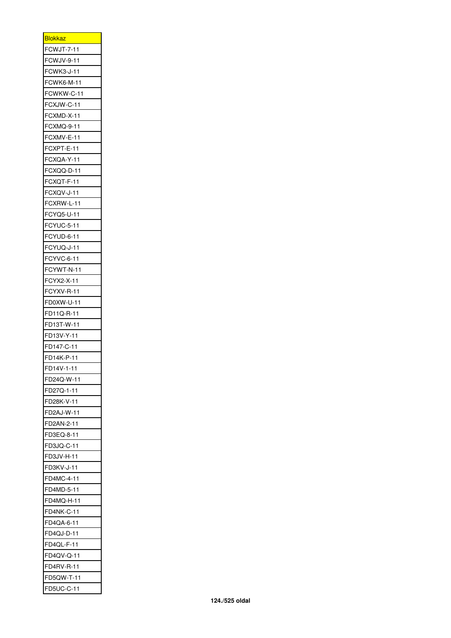| <b>Blokkaz</b>    |
|-------------------|
| <b>FCWJT-7-11</b> |
| FCWJV-9-11        |
| FCWK3-J-11        |
| FCWK6-M-11        |
| FCWKW-C-11        |
| FCXJW-C-11        |
| FCXMD-X-11        |
| FCXMQ-9-11        |
| FCXMV-E-11        |
| FCXPT-E-11        |
| FCXQA-Y-11        |
| FCXQQ-D-11        |
| FCXQT-F-11        |
| FCXQV-J-11        |
| FCXRW-L-11        |
| FCYQ5-U-11        |
| <b>FCYUC-5-11</b> |
| FCYUD-6-11        |
| FCYUQ-J-11        |
| FCYVC-6-11        |
| FCYWT-N-11        |
| FCYX2-X-11        |
|                   |
| FCYXV-R-11        |
| FD0XW-U-11        |
| FD11Q-R-11        |
| FD13T-W-11        |
| FD13V-Y-11        |
| FD147-C-11        |
| FD14K-P-11        |
| FD14V-1-11        |
| FD24Q-W-11        |
| FD27Q-1-11        |
| FD28K-V-11        |
| FD2AJ-W-11        |
| FD2AN-2-11        |
| FD3EQ-8-11        |
| FD3JQ-C-11        |
| FD3JV-H-11        |
| FD3KV-J-11        |
| FD4MC-4-11        |
| FD4MD-5-11        |
| FD4MQ-H-11        |
| FD4NK-C-11        |
| FD4QA-6-11        |
| FD4QJ-D-11        |
| D4QL-F-11<br>F    |
| FD4QV-Q-11        |
| FD4RV-R-11        |
| FD5QW-T-11        |
| FD5UC-C-11        |
|                   |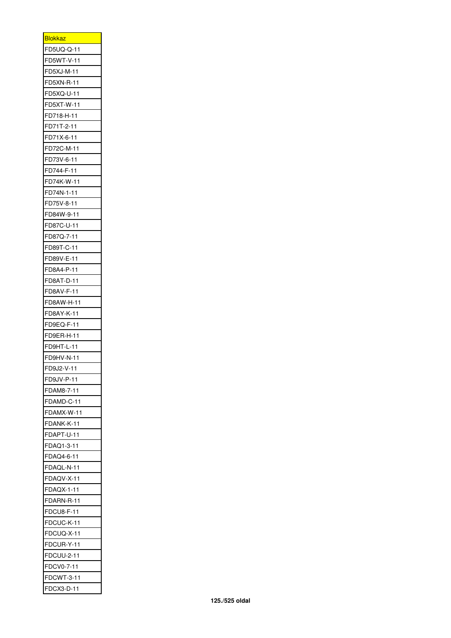| <b>Blokkaz</b> |
|----------------|
| FD5UQ-Q-11     |
| FD5WT-V-11     |
| FD5XJ-M-11     |
| FD5XN-R-11     |
| FD5XQ-U-11     |
| FD5XT-W-11     |
| FD718-H-11     |
| FD71T-2-11     |
| FD71X-6-11     |
| FD72C-M-11     |
| FD73V-6-11     |
| FD744-F-11     |
| FD74K-W-11     |
| FD74N-1-11     |
| FD75V-8-11     |
| FD84W-9-11     |
| FD87C-U-11     |
| FD87Q-7-11     |
| FD89T-C-11     |
| FD89V-E-11     |
|                |
| FD8A4-P-11     |
| FD8AT-D-11     |
| FD8AV-F-11     |
| FD8AW-H-11     |
| FD8AY-K-11     |
| FD9EQ-F-11     |
| FD9ER-H-11     |
| FD9HT-L-11     |
| FD9HV-N-11     |
| FD9J2-V-11     |
| FD9JV-P-11     |
| FDAM8-7-11     |
| FDAMD-C-11     |
| FDAMX-W-11     |
| FDANK-K-11     |
| FDAPT-U-11     |
| FDAQ1-3-11     |
| FDAQ4-6-11     |
| FDAQL-N-11     |
| FDAQV-X-11     |
| FDAQX-1-11     |
| FDARN-R-11     |
| FDCU8-F-11     |
| FDCUC-K-11     |
| FDCUQ-X-11     |
| FDCUR-Y-11     |
| FDCUU-2-11     |
| FDCV0-7-11     |
| FDCWT-3-11     |
| FDCX3-D-11     |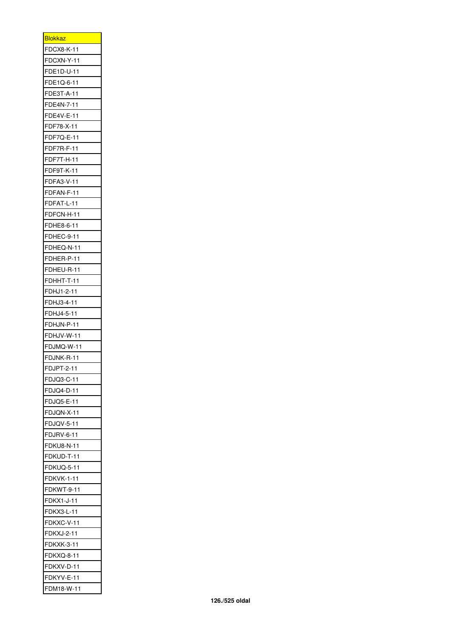| <u>Blokkaz</u>           |
|--------------------------|
| <b>FDCX8-K-11</b>        |
| FDCXN-Y-11               |
| FDE1D-U-11               |
| FDE1Q-6-11               |
| FDE3T-A-11               |
| FDE4N-7-11               |
| FDE4V-E-11               |
| FDF78-X-11               |
| FDF7Q-E-11               |
| FDF7R-F-11               |
| FDF7T-H-11               |
| FDF9T-K-11               |
| FDFA3-V-11               |
| FDFAN-F-11               |
| FDFAT-L-11               |
| FDFCN-H-11               |
| FDHE8-6-11               |
| FDHEC-9-11               |
| FDHEQ-N-11               |
| FDHER-P-11               |
| FDHEU-R-11               |
| FDHHT-T-11               |
| FDHJ1-2-11               |
| FDHJ3-4-11               |
| FDHJ4-5-11               |
| FDHJN-P-11               |
| FDHJV-W-11               |
| FDJMQ-W-11               |
| FDJNK-R-11               |
| FDJPT-2-11               |
| FDJQ3-C-11               |
| FDJQ4-D-11               |
| FDJQ5-E-11               |
| FDJQN-X-11               |
| FDJQV-5-11               |
| <b>FDJRV-6-11</b>        |
| FDKU8-N-11               |
| FDKUD-T-11               |
| <b>FDKUQ-5-11</b>        |
| FDKVK-1-11               |
| FDKWT-9-11               |
| FDKX1-J-11               |
| FDKX3-L-11               |
| FDKXC-V-11               |
| FDKXJ-2-11               |
| FDKXK-3-11               |
|                          |
|                          |
| FDKXQ-8-11               |
| FDKXV-D-11               |
| FDKYV-E-11<br>FDM18-W-11 |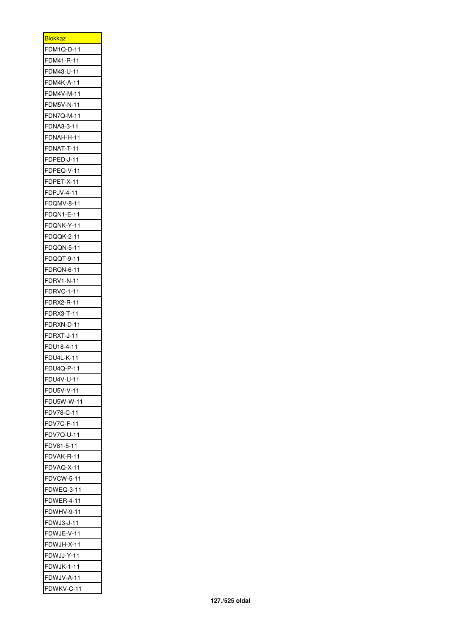| <b>Blokkaz</b>    |
|-------------------|
| DM1Q-D-11∙<br>F   |
| FDM41-R-11        |
| FDM43-U-11        |
| FDM4K-A-11        |
| FDM4V-M-11        |
| FDM5V-N-11        |
| FDN7Q-M-11        |
| FDNA3-3-11        |
| FDNAH-H-11        |
| FDNAT-T-11        |
| FDPED-J-11        |
| FDPEQ-V-11        |
| FDPET-X-11        |
| FDPJV-4-11        |
| FDQMV-8-11        |
| FDQN1-E-11        |
| FDQNK-Y-11        |
| FDQQK-2-11        |
| FDQQN-5-11        |
| FDQQT-9-11        |
|                   |
| FDRQN-6-11        |
| FDRV1-N-11        |
| FDRVC-1-11        |
| FDRX2-R-11        |
| FDRX3-T-11        |
| FDRXN-D-11        |
| FDRXT-J-11        |
| FDU18-4-11        |
| FDU4L-K-11        |
| FDU4Q-P-1         |
| FDU4V-U-11        |
| FDU5V-V-11        |
| FDU5W-W-11        |
| FDV78-C-11        |
| FDV7C-F-11        |
| FDV7Q-U-11        |
| FDV81-5-11        |
| FDVAK-R-11        |
| FDVAQ-X-11        |
| <b>FDVCW-5-11</b> |
| FDWEQ-3-11        |
| FDWER-4-11        |
| <b>FDWHV-9-11</b> |
| FDWJ3-J-11        |
| FDWJE-V-11        |
| FDWJH-X-11        |
| FDWJJ-Y-11        |
| FDWJK-1-11        |
| FDWJV-A-11        |
| FDWKV-C-11        |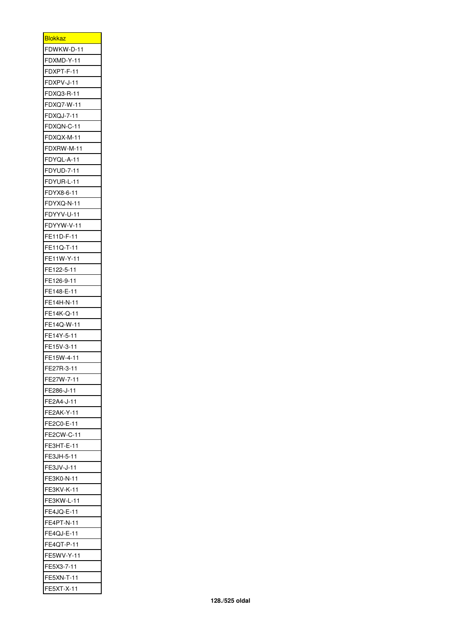| <u>Blokkaz</u> |
|----------------|
| FDWKW-D-11     |
| FDXMD-Y-11     |
| FDXPT-F-11     |
| FDXPV-J-11     |
| FDXQ3-R-11     |
| FDXQ7-W-11     |
| FDXQJ-7-11     |
| FDXQN-C-11     |
| FDXQX-M-11     |
| FDXRW-M-11     |
| FDYQL-A-11     |
| FDYUD-7-11     |
| FDYUR-L-11     |
| FDYX8-6-11     |
| FDYXQ-N-11     |
| FDYYV-U-11     |
| FDYYW-V-11     |
| FE11D-F-11     |
| FE11Q-T-11     |
| FE11W-Y-11     |
| FE122-5-11     |
| FE126-9-11     |
| FE148-E-11     |
| FE14H-N-11     |
| FE14K-Q-11     |
| FE14Q-W-11     |
| FE14Y-5-11     |
| FE15V-3-11     |
| FE15W-4-11     |
| FE27R-3-11     |
| FE27W-7-11     |
| FE286-J-11     |
| FE2A4-J-11     |
| FE2AK-Y-11     |
| FE2C0-E-11     |
| FE2CW-C-11     |
| FE3HT-E-11     |
| FE3JH-5-11     |
| FE3JV-J-11     |
| FE3K0-N-11     |
| FE3KV-K-11     |
| FE3KW-L-11     |
| FE4JQ-E-11     |
| FE4PT-N-11     |
| FE4QJ-E-11     |
| FE4QT-P-11     |
| FE5WV-Y-11     |
| FE5X3-7-11     |
| FE5XN-T-11     |
| FE5XT-X-11     |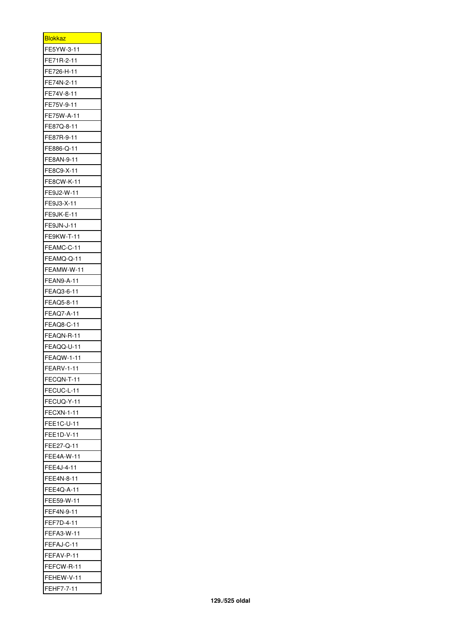| <u>Blokkaz</u>    |
|-------------------|
| FE5YW-3-11        |
| FE71R-2-11        |
| FE726-H-11        |
| FE74N-2-11        |
| FE74V-8-11        |
| FE75V-9-11        |
| FE75W-A-11        |
| FE87Q-8-11        |
| FE87R-9-11        |
| FE886-Q-11        |
| FE8AN-9-11        |
| FE8C9-X-11        |
| FE8CW-K-11        |
| FE9J2-W-11        |
| FE9J3-X-11        |
| <b>FE9JK-E-11</b> |
| FE9JN-J-11        |
| FE9KW-T-11        |
| FEAMC-C-11        |
| FEAMQ-Q-11        |
| FEAMW-W-11        |
| <b>FEAN9-A-11</b> |
|                   |
| FEAQ3-6-11        |
| FEAQ5-8-11        |
| FEAQ7-A-11        |
| FEAQ8-C-11        |
| FEAQN-R-11        |
| FEAQQ-U-11        |
| <b>FEAQW-1-11</b> |
| FEARV-1-11        |
| FECQN-T-11        |
| FECUC-L-11        |
| FECUQ-Y-11        |
| <b>FECXN-1-11</b> |
| FEE1C-U-11        |
| FEE1D-V-11        |
| FEE27-Q-11        |
| FEE4A-W-11        |
| FEE4J-4-11        |
| FEE4N-8-11        |
| FEE4Q-A-11        |
| FEE59-W-11        |
| FEF4N-9-11        |
| FEF7D-4-11        |
| FEFA3-W-11        |
| FEFAJ-C-11        |
| FEFAV-P-11        |
| FEFCW-R-11        |
| FEHEW-V-11        |
| FEHF7-7-11        |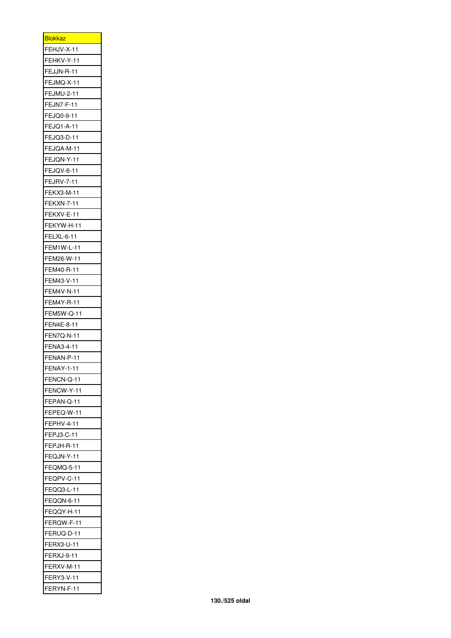| <b>Blokkaz</b>           |
|--------------------------|
| FEHJV-X-11               |
| FEHKV-Y-11               |
| FEJJN-R-11               |
| FEJMQ-X-11               |
| FEJMU-2-11               |
| FEJN7-F-11               |
| FEJQ0-9-11               |
| FEJQ1-A-11               |
| FEJQ3-D-11               |
| FEJQA-M-11               |
| FEJQN-Y-11               |
| <b>FEJQV-6-11</b>        |
| <b>FEJRV-7-11</b>        |
| FEKX3-M-11               |
| <b>FEKXN-7-11</b>        |
| FEKXV-E-11               |
| FEKYW-H-11               |
| FELXL-6-11               |
| <b>FEM1W-L-11</b>        |
| FEM26-W-11               |
| FEM40-R-11               |
| FEM43-V-11               |
| FEM4V-N-11               |
| FEM4Y-R-11               |
| FEM5W-Q-11               |
| FEN4E-8-11               |
| FEN7Q-N-11               |
| FENA3-4-11               |
| FENAN-P-11               |
|                          |
| FENAY-1-11<br>FENCN-Q-11 |
|                          |
| FENCW-Y-11               |
| FEPAN-Q-11               |
| FEPEQ-W-11               |
| FEPHV-4-11               |
| FEPJ3-C-11               |
| FEPJH-R-11               |
| FEQJN-Y-11               |
| FEQMQ-5-11               |
| FEQPV-C-11               |
| FEQQ3-L-11               |
| FEQQN-6-11               |
| FEQQY-H-11               |
| FERQW-F-11               |
| FERUQ-D-11               |
| FERX3-U-11               |
| FERXJ-9-11               |
| FERXV-M-11               |
| FERY3-V-11               |
| FERYN-F-11               |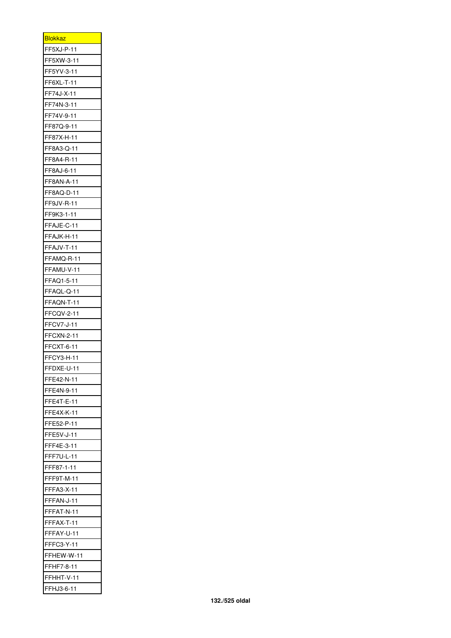| <b>Blokkaz</b>           |
|--------------------------|
| FF5XJ-P-11               |
| FF5XW-3-11               |
| FF5YV-3-11               |
| FF6XL-T-11               |
| FF74J-X-11               |
| FF74N-3-11               |
| FF74V-9-11               |
| FF87Q-9-11               |
| FF87X-H-11               |
| FF8A3-Q-11               |
| FF8A4-R-11               |
| FF8AJ-6-11               |
| FF8AN-A-11               |
| FF8AQ-D-11               |
| FF9JV-R-11               |
| FF9K3-1-11               |
| FFAJE-C-11               |
| FFAJK-H-11               |
| FFAJV-T-11               |
| FFAMQ-R-11               |
| FFAMU-V-11               |
| FFAQ1-5-11               |
| FFAQL-Q-11               |
| FFAQN-T-11               |
| FFCQV-2-11               |
| FFCV7-J-11               |
| <b>FFCXN-2-11</b>        |
| FFCXT-6-11               |
| FFCY3-H-11               |
| FFDXE-U-11               |
| FFE42-N-11               |
| FFE4N-9-11               |
| FFE4T-E-11               |
| FFE4X-K-11               |
| FFE52-P-11               |
| FFE5V-J-11               |
| FFF4E-3-11               |
| FFF7U-L-11               |
| FFF87-1-11               |
| FFF9T-M-11               |
| FFFA3-X-11               |
| FFFAN-J-11               |
| FFFAT-N-11               |
| FFFAX-T-11               |
| FFFAY-U-11               |
| FFFC3-Y-11               |
| FFHEW-W-11               |
| FFHF7-8-11               |
|                          |
| FFHHT-V-11<br>FFHJ3-6-11 |
|                          |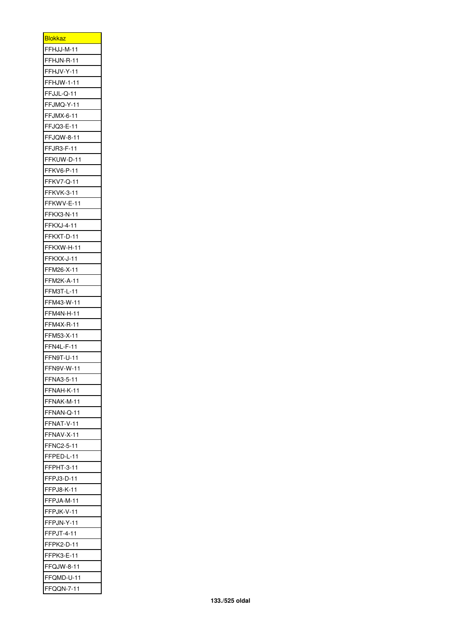| <u>Blokkaz</u>    |
|-------------------|
| FFHJJ-M-11        |
| FFHJN-R-11        |
| FFHJV-Y-11        |
| <b>FFHJW-1-11</b> |
| FFJJL-Q-11        |
| FFJMQ-Y-11        |
| FFJMX-6-11        |
| FFJQ3-E-11        |
| FFJQW-8-11        |
| FFJR3-F-11        |
| FFKUW-D-11        |
| FFKV6-P-11        |
| FFKV7-Q-11        |
| FFKVK-3-11        |
| FFKWV-E-11        |
| FFKX3-N-11        |
| <b>FFKXJ-4-11</b> |
| FFKXT-D-11        |
| FFKXW-H-11        |
| FFKXX-J-11        |
| FFM26-X-11        |
|                   |
| <b>FFM2K-A-11</b> |
| FFM3T-L-11        |
| FFM43-W-11        |
| FFM4N-H-11        |
| FFM4X-R-11        |
| FFM53-X-11        |
| FFN4L-F-11        |
| FFN9T-U-11        |
| FFN9V-W-11        |
| FFNA3-5-11        |
| FFNAH-K-11        |
| FFNAK-M-11        |
| FFNAN-Q-11        |
| FFNAT-V-11        |
| FFNAV-X-11        |
| FFNC2-5-11        |
| FFPED-L-11        |
| FFPHT-3-11        |
| FFPJ3-D-11        |
| FFPJ8-K-11        |
| FFPJA-M-11        |
| FFPJK-V-11        |
| FFPJN-Y-11        |
| FFPJT-4-11        |
| FFPK2-D-11        |
| FFPK3-E-11        |
|                   |
| FFQJW-8-11        |
| FFQMD-U-11        |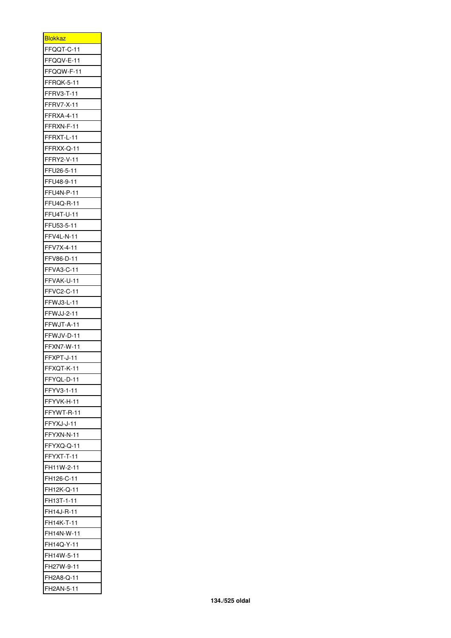| <u>Blokkaz</u>              |
|-----------------------------|
| FFQQT-C-11                  |
| FFQQV-E-11                  |
| FFQQW-F-11                  |
| FFRQK-5-11                  |
| FFRV3-T-11                  |
| <b>FFRV7-X-11</b>           |
| FFRXA-4-11                  |
| FFRXN-F-11                  |
| FFRXT-L-11                  |
| FFRXX-Q-11                  |
| FFRY2-V-11                  |
| FFU26-5-11                  |
| FFU48-9-11                  |
| FFU4N-P-11                  |
| FFU4Q-R-11                  |
| FFU4T-U-11                  |
| FFU53-5-11                  |
| FFV4L-N-11                  |
| FFV7X-4-11                  |
| FFV86-D-11                  |
| FFVA3-C-11                  |
| FFVAK-U-11                  |
| FFVC2-C-11                  |
| FFWJ3-L-11                  |
| FFWJJ-2-11                  |
| FFWJT-A-11                  |
| FFWJV-D-11                  |
| <b>FFXN7-W-11</b>           |
| FFXPT-J-11                  |
| FFXOT-K-11                  |
| FFYQL-D-11                  |
| FFYV3-1-11                  |
| FFYVK-H-11                  |
| YWT-R-11<br>FF              |
| FFYXJ-J-11                  |
| FFYXN-N-11                  |
| YXQ-Q-11 <sup>.</sup><br>FF |
| FFYXT-T-11                  |
| FH11W-2-11                  |
| FH126-C-11                  |
| FH12K-Q-11                  |
| FH13T-1-11                  |
| FH14J-R-11                  |
| FH14K-T-11                  |
| FH14N-W-11                  |
| FH14Q-Y-11                  |
| FH14W-5-11                  |
| FH27W-9-11                  |
| FH2A8-Q-11                  |
| FH2AN-5-11                  |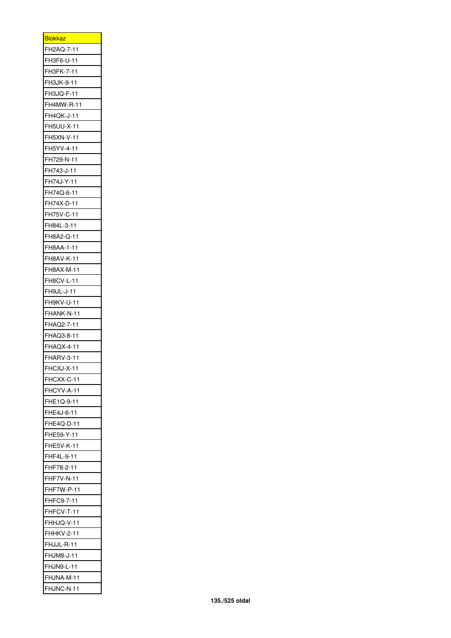| <b>Blokkaz</b>    |
|-------------------|
| FH2AQ-7-11        |
| FH3F6-U-11        |
| FH3FK-7-11        |
| FH3JK-9-11        |
| FH3JQ-F-11        |
| FH4MW-R-11        |
| <b>FH4QK-J-11</b> |
| <b>FH5UU-X-11</b> |
| FH5XN-V-11        |
| FH5YV-4-11        |
| FH729-N-11        |
| FH743-J-11        |
| FH74J-Y-11        |
| FH74Q-6-11        |
| FH74X-D-11        |
| FH75V-C-11        |
| FH84L-3-11        |
| FH8A2-Q-11        |
| FH8AA-1-11        |
| FH8AV-K-11        |
| FH8AX-M-11        |
| FH8CV-L-11        |
| FH9JL-J-11        |
| FH9KV-U-11        |
| FHANK-N-11        |
| FHAQ2-7-11        |
| FHAQ3-8-11        |
| <b>FHAQX-4-11</b> |
| <b>FHARV-3-11</b> |
| FHCXJ-X-1         |
| FHCXX-C-11        |
| FHCYV-A-11        |
| FHE1Q-9-11        |
| FHE4J-6-11        |
| FHE4Q-D-11        |
| FHE59-Y-11        |
| FHE5V-K-11        |
| FHF4L-9-11        |
| FHF78-2-11        |
| <b>FHF7V-N-11</b> |
| FHF7W-P-11        |
| FHFC9-7-11        |
| FHFCV-T-11        |
| FHHJQ-V-11        |
| <b>FHHKV-2-11</b> |
| FHJJL-R-11        |
| FHJM8-J-11        |
| HJN9-L-11<br>F    |
| FHJNA-M-11        |
| FHJNC-N-11        |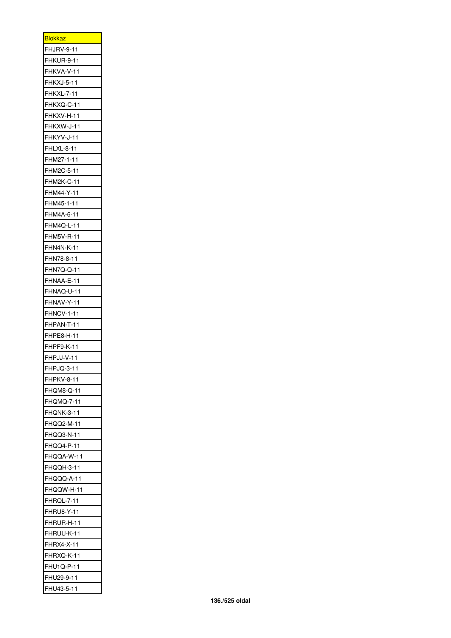| <b>Blokkaz</b>             |
|----------------------------|
| <b>FHJRV-9-11</b>          |
| FHKUR-9-11                 |
| FHKVA-V-11                 |
| FHKXJ-5-11                 |
| <b>FHKXL-7-11</b>          |
| FHKXQ-C-11                 |
| FHKXV-H-11                 |
| FHKXW-J-11                 |
| FHKYV-J-11                 |
| FHLXL-8-11                 |
| FHM27-1-11                 |
| FHM2C-5-11                 |
| FHM2K-C-11                 |
| FHM44-Y-11                 |
| FHM45-1-11                 |
| FHM4A-6-11                 |
| FHM4Q-L-11                 |
| FHM5V-R-11                 |
| FHN4N-K-11                 |
| FHN78-8-11                 |
| FHN7Q-Q-11                 |
| FHNAA-E-11                 |
| FHNAQ-U-11                 |
| FHNAV-Y-11                 |
| <b>FHNCV-1-11</b>          |
| FHPAN-T-11                 |
| FHPE8-H-11                 |
| FHPF9-K-11                 |
| FHPJJ-V-11                 |
| HPJQ-3-1 <sup>-</sup><br>F |
| <b>FHPKV-8-11</b>          |
| FHQM8-Q-11                 |
| <b>FHQMQ-7-11</b>          |
| <b>FHQNK-3-11</b>          |
| FHQQ2-M-11                 |
| FHQQ3-N-11                 |
| FHQQ4-P-11                 |
| FHQQA-W-11                 |
|                            |
| FHQQH-3-11                 |
| FHQQQ-A-11                 |
| FHQQW-H-11                 |
| FHRQL-7-11                 |
| <b>FHRU8-Y-11</b>          |
| FHRUR-H-11                 |
| FHRUU-K-11                 |
| <b>FHRX4-X-11</b>          |
| FHRXQ-K-11                 |
| FHU1Q-P-11                 |
| FHU29-9-11                 |
| FHU43-5-11                 |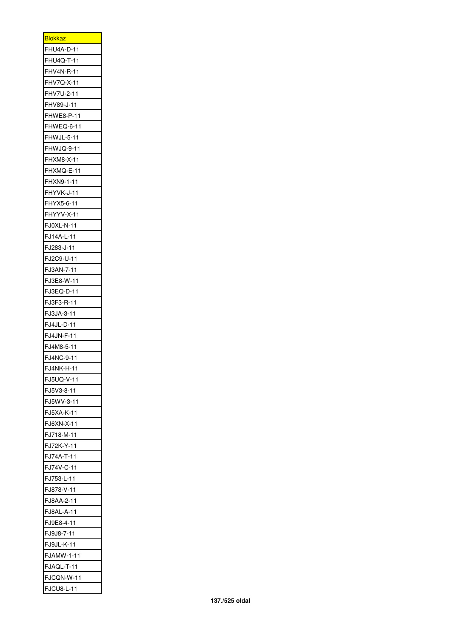| <b>Blokkaz</b>    |
|-------------------|
| FHU4A-D-11        |
| <b>FHU4Q-T-11</b> |
| <b>FHV4N-R-11</b> |
| FHV7Q-X-11        |
| FHV7U-2-11        |
| FHV89-J-11        |
| <b>FHWE8-P-11</b> |
| FHWEQ-6-11        |
| FHWJL-5-11        |
| FHWJQ-9-11        |
| <b>FHXM8-X-11</b> |
| FHXMQ-E-11        |
| FHXN9-1-11        |
| FHYVK-J-11        |
| FHYX5-6-11        |
| FHYYV-X-11        |
| <b>FJ0XL-N-11</b> |
| FJ14A-L-11        |
| FJ283-J-11        |
| FJ2C9-U-11        |
| FJ3AN-7-11        |
| FJ3E8-W-11        |
| FJ3EQ-D-11        |
| FJ3F3-R-11        |
| FJ3JA-3-11        |
| FJ4JL-D-11        |
| FJ4JN-F-11        |
| FJ4M8-5-11        |
| FJ4NC-9-11        |
| FJ4NK-H-11        |
| FJ5UQ-V-11        |
| FJ5V3-8-11        |
| FJ5WV-3-11        |
| FJ5XA-K-11        |
| FJ6XN-X-11        |
| FJ718-M-11        |
| FJ72K-Y-11        |
| FJ74A-T-11        |
| FJ74V-C-11        |
| FJ753-L-11        |
| ∙J878-V-11<br>F   |
| FJ8AA-2-11        |
| <b>FJ8AL-A-11</b> |
| FJ9E8-4-11        |
| FJ9J8-7-11        |
| FJ9JL-K-11        |
| FJAMW-1-11        |
| FJAQL-T-11        |
| FJCQN-W-11        |
| FJCU8-L-11        |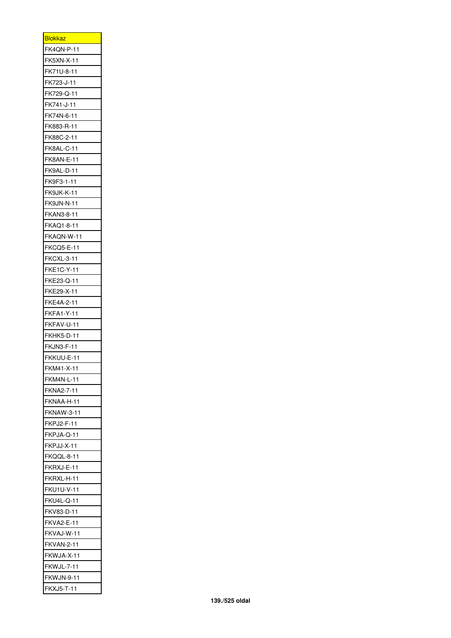| <b>Blokkaz</b>                 |
|--------------------------------|
| FK4QN-P-11                     |
| <b>FK5XN-X-11</b>              |
| FK71U-8-11                     |
| FK723-J-11                     |
| FK729-Q-11                     |
| FK741-J-11                     |
| FK74N-6-11                     |
| FK883-R-11                     |
| FK88C-2-11                     |
| FK8AL-C-11                     |
| <b>FK8AN-E-11</b>              |
| FK9AL-D-11                     |
| FK9F3-1-11                     |
| FK9JK-K-11                     |
| <b>FK9JN-N-11</b>              |
| FKAN3-8-11                     |
| FKAQ1-8-11                     |
| FKAQN-W-11                     |
| <b>FKCQ5-E-11</b>              |
| <b>FKCXL-3-11</b>              |
| FKE1C-Y-11                     |
| FKE23-Q-11                     |
| FKE29-X-11                     |
| FKE4A-2-11                     |
| <b>FKFA1-Y-11</b>              |
| FKFAV-U-11                     |
| <b>FKHK5-D-11</b>              |
| <b>FKJN3-F-11</b>              |
| KKUU-E-11<br>F                 |
|                                |
| FKM41-X-1<br><b>FKM4N-L-11</b> |
|                                |
| FKNA2-7-11                     |
| FKNAA-H-11                     |
| FKNAW-3-11                     |
| <b>FKPJ2-F-11</b>              |
| FKPJA-Q-11                     |
| FKPJJ-X-11                     |
| FKQQL-8-11                     |
| FKRXJ-E-11                     |
| FKRXL-H-11                     |
| FKU1U-V-11                     |
| <b>FKU4L-Q-11</b>              |
| FKV83-D-11                     |
| FKVA2-E-11                     |
| FKVAJ-W-11                     |
| <b>FKVAN-2-11</b>              |
| FKWJA-X-11                     |
| KWJL-7-11<br>F                 |
| FKWJN-9-11                     |
| <b>FKXJ5-T-11</b>              |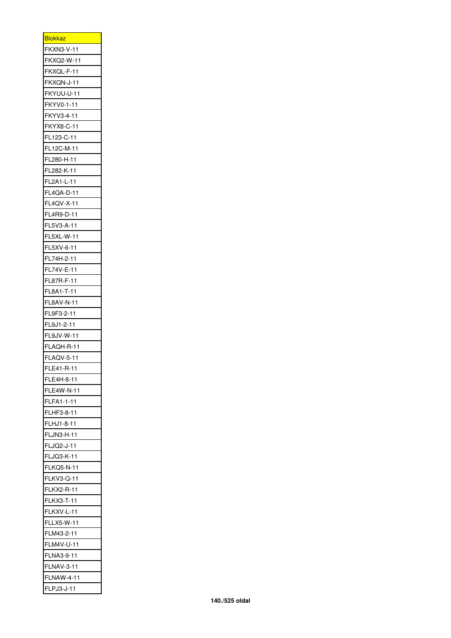| <b>Blokkaz</b>    |
|-------------------|
| FKXN3-V-11        |
| FKXQ2-W-11        |
| FKXQL-F-11        |
| FKXQN-J-11        |
| FKYUU-U-11        |
| FKYV0-1-11        |
| FKYV3-4-11        |
| FKYX8-C-11        |
| FL123-C-11        |
| FL12C-M-11        |
| FL280-H-11        |
| FL282-K-11        |
| FL2A1-L-11        |
| FL4QA-D-11        |
| FL4QV-X-11        |
| FL4R9-D-11        |
| FL5V3-A-11        |
| FL5XL-W-11        |
| FL5XV-6-11        |
| FL74H-2-11        |
| FL74V-E-11        |
| FL87R-F-11        |
| FL8A1-T-11        |
| FL8AV-N-11        |
| FL9F3-2-11        |
| FL9J1-2-11        |
| FL9JV-W-11        |
| FLAQH-R-11        |
| <b>FLAQV-5-11</b> |
| FLE41-R-11        |
| FLE4H-8-11        |
| FLE4W-N-11        |
| FLFA1-1-11        |
| FLHF3-8-11        |
| FLHJ1-8-11        |
| <b>FLJN3-H-11</b> |
| FLJQ2-J-11        |
| <b>FLJQ3-K-11</b> |
| <b>FLKQ5-N-11</b> |
| <b>FLKV3-Q-11</b> |
| <b>FLKX2-R-11</b> |
| FLKX3-T-11        |
| FLKXV-L-11        |
|                   |
| <b>FLLX5-W-11</b> |
| FLM43-2-11        |
| FLM4V-U-11        |
| FLNA3-9-11        |
| FLNAV-3-11        |
| <b>FLNAW-4-11</b> |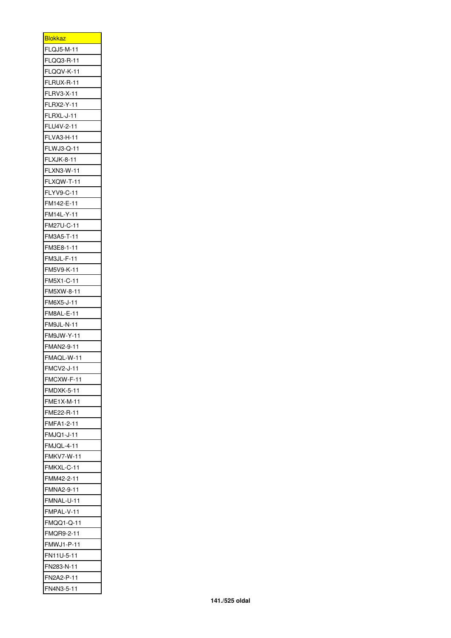| <u>Blokkaz</u>              |
|-----------------------------|
| <b>FLQJ5-M-11</b>           |
| <b>FLQQ3-R-11</b>           |
| FLQQV-K-11                  |
| FLRUX-R-11                  |
| FLRV3-X-11                  |
| FLRX2-Y-11                  |
| FLRXL-J-11                  |
| FLU4V-2-11                  |
| FLVA3-H-11                  |
| FLWJ3-Q-11                  |
| FLXJK-8-11                  |
| FLXN3-W-11                  |
| FLXQW-T-11                  |
| FLYV9-C-11                  |
| FM142-E-11                  |
| FM14L-Y-11                  |
| FM27U-C-11                  |
| FM3A5-T-11                  |
| FM3E8-1-11                  |
| <b>FM3JL-F-11</b>           |
|                             |
| FM5V9-K-11                  |
| FM5X1-C-11                  |
| FM5XW-8-11                  |
| FM6X5-J-11                  |
| FM8AL-E-11                  |
| FM9JL-N-11                  |
| FM9JW-Y-11                  |
| FMAN2-9-11                  |
| FMAQL-W-11                  |
| <b>FMCV2-J-11</b>           |
| FMCXW-F-11                  |
| <b>FMDXK-5-11</b>           |
| FME1X-M-11                  |
| FME22-R-11                  |
| <b>FMFA1-2-11</b>           |
| FMJQ1-J-11                  |
| FMJQL-4-11                  |
| <b>FMKV7-W-11</b>           |
| FMKXL-C-11                  |
| FMM42-2-11                  |
| MNA2-9-11 <sup>-</sup><br>F |
| FMNAL-U-11                  |
| FMPAL-V-11                  |
| FMQQ1-Q-11                  |
| FMQR9-2-11                  |
| <b>FMWJ1-P-11</b>           |
| FN11U-5-11                  |
| FN283-N-11                  |
| FN2A2-P-11                  |
| FN4N3-5-11                  |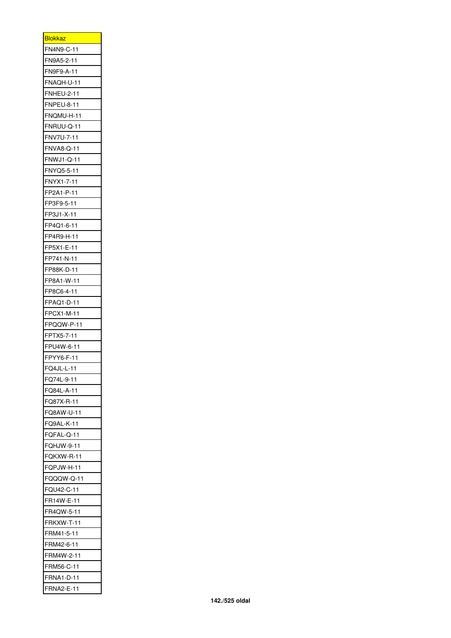| <b>Blokkaz</b>              |
|-----------------------------|
| F<br>N4N9-C-11 <sup>-</sup> |
| FN9A5-2-11                  |
| FN9F9-A-11                  |
| FNAQH-U-11                  |
| <b>FNHEU-2-11</b>           |
| FNPEU-8-11                  |
| FNQMU-H-11                  |
| FNRUU-Q-11                  |
| FNV7U-7-11                  |
| <b>FNVA8-Q-11</b>           |
| FNWJ1-Q-11                  |
| FNYQ5-5-11                  |
| FNYX1-7-11                  |
| FP2A1-P-11                  |
| FP3F9-5-11                  |
| FP3J1-X-11                  |
| FP4Q1-6-11                  |
| FP4R9-H-11                  |
| FP5X1-E-11                  |
| FP741-N-11                  |
| FP88K-D-11                  |
|                             |
| FP8A1-W-11                  |
| FP8C6-4-11                  |
| FPAQ1-D-11                  |
| FPCX1-M-11                  |
| FPQQW-P-11                  |
| FPTX5-7-11                  |
| FPU4W-6-11                  |
| FPYY6-F-11                  |
| FQ4JL-L-11                  |
| FQ74L-9-11                  |
| FQ84L-A-11                  |
| FQ87X-R-11                  |
| FQ8AW-U-11                  |
| FQ9AL-K-11                  |
| QFAL-Q-11 <sup>-</sup><br>F |
| FQHJW-9-11                  |
| FQKXW-R-11                  |
| FQPJW-H-11                  |
| FQQQW-Q-11                  |
| FQU42-C-11                  |
| FR14W-E-11                  |
| FR4QW-5-11                  |
| FRKXW-T-11                  |
| FRM41-5-11                  |
| FRM42-6-11                  |
| FRM4W-2-11                  |
| FRM56-C-11                  |
| FRNA1-D-11                  |
| <b>FRNA2-E-11</b>           |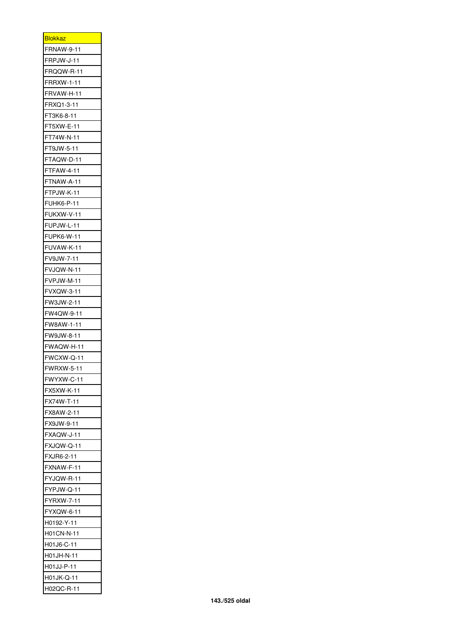| <b>Blokkaz</b>    |
|-------------------|
| <b>FRNAW-9-11</b> |
| FRPJW-J-11        |
| FRQQW-R-11        |
| FRRXW-1-11        |
| FRVAW-H-11        |
| FRXQ1-3-11        |
| T3K6-8-11<br>F    |
| T5XW-E-11<br>F    |
| T74W-N-11<br>F.   |
| T9JW-5-11<br>F    |
| FTAQW-D-11        |
| FTFAW-4-11        |
| TNAW-A-11<br>F    |
| FTPJW-K-11        |
| FUHK6-P-11        |
| FUKXW-V-11        |
| FUPJW-L-11        |
| FUPK6-W-11        |
| FUVAW-K-11        |
| V9JW-7-11<br>F    |
| FVJQW-N-11        |
| FVPJW-M-11        |
| FVXQW-3-11        |
| FW3JW-2-11        |
| FW4QW-9-11        |
| FW8AW-1-11        |
| FW9JW-8-11        |
| FWAQW-H-11        |
| F<br>WCXW-Q-11    |
| WRXW-5-1<br>I     |
| FWYXW-C-11        |
| X5XW-K-11<br>F    |
| FX74W-T-11        |
|                   |
| FX8AW-2-11        |
| FX9JW-9-11        |
| FXAQW-J-11        |
| FXJQW-Q-11        |
| FXJR6-2-11        |
| FXNAW-F-11        |
| FYJQW-R-11        |
| :YPJW-Q-11<br>F   |
| FYRXW-7-11        |
| FYXQW-6-11        |
| H0192-Y-11        |
| H01CN-N-11        |
| H01J6-C-11        |
| H01JH-N-11        |
| H01JJ-P-11        |
| H01JK-Q-11        |
| H02QC-R-11        |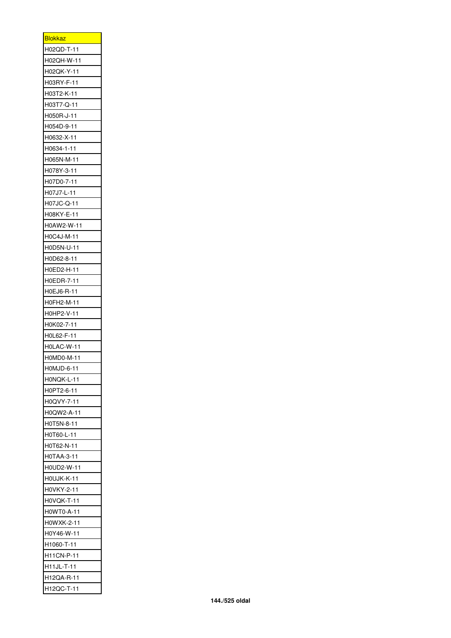| <u>Blokkaz</u>           |
|--------------------------|
| H02QD-T-11               |
| H02QH-W-11               |
| H02QK-Y-11               |
| H03RY-F-11               |
| H03T2-K-11               |
| H03T7-Q-11               |
| H050R-J-11               |
| H054D-9-11               |
| H0632-X-11               |
| H0634-1-11               |
| H065N-M-11               |
| H078Y-3-11               |
| H07D0-7-11               |
| H07J7-L-11               |
| H07JC-Q-11               |
| H08KY-E-11               |
| H0AW2-W-11               |
| H0C4J-M-11               |
| H0D5N-U-11               |
| H0D62-8-11               |
| H0ED2-H-11               |
| H0EDR-7-11               |
| H0EJ6-R-11               |
| H0FH2-M-11               |
| H0HP2-V-11               |
| H0K02-7-11               |
| H0L62-F-11               |
| H0LAC-W-11               |
| H0MD0-M-11               |
| H0MJD-6-11               |
| H0NQK-L-11               |
| H0PT2-6-11               |
| H0QVY-7-11               |
| H0QW2-A-11               |
| H0T5N-8-11               |
| H0T60-L-11               |
| H0T62-N-11               |
| H0TAA-3-11               |
| H0UD2-W-11               |
| HOUJK-K-11               |
| H0VKY-2-11               |
| H0VQK-T-11               |
| H0WT0-A-11               |
| H0WXK-2-11               |
| H0Y46-W-11               |
| H1060-T-11               |
|                          |
| H11CN-P-11<br>H11JL-T-11 |
| H12QA-R-11               |
| H12QC-T-11               |
|                          |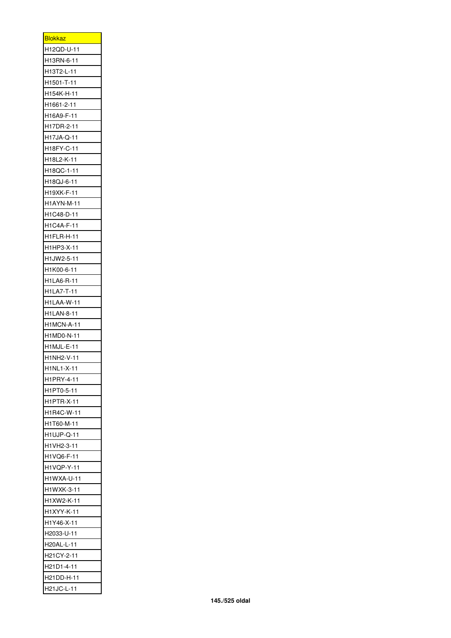| <u>Blokkaz</u>    |
|-------------------|
| H12QD-U-11        |
| H13RN-6-11        |
| H13T2-L-11        |
| H1501-T-11        |
| H154K-H-11        |
| H1661-2-11        |
| H16A9-F-11        |
| H17DR-2-11        |
| H17JA-Q-11        |
| H18FY-C-11        |
| H18L2-K-11        |
| H18QC-1-11        |
| H18QJ-6-11        |
| H19XK-F-11        |
| H1AYN-M-11        |
| H1C48-D-11        |
| H1C4A-F-11        |
| H1FLR-H-11        |
| H1HP3-X-11        |
| H1JW2-5-11        |
| H1K00-6-11        |
| H1LA6-R-11        |
| H1LA7-T-11        |
| H1LAA-W-11        |
| H1LAN-8-11        |
| H1MCN-A-11        |
| H1MD0-N-11        |
| H1MJL-E-11        |
| H1NH2-V-11        |
| H1NL1-X-11        |
| H1PRY-4-11        |
| H1PT0-5-11        |
| H1PTR-X-11        |
| H1R4C-W-11        |
| H1T60-M-11        |
| <b>H1UJP-Q-11</b> |
| H1VH2-3-11        |
| H1VQ6-F-11        |
| H1VQP-Y-11        |
| H1WXA-U-11        |
| H1WXK-3-11        |
| H1XW2-K-11        |
| H1XYY-K-11        |
| H1Y46-X-11        |
| H2033-U-11        |
| H20AL-L-11        |
| H21CY-2-11        |
| H21D1-4-11        |
| H21DD-H-11        |
| H21JC-L-11        |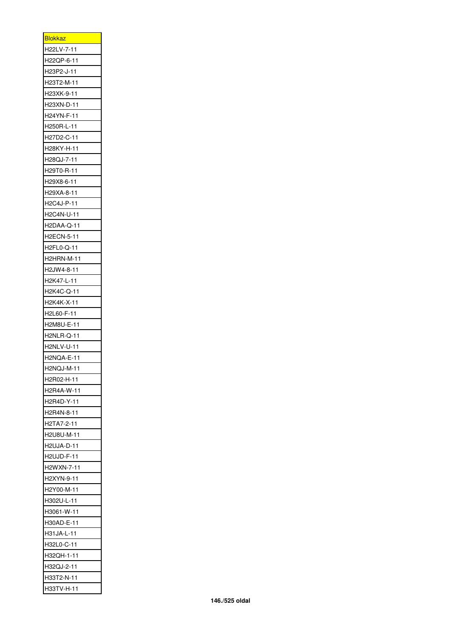| <b>Blokkaz</b>           |
|--------------------------|
| H22LV-7-11               |
| H22QP-6-11               |
| H23P2-J-11               |
| H23T2-M-11               |
| H23XK-9-11               |
| H23XN-D-11               |
| H24YN-F-11               |
| H250R-L-11               |
| H27D2-C-11               |
| H28KY-H-11               |
| H28QJ-7-11               |
| H29T0-R-11               |
| H29X8-6-11               |
| H29XA-8-11               |
| H2C4J-P-11               |
| H2C4N-U-11               |
| H2DAA-Q-11               |
| H2ECN-5-11               |
| H2FL0-Q-11               |
| H2HRN-M-11               |
| H2JW4-8-11               |
| H2K47-L-11               |
| H2K4C-Q-11               |
| H2K4K-X-11               |
| H2L60-F-11               |
| H2M8U-E-11               |
| <b>H2NLR-Q-11</b>        |
| H2NLV-U-11               |
| H2NQA-E-11               |
| H2NQJ-M-1<br>1           |
| H2R02-H-11               |
| H2R4A-W-11               |
| H2R4D-Y-11               |
| H2R4N-8-11               |
| H2TA7-2-11               |
| H2U8U-M-11               |
| H2UJA-D-11               |
| <b>H2UJD-F-11</b>        |
| H2WXN-7-11               |
| H2XYN-9-11               |
| H2Y00-M-11               |
|                          |
| H302U-L-11<br>H3061-W-11 |
|                          |
| H30AD-E-11<br>H31JA-L-11 |
| H32L0-C-11               |
|                          |
| H32QH-1-11               |
| H32QJ-2-11               |
| H33T2-N-11               |
| H33TV-H-11               |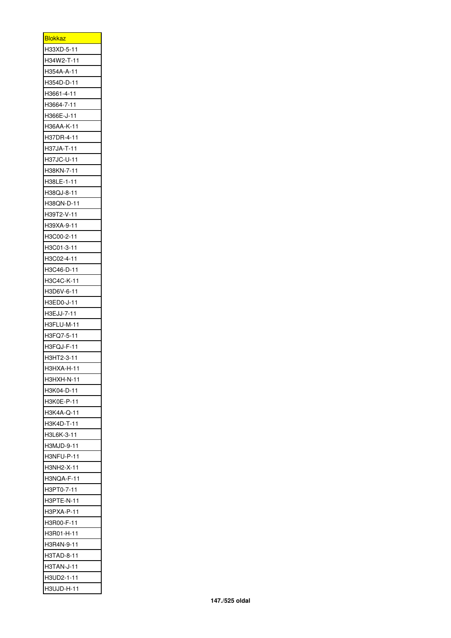| <u>Blokkaz</u> |
|----------------|
| H33XD-5-11     |
| H34W2-T-11     |
| H354A-A-11     |
| H354D-D-11     |
| H3661-4-11     |
| H3664-7-11     |
| H366E-J-11     |
| H36AA-K-11     |
| H37DR-4-11     |
| H37JA-T-11     |
| H37JC-U-11     |
| H38KN-7-11     |
| H38LE-1-11     |
| H38QJ-8-11     |
| H38QN-D-11     |
| H39T2-V-11     |
| H39XA-9-11     |
| H3C00-2-11     |
| H3C01-3-11     |
| H3C02-4-1<br>1 |
| H3C46-D-11     |
| H3C4C-K-11     |
| H3D6V-6-11     |
| H3ED0-J-11     |
| H3EJJ-7-11     |
| H3FLU-M-11     |
| H3FQ7-5-11     |
| H3FQJ-F-11     |
| H3HT2-3-11     |
|                |
| H3HXA-H-1<br>1 |
| H3HXH-N-11     |
| H3K04-D-11     |
| H3K0E-P-11     |
| H3K4A-Q-11     |
| H3K4D-T-11     |
| H3L6K-3-11     |
| H3MJD-9-11     |
| H3NFU-P-11     |
| H3NH2-X-11     |
| H3NQA-F-11     |
| H3PT0-7-11     |
| H3PTE-N-11     |
| H3PXA-P-11     |
| H3R00-F-11     |
| H3R01-H-11     |
| H3R4N-9-11     |
| H3TAD-8-11     |
| H3TAN-J-11     |
| H3UD2-1-11     |
| H3UJD-H-11     |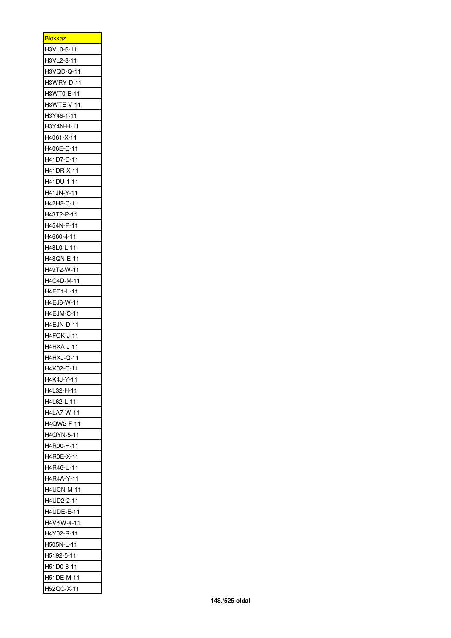| <u>Blokkaz</u>           |
|--------------------------|
| H3VL0-6-11               |
| H3VL2-8-11               |
| H3VQD-Q-11               |
| H3WRY-D-11               |
| H3WT0-E-11               |
| H3WTE-V-11               |
| H3Y46-1-11               |
| H3Y4N-H-11               |
| H4061-X-11               |
| H406E-C-11               |
| H41D7-D-11               |
| H41DR-X-11               |
| H41DU-1-11               |
| H41JN-Y-11               |
| H42H2-C-11               |
| H43T2-P-11               |
| H454N-P-11               |
| H4660-4-11               |
| H48L0-L-11               |
| H48QN-E-11               |
| H49T2-W-11               |
| H4C4D-M-11               |
| H4ED1-L-11               |
| H4EJ6-W-11               |
| H4EJM-C-11               |
| H4EJN-D-11               |
| H4FQK-J-11               |
| H4HXA-J-11               |
| <b>H4HXJ-Q-11</b>        |
|                          |
| H4K02-C-11<br>H4K4J-Y-11 |
|                          |
| H4L32-H-11               |
| H4L62-L-11               |
| H4LA7-W-11               |
| H4QW2-F-11               |
| H4QYN-5-11               |
| H4R00-H-11               |
| H4R0E-X-11               |
| H4R46-U-11               |
| H4R4A-Y-11               |
| H4UCN-M-11               |
| H4UD2-2-11               |
| H4UDE-E-11               |
| H4VKW-4-11               |
| H4Y02-R-11               |
| H505N-L-11               |
| H5192-5-11               |
| H51D0-6-11               |
| H51DE-M-11               |
| H52QC-X-11               |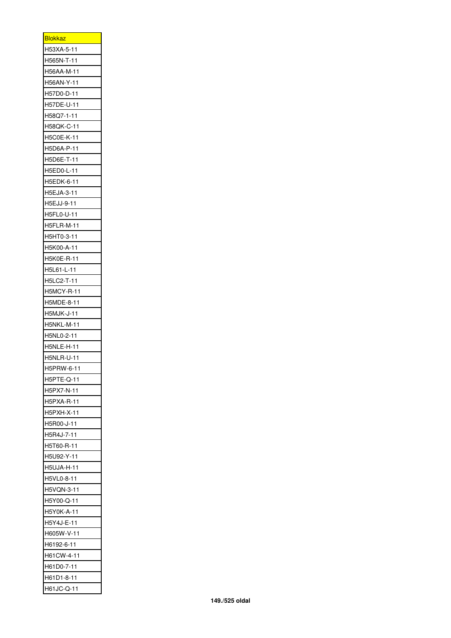| <b>Blokkaz</b>    |
|-------------------|
| H53XA-5-11        |
| H565N-T-11        |
| H56AA-M-11        |
| H56AN-Y-11        |
| H57D0-D-11        |
| H57DE-U-11        |
| H58Q7-1-11        |
| H58QK-C-11        |
| H5C0E-K-11        |
| H5D6A-P-11        |
| H5D6E-T-11        |
| H5ED0-L-11        |
| H5EDK-6-11        |
| H5EJA-3-11        |
| H5EJJ-9-11        |
| H5FL0-U-11        |
| H5FLR-M-11        |
| H5HT0-3-11        |
| H5K00-A-11        |
| H5K0E-R-11        |
|                   |
| H5L61-L-11        |
| H5LC2-T-11        |
| <b>H5MCY-R-11</b> |
| H5MDE-8-11        |
| H5MJK-J-11        |
| H5NKL-M-11        |
| H5NL0-2-11        |
| H5NLE-H-11        |
| H5NLR-U-11        |
| H5PRW-6-11        |
| H5PTE-Q-11        |
| H5PX7-N-11        |
| H5PXA-R-11        |
| H5PXH-X-11        |
| H5R00-J-11        |
| H5R4J-7-11        |
| H5T60-R-11        |
| H5U92-Y-11        |
| H5UJA-H-11        |
| H5VL0-8-11        |
| H5VQN-3-11        |
| H5Y00-Q-11        |
| H5Y0K-A-11        |
| H5Y4J-E-11        |
| H605W-V-11        |
| H6192-6-11        |
| H61CW-4-11        |
| H61D0-7-11        |
| H61D1-8-11        |
|                   |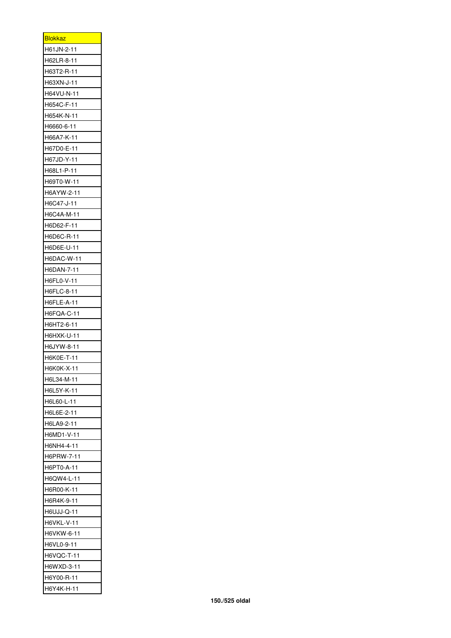| <u>Blokkaz</u>           |
|--------------------------|
| H61JN-2-11               |
| H62LR-8-11               |
| H63T2-R-11               |
| H63XN-J-11               |
| H64VU-N-11               |
| H654C-F-11               |
| H654K-N-11               |
| H6660-6-11               |
| H66A7-K-11               |
| H67D0-E-11               |
| H67JD-Y-11               |
| H68L1-P-11               |
| H69T0-W-11               |
| H6AYW-2-11               |
| H6C47-J-11               |
| H6C4A-M-11               |
| H6D62-F-11               |
| H6D6C-R-11               |
| H6D6E-U-11               |
| H6DAC-W-11               |
| H6DAN-7-11               |
| H6FL0-V-11               |
| H6FLC-8-11               |
| H6FLE-A-11               |
|                          |
| H6FQA-C-11<br>H6HT2-6-11 |
| H6HXK-U-11               |
| H6JYW-8-11               |
| H6K0E-T-11               |
|                          |
| H6K0K-X-1                |
| H6L34-M-11               |
| H6L5Y-K-11               |
| H6L60-L-11               |
| H6L6E-2-11               |
| H6LA9-2-11               |
| H6MD1-V-11               |
| H6NH4-4-11               |
| H6PRW-7-11               |
| H6PT0-A-11               |
| H6QW4-L-11               |
| H6R00-K-11               |
| H6R4K-9-11               |
| <b>H6UJJ-Q-11</b>        |
| <b>H6VKL-V-11</b>        |
| H6VKW-6-11               |
| H6VL0-9-11               |
| H6VQC-T-11               |
| H6WXD-3-11               |
| H6Y00-R-11               |
| H6Y4K-H-11               |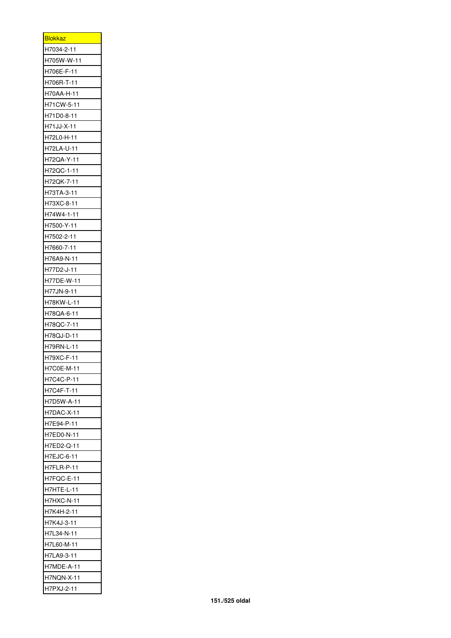| <u>Blokkaz</u>    |
|-------------------|
| H7034-2-11        |
| H705W-W-11        |
| H706E-F-11        |
| H706R-T-11        |
| H70AA-H-11        |
| H71CW-5-11        |
| H71D0-8-11        |
| H71JJ-X-11        |
| H72L0-H-11        |
| H72LA-U-11        |
| H72QA-Y-11        |
| H72QC-1-11        |
| H72QK-7-11        |
| H73TA-3-11        |
| H73XC-8-11        |
| H74W4-1-11        |
| H7500-Y-11        |
|                   |
| H7502-2-11        |
| H7660-7-11        |
| H76A9-N-11        |
| H77D2-J-11        |
| H77DE-W-11        |
| H77JN-9-11        |
| H78KW-L-11        |
| H78QA-6-11        |
| H78QC-7-11        |
| H78QJ-D-11        |
| H79RN-L-11        |
| H79XC-F-11        |
| H7C0E-M-11        |
| H7C4C-P-11        |
| H7C4F-T-11        |
| H7D5W-A-11        |
| H7DAC-X-11        |
| H7E94-P-11        |
| H7ED0-N-11        |
| H7ED2-Q-11        |
| <b>H7EJC-6-11</b> |
| H7FLR-P-11        |
| H7FQC-E-11        |
| H7HTE-L-11        |
| <b>H7HXC-N-11</b> |
| H7K4H-2-11        |
| H7K4J-3-11        |
| H7L34-N-11        |
| H7L60-M-11        |
|                   |
| H7LA9-3-11        |
| H7MDE-A-11        |
| H7NQN-X-11        |
| H7PXJ-2-11        |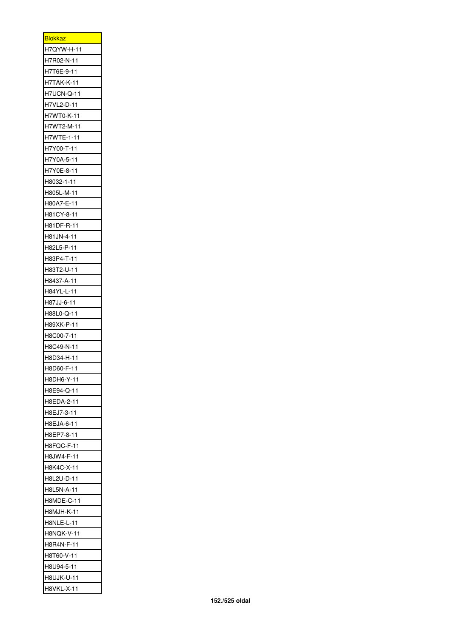| <b>Blokkaz</b>    |
|-------------------|
| H7QYW-H-11        |
| H7R02-N-11        |
| H7T6E-9-11        |
|                   |
| H7TAK-K-11        |
| H7UCN-Q-11        |
| H7VL2-D-11        |
| H7WT0-K-11        |
| H7WT2-M-11        |
| H7WTE-1-11        |
| H7Y00-T-11        |
| H7Y0A-5-11        |
| H7Y0E-8-11        |
| H8032-1-11        |
| H805L-M-11        |
| H80A7-E-11        |
| H81CY-8-11        |
| H81DF-R-11        |
| H81JN-4-11        |
| H82L5-P-11        |
| H83P4-T-11        |
| H83T2-U-11        |
| H8437-A-11        |
| H84YL-L-11        |
| H87JJ-6-11        |
| H88L0-Q-11        |
| H89XK-P-11        |
| H8C00-7-11        |
| H8C49-N-11        |
| H8D34-H-11        |
| H8D60-F-1<br>1    |
| H8DH6-Y-11        |
| H8E94-Q-11        |
| H8EDA-2-11        |
| H8EJ7-3-11        |
| H8EJA-6-11        |
| H8EP7-8-11        |
| H8FQC-F-11        |
| H8JW4-F-11        |
| H8K4C-X-11        |
| H8L2U-D-11        |
| H8L5N-A-11        |
|                   |
| H8MDE-C-11        |
| <b>H8MJH-K-11</b> |
| <b>H8NLE-L-11</b> |
| H8NQK-V-11        |
| H8R4N-F-11        |
| H8T60-V-11        |
| H8U94-5-11        |
| H8UJK-U-11        |
| <b>H8VKL-X-11</b> |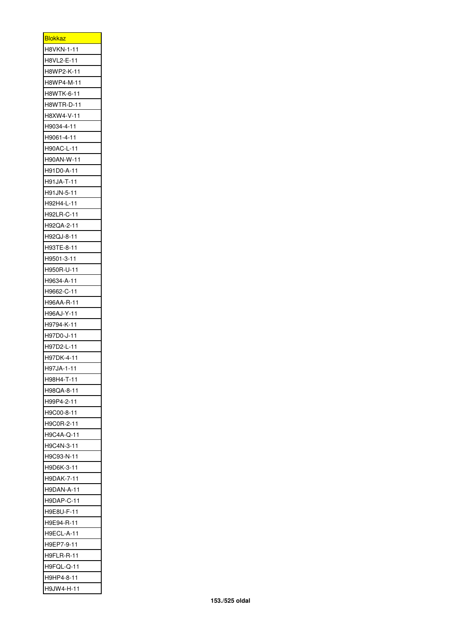| <b>Blokkaz</b> |
|----------------|
| H8VKN-1-11     |
| H8VL2-E-11     |
| H8WP2-K-11     |
| H8WP4-M-11     |
| H8WTK-6-11     |
| H8WTR-D-11     |
| H8XW4-V-11     |
| H9034-4-11     |
| H9061-4-11     |
| H90AC-L-11     |
| H90AN-W-11     |
| H91D0-A-11     |
| H91JA-T-11     |
| H91JN-5-11     |
| H92H4-L-11     |
| H92LR-C-11     |
| H92QA-2-11     |
| H92QJ-8-11     |
| H93TE-8-11     |
| H9501-3-11     |
| H950R-U-11     |
| H9634-A-11     |
| H9662-C-11     |
| H96AA-R-11     |
| H96AJ-Y-11     |
| H9794-K-11     |
| H97D0-J-11     |
| H97D2-L-11     |
| H97DK-4-11     |
| H97JA-1-11     |
| H98H4-T-11     |
| H98QA-8-11     |
| H99P4-2-11     |
|                |
| H9C00-8-11     |
| H9C0R-2-11     |
| H9C4A-Q-11     |
| H9C4N-3-11     |
| H9C93-N-11     |
| H9D6K-3-11     |
| H9DAK-7-11     |
| H9DAN-A-11     |
| H9DAP-C-11     |
| H9E8U-F-11     |
| H9E94-R-11     |
| H9ECL-A-11     |
| H9EP7-9-11     |
| H9FLR-R-11     |
| H9FQL-Q-11     |
| H9HP4-8-11     |
| H9JW4-H-11     |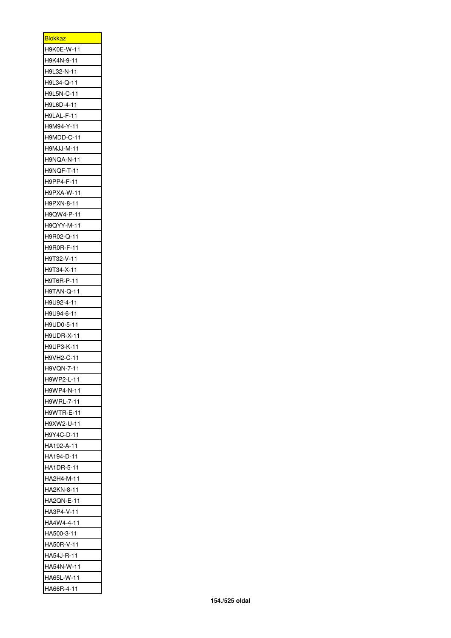| <u>Blokkaz</u>    |
|-------------------|
| H9K0E-W-11        |
| H9K4N-9-11        |
| H9L32-N-11        |
| H9L34-Q-11        |
| H9L5N-C-11        |
| H9L6D-4-11        |
| H9LAL-F-11        |
| H9M94-Y-11        |
| H9MDD-C-11        |
| H9MJJ-M-11        |
| H9NQA-N-11        |
| <b>H9NQF-T-11</b> |
| H9PP4-F-11        |
| H9PXA-W-11        |
| H9PXN-8-11        |
| H9QW4-P-11        |
| H9QYY-M-11        |
| H9R02-Q-11        |
| H9R0R-F-11        |
| H9T32-V-1<br>1    |
| H9T34-X-11        |
| H9T6R-P-11        |
| H9TAN-Q-11        |
| H9U92-4-11        |
|                   |
| H9U94-6-11        |
| H9UD0-5-11        |
| H9UDR-X-11        |
| H9UP3-K-11        |
| H9VH2-C-11        |
| 19VQN-7-1<br>ŀ    |
| H9WP2-L-11        |
| H9WP4-N-11        |
| H9WRL-7-11        |
| H9WTR-E-11        |
| H9XW2-U-11        |
| H9Y4C-D-11        |
| HA192-A-11        |
| HA194-D-11        |
| HA1DR-5-11        |
| HA2H4-M-11        |
| HA2KN-8-11        |
| HA2QN-E-11        |
| HA3P4-V-11        |
| HA4W4-4-11        |
| HA500-3-11        |
| HA50R-V-11        |
| HA54J-R-11        |
| HA54N-W-11        |
| HA65L-W-11        |
| HA66R-4-11        |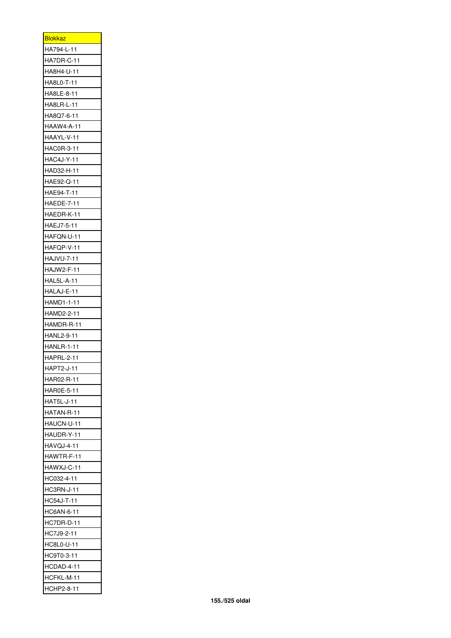| <u>Blokkaz</u>           |
|--------------------------|
| HA794-L-11               |
| HA7DR-C-11               |
| HA8H4-U-11               |
| HA8L0-T-11               |
| HA8LE-8-11               |
| HA8LR-L-11               |
| HA8Q7-6-11               |
| HAAW4-A-11               |
| HAAYL-V-11               |
| HAC0R-3-11               |
| HAC4J-Y-11               |
| HAD32-H-11               |
| HAE92-Q-11               |
| HAE94-T-11               |
| HAEDE-7-11               |
| HAEDR-K-11               |
| HAEJ7-5-11               |
| HAFQN-U-11               |
| HAFQP-V-11               |
| <b>HAJVU-7-11</b>        |
| <b>HAJW2-F-11</b>        |
| <b>HAL5L-A-11</b>        |
| HALAJ-E-11               |
| HAMD1-1-11               |
| HAMD2-2-11               |
| HAMDR-R-11               |
| HANL2-9-11               |
| <b>HANLR-1-11</b>        |
| HAPRL-2-11               |
| HAPT2-J-11               |
| HAR02-R-11               |
| HAR0E-5-11               |
| <b>HAT5L-J-11</b>        |
| HATAN-R-11               |
| HAUCN-U-11               |
| HAUDR-Y-11               |
| HAVQJ-4-11               |
| HAWTR-F-11               |
| HAWXJ-C-11               |
| HC032-4-11               |
| HC3RN-J-11               |
| HC54J-T-11               |
| HC6AN-6-11               |
| HC7DR-D-11               |
| HC7J9-2-11               |
| HC8L0-U-11               |
| HC9T0-3-11               |
| HCDAD-4-11               |
|                          |
| HCFKL-M-11<br>HCHP2-8-11 |
|                          |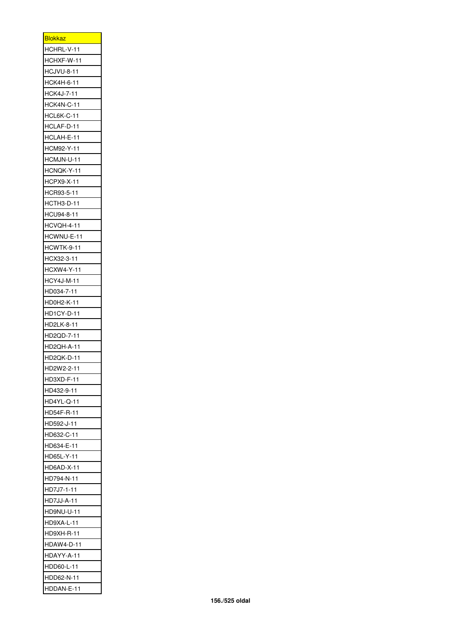| <b>Blokkaz</b>    |
|-------------------|
| HCHRL-V-11        |
| HCHXF-W-11        |
|                   |
| <b>HCJVU-8-11</b> |
| HCK4H-6-11        |
| <b>HCK4J-7-11</b> |
| HCK4N-C-11        |
| HCL6K-C-11        |
| HCLAF-D-11        |
| HCLAH-E-11        |
| HCM92-Y-11        |
| HCMJN-U-11        |
| HCNQK-Y-11        |
| <b>HCPX9-X-11</b> |
| HCR93-5-11        |
| HCTH3-D-11        |
| HCU94-8-11        |
| HCVQH-4-11        |
| HCWNU-E-11        |
| HCWTK-9-11        |
| HCX32-3-11        |
| HCXW4-Y-11        |
| HCY4J-M-11        |
| HD034-7-11        |
| HD0H2-K-11        |
| HD1CY-D-11        |
| HD2LK-8-11        |
| HD2QD-7-11        |
| HD2QH-A-11        |
| HD2QK-D-11        |
| HD2W2-2-11        |
| HD3XD-F-11        |
| HD432-9-11        |
| HD4YL-Q-11        |
| HD54F-R-11        |
| HD592-J-11        |
| HD632-C-11        |
|                   |
| HD634-E-11        |
| HD65L-Y-11        |
| HD6AD-X-11        |
| HD794-N-11        |
| HD7J7-1-11        |
| HD7JJ-A-11        |
| HD9NU-U-11        |
| HD9XA-L-11        |
| HD9XH-R-11        |
| <b>HDAW4-D-11</b> |
| HDAYY-A-11        |
| HDD60-L-11        |
| HDD62-N-11        |
| HDDAN-E-11        |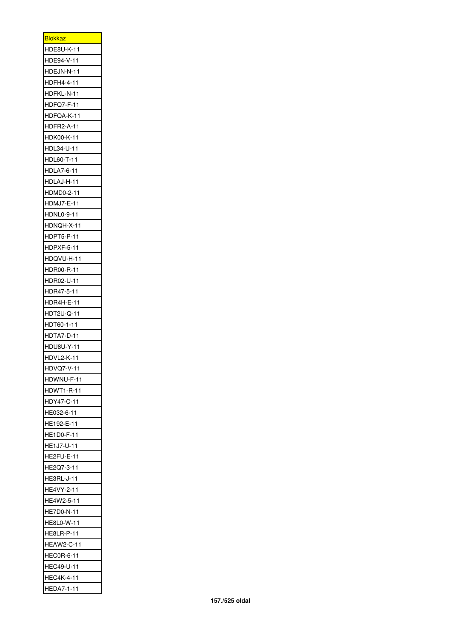| <b>Blokkaz</b>    |
|-------------------|
| HDE8U-K-11        |
| HDE94-V-11        |
| HDEJN-N-11        |
| HDFH4-4-11        |
| HDFKL-N-11        |
| HDFQ7-F-11        |
| HDFQA-K-11        |
| <b>HDFR2-A-11</b> |
| HDK00-K-11        |
| HDL34-U-11        |
| HDL60-T-11        |
| HDLA7-6-11        |
| HDLAJ-H-11        |
| HDMD0-2-11        |
| <b>HDMJ7-E-11</b> |
| HDNL0-9-11        |
| HDNQH-X-11        |
| HDPT5-P-11        |
| HDPXF-5-11        |
| HDQVU-H-11        |
| HDR00-R-11        |
| HDR02-U-11        |
| HDR47-5-11        |
| HDR4H-E-11        |
| HDT2U-Q-11        |
|                   |
| HDT60-1-11        |
| HDTA7-D-11        |
| HDU8U-Y-11        |
| <b>HDVL2-K-11</b> |
| HDVQ7-V-1<br>ŀ    |
| HDWNU-F-11        |
| HDWT1-R-11        |
| HDY47-C-11        |
| HE032-6-11        |
| HE192-E-11        |
| HE1D0-F-11        |
| HE1J7-U-11        |
| HE2FU-E-11        |
| HE2Q7-3-11        |
| HE3RL-J-11        |
| HE4VY-2-11        |
| HE4W2-5-11        |
| HE7D0-N-11        |
| HE8L0-W-11        |
| HE8LR-P-11        |
| <b>HEAW2-C-11</b> |
| HEC0R-6-11        |
| HE<br>EC49-U-11   |
| HEC4K-4-11        |
| <b>HEDA7-1-11</b> |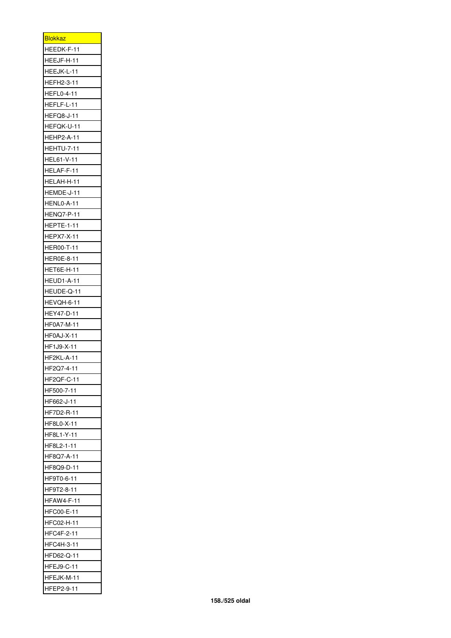| <b>Blokkaz</b>              |
|-----------------------------|
| HEEDK-F-11                  |
| HEEJF-H-11                  |
| HEEJK-L-11                  |
| HEFH2-3-11                  |
| <b>HEFL0-4-11</b>           |
| HEFLF-L-11                  |
| HEFQ8-J-11                  |
| HEFQK-U-11                  |
| <b>HEHP2-A-11</b>           |
| HEHTU-7-11                  |
| <b>HEL61-V-11</b>           |
| HELAF-F-11                  |
| HELAH-H-11                  |
| HEMDE-J-11                  |
| HENL0-A-11                  |
| HENQ7-P-11                  |
| <b>HEPTE-1-11</b>           |
|                             |
| HEPX7-X-11                  |
| <b>HER00-T-11</b>           |
| <b>HER0E-8-11</b>           |
| HET6E-H-11                  |
| HEUD1-A-11                  |
| HEUDE-Q-11                  |
| HEVQH-6-11                  |
| HEY47-D-11                  |
| HF0A7-M-11                  |
| HF0AJ-X-11                  |
| HF1J9-X-11                  |
| HF2KL-A-11                  |
| HF2Q7-4-11                  |
| HF2QF-C-11                  |
| HF500-7-11                  |
| HF662-J-11                  |
| HF7D2-R-11                  |
| HF8L0-X-11                  |
| HF8L1-Y-11                  |
| HF8L2-1-11                  |
| HF8Q7-A-11                  |
| HF8Q9-D-11                  |
|                             |
| HF9T0-6-11                  |
| HF9T2-8-11                  |
| HFAW4-F-11                  |
| HFC00-E-11                  |
| HFC02-H-11                  |
| HFC4F-2-11                  |
| <sup>:</sup> C4H-3-11<br>HF |
| HFD62-Q-11                  |
| HFEJ9-C-11                  |
| HFEJK-M-11                  |
| HFEP2-9-11                  |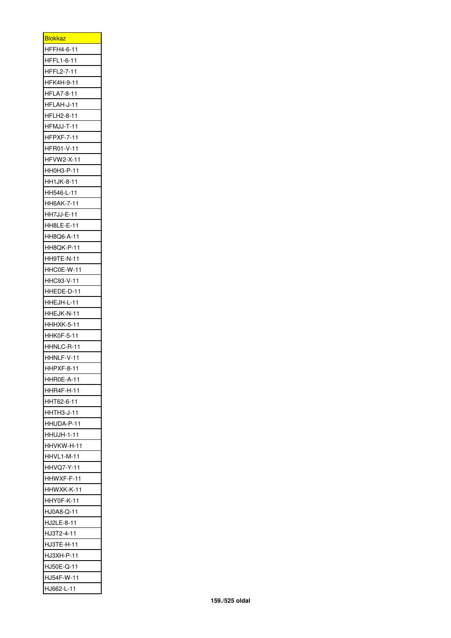| <b>Blokkaz</b>    |
|-------------------|
| <b>HFFH4-6-11</b> |
| <b>HFFL1-6-11</b> |
| HFFL2-7-11        |
| HFK4H-9-11        |
| <b>HFLA7-8-11</b> |
| HFLAH-J-11        |
| HFLH2-8-11        |
| HFMJJ-T-11        |
| <b>HFPXF-7-11</b> |
| HFR01-V-11        |
| <b>HFVW2-X-11</b> |
| HH0H3-P-11        |
| HH1JK-8-11        |
| HH546-L-11        |
| HH6AK-7-11        |
| HH7JJ-E-11        |
| HH8LE-E-11        |
| HH8Q6-A-11        |
| HH8QK-P-11        |
| HH9TE-N-11        |
| HHC0E-W-11        |
| HHC93-V-11        |
| HHEDE-D-11        |
| HHEJH-L-11        |
| HHEJK-N-11        |
| HHHXK-5-11        |
| HHK0F-5-11        |
| HHNLC-R-11        |
| HHNLF-V-11        |
| HPXF-8-1<br>ŀ     |
| HHR0E-A-11        |
| HHR4F-H-11        |
| HHT62-6-11        |
| HHTH3-J-11        |
| HHUDA-P-11        |
| <b>HHUJH-1-11</b> |
| HHVKW-H-11        |
| HHVL1-M-11        |
| <b>HHVQ7-Y-11</b> |
| HHWXF-F-11        |
| HHWXK-K-11        |
| HHY0F-K-11        |
| HJ0A8-Q-11        |
| HJ2LE-8-11        |
| HJ3T2-4-11        |
| HJ3TE-H-11        |
| HJ3XH-P-11        |
| HJ50E-Q-11        |
| HJ54F-W-11        |
| HJ662-L-11        |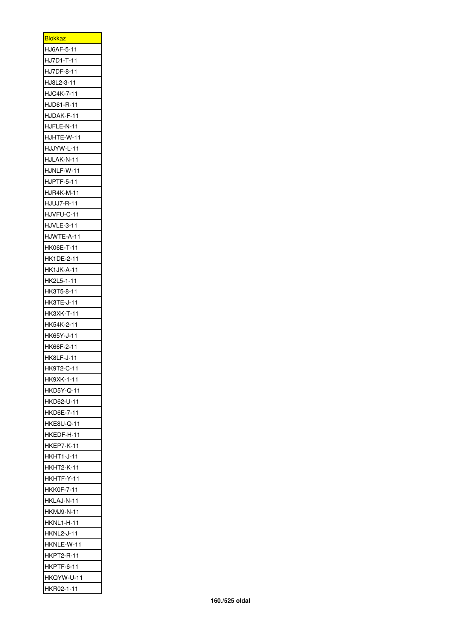| <b>Blokkaz</b>    |
|-------------------|
| HJ6AF-5-11        |
| HJ7D1-T-11        |
| HJ7DF-8-11        |
| HJ8L2-3-11        |
| HJC4K-7-11        |
| HJD61-R-11        |
| HJDAK-F-11        |
| HJFLE-N-11        |
| HJHTE-W-11        |
| HJJYW-L-11        |
| HJLAK-N-11        |
| HJNLF-W-11        |
| <b>HJPTF-5-11</b> |
| <b>HJR4K-M-11</b> |
| <b>HJUJ7-R-11</b> |
| HJVFU-C-11        |
| <b>HJVLE-3-11</b> |
| HJWTE-A-11        |
| HK06E-T-11        |
| HK1DE-2-11        |
| HK1JK-A-11        |
| HK2L5-1-11        |
| HK3T5-8-11        |
| HK3TE-J-11        |
| HK3XK-T-11        |
| HK54K-2-11        |
| HK65Y-J-11        |
| HK66F-2-11        |
| <b>HK8LF-J-11</b> |
| HK9T2-C-11        |
| HK9XK-1-11        |
| <b>HKD5Y-Q-11</b> |
| HKD62-U-11        |
| HKD6E-7-11        |
| HKE8U-Q-11        |
| HKEDF-H-11        |
| <b>HKEP7-K-11</b> |
| <b>HKHT1-J-11</b> |
| <b>HKHT2-K-11</b> |
| HKHTF-Y-11        |
| <b>HKK0F-7-11</b> |
| HKLAJ-N-11        |
| HKMJ9-N-11        |
| HKNL1-H-11        |
| <b>HKNL2-J-11</b> |
| HKNLE-W-11        |
| <b>HKPT2-R-11</b> |
| HKPTF-6-11        |
| HKQYW-U-11        |
| HKR02-1-11        |
|                   |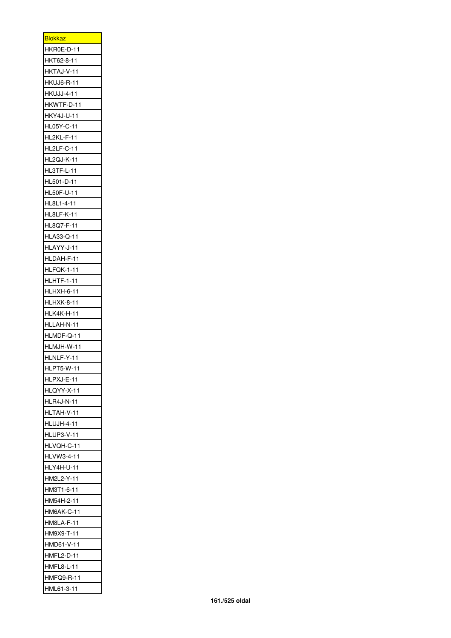| <b>Blokkaz</b>    |
|-------------------|
| HKR0E-D-11        |
| HKT62-8-11        |
| HKTAJ-V-11        |
| HKUJ6-R-11        |
| <b>HKUJJ-4-11</b> |
| HKWTF-D-11        |
| <b>HKY4J-U-11</b> |
| HL05Y-C-11        |
| HL2KL-F-11        |
| HL2LF-C-11        |
| <b>HL2QJ-K-11</b> |
| HL3TF-L-11        |
| HL501-D-11        |
| HL50F-U-11        |
| HL8L1-4-11        |
| HL8LF-K-11        |
| HL8Q7-F-11        |
| HLA33-Q-11        |
| HLAYY-J-11        |
| HLDAH-F-11        |
| HLFQK-1-11        |
| HLHTF-1-11        |
| HLHXH-6-11        |
| HLHXK-8-11        |
| HLK4K-H-11        |
| HLLAH-N-11        |
| HLMDF-Q-11        |
| HLMJH-W-11        |
| HLNLF-Y-11        |
| HLPT5-W-11        |
| HLPXJ-E-11        |
| HLQYY-X-11        |
| HLR4J-N-11        |
| HLTAH-V-11        |
| HLUJH-4-11        |
| <b>HLUP3-V-11</b> |
| HLVQH-C-11        |
| HLVW3-4-11        |
| HLY4H-U-11        |
| HM2L2-Y-11        |
| HM3T1-6-11        |
| HM54H-2-11        |
| HM6AK-C-11        |
| HM8LA-F-11        |
| HM9X9-T-11        |
| HMD61-V-11        |
| HMFL2-D-11        |
| HMFL8-L-11        |
| <b>HMFQ9-R-11</b> |
| HML61-3-11        |
|                   |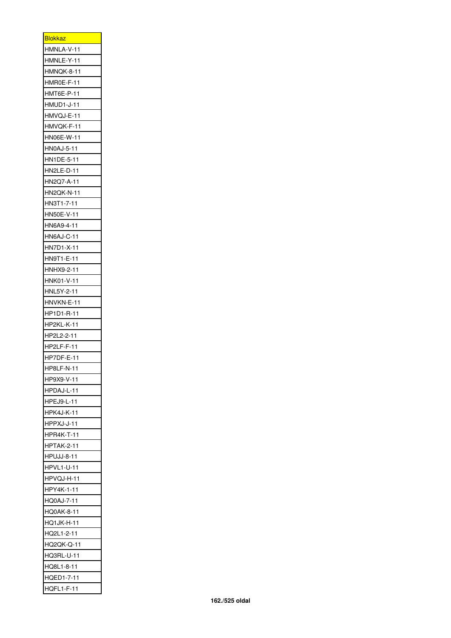| <b>Blokkaz</b>    |
|-------------------|
| HMNLA-V-11        |
| HMNLE-Y-11        |
|                   |
| HMNQK-8-11        |
| HMR0E-F-11        |
| HMT6E-P-11        |
| HMUD1-J-11        |
| HMVQJ-E-11        |
| HMVQK-F-11        |
| HN06E-W-11        |
| HN0AJ-5-11        |
| HN1DE-5-11        |
| HN2LE-D-11        |
| HN2Q7-A-11        |
| HN2QK-N-11        |
| HN3T1-7-11        |
| HN50E-V-11        |
| HN6A9-4-11        |
| HN6AJ-C-11        |
| HN7D1-X-11        |
| HN9T1-E-11        |
| HNHX9-2-11        |
| HNK01-V-11        |
| HNL5Y-2-11        |
| HNVKN-E-11        |
| HP1D1-R-11        |
| HP2KL-K-11        |
| HP2L2-2-11        |
|                   |
| HP2LF-F-11        |
| HP7DF-E-11        |
| HP8LF-N-1<br>1    |
| HP9X9-V-11        |
| HPDAJ-L-11        |
| <b>HPEJ9-L-11</b> |
| <b>HPK4J-K-11</b> |
| HPPXJ-J-11        |
| <b>HPR4K-T-11</b> |
| HPTAK-2-11        |
| <b>HPUJJ-8-11</b> |
| <b>HPVL1-U-11</b> |
| HPVQJ-H-11        |
| HPY4K-1-11        |
| HQ0AJ-7-11        |
| HQ0AK-8-11        |
| HQ1JK-H-11        |
| HQ2L1-2-11        |
| HQ2QK-Q-11        |
| HQ3RL-U-11        |
| HQ8L1-8-11        |
| HQED1-7-11        |
| <b>HQFL1-F-11</b> |
|                   |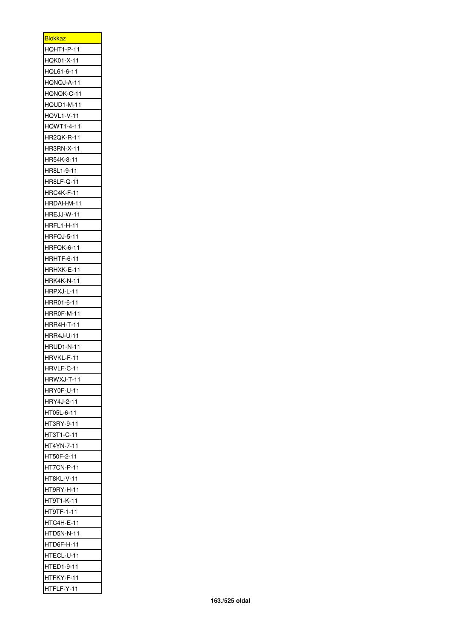| <b>Blokkaz</b>    |
|-------------------|
| <b>HQHT1-P-11</b> |
| HQK01-X-11        |
| HQL61-6-11        |
| HQNQJ-A-11        |
| HQNQK-C-11        |
| HQUD1-M-11        |
| <b>HQVL1-V-11</b> |
| <b>HQWT1-4-11</b> |
| HR2QK-R-11        |
| HR3RN-X-11        |
| HR54K-8-11        |
| HR8L1-9-11        |
| HR8LF-Q-11        |
| HRC4K-F-11        |
| HRDAH-M-11        |
| HREJJ-W-11        |
| <b>HRFL1-H-11</b> |
| HRFQJ-5-11        |
| HRFQK-6-11        |
|                   |
| HRHTF-6-11        |
| HRHXK-E-11        |
| HRK4K-N-11        |
| HRPXJ-L-11        |
| HRR01-6-11        |
| HRR0F-M-11        |
| <b>HRR4H-T-11</b> |
| <b>HRR4J-U-11</b> |
| <b>HRUD1-N-11</b> |
| HRVKL-F-11        |
| HRVLF-C-1         |
| HRWXJ-T-11        |
| HRY0F-U-11        |
| HRY4J-2-11        |
| HT05L-6-11        |
| HT3RY-9-11        |
| HT3T1-C-11        |
| HT4YN-7-11        |
| HT50F-2-11        |
| HT7CN-P-11        |
| HT8KL-V-11        |
| HT9RY-H-11        |
| HT9T1-K-11        |
| HT9TF-1-11        |
| HTC4H-E-11        |
| <b>HTD5N-N-11</b> |
| HTD6F-H-11        |
| HTECL-U-11        |
| ED1-9-11<br>HTE   |
| HTFKY-F-11        |
| HTFLF-Y-11        |
|                   |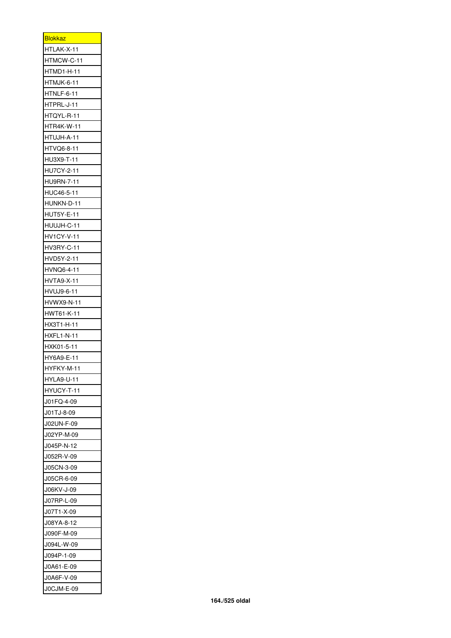| <b>Blokkaz</b>                  |
|---------------------------------|
| HTLAK-X-11                      |
| HTMCW-C-11                      |
| HTMD1-H-11                      |
| HTMJK-6-11                      |
| HTNLF-6-11                      |
| HTPRL-J-11                      |
| HTQYL-R-11                      |
| <b>HTR4K-W-11</b>               |
| HTUJH-A-11                      |
| HTVQ6-8-11                      |
| HU3X9-T-11                      |
| <b>HU7CY-2-11</b>               |
| HU9RN-7-11                      |
| HUC46-5-11                      |
| HUNKN-D-11                      |
| HUT5Y-E-11                      |
| HUUJH-C-11                      |
| <b>HV1CY-V-11</b>               |
| <b>HV3RY-C-11</b>               |
| HVD5Y-2-11                      |
| HVNQ6-4-11                      |
| HVTA9-X-11                      |
| HVUJ9-6-11                      |
| HVWX9-N-11                      |
|                                 |
| HWT61-K-11                      |
| HX3T1-H-11<br><b>HXFL1-N-11</b> |
|                                 |
| HXK01-5-11<br>HY6A9-E-11        |
|                                 |
| HYFKY-M-11                      |
| <b>HYLA9-U-11</b>               |
| HYUCY-T-11                      |
| J01FQ-4-09                      |
| J01TJ-8-09                      |
| J02UN-F-09                      |
| J02YP-M-09                      |
| J045P-N-12                      |
| J052R-V-09                      |
| J05CN-3-09                      |
| J05CR-6-09                      |
| J06KV-J-09                      |
| J07RP-L-09                      |
| J07T1-X-09                      |
| J08YA-8-12                      |
| J090F-M-09                      |
| J094L-W-09                      |
| J094P-1-09                      |
| J0A61-E-09                      |
| J0A6F-V-09                      |
| J0CJM-E-09                      |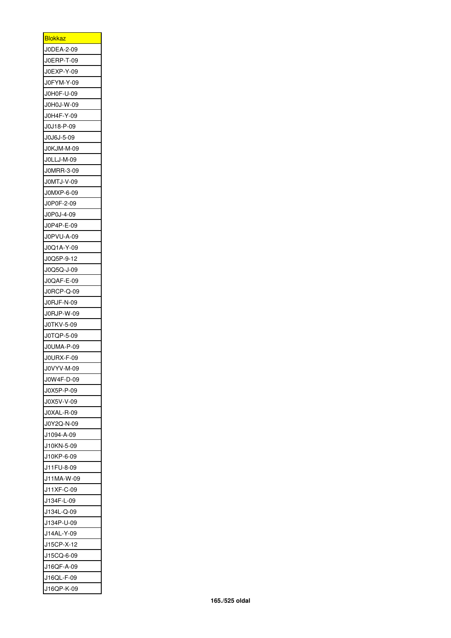| <b>Blokkaz</b> |
|----------------|
| J0DEA-2-09     |
| J0ERP-T-09     |
| J0EXP-Y-09     |
| J0FYM-Y-09     |
| J0H0F-U-09     |
| J0H0J-W-09     |
| J0H4F-Y-09     |
| J0J18-P-09     |
| J0J6J-5-09     |
| J0KJM-M-09     |
| JOLLJ-M-09     |
| J0MRR-3-09     |
| J0MTJ-V-09     |
| J0MXP-6-09     |
| J0P0F-2-09     |
|                |
| J0P0J-4-09     |
| J0P4P-E-09     |
| J0PVU-A-09     |
| J0Q1A-Y-09     |
| J0Q5P-9-12     |
| J0Q5Q-J-09     |
| J0QAF-E-09     |
| J0RCP-Q-09     |
| J0RJF-N-09     |
| J0RJP-W-09     |
| J0TKV-5-09     |
| J0TQP-5-09     |
| J0UMA-P-09     |
| J0URX-F-09     |
| J0VYV-M-09     |
| J0W4F-D-09     |
| J0X5P-P-09     |
| J0X5V-V-09     |
| J0XAL-R-09     |
| J0Y2Q-N-09     |
| J1094-A-09     |
| J10KN-5-09     |
| J10KP-6-09     |
| J11FU-8-09     |
| J11MA-W-09     |
| J11XF-C-09     |
| J134F-L-09     |
| J134L-Q-09     |
| J134P-U-09     |
| J14AL-Y-09     |
| J15CP-X-12     |
| J15CQ-6-09     |
| J16QF-A-09     |
| J16QL-F-09     |
| J16QP-K-09     |
|                |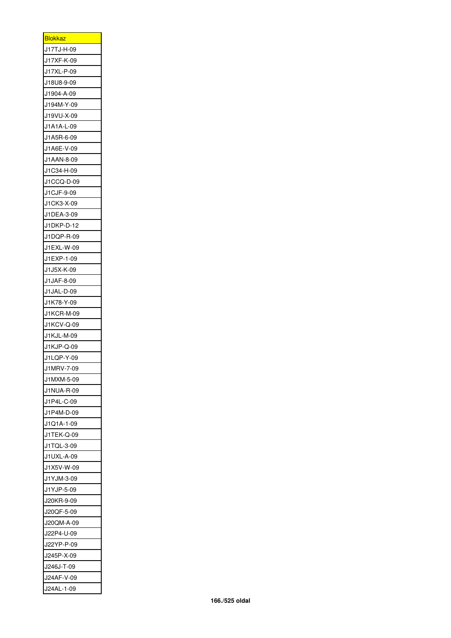| <u>Blokkaz</u> |
|----------------|
| J17TJ-H-09     |
| J17XF-K-09     |
| J17XL-P-09     |
| J18U8-9-09     |
| J1904-A-09     |
| J194M-Y-09     |
| J19VU-X-09     |
| J1A1A-L-09     |
| J1A5R-6-09     |
| J1A6E-V-09     |
| J1AAN-8-09     |
| J1C34-H-09     |
| J1CCQ-D-09     |
| J1CJF-9-09     |
| J1CK3-X-09     |
| J1DEA-3-09     |
| J1DKP-D-12     |
|                |
| J1DQP-R-09     |
| J1EXL-W-09     |
| J1EXP-1-09     |
| J1J5X-K-09     |
| J1JAF-8-09     |
| J1JAL-D-09     |
| J1K78-Y-09     |
| J1KCR-M-09     |
| J1KCV-Q-09     |
| J1KJL-M-09     |
| J1KJP-Q-09     |
| J1LQP-Y-09     |
| J1MRV-7-09     |
| J1MXM-5-09     |
| J1NUA-R-09     |
| J1P4L-C-09     |
| J1P4M-D-09     |
| J1Q1A-1-09     |
| J1TEK-Q-09     |
| J1TQL-3-09     |
| J1UXL-A-09     |
| J1X5V-W-09     |
| J1YJM-3-09     |
| J1YJP-5-09     |
| J20KR-9-09     |
| J20QF-5-09     |
| J20QM-A-09     |
| J22P4-U-09     |
| J22YP-P-09     |
| J245P-X-09     |
| J246J-T-09     |
| J24AF-V-09     |
| J24AL-1-09     |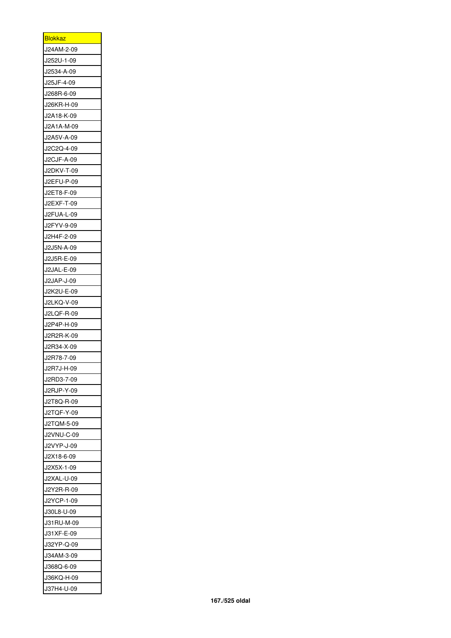| <u>Blokkaz</u>           |
|--------------------------|
| J24AM-2-09               |
| J252U-1-09               |
| J2534-A-09               |
| J25JF-4-09               |
| J268R-6-09               |
| J26KR-H-09               |
|                          |
| J2A18-K-09               |
| J2A1A-M-09               |
| J2A5V-A-09               |
| J2C2Q-4-09               |
| J2CJF-A-09               |
| J2DKV-T-09               |
| J2EFU-P-09               |
| J2ET8-F-09               |
| J2EXF-T-09               |
| J2FUA-L-09               |
| J2FYV-9-09               |
| J2H4F-2-09               |
| J2J5N-A-09               |
| J2J5R-E-09               |
| J2JAL-E-09               |
| J2JAP-J-09               |
| J2K2U-E-09               |
| J2LKQ-V-09               |
| J2LQF-R-09               |
| J2P4P-H-09               |
| J2R2R-K-09               |
| J2R34-X-09               |
| J2R78-7-09               |
| J2R7J-H-09               |
| J2RD3-7-09               |
| J2RJP-Y-09               |
| J2T8Q-R-09               |
| J2TQF-Y-09               |
| J2TQM-5-09               |
| J2VNU-C-09               |
| J2VYP-J-09               |
| J2X18-6-09               |
| J2X5X-1-09               |
| J2XAL-U-09               |
| J2Y2R-R-09               |
| J2YCP-1-09               |
| J30L8-U-09               |
| J31RU-M-09               |
| J31XF-E-09               |
| J32YP-Q-09               |
| J34AM-3-09               |
| J368Q-6-09               |
|                          |
| J36KQ-H-09<br>J37H4-U-09 |
|                          |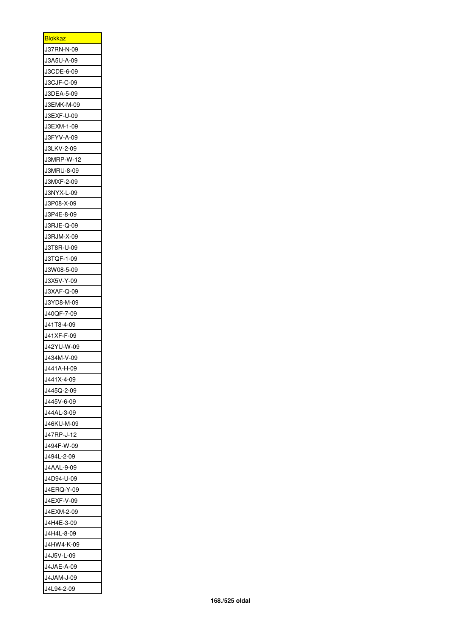| <u>Blokkaz</u>  |
|-----------------|
| J37RN-N-09      |
| J3A5U-A-09      |
| J3CDE-6-09      |
| J3CJF-C-09      |
| J3DEA-5-09      |
| J3EMK-M-09      |
| J3EXF-U-09      |
| J3EXM-1-09      |
| J3FYV-A-09      |
| J3LKV-2-09      |
| J3MRP-W-12      |
| J3MRU-8-09      |
| J3MXF-2-09      |
| J3NYX-L-09      |
| J3P08-X-09      |
|                 |
| J3P4E-8-09      |
| J3RJE-Q-09      |
| J3RJM-X-09      |
| J3T8R-U-09      |
| J3TQF-1-09      |
| J3W08-5-09      |
| J3X5V-Y-09      |
| J3XAF-Q-09      |
| J3YD8-M-09      |
| J40QF-7-09      |
| J41T8-4-09      |
| J41XF-F-09      |
| J42YU-W-09      |
| J434M-V-09      |
| J441A-H-09      |
| J441X-4-09      |
| J445Q-2-09      |
| J445V-6-09      |
| J44AL-3-09      |
| J46KU-M-09      |
| J47RP-J-12      |
| J494F-W-09      |
| J494L-2-09      |
| J4AAL-9-09      |
| J4D94-U-09      |
| ERQ-Y-09<br>J4E |
| J4EXF-V-09      |
| J4EXM-2-09      |
| J4H4E-3-09      |
| J4H4L-8-09      |
| J4HW4-K-09      |
| J4J5V-L-09      |
| J4JAE-A-09      |
| J4JAM-J-09      |
| J4L94-2-09      |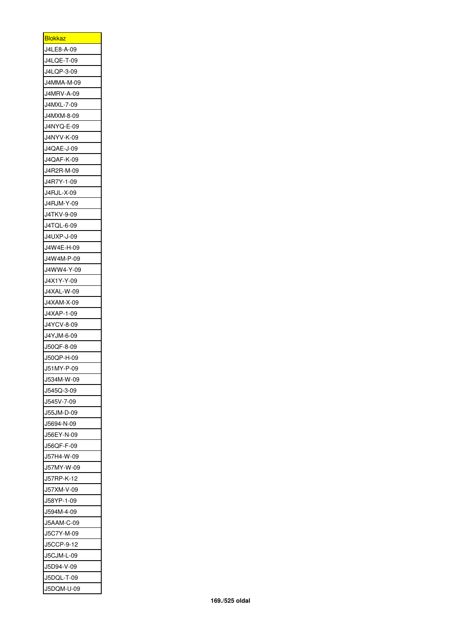| <u>Blokkaz</u> |
|----------------|
| J4LE8-A-09     |
| J4LQE-T-09     |
| J4LQP-3-09     |
| J4MMA-M-09     |
| J4MRV-A-09     |
| J4MXL-7-09     |
| J4MXM-8-09     |
| J4NYQ-E-09     |
| J4NYV-K-09     |
| J4QAE-J-09     |
| J4QAF-K-09     |
| J4R2R-M-09     |
| J4R7Y-1-09     |
| J4RJL-X-09     |
| J4RJM-Y-09     |
| J4TKV-9-09     |
| J4TQL-6-09     |
|                |
| J4UXP-J-09     |
| J4W4E-H-09     |
| J4W4M-P-09     |
| J4WW4-Y-09     |
| J4X1Y-Y-09     |
| J4XAL-W-09     |
| J4XAM-X-09     |
| J4XAP-1-09     |
| J4YCV-8-09     |
| J4YJM-6-09     |
| J50QF-8-09     |
| J50QP-H-09     |
| J51MY-P-09     |
| J534M-W-09     |
| J545Q-3-09     |
| J545V-7-09     |
| J55JM-D-09     |
| J5694-N-09     |
| J56EY-N-09     |
| J56QF-F-09     |
| J57H4-W-09     |
| J57MY-W-09     |
| J57RP-K-12     |
| J57XM-V-09     |
| J58YP-1-09     |
| J594M-4-09     |
| J5AAM-C-09     |
| J5C7Y-M-09     |
| J5CCP-9-12     |
| J5CJM-L-09     |
| J5D94-V-09     |
| J5DQL-T-09     |
| J5DQM-U-09     |
|                |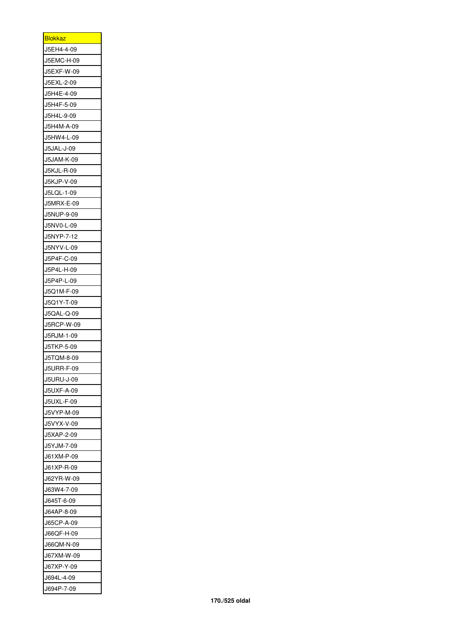| <b>Blokkaz</b>           |
|--------------------------|
| J5EH4-4-09               |
| J5EMC-H-09               |
| J5EXF-W-09               |
| J5EXL-2-09               |
| J5H4E-4-09               |
| J5H4F-5-09               |
| J5H4L-9-09               |
| J5H4M-A-09               |
| J5HW4-L-09               |
| J5JAL-J-09               |
|                          |
| J5JAM-K-09<br>J5KJL-R-09 |
|                          |
| J5KJP-V-09               |
| J5LQL-1-09               |
| J5MRX-E-09               |
| J5NUP-9-09               |
| J5NV0-L-09               |
| J5NYP-7-12               |
| J5NYV-L-09               |
| J5P4F-C-09               |
| J5P4L-H-09               |
| J5P4P-L-09               |
| J5Q1M-F-09               |
| J5Q1Y-T-09               |
| J5QAL-Q-09               |
| J5RCP-W-09               |
| J5RJM-1-09               |
| J5TKP-5-09               |
| J5TQM-8-09               |
| J5URR-F-09               |
| J5URU-J-09               |
| J5UXF-A-09               |
| J5UXL-F-09               |
| J5VYP-M-09               |
| J5VYX-V-09               |
| J5XAP-2-09               |
| J5YJM-7-09               |
| J61XM-P-09               |
| J61XP-R-09               |
| J62YR-W-09               |
| J63W4-7-09               |
| J645T-6-09               |
| J64AP-8-09               |
| J65CP-A-09               |
| J66QF-H-09               |
| J66QM-N-09               |
| J67XM-W-09               |
| J67XP-Y-09               |
|                          |
| J694L-4-09<br>J694P-7-09 |
|                          |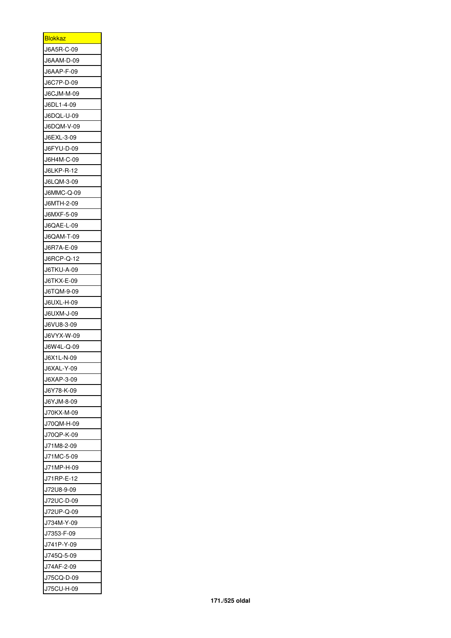| <u>Blokkaz</u> |
|----------------|
| J6A5R-C-09     |
| J6AAM-D-09     |
| J6AAP-F-09     |
| J6C7P-D-09     |
| J6CJM-M-09     |
| J6DL1-4-09     |
| J6DQL-U-09     |
| J6DQM-V-09     |
| J6EXL-3-09     |
| J6FYU-D-09     |
| J6H4M-C-09     |
| J6LKP-R-12     |
| J6LQM-3-09     |
| J6MMC-Q-09     |
| J6MTH-2-09     |
| J6MXF-5-09     |
| J6QAE-L-09     |
|                |
| J6QAM-T-09     |
| J6R7A-E-09     |
| J6RCP-Q-12     |
| J6TKU-A-09     |
| J6TKX-E-09     |
| J6TQM-9-09     |
| J6UXL-H-09     |
| J6UXM-J-09     |
| J6VU8-3-09     |
| J6VYX-W-09     |
| J6W4L-Q-09     |
| J6X1L-N-09     |
| J6XAL-Y-09     |
| J6XAP-3-09     |
| J6Y78-K-09     |
| J6YJM-8-09     |
| J70KX-M-09     |
| J70QM-H-09     |
| J70QP-K-09     |
| J71M8-2-09     |
| J71MC-5-09     |
| J71MP-H-09     |
| J71RP-E-12     |
| J72U8-9-09     |
| J72UC-D-09     |
| J72UP-Q-09     |
| J734M-Y-09     |
| J7353-F-09     |
| J741P-Y-09     |
| J745Q-5-09     |
| J74AF-2-09     |
| J75CQ-D-09     |
| J75CU-H-09     |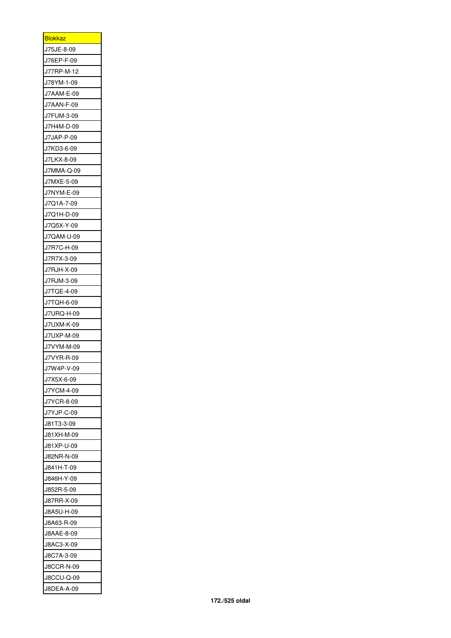| <u>Blokkaz</u>    |
|-------------------|
| J75JE-8-09        |
| J76EP-F-09        |
| J77RP-M-12        |
| J78YM-1-09        |
| J7AAM-E-09        |
| J7AAN-F-09        |
| J7FUM-3-09        |
| J7H4M-D-09        |
| J7JAP-P-09        |
| J7KD3-6-09        |
| J7LKX-8-09        |
| J7MMA-Q-09        |
| J7MXE-5-09        |
| J7NYM-E-09        |
| J7Q1A-7-09        |
| J7Q1H-D-09        |
| J7Q5X-Y-09        |
|                   |
| J7QAM-U-09        |
| J7R7C-H-09        |
| J7R7X-3-09        |
| J7RJH-X-09        |
| J7RJM-3-09        |
| J7TQE-4-09        |
| J7TQH-6-09        |
| J7URQ-H-09        |
| J7UXM-K-09        |
| J7UXP-M-09        |
| J7VYM-M-09        |
| J7VYR-R-09        |
| J7W4P-V-09        |
| J7X5X-6-09        |
| J7YCM-4-09        |
| J7YCR-8-09        |
| J7YJP-C-09        |
| J81T3-3-09        |
| J81XH-M-09        |
| J81XP-U-09        |
| J82NR-N-09        |
| J841H-T-09        |
| J846H-Y-09        |
| J852R-5-09        |
| J87RR-X-09        |
| J8A5U-H-09        |
| J8A63-R-09        |
| J8AAE-8-09        |
| J8AC3-X-09        |
| J8C7A-3-09        |
| <b>J8CCR-N-09</b> |
| J8CCU-Q-09        |
| J8DEA-A-09        |
|                   |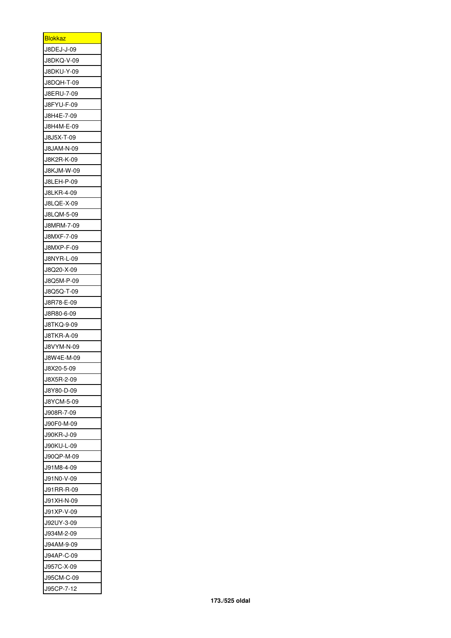| <b>Blokkaz</b>    |
|-------------------|
| J8DEJ-J-09        |
| J8DKQ-V-09        |
| J8DKU-Y-09        |
| J8DQH-T-09        |
| J8ERU-7-09        |
| J8FYU-F-09        |
| J8H4E-7-09        |
| J8H4M-E-09        |
| J8J5X-T-09        |
| J8JAM-N-09        |
| J8K2R-K-09        |
| <b>J8KJM-W-09</b> |
| J8LEH-P-09        |
| J8LKR-4-09        |
| J8LQE-X-09        |
| J8LQM-5-09        |
| J8MRM-7-09        |
| J8MXF-7-09        |
| J8MXP-F-09        |
| J8NYR-L-09        |
|                   |
| J8Q20-X-09        |
| J8Q5M-P-09        |
| J8Q5Q-T-09        |
| J8R78-E-09        |
| J8R80-6-09        |
| J8TKQ-9-09        |
| <b>J8TKR-A-09</b> |
| J8VYM-N-09        |
| J8W4E-M-09        |
| J8X20-5-09        |
| J8X5R-2-09        |
| J8Y80-D-09        |
| J8YCM-5-09        |
| J908R-7-09        |
| J90F0-M-09        |
| J90KR-J-09        |
| J90KU-L-09        |
| J90QP-M-09        |
| J91M8-4-09        |
| J91N0-V-09        |
| J91RR-R-09        |
| J91XH-N-09        |
| J91XP-V-09        |
| J92UY-3-09        |
| J934M-2-09        |
| J94AM-9-09        |
| J94AP-C-09        |
| J957C-X-09        |
| J95CM-C-09        |
| J95CP-7-12        |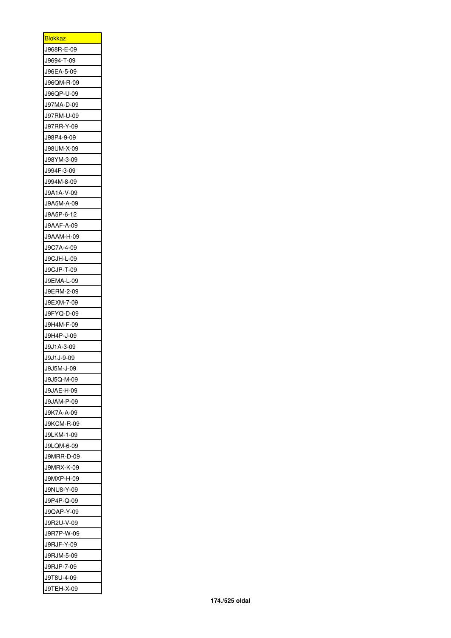| <b>Blokkaz</b> |
|----------------|
| J968R-E-09     |
| J9694-T-09     |
| J96EA-5-09     |
| J96QM-R-09     |
| J96QP-U-09     |
| J97MA-D-09     |
| J97RM-U-09     |
| J97RR-Y-09     |
| J98P4-9-09     |
| J98UM-X-09     |
| J98YM-3-09     |
| J994F-3-09     |
| J994M-8-09     |
| J9A1A-V-09     |
| J9A5M-A-09     |
| J9A5P-6-12     |
| J9AAF-A-09     |
| J9AAM-H-09     |
| J9C7A-4-09     |
| J9CJH-L-09     |
| J9CJP-T-09     |
| J9EMA-L-09     |
| J9ERM-2-09     |
| J9EXM-7-09     |
| J9FYQ-D-09     |
| J9H4M-F-09     |
| J9H4P-J-09     |
| J9J1A-3-09     |
| J9J1J-9-09     |
| J9J5M-J-09     |
| J9J5Q-M-09     |
| J9JAE-H-09     |
| J9JAM-P-09     |
| J9K7A-A-09     |
| J9KCM-R-09     |
| J9LKM-1-09     |
| J9LQM-6-09     |
| J9MRR-D-09     |
| J9MRX-K-09     |
| J9MXP-H-09     |
| J9NU8-Y-09     |
| J9P4P-Q-09     |
| J9QAP-Y-09     |
| J9R2U-V-09     |
| J9R7P-W-09     |
| J9RJF-Y-09     |
| J9RJM-5-09     |
| J9RJP-7-09     |
| J9T8U-4-09     |
| J9TEH-X-09     |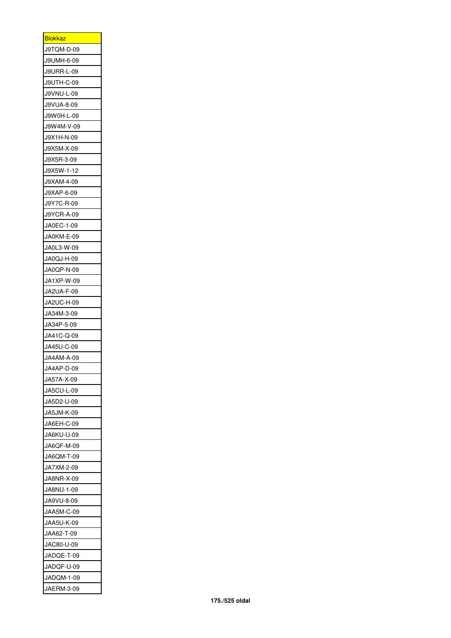| <u>Blokkaz</u>           |
|--------------------------|
| J9TQM-D-09               |
| J9UMH-6-09               |
| <b>J9URR-L-09</b>        |
| J9UTH-C-09               |
| J9VNU-L-09               |
| J9VUA-8-09               |
| J9W0H-L-09               |
| J9W4M-V-09               |
| J9X1H-N-09               |
| J9X5M-X-09               |
| J9X5R-3-09               |
| J9X5W-1-12               |
| J9XAM-4-09               |
| J9XAP-6-09               |
| J9Y7C-R-09               |
|                          |
| J9YCR-A-09<br>JA0EC-1-09 |
|                          |
| JA0KM-E-09               |
| JA0L3-W-09               |
| JA0QJ-H-09               |
| JA0QP-N-09               |
| JA1XP-W-09               |
| JA2UA-F-09               |
| JA2UC-H-09               |
| JA34M-3-09               |
| JA34P-5-09               |
| JA41C-Q-09               |
| JA45U-C-09               |
| JA4AM-A-09               |
| JA4AP-D-09               |
| JA57A-X-09               |
| JA5CU-L-09               |
| JA5D2-U-09               |
| JA5JM-K-09               |
| JA6EH-C-09               |
| JA6KU-U-09               |
| JA6QF-M-09               |
| JA6QM-T-09               |
| JA7XM-2-09               |
| JA8NR-X-09               |
| JA8NU-1-09               |
| JA9VU-8-09               |
| JAA5M-C-09               |
| JAA5U-K-09               |
| JAA62-T-09               |
| JAC80-U-09               |
| JADQE-T-09               |
| JADQF-U-09               |
| JADQM-1-09               |
| JAERM-3-09               |
|                          |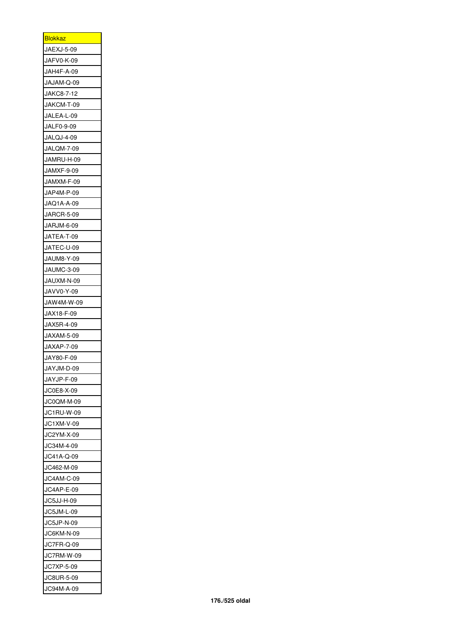| <u>Blokkaz</u> |
|----------------|
| JAEXJ-5-09     |
| JAFV0-K-09     |
| JAH4F-A-09     |
| JAJAM-Q-09     |
| JAKC8-7-12     |
| JAKCM-T-09     |
| JALEA-L-09     |
| JALF0-9-09     |
| JALQJ-4-09     |
| JALQM-7-09     |
| JAMRU-H-09     |
| JAMXF-9-09     |
| JAMXM-F-09     |
| JAP4M-P-09     |
| JAQ1A-A-09     |
| JARCR-5-09     |
| JARJM-6-09     |
| JATEA-T-09     |
|                |
| JATEC-U-09     |
| JAUM8-Y-09     |
| JAUMC-3-09     |
| JAUXM-N-09     |
| JAVV0-Y-09     |
| JAW4M-W-09     |
| JAX18-F-09     |
| JAX5R-4-09     |
| JAXAM-5-09     |
| JAXAP-7-09     |
| JAY80-F-09     |
| JAYJM-D-09     |
| JAYJP-F-09     |
| JC0E8-X-09     |
| JC0QM-M-09     |
| JC1RU-W-09     |
| JC1XM-V-09     |
| JC2YM-X-09     |
|                |
| JC34M-4-09     |
| JC41A-Q-09     |
| JC462-M-09     |
| JC4AM-C-09     |
| JC4AP-E-09     |
| JC5JJ-H-09     |
| JC5JM-L-09     |
| JC5JP-N-09     |
| JC6KM-N-09     |
| JC7FR-Q-09     |
| JC7RM-W-09     |
| JC7XP-5-09     |
| JC8UR-5-09     |
| JC94M-A-09     |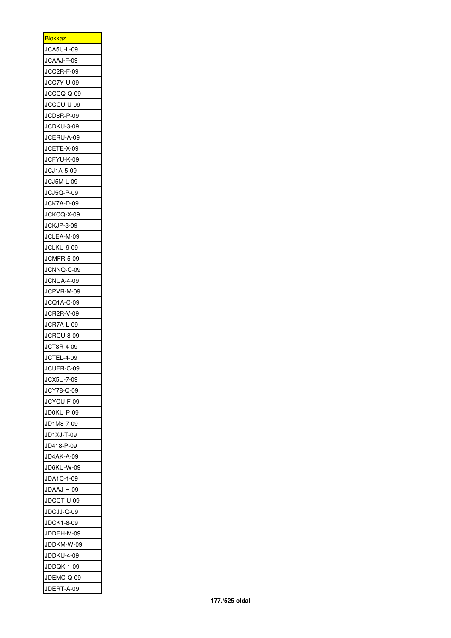| <b>Blokkaz</b>    |
|-------------------|
| JCA5U-L-09        |
| JCAAJ-F-09        |
| JCC2R-F-09        |
| JCC7Y-U-09        |
| JCCCQ-Q-09        |
| JCCCU-U-09        |
| JCD8R-P-09        |
| JCDKU-3-09        |
| JCERU-A-09        |
| JCETE-X-09        |
| JCFYU-K-09        |
| JCJ1A-5-09        |
| JCJ5M-L-09        |
| JCJ5Q-P-09        |
| JCK7A-D-09        |
| JCKCQ-X-09        |
| JCKJP-3-09        |
| JCLEA-M-09        |
| JCLKU-9-09        |
| <b>JCMFR-5-09</b> |
| JCNNQ-C-09        |
| JCNUA-4-09        |
| JCPVR-M-09        |
|                   |
| JCQ1A-C-09        |
| <b>JCR2R-V-09</b> |
| JCR7A-L-09        |
| <b>JCRCU-8-09</b> |
| JCT8R-4-09        |
| <b>JCTEL-4-09</b> |
| JCUFR-C-09        |
| JCX5U-7-09        |
| JCY78-Q-09        |
| JCYCU-F-09        |
| JD0KU-P-09        |
| JD1M8-7-09        |
| JD1XJ-T-09        |
| JD418-P-09        |
| JD4AK-A-09        |
| JD6KU-W-09        |
| JDA1C-1-09        |
| JDAAJ-H-09        |
| JDCCT-U-09        |
| JDCJJ-Q-09        |
| JDCK1-8-09        |
| JDDEH-M-09        |
| JDDKM-W-09        |
| JDDKU-4-09        |
| JDDQK-1-09        |
| JDEMC-Q-09        |
| JDERT-A-09        |
|                   |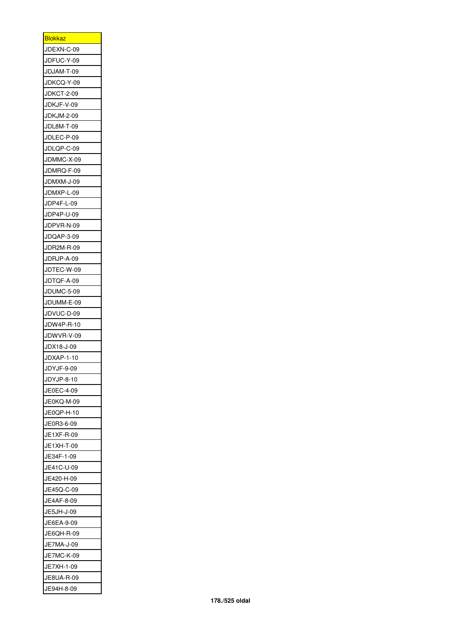| <u>Blokkaz</u>    |
|-------------------|
| JDEXN-C-09        |
| JDFUC-Y-09        |
| JDJAM-T-09        |
| JDKCQ-Y-09        |
| <b>JDKCT-2-09</b> |
| JDKJF-V-09        |
| JDKJM-2-09        |
| JDL8M-T-09        |
| JDLEC-P-09        |
| JDLQP-C-09        |
| JDMMC-X-09        |
| JDMRQ-F-09        |
| JDMXM-J-09        |
| JDMXP-L-09        |
| JDP4F-L-09        |
| JDP4P-U-09        |
| JDPVR-N-09        |
| JDQAP-3-09        |
| JDR2M-R-09        |
| JDRJP-A-09        |
| JDTEC-W-09        |
| JDTQF-A-09        |
| JDUMC-5-09        |
| JDUMM-E-09        |
| JDVUC-D-09        |
| JDW4P-R-10        |
| JDWVR-V-09        |
| JDX18-J-09        |
| JDXAP-1-10        |
|                   |
| JDYJF-9-09        |
| JDYJP-8-10        |
| JE0EC-4-09        |
| JE0KQ-M-09        |
| JE0QP-H-10        |
| JE0R3-6-09        |
| JE1XF-R-09        |
| JE1XH-T-09        |
| JE34F-1-09        |
| JE41C-U-09        |
| JE420-H-09        |
| JE45Q-C-09        |
| JE4AF-8-09        |
| JE5JH-J-09        |
| JE6EA-9-09        |
| JE6QH-R-09        |
| 7MA-J-09<br>JE    |
| JE7MC-K-09        |
| JE7XH-1-09        |
| JE8UA-R-09        |
| JE94H-8-09        |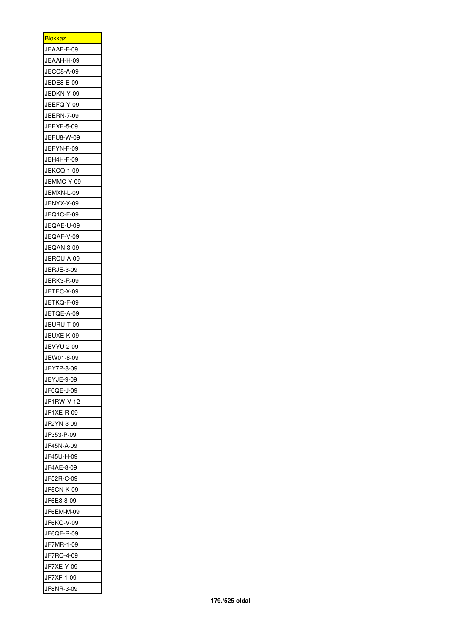| <b>Blokkaz</b>           |
|--------------------------|
| JEAAF-F-09               |
| JEAAH-H-09               |
| JECC8-A-09               |
| JEDE8-E-09               |
| JEDKN-Y-09               |
| JEEFQ-Y-09               |
| <b>JEERN-7-09</b>        |
| JEEXE-5-09               |
| JEFU8-W-09               |
| JEFYN-F-09               |
| JEH4H-F-09               |
| <b>JEKCQ-1-09</b>        |
| JEMMC-Y-09               |
| JEMXN-L-09               |
| JENYX-X-09               |
| JEQ1C-F-09               |
| JEQAE-U-09               |
| JEQAF-V-09               |
| JEQAN-3-09               |
| JERCU-A-09               |
| JERJE-3-09               |
| JERK3-R-09               |
| JETEC-X-09               |
| JETKQ-F-09               |
|                          |
| JETQE-A-09               |
| JEURU-T-09<br>JEUXE-K-09 |
|                          |
| JEVYU-2-09               |
| JEW01-8-09               |
| JEY7P-8-09               |
| JEYJE-9-09               |
| JF0QE-J-09               |
| JF1RW-V-12               |
| JF1XE-R-09               |
| JF2YN-3-09               |
| JF353-P-09               |
| JF45N-A-09               |
| JF45U-H-09               |
| JF4AE-8-09               |
| JF52R-C-09               |
| JF5CN-K-09               |
| JF6E8-8-09               |
| JF6EM-M-09               |
| JF6KQ-V-09               |
| JF6QF-R-09               |
| JF7MR-1-09               |
| JF7RQ-4-09               |
| JF7XE-Y-09               |
| JF7XF-1-09               |
| JF8NR-3-09               |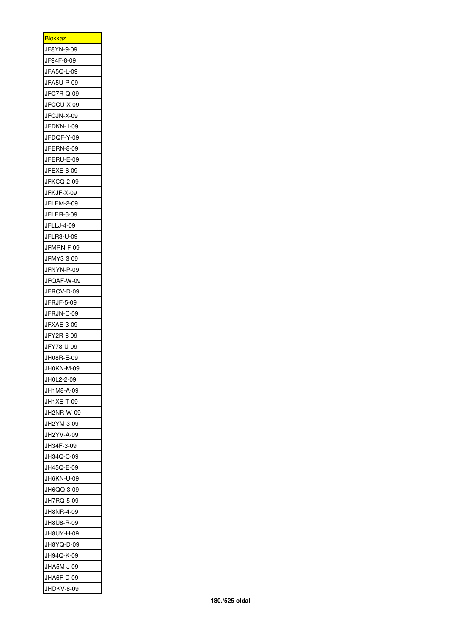| <b>Blokkaz</b>    |
|-------------------|
| JF8YN-9-09        |
| JF94F-8-09        |
| JFA5Q-L-09        |
| JFA5U-P-09        |
| JFC7R-Q-09        |
| JFCCU-X-09        |
| JFCJN-X-09        |
| JFDKN-1-09        |
| JFDQF-Y-09        |
| JFERN-8-09        |
| JFERU-E-09        |
| JFEXE-6-09        |
| JFKCQ-2-09        |
| JFKJF-X-09        |
| <b>JFLEM-2-09</b> |
| JFLER-6-09        |
| JFLLJ-4-09        |
| JFLR3-U-09        |
| JFMRN-F-09        |
| JFMY3-3-09        |
|                   |
| JFNYN-P-09        |
| JFQAF-W-09        |
| JFRCV-D-09        |
| <b>JFRJF-5-09</b> |
| JFRJN-C-09        |
| JFXAE-3-09        |
| JFY2R-6-09        |
| JFY78-U-09        |
| JH08R-E-09        |
| JH0KN-M-09        |
| JH0L2-2-09        |
| JH1M8-A-09        |
| JH1XE-T-09        |
| JH2NR-W-09        |
| JH2YM-3-09        |
| JH2YV-A-09        |
| JH34F-3-09        |
| JH34Q-C-09        |
| JH45Q-E-09        |
| JH6KN-U-09        |
| JH6QQ-3-09        |
| JH7RQ-5-09        |
|                   |
| JH8NR-4-09        |
| JH8U8-R-09        |
| JH8UY-H-09        |
| JH8YQ-D-09        |
| JH94Q-K-09        |
| JHA5M-J-09        |
| JHA6F-D-09        |
| JHDKV-8-09        |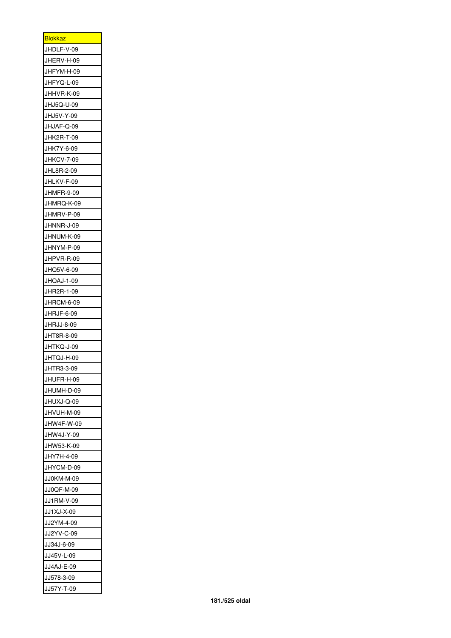| <u>Blokkaz</u> |
|----------------|
| JHDLF-V-09     |
| JHERV-H-09     |
| JHFYM-H-09     |
| JHFYQ-L-09     |
| JHHVR-K-09     |
| JHJ5Q-U-09     |
| JHJ5V-Y-09     |
| JHJAF-Q-09     |
| JHK2R-T-09     |
| JHK7Y-6-09     |
| JHKCV-7-09     |
| JHL8R-2-09     |
| JHLKV-F-09     |
| JHMFR-9-09     |
|                |
| JHMRQ-K-09     |
| JHMRV-P-09     |
| JHNNR-J-09     |
| JHNUM-K-09     |
| JHNYM-P-09     |
| JHPVR-R-09     |
| JHQ5V-6-09     |
| JHQAJ-1-09     |
| JHR2R-1-09     |
| JHRCM-6-09     |
| JHRJF-6-09     |
| JHRJJ-8-09     |
| JHT8R-8-09     |
| JHTKQ-J-09     |
| JHTQJ-H-09     |
| JHTR3-3-09     |
| JHUFR-H-09     |
| JHUMH-D-09     |
| JHUXJ-Q-09     |
| JHVUH-M-09     |
| JHW4F-W-09     |
| JHW4J-Y-09     |
| JHW53-K-09     |
| JHY7H-4-09     |
| JHYCM-D-09     |
| JJ0KM-M-09     |
| JJ0QF-M-09     |
| JJ1RM-V-09     |
|                |
| JJ1XJ-X-09     |
| JJ2YM-4-09     |
| JJ2YV-C-09     |
| JJ34J-6-09     |
| JJ45V-L-09     |
| JJ4AJ-E-09     |
| JJ578-3-09     |
| JJ57Y-T-09     |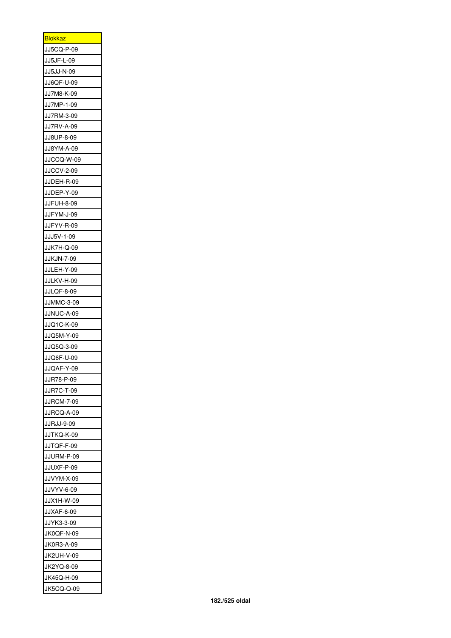| <u>Blokkaz</u>    |
|-------------------|
| JJ5CQ-P-09        |
| JJ5JF-L-09        |
| JJ5JJ-N-09        |
| JJ6QF-U-09        |
| JJ7M8-K-09        |
| JJ7MP-1-09        |
| JJ7RM-3-09        |
| <b>JJ7RV-A-09</b> |
| JJ8UP-8-09        |
| JJ8YM-A-09        |
| JJCCQ-W-09        |
| <b>JJCCV-2-09</b> |
| JJDEH-R-09        |
| JJDEP-Y-09        |
|                   |
| JJFUH-8-09        |
| JJFYM-J-09        |
| JJFYV-R-09        |
| JJJ5V-1-09        |
| JJK7H-Q-09        |
| JJKJN-7-09        |
| JJLEH-Y-09        |
| JJLKV-H-09        |
| <b>JJLQF-8-09</b> |
| <b>JJMMC-3-09</b> |
| JJNUC-A-09        |
| JJQ1C-K-09        |
| JJQ5M-Y-09        |
| JJQ5Q-3-09        |
| JJQ6F-U-09        |
| JJQAF-Y-09        |
| JJR78-P-09        |
| JJR7C-T-09        |
| <b>JJRCM-7-09</b> |
| JJRCQ-A-09        |
| JJRJJ-9-09        |
| JJTKQ-K-09        |
| JJTQF-F-09        |
| JJURM-P-09        |
| JJUXF-P-09        |
| JJVYM-X-09        |
| JJVYV-6-09        |
| JJX1H-W-09        |
| JJXAF-6-09        |
| JJYK3-3-09        |
|                   |
| JK0QF-N-09        |
| JK0R3-A-09        |
| JK2UH-V-09        |
| JK2YQ-8-09        |
| JK45Q-H-09        |
| JK5CQ-Q-09        |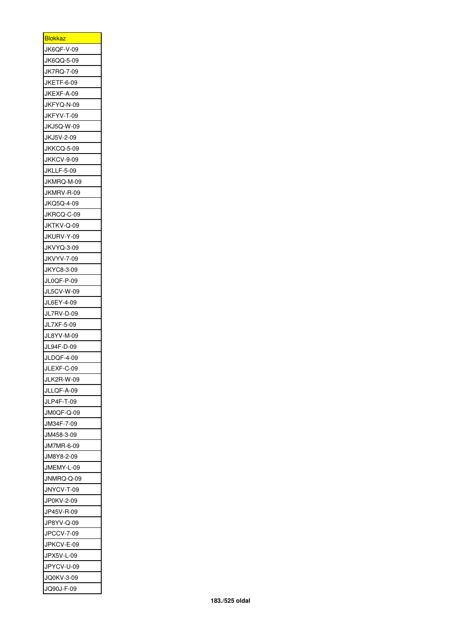| <u>Blokkaz</u>           |
|--------------------------|
| JK6QF-V-09               |
| JK6QQ-5-09               |
| JK7RQ-7-09               |
| JKETF-6-09               |
| JKEXF-A-09               |
| JKFYQ-N-09               |
| JKFYV-T-09               |
| JKJ5Q-W-09               |
| JKJ5V-2-09               |
| JKKCQ-5-09               |
| JKKCV-9-09               |
| <b>JKLLF-5-09</b>        |
| JKMRQ-M-09               |
| JKMRV-R-09               |
|                          |
| JKQ5Q-4-09               |
| JKRCQ-C-09               |
| JKTKV-Q-09               |
| JKURV-Y-09               |
| JKVYQ-3-09               |
| <b>JKVYV-7-09</b>        |
| JKYC8-3-09               |
| JL0QF-P-09               |
| JL5CV-W-09               |
| JL6EY-4-09               |
| JL7RV-D-09               |
| JL7XF-5-09               |
| JL8YV-M-09               |
| JL94F-D-09               |
| JLDQF-4-09               |
| JLEXF-C-09               |
| <b>JLK2R-W-09</b>        |
| JLLQF-A-09               |
| JLP4F-T-09               |
| JM0QF-Q-09               |
| JM34F-7-09               |
| JM458-3-09               |
| JM7MR-6-09               |
| JM8Y8-2-09               |
| JMEMY-L-09               |
| JNMRQ-Q-09               |
| JNYCV-T-09               |
| JP0KV-2-09               |
| JP45V-R-09               |
| JP8YV-Q-09               |
| <b>JPCCV-7-09</b>        |
| JPKCV-E-09               |
| JPX5V-L-09               |
| JPYCV-U-09               |
|                          |
| JQ0KV-3-09<br>JQ90J-F-09 |
|                          |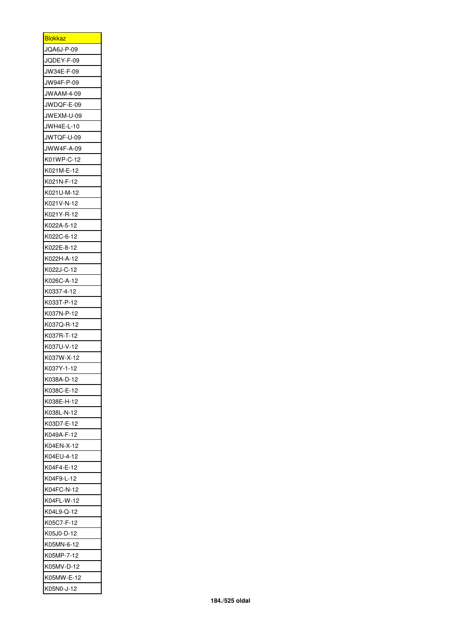| <u>Blokkaz</u>           |
|--------------------------|
| JQA6J-P-09               |
| JQDEY-F-09               |
| JW34E-F-09               |
| JW94F-P-09               |
| JWAAM-4-09               |
| JWDQF-E-09               |
| JWEXM-U-09               |
|                          |
| JWH4E-L-10               |
| JWTQF-U-09<br>JWW4F-A-09 |
|                          |
| K01WP-C-12               |
| K021M-E-12               |
| K021N-F-12               |
| K021U-M-12               |
| K021V-N-12               |
| K021Y-R-12               |
| K022A-5-12               |
| K022C-6-12               |
| K022E-8-12               |
| K022H-A-12               |
| K022J-C-12               |
| K026C-A-12               |
| K0337-4-12               |
| K033T-P-12               |
| K037N-P-12               |
| K037Q-R-12               |
| K037R-T-12               |
| K037U-V-12               |
| K037W-X-12               |
| K037Y-1-12               |
| K038A-D-12               |
| K038C-E-12               |
| K038E-H-12               |
| K038L-N-12               |
| K03D7-E-12               |
| K049A-F-12               |
| K04EN-X-12               |
| K04EU-4-12               |
| K04F4-E-12               |
| K04F9-L-12               |
| K04FC-N-12               |
|                          |
| K04FL-W-12               |
| K04L9-Q-12               |
| K05C7-F-12               |
| K05J0-D-12               |
| K05MN-6-12               |
| K05MP-7-12               |
| K05MV-D-12               |
| K05MW-E-12               |
| K05N0-J-12               |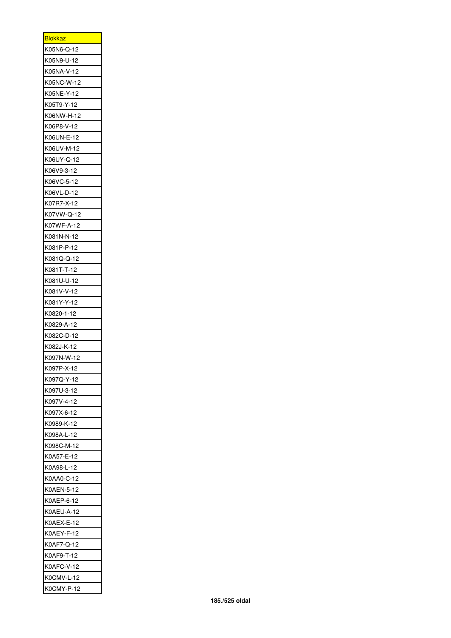| <u>Blokkaz</u>           |
|--------------------------|
| K05N6-Q-12               |
| K05N9-U-12               |
| K05NA-V-12               |
| K05NC-W-12               |
| K05NE-Y-12               |
| K05T9-Y-12               |
| K06NW-H-12               |
| K06P8-V-12               |
| K06UN-E-12               |
| K06UV-M-12               |
| K06UY-Q-12               |
| K06V9-3-12               |
| K06VC-5-12               |
| K06VL-D-12               |
| K07R7-X-12               |
| K07VW-Q-12               |
| K07WF-A-12               |
| K081N-N-12               |
| K081P-P-12               |
| K081Q-Q-12               |
| K081T-T-12               |
| K081U-U-12               |
| K081V-V-12               |
| K081Y-Y-12               |
|                          |
| K0820-1-12<br>K0829-A-12 |
| K082C-D-12               |
|                          |
| K082J-K-12               |
| K097N-W-12               |
| K097P-X-12               |
| K097Q-Y-12               |
| K097U-3-12               |
| K097V-4-12               |
| K097X-6-12               |
| K0989-K-12               |
| K098A-L-12               |
| K098C-M-12               |
| K0A57-E-12               |
| K0A98-L-12               |
| K0AA0-C-12               |
| K0AEN-5-12               |
| K0AEP-6-12               |
| K0AEU-A-12               |
| K0AEX-E-12               |
| K0AEY-F-12               |
| K0AF7-Q-12               |
| K0AF9-T-12               |
| K0AFC-V-12               |
| K0CMV-L-12               |
| K0CMY-P-12               |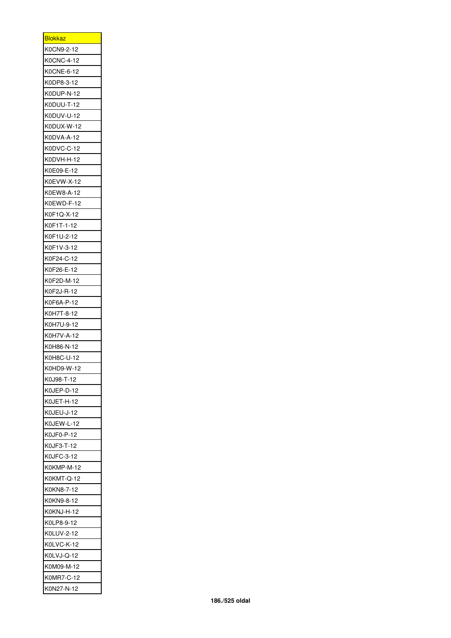| <b>Blokkaz</b> |
|----------------|
| K0CN9-2-12     |
| K0CNC-4-12     |
| K0CNE-6-12     |
|                |
| K0DP8-3-12     |
| K0DUP-N-12     |
| K0DUU-T-12     |
| K0DUV-U-12     |
| K0DUX-W-12     |
| K0DVA-A-12     |
| K0DVC-C-12     |
| K0DVH-H-12     |
| K0E09-E-12     |
| K0EVW-X-12     |
| K0EW8-A-12     |
| K0EWD-F-12     |
| K0F1Q-X-12     |
| K0F1T-1-12     |
| K0F1U-2-12     |
| K0F1V-3-12     |
| K0F24-C-12     |
| K0F26-E-12     |
| K0F2D-M-12     |
| K0F2J-R-12     |
| K0F6A-P-12     |
| K0H7T-8-12     |
|                |
| K0H7U-9-12     |
| K0H7V-A-12     |
| K0H86-N-12     |
| K0H8C-U-12     |
| K0HD9-W-12     |
| K0J98-T-12     |
| K0JEP-D-12     |
| K0JET-H-12     |
| K0JEU-J-12     |
| K0JEW-L-12     |
| K0JF0-P-12     |
| K0JF3-T-12     |
| K0JFC-3-12     |
| K0KMP-M-12     |
| K0KMT-Q-12     |
| K0KN8-7-12     |
| K0KN9-8-12     |
| K0KNJ-H-12     |
| K0LP8-9-12     |
| K0LUV-2-12     |
| K0LVC-K-12     |
|                |
| K0LVJ-Q-12     |
| K0M09-M-12     |
| K0MR7-C-12     |
| K0N27-N-12     |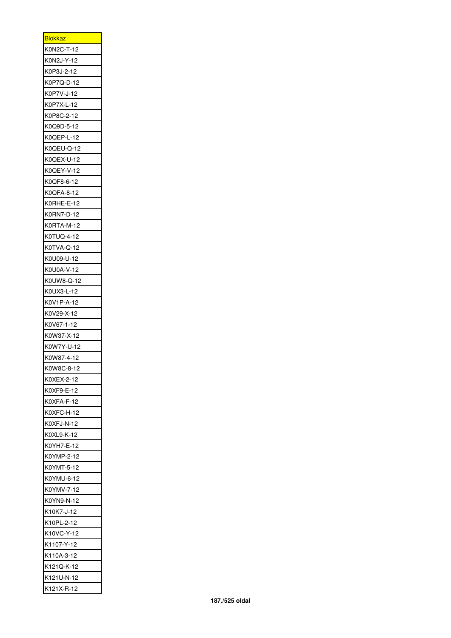| <b>Blokkaz</b> |
|----------------|
| K0N2C-T-12     |
| K0N2J-Y-12     |
| K0P3J-2-12     |
| K0P7Q-D-12     |
| K0P7V-J-12     |
| K0P7X-L-12     |
| K0P8C-2-12     |
| K0Q9D-5-12     |
| K0QEP-L-12     |
| K0QEU-Q-12     |
| K0QEX-U-12     |
| K0QEY-V-12     |
| K0QF8-6-12     |
| K0QFA-8-12     |
| K0RHE-E-12     |
| K0RN7-D-12     |
| K0RTA-M-12     |
|                |
| K0TUQ-4-12     |
| K0TVA-Q-12     |
| K0U09-U-12     |
| K0U0A-V-12     |
| K0UW8-Q-12     |
| K0UX3-L-12     |
| K0V1P-A-12     |
| K0V29-X-12     |
| K0V67-1-12     |
| K0W37-X-12     |
| K0W7Y-U-12     |
| K0W87-4-12     |
| K0W8C-8-12     |
| K0XEX-2-12     |
| K0XF9-E-12     |
| K0XFA-F-12     |
| K0XFC-H-12     |
| K0XFJ-N-12     |
| K0XL9-K-12     |
| K0YH7-E-12     |
| K0YMP-2-12     |
| K0YMT-5-12     |
| K0YMU-6-12     |
| K0YMV-7-12     |
| K0YN9-N-12     |
| K10K7-J-12     |
| K10PL-2-12     |
| K10VC-Y-12     |
| K1107-Y-12     |
| K110A-3-12     |
| K121Q-K-12     |
| K121U-N-12     |
|                |
| K121X-R-12     |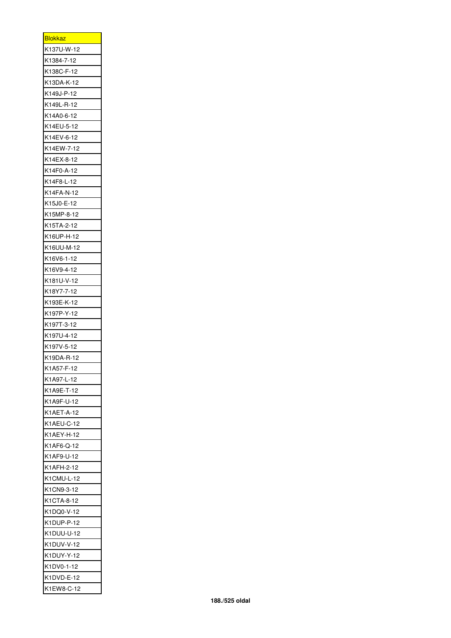| <u>Blokkaz</u> |
|----------------|
| K137U-W-12     |
| K1384-7-12     |
| K138C-F-12     |
| K13DA-K-12     |
| K149J-P-12     |
| K149L-R-12     |
| K14A0-6-12     |
| K14EU-5-12     |
| K14EV-6-12     |
| K14EW-7-12     |
| K14EX-8-12     |
| K14F0-A-12     |
| K14F8-L-12     |
| K14FA-N-12     |
| K15J0-E-12     |
| K15MP-8-12     |
| K15TA-2-12     |
| K16UP-H-12     |
| K16UU-M-12     |
| K16V6-1-12     |
|                |
| K16V9-4-12     |
| K181U-V-12     |
| K18Y7-7-12     |
| K193E-K-12     |
| K197P-Y-12     |
| K197T-3-12     |
| K197U-4-12     |
| K197V-5-12     |
| K19DA-R-12     |
| K1A57-F-12     |
| K1A97-L-12     |
| K1A9E-T-12     |
| K1A9F-U-12     |
| K1AET-A-12     |
| K1AEU-C-12     |
| K1AEY-H-12     |
| K1AF6-Q-12     |
| K1AF9-U-12     |
| K1AFH-2-12     |
| K1CMU-L-12     |
| K1CN9-3-12     |
| K1CTA-8-12     |
| K1DQ0-V-12     |
|                |
| K1DUP-P-12     |
| K1DUU-U-12     |
| K1DUV-V-12     |
| K1DUY-Y-12     |
| K1DV0-1-12     |
| K1DVD-E-12     |
| K1EW8-C-12     |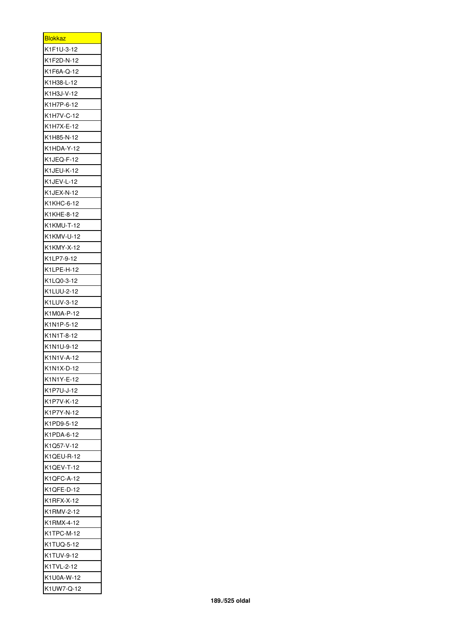| <u>Blokkaz</u> |
|----------------|
| K1F1U-3-12     |
| K1F2D-N-12     |
| K1F6A-Q-12     |
| K1H38-L-12     |
| K1H3J-V-12     |
| K1H7P-6-12     |
| K1H7V-C-12     |
| K1H7X-E-12     |
| K1H85-N-12     |
| K1HDA-Y-12     |
| K1JEQ-F-12     |
| K1JEU-K-12     |
| K1JEV-L-12     |
| K1JEX-N-12     |
| K1KHC-6-12     |
| K1KHE-8-12     |
| K1KMU-T-12     |
| K1KMV-U-12     |
| K1KMY-X-12     |
| K1LP7-9-12     |
| K1LPE-H-12     |
| K1LQ0-3-12     |
| K1LUU-2-12     |
| K1LUV-3-12     |
| K1M0A-P-12     |
| K1N1P-5-12     |
| K1N1T-8-12     |
| K1N1U-9-12     |
| K1N1V-A-12     |
| K1N1X-D-12     |
| K1N1Y-E-12     |
| K1P7U-J-12     |
| K1P7V-K-12     |
| K1P7Y-N-12     |
| K1PD9-5-12     |
| K1PDA-6-12     |
| K1Q57-V-12     |
| K1QEU-R-12     |
| K1QEV-T-12     |
| K1QFC-A-12     |
| K1QFE-D-12     |
| K1RFX-X-12     |
| K1RMV-2-12     |
| K1RMX-4-12     |
| K1TPC-M-12     |
| K1TUQ-5-12     |
| K1TUV-9-12     |
| K1TVL-2-12     |
| K1U0A-W-12     |
| K1UW7-Q-12     |
|                |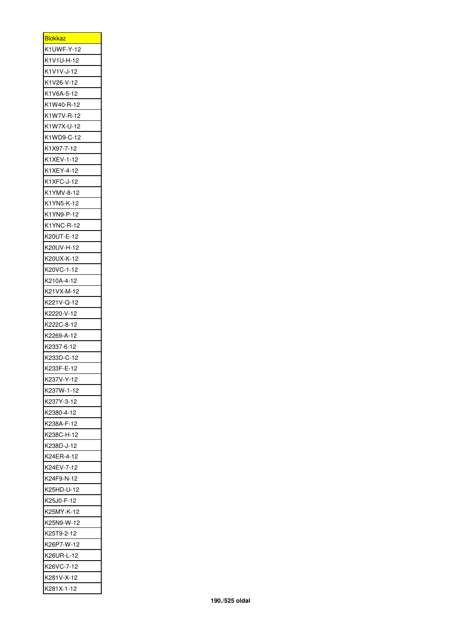| <u>Blokkaz</u> |
|----------------|
| K1UWF-Y-12     |
| K1V1U-H-12     |
| K1V1V-J-12     |
| K1V26-V-12     |
| K1V6A-5-12     |
| K1W40-R-12     |
| K1W7V-R-12     |
| K1W7X-U-12     |
| K1WD9-C-12     |
| K1X97-7-12     |
| K1XEV-1-12     |
| K1XEY-4-12     |
| K1XFC-J-12     |
| K1YMV-8-12     |
| K1YN5-K-12     |
| K1YN9-P-12     |
| K1YNC-R-12     |
| K20UT-E-12     |
| K20UV-H-12     |
| K20UX-K-12     |
| K20VC-1-12     |
| K210A-4-12     |
| K21VX-M-12     |
| K221V-Q-12     |
| K2220-V-12     |
| K222C-8-12     |
| K2269-A-12     |
| K2337-6-12     |
| K233D-C-12     |
| K233F-E-12     |
| K237V-Y-12     |
| K237W-1-12     |
| K237Y-3-12     |
|                |
| K2380-4-12     |
| K238A-F-12     |
| K238C-H-12     |
| K238D-J-12     |
| K24ER-4-12     |
| K24EV-7-12     |
| K24F9-N-12     |
| K25HD-U-12     |
| K25J0-F-12     |
| K25MY-K-12     |
| K25N9-W-12     |
| K25T9-2-12     |
| K26P7-W-12     |
| K26UR-L-12     |
| K26VC-7-12     |
| K281V-X-12     |
| K281X-1-12     |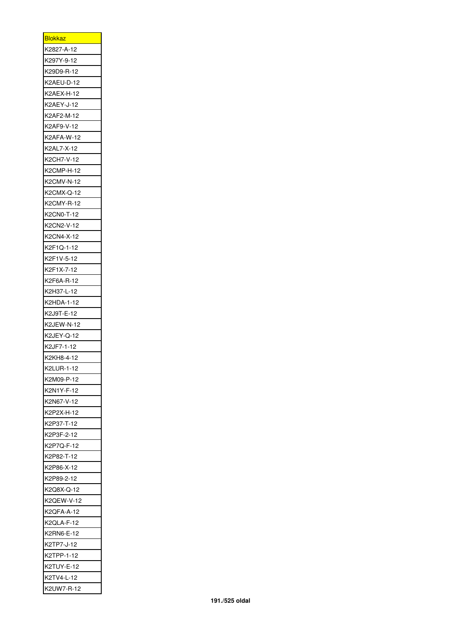| <b>Blokkaz</b> |
|----------------|
| K2827-A-12     |
| K297Y-9-12     |
| K29D9-R-12     |
| K2AEU-D-12     |
| K2AEX-H-12     |
|                |
| K2AEY-J-12     |
| K2AF2-M-12     |
| K2AF9-V-12     |
| K2AFA-W-12     |
| K2AL7-X-12     |
| K2CH7-V-12     |
| K2CMP-H-12     |
| K2CMV-N-12     |
| K2CMX-Q-12     |
| K2CMY-R-12     |
| K2CN0-T-12     |
| K2CN2-V-12     |
| K2CN4-X-12     |
| K2F1Q-1-12     |
| K2F1V-5-12     |
| K2F1X-7-12     |
|                |
| K2F6A-R-12     |
| K2H37-L-12     |
| K2HDA-1-12     |
| K2J9T-E-12     |
| K2JEW-N-12     |
| K2JEY-Q-12     |
| K2JF7-1-12     |
| K2KH8-4-12     |
| K2LUR-1-12     |
| K2M09-P-12     |
| K2N1Y-F-12     |
| K2N67-V-12     |
| K2P2X-H-12     |
| K2P37-T-12     |
| K2P3F-2-12     |
| K2P7Q-F-12     |
| K2P82-T-12     |
| K2P86-X-12     |
| K2P89-2-12     |
| K2Q8X-Q-12     |
|                |
| K2QEW-V-12     |
| K2QFA-A-12     |
| K2QLA-F-12     |
| K2RN6-E-12     |
| K2TP7-J-12     |
| K2TPP-1-12     |
| K2TUY-E-12     |
| K2TV4-L-12     |
| K2UW7-R-12     |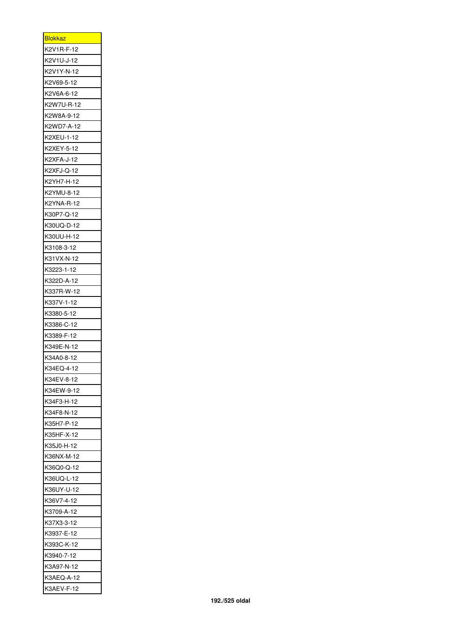| <b>Blokkaz</b> |
|----------------|
| K2V1R-F-12     |
| K2V1U-J-12     |
| K2V1Y-N-12     |
| K2V69-5-12     |
| K2V6A-6-12     |
| K2W7U-R-12     |
| K2W8A-9-12     |
| K2WD7-A-12     |
| K2XEU-1-12     |
| K2XEY-5-12     |
| K2XFA-J-12     |
| K2XFJ-Q-12     |
| K2YH7-H-12     |
| K2YMU-8-12     |
| K2YNA-R-12     |
| K30P7-Q-12     |
| K30UQ-D-12     |
| K30UU-H-12     |
| K3108-3-12     |
| K31VX-N-12     |
| K3223-1-12     |
| K322D-A-12     |
| K337R-W-12     |
| K337V-1-12     |
| K3380-5-12     |
| K3386-C-12     |
| K3389-F-12     |
| K349E-N-12     |
| K34A0-8-12     |
| K34EQ-4-12     |
| K34EV-8-12     |
| K34EW-9-12     |
| K34F3-H-12     |
| K34F8-N-12     |
| K35H7-P-12     |
| K35HF-X-12     |
| K35J0-H-12     |
| K36NX-M-12     |
| K36Q0-Q-12     |
| K36UQ-L-12     |
| K36UY-U-12     |
| K36V7-4-12     |
| K3709-A-12     |
| K37X3-3-12     |
| K3937-E-12     |
| K393C-K-12     |
| K3940-7-12     |
| K3A97-N-12     |
| K3AEQ-A-12     |
| K3AEV-F-12     |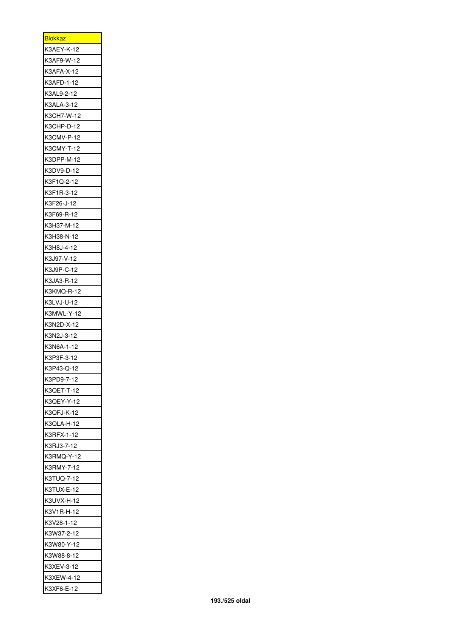| <u>Blokkaz</u>           |
|--------------------------|
| K3AEY-K-12               |
| K3AF9-W-12               |
| K3AFA-X-12               |
| K3AFD-1-12               |
| K3AL9-2-12               |
| K3ALA-3-12               |
| K3CH7-W-12               |
| K3CHP-D-12               |
| K3CMV-P-12               |
| K3CMY-T-12               |
| K3DPP-M-12               |
| K3DV9-D-12               |
| K3F1Q-2-12               |
| K3F1R-3-12               |
| K3F26-J-12               |
| K3F69-R-12               |
| K3H37-M-12               |
| K3H38-N-12               |
| K3H8J-4-12               |
|                          |
| K3J97-V-12               |
| K3J9P-C-12               |
| K3JA3-R-12               |
| K3KMQ-R-12               |
| K3LVJ-U-12               |
| K3MWL-Y-12               |
| K3N2D-X-12               |
| K3N2J-3-12               |
| K3N6A-1-12               |
| K3P3F-3-12               |
| K3P43-Q-12               |
| K3PD9-7-12               |
| K3QET-T-12               |
| K3QEY-Y-12               |
|                          |
| K3QFJ-K-12               |
| K3QLA-H-12               |
| K3RFX-1-12               |
|                          |
| K3RJ3-7-12<br>K3RMQ-Y-12 |
|                          |
| K3RMY-7-12               |
| K3TUQ-7-12               |
| K3TUX-E-12               |
| K3UVX-H-12               |
| K3V1R-H-12               |
| K3V28-1-12               |
| K3W37-2-12               |
| K3W80-Y-12               |
| K3W88-8-12               |
| K3XEV-3-12               |
| K3XEW-4-12<br>K3XF6-E-12 |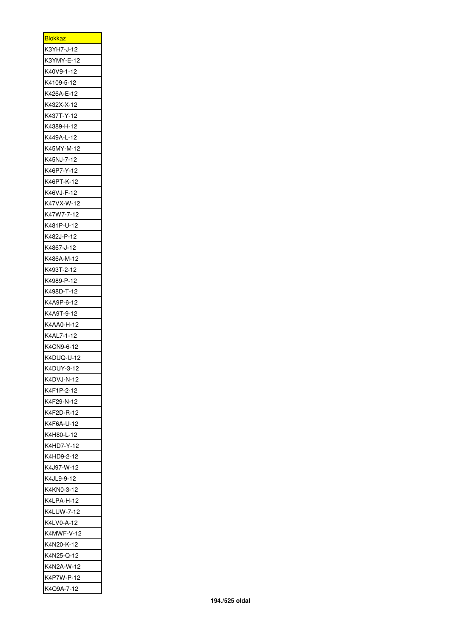| <u>Blokkaz</u>           |
|--------------------------|
| K3YH7-J-12               |
| K3YMY-E-12               |
| K40V9-1-12               |
| K4109-5-12               |
| K426A-E-12               |
| K432X-X-12               |
| K437T-Y-12               |
| K4389-H-12               |
| K449A-L-12               |
| K45MY-M-12               |
| K45NJ-7-12               |
| K46P7-Y-12               |
| K46PT-K-12               |
| K46VJ-F-12               |
| K47VX-W-12               |
| K47W7-7-12               |
| K481P-U-12               |
| K482J-P-12               |
| K4867-J-12               |
| K486A-M-12               |
| K493T-2-12               |
| K4989-P-12               |
| K498D-T-12               |
|                          |
| K4A9P-6-12               |
| K4A9T-9-12               |
| K4AA0-H-12               |
| K4AL7-1-12               |
| K4CN9-6-12               |
| K4DUQ-U-12               |
| K4DUY-3-12               |
| K4DVJ-N-12               |
| K4F1P-2-12               |
| K4F29-N-12               |
| K4F2D-R-12               |
| K4F6A-U-12               |
| K4H80-L-12               |
| K4HD7-Y-12               |
| K4HD9-2-12               |
| K4J97-W-12               |
| K4JL9-9-12               |
| K4KN0-3-12               |
| K4LPA-H-12               |
| K4LUW-7-12               |
| K4LV0-A-12               |
| K4MWF-V-12               |
| K4N20-K-12               |
|                          |
| K4N25-Q-12               |
| K4N2A-W-12               |
|                          |
| K4P7W-P-12<br>K4Q9A-7-12 |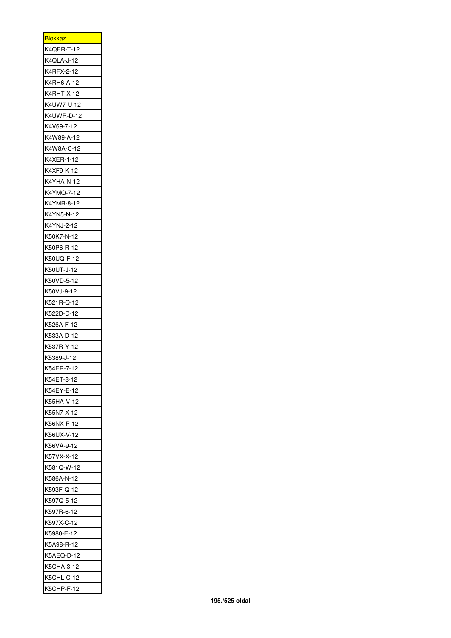| <b>Blokkaz</b> |
|----------------|
| K4QER-T-12     |
| K4QLA-J-12     |
| K4RFX-2-12     |
| K4RH6-A-12     |
| K4RHT-X-12     |
| K4UW7-U-12     |
| K4UWR-D-12     |
| K4V69-7-12     |
| K4W89-A-12     |
| K4W8A-C-12     |
| K4XER-1-12     |
| K4XF9-K-12     |
| K4YHA-N-12     |
| K4YMQ-7-12     |
| K4YMR-8-12     |
| K4YN5-N-12     |
|                |
| K4YNJ-2-12     |
| K50K7-N-12     |
| K50P6-R-12     |
| K50UQ-F-12     |
| K50UT-J-12     |
| K50VD-5-12     |
| K50VJ-9-12     |
| K521R-Q-12     |
| K522D-D-12     |
| K526A-F-12     |
| K533A-D-12     |
| K537R-Y-12     |
| K5389-J-12     |
| K54ER-7-12     |
| K54ET-8-12     |
| K54EY-E-12     |
| K55HA-V-12     |
| K55N7-X-12     |
| K56NX-P-12     |
| K56UX-V-12     |
| K56VA-9-12     |
| K57VX-X-12     |
| K581Q-W-12     |
| K586A-N-12     |
|                |
| K593F-Q-12     |
| K597Q-5-12     |
| K597R-6-12     |
| K597X-C-12     |
| K5980-E-12     |
| K5A98-R-12     |
| K5AEQ-D-12     |
| K5CHA-3-12     |
| K5CHL-C-12     |
| K5CHP-F-12     |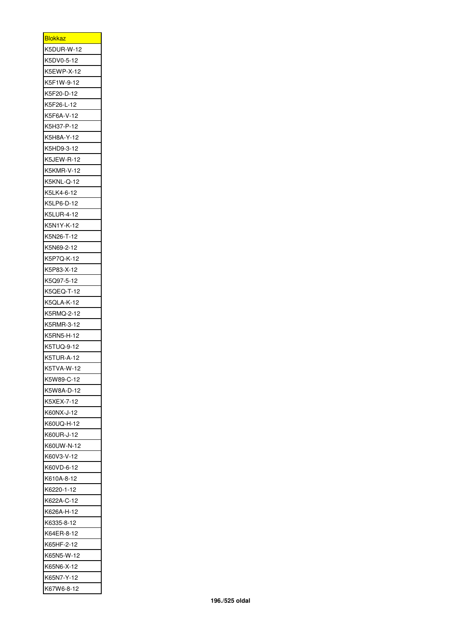| <u>Blokkaz</u> |
|----------------|
| K5DUR-W-12     |
| K5DV0-5-12     |
| K5EWP-X-12     |
| K5F1W-9-12     |
| K5F20-D-12     |
| K5F26-L-12     |
| K5F6A-V-12     |
| K5H37-P-12     |
| K5H8A-Y-12     |
| K5HD9-3-12     |
| K5JEW-R-12     |
| K5KMR-V-12     |
| K5KNL-Q-12     |
| K5LK4-6-12     |
| K5LP6-D-12     |
| K5LUR-4-12     |
| K5N1Y-K-12     |
| K5N26-T-12     |
| K5N69-2-12     |
| K5P7Q-K-12     |
| K5P83-X-12     |
| K5Q97-5-12     |
| K5QEQ-T-12     |
| K5QLA-K-12     |
| K5RMQ-2-12     |
| K5RMR-3-12     |
| K5RN5-H-12     |
| K5TUQ-9-12     |
| K5TUR-A-12     |
| K5TVA-W-12     |
|                |
| K5W89-C-12     |
| K5W8A-D-12     |
| K5XEX-7-12     |
| K60NX-J-12     |
| K60UQ-H-12     |
| K60UR-J-12     |
| K60UW-N-12     |
| K60V3-V-12     |
| K60VD-6-12     |
| K610A-8-12     |
| K6220-1-12     |
| K622A-C-12     |
| K626A-H-12     |
| K6335-8-12     |
| K64ER-8-12     |
| K65HF-2-12     |
|                |
| K65N5-W-12     |
| K65N6-X-12     |
| K65N7-Y-12     |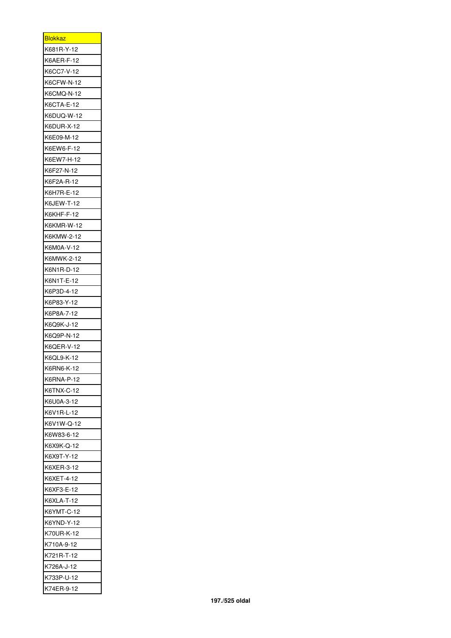| <b>Blokkaz</b> |
|----------------|
| K681R-Y-12     |
| K6AER-F-12     |
| K6CC7-V-12     |
| K6CFW-N-12     |
| K6CMQ-N-12     |
| K6CTA-E-12     |
| K6DUQ-W-12     |
| K6DUR-X-12     |
| K6E09-M-12     |
| K6EW6-F-12     |
| K6EW7-H-12     |
| K6F27-N-12     |
| K6F2A-R-12     |
| K6H7R-E-12     |
| K6JEW-T-12     |
| K6KHF-F-12     |
| K6KMR-W-12     |
| K6KMW-2-12     |
| K6M0A-V-12     |
| K6MWK-2-12     |
|                |
| K6N1R-D-12     |
| K6N1T-E-12     |
| K6P3D-4-12     |
| K6P83-Y-12     |
| K6P8A-7-12     |
| K6Q9K-J-12     |
| K6Q9P-N-12     |
| K6QER-V-12     |
| K6QL9-K-12     |
| K6RN6-K-12     |
| K6RNA-P-12     |
| K6TNX-C-12     |
| K6U0A-3-12     |
| K6V1R-L-12     |
| K6V1W-Q-12     |
| K6W83-6-12     |
| K6X9K-Q-12     |
| K6X9T-Y-12     |
| K6XER-3-12     |
| K6XET-4-12     |
| K6XF3-E-12     |
| K6XLA-T-12     |
| K6YMT-C-12     |
| K6YND-Y-12     |
| K70UR-K-12     |
| K710A-9-12     |
| K721R-T-12     |
| K726A-J-12     |
| K733P-U-12     |
| K74ER-9-12     |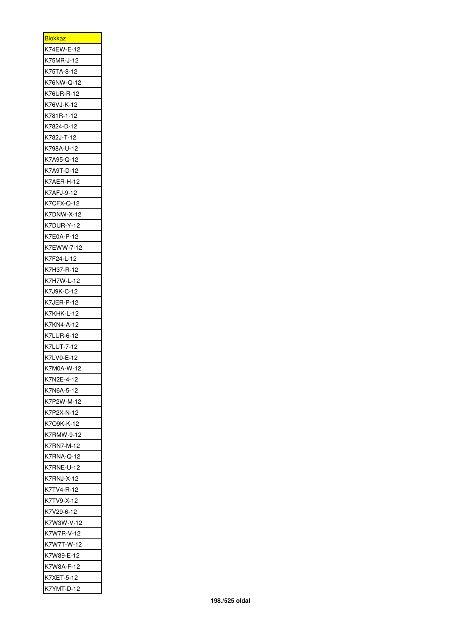| <u>Blokkaz</u> |
|----------------|
| K74EW-E-12     |
| K75MR-J-12     |
| K75TA-8-12     |
| K76NW-Q-12     |
| K76UR-R-12     |
| K76VJ-K-12     |
| K781R-1-12     |
| K7824-D-12     |
| K782J-T-12     |
| K798A-U-12     |
| K7A95-Q-12     |
| K7A9T-D-12     |
| K7AER-H-12     |
| K7AFJ-9-12     |
|                |
| K7CFX-Q-12     |
| K7DNW-X-12     |
| K7DUR-Y-12     |
| K7E0A-P-12     |
| K7EWW-7-12     |
| K7F24-L-12     |
| K7H37-R-12     |
| K7H7W-L-12     |
| K7J9K-C-12     |
| K7JER-P-12     |
| K7KHK-L-12     |
| K7KN4-A-12     |
| K7LUR-6-12     |
| K7LUT-7-12     |
| K7LV0-E-12     |
| K7M0A-W-12     |
| K7N2E-4-12     |
| K7N6A-5-12     |
| K7P2W-M-12     |
| K7P2X-N-12     |
| K7Q9K-K-12     |
| K7RMW-9-12     |
| K7RN7-M-12     |
| K7RNA-Q-12     |
| K7RNE-U-12     |
| K7RNJ-X-12     |
| K7TV4-R-12     |
| K7TV9-X-12     |
| K7V29-6-12     |
|                |
| K7W3W-V-12     |
| K7W7R-V-12     |
| K7W7T-W-12     |
| K7W89-E-12     |
| K7W8A-F-12     |
| K7XET-5-12     |
| K7YMT-D-12     |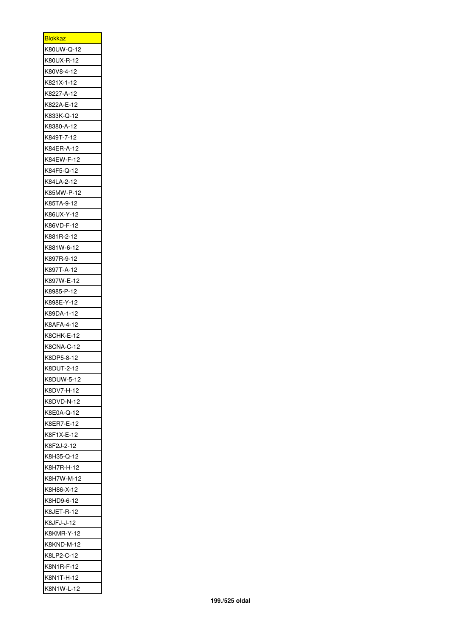| <b>Blokkaz</b>           |
|--------------------------|
| K80UW-Q-12               |
| K80UX-R-12               |
| K80V8-4-12               |
| K821X-1-12               |
| K8227-A-12               |
| K822A-E-12               |
| K833K-Q-12               |
| K8380-A-12               |
| K849T-7-12               |
| K84ER-A-12               |
| K84EW-F-12               |
| K84F5-Q-12               |
| K84LA-2-12               |
| K85MW-P-12               |
| K85TA-9-12               |
| K86UX-Y-12               |
| K86VD-F-12               |
| K881R-2-12               |
| K881W-6-12               |
| K897R-9-12               |
|                          |
| K897T-A-12<br>K897W-E-12 |
|                          |
| K8985-P-12               |
| K898E-Y-12               |
| K89DA-1-12               |
| K8AFA-4-12               |
| K8CHK-E-12               |
| K8CNA-C-12               |
| K8DP5-8-12               |
| K8DUT-2-12               |
| K8DUW-5-12               |
| K8DV7-H-12               |
| K8DVD-N-12               |
| K8E0A-Q-12               |
| K8ER7-E-12               |
| K8F1X-E-12               |
| K8F2J-2-12               |
| K8H35-Q-12               |
| K8H7R-H-12               |
| K8H7W-M-12               |
| K8H86-X-12               |
| K8HD9-6-12               |
| K8JET-R-12               |
| K8JFJ-J-12               |
| K8KMR-Y-12               |
| K8KND-M-12               |
| K8LP2-C-12               |
| K8N1R-F-12               |
| K8N1T-H-12               |
| K8N1W-L-12               |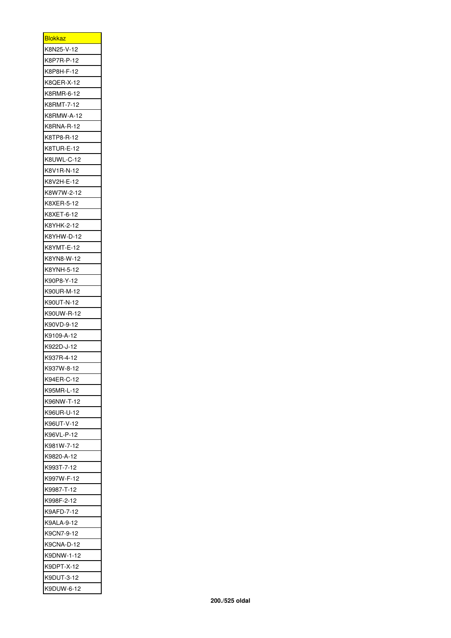| <u>Blokkaz</u> |
|----------------|
| K8N25-V-12     |
| K8P7R-P-12     |
| K8P8H-F-12     |
| K8QER-X-12     |
| K8RMR-6-12     |
| K8RMT-7-12     |
| K8RMW-A-12     |
| K8RNA-R-12     |
| K8TP8-R-12     |
| K8TUR-E-12     |
| K8UWL-C-12     |
| K8V1R-N-12     |
| K8V2H-E-12     |
| K8W7W-2-12     |
| K8XER-5-12     |
| K8XET-6-12     |
| K8YHK-2-12     |
| K8YHW-D-12     |
| K8YMT-E-12     |
| K8YN8-W-12     |
| K8YNH-5-12     |
| K90P8-Y-12     |
| K90UR-M-12     |
| K90UT-N-12     |
| K90UW-R-12     |
| K90VD-9-12     |
| K9109-A-12     |
|                |
| K922D-J-12     |
| K937R-4-12     |
| K937W-8-12     |
| K94ER-C-12     |
| K95MR-L-12     |
| K96NW-T-12     |
| K96UR-U-12     |
| K96UT-V-12     |
| K96VL-P-12     |
| K981W-7-12     |
| K9820-A-12     |
| K993T-7-12     |
| K997W-F-12     |
| K9987-T-12     |
| K998F-2-12     |
| K9AFD-7-12     |
| K9ALA-9-12     |
| K9CN7-9-12     |
| K9CNA-D-12     |
| K9DNW-1-12     |
| K9DPT-X-12     |
| K9DUT-3-12     |
| K9DUW-6-12     |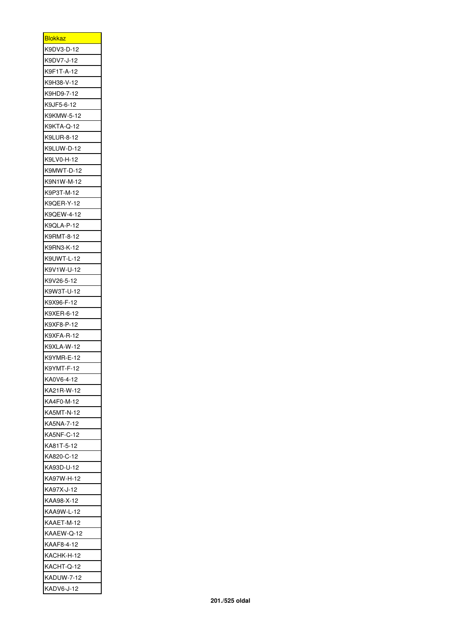| <b>Blokkaz</b>    |
|-------------------|
| K9DV3-D-12        |
| K9DV7-J-12        |
| K9F1T-A-12        |
| K9H38-V-12        |
| K9HD9-7-12        |
| K9JF5-6-12        |
| K9KMW-5-12        |
| K9KTA-Q-12        |
| K9LUR-8-12        |
| K9LUW-D-12        |
| K9LV0-H-12        |
| K9MWT-D-12        |
| K9N1W-M-12        |
| K9P3T-M-12        |
| K9QER-Y-12        |
| K9QEW-4-12        |
| K9QLA-P-12        |
| K9RMT-8-12        |
|                   |
| K9RN3-K-12        |
| K9UWT-L-12        |
| K9V1W-U-12        |
| K9V26-5-12        |
| K9W3T-U-12        |
| K9X96-F-12        |
| K9XER-6-12        |
| K9XF8-P-12        |
| K9XFA-R-12        |
| K9XLA-W-12        |
| K9YMR-E-12        |
| K9YMT-F-12        |
| KA0V6-4-12        |
| KA21R-W-12        |
| KA4F0-M-12        |
| <b>KA5MT-N-12</b> |
| KA5NA-7-12        |
| KA5NF-C-12        |
| KA81T-5-12        |
| KA820-C-12        |
| KA93D-U-12        |
| KA97W-H-12        |
| KA97X-J-12        |
| KAA98-X-12        |
| KAA9W-L-12        |
| KAAET-M-12        |
| KAAEW-Q-12        |
| KAAF8-4-12        |
| KACHK-H-12        |
| KACHT-Q-12        |
| KADUW-7-12        |
| KADV6-J-12        |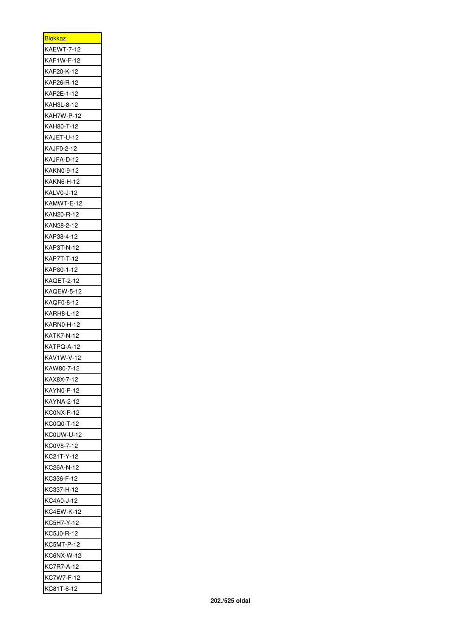| <u>Blokkaz</u>           |
|--------------------------|
| KAEWT-7-12               |
| KAF1W-F-12               |
| KAF20-K-12               |
| KAF26-R-12               |
| KAF2E-1-12               |
| KAH3L-8-12               |
| KAH7W-P-12               |
| KAH80-T-12               |
| KAJET-U-12               |
| KAJF0-2-12               |
| KAJFA-D-12               |
| KAKN0-9-12               |
| KAKN6-H-12               |
|                          |
| KALV0-J-12<br>KAMWT-E-12 |
|                          |
| KAN20-R-12               |
| KAN28-2-12               |
| KAP38-4-12               |
| KAP3T-N-12               |
| KAP7T-T-12               |
| KAP80-1-12               |
| KAQET-2-12               |
| KAQEW-5-12               |
| KAQF0-8-12               |
| KARH8-L-12               |
| KARN0-H-12               |
| <b>KATK7-N-12</b>        |
| KATPQ-A-12               |
| KAV1W-V-12               |
| KAW80-7-12               |
| KAX8X-7-12               |
|                          |
| KAYN0-P-12               |
| KAYNA-2-12               |
| KC0NX-P-12               |
| KC0Q0-T-12               |
| KC0UW-U-12               |
| KC0V8-7-12               |
| KC21T-Y-12               |
| KC26A-N-12               |
| KC336-F-12               |
| KC337-H-12               |
| KC4A0-J-12               |
| KC4EW-K-12               |
| KC5H7-Y-12               |
| KC5J0-R-12               |
| <b>KC5MT-P-12</b>        |
| KC6NX-W-12               |
| KC7R7-A-12               |
| KC7W7-F-12               |
|                          |
| KC81T-6-12               |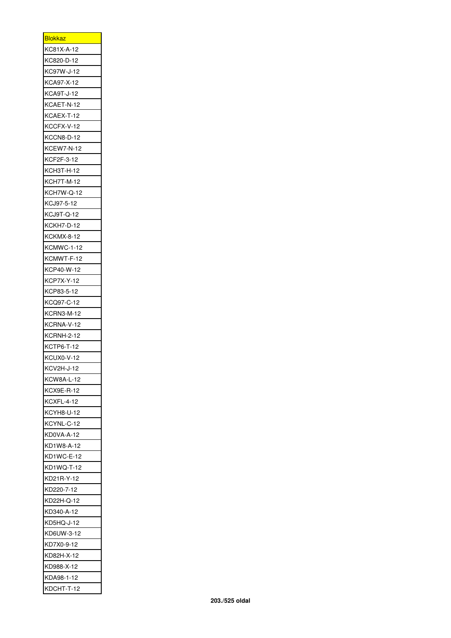| <b>Blokkaz</b>    |
|-------------------|
| KC81X-A-12        |
| KC820-D-12        |
| KC97W-J-12        |
| KCA97-X-12        |
| KCA9T-J-12        |
| KCAET-N-12        |
| KCAEX-T-12        |
| KCCFX-V-12        |
| KCCN8-D-12        |
| <b>KCEW7-N-12</b> |
| KCF2F-3-12        |
| KCH3T-H-12        |
| KCH7T-M-12        |
| <b>KCH7W-Q-12</b> |
|                   |
| KCJ97-5-12        |
| KCJ9T-Q-12        |
| KCKH7-D-12        |
| KCKMX-8-12        |
| KCMWC-1-12        |
| KCMWT-F-12        |
| KCP40-W-12        |
| KCP7X-Y-12        |
| KCP83-5-12        |
| KCQ97-C-12        |
| KCRN3-M-12        |
| KCRNA-V-12        |
| KCRNH-2-12        |
| KCTP6-T-12        |
| KCUX0-V-12        |
| KCV2H-J-12        |
| KCW8A-L-12        |
| KCX9E-R-12        |
| KCXFL-4-12        |
| KCYH8-U-12        |
| KCYNL-C-12        |
| KD0VA-A-12        |
| KD1W8-A-12        |
|                   |
| KD1WC-E-12        |
| KD1WQ-T-12        |
| KD21R-Y-12        |
| KD220-7-12        |
| KD22H-Q-12        |
| KD340-A-12        |
| KD5HQ-J-12        |
| KD6UW-3-12        |
| KD7X0-9-12        |
| KD82H-X-12        |
| KD988-X-12        |
| KDA98-1-12        |
| KDCHT-T-12        |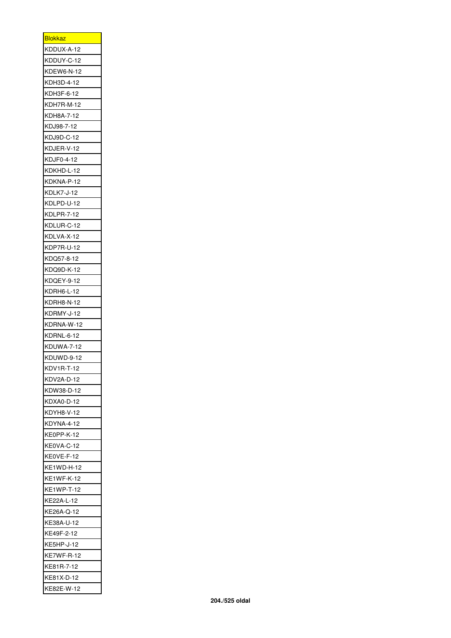| <b>Blokkaz</b>    |
|-------------------|
| KDDUX-A-12        |
| KDDUY-C-12        |
| <b>KDEW6-N-12</b> |
| KDH3D-4-12        |
| KDH3F-6-12        |
| KDH7R-M-12        |
| KDH8A-7-12        |
| KDJ98-7-12        |
| KDJ9D-C-12        |
| KDJER-V-12        |
| KDJF0-4-12        |
| KDKHD-L-12        |
| KDKNA-P-12        |
| KDLK7-J-12        |
| KDLPD-U-12        |
| KDLPR-7-12        |
|                   |
| KDLUR-C-12        |
| KDLVA-X-12        |
| KDP7R-U-12        |
| KDQ57-8-12        |
| KDQ9D-K-12        |
| KDQEY-9-12        |
| KDRH6-L-12        |
| KDRH8-N-12        |
| KDRMY-J-12        |
| KDRNA-W-12        |
| KDRNL-6-12        |
| KDUWA-7-12        |
| KDUWD-9-12        |
| KDV1R-T-12        |
| KDV2A-D-12        |
| KDW38-D-12        |
| KDXA0-D-12        |
| <b>KDYH8-V-12</b> |
| KDYNA-4-12        |
| KE0PP-K-12        |
|                   |
| KE0VA-C-12        |
| KE0VE-F-12        |
| KE1WD-H-12        |
| <b>KE1WF-K-12</b> |
| KE1WP-T-12        |
| KE22A-L-12        |
| KE26A-Q-12        |
| KE38A-U-12        |
| KE49F-2-12        |
| <b>KE5HP-J-12</b> |
| KE7WF-R-12        |
| KE81R-7-12        |
| KE81X-D-12        |
|                   |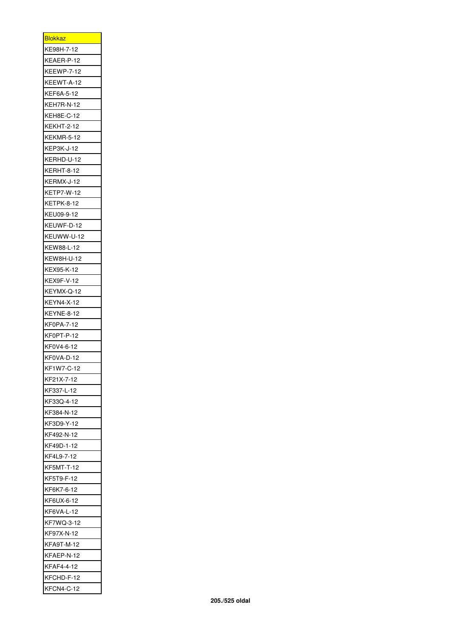| <b>Blokkaz</b>    |
|-------------------|
| KE98H-7-12        |
| KEAER-P-12        |
| <b>KEEWP-7-12</b> |
| KEEWT-A-12        |
| KEF6A-5-12        |
| KEH7R-N-12        |
| KEH8E-C-12        |
| KEKHT-2-12        |
| KEKMR-5-12        |
| KEP3K-J-12        |
| KERHD-U-12        |
| KERHT-8-12        |
| KERMX-J-12        |
| <b>KETP7-W-12</b> |
|                   |
| <b>KETPK-8-12</b> |
| KEU09-9-12        |
| KEUWF-D-12        |
| KEUWW-U-12        |
| KEW88-L-12        |
| <b>KEW8H-U-12</b> |
| KEX95-K-12        |
| KEX9F-V-12        |
| KEYMX-Q-12        |
| KEYN4-X-12        |
| KEYNE-8-12        |
| KF0PA-7-12        |
| KF0PT-P-12        |
| KF0V4-6-12        |
| KF0VA-D-12        |
| KF1W7-C-12        |
| KF21X-7-12        |
|                   |
| KF337-L-12        |
| KF33Q-4-12        |
| KF384-N-12        |
| KF3D9-Y-12        |
| KF492-N-12        |
| KF49D-1-12        |
| KF4L9-7-12        |
| KF5MT-T-12        |
| KF5T9-F-12        |
| KF6K7-6-12        |
| KF6UX-6-12        |
| KF6VA-L-12        |
| KF7WQ-3-12        |
| KF97X-N-12        |
| KFA9T-M-12        |
| KFAEP-N-12        |
| <b>KFAF4-4-12</b> |
| KFCHD-F-12        |
| KFCN4-C-12        |
|                   |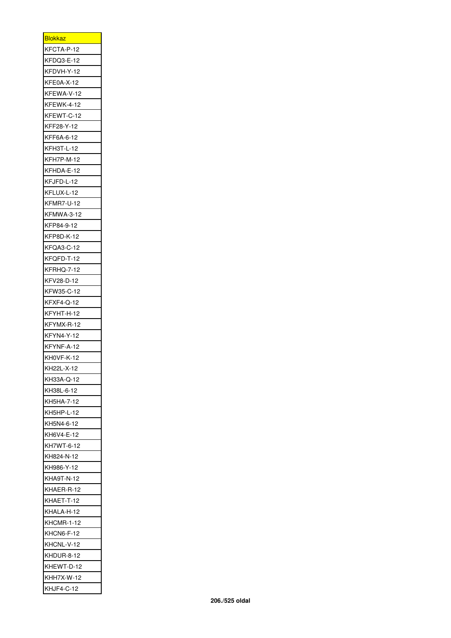| <b>Blokkaz</b>    |
|-------------------|
| KFCTA-P-12        |
| KFDQ3-E-12        |
| KFDVH-Y-12        |
| KFE0A-X-12        |
| KFEWA-V-12        |
| <b>KFEWK-4-12</b> |
| KFEWT-C-12        |
| KFF28-Y-12        |
| KFF6A-6-12        |
| KFH3T-L-12        |
| KFH7P-M-12        |
| KFHDA-E-12        |
| KFJFD-L-12        |
| KFLUX-L-12        |
| KFMR7-U-12        |
| KFMWA-3-12        |
| KFP84-9-12        |
|                   |
| KFP8D-K-12        |
| KFQA3-C-12        |
| KFQFD-T-12        |
| KFRHQ-7-12        |
| KFV28-D-12        |
| KFW35-C-12        |
| KFXF4-Q-12        |
| KFYHT-H-12        |
| KFYMX-R-12        |
| KFYN4-Y-12        |
| KFYNF-A-12        |
| KH0VF-K-12        |
| KH22L-X-12        |
| KH33A-Q-12        |
| KH38L-6-12        |
| KH5HA-7-12        |
| KH5HP-L-12        |
| KH5N4-6-12        |
| KH6V4-E-12        |
| KH7WT-6-12        |
| KH824-N-12        |
| KH986-Y-12        |
| KHA9T-N-12        |
| KHAER-R-12        |
| KHAET-T-12        |
| KHALA-H-12        |
| KHCMR-1-12        |
| KHCN6-F-12        |
| KHCNL-V-12        |
| KHDUR-8-12        |
| KHEWT-D-12        |
| <b>KHH7X-W-12</b> |
| KHJF4-C-12        |
|                   |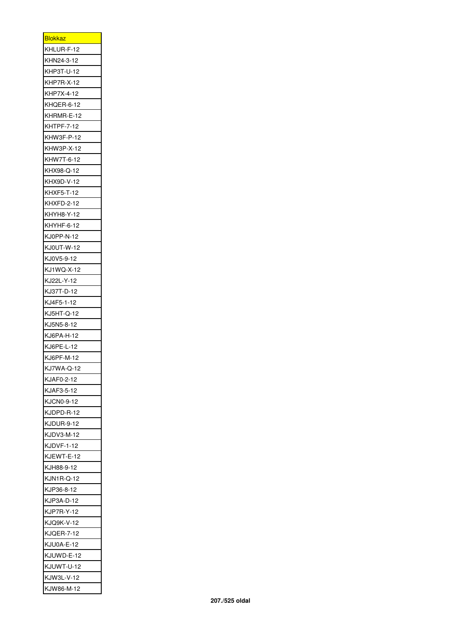| <b>Blokkaz</b>    |
|-------------------|
| KHLUR-F-12        |
| KHN24-3-12        |
| KHP3T-U-12        |
| <b>KHP7R-X-12</b> |
| KHP7X-4-12        |
| KHQER-6-12        |
| KHRMR-E-12        |
| <b>KHTPF-7-12</b> |
| KHW3F-P-12        |
| KHW3P-X-12        |
| KHW7T-6-12        |
| KHX98-Q-12        |
|                   |
| KHX9D-V-12        |
| KHXF5-T-12        |
| KHXFD-2-12        |
| KHYH8-Y-12        |
| KHYHF-6-12        |
| KJ0PP-N-12        |
| KJ0UT-W-12        |
| KJ0V5-9-12        |
| KJ1WQ-X-12        |
| KJ22L-Y-12        |
| KJ37T-D-12        |
| KJ4F5-1-12        |
| KJ5HT-Q-12        |
| KJ5N5-8-12        |
| KJ6PA-H-12        |
| KJ6PE-L-12        |
| KJ6PF-M-12        |
| KJ7WA-Q-12        |
| KJAF0-2-12        |
| KJAF3-5-12        |
| KJCN0-9-12        |
|                   |
| KJDPD-R-12        |
| KJDUR-9-12        |
| KJDV3-M-12        |
| KJDVF-1-12        |
| KJEWT-E-12        |
| KJH88-9-12        |
| KJN1R-Q-12        |
| KJP36-8-12        |
| KJP3A-D-12        |
| KJP7R-Y-12        |
| KJQ9K-V-12        |
| <b>KJQER-7-12</b> |
| KJU0A-E-12        |
| KJUWD-E-12        |
| KJUWT-U-12        |
| KJW3L-V-12        |
| KJW86-M-12        |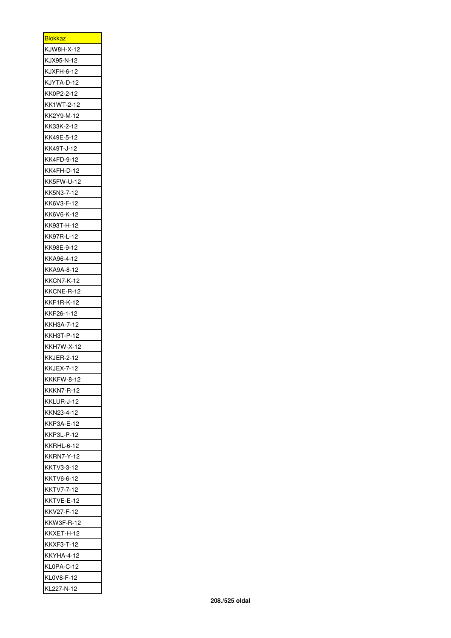| <b>Blokkaz</b>    |
|-------------------|
| KJW8H-X-12        |
| KJX95-N-12        |
| <b>KJXFH-6-12</b> |
| KJYTA-D-12        |
| KK0P2-2-12        |
| KK1WT-2-12        |
| KK2Y9-M-12        |
| KK33K-2-12        |
| KK49E-5-12        |
| KK49T-J-12        |
| KK4FD-9-12        |
| KK4FH-D-12        |
| KK5FW-U-12        |
| KK5N3-7-12        |
| KK6V3-F-12        |
| KK6V6-K-12        |
| KK93T-H-12        |
| KK97R-L-12        |
| KK98E-9-12        |
|                   |
| KKA96-4-12        |
| KKA9A-8-12        |
| KKCN7-K-12        |
| KKCNE-R-12        |
| KKF1R-K-12        |
| KKF26-1-12        |
| KKH3A-7-12        |
| KKH3T-P-12        |
| KKH7W-X-12        |
| <b>KKJER-2-12</b> |
| KKJEX-7-12        |
| KKKFW-8-12        |
| KKKN7-R-12        |
| KKLUR-J-12        |
| KKN23-4-12        |
| KKP3A-E-12        |
| KKP3L-P-12        |
| KKRHL-6-12        |
| <b>KKRN7-Y-12</b> |
| KKTV3-3-12        |
| KKTV6-6-12        |
| KKTV7-7-12        |
| KKTVE-E-12        |
| KKV27-F-12        |
| KKW3F-R-12        |
| KKXET-H-12        |
| KKXF3-T-12        |
| KKYHA-4-12        |
| KL0PA-C-12        |
| KL0V8-F-12        |
| KL227-N-12        |
|                   |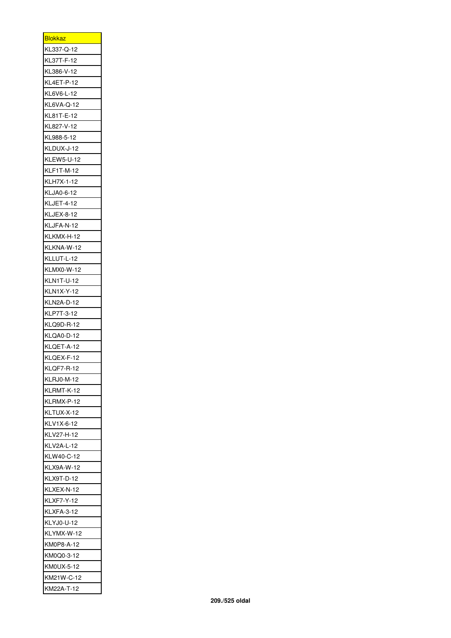| <u>Blokkaz</u>    |
|-------------------|
| KL337-Q-12        |
| KL37T-F-12        |
| KL386-V-12        |
| KL4ET-P-12        |
| KL6V6-L-12        |
| KL6VA-Q-12        |
| KL81T-E-12        |
| KL827-V-12        |
| KL988-5-12        |
| KLDUX-J-12        |
| KLEW5-U-12        |
| KLF1T-M-12        |
| KLH7X-1-12        |
| KLJA0-6-12        |
| KLJET-4-12        |
| <b>KLJEX-8-12</b> |
| KLJFA-N-12        |
| KLKMX-H-12        |
|                   |
| KLKNA-W-12        |
| KLLUT-L-12        |
| KLMX0-W-12        |
| KLN1T-U-12        |
| KLN1X-Y-12        |
| KLN2A-D-12        |
| KLP7T-3-12        |
| KLQ9D-R-12        |
| KLQA0-D-12        |
| KLQET-A-12        |
| KLQEX-F-12        |
| KLQF7-R-12        |
| <b>KLRJ0-M-12</b> |
| KLRMT-K-12        |
| KLRMX-P-12        |
| KLTUX-X-12        |
| KLV1X-6-12        |
| KLV27-H-12        |
| KLV2A-L-12        |
| KLW40-C-12        |
| KLX9A-W-12        |
| KLX9T-D-12        |
| KLXEX-N-12        |
| KLXF7-Y-12        |
| KLXFA-3-12        |
| KLYJ0-U-12        |
| KLYMX-W-12        |
|                   |
| KM0P8-A-12        |
| KM0Q0-3-12        |
| KM0UX-5-12        |
| KM21W-C-12        |
| KM22A-T-12        |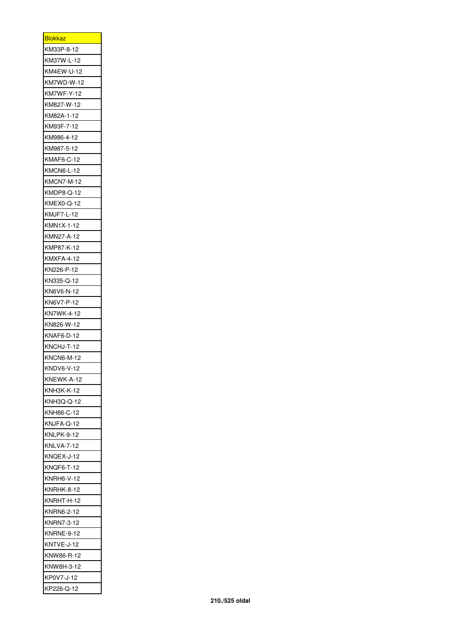| <b>Blokkaz</b>    |
|-------------------|
| KM33P-8-12        |
| KM37W-L-12        |
| KM4EW-U-12        |
| KM7WD-W-12        |
| KM7WF-Y-12        |
| KM827-W-12        |
| KM82A-1-12        |
| KM93F-7-12        |
| KM986-4-12        |
| KM987-5-12        |
| KMAF6-C-12        |
| KMCN6-L-12        |
| KMCN7-M-12        |
| KMDP8-Q-12        |
| <b>KMEX0-Q-12</b> |
| <b>KMJF7-L-12</b> |
| KMN1X-1-12        |
| KMN27-A-12        |
| KMP87-K-12        |
|                   |
| KMXFA-4-12        |
| KN226-P-12        |
| KN335-Q-12        |
| KN6V6-N-12        |
| KN6V7-P-12        |
| KN7WK-4-12        |
| KN826-W-12        |
| <b>KNAF6-D-12</b> |
| KNCHJ-T-12        |
| <b>KNCN6-M-12</b> |
| KNDV6-V-12        |
| KNEWK-A-12        |
| <b>KNH3K-K-12</b> |
| KNH3Q-Q-12        |
| KNH86-C-12        |
| KNJFA-Q-12        |
| <b>KNLPK-9-12</b> |
| <b>KNLVA-7-12</b> |
| KNQEX-J-12        |
| <b>KNQF6-T-12</b> |
| <b>KNRH6-V-12</b> |
| <b>KNRHK-8-12</b> |
| KNRHT-H-12        |
| KNRN6-2-12        |
| <b>KNRN7-3-12</b> |
| KNRNE-9-12        |
| KNTVE-J-12        |
| KNW86-R-12        |
| KNW8H-3-12        |
| KP0V7-J-12        |
| KP226-Q-12        |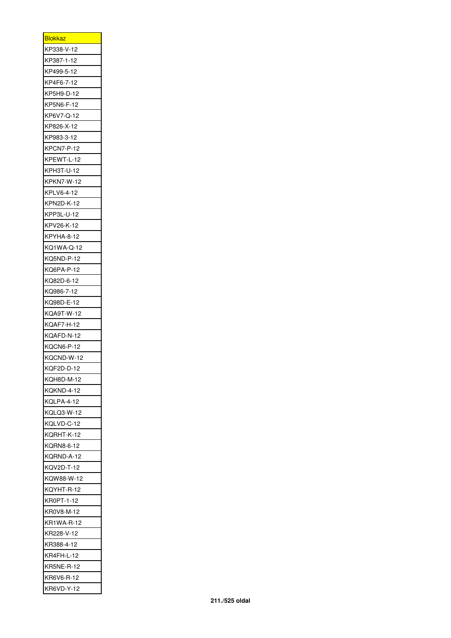| <b>Blokkaz</b>           |
|--------------------------|
| KP338-V-12               |
| KP387-1-12               |
| KP499-5-12               |
| KP4F6-7-12               |
| KP5H9-D-12               |
| KP5N6-F-12               |
| KP6V7-Q-12               |
| KP826-X-12               |
| KP983-3-12               |
| KPCN7-P-12               |
| KPEWT-L-12               |
| KPH3T-U-12               |
| KPKN7-W-12               |
| KPLV6-4-12               |
| KPN2D-K-12               |
| KPP3L-U-12               |
| KPV26-K-12               |
|                          |
| KPYHA-8-12               |
| KQ1WA-Q-12               |
| KQ5ND-P-12               |
| KQ6PA-P-12               |
| KQ82D-6-12               |
| KQ986-7-12               |
| KQ98D-E-12               |
| KQA9T-W-12               |
|                          |
| KQAF7-H-12               |
| KQAFD-N-12               |
| KQCN6-P-12               |
| KQCND-W-12               |
| KQF2D-D-12               |
| KQH8D-M-12               |
| KQKND-4-12               |
| KQLPA-4-12               |
| KQLQ3-W-12               |
| KQLVD-C-12               |
| KQRHT-K-12               |
| KQRN8-6-12               |
| KQRND-A-12               |
| <b>KQV2D-T-12</b>        |
| KQW88-W-12               |
| KQYHT-R-12               |
| KR0PT-1-12               |
|                          |
| KR0V8-M-12<br>KR1WA-R-12 |
|                          |
|                          |
| KR388-4-12               |
| KR228-V-12<br>KR4FH-L-12 |
| KR5NE-R-12               |
| KR6V6-R-12<br>KR6VD-Y-12 |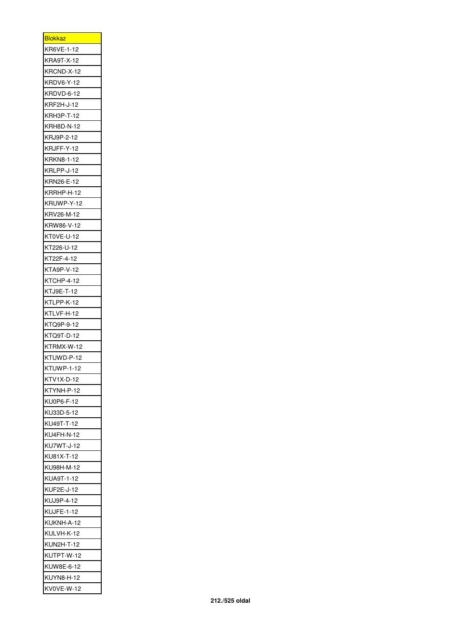| <u>Blokkaz</u>    |
|-------------------|
| KR6VE-1-12        |
| KRA9T-X-12        |
| KRCND-X-12        |
| KRDV6-Y-12        |
| KRDVD-6-12        |
| KRF2H-J-12        |
| KRH3P-T-12        |
| KRH8D-N-12        |
| KRJ9P-2-12        |
| KRJFF-Y-12        |
| KRKN8-1-12        |
| KRLPP-J-12        |
| KRN26-E-12        |
| KRRHP-H-12        |
| KRUWP-Y-12        |
| KRV26-M-12        |
| KRW86-V-12        |
|                   |
| KT0VE-U-12        |
| KT226-U-12        |
| KT22F-4-12        |
| KTA9P-V-12        |
| KTCHP-4-12        |
| KTJ9E-T-12        |
| KTLPP-K-12        |
| KTLVF-H-12        |
| KTQ9P-9-12        |
| KTQ9T-D-12        |
| KTRMX-W-12        |
| KTUWD-P-12        |
| <b>KTUWP-1-12</b> |
| KTV1X-D-12        |
| KTYNH-P-12        |
| KU0P6-F-12        |
| KU33D-5-12        |
| KU49T-T-12        |
| KU4FH-N-12        |
| KU7WT-J-12        |
| KU81X-T-12        |
| KU98H-M-12        |
| KUA9T-1-12        |
| KUF2E-J-12        |
| KUJ9P-4-12        |
| KUJFE-1-12        |
| KUKNH-A-12        |
|                   |
| KULVH-K-12        |
| <b>KUN2H-T-12</b> |
| KUTPT-W-12        |
| KUW8E-6-12        |
| <b>KUYN8-H-12</b> |
| KV0VE-W-12        |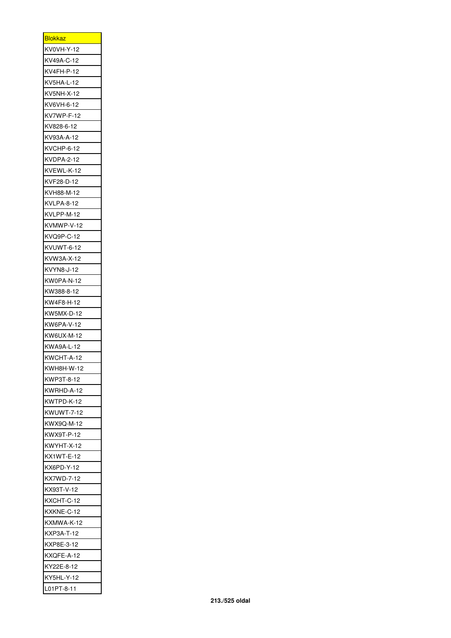| <u>Blokkaz</u>    |
|-------------------|
| KV0VH-Y-12        |
| KV49A-C-12        |
| KV4FH-P-12        |
| KV5HA-L-12        |
| KV5NH-X-12        |
| KV6VH-6-12        |
| KV7WP-F-12        |
| KV828-6-12        |
| KV93A-A-12        |
| KVCHP-6-12        |
| KVDPA-2-12        |
| KVEWL-K-12        |
| KVF28-D-12        |
| KVH88-M-12        |
| KVLPA-8-12        |
| KVLPP-M-12        |
| KVMWP-V-12        |
|                   |
| KVQ9P-C-12        |
| KVUWT-6-12        |
| KVW3A-X-12        |
| KVYN8-J-12        |
| KW0PA-N-12        |
| KW388-8-12        |
| KW4F8-H-12        |
| KW5MX-D-12        |
| KW6PA-V-12        |
| KW6UX-M-12        |
| KWA9A-L-12        |
| KWCHT-A-12        |
| KWH8H-W-12        |
| KWP3T-8-12        |
| KWRHD-A-12        |
| KWTPD-K-12        |
| KWUWT-7-12        |
| KWX9Q-M-12        |
| KWX9T-P-12        |
| KWYHT-X-12        |
| KX1WT-E-12        |
| KX6PD-Y-12        |
| KX7WD-7-12        |
| KX93T-V-12        |
| KXCHT-C-12        |
| KXKNE-C-12        |
| KXMWA-K-12        |
| KXP3A-T-12        |
| KXP8E-3-12        |
| KXQFE-A-12        |
| KY22E-8-12        |
| <b>KY5HL-Y-12</b> |
| L01PT-8-11        |
|                   |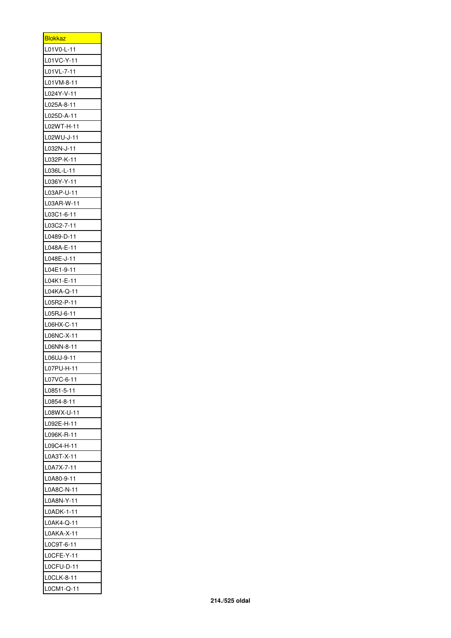| <u>Blokkaz</u> |
|----------------|
| L01V0-L-11     |
| L01VC-Y-11     |
| L01VL-7-11     |
| L01VM-8-11     |
| L024Y-V-11     |
| L025A-8-11     |
| L025D-A-11     |
| L02WT-H-11     |
| L02WU-J-11     |
| L032N-J-11     |
| L032P-K-11     |
| L036L-L-11     |
| L036Y-Y-11     |
| L03AP-U-11     |
| L03AR-W-11     |
| L03C1-6-11     |
| L03C2-7-11     |
| L0489-D-11     |
| L048A-E-11     |
| L048E-J-11     |
| L04E1-9-11     |
| L04K1-E-11     |
| L04KA-Q-11     |
| L05R2-P-11     |
| L05RJ-6-11     |
| L06HX-C-11     |
| L06NC-X-11     |
| L06NN-8-11     |
| L06UJ-9-11     |
| L07PU-H-11     |
| L07VC-6-11     |
| L0851-5-11     |
| L0854-8-11     |
| L08WX-U-11     |
| L092E-H-11     |
| L096K-R-11     |
| L09C4-H-11     |
| L0A3T-X-11     |
| L0A7X-7-11     |
| L0A80-9-11     |
| L0A8C-N-11     |
| L0A8N-Y-11     |
| L0ADK-1-11     |
| L0AK4-Q-11     |
| L0AKA-X-11     |
| L0C9T-6-11     |
| L0CFE-Y-11     |
| L0CFU-D-11     |
| L0CLK-8-11     |
| L0CM1-Q-11     |
|                |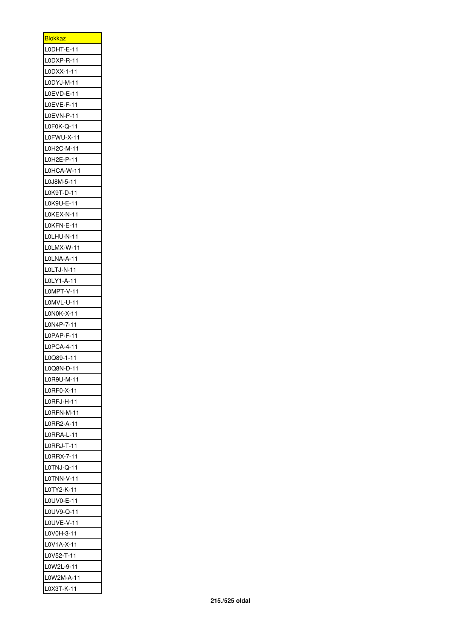| <b>Blokkaz</b> |
|----------------|
| LODHT-E-11     |
| L0DXP-R-11     |
| L0DXX-1-11     |
| LODYJ-M-11     |
| L0EVD-E-11     |
| L0EVE-F-11     |
| L0EVN-P-11     |
| L0F0K-Q-11     |
| L0FWU-X-11     |
| L0H2C-M-11     |
| L0H2E-P-11     |
| L0HCA-W-11     |
| L0J8M-5-11     |
| L0K9T-D-11     |
| L0K9U-E-11     |
| L0KEX-N-11     |
| L0KFN-E-11     |
| LOLHU-N-11     |
| LOLMX-W-11     |
| LOLNA-A-11     |
|                |
| LOLTJ-N-11     |
| L0LY1-A-11     |
| LOMPT-V-11     |
| LOMVL-U-11     |
| L0N0K-X-11     |
| L0N4P-7-11     |
| L0PAP-F-11     |
| L0PCA-4-11     |
| L0Q89-1-11     |
| L0Q8N-D-11     |
| L0R9U-M-11     |
| L0RF0-X-11     |
| L0RFJ-H-11     |
| L0RFN-M-11     |
| L0RR2-A-11     |
| L0RRA-L-11     |
| L0RRJ-T-11     |
| L0RRX-7-11     |
| L0TNJ-Q-11     |
| L0TNN-V-11     |
| L0TY2-K-11     |
| L0UV0-E-11     |
| L0UV9-Q-11     |
| LOUVE-V-11     |
| L0V0H-3-11     |
| L0V1A-X-11     |
| L0V52-T-11     |
| L0W2L-9-11     |
| L0W2M-A-11     |
| L0X3T-K-11     |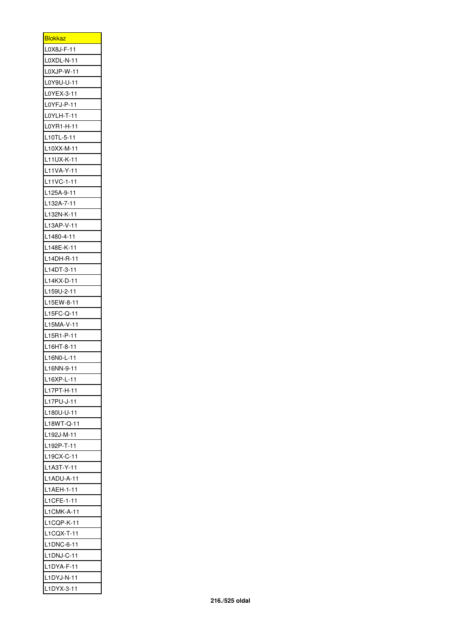| <u>Blokkaz</u> |
|----------------|
| L0X8J-F-11     |
| L0XDL-N-11     |
| L0XJP-W-11     |
| L0Y9U-U-11     |
| L0YEX-3-11     |
|                |
| L0YFJ-P-11     |
| L0YLH-T-11     |
| L0YR1-H-11     |
| L10TL-5-11     |
| L10XX-M-11     |
| L11UX-K-11     |
| L11VA-Y-11     |
| L11VC-1-11     |
| L125A-9-11     |
| L132A-7-11     |
| L132N-K-11     |
| L13AP-V-11     |
| L1480-4-11     |
| L148E-K-11     |
| L14DH-R-11     |
| L14DT-3-11     |
| L14KX-D-11     |
| L159U-2-11     |
| L15EW-8-11     |
| L15FC-Q-11     |
| L15MA-V-11     |
| L15R1-P-11     |
| L16HT-8-11     |
| L16N0-L-11     |
| L16NN-9-11     |
| L16XP-L-11     |
| L17PT-H-11     |
| L17PU-J-11     |
| L180U-U-11     |
| L18WT-Q-11     |
|                |
| L192J-M-11     |
| L192P-T-11     |
| L19CX-C-11     |
| L1A3T-Y-11     |
| L1ADU-A-11     |
| L1AEH-1-11     |
| L1CFE-1-11     |
| L1CMK-A-11     |
| L1CQP-K-11     |
| L1CQX-T-11     |
| L1DNC-6-11     |
| L1DNJ-C-11     |
| L1DYA-F-11     |
| L1DYJ-N-11     |
| L1DYX-3-11     |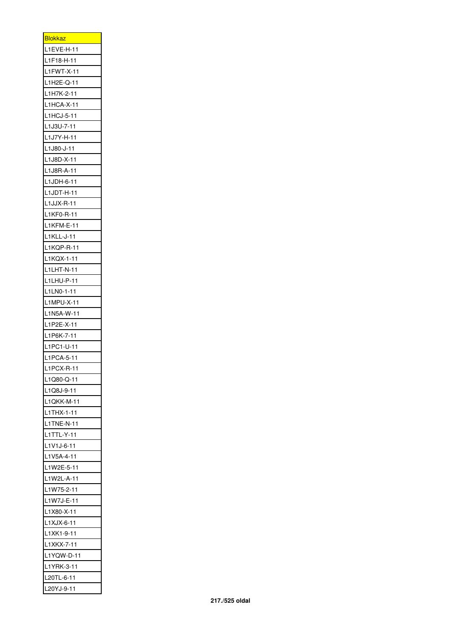| <u>Blokkaz </u> |
|-----------------|
| L1EVE-H-11      |
| L1F18-H-11      |
| L1FWT-X-11      |
| L1H2E-Q-11      |
| L1H7K-2-11      |
| L1HCA-X-11      |
| L1HCJ-5-11      |
| L1J3U-7-11      |
| L1J7Y-H-11      |
| L1J80-J-11      |
| L1J8D-X-11      |
| L1J8R-A-11      |
| L1JDH-6-11      |
| L1JDT-H-11      |
| L1JJX-R-11      |
| L1KF0-R-11      |
| L1KFM-E-11      |
| L1KLL-J-11      |
| L1KQP-R-11      |
| L1KQX-1-11      |
| L1LHT-N-11      |
| L1LHU-P-11      |
| L1LN0-1-11      |
| L1MPU-X-11      |
| L1N5A-W-11      |
| L1P2E-X-11      |
| L1P6K-7-11      |
| L1PC1-U-11      |
| L1PCA-5-11      |
| L1PCX-R-11      |
| L1Q80-Q-11      |
| L1Q8J-9-11      |
| L1QKK-M-11      |
| L1THX-1-11      |
| L1TNE-N-11      |
| L1TTL-Y-11      |
| L1V1J-6-11      |
| L1V5A-4-11      |
| L1W2E-5-11      |
| L1W2L-A-11      |
| L1W75-2-11      |
| L1W7J-E-11      |
| L1X80-X-11      |
| L1XJX-6-11      |
| L1XK1-9-11      |
| L1XKX-7-11      |
| L1YQW-D-11      |
| L1YRK-3-11      |
| L20TL-6-11      |
| L20YJ-9-11      |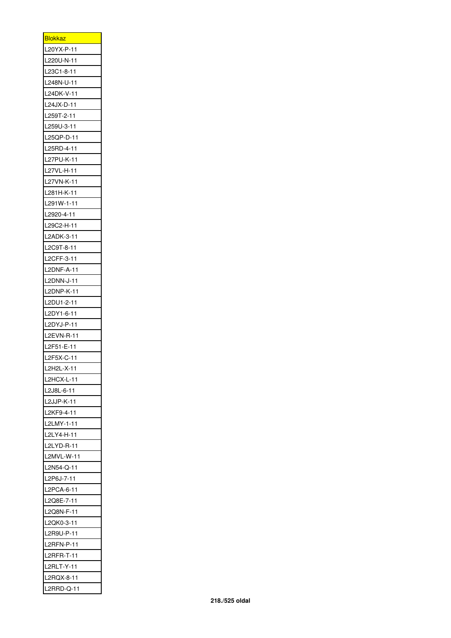| <u>Blokkaz</u> |
|----------------|
| L20YX-P-11     |
| L220U-N-11     |
| L23C1-8-11     |
| L248N-U-11     |
| L24DK-V-11     |
| L24JX-D-11     |
| L259T-2-11     |
| L259U-3-11     |
| L25QP-D-11     |
| L25RD-4-11     |
| L27PU-K-11     |
| L27VL-H-11     |
| L27VN-K-11     |
| L281H-K-11     |
| L291W-1-11     |
| L2920-4-11     |
| L29C2-H-11     |
| L2ADK-3-11     |
| L2C9T-8-11     |
| L2CFF-3-11     |
| L2DNF-A-11     |
| L2DNN-J-11     |
| L2DNP-K-11     |
| L2DU1-2-11     |
| L2DY1-6-11     |
| L2DYJ-P-11     |
| L2EVN-R-11     |
| L2F51-E-11     |
| L2F5X-C-11     |
| L2H2L-X-1<br>1 |
| L2HCX-L-11     |
| L2J8L-6-11     |
| L2JJP-K-11     |
| L2KF9-4-11     |
| L2LMY-1-11     |
| L2LY4-H-11     |
| L2LYD-R-11     |
|                |
| L2MVL-W-11     |
| L2N54-Q-11     |
| L2P6J-7-11     |
| L2PCA-6-11     |
| L2Q8E-7-11     |
| L2Q8N-F-11     |
| L2QK0-3-11     |
| L2R9U-P-11     |
| L2RFN-P-11     |
| L2RFR-T-11     |
| L2RLT-Y-11     |
| L2RQX-8-11     |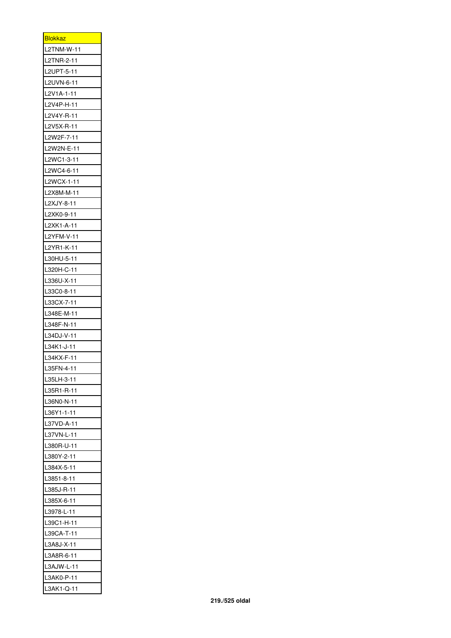| <u>Blokkaz</u> |
|----------------|
| L2TNM-W-11     |
| L2TNR-2-11     |
| L2UPT-5-11     |
| L2UVN-6-11     |
| L2V1A-1-11     |
| L2V4P-H-11     |
| L2V4Y-R-11     |
| L2V5X-R-11     |
| L2W2F-7-11     |
| L2W2N-E-11     |
| L2WC1-3-11     |
| L2WC4-6-11     |
| L2WCX-1-11     |
| L2X8M-M-11     |
| L2XJY-8-11     |
| L2XK0-9-11     |
| L2XK1-A-11     |
| L2YFM-V-11     |
| L2YR1-K-11     |
| L30HU-5-11     |
| L320H-C-11     |
| L336U-X-11     |
| L33C0-8-11     |
| L33CX-7-11     |
| L348E-M-11     |
| L348F-N-11     |
| L34DJ-V-11     |
| L34K1-J-11     |
| L34KX-F-11     |
| 35FN-4-1<br>L  |
| L35LH-3-11     |
| L35R1-R-11     |
| L36N0-N-11     |
| L36Y1-1-11     |
| L37VD-A-11     |
| L37VN-L-11     |
| L380R-U-11     |
| L380Y-2-11     |
| L384X-5-11     |
| L3851-8-11     |
| L385J-R-11     |
| L385X-6-11     |
| L3978-L-11     |
| L39C1-H-11     |
| L39CA-T-11     |
|                |
| L3A8J-X-11     |
| L3A8R-6-11     |
| L3AJW-L-11     |
| L3AK0-P-11     |
| L3AK1-Q-11     |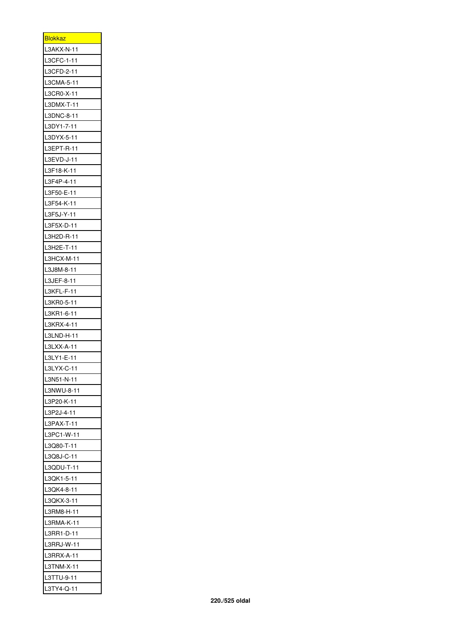| <b>Blokkaz</b>           |
|--------------------------|
| L3AKX-N-11               |
| L3CFC-1-11               |
| L3CFD-2-11               |
| L3CMA-5-11               |
| L3CR0-X-11               |
| L3DMX-T-11               |
| L3DNC-8-11               |
| L3DY1-7-11               |
| L3DYX-5-11               |
| L3EPT-R-11               |
| L3EVD-J-11               |
| L3F18-K-11               |
| L3F4P-4-11               |
| L3F50-E-11               |
| L3F54-K-11               |
| L3F5J-Y-11               |
| L3F5X-D-11               |
| L3H2D-R-11               |
| L3H2E-T-11               |
| L3HCX-M-11               |
| L3J8M-8-11               |
| L3JEF-8-11               |
| L3KFL-F-11               |
| L3KR0-5-11               |
| L3KR1-6-11               |
|                          |
| L3KRX-4-11<br>L3LND-H-11 |
|                          |
| L3LXX-A-11               |
| L3LY1-E-11               |
| L3LYX-C-1<br>1           |
| L3N51-N-11               |
| L3NWU-8-11               |
| L3P20-K-11               |
| L3P2J-4-11               |
| L3PAX-T-11               |
| L3PC1-W-11               |
| L3Q80-T-11               |
| L3Q8J-C-11               |
| L3QDU-T-11               |
| L3QK1-5-11               |
| L3QK4-8-11               |
| L3QKX-3-11               |
| L3RM8-H-11               |
| L3RMA-K-11               |
| L3RR1-D-11               |
| L3RRJ-W-11               |
| L3RRX-A-11               |
| L3TNM-X-11               |
| L3TTU-9-11               |
| L3TY4-Q-11               |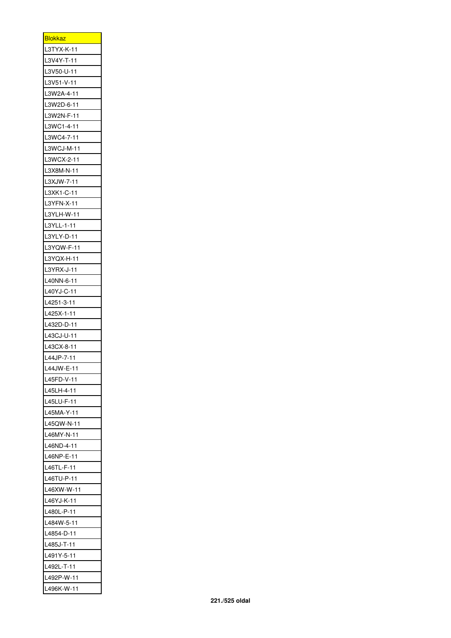| <b>Blokkaz</b> |
|----------------|
| L3TYX-K-11     |
| L3V4Y-T-11     |
| L3V50-U-11     |
| L3V51-V-11     |
| L3W2A-4-11     |
| L3W2D-6-11     |
| L3W2N-F-11     |
| L3WC1-4-11     |
| L3WC4-7-11     |
| L3WCJ-M-11     |
| L3WCX-2-11     |
| L3X8M-N-11     |
| L3XJW-7-11     |
| L3XK1-C-11     |
| L3YFN-X-11     |
| L3YLH-W-11     |
| L3YLL-1-11     |
| L3YLY-D-11     |
| L3YQW-F-11     |
| L3YQX-H-11     |
| L3YRX-J-11     |
| L40NN-6-11     |
| L40YJ-C-11     |
| L4251-3-11     |
| L425X-1-11     |
| L432D-D-11     |
| L43CJ-U-11     |
| L43CX-8-11     |
| L44JP-7-11     |
| L44JW-E-1      |
| L45FD-V-11     |
| L45LH-4-11     |
| L45LU-F-11     |
| L45MA-Y-11     |
| L45QW-N-11     |
| L46MY-N-11     |
| L46ND-4-11     |
| L46NP-E-11     |
| L46TL-F-11     |
| L46TU-P-11     |
|                |
| L46XW-W-11     |
| L46YJ-K-11     |
| L480L-P-11     |
| L484W-5-11     |
| L4854-D-11     |
| L485J-T-11     |
| L491Y-5-11     |
| L492L-T-11     |
| L492P-W-11     |
| L496K-W-11     |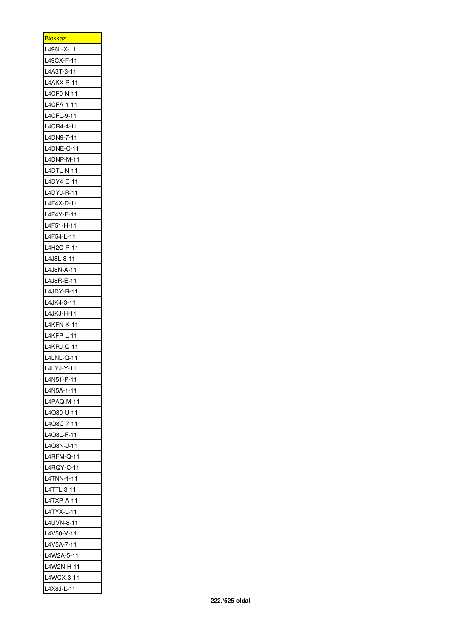| <u>Blokkaz</u>           |
|--------------------------|
| L496L-X-11               |
| L49CX-F-11               |
| L4A3T-3-11               |
| L4AKX-P-11               |
| L4CF0-N-11               |
| L4CFA-1-11               |
| L4CFL-9-11               |
| L4CR4-4-11               |
| L4DN9-7-11               |
| L4DNE-C-11               |
| L4DNP-M-11               |
| L4DTL-N-11               |
| L4DY4-C-11               |
| L4DYJ-R-11               |
| L4F4X-D-11               |
| L4F4Y-E-11               |
| L4F51-H-11               |
| L4F54-L-11               |
| L4H2C-R-11               |
| L4J8L-8-11               |
| L4J8N-A-11               |
| L4J8R-E-11               |
| L4JDY-R-11               |
| L4JK4-3-11               |
| L4JKJ-H-11               |
| L4KFN-K-11               |
| L4KFP-L-11               |
| L4KRJ-Q-11               |
| L4LNL-Q-11               |
| L4LYJ-Y-11               |
| L4N51-P-11               |
| L4N5A-1-11               |
| L4PAQ-M-11               |
| L4Q80-U-11               |
| L4Q8C-7-11               |
| L4Q8L-F-11               |
| L4Q8N-J-11               |
| L4RFM-Q-11               |
| L4RQY-C-11               |
| L4TNN-1-11               |
|                          |
| L4TTL-3-11<br>L4TXP-A-11 |
|                          |
| L4TYX-L-11               |
| L4UVN-8-11               |
| L4V50-V-11               |
| L4V5A-7-11               |
| L4W2A-5-11               |
| L4W2N-H-11               |
| L4WCX-3-11               |
| L4X8J-L-11               |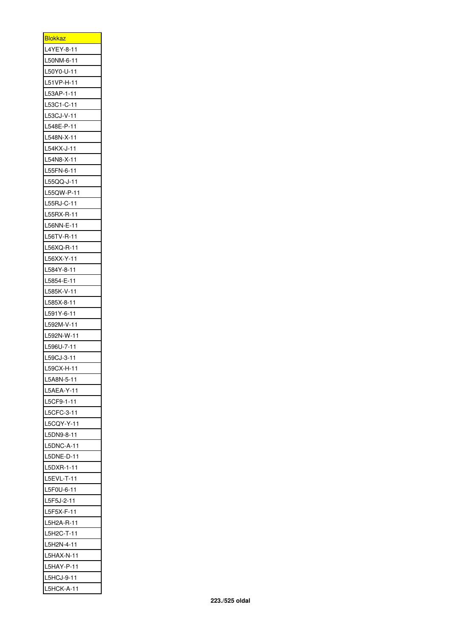| <b>Blokkaz</b>                |
|-------------------------------|
| L4YEY-8-11                    |
| L50NM-6-11                    |
| L50Y0-U-11                    |
| L51VP-H-11                    |
| L53AP-1-11                    |
| L53C1-C-11                    |
| L53CJ-V-11                    |
| L548E-P-11                    |
| L548N-X-11                    |
| L54KX-J-11                    |
| L54N8-X-11                    |
| L55FN-6-11                    |
| L55QQ-J-11                    |
| L55QW-P-11                    |
| L55RJ-C-11                    |
| L55RX-R-11                    |
| L56NN-E-11                    |
| L56TV-R-11                    |
| L56XQ-R-11                    |
| L56XX-Y-11                    |
| L584Y-8-11                    |
| L5854-E-11                    |
| L585K-V-11                    |
| L585X-8-11                    |
| L591Y-6-11                    |
| L592M-V-11                    |
| L<br>592N-W-11                |
| L<br>596U-7-11                |
| .59CJ-3-11<br>L               |
| 59CX-H-1<br>ı<br>$\mathbf{1}$ |
| L5A8N-5-11                    |
| L5AEA-Y-11                    |
| L5CF9-1-11                    |
| 5CFC-3-11<br>L                |
| L5CQY-Y-11                    |
| L5DN9-8-11                    |
| L5DNC-A-11                    |
| L5DNE-D-11                    |
| L5DXR-1-11                    |
| L5EVL-T-11                    |
| L5F0U-6-11                    |
| L5F5J-2-11                    |
| L5F5X-F-11                    |
| L5H2A-R-11                    |
| L5H2C-T-11                    |
| L<br>5H2N-4-11                |
| L5HAX-N-11                    |
| L5HAY-P-11                    |
| L5HCJ-9-11                    |
|                               |
| L5HCK-A-11                    |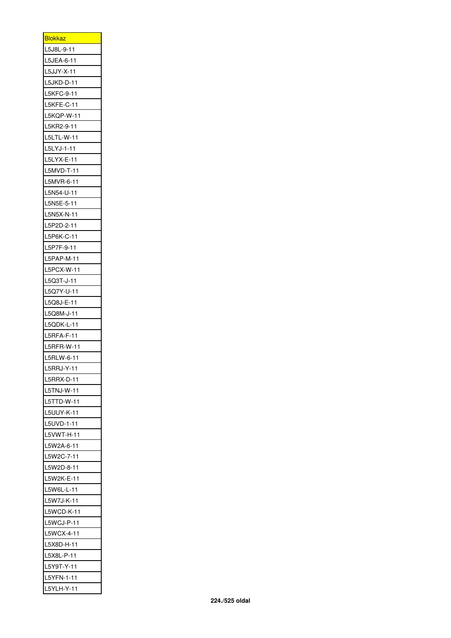| <b>Blokkaz</b> |
|----------------|
| L5J8L-9-11     |
| L5JEA-6-11     |
| L5JJY-X-11     |
| L5JKD-D-11     |
| L5KFC-9-11     |
| L5KFE-C-11     |
| L5KQP-W-11     |
| L5KR2-9-11     |
| L5LTL-W-11     |
| L5LYJ-1-11     |
| L5LYX-E-11     |
| L5MVD-T-11     |
| L5MVR-6-11     |
| L5N54-U-11     |
| L5N5E-5-11     |
| L5N5X-N-11     |
| L5P2D-2-11     |
| L5P6K-C-11     |
| L5P7F-9-11     |
| L5PAP-M-11     |
| L5PCX-W-11     |
| L5Q3T-J-11     |
| L5Q7Y-U-11     |
| L5Q8J-E-11     |
| L5Q8M-J-11     |
| L5QDK-L-11     |
| 5RFA-F-11<br>L |
| L5RFR-W-11     |
| L5RLW-6-11     |
| 5RRJ-Y-11<br>L |
| L5RRX-D-11     |
| L5TNJ-W-11     |
| L5T<br>TD-W-11 |
| L5UUY-K-11     |
| 5UVD-1-11<br>L |
| L5VWT-H-11     |
| L5W2A-6-11     |
| L5W2C-7-11     |
| L<br>5W2D-8-11 |
| L5W2K-E-11     |
| L5W6L-L-11     |
| L5W7J-K-11     |
| L5WCD-K-11     |
| 5WCJ-P-11<br>L |
| L5WCX-4-11     |
| L<br>5X8D-H-11 |
| L5X8L-P-11     |
| L5Y9T-Y-11     |
| L5YFN-1-11     |
| L5YLH-Y-11     |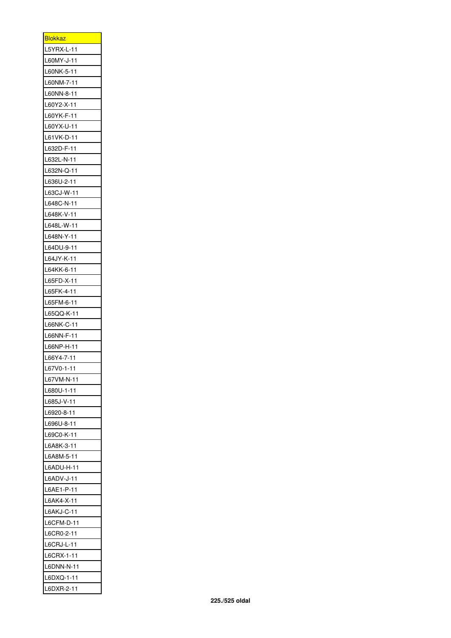| <u>Blokkaz</u>           |
|--------------------------|
| L5YRX-L-11               |
| L60MY-J-11               |
| L60NK-5-11               |
| L60NM-7-11               |
| L60NN-8-11               |
| L60Y2-X-11               |
| L60YK-F-11               |
| L60YX-U-11               |
| L61 VK-D-11              |
| L632D-F-11               |
| L632L-N-11               |
| L632N-Q-11               |
| L636U-2-11               |
| L63CJ-W-11               |
|                          |
| L648C-N-11<br>L648K-V-11 |
|                          |
| L648L-W-11               |
| L648N-Y-11               |
| L64DU-9-11               |
| L64JY-K-11               |
| L64KK-6-11               |
| L65FD-X-11               |
| L65FK-4-11               |
| L65FM-6-11               |
| L65QQ-K-11               |
| L66NK-C-11               |
| L66NN-F-11               |
| L66NP-H-11               |
| L66Y4-7-11               |
| L67V0-1-11               |
| L67VM-N-11               |
| L680U-1-11               |
| L685J-V-11               |
| L6920-8-11               |
| L696U-8-11               |
| L69C0-K-11               |
| L6A8K-3-11               |
| L6A8M-5-11               |
| L6ADU-H-11               |
| L6ADV-J-11               |
| L6AE1-P-1<br>1           |
| L6AK4-X-11               |
| L6AKJ-C-11               |
| L6CFM-D-11               |
| L6CR0-2-11               |
| L6CRJ-L-11               |
| L6CRX-1-11               |
| L6DNN-N-11               |
| L6DXQ-1-11               |
| L6DXR-2-11               |
|                          |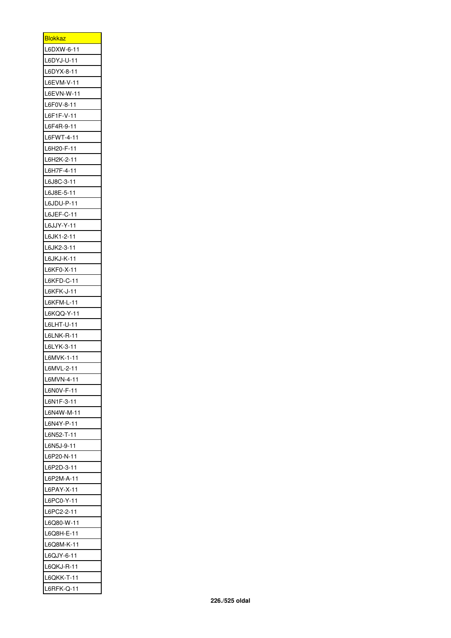| <b>Blokkaz</b> |
|----------------|
| L6DXW-6-11     |
| L6DYJ-U-11     |
| L6DYX-8-11     |
| L6EVM-V-11     |
| L6EVN-W-11     |
| L6F0V-8-11     |
| L6F1F-V-11     |
| L6F4R-9-11     |
| L6FWT-4-11     |
| L6H20-F-11     |
| L6H2K-2-11     |
| L6H7F-4-11     |
| L6J8C-3-11     |
| L6J8E-5-11     |
| L6JDU-P-11     |
| L6JEF-C-11     |
| L6JJY-Y-11     |
| L6JK1-2-11     |
| L6JK2-3-11     |
| L6JKJ-K-11     |
| L6KF0-X-11     |
| L6KFD-C-11     |
| L6KFK-J-11     |
| L6KFM-L-11     |
| L6KQQ-Y-11     |
| L6LHT-U-11     |
| L6LNK-R-11     |
| L6LYK-3-11     |
| L6MVK-1-11     |
| L6MVL-2-11     |
| L6MVN-4-11     |
| L6N0V-F-11     |
| L6N1F-3-11     |
| L6N4W-M-11     |
| L6N4Y-P-11     |
| L6N52-T-11     |
| L6N5J-9-11     |
| L6P20-N-11     |
| L6P2D-3-11     |
| L6P2M-A-11     |
| L6PAY-X-11     |
| L6PC0-Y-11     |
| L6PC2-2-11     |
| L6Q80-W-11     |
| L6Q8H-E-11     |
| L6Q8M-K-11     |
| L6QJY-6-11     |
| L6QKJ-R-11     |
| L6QKK-T-11     |
| L6RFK-Q-11     |
|                |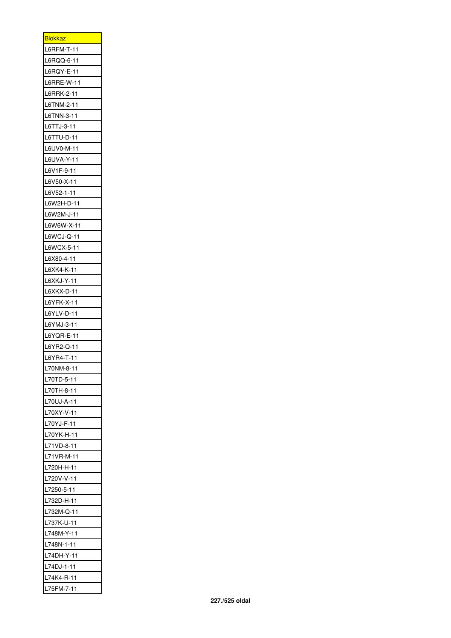| <b>Blokkaz</b> |
|----------------|
| L6RFM-T-11     |
| L6RQQ-6-11     |
| L6RQY-E-11     |
| L6RRE-W-11     |
| L6RRK-2-11     |
| L6TNM-2-11     |
| L6TNN-3-11     |
| L6TTJ-3-11     |
| L6TTU-D-11     |
| L6UV0-M-11     |
| L6UVA-Y-11     |
| L6V1F-9-11     |
| L6V50-X-11     |
| L6V52-1-11     |
| L6W2H-D-11     |
| L6W2M-J-11     |
| L6W6W-X-11     |
| L6WCJ-Q-11     |
| L6WCX-5-11     |
| L6X80-4-11     |
| L6XK4-K-11     |
| L6XKJ-Y-11     |
| L6XKX-D-11     |
| L6YFK-X-11     |
| L6YLV-D-11     |
| L6YMJ-3-11     |
| L6YQR-E-11     |
| L6YR2-Q-11     |
| L6YR4-T-11     |
| L70NM-8-11     |
| L70TD-5-11     |
| L70TH-8-11     |
| L70UJ-A-11     |
| L70XY-V-11     |
| L70YJ-F-11     |
| L70YK-H-11     |
| L71VD-8-11     |
| L71VR-M-11     |
| L720H-H-11     |
| L720V-V-11     |
| L7250-5-11     |
| L732D-H-11     |
| L732M-Q-11     |
| L737K-U-11     |
| L748M-Y-11     |
| L748N-1-11     |
| L74DH-Y-11     |
| L74DJ-1-11     |
| L74K4-R-11     |
| L75FM-7-11     |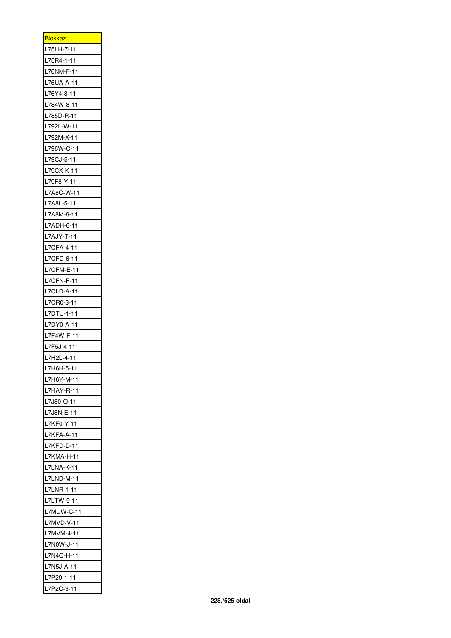| <b>Blokkaz</b> |
|----------------|
| L75LH-7-11     |
| L75R4-1-11     |
| L76NM-F-11     |
| L76UA-A-11     |
| L76Y4-8-11     |
| L784W-8-11     |
| L785D-R-11     |
| L792L-W-11     |
| L792M-X-11     |
| L796W-C-11     |
| L79CJ-5-11     |
| L79CX-K-11     |
| L79F8-Y-11     |
| L7A8C-W-11     |
| L7A8L-5-11     |
| L7A8M-6-11     |
| L7ADH-6-11     |
| L7AJY-T-11     |
| L7CFA-4-11     |
| L7CFD-6-11     |
| L7CFM-E-11     |
| L7CFN-F-11     |
| L7CLD-A-11     |
| L7CR0-3-11     |
| L7DTU-1-11     |
| L7DY0-A-11     |
| L7F4W-F-11     |
| L7F5J-4-11     |
| L7H2L-4-11     |
| L7H6H-5-11     |
| L7H6Y-M-11     |
| L7HAY-R-11     |
| L7J80-Q-11     |
| L7J8N-E-11     |
| L7KF0-Y-11     |
| L7KFA-A-11     |
| L7KFD-D-11     |
| L7KMA-H-11     |
| L7LNA-K-11     |
| L7LND-M-11     |
| L7LNR-1-11     |
| L7LTW-9-11     |
| L7MUW-C-11     |
| L7MVD-V-11     |
| L7MVM-4-11     |
| L7N0W-J-11     |
| L7N4Q-H-11     |
| L7N5J-A-11     |
| L7P29-1-11     |
| L7P2C-3-11     |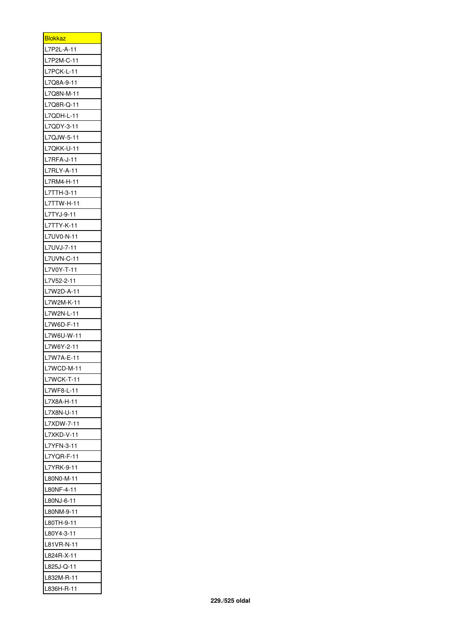| <b>Blokkaz</b> |
|----------------|
| L7P2L-A-11     |
| L7P2M-C-11     |
| L7PCK-L-11     |
| L7Q8A-9-11     |
| L7Q8N-M-11     |
| L7Q8R-Q-11     |
| L7QDH-L-11     |
| L7QDY-3-11     |
| L7QJW-5-11     |
| L7QKK-U-11     |
| L7RFA-J-11     |
| L7RLY-A-11     |
| L7RM4-H-11     |
| L7TTH-3-11     |
| L7TTW-H-11     |
| L7TYJ-9-11     |
| L7TTY-K-11     |
| L7UV0-N-11     |
| L7UVJ-7-11     |
| L7UVN-C-11     |
| L7V0Y-T-11     |
| L7V52-2-11     |
| L7W2D-A-11     |
| L7W2M-K-11     |
| L7W2N-L-11     |
| L7W6D-F-11     |
| L7W6U-W-11     |
| L7W6Y-2-11     |
| L7W7A-E-11     |
| 7WCD-M-1       |
| L7WCK-T-11     |
| L7WF8-L-11     |
| L7X8A-H-11     |
| L7X8N-U-11     |
| L7XDW-7-11     |
| L7XKD-V-11     |
| L7YFN-3-11     |
|                |
| L7YQR-F-11     |
| L7YRK-9-11     |
| L80N0-M-11     |
| L80NF-4-11     |
| L80NJ-6-11     |
| L80NM-9-11     |
| L80TH-9-11     |
| L80Y4-3-11     |
| L81VR-N-11     |
| L824R-X-11     |
| L825J-Q-11     |
| L832M-R-11     |
| L836H-R-11     |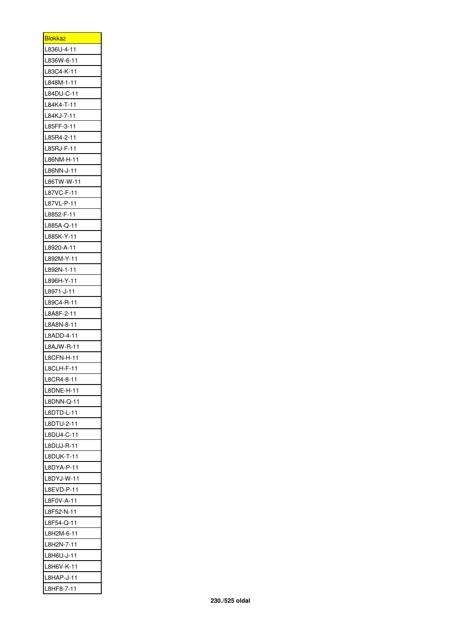| <u>Blokkaz</u>           |
|--------------------------|
| L836U-4-11               |
| L836W-6-11               |
| L83C4-K-11               |
| L848M-1-11               |
| L84DU-C-11               |
| L84K4-T-11               |
| L84KJ-7-11               |
| L85FF-3-11               |
| L85R4-2-11               |
| L85RJ-F-11               |
| L86NM-H-11               |
| L86NN-J-11               |
| L86TW-W-11               |
| L87VC-F-11               |
| L87VL-P-11               |
| L8852-F-11               |
| L885A-Q-11               |
| L885K-Y-11               |
| L8920-A-11               |
| L892M-Y-11               |
| L892N-1-11               |
| L896H-Y-11               |
| L8971-J-11               |
| L89C4-R-11               |
| L8A8F-2-11               |
| L8A8N-8-11               |
| L8ADD-4-11               |
| L8AJW-R-11               |
| L8CFN-H-11               |
| L8CLH-F-1                |
| 1<br>L8CR4-8-11          |
| L8DNE-H-11               |
|                          |
| L8DNN-Q-11<br>L8DTD-L-11 |
|                          |
| L8DTU-2-11               |
| L8DU4-C-11               |
| L8DUJ-R-11               |
| L8DUK-T-11               |
| L8DYA-P-11               |
| L8DYJ-W-11               |
| L8EVD-P-11               |
| L8F0V-A-11               |
| L8F52-N-11               |
| L8F54-Q-11               |
| L8H2M-6-11               |
| L8H2N-7-11               |
| L8H6U-J-11               |
| L8H6V-K-11               |
| L8HAP-J-11               |
| L8HF8-7-11               |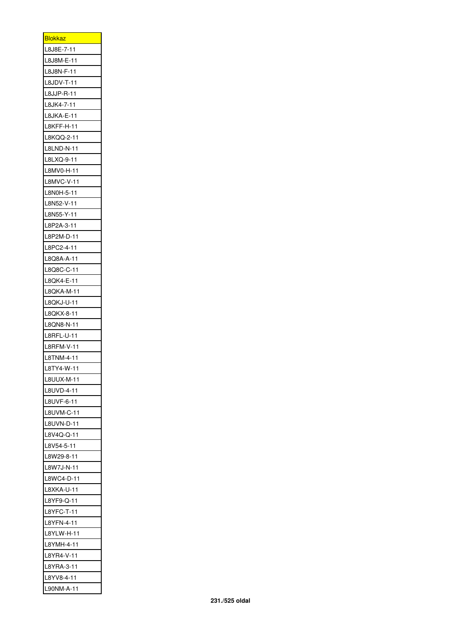| <b>Blokkaz</b>           |
|--------------------------|
| L8J8E-7-11               |
| L8J8M-E-11               |
| L8J8N-F-11               |
| L8JDV-T-11               |
| L8JJP-R-11               |
| L8JK4-7-11               |
| L8JKA-E-11               |
| L8KFF-H-11               |
| L8KQQ-2-11               |
| L8LND-N-11               |
| L8LXQ-9-11               |
| L8MV0-H-11               |
| L8MVC-V-11               |
| L8N0H-5-11               |
| L8N52-V-11               |
| L8N55-Y-11               |
| L8P2A-3-11               |
| L8P2M-D-11               |
| L8PC2-4-11               |
| L8Q8A-A-11               |
| L8Q8C-C-11               |
| L8QK4-E-11               |
| L8QKA-M-11               |
| L8QKJ-U-11               |
| L8QKX-8-11               |
|                          |
| L8QN8-N-11<br>L8RFL-U-11 |
| L8RFM-V-11               |
|                          |
| L8TNM-4-11               |
| L8TY4-W-11               |
| L8UUX-M-11               |
| L8UVD-4-11               |
| L8UVF-6-11               |
| L8UVM-C-11               |
| L8UVN-D-11               |
| L8V4Q-Q-11               |
| L8V54-5-11               |
| L8W29-8-11               |
| L8W7J-N-11               |
| L8WC4-D-11               |
| L8XKA-U-11               |
| L8YF9-Q-11               |
| L8YFC-T-11               |
| L8YFN-4-11               |
| L8YLW-H-11               |
| L8YMH-4-11               |
| L8YR4-V-11               |
| L8YRA-3-11               |
| L8YV8-4-11               |
| L90NM-A-11               |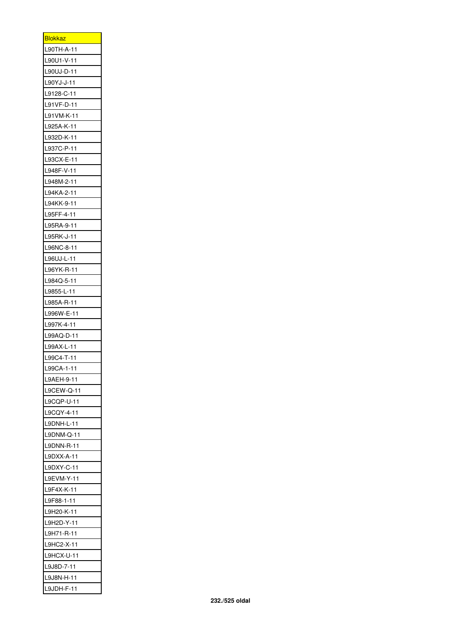| <b>Blokkaz</b>           |
|--------------------------|
| L90TH-A-11               |
| L90U1-V-11               |
| L90UJ-D-11               |
| L90YJ-J-11               |
| L9128-C-11               |
| L91VF-D-11               |
| L91VM-K-11               |
| L925A-K-11               |
| L932D-K-11               |
| L937C-P-11               |
| L93CX-E-11               |
| L948F-V-11               |
| L948M-2-11               |
| L94KA-2-11               |
| L94KK-9-11               |
| L95FF-4-11               |
| L95RA-9-11               |
| L95RK-J-11               |
| L96NC-8-11               |
| L96UJ-L-11               |
| L96YK-R-11               |
| L984Q-5-11               |
| L9855-L-11               |
| L985A-R-11               |
| L996W-E-11               |
| L997K-4-11               |
| L99AQ-D-11               |
| L99AX-L-11               |
| L99C4-T-11               |
| L99CA-1-11               |
| L9AEH-9-11               |
| L9CEW-Q-11               |
| L9CQP-U-11               |
| L9CQY-4-11               |
| L9DNH-L-11               |
| L9DNM-Q-11               |
|                          |
| L9DNN-R-11<br>L9DXX-A-11 |
|                          |
| L9DXY-C-11               |
| L9EVM-Y-11               |
| L9F4X-K-11               |
| L9F88-1-11               |
| L9H20-K-11               |
| L9H2D-Y-11               |
| L9H71-R-11               |
| L9HC2-X-11               |
| L9HCX-U-11               |
| L9J8D-7-11               |
| L9J8N-H-11               |
| L9JDH-F-11               |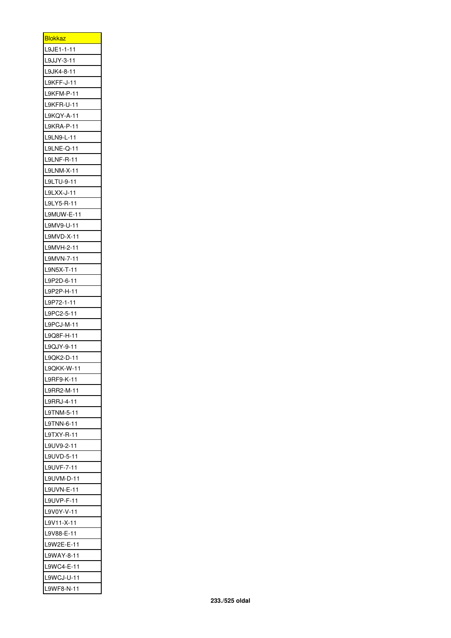| <b>Blokkaz</b> |
|----------------|
| L9JE1-1-11     |
| L9JJY-3-11     |
| L9JK4-8-11     |
| L9KFF-J-11     |
| L9KFM-P-11     |
| L9KFR-U-11     |
| L9KQY-A-11     |
| L9KRA-P-11     |
| L9LN9-L-11     |
| L9LNE-Q-11     |
| L9LNF-R-11     |
| L9LNM-X-11     |
| L9LTU-9-11     |
| L9LXX-J-11     |
| L9LY5-R-11     |
| L9MUW-E-11     |
| L9MV9-U-11     |
| L9MVD-X-11     |
|                |
| L9MVH-2-11     |
| L9MVN-7-11     |
| L9N5X-T-11     |
| L9P2D-6-11     |
| L9P2P-H-11     |
| L9P72-1-11     |
| L9PC2-5-11     |
| L9PCJ-M-11     |
| L9Q8F-H-11     |
| L9QJY-9-11     |
| L9QK2-D-11     |
| L9QKK-W-1      |
| L9RF9-K-11     |
| L9RR2-M-11     |
| L9RRJ-4-11     |
| L9TNM-5-11     |
| L9TNN-6-11     |
| L9TXY-R-11     |
| L9UV9-2-11     |
| L9UVD-5-11     |
| L9UVF-7-11     |
| L9UVM-D-11     |
| L9UVN-E-11     |
| L9UVP-F-11     |
| L9V0Y-V-11     |
| L9V11-X-11     |
| L9V88-E-11     |
| L9W2E-E-11     |
| L9WAY-8-11     |
| L9WC4-E-11     |
| L9WCJ-U-11     |
| L9WF8-N-11     |
|                |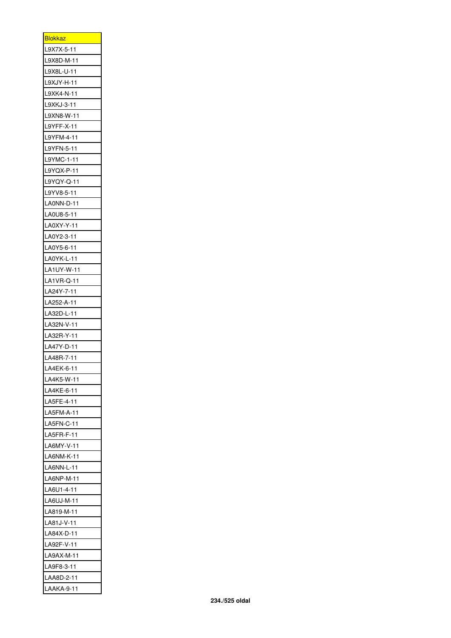| <u>Blokkaz</u> |
|----------------|
| L9X7X-5-11     |
| L9X8D-M-11     |
| L9X8L-U-11     |
| L9XJY-H-11     |
| L9XK4-N-11     |
| L9XKJ-3-11     |
| L9XN8-W-11     |
| L9YFF-X-11     |
| L9YFM-4-11     |
| L9YFN-5-11     |
| L9YMC-1-11     |
| L9YQX-P-11     |
| L9YQY-Q-11     |
| L9YV8-5-11     |
| LA0NN-D-11     |
| LA0U8-5-11     |
| LA0XY-Y-11     |
| LA0Y2-3-11     |
| LA0Y5-6-11     |
| LA0YK-L-11     |
|                |
| LA1UY-W-11     |
| LA1VR-Q-11     |
| LA24Y-7-11     |
| LA252-A-11     |
| LA32D-L-11     |
| LA32N-V-11     |
| LA32R-Y-11     |
| LA47Y-D-11     |
| LA48R-7-11     |
| LA4EK-6-11     |
| LA4K5-W-11     |
| LA4KE-6-11     |
| LA5FE-4-11     |
| LA5FM-A-11     |
| LA5FN-C-11     |
| LA5FR-F-11     |
| LA6MY-V-11     |
| LA6NM-K-11     |
| LA6NN-L-11     |
| LA6NP-M-11     |
| LA6U1-4-11     |
| LA6UJ-M-11     |
| LA819-M-11     |
| LA81J-V-11     |
| LA84X-D-11     |
| LA92F-V-11     |
| LA9AX-M-11     |
| LA9F8-3-11     |
| LAA8D-2-11     |
| LAAKA-9-11     |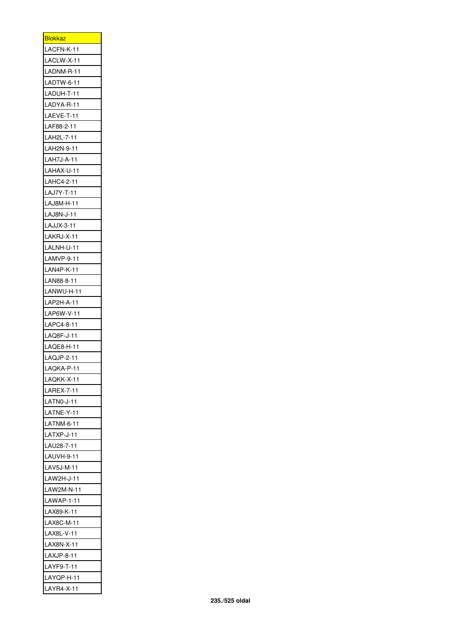| <u>Blokkaz </u>   |
|-------------------|
| LACFN-K-11        |
| LACLW-X-11        |
| LADNM-R-11        |
| LADTW-6-11        |
| LADUH-T-11        |
| LADYA-R-11        |
| LAEVE-T-11        |
| LAF88-2-11        |
| LAH2L-7-11        |
| LAH2N-9-11        |
| LAH7J-A-11        |
| LAHAX-U-11        |
| LAHC4-2-11        |
| LAJ7Y-T-11        |
| LAJ8M-H-11        |
| LAJ8N-J-11        |
| LAJJX-3-11        |
| LAKRJ-X-11        |
| LALNH-U-11        |
| LAMVP-9-11        |
| LAN4P-K-11        |
| LAN88-8-11        |
| LANWU-H-11        |
| LAP2H-A-11        |
| LAP6W-V-11        |
| LAPC4-8-11        |
| LAQ8F-J-11        |
| LAQE8-H-11        |
| LAQJP-2-11        |
| AQKA-P-1          |
| LAQKK-X-11        |
| LAREX-7-11        |
| LATN0-J-11        |
| LATNE-Y-11        |
| LATNM-6-11        |
| LATXP-J-11        |
| LAU28-7-11        |
| <b>LAUVH-9-11</b> |
| LAV5J-M-11        |
| LAW2H-J-11        |
| LAW2M-N-11        |
| LAWAP-1-11        |
| LAX89-K-11        |
| LAX8C-M-11        |
| LAX8L-V-11        |
| LAX8N-X-11        |
| LAXJP-8-11        |
| LAYF9-T-11        |
| LAYQP-H-11        |
| LAYR4-X-11        |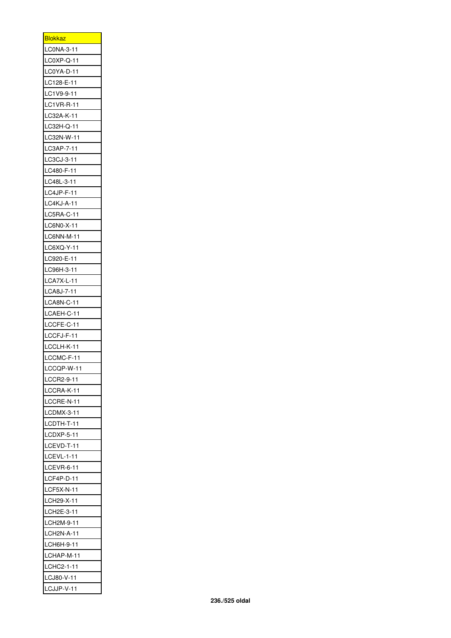| <u>Blokkaz</u>    |
|-------------------|
| LC0NA-3-11        |
| LC0XP-Q-11        |
| LC0YA-D-11        |
| LC128-E-11        |
| LC1V9-9-11        |
| LC1VR-R-11        |
| LC32A-K-11        |
| LC32H-Q-11        |
| LC32N-W-11        |
| LC3AP-7-11        |
| LC3CJ-3-11        |
| LC480-F-11        |
| LC48L-3-11        |
| LC4JP-F-11        |
| LC4KJ-A-11        |
| LC5RA-C-11        |
| LC6N0-X-11        |
| LC6NN-M-11        |
| LC6XQ-Y-11        |
| LC920-E-11        |
|                   |
| LC96H-3-11        |
| LCA7X-L-11        |
| LCA8J-7-11        |
| LCA8N-C-11        |
| LCAEH-C-11        |
| LCCFE-C-11        |
| LCCFJ-F-11        |
| LCCLH-K-11        |
| LCCMC-F-11        |
| LCCQP-W-11        |
| LCCR2-9-11        |
| LCCRA-K-11        |
| LCCRE-N-11        |
| LCDMX-3-11        |
| LCDTH-T-11        |
| LCDXP-5-11        |
| LCEVD-T-11        |
| <b>LCEVL-1-11</b> |
| LCEVR-6-11        |
| LCF4P-D-11        |
| LCF5X-N-11        |
| LCH29-X-11        |
| LCH2E-3-11        |
| LCH2M-9-11        |
| LCH2N-A-11        |
| LCH6H-9-11        |
| LCHAP-M-11        |
| LCHC2-1-11        |
| LCJ80-V-11        |
| LCJJP-V-11        |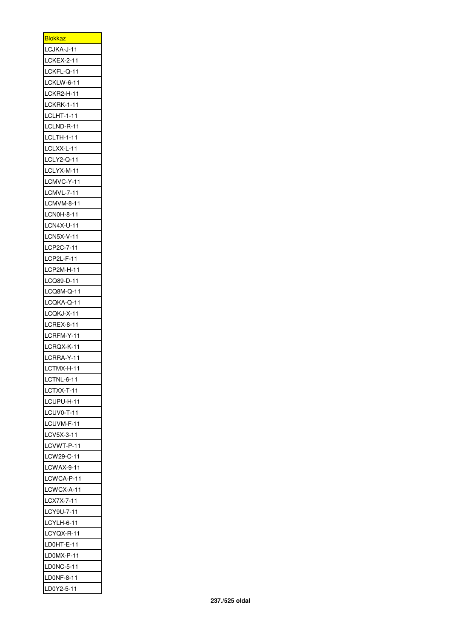| <b>Blokkaz</b>           |
|--------------------------|
| LCJKA-J-11               |
| LCKEX-2-11               |
| LCKFL-Q-11               |
| LCKLW-6-11               |
| LCKR2-H-11               |
| LCKRK-1-11               |
| LCLHT-1-11               |
| LCLND-R-11               |
| <b>LCLTH-1-11</b>        |
| LCLXX-L-11               |
| LCLY2-Q-11               |
| LCLYX-M-11               |
| LCMVC-Y-11               |
| LCMVL-7-11               |
| <b>LCMVM-8-11</b>        |
| LCN0H-8-11               |
| <b>LCN4X-U-11</b>        |
| LCN5X-V-11               |
| LCP2C-7-11               |
| LCP2L-F-11               |
|                          |
| LCP2M-H-11<br>LCQ89-D-11 |
|                          |
| LCQ8M-Q-11               |
| LCQKA-Q-11               |
| LCQKJ-X-11               |
| <b>LCREX-8-11</b>        |
| LCRFM-Y-11               |
| LCRQX-K-11               |
| LCRRA-Y-11               |
| LCTMX-H-1<br>1           |
| LCTNL-6-11               |
| LCTXX-T-11               |
| LCUPU-H-11               |
| LCUV0-T-11               |
| LCUVM-F-11               |
| LCV5X-3-11               |
| LCVWT-P-11               |
| LCW29-C-11               |
| LCWAX-9-11               |
| LCWCA-P-11               |
| LCWCX-A-11               |
| LCX7X-7-11               |
| LCY9U-7-11               |
| LCYLH-6-11               |
| LCYQX-R-11               |
| LD0HT-E-11               |
| LD0MX-P-11               |
| LD0NC-5-11               |
| LD0NF-8-11               |
| LD0Y2-5-11               |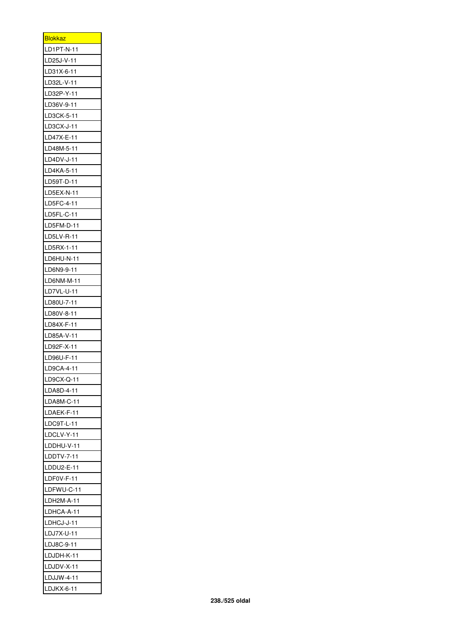| <b>Blokkaz</b> |
|----------------|
| LD1PT-N-11     |
| LD25J-V-11     |
| LD31X-6-11     |
| LD32L-V-11     |
| LD32P-Y-11     |
| LD36V-9-11     |
| LD3CK-5-11     |
| LD3CX-J-11     |
| LD47X-E-11     |
| LD48M-5-11     |
| LD4DV-J-11     |
| LD4KA-5-11     |
| LD59T-D-11     |
| LD5EX-N-11     |
| LD5FC-4-11     |
| LD5FL-C-11     |
| LD5FM-D-11     |
| LD5LV-R-11     |
| LD5RX-1-11     |
| LD6HU-N-11     |
| LD6N9-9-11     |
| LD6NM-M-11     |
| LD7VL-U-11     |
| LD80U-7-11     |
| LD80V-8-11     |
| LD84X-F-11     |
| LD85A-V-11     |
|                |
| LD92F-X-11     |
| LD96U-F-11     |
| LD9CA-4-1      |
| LD9CX-Q-11     |
| LDA8D-4-11     |
| LDA8M-C-11     |
| LDAEK-F-11     |
| LDC9T-L-11     |
| LDCLV-Y-11     |
| LDDHU-V-11     |
| LDDTV-7-11     |
| LDDU2-E-11     |
| LDF0V-F-11     |
| LDFWU-C-11     |
| LDH2M-A-11     |
| LDHCA-A-11     |
| LDHCJ-J-11     |
| LDJ7X-U-11     |
| LDJ8C-9-11     |
| LDJDH-K-11     |
| LDJDV-X-11     |
| LDJJW-4-11     |
| LDJKX-6-11     |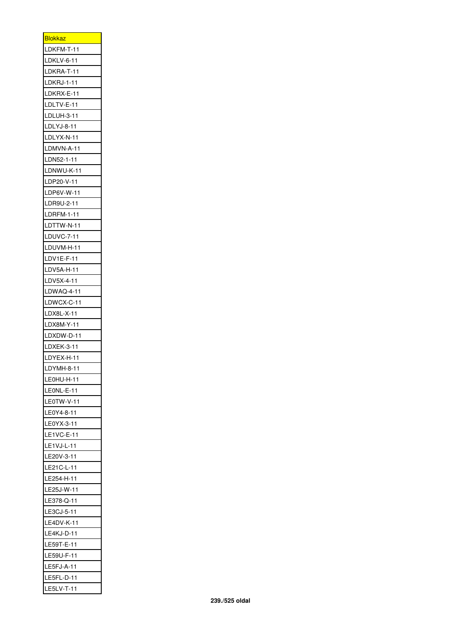| <b>Blokkaz</b>           |
|--------------------------|
| LDKFM-T-11               |
| LDKLV-6-11               |
| LDKRA-T-11               |
| LDKRJ-1-11               |
| LDKRX-E-11               |
| LDLTV-E-11               |
| LDLUH-3-11               |
| LDLYJ-8-11               |
| LDLYX-N-11               |
| LDMVN-A-11               |
| LDN52-1-11               |
| LDNWU-K-11               |
| LDP20-V-11               |
| LDP6V-W-11               |
| LDR9U-2-11               |
| LDRFM-1-11               |
| LDTTW-N-11               |
| LDUVC-7-11               |
| LDUVM-H-11               |
| LDV1E-F-11               |
| LDV5A-H-11               |
| LDV5X-4-11               |
| LDWAQ-4-11               |
| LDWCX-C-11               |
| LDX8L-X-11               |
| LDX8M-Y-11               |
| LDXDW-D-11               |
| LDXEK-3-11               |
| LDYEX-H-11               |
| LDYMH-8-11               |
| LE0HU-H-11               |
| LEONL-E-11               |
| LE0TW-V-11               |
|                          |
| LE0Y4-8-11<br>LE0YX-3-11 |
| LE1VC-E-11               |
|                          |
| LE1VJ-L-11               |
| LE20V-3-11               |
| LE21C-L-11               |
| LE254-H-11               |
| :25J-W-11<br>LE          |
| LE378-Q-11               |
| LE3CJ-5-11               |
| LE4DV-K-11               |
| LE4KJ-D-11               |
| $59T - E - 11$<br>LE     |
| LE59U-F-11               |
| LE5FJ-A-11               |
| LE5FL-D-11               |
| LE5LV-T-11               |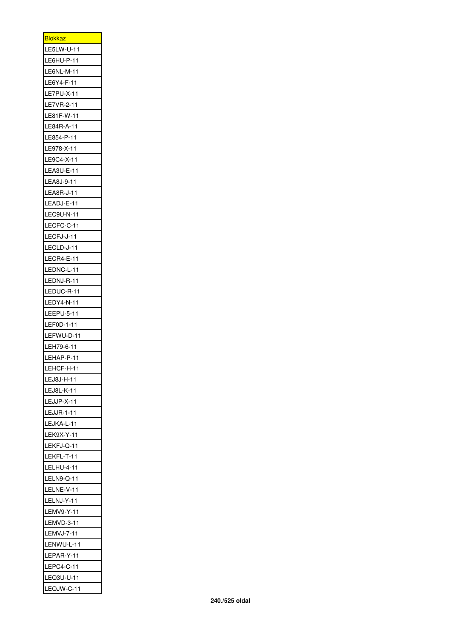| <b>Blokkaz</b>              |
|-----------------------------|
| LE5LW-U-11                  |
| LE6HU-P-11                  |
| LE6NL-M-11                  |
| LE6Y4-F-11                  |
| LE7PU-X-11                  |
| LE7VR-2-11                  |
| LE81F-W-11                  |
| LE84R-A-11                  |
| LE854-P-11                  |
| LE978-X-11                  |
| LE9C4-X-11                  |
| LEA3U-E-11                  |
| LEA8J-9-11                  |
| LEA8R-J-11                  |
| LEADJ-E-11                  |
| LEC9U-N-11                  |
| LECFC-C-11                  |
| LECFJ-J-11                  |
| LECLD-J-11                  |
| LECR4-E-11                  |
| LEDNC-L-11                  |
| LEDNJ-R-11                  |
| LEDUC-R-11                  |
| LEDY4-N-11                  |
| LEEPU-5-11                  |
| LEF0D-1-11                  |
| LEFWU-D-11                  |
|                             |
|                             |
| LEH79-6-11                  |
| LEHAP-P-11                  |
| LEHCF-H-11                  |
| LEJ8J-H-11                  |
| LEJ8L-K-11                  |
| LEJJP-X-11                  |
| LEJJR-1-11                  |
| LEJKA-L-11                  |
| LEK9X-Y-11                  |
| LEKFJ-Q-11                  |
| LEKFL-T-11                  |
| LELHU-4-11                  |
| <b>LELN9-Q-11</b>           |
| LELNE-V-11                  |
| LELNJ-Y-11                  |
| <b>LEMV9-Y-11</b>           |
| LEMVD-3-11                  |
| <b>LEMVJ-7-11</b>           |
| NWU-L-11 <del>!</del><br>LE |
| LEPAR-Y-11                  |
| LEPC4-C-11                  |
| LEQ3U-U-11<br>LEQJW-C-11    |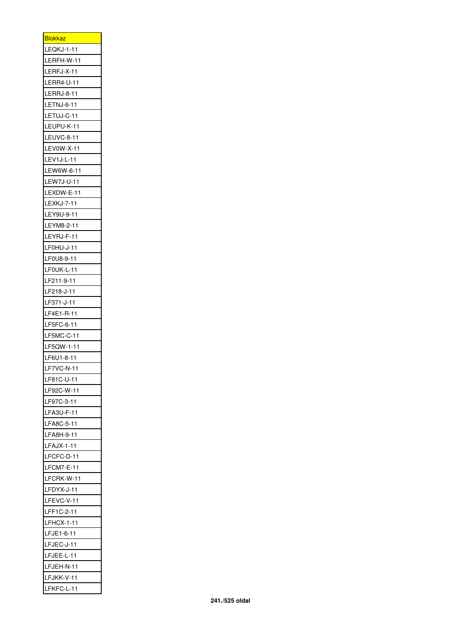| <b>Blokkaz</b>    |
|-------------------|
| <b>LEQKJ-1-11</b> |
| LERFH-W-11        |
| LERFJ-X-11        |
| LERR4-U-11        |
| LERRJ-8-11        |
| <b>LETNJ-6-11</b> |
| LETUJ-C-11        |
| LEUPU-K-11        |
| <b>LEUVC-8-11</b> |
| LEV0W-X-11        |
| LEV1J-L-11        |
| LEW6W-6-11        |
| LEW7J-U-11        |
| LEXDW-E-11        |
| <b>LEXKJ-7-11</b> |
| LEY9U-9-11        |
| LEYM8-2-11        |
| LEYRJ-F-11        |
| LF0HU-J-11        |
| LF0U8-9-11        |
|                   |
| LF0UK-L-11        |
| LF211-9-11        |
| LF218-J-11        |
| LF371-J-11        |
| LF4E1-R-11        |
| LF5FC-6-11        |
| LF5MC-C-11        |
| LF5QW-1-11        |
| LF6U1-8-11        |
| LF7VC-N-11        |
| LF81C-U-11        |
| LF92C-W-11        |
| LF97C-3-11        |
| LFA3U-F-11        |
| LFA8C-5-11        |
| LFA8H-9-11        |
| LFAJX-1-11        |
| LFCFC-D-11        |
| LFCM7-E-11        |
| LFCRK-W-11        |
| LFDYX-J-11        |
| LFEVC-V-11        |
| LFF1C-2-11        |
| <b>LFHCX-1-11</b> |
| LFJE1-6-11        |
| LFJEC-J-11        |
| LFJEE-L-11        |
| LFJEH-N-11        |
| LFJKK-V-11        |
| LFKFC-L-11        |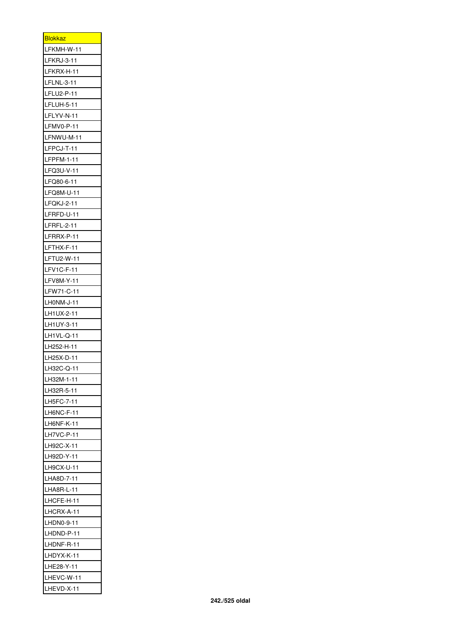| <b>Blokkaz</b> |
|----------------|
| LFKMH-W-11     |
| LFKRJ-3-11     |
| LFKRX-H-11     |
| LFLNL-3-11     |
| LFLU2-P-11     |
| LFLUH-5-11     |
| LFLYV-N-11     |
| LFMV0-P-11     |
| LFNWU-M-11     |
| LFPCJ-T-11     |
| LFPFM-1-11     |
| LFQ3U-V-11     |
| LFQ80-6-11     |
| LFQ8M-U-11     |
| LFQKJ-2-11     |
| LFRFD-U-11     |
| LFRFL-2-11     |
| LFRRX-P-11     |
| LFTHX-F-11     |
| LFTU2-W-11     |
| LFV1C-F-11     |
| LF<br>V8M-Y-11 |
| LFW71-C-11     |
| LH0NM-J-11     |
| LH1UX-2-11     |
| LH1UY-3-11     |
| LH1VL-Q-11     |
| LH252-H-11     |
| LH25X-D-11     |
| LH32C-Q-11     |
| LH32M-1-11     |
| LH32R-5-11     |
| LH5FC-7-11     |
| LH6NC-F-11     |
| LH6NF-K-11     |
| LH7VC-P-11     |
| LH92C-X-11     |
| LH92D-Y-11     |
| LH9CX-U-11     |
| LHA8D-7-11     |
|                |
| LHA8R-L-11     |
| LHCFE-H-11     |
| LHCRX-A-11     |
| LHDN0-9-11     |
| LHDND-P-11     |
| LHDNF-R-11     |
| LHDYX-K-11     |
| LHE28-Y-11     |
| LHEVC-W-11     |
| LHEVD-X-11     |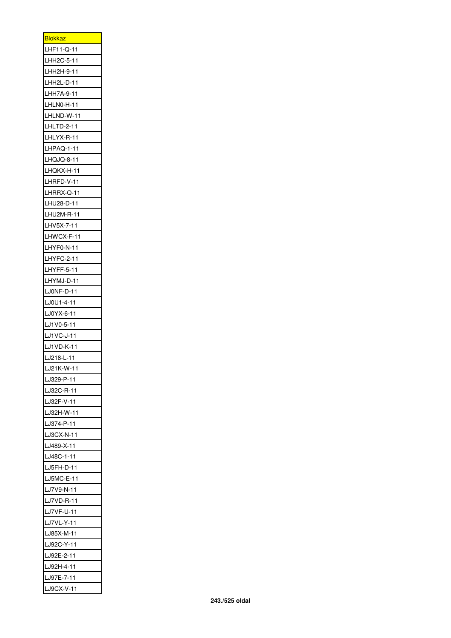| <b>Blokkaz</b> |
|----------------|
| LHF11-Q-11     |
| LHH2C-5-11     |
| LHH2H-9-11     |
| LHH2L-D-11     |
| LHH7A-9-11     |
| LHLN0-H-11     |
| LHLND-W-11     |
| LHLTD-2-11     |
| LHLYX-R-11     |
| LHPAQ-1-11     |
| LHQJQ-8-11     |
| LHQKX-H-11     |
| LHRFD-V-11     |
| LHRRX-Q-11     |
| LHU28-D-11     |
| LHU2M-R-11     |
| LHV5X-7-11     |
| LHWCX-F-11     |
|                |
| LHYF0-N-11     |
| LHYFC-2-11     |
| LHYFF-5-11     |
| LHYMJ-D-11     |
| LJ0NF-D-11     |
| LJ0U1-4-11     |
| LJ0YX-6-11     |
| LJ1V0-5-11     |
| LJ1VC-J-11     |
| LJ1VD-K-11     |
| LJ218-L-11     |
| LJ21K-W-1<br>1 |
| LJ329-P-11     |
| LJ32C-R-11     |
| LJ32F-V-11     |
| LJ32H-W-11     |
| LJ374-P-11     |
| LJ3CX-N-11     |
| LJ489-X-11     |
| LJ48C-1-11     |
| LJ5FH-D-11     |
| LJ5MC-E-11     |
| LJ7V9-N-11     |
| LJ7VD-R-11     |
| LJ7VF-U-11     |
| LJ7VL-Y-11     |
| LJ85X-M-11     |
| LJ92C-Y-11     |
| LJ92E-2-11     |
| LJ92H-4-11     |
| LJ97E-7-11     |
| LJ9CX-V-11     |
|                |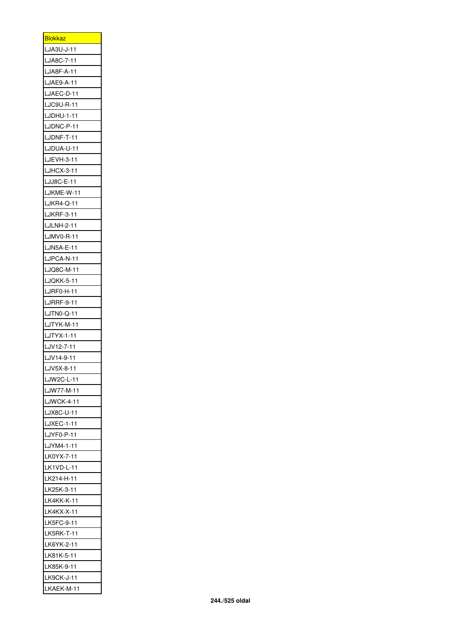| <u>Blokkaz</u>    |
|-------------------|
| LJA3U-J-11        |
| LJA8C-7-11        |
| LJA8F-A-11        |
| LJAE9-A-11        |
| LJAEC-D-11        |
| LJC9U-R-11        |
| LJDHU-1-11        |
| LJDNC-P-11        |
| LJDNF-T-11        |
| LJDUA-U-11        |
| LJEVH-3-11        |
| LJHCX-3-11        |
| LJJ8C-E-11        |
| LJKME-W-11        |
| LJKR4-Q-11        |
| <b>LJKRF-3-11</b> |
|                   |
| <b>LJLNH-2-11</b> |
| LJMV0-R-11        |
| LJN5A-E-11        |
| LJPCA-N-11        |
| LJQ8C-M-11        |
| LJQKK-5-11        |
| LJRF0-H-11        |
| <b>LJRRF-9-11</b> |
| LJTN0-Q-11        |
| LJTYK-M-11        |
| LJTYX-1-11        |
| LJV12-7-11        |
| LJV14-9-11        |
| LJV5X-8-11        |
| LJW2C-L-11        |
| LJW77-M-11        |
| LJWCK-4-11        |
| LJX8C-U-11        |
| LJXEC-1-11        |
| LJYF0-P-11        |
| LJYM4-1-11        |
| LK0YX-7-11        |
| LK1VD-L-11        |
| LK214-H-11        |
| LK25K-3-11        |
| LK4KK-K-11        |
| LK4KX-X-11        |
| LK5FC-9-11        |
| LK5RK-T-11        |
|                   |
| LK6YK-2-11        |
| LK81K-5-11        |
| LK85K-9-11        |
| LK9CK-J-11        |
| LKAEK-M-11        |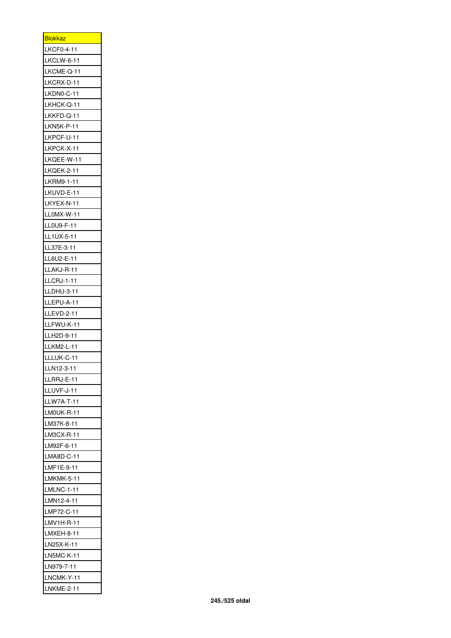| <b>Blokkaz</b>           |
|--------------------------|
| LKCF0-4-11               |
| LKCLW-6-11               |
| LKCME-Q-11               |
| LKCRX-D-11               |
| LKDN0-C-11               |
| LKHCK-Q-11               |
| LKKFD-Q-11               |
| LKN5K-P-11               |
| LKPCF-U-11               |
| LKPCK-X-11               |
| LKQEE-W-11               |
| LKQEK-2-11               |
| LKRM9-1-11               |
| LKUVD-E-11               |
| LKYEX-N-11               |
| LLOMX-W-11               |
| LL0U9-F-11               |
| LL1UX-5-11               |
| LL37E-3-11               |
| LL6U2-E-11               |
| LLAKJ-R-11               |
| <b>LLCRJ-1-11</b>        |
| LLDHU-3-11               |
| LLEPU-A-11               |
| <b>LLEVD-2-11</b>        |
| LLFWU-K-11               |
| LLH2D-9-11               |
| LLKM2-L-11               |
| LLLUK-C-11               |
|                          |
| LLN12-3-11               |
| LLRRJ-E-11<br>LLUVF-J-11 |
|                          |
| <b>LLW7A-T-11</b>        |
| LM0UK-R-11               |
| LM37K-8-11               |
| LM3CX-R-11               |
| LM92F-6-11               |
| LMA8D-C-11               |
| LMF1E-9-11               |
| LMKMK-5-11               |
| LMLNC-1-11               |
| LMN12-4-11               |
| LMP72-C-11               |
| LMV1H-R-11               |
| LMXEH-8-11               |
| N25X-K-11.<br>L          |
| LN5MC-K-11               |
| LN979-7-11               |
| LNCMK-Y-11               |
| <b>LNKME-2-11</b>        |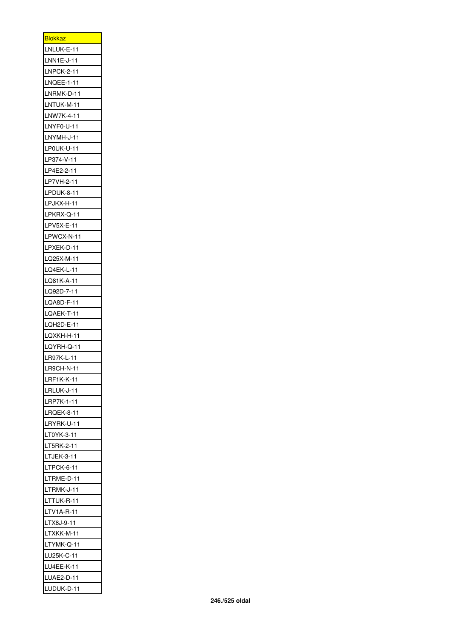| <b>Blokkaz</b>    |
|-------------------|
| LNLUK-E-11        |
| $LNN1E-J-11$      |
| <b>LNPCK-2-11</b> |
| <b>LNQEE-1-11</b> |
| LNRMK-D-11        |
| LNTUK-M-11        |
| LNW7K-4-11        |
| LNYF0-U-11        |
| LNYMH-J-11        |
| LP0UK-U-11        |
| LP374-V-11        |
| LP4E2-2-11        |
| LP7VH-2-11        |
| LPDUK-8-11        |
| LPJKX-H-11        |
| LPKRX-Q-11        |
| LPV5X-E-11        |
| LPWCX-N-11        |
| LPXEK-D-11        |
| LQ25X-M-11        |
| LQ4EK-L-11        |
| LQ81K-A-11        |
|                   |
| LQ92D-7-11        |
| LQA8D-F-11        |
| LQAEK-T-11        |
| LQH2D-E-11        |
| LQXKH-H-11        |
| LQYRH-Q-11        |
| LR97K-L-11        |
| LR9CH-N-11        |
| LRF1K-K-11        |
| LRLUK-J-11        |
| LRP7K-1-11        |
| LRQEK-8-11        |
| LRYRK-U-11        |
| LT0YK-3-11        |
| LT5RK-2-11        |
| LTJEK-3-11        |
| LTPCK-6-11        |
| LTRME-D-11        |
| LTRMK-J-11        |
| LTTUK-R-11        |
| LTV1A-R-11        |
| LTX8J-9-11        |
| LTXKK-M-11        |
| LTYMK-Q-11        |
| LU25K-C-11        |
| LU4EE-K-11        |
| LUAE2-D-11        |
| LUDUK-D-11        |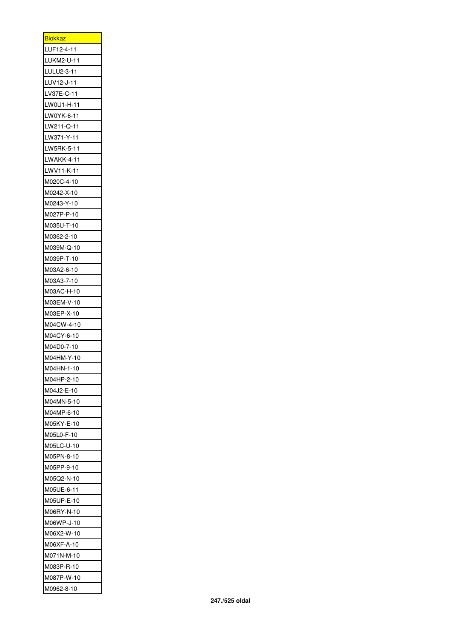| <b>Blokkaz</b> |
|----------------|
| LUF12-4-11     |
| LUKM2-U-11     |
| LULU2-3-11     |
| LUV12-J-11     |
| LV37E-C-11     |
| LW0U1-H-11     |
| LW0YK-6-11     |
| LW211-Q-11     |
| LW371-Y-11     |
| LW5RK-5-11     |
| LWAKK-4-11     |
| LWV11-K-11     |
| M020C-4-10     |
| M0242-X-10     |
| M0243-Y-10     |
| M027P-P-10     |
| M035U-T-10     |
| M0362-2-10     |
| M039M-Q-10     |
| M039P-T-10     |
|                |
| M03A2-6-10     |
| M03A3-7-10     |
| M03AC-H-10     |
| M03EM-V-10     |
| M03EP-X-10     |
| M04CW-4-10     |
| M04CY-6-10     |
| M04D0-7-10     |
| M04HM-Y-10     |
| M04HN-1-10     |
| M04HP-2-10     |
| M04J2-E-10     |
| M04MN-5-10     |
| M04MP-6-10     |
| M05KY-E-10     |
| M05L0-F-10     |
| M05LC-U-10     |
| M05PN-8-10     |
| M05PP-9-10     |
| M05Q2-N-10     |
| M05UE-6-11     |
| M05UP-E-10     |
| M06RY-N-10     |
| M06WP-J-10     |
| M06X2-W-10     |
| M06XF-A-10     |
| M071N-M-10     |
| M083P-R-10     |
| M087P-W-10     |
| M0962-8-10     |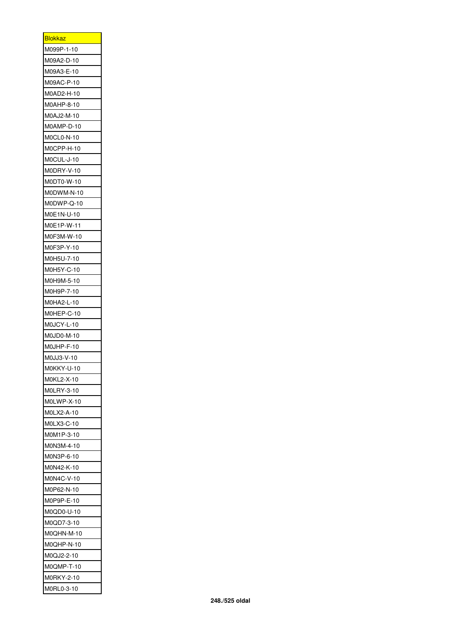| <b>Blokkaz</b> |
|----------------|
| M099P-1-10     |
| M09A2-D-10     |
| M09A3-E-10     |
| M09AC-P-10     |
| M0AD2-H-10     |
| M0AHP-8-10     |
| M0AJ2-M-10     |
| M0AMP-D-10     |
| M0CL0-N-10     |
| M0CPP-H-10     |
| M0CUL-J-10     |
| M0DRY-V-10     |
| M0DT0-W-10     |
| M0DWM-N-10     |
| M0DWP-Q-10     |
| M0E1N-U-10     |
| M0E1P-W-11     |
| M0F3M-W-10     |
| M0F3P-Y-10     |
| M0H5U-7-10     |
| M0H5Y-C-10     |
| M0H9M-5-10     |
| M0H9P-7-10     |
| M0HA2-L-10     |
| M0HEP-C-10     |
| M0JCY-L-10     |
| M0JD0-M-10     |
| MOJHP-F-10     |
| M0JJ3-V-10     |
| M0KKY-U-10     |
| M0KL2-X-10     |
| M0LRY-3-10     |
| MOLWP-X-10     |
| M0LX2-A-10     |
| M0LX3-C-10     |
| M0M1P-3-10     |
| M0N3M-4-10     |
| M0N3P-6-10     |
| M0N42-K-10     |
| M0N4C-V-10     |
| M0P62-N-10     |
| M0P9P-E-10     |
| M0QD0-U-10     |
| M0QD7-3-10     |
| M0QHN-M-10     |
| M0QHP-N-10     |
| M0QJ2-2-10     |
| M0QMP-T-10     |
| M0RKY-2-10     |
| M0RL0-3-10     |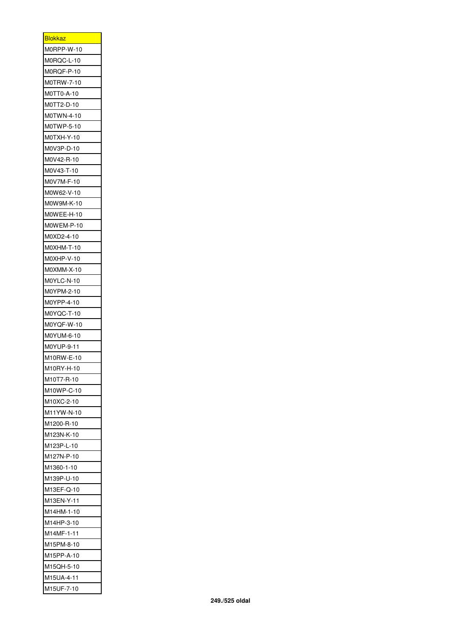| <u>Blokkaz</u> |
|----------------|
| M0RPP-W-10     |
| M0RQC-L-10     |
| M0RQF-P-10     |
| M0TRW-7-10     |
| M0TT0-A-10     |
| M0TT2-D-10     |
| M0TWN-4-10     |
| M0TWP-5-10     |
| M0TXH-Y-10     |
| M0V3P-D-10     |
| M0V42-R-10     |
| M0V43-T-10     |
| M0V7M-F-10     |
| M0W62-V-10     |
| M0W9M-K-10     |
| M0WEE-H-10     |
| M0WEM-P-10     |
| M0XD2-4-10     |
| M0XHM-T-10     |
| M0XHP-V-10     |
| M0XMM-X-10     |
| M0YLC-N-10     |
| M0YPM-2-10     |
| M0YPP-4-10     |
|                |
| M0YQC-T-10     |
| M0YQF-W-10     |
| M0YUM-6-10     |
| M0YUP-9-11     |
| M10RW-E-10     |
| M10RY-H-10     |
| M10T7-R-10     |
| M10WP-C-10     |
| M10XC-2-10     |
| M11YW-N-10     |
| M1200-R-10     |
| M123N-K-10     |
| M123P-L-10     |
| M127N-P-10     |
| M1360-1-10     |
| M139P-U-10     |
| M13EF-Q-10     |
| M13EN-Y-11     |
| M14HM-1-10     |
| M14HP-3-10     |
| M14MF-1-11     |
| M15PM-8-10     |
| M15PP-A-10     |
| M15QH-5-10     |
| M15UA-4-11     |
| M15UF-7-10     |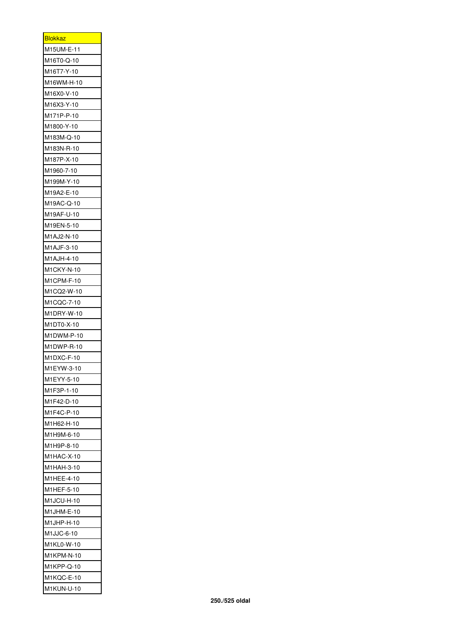| <b>Blokkaz</b> |
|----------------|
| M15UM-E-11     |
| M16T0-Q-10     |
| M16T7-Y-10     |
| M16WM-H-10     |
| M16X0-V-10     |
| M16X3-Y-10     |
| M171P-P-10     |
| M1800-Y-10     |
| M183M-Q-10     |
| M183N-R-10     |
| M187P-X-10     |
| M1960-7-10     |
| M199M-Y-10     |
| M19A2-E-10     |
| M19AC-Q-10     |
| M19AF-U-10     |
| M19EN-5-10     |
| M1AJ2-N-10     |
| M1AJF-3-10     |
|                |
| M1AJH-4-10     |
| M1CKY-N-10     |
| M1CPM-F-10     |
| M1CQ2-W-10     |
| M1CQC-7-10     |
| M1DRY-W-10     |
| M1DT0-X-10     |
| M1DWM-P-10     |
| M1DWP-R-10     |
| M1DXC-F-10     |
| M1EYW-3-10     |
| M1EYY-5-10     |
| M1F3P-1-10     |
| M1F42-D-10     |
| M1F4C-P-10     |
| M1H62-H-10     |
| M1H9M-6-10     |
| M1H9P-8-10     |
| M1HAC-X-10     |
| M1HAH-3-10     |
| M1HEE-4-10     |
| M1HEF-5-10     |
| M1JCU-H-10     |
| M1JHM-E-10     |
| M1JHP-H-10     |
| M1JJC-6-10     |
| M1KL0-W-10     |
| M1KPM-N-10     |
| M1KPP-Q-10     |
| M1KQC-E-10     |
| M1KUN-U-10     |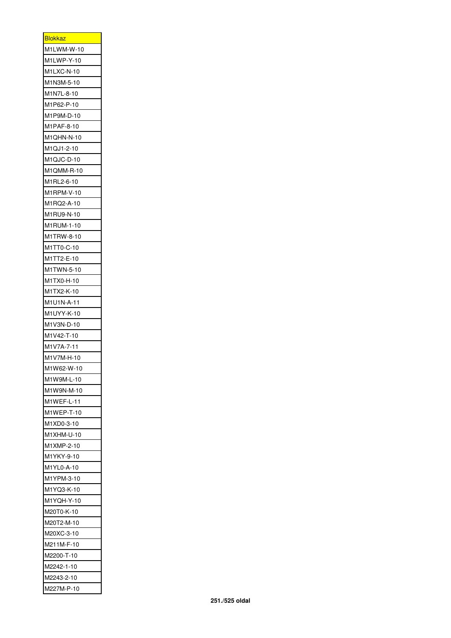| <b>Blokkaz</b> |
|----------------|
| M1LWM-W-10     |
| M1LWP-Y-10     |
| M1LXC-N-10     |
| M1N3M-5-10     |
| M1N7L-8-10     |
| M1P62-P-10     |
| M1P9M-D-10     |
| M1PAF-8-10     |
| M1QHN-N-10     |
| M1QJ1-2-10     |
| M1QJC-D-10     |
| M1QMM-R-10     |
| M1RL2-6-10     |
| M1RPM-V-10     |
| M1RQ2-A-10     |
| M1RU9-N-10     |
| M1RUM-1-10     |
| M1TRW-8-10     |
| M1TT0-C-10     |
| M1TT2-E-10     |
| M1TWN-5-10     |
| M1TX0-H-10     |
| M1TX2-K-10     |
| M1U1N-A-11     |
| M1UYY-K-10     |
| M1V3N-D-10     |
| M1V42-T-10     |
| M1V7A-7-11     |
| M1V7M-H-10     |
| M1W62-W-10     |
| M1W9M-L-10     |
| M1W9N-M-10     |
| M1WEF-L-11     |
| M1WEP-T-10     |
| M1XD0-3-10     |
| M1XHM-U-10     |
| M1XMP-2-10     |
| M1YKY-9-10     |
| M1YL0-A-10     |
| M1YPM-3-10     |
| M1YQ3-K-10     |
| M1YQH-Y-10     |
| M20T0-K-10     |
| M20T2-M-10     |
| M20XC-3-10     |
| M211M-F-10     |
| M2200-T-10     |
| M2242-1-10     |
| M2243-2-10     |
| M227M-P-10     |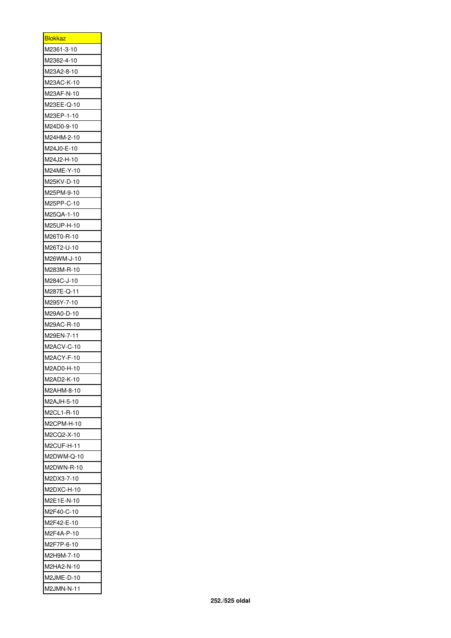| <u>Blokkaz</u> |
|----------------|
| M2361-3-10     |
| M2362-4-10     |
| M23A2-8-10     |
| M23AC-K-10     |
| M23AF-N-10     |
| M23EE-Q-10     |
| M23EP-1-10     |
| M24D0-9-10     |
| M24HM-2-10     |
| M24J0-E-10     |
| M24J2-H-10     |
| M24ME-Y-10     |
| M25KV-D-10     |
| M25PM-9-10     |
| M25PP-C-10     |
|                |
| M25QA-1-10     |
| M25UP-H-10     |
| M26T0-R-10     |
| M26T2-U-10     |
| M26WM-J-10     |
| M283M-R-10     |
| M284C-J-10     |
| M287E-Q-11     |
| M295Y-7-10     |
| M29A0-D-10     |
| M29AC-R-10     |
| M29EN-7-11     |
| M2ACV-C-10     |
| M2ACY-F-10     |
| M2AD0-H-10     |
| M2AD2-K-10     |
| M2AHM-8-10     |
| M2AJH-5-10     |
| M2CL1-R-10     |
| M2CPM-H-10     |
| M2CQ2-X-10     |
| M2CUF-H-11     |
| M2DWM-Q-10     |
| M2DWN-R-10     |
| M2DX3-7-10     |
| M2DXC-H-10     |
| M2E1E-N-10     |
| M2F40-C-10     |
| M2F42-E-10     |
| M2F4A-P-10     |
| M2F7P-6-10     |
| M2H9M-7-10     |
| M2HA2-N-10     |
| M2JME-D-10     |
| M2JMN-N-11     |
|                |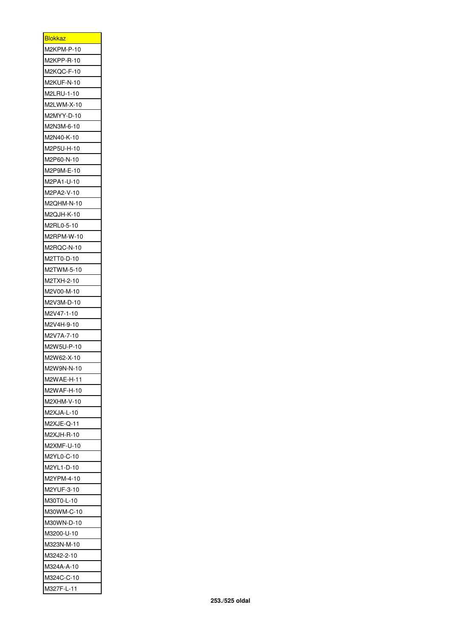| <b>Blokkaz</b> |
|----------------|
| M2KPM-P-10     |
| M2KPP-R-10     |
| M2KQC-F-10     |
| M2KUF-N-10     |
| M2LRU-1-10     |
| M2LWM-X-10     |
| M2MYY-D-10     |
| M2N3M-6-10     |
| M2N40-K-10     |
| M2P5U-H-10     |
| M2P60-N-10     |
| M2P9M-E-10     |
| M2PA1-U-10     |
| M2PA2-V-10     |
| M2QHM-N-10     |
| M2QJH-K-10     |
| M2RL0-5-10     |
| M2RPM-W-10     |
| M2RQC-N-10     |
| M2TT0-D-10     |
|                |
| M2TWM-5-10     |
| M2TXH-2-10     |
| M2V00-M-10     |
| M2V3M-D-10     |
| M2V47-1-10     |
| M2V4H-9-10     |
| M2V7A-7-10     |
| M2W5U-P-10     |
| M2W62-X-10     |
| M2W9N-N-10     |
| M2WAE-H-11     |
| M2WAF-H-10     |
| M2XHM-V-10     |
| M2XJA-L-10     |
| M2XJE-Q-11     |
| M2XJH-R-10     |
| M2XMF-U-10     |
| M2YL0-C-10     |
| M2YL1-D-10     |
| M2YPM-4-10     |
| M2YUF-3-10     |
| M30T0-L-10     |
| M30WM-C-10     |
| M30WN-D-10     |
| M3200-U-10     |
| M323N-M-10     |
| M3242-2-10     |
| M324A-A-10     |
| M324C-C-10     |
| M327F-L-11     |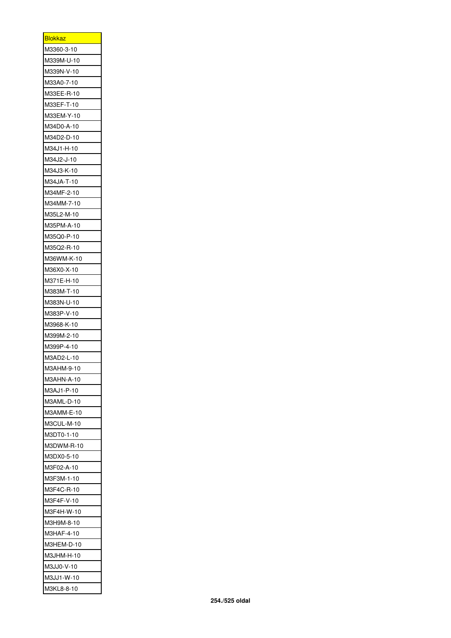| <b>Blokkaz</b> |
|----------------|
| M3360-3-10     |
| M339M-U-10     |
| M339N-V-10     |
| M33A0-7-10     |
| M33EE-R-10     |
| M33EF-T-10     |
| M33EM-Y-10     |
| M34D0-A-10     |
| M34D2-D-10     |
| M34J1-H-10     |
| M34J2-J-10     |
| M34J3-K-10     |
| M34JA-T-10     |
| M34MF-2-10     |
| M34MM-7-10     |
| M35L2-M-10     |
| M35PM-A-10     |
| M35Q0-P-10     |
| M35Q2-R-10     |
| M36WM-K-10     |
| M36X0-X-10     |
| M371E-H-10     |
|                |
| M383M-T-10     |
| M383N-U-10     |
| M383P-V-10     |
| M3968-K-10     |
| M399M-2-10     |
| M399P-4-10     |
| M3AD2-L-10     |
| M3AHM-9-10     |
| M3AHN-A-10     |
| M3AJ1-P-10     |
| M3AML-D-10     |
| M3AMM-E-10     |
| M3CUL-M-10     |
| M3DT0-1-10     |
| M3DWM-R-10     |
| M3DX0-5-10     |
| M3F02-A-10     |
| M3F3M-1-10     |
| M3F4C-R-10     |
| M3F4F-V-10     |
| M3F4H-W-10     |
| M3H9M-8-10     |
| M3HAF-4-10     |
| M3HEM-D-10     |
| M3JHM-H-10     |
| M3JJ0-V-10     |
| M3JJ1-W-10     |
| M3KL8-8-10     |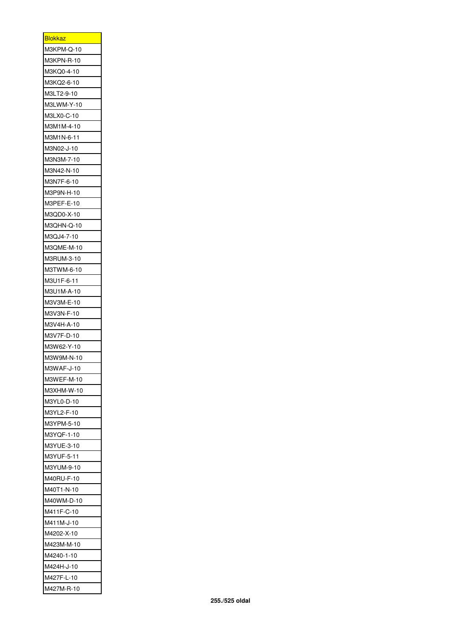| <u>Blokkaz</u>           |
|--------------------------|
| M3KPM-Q-10               |
| M3KPN-R-10               |
| M3KQ0-4-10               |
| M3KQ2-6-10               |
| M3LT2-9-10               |
| M3LWM-Y-10               |
| M3LX0-C-10               |
| M3M1M-4-10               |
| M3M1N-6-11               |
| M3N02-J-10               |
| M3N3M-7-10               |
| M3N42-N-10               |
| M3N7F-6-10               |
| M3P9N-H-10               |
| M3PEF-E-10               |
| M3QD0-X-10               |
| M3QHN-Q-10               |
| M3QJ4-7-10               |
| M3QME-M-10               |
| M3RUM-3-10               |
| M3TWM-6-10               |
| M3U1F-6-11               |
| M3U1M-A-10               |
| M3V3M-E-10               |
| M3V3N-F-10               |
| M3V4H-A-10               |
| M3V7F-D-10               |
| M3W62-Y-10               |
| M3W9M-N-10               |
| M3WAF-J-10               |
| M3WEF-M-10               |
|                          |
| M3XHM-W-10<br>M3YL0-D-10 |
|                          |
| M3YL2-F-10               |
| M3YPM-5-10               |
| M3YQF-1-10               |
| M3YUE-3-10               |
| M3YUF-5-11               |
| M3YUM-9-10               |
| M40RU-F-10               |
| M40T1-N-10               |
| M40WM-D-10               |
| M411F-C-10               |
| M411M-J-10               |
| M4202-X-10               |
| M423M-M-10               |
| M4240-1-10               |
| M424H-J-10               |
| M427F-L-10               |
| M427M-R-10               |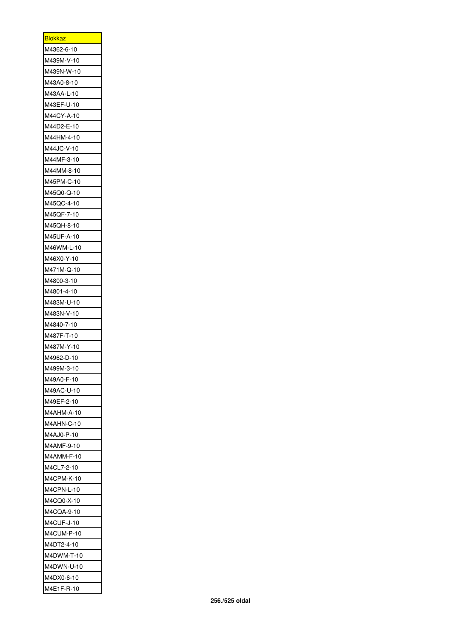| <u>Blokkaz</u> |
|----------------|
| M4362-6-10     |
| M439M-V-10     |
| M439N-W-10     |
| M43A0-8-10     |
| M43AA-L-10     |
| M43EF-U-10     |
| M44CY-A-10     |
| M44D2-E-10     |
| M44HM-4-10     |
| M44JC-V-10     |
| M44MF-3-10     |
| M44MM-8-10     |
| M45PM-C-10     |
| M45Q0-Q-10     |
| M45QC-4-10     |
| M45QF-7-10     |
| M45QH-8-10     |
| M45UF-A-10     |
| M46WM-L-10     |
| M46X0-Y-10     |
| M471M-Q-10     |
| M4800-3-10     |
| M4801-4-10     |
| M483M-U-10     |
|                |
| M483N-V-10     |
| M4840-7-10     |
| M487F-T-10     |
| M487M-Y-10     |
| M4962-D-10     |
| M499M-3-10     |
| M49A0-F-10     |
| M49AC-U-10     |
| M49EF-2-10     |
| M4AHM-A-10     |
| M4AHN-C-10     |
| M4AJ0-P-10     |
| M4AMF-9-10     |
| M4AMM-F-10     |
| M4CL7-2-10     |
| M4CPM-K-10     |
| M4CPN-L-10     |
| M4CQ0-X-10     |
| M4CQA-9-10     |
| M4CUF-J-10     |
| M4CUM-P-10     |
| M4DT2-4-10     |
| M4DWM-T-10     |
| M4DWN-U-10     |
| M4DX0-6-10     |
| M4E1F-R-10     |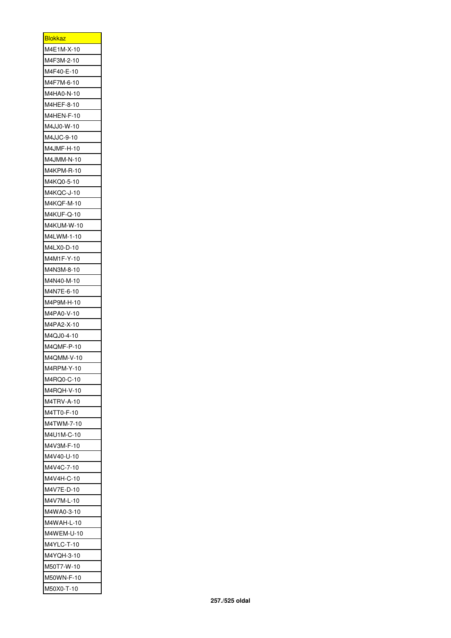| <b>Blokkaz</b> |
|----------------|
| M4E1M-X-10     |
| M4F3M-2-10     |
| M4F40-E-10     |
| M4F7M-6-10     |
| M4HA0-N-10     |
| M4HEF-8-10     |
| M4HEN-F-10     |
| M4JJ0-W-10     |
| M4JJC-9-10     |
| M4JMF-H-10     |
| M4JMM-N-10     |
| M4KPM-R-10     |
| M4KQ0-5-10     |
| M4KQC-J-10     |
| M4KQF-M-10     |
| M4KUF-Q-10     |
| M4KUM-W-10     |
| M4LWM-1-10     |
| M4LX0-D-10     |
| M4M1F-Y-10     |
| M4N3M-8-10     |
| M4N40-M-10     |
| M4N7E-6-10     |
| M4P9M-H-10     |
| M4PA0-V-10     |
| M4PA2-X-10     |
| M4QJ0-4-10     |
| M4QMF-P-10     |
| M4QMM-V-10     |
| M4RPM-Y-10     |
| M4RQ0-C-10     |
| M4RQH-V-10     |
| M4TRV-A-10     |
| M4TT0-F-10     |
| M4TWM-7-10     |
| M4U1M-C-10     |
| M4V3M-F-10     |
| M4V40-U-10     |
| M4V4C-7-10     |
| M4V4H-C-10     |
| M4V7E-D-10     |
| M4V7M-L-10     |
| M4WA0-3-10     |
| M4WAH-L-10     |
| M4WEM-U-10     |
| M4YLC-T-10     |
| M4YQH-3-10     |
| M50T7-W-10     |
| M50WN-F-10     |
| M50X0-T-10     |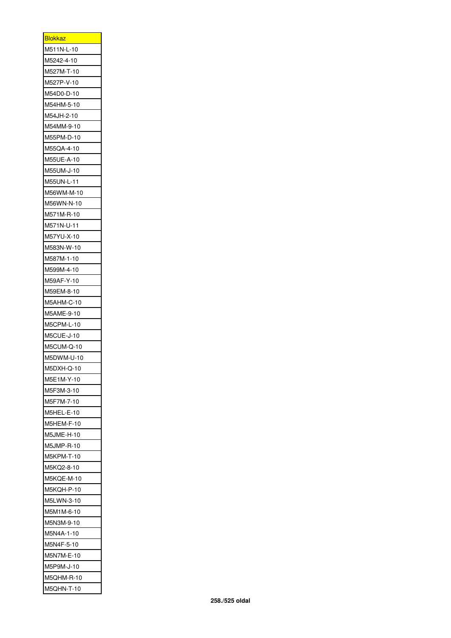| <b>Blokkaz</b> |
|----------------|
| M511N-L-10     |
| M5242-4-10     |
| M527M-T-10     |
| M527P-V-10     |
| M54D0-D-10     |
| M54HM-5-10     |
| M54JH-2-10     |
| M54MM-9-10     |
| M55PM-D-10     |
| M55QA-4-10     |
| M55UE-A-10     |
| M55UM-J-10     |
| M55UN-L-11     |
| M56WM-M-10     |
| M56WN-N-10     |
| M571M-R-10     |
| M571N-U-11     |
| M57YU-X-10     |
| M583N-W-10     |
| M587M-1-10     |
| M599M-4-10     |
| M59AF-Y-10     |
| M59EM-8-10     |
| M5AHM-C-10     |
| M5AME-9-10     |
| M5CPM-L-10     |
| M5CUE-J-10     |
| M5CUM-Q-10     |
| M5DWM-U-10     |
| M5DXH-Q-10     |
| M5E1M-Y-10     |
| M5F3M-3-10     |
| M5F7M-7-10     |
| M5HEL-E-10     |
| M5HEM-F-10     |
| M5JME-H-10     |
| M5JMP-R-10     |
| M5KPM-T-10     |
| M5KQ2-8-10     |
| M5KQE-M-10     |
| M5KQH-P-10     |
| M5LWN-3-10     |
| M5M1M-6-10     |
| M5N3M-9-10     |
| M5N4A-1-10     |
| M5N4F-5-10     |
| M5N7M-E-10     |
| M5P9M-J-10     |
| M5QHM-R-10     |
| M5QHN-T-10     |
|                |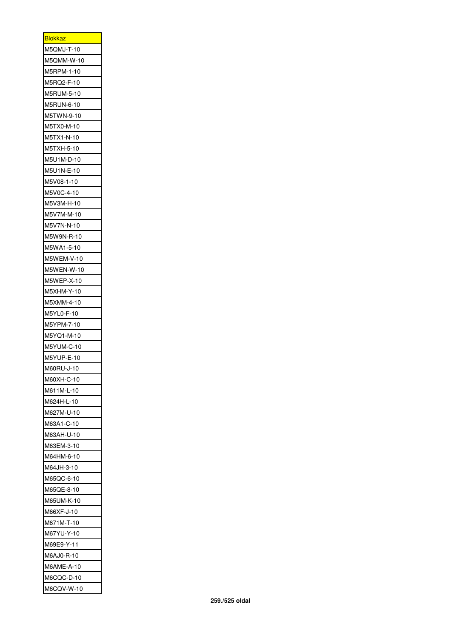| <u>Blokkaz</u>           |
|--------------------------|
| M5QMJ-T-10               |
| M5QMM-W-10               |
| M5RPM-1-10               |
| M5RQ2-F-10               |
| M5RUM-5-10               |
| M5RUN-6-10               |
| M5TWN-9-10               |
| M5TX0-M-10               |
| M5TX1-N-10               |
| M5TXH-5-10               |
| M5U1M-D-10               |
| M5U1N-E-10               |
| M5V08-1-10               |
| M5V0C-4-10               |
| M5V3M-H-10               |
| M5V7M-M-10               |
| M5V7N-N-10               |
| M5W9N-R-10               |
| M5WA1-5-10               |
| M5WEM-V-10               |
|                          |
| M5WEN-W-10<br>M5WEP-X-10 |
|                          |
| M5XHM-Y-10               |
| M5XMM-4-10               |
| M5YL0-F-10               |
| M5YPM-7-10               |
| M5YQ1-M-10               |
| M5YUM-C-10               |
| M5YUP-E-10               |
| M60RU-J-10               |
| M60XH-C-10               |
| M611M-L-10               |
| M624H-L-10               |
| M627M-U-10               |
| M63A1-C-10               |
| M63AH-U-10               |
| M63EM-3-10               |
| M64HM-6-10               |
| M64JH-3-10               |
| M65QC-6-10               |
| M65QE-8-10               |
| M65UM-K-10               |
| M66XF-J-10               |
| M671M-T-10               |
| M67YU-Y-10               |
| M69E9-Y-11               |
| M6AJ0-R-10               |
| M6AME-A-10               |
| M6CQC-D-10               |
| M6CQV-W-10               |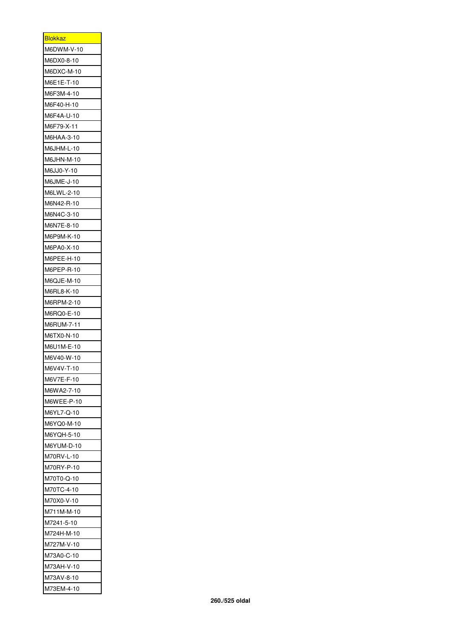| <b>Blokkaz</b> |
|----------------|
| M6DWM-V-10     |
| M6DX0-8-10     |
| M6DXC-M-10     |
| M6E1E-T-10     |
| M6F3M-4-10     |
| M6F40-H-10     |
| M6F4A-U-10     |
| M6F79-X-11     |
| M6HAA-3-10     |
| M6JHM-L-10     |
| M6JHN-M-10     |
| M6JJ0-Y-10     |
| M6JME-J-10     |
| M6LWL-2-10     |
| M6N42-R-10     |
| M6N4C-3-10     |
| M6N7E-8-10     |
|                |
| M6P9M-K-10     |
| M6PA0-X-10     |
| M6PEE-H-10     |
| M6PEP-R-10     |
| M6QJE-M-10     |
| M6RL8-K-10     |
| M6RPM-2-10     |
| M6RQ0-E-10     |
| M6RUM-7-11     |
| M6TX0-N-10     |
| M6U1M-E-10     |
| M6V40-W-10     |
| M6V4V-T-10     |
| M6V7E-F-10     |
| M6WA2-7-10     |
| M6WEE-P-10     |
| M6YL7-Q-10     |
| M6YQ0-M-10     |
| M6YQH-5-10     |
| M6YUM-D-10     |
| M70RV-L-10     |
| M70RY-P-10     |
| M70T0-Q-10     |
| M70TC-4-10     |
| M70X0-V-10     |
| M711M-M-10     |
| M7241-5-10     |
| M724H-M-10     |
| M727M-V-10     |
| M73A0-C-10     |
| M73AH-V-10     |
| M73AV-8-10     |
| M73EM-4-10     |
|                |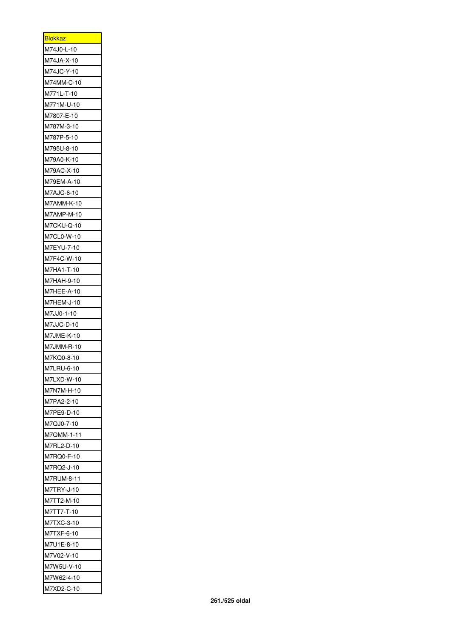| <u>Blokkaz</u> |
|----------------|
| M74J0-L-10     |
| M74JA-X-10     |
| M74JC-Y-10     |
| M74MM-C-10     |
| M771L-T-10     |
| M771M-U-10     |
| M7807-E-10     |
| M787M-3-10     |
| M787P-5-10     |
| M795U-8-10     |
| M79A0-K-10     |
| M79AC-X-10     |
| M79EM-A-10     |
| M7AJC-6-10     |
|                |
| M7AMM-K-10     |
| M7AMP-M-10     |
| M7CKU-Q-10     |
| M7CL0-W-10     |
| M7EYU-7-10     |
| M7F4C-W-10     |
| M7HA1-T-10     |
| M7HAH-9-10     |
| M7HEE-A-10     |
| M7HEM-J-10     |
| M7JJ0-1-10     |
| M7JJC-D-10     |
| M7JME-K-10     |
| M7JMM-R-10     |
| M7KQ0-8-10     |
| M7LRU-6-10     |
| M7LXD-W-10     |
| M7N7M-H-10     |
| M7PA2-2-10     |
| M7PE9-D-10     |
| M7QJ0-7-10     |
| M7QMM-1-11     |
| M7RL2-D-10     |
|                |
| M7RQ0-F-10     |
| M7RQ2-J-10     |
| M7RUM-8-11     |
| M7TRY-J-10     |
| M7TT2-M-10     |
| M7TT7-T-10     |
| M7TXC-3-10     |
| M7TXF-6-10     |
| M7U1E-8-10     |
| M7V02-V-10     |
| M7W5U-V-10     |
| M7W62-4-10     |
| M7XD2-C-10     |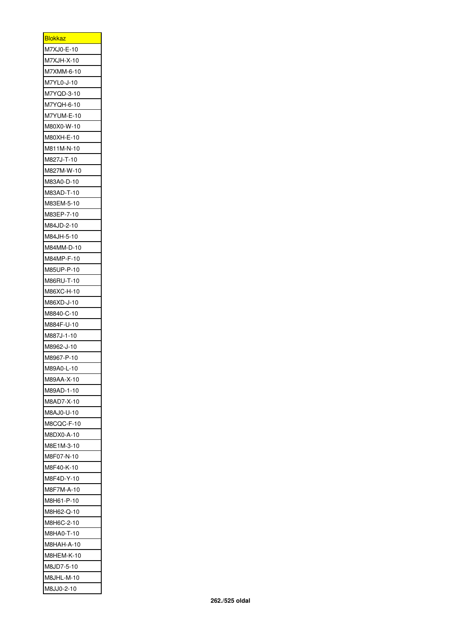| <b>Blokkaz</b> |
|----------------|
| M7XJ0-E-10     |
| M7XJH-X-10     |
| M7XMM-6-10     |
| M7YL0-J-10     |
| M7YQD-3-10     |
| M7YQH-6-10     |
| M7YUM-E-10     |
| M80X0-W-10     |
| M80XH-E-10     |
| M811M-N-10     |
| M827J-T-10     |
| M827M-W-10     |
| M83A0-D-10     |
| M83AD-T-10     |
| M83EM-5-10     |
| M83EP-7-10     |
| M84JD-2-10     |
| M84JH-5-10     |
| M84MM-D-10     |
| M84MP-F-10     |
| M85UP-P-10     |
| M86RU-T-10     |
| M86XC-H-10     |
| M86XD-J-10     |
| M8840-C-10     |
| M884F-U-10     |
| M887J-1-10     |
| M8962-J-10     |
| M8967-P-10     |
| M89A0-L-10     |
| M89AA-X-10     |
| M89AD-1-10     |
| M8AD7-X-10     |
| M8AJ0-U-10     |
| M8CQC-F-10     |
| M8DX0-A-10     |
| M8E1M-3-10     |
| M8F07-N-10     |
| M8F40-K-10     |
| M8F4D-Y-10     |
| M8F7M-A-10     |
| M8H61-P-10     |
| M8H62-Q-10     |
| M8H6C-2-10     |
| M8HA0-T-10     |
| M8HAH-A-10     |
| M8HEM-K-10     |
| M8JD7-5-10     |
| M8JHL-M-10     |
| M8JJ0-2-10     |
|                |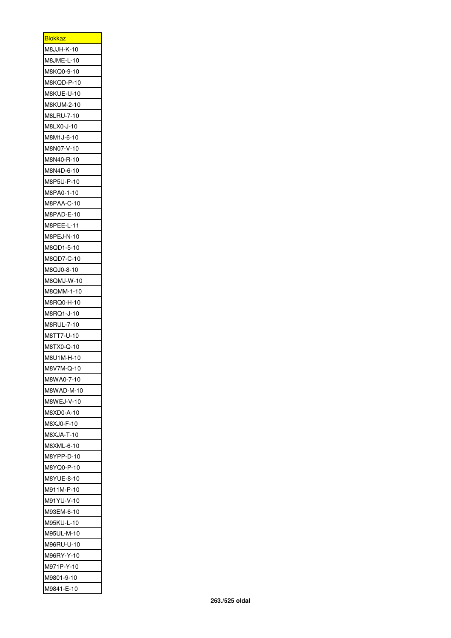| <b>Blokkaz</b> |
|----------------|
| M8JJH-K-10     |
| M8JME-L-10     |
| M8KQ0-9-10     |
| M8KQD-P-10     |
| M8KUE-U-10     |
| M8KUM-2-10     |
| M8LRU-7-10     |
| M8LX0-J-10     |
| M8M1J-6-10     |
| M8N07-V-10     |
| M8N40-R-10     |
| M8N4D-6-10     |
| M8P5U-P-10     |
| M8PA0-1-10     |
| M8PAA-C-10     |
| M8PAD-E-10     |
| M8PEE-L-11     |
| M8PEJ-N-10     |
| M8QD1-5-10     |
| M8QD7-C-10     |
| M8QJ0-8-10     |
| M8QMJ-W-10     |
| M8QMM-1-10     |
| M8RQ0-H-10     |
| M8RQ1-J-10     |
| M8RUL-7-10     |
| M8TT7-U-10     |
| M8TX0-Q-10     |
| M8U1M-H-10     |
| M8V7M-Q-10     |
| M8WA0-7-10     |
| M8WAD-M-10     |
| M8WEJ-V-10     |
| M8XD0-A-10     |
| M8XJ0-F-10     |
| M8XJA-T-10     |
| M8XML-6-10     |
| M8YPP-D-10     |
| M8YQ0-P-10     |
| M8YUE-8-10     |
| M911M-P-10     |
| M91YU-V-10     |
| M93EM-6-10     |
| M95KU-L-10     |
| M95UL-M-10     |
| M96RU-U-10     |
| M96RY-Y-10     |
| M971P-Y-10     |
| M9801-9-10     |
| M9841-E-10     |
|                |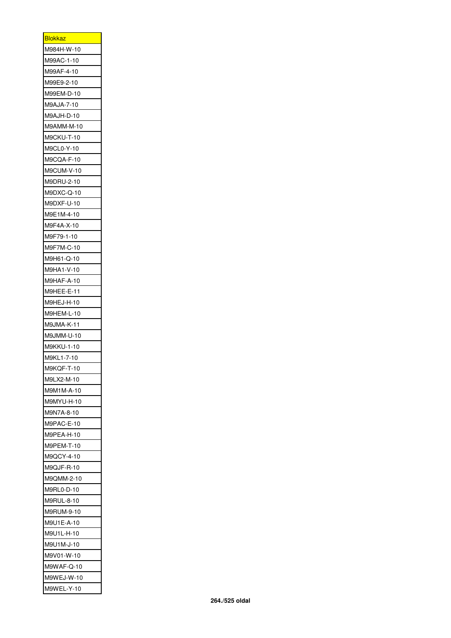| <u>Blokkaz</u> |
|----------------|
| M984H-W-10     |
| M99AC-1-10     |
| M99AF-4-10     |
| M99E9-2-10     |
| M99EM-D-10     |
| M9AJA-7-10     |
| M9AJH-D-10     |
| M9AMM-M-10     |
| M9CKU-T-10     |
| M9CL0-Y-10     |
| M9CQA-F-10     |
| M9CUM-V-10     |
| M9DRU-2-10     |
| M9DXC-Q-10     |
| M9DXF-U-10     |
| M9E1M-4-10     |
| M9F4A-X-10     |
| M9F79-1-10     |
| M9F7M-C-10     |
|                |
| M9H61-Q-10     |
| M9HA1-V-10     |
| M9HAF-A-10     |
| M9HEE-E-11     |
| M9HEJ-H-10     |
| M9HEM-L-10     |
| M9JMA-K-11     |
| M9JMM-U-10     |
| M9KKU-1-10     |
| M9KL1-7-10     |
| M9KQF-T-10     |
| M9LX2-M-10     |
| M9M1M-A-10     |
| M9MYU-H-10     |
| M9N7A-8-10     |
| M9PAC-E-10     |
| M9PEA-H-10     |
| M9PEM-T-10     |
| M9QCY-4-10     |
| M9QJF-R-10     |
| M9QMM-2-10     |
| M9RL0-D-10     |
| M9RUL-8-10     |
| M9RUM-9-10     |
| M9U1E-A-10     |
| M9U1L-H-10     |
| M9U1M-J-10     |
| M9V01-W-10     |
| M9WAF-Q-10     |
| M9WEJ-W-10     |
| M9WEL-Y-10     |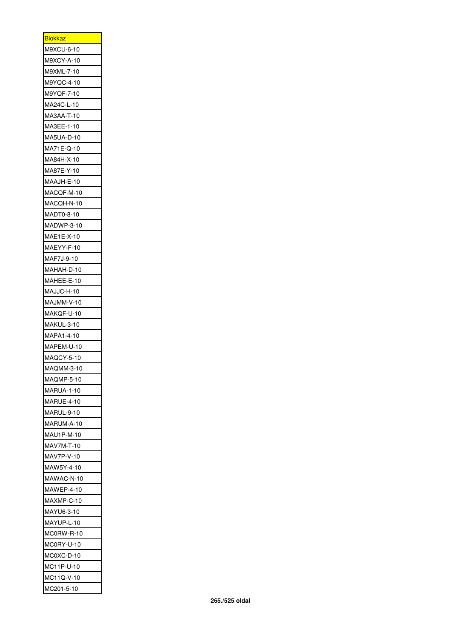| <u>Blokkaz</u>    |
|-------------------|
| M9XCU-6-10        |
| M9XCY-A-10        |
| M9XML-7-10        |
| M9YQC-4-10        |
| M9YQF-7-10        |
| MA24C-L-10        |
| MA3AA-T-10        |
| MA3EE-1-10        |
| MA5UA-D-10        |
| MA71E-Q-10        |
| MA84H-X-10        |
| MA87E-Y-10        |
| MAAJH-E-10        |
| MACQF-M-10        |
| MACQH-N-10        |
| MADT0-8-10        |
|                   |
| MADWP-3-10        |
| MAE1E-X-10        |
| MAEYY-F-10        |
| MAF7J-9-10        |
| MAHAH-D-10        |
| MAHEE-E-10        |
| MAJJC-H-10        |
| MAJMM-V-10        |
| MAKQF-U-10        |
| MAKUL-3-10        |
| MAPA1-4-10        |
| MAPEM-U-10        |
| MAQCY-5-10        |
| MAQMM-3-10        |
| MAQMP-5-10        |
| MARUA-1-10        |
| MARUE-4-10        |
| MARUL-9-10        |
| MARUM-A-10        |
| MAU1P-M-10        |
| MAV7M-T-10        |
| MAV7P-V-10        |
| MAW5Y-4-10        |
| MAWAC-N-10        |
| <b>MAWEP-4-10</b> |
| MAXMP-C-10        |
| MAYU6-3-10        |
| MAYUP-L-10        |
| MC0RW-R-10        |
| MC0RY-U-10        |
| MC0XC-D-10        |
| MC11P-U-10        |
| MC11Q-V-10        |
| MC201-5-10        |
|                   |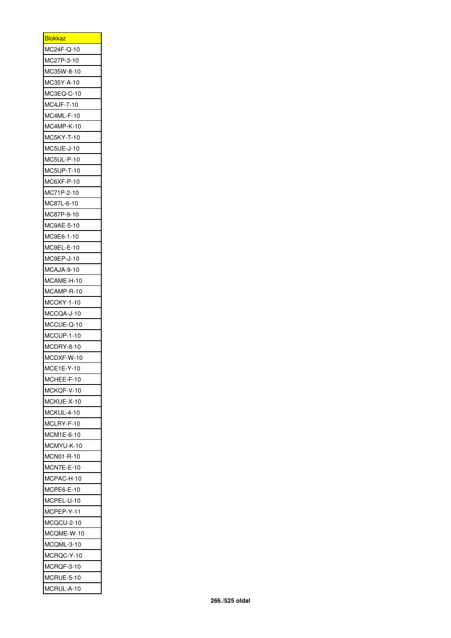| <b>Blokkaz</b>           |
|--------------------------|
| MC24F-Q-10               |
| MC27P-3-10               |
| MC35W-8-10               |
| MC35Y-A-10               |
| MC3EQ-C-10               |
| MC4JF-7-10               |
| MC4ML-F-10               |
| MC4MP-K-10               |
| MC5KY-T-10               |
| MC5UE-J-10               |
| MC5UL-P-10               |
| MC5UP-T-10               |
| MC6XF-P-10               |
| MC71P-2-10               |
|                          |
| MC87L-6-10<br>MC87P-9-10 |
|                          |
| MC9AE-5-10               |
| MC9E6-1-10               |
| MC9EL-E-10               |
| MC9EP-J-10               |
| MCAJA-9-10               |
| MCAME-H-10               |
| MCAMP-R-10               |
| MCCKY-1-10               |
| MCCQA-J-10               |
| MCCUE-Q-10               |
| MCCUP-1-10               |
| MCDRY-8-10               |
| MCDXF-W-10               |
| MCE1E-Y-10               |
| MCHEE-F-10               |
| MCKQF-V-10               |
| MCKUE-X-10               |
| MCKUL-4-10               |
| MCLRY-F-10               |
| MCM1E-6-10               |
| MCMYU-K-10               |
| MCN01-R-10               |
| MCN7E-E-10               |
| MCPAC-H-10               |
| MCPE6-E-10               |
| MCPEL-U-10               |
| MCPEP-Y-11               |
| MCQCU-2-10               |
| MCQME-W-10               |
| MCQML-3-10               |
|                          |
| MCRQC-Y-10               |
| <b>MCRQF</b><br>-3-10    |
| <b>MCRUE-5-10</b>        |
| MCRUL-A-10               |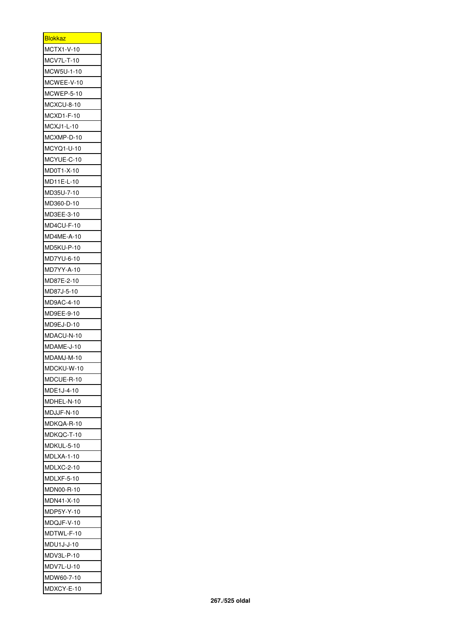| <b>Blokkaz</b>    |
|-------------------|
| MCTX1-V-10        |
| MCV7L-T-10        |
| MCW5U-1-10        |
| MCWEE-V-10        |
| <b>MCWEP-5-10</b> |
| MCXCU-8-10        |
| MCXD1-F-10        |
| MCXJ1-L-10        |
| MCXMP-D-10        |
| MCYQ1-U-10        |
| MCYUE-C-10        |
| MD0T1-X-10        |
| MD11E-L-10        |
| MD35U-7-10        |
| MD360-D-10        |
| MD3EE-3-10        |
| MD4CU-F-10        |
| <b>MD4ME-A-10</b> |
| MD5KU-P-10        |
| MD7YU-6-10        |
|                   |
| MD7YY-A-10        |
| MD87E-2-10        |
| MD87J-5-10        |
| MD9AC-4-10        |
| MD9EE-9-10        |
| MD9EJ-D-10        |
| MDACU-N-10        |
| MDAME-J-10        |
| MDAMJ-M-10        |
| MDCKU-W-10        |
| MDCUE-R-10        |
| MDE1J-4-10        |
| MDHEL-N-10        |
| MDJJF-N-10        |
| MDKQA-R-10        |
| MDKQC-T-10        |
| MDKUL-5-10        |
| MDLXA-1-10        |
| MDLXC-2-10        |
| MDLXF-5-10        |
| MDN00-R-10        |
| MDN41-X-10        |
| MDP5Y-Y-10        |
| MDQJF-V-10        |
| MDTWL-F-10        |
| MDU1J-J-10        |
| MDV3L-P-10        |
| MDV7L-U-10        |
| MDW60-7-10        |
| MDXCY-E-10        |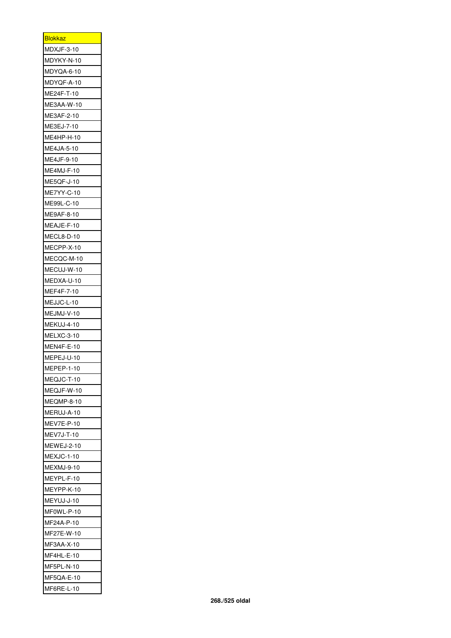| <b>Blokkaz</b>    |
|-------------------|
| <b>MDXJF-3-10</b> |
| MDYKY-N-10        |
| MDYQA-6-10        |
| MDYQF-A-10        |
| ME24F-T-10        |
| ME3AA-W-10        |
| ME3AF-2-10        |
| ME3EJ-7-10        |
| ME4HP-H-10        |
| ME4JA-5-10        |
| ME4JF-9-10        |
| <b>ME4MJ-F-10</b> |
| <b>ME5QF-J-10</b> |
| ME7YY-C-10        |
| ME99L-C-10        |
| ME9AF-8-10        |
| MEAJE-F-10        |
| MECL8-D-10        |
| MECPP-X-10        |
| MECQC-M-10        |
| MECUJ-W-10        |
| MEDXA-U-10        |
| MEF4F-7-10        |
| MEJJC-L-10        |
| MEJMJ-V-10        |
| MEKUJ-4-10        |
| MELXC-3-10        |
| MEN4F-E-10        |
| MEPEJ-U-10        |
| MEPEP-1-10        |
| MEQJC-T-10        |
| MEQJF-W-10        |
| MEQMP-8-10        |
| MERUJ-A-10        |
| MEV7E-P-10        |
| <b>MEV7J-T-10</b> |
|                   |
| MEWEJ-2-10        |
| MEXJC-1-10        |
| MEXMJ-9-10        |
| MEYPL-F-10        |
| YPP-K-10<br>ME    |
| MEYUJ-J-10        |
| MF0WL-P-10        |
| MF24A-P-10        |
| MF27E-W-10        |
| 3AA-X-10<br>МF    |
| MF4HL-E-10        |
| MF5PL-N-10        |
| MF5QA-E-10        |
| MF6RE-L-10        |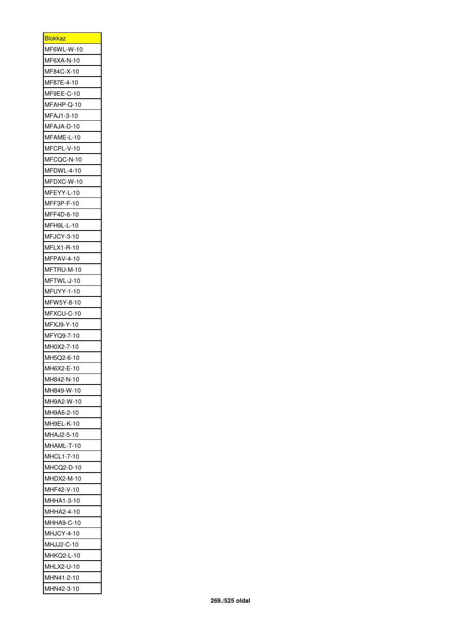| <b>Blokkaz</b>    |
|-------------------|
| MF6WL-W-10        |
| MF6XA-N-10        |
| MF84C-X-10        |
| MF87E-4-10        |
| MF9EE-C-10        |
| MFAHP-Q-10        |
| MFAJ1-3-10        |
| MFAJA-D-10        |
| MFAME-L-10        |
| MFCPL-V-10        |
| MFCQC-N-10        |
| MFDWL-4-10        |
| MFDXC-W-10        |
| MFEYY-L-10        |
| MFF3P-F-10        |
| MFF4D-6-10        |
| MFH9L-L-10        |
| MFJCY-3-10        |
| <b>MFLX1-R-10</b> |
| MFPAV-4-10        |
| MFTRU-M-10        |
| MFTWL-J-10        |
| MFUYY-1-10        |
| MFW5Y-8-10        |
| MFXCU-C-10        |
| MFXJ9-Y-10        |
| MFYQ9-7-10        |
| MH0X2-7-10        |
| MH5Q2-6-10        |
| MH6X2-E-10        |
| MH842-N-10        |
| MH849-W-10        |
| MH9A2-W-10        |
| MH9A6-2-10        |
| MH9EL-K-10        |
| MHAJ2-5-10        |
| MHAML-T-10        |
| MHCL1-7-10        |
| MHCQ2-D-10        |
| MHDX2-M-10        |
| MHF42-V-10        |
| MHHA1-3-10        |
| MHHA2-4-10        |
| MHHA9-C-10        |
| MHJCY-4-10        |
| MHJJ2-C-10        |
| MHKQ2-L-10        |
| MHLX2-U-10        |
| MHN41-2-10        |
| MHN42-3-10        |
|                   |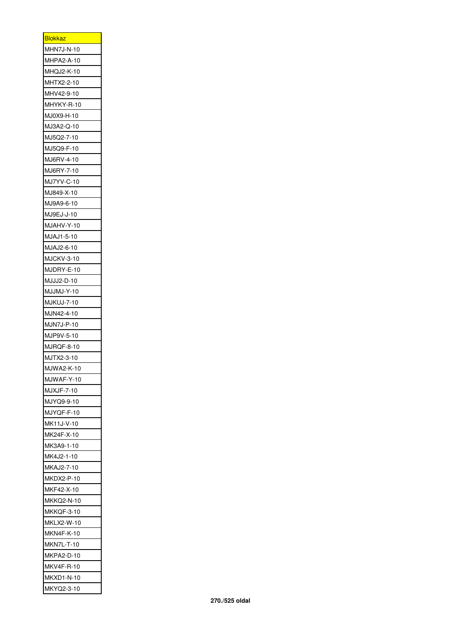| <b>Blokkaz</b>    |
|-------------------|
| MHN7J-N-10        |
| MHPA2-A-10        |
| MHQJ2-K-10        |
| MHTX2-2-10        |
| MHV42-9-10        |
| MHYKY-R-10        |
| MJ0X9-H-10        |
| MJ3A2-Q-10        |
| MJ5Q2-7-10        |
| MJ5Q9-F-10        |
| MJ6RV-4-10        |
| MJ6RY-7-10        |
| MJ7YV-C-10        |
| MJ849-X-10        |
| MJ9A9-6-10        |
| MJ9EJ-J-10        |
| MJAHV-Y-10        |
| MJAJ1-5-10        |
| MJAJ2-6-10        |
| <b>MJCKV-3-10</b> |
| MJDRY-E-10        |
| MJJJ2-D-10        |
| MJJMJ-Y-10        |
| <b>MJKUJ-7-10</b> |
| MJN42-4-10        |
|                   |
| MJN7J-P-10        |
| MJP9V-5-10        |
| MJRQF-8-10        |
| MJTX2-3-10        |
| MJWA2-K-10        |
| MJWAF-Y-10        |
| MJXJF-7-10        |
| MJYQ9-9-10        |
| MJYQF-F-10        |
| MK11J-V-10        |
| MK24F-X-10        |
| MK3A9-1-10        |
| MK4J2-1-10        |
| MKAJ2-7-10        |
| MKDX2-P-10        |
| MKF42-X-10        |
| MKKQ2-N-10        |
| MKKQF-3-10        |
| MKLX2-W-10        |
| MKN4F-K-10        |
| <b>MKN7L-T-10</b> |
| MKPA2-D-10        |
| MKV4F-R-10        |
| MKXD1-N-10        |
| MKYQ2-3-10        |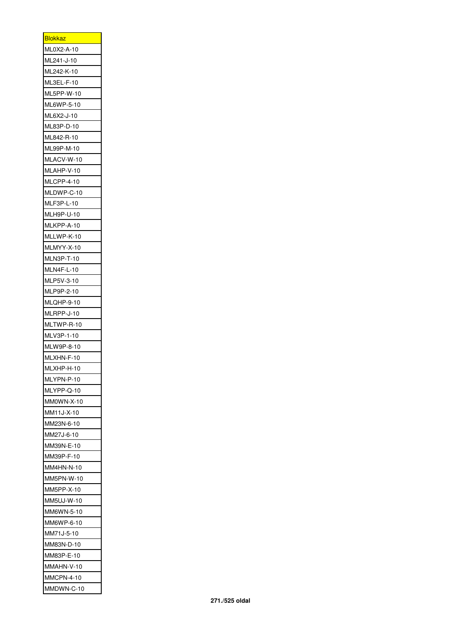| <b>Blokkaz</b> |
|----------------|
| ML0X2-A-10     |
| ML241-J-10     |
| ML242-K-10     |
| ML3EL-F-10     |
| ML5PP-W-10     |
| ML6WP-5-10     |
| ML6X2-J-10     |
| ML83P-D-10     |
| ML842-R-10     |
| ML99P-M-10     |
| MLACV-W-10     |
| MLAHP-V-10     |
| MLCPP-4-10     |
| MLDWP-C-10     |
|                |
| MLF3P-L-10     |
| MLH9P-U-10     |
| MLKPP-A-10     |
| MLLWP-K-10     |
| MLMYY-X-10     |
| MLN3P-T-10     |
| MLN4F-L-10     |
| MLP5V-3-10     |
| MLP9P-2-10     |
| MLQHP-9-10     |
| MLRPP-J-10     |
| MLTWP-R-10     |
| MLV3P-1-10     |
| MLW9P-8-10     |
| MLXHN-F-10     |
| MLXHP-H-10     |
| MLYPN-P-10     |
| MLYPP-Q-10     |
| MM0WN-X-10     |
| MM11J-X-10     |
| MM23N-6-10     |
| MM27J-6-10     |
| MM39N-E-10     |
| MM39P-F-10     |
| MM4HN-N-10     |
| MM5PN-W-10     |
| MM5PP-X-10     |
| MM5UJ-W-10     |
|                |
| MM6WN-5-10     |
| MM6WP-6-10     |
| MM71J-5-10     |
| MM83N-D-10     |
| MM83P-E-10     |
| MMAHN-V-10     |
| MMCPN-4-10     |
| MMDWN-C-10     |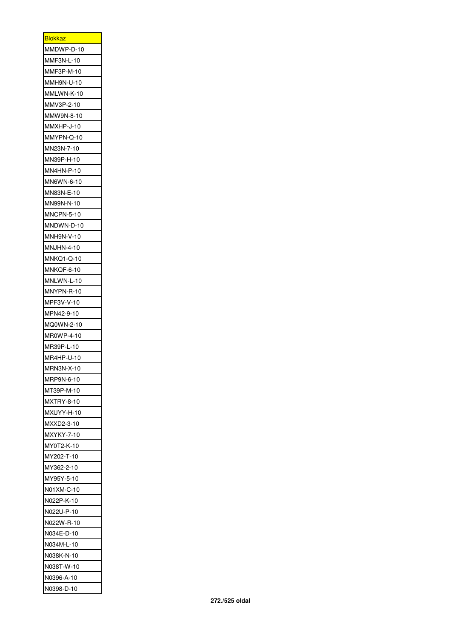| <b>Blokkaz</b> |
|----------------|
| MMDWP-D-10     |
| MMF3N-L-10     |
| MMF3P-M-10     |
| MMH9N-U-10     |
| MMLWN-K-10     |
| MMV3P-2-10     |
| MMW9N-8-10     |
| MMXHP-J-10     |
| MMYPN-Q-10     |
| MN23N-7-10     |
| MN39P-H-10     |
| MN4HN-P-10     |
| MN6WN-6-10     |
| MN83N-E-10     |
| MN99N-N-10     |
| MNCPN-5-10     |
| MNDWN-D-10     |
|                |
| MNH9N-V-10     |
| MNJHN-4-10     |
| MNKQ1-Q-10     |
| MNKQF-6-10     |
| MNLWN-L-10     |
| MNYPN-R-10     |
| MPF3V-V-10     |
| MPN42-9-10     |
| MQ0WN-2-10     |
| MR0WP-4-10     |
| MR39P-L-10     |
| MR4HP-U-10     |
| MRN3N-X-10     |
| MRP9N-6-10     |
| MT39P-M-10     |
| MXTRY-8-10     |
| MXUYY-H-10     |
| MXXD2-3-10     |
| MXYKY-7-10     |
| MY0T2-K-10     |
| MY202-T-10     |
| MY362-2-10     |
| MY95Y-5-10     |
| N01XM-C-10     |
| N022P-K-10     |
| N022U-P-10     |
| N022W-R-10     |
| N034E-D-10     |
| N034M-L-10     |
| N038K-N-10     |
| N038T-W-10     |
| N0396-A-10     |
| N0398-D-10     |
|                |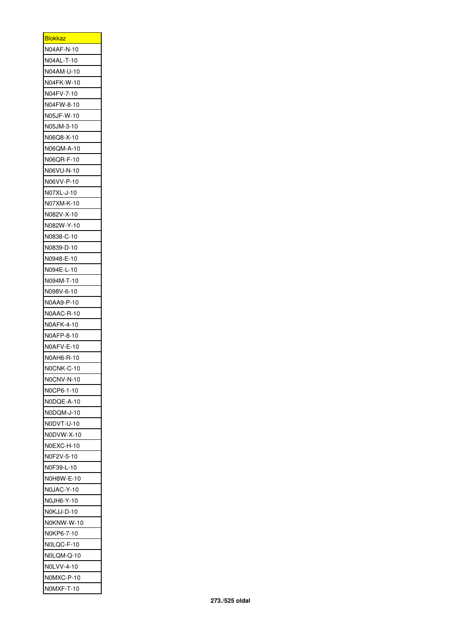| <b>Blokkaz</b> |
|----------------|
| N04AF-N-10     |
| N04AL-T-10     |
| N04AM-U-10     |
| N04FK-W-10     |
| N04FV-7-10     |
| N04FW-8-10     |
| N05JF-W-10     |
| N05JM-3-10     |
| N06Q8-X-10     |
| N06QM-A-10     |
| N06QR-F-10     |
| N06VU-N-10     |
| N06VV-P-10     |
| N07XL-J-10     |
| N07XM-K-10     |
| N082V-X-10     |
| N082W-Y-10     |
| N0838-C-10     |
| N0839-D-10     |
| N0948-E-10     |
| N094E-L-10     |
| N094M-T-10     |
| N098V-6-10     |
| N0AA9-P-10     |
| N0AAC-R-10     |
| N0AFK-4-10     |
| N0AFP-8-10     |
| N0AFV-E-10     |
| N0AH6-R-10     |
| N0CNK-C-10     |
| NOCNV-N-10     |
| N0CP6-1-10     |
| N0DQE-A-10     |
| N0DQM-J-10     |
| NODVT-U-10     |
| N0DVW-X-10     |
| N0EXC-H-10     |
| N0F2V-5-10     |
| N0F39-L-10     |
| N0H8W-E-10     |
| N0JAC-Y-10     |
| N0JH6-Y-10     |
| NOKJJ-D-10     |
| N0KNW-W-10     |
| N0KP6-7-10     |
| N0LQC-F-10     |
| NOLQM-Q-10     |
| N0LVV-4-10     |
| N0MXC-P-10     |
| N0MXF-T-10     |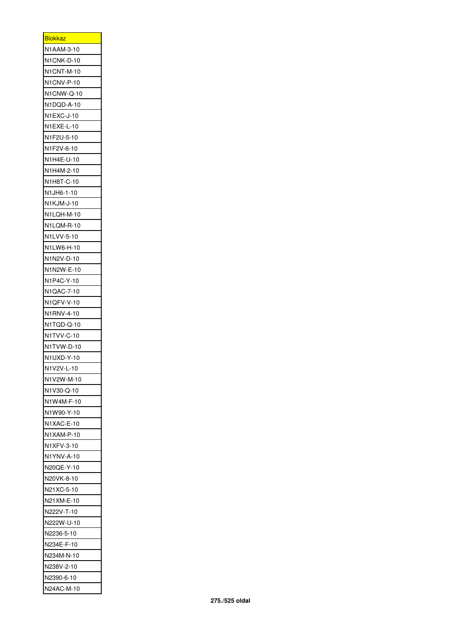| <u>Blokkaz</u> |
|----------------|
| N1AAM-3-10     |
| N1CNK-D-10     |
| N1CNT-M-10     |
| N1CNV-P-10     |
| N1CNW-Q-10     |
| N1DQD-A-10     |
| N1EXC-J-10     |
| N1EXE-L-10     |
| N1F2U-5-10     |
| N1F2V-6-10     |
| N1H4E-U-10     |
| N1H4M-2-10     |
| N1H8T-C-10     |
| N1JH6-1-10     |
| N1KJM-J-10     |
| N1LQH-M-10     |
|                |
| N1LQM-R-10     |
| N1LVV-5-10     |
| N1LW6-H-10     |
| N1N2V-D-10     |
| N1N2W-E-10     |
| N1P4C-Y-10     |
| N1QAC-7-10     |
| N1QFV-V-10     |
| N1RNV-4-10     |
| N1TQD-Q-10     |
| N1TVV-C-10     |
| N1TVW-D-10     |
| N1UXD-Y-10     |
| N1V2V-L-10     |
| N1V2W-M-10     |
| N1V30-Q-10     |
| N1W4M-F-10     |
| N1W90-Y-10     |
| N1XAC-E-10     |
| N1XAM-P-10     |
| N1XFV-3-10     |
| N1YNV-A-10     |
| N20QE-Y-10     |
| N20VK-8-10     |
| N21XC-5-10     |
| N21XM-E-10     |
| N222V-T-10     |
| N222W-U-10     |
| N2236-5-10     |
|                |
| N234E-F-10     |
| N234M-N-10     |
| N238V-2-10     |
| N2390-6-10     |
| N24AC-M-10     |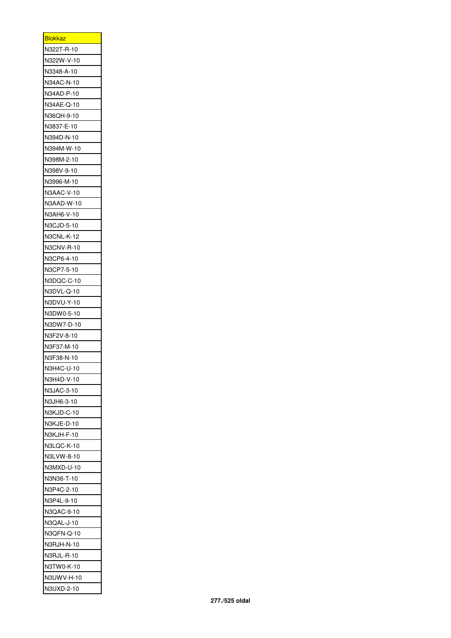| <u>Blokkaz</u> |
|----------------|
| N322T-R-10     |
| N322W-V-10     |
| N3348-A-10     |
| N34AC-N-10     |
| N34AD-P-10     |
| N34AE-Q-10     |
| N36QH-9-10     |
| N3837-E-10     |
| N394D-N-10     |
| N394M-W-10     |
| N398M-2-10     |
| N398V-9-10     |
| N3996-M-10     |
| N3AAC-V-10     |
| N3AAD-W-10     |
| N3AH6-V-10     |
| N3CJD-5-10     |
| N3CNL-K-12     |
| N3CNV-R-10     |
| N3CP6-4-10     |
| N3CP7-5-10     |
| N3DQC-C-10     |
| N3DVL-Q-10     |
| N3DVU-Y-10     |
| N3DW0-5-10     |
| N3DW7-D-10     |
| N3F2V-8-10     |
| N3F37-M-10     |
| N3F38-N-10     |
| N3H4C-U-10     |
| N3H4D-V-10     |
| N3JAC-3-10     |
|                |
| N3JH6-3-10     |
| N3KJD-C-10     |
| N3KJE-D-10     |
| N3KJH-F-10     |
| N3LQC-K-10     |
| N3LVW-8-10     |
| N3MXD-U-10     |
| N3N36-T-10     |
| N3P4C-2-10     |
| N3P4L-9-10     |
| N3QAC-9-10     |
| N3QAL-J-10     |
| N3QFN-Q-10     |
| N3RJH-N-10     |
| N3RJL-R-10     |
| N3TW0-K-10     |
| N3UWV-H-10     |
| N3UXD-2-10     |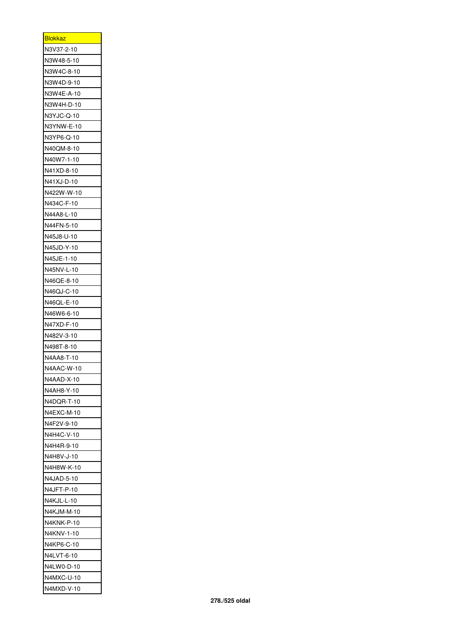| <u>Blokkaz</u>           |
|--------------------------|
| N3V37-2-10               |
| N3W48-5-10               |
| N3W4C-8-10               |
| N3W4D-9-10               |
| N3W4E-A-10               |
| N3W4H-D-10               |
| N3YJC-Q-10               |
| N3YNW-E-10               |
| N3YP6-Q-10               |
| N40QM-8-10               |
| N40W7-1-10               |
| N41XD-8-10               |
| N41XJ-D-10               |
| N422W-W-10               |
| N434C-F-10               |
| N44A8-L-10               |
| N44FN-5-10               |
| N45J8-U-10               |
| N45JD-Y-10               |
| N45JE-1-10               |
| N45NV-L-10               |
| N46QE-8-10               |
| N46QJ-C-10               |
| N46QL-E-10               |
| N46W6-6-10               |
| N47XD-F-10               |
| N482V-3-10               |
|                          |
| N498T-8-10<br>N4AA8-T-10 |
|                          |
| N4AAC-W-10               |
| N4AAD-X-10               |
| N4AH8-Y-10               |
| N4DQR-T-10               |
| N4EXC-M-10               |
| N4F2V-9-10               |
| N4H4C-V-10               |
| N4H4R-9-10               |
| N4H8V-J-10               |
| N4H8W-K-10               |
| N4JAD-5-10               |
| N4JFT-P-10               |
| N4KJL-L-10               |
| N4KJM-M-10               |
| N4KNK-P-10               |
| N4KNV-1-10               |
| N4KP6-C-10               |
| N4LVT-6-10               |
| N4LW0-D-10               |
| N4MXC-U-10               |
| N4MXD-V-10               |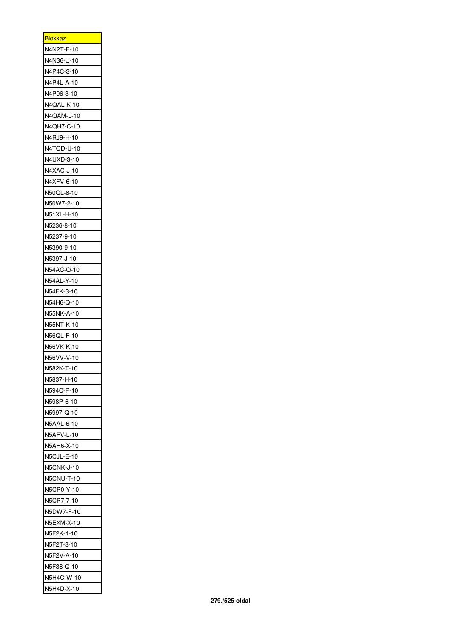| <b>Blokkaz</b>    |
|-------------------|
| N4N2T-E-10        |
| N4N36-U-10        |
| N4P4C-3-10        |
| N4P4L-A-10        |
| N4P96-3-10        |
| N4QAL-K-10        |
| N4QAM-L-10        |
| N4QH7-C-10        |
| N4RJ9-H-10        |
| N4TQD-U-10        |
| N4UXD-3-10        |
| N4XAC-J-10        |
| N4XFV-6-10        |
| N50QL-8-10        |
| N50W7-2-10        |
| N51XL-H-10        |
| N5236-8-10        |
| N5237-9-10        |
| N5390-9-10        |
| N5397-J-10        |
| N54AC-Q-10        |
| N54AL-Y-10        |
|                   |
| N54FK-3-10        |
| N54H6-Q-10        |
| N55NK-A-10        |
| N55NT-K-10        |
| N56QL-F-10        |
| N56VK-K-10        |
| N56VV-V-10        |
| N582K-T-10        |
| N5837-H-10        |
| N594C-P-10        |
| N598P-6-10        |
| N5997-Q-10        |
| N5AAL-6-10        |
| <b>N5AFV-L-10</b> |
| N5AH6-X-10        |
| N5CJL-E-10        |
| <b>N5CNK-J-10</b> |
| N5CNU-T-10        |
| N5CP0-Y-10        |
| N5CP7-7-10        |
| N5DW7-F-10        |
| N5EXM-X-10        |
| N5F2K-1-10        |
| N5F2T-8-10        |
| N5F2V-A-10        |
| N5F38-Q-10        |
| N5H4C-W-10        |
| N5H4D-X-10        |
|                   |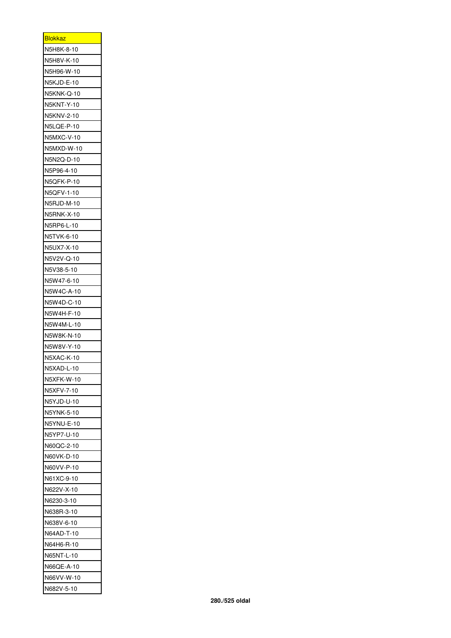| <b>Blokkaz</b> |
|----------------|
| N5H8K-8-10     |
| N5H8V-K-10     |
| N5H96-W-10     |
| N5KJD-E-10     |
| N5KNK-Q-10     |
| N5KNT-Y-10     |
| N5KNV-2-10     |
| N5LQE-P-10     |
| N5MXC-V-10     |
| N5MXD-W-10     |
| N5N2Q-D-10     |
| N5P96-4-10     |
| N5QFK-P-10     |
| N5QFV-1-10     |
| N5RJD-M-10     |
| N5RNK-X-10     |
| N5RP6-L-10     |
| N5TVK-6-10     |
|                |
| N5UX7-X-10     |
| N5V2V-Q-10     |
| N5V38-5-10     |
| N5W47-6-10     |
| N5W4C-A-10     |
| N5W4D-C-10     |
| N5W4H-F-10     |
| N5W4M-L-10     |
| N5W8K-N-10     |
| N5W8V-Y-10     |
| N5XAC-K-10     |
| N5XAD-L-10     |
| N5XFK-W-10     |
| N5XFV-7-10     |
| N5YJD-U-10     |
| N5YNK-5-10     |
| N5YNU-E-10     |
| N5YP7-U-10     |
| N60QC-2-10     |
| N60VK-D-10     |
| N60VV-P-10     |
| N61XC-9-10     |
| N622V-X-10     |
| N6230-3-10     |
| N638R-3-10     |
| N638V-6-10     |
|                |
| N64AD-T-10     |
| N64H6-R-10     |
| N65NT-L-10     |
| N66QE-A-10     |
| N66VV-W-10     |
| N682V-5-10     |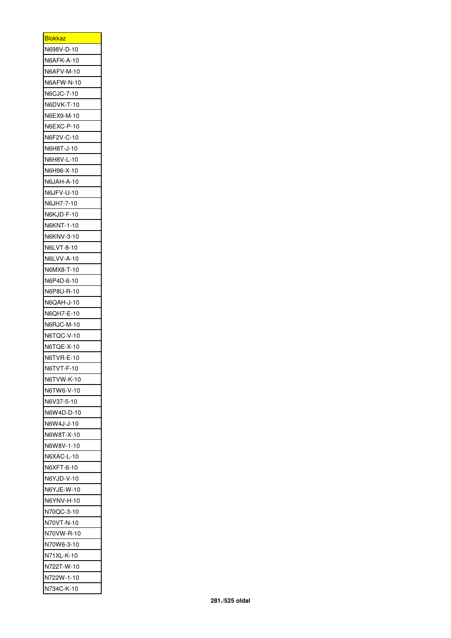| <b>Blokkaz</b>    |
|-------------------|
| N698V-D-10        |
| N6AFK-A-10        |
| N6AFV-M-10        |
| N6AFW-N-10        |
| N6CJC-7-10        |
| N6DVK-T-10        |
| N6EX9-M-10        |
| N6EXC-P-10        |
| N6F2V-C-10        |
| N6H8T-J-10        |
| N6H8V-L-10        |
| N6H96-X-10        |
| <b>N6JAH-A-10</b> |
| N6JFV-U-10        |
| N6JH7-7-10        |
| N6KJD-F-10        |
| N6KNT-1-10        |
| N6KNV-3-10        |
| N6LVT-8-10        |
| N6LVV-A-10        |
| N6MX8-T-10        |
| N6P4D-6-10        |
| N6P8U-R-10        |
| N6QAH-J-10        |
| N6QH7-E-10        |
| N6RJC-M-10        |
| N6TQC-V-10        |
| N6TQE-X-10        |
| N6TVR-E-10        |
| N6TVT-F-10        |
| N6TVW-K-10        |
| N6TW6-V-10        |
| N6V37-5-10        |
| N6W4D-D-10        |
| N6W4J-J-10        |
| N6W8T-X-10        |
| N6W8V-1-10        |
| N6XAC-L-10        |
|                   |
| N6XFT-6-10        |
| N6YJD-V-10        |
| N6YJE-W-10        |
| N6YNV-H-10        |
| N70QC-3-10        |
| N70VT-N-10        |
| N70VW-R-10        |
| N70W6-3-10        |
| N71XL-K-10        |
| N722T-W-10        |
| N722W-1-10        |
| N734C-K-10        |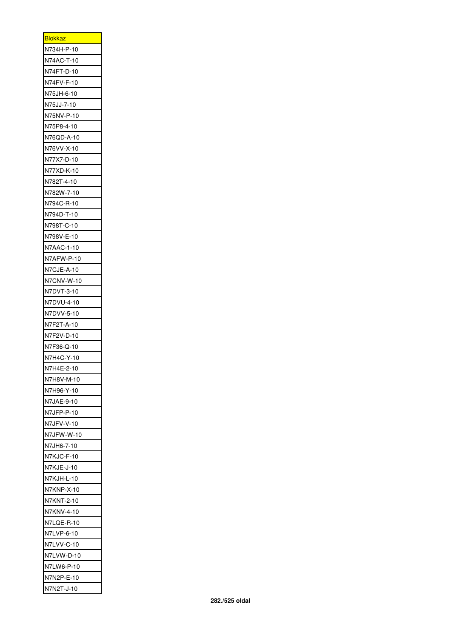| <b>Blokkaz</b> |
|----------------|
| N734H-P-10     |
| N74AC-T-10     |
| N74FT-D-10     |
| N74FV-F-10     |
| N75JH-6-10     |
| N75JJ-7-10     |
| N75NV-P-10     |
| N75P8-4-10     |
| N76QD-A-10     |
| N76VV-X-10     |
| N77X7-D-10     |
| N77XD-K-10     |
| N782T-4-10     |
| N782W-7-10     |
| N794C-R-10     |
| N794D-T-10     |
| N798T-C-10     |
| N798V-E-10     |
| N7AAC-1-10     |
| N7AFW-P-10     |
| N7CJE-A-10     |
| N7CNV-W-10     |
| N7DVT-3-10     |
| N7DVU-4-10     |
| N7DVV-5-10     |
| N7F2T-A-10     |
| N7F2V-D-10     |
| N7F36-Q-10     |
| N7H4C-Y-10     |
| N7H4E-2-10     |
| N7H8V-M-10     |
| N7H96-Y-10     |
| N7JAE-9-10     |
| N7JFP-P-10     |
| N7JFV-V-10     |
| N7JFW-W-10     |
| N7JH6-7-10     |
| N7KJC-F-10     |
| N7KJE-J-10     |
| N7KJH-L-10     |
| N7KNP-X-10     |
| N7KNT-2-10     |
| N7KNV-4-10     |
| N7LQE-R-10     |
| N7LVP-6-10     |
| N7LVV-C-10     |
| N7LVW-D-10     |
| N7LW6-P-10     |
| N7N2P-E-10     |
| N7N2T-J-10     |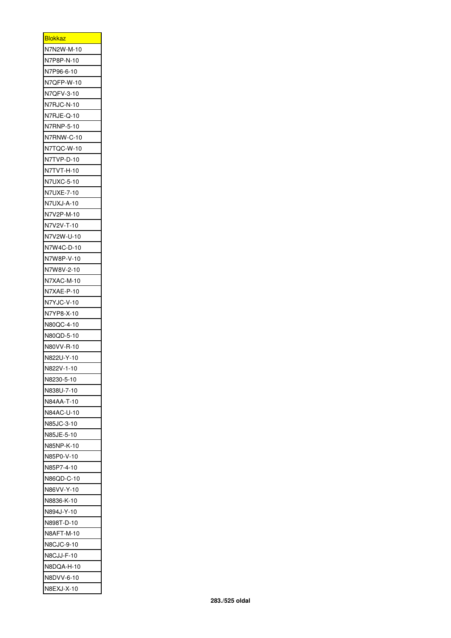| <b>Blokkaz</b> |
|----------------|
| N7N2W-M-10     |
| N7P8P-N-10     |
| N7P96-6-10     |
| N7QFP-W-10     |
| N7QFV-3-10     |
| N7RJC-N-10     |
| N7RJE-Q-10     |
| N7RNP-5-10     |
| N7RNW-C-10     |
| N7TQC-W-10     |
| N7TVP-D-10     |
| N7TVT-H-10     |
| N7UXC-5-10     |
| N7UXE-7-10     |
| N7UXJ-A-10     |
| N7V2P-M-10     |
| N7V2V-T-10     |
| N7V2W-U-10     |
| N7W4C-D-10     |
| N7W8P-V-10     |
| N7W8V-2-10     |
| N7XAC-M-10     |
| N7XAE-P-10     |
| N7YJC-V-10     |
| N7YP8-X-10     |
| N80QC-4-10     |
| N80QD-5-10     |
| N80VV-R-10     |
| N822U-Y-10     |
| N822V-1-10     |
| N8230-5-10     |
| N838U-7-10     |
| N84AA-T-10     |
| N84AC-U-10     |
| N85JC-3-10     |
| N85JE-5-10     |
| N85NP-K-10     |
| N85P0-V-10     |
| N85P7-4-10     |
| N86QD-C-10     |
| N86VV-Y-10     |
| N8836-K-10     |
| N894J-Y-10     |
| N898T-D-10     |
| N8AFT-M-10     |
| N8CJC-9-10     |
| N8CJJ-F-10     |
| N8DQA-H-10     |
| N8DVV-6-10     |
| N8EXJ-X-10     |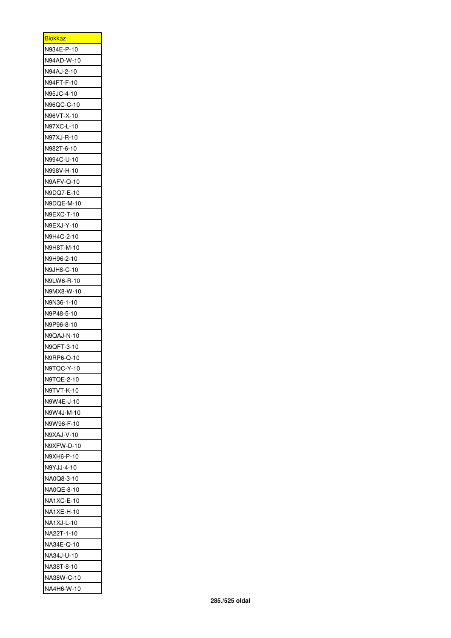| <b>Blokkaz</b> |
|----------------|
| N934E-P-10     |
| N94AD-W-10     |
| N94AJ-2-10     |
| N94FT-F-10     |
| N95JC-4-10     |
| N96QC-C-10     |
| N96VT-X-10     |
| N97XC-L-10     |
| N97XJ-R-10     |
| N982T-6-10     |
| N994C-U-10     |
| N998V-H-10     |
| N9AFV-Q-10     |
| N9DQ7-E-10     |
| N9DQE-M-10     |
| N9EXC-T-10     |
| N9EXJ-Y-10     |
| N9H4C-2-10     |
|                |
| N9H8T-M-10     |
| N9H96-2-10     |
| N9JH8-C-10     |
| N9LW6-R-10     |
| N9MX8-W-10     |
| N9N36-1-10     |
| N9P48-5-10     |
| N9P96-8-10     |
| N9QAJ-N-10     |
| N9QFT-3-10     |
| N9RP6-Q-10     |
| N9TQC-Y-10     |
| N9TQE-2-10     |
| N9TVT-K-10     |
| N9W4E-J-10     |
| N9W4J-M-10     |
| N9W96-F-10     |
| N9XAJ-V-10     |
| N9XFW-D-10     |
| N9XH6-P-10     |
| N9YJJ-4-10     |
| NA0Q8-3-10     |
| NA0QE-8-10     |
| NA1XC-E-10     |
| NA1XE-H-10     |
|                |
| NA1XJ-L-10     |
| NA22T-1-10     |
| NA34E-Q-10     |
| NA34J-U-10     |
| NA38T-8-10     |
| NA38W-C-10     |
| NA4H6-W-10     |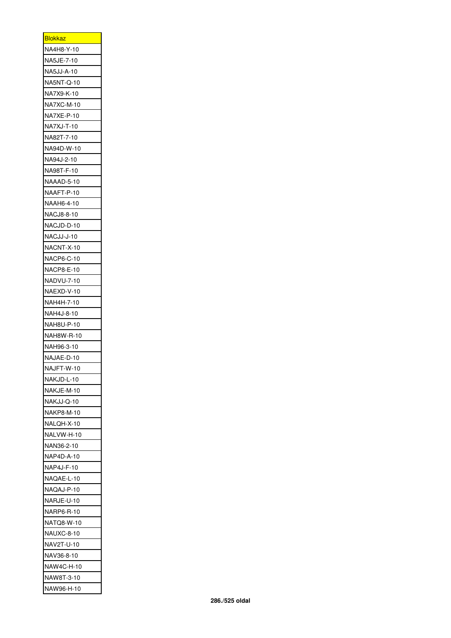| <u>Blokkaz</u>    |
|-------------------|
| NA4H8-Y-10        |
| NA5JE-7-10        |
| NA5JJ-A-10        |
| <b>NA5NT-Q-10</b> |
| NA7X9-K-10        |
| NA7XC-M-10        |
| NA7XE-P-10        |
| NA7XJ-T-10        |
| NA82T-7-10        |
| NA94D-W-10        |
| NA94J-2-10        |
| NA98T-F-10        |
| NAAAD-5-10        |
| NAAFT-P-10        |
| NAAH6-4-10        |
| NACJ8-8-10        |
| NACJD-D-10        |
| NACJJ-J-10        |
| NACNT-X-10        |
| NACP6-C-10        |
| NACP8-E-10        |
| NADVU-7-10        |
| NAEXD-V-10        |
| NAH4H-7-10        |
| NAH4J-8-10        |
|                   |
| NAH8U-P-10        |
| NAH8W-R-10        |
| NAH96-3-10        |
| NAJAE-D-10        |
| NAJFT-W-10        |
| NAKJD-L-10        |
| NAKJE-M-10        |
| NAKJJ-Q-10        |
| NAKP8-M-10        |
| NALQH-X-10        |
| NALVW-H-10        |
| NAN36-2-10        |
| NAP4D-A-10        |
| NAP4J-F-10        |
| NAQAE-L-10        |
| NAQAJ-P-10        |
| NARJE-U-10        |
| NARP6-R-10        |
| NATQ8-W-10        |
| NAUXC-8-10        |
| NAV2T-U-10        |
| NAV36-8-10        |
| NAW4C-H-10        |
| NAW8T-3-10        |
| NAW96-H-10        |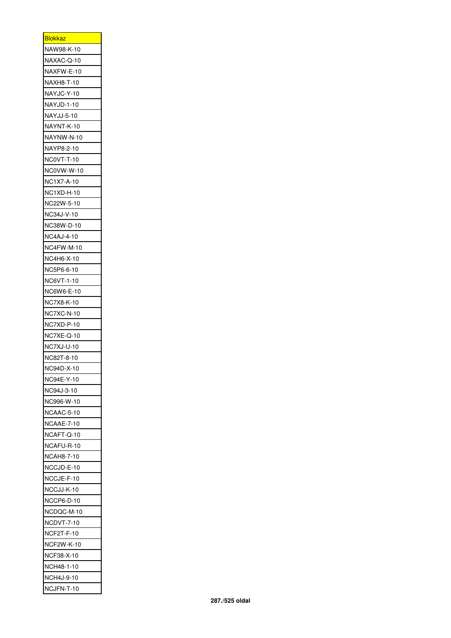| <b>Blokkaz</b>    |
|-------------------|
| NAW98-K-10        |
| NAXAC-Q-10        |
| NAXFW-E-10        |
| NAXH8-T-10        |
| NAYJC-Y-10        |
| NAYJD-1-10        |
| NAYJJ-5-10        |
| NAYNT-K-10        |
| NAYNW-N-10        |
| NAYP8-2-10        |
| NC0VT-T-10        |
| NC0VW-W-10        |
| NC1X7-A-10        |
| NC1XD-H-10        |
| NC22W-5-10        |
| NC34J-V-10        |
| NC38W-D-10        |
| NC4AJ-4-10        |
| NC4FW-M-10        |
| NC4H6-X-10        |
|                   |
| NC5P6-6-10        |
| NC6VT-1-10        |
| NC6W6-E-10        |
| NC7X8-K-10        |
| NC7XC-N-10        |
| NC7XD-P-10        |
| NC7XE-Q-10        |
| NC7XJ-U-10        |
| NC82T-8-10        |
| NC94D-X-10        |
| NC94E-Y-10        |
| NC94J-3-10        |
| NC996-W-10        |
| NCAAC-5-10        |
| NCAAE-7-10        |
| NCAFT-Q-10        |
| NCAFU-R-10        |
| <b>NCAH8-7-10</b> |
| NCCJD-E-10        |
| NCCJE-F-10        |
| NCCJJ-K-10        |
| NCCP6-D-10        |
| NCDQC-M-10        |
| NCDVT-7-10        |
| NCF2T-F-10        |
| NCF2W-K-10        |
| NCF38-X-10        |
| NCH48-1-10        |
|                   |
| NCH4J-9-10        |
| NCJFN-T-10        |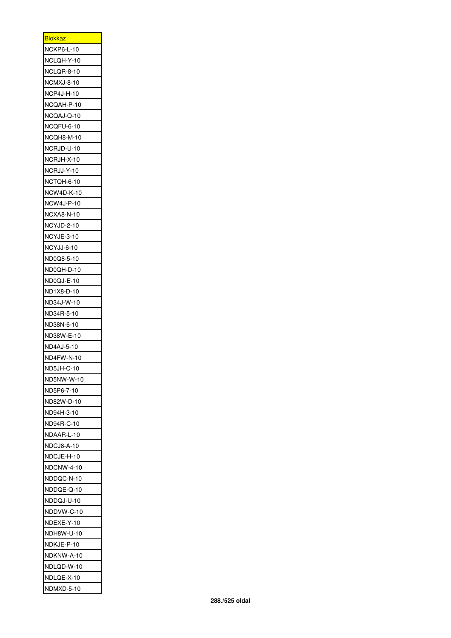| <u>Blokkaz</u>    |
|-------------------|
| NCKP6-L-10        |
| NCLQH-Y-10        |
| NCLQR-8-10        |
| NCMXJ-8-10        |
| NCP4J-H-10        |
| NCQAH-P-10        |
| NCQAJ-Q-10        |
| NCQFU-6-10        |
| NCQH8-M-10        |
| NCRJD-U-10        |
| NCRJH-X-10        |
| NCRJJ-Y-10        |
| NCTQH-6-10        |
| NCW4D-K-10        |
| NCW4J-P-10        |
| <b>NCXA8-N-10</b> |
| NCYJD-2-10        |
| NCYJE-3-10        |
| NCYJJ-6-10        |
| ND0Q8-5-10        |
| ND0QH-D-10        |
| ND0QJ-E-10        |
| ND1X8-D-10        |
| ND34J-W-10        |
| ND34R-5-10        |
| ND38N-6-10        |
| ND38W-E-10        |
| ND4AJ-5-10        |
| ND4FW-N-10        |
| <b>ND5JH-C-10</b> |
| ND5NW-W-10        |
| ND5P6-7-10        |
| ND82W-D-10        |
|                   |
| ND94H-3-10        |
| ND94R-C-10        |
| NDAAR-L-10        |
| NDCJ8-A-10        |
| NDCJE-H-10        |
| NDCNW-4-10        |
| NDDQC-N-10        |
| NDDQE-Q-10        |
| NDDQJ-U-10        |
| NDDVW-C-10        |
| NDEXE-Y-10        |
| NDH8W-U-10        |
| NDKJE-P-10        |
| NDKNW-A-10        |
| NDLQD-W-10        |
| NDLQE-X-10        |
| NDMXD-5-10        |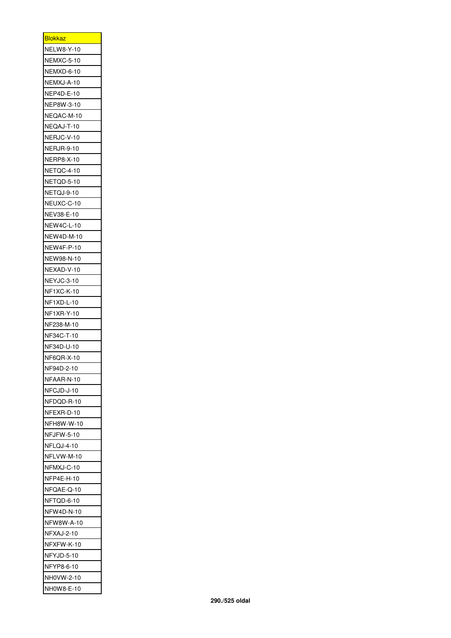| <b>Blokkaz</b>    |
|-------------------|
| NELW8-Y-10        |
| <b>NEMXC-5-10</b> |
| NEMXD-6-10        |
| NEMXJ-A-10        |
| NEP4D-E-10        |
| NEP8W-3-10        |
| NEQAC-M-10        |
| NEQAJ-T-10        |
| NERJC-V-10        |
| <b>NERJR-9-10</b> |
| <b>NERP8-X-10</b> |
| NETQC-4-10        |
| NETQD-5-10        |
| NETQJ-9-10        |
| NEUXC-C-10        |
| NEV38-E-10        |
| <b>NEW4C-L-10</b> |
|                   |
| NEW4D-M-10        |
| NEW4F-P-10        |
| NEW98-N-10        |
| NEXAD-V-10        |
| NE<br>:YJC-3-10   |
| NF1XC-K-10        |
| NF1XD-L-10        |
| NF1XR-Y-10        |
| NF238-M-10        |
| NF34C-T-10        |
| NF34D-U-10        |
| NF6QR-X-10        |
| NF94D-2-10        |
| NFAAR-N-10        |
| NFCJD-J-10        |
| NFDQD-R-10        |
| NFEXR-D-10        |
| NFH8W-W-10        |
| <b>NFJFW-5-10</b> |
| NFLQJ-4-10        |
| NFLVW-M-10        |
| NFMXJ-C-10        |
| NFP4E-H-10        |
| NFQAE-Q-10        |
| NFTQD-6-10        |
| NFW4D-N-10        |
| NFW8W-A-10        |
| NFXAJ-2-10        |
| NFXFW-K-10        |
| NFYJD-5-10        |
| NFYP8-6-10        |
| NH0VW-2-10        |
|                   |
| NH0W8-E-10        |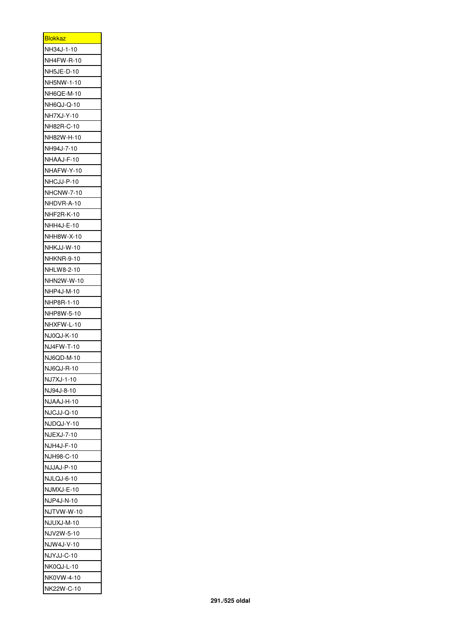| <b>Blokkaz</b>    |
|-------------------|
| NH34J-1-10        |
| NH4FW-R-10        |
| NH5JE-D-10        |
| NH5NW-1-10        |
| NH6QE-M-10        |
| NH6QJ-Q-10        |
| NH7XJ-Y-10        |
| NH82R-C-10        |
| NH82W-H-10        |
| NH94J-7-10        |
| NHAAJ-F-10        |
| NHAFW-Y-10        |
| NHCJJ-P-10        |
| <b>NHCNW-7-10</b> |
| NHDVR-A-10        |
| NHF2R-K-10        |
| <b>NHH4J-E-10</b> |
| NHH8W-X-10        |
| NHKJJ-W-10        |
| <b>NHKNR-9-10</b> |
| NHLW8-2-10        |
| NHN2W-W-10        |
| NHP4J-M-10        |
| NHP8R-1-10        |
| NHP8W-5-10        |
| NHXFW-L-10        |
| NJ0QJ-K-10        |
| NJ4FW-T-10        |
| NJ6QD-M-10        |
| NJ6QJ-R-10        |
| NJ7XJ-1-10        |
| NJ94J-8-10        |
| NJAAJ-H-10        |
| NJCJJ-Q-10        |
| NJDQJ-Y-10        |
| <b>NJEXJ-7-10</b> |
| <b>NJH4J-F-10</b> |
| NJH98-C-10        |
| NJJAJ-P-10        |
| NJLQJ-6-10        |
| NJMXJ-E-10        |
| NJP4J-N-10        |
| NJTVW-W-10        |
| NJUXJ-M-10        |
| NJV2W-5-10        |
| NJW4J-V-10        |
| NJYJJ-C-10        |
| NK0QJ-L-10        |
| NK0VW-4-10        |
| NK22W-C-10        |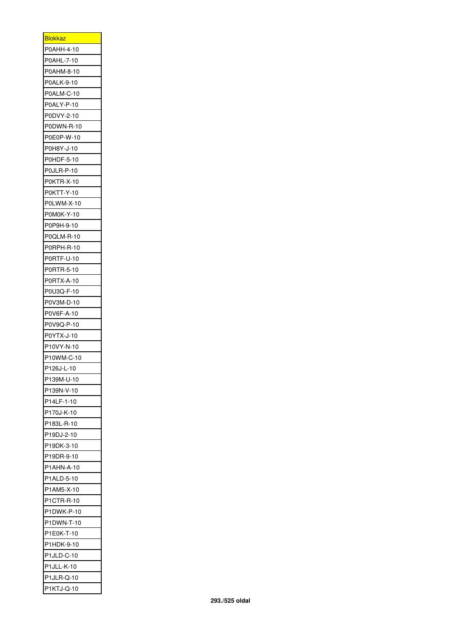| <u>Blokkaz</u>                  |
|---------------------------------|
| P0AHH-4-10                      |
| P0AHL-7-10                      |
| P0AHM-8-10                      |
| P0ALK-9-10                      |
| P0ALM-C-10                      |
| P0ALY-P-10                      |
| P0DVY-2-10                      |
| P0DWN-R-10                      |
| P0E0P-W-10                      |
| P0H8Y-J-10                      |
| P0HDF-5-10                      |
| P0JLR-P-10                      |
| P0KTR-X-10                      |
| P0KTT-Y-10                      |
| P0LWM-X-10                      |
|                                 |
| P0M0K-Y-10                      |
| P0P9H-9-10                      |
| P0QLM-R-10                      |
| P0RPH-R-10                      |
| P0RTF-U-10                      |
| P0RTR-5-10                      |
| P0RTX-A-10                      |
| P0U3Q-F-10                      |
| P0V3M-D-10                      |
| P0V6F-A-10                      |
| P0V9Q-P-10                      |
| P0YTX-J-10                      |
|                                 |
| P10VY-N-10                      |
| P10WM-C-10                      |
| P126J-L-10                      |
| P139M-U-10                      |
| P139N-V-10                      |
| P14LF-1-10                      |
| P170J-K-10                      |
| P183L-R-10                      |
| P19DJ-2-10                      |
| P19DK-3-10                      |
|                                 |
| P19DR-9-10<br>P1AHN-A-10        |
|                                 |
| P1ALD-5-10                      |
| P1AM5-X-10                      |
| P1CTR-R-10                      |
| P1DWK-P-10                      |
| P1DWN-T-10                      |
| P1E0K-T-10                      |
| P1HDK-9-10                      |
| P1JLD-C-10                      |
| P1JLL-K-10                      |
| <b>P1JLR-Q-10</b><br>P1KTJ-Q-10 |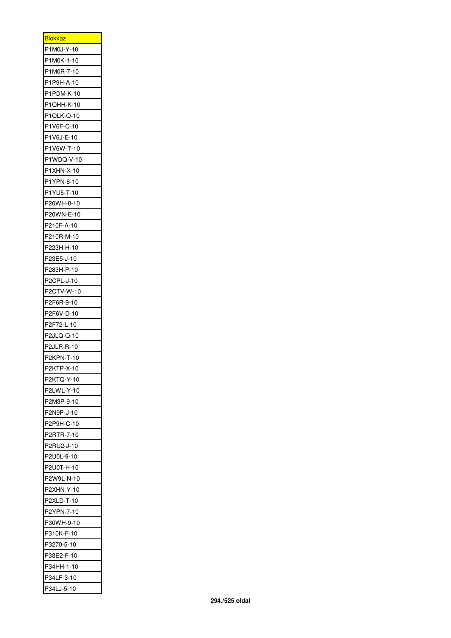| <b>Blokkaz</b> |
|----------------|
| P1M0J-Y-10     |
| P1M0K-1-10     |
| P1M0R-7-10     |
| P1P9H-A-10     |
| P1PDM-K-10     |
| P1QHH-K-10     |
| P1QLK-Q-10     |
| P1V6F-C-10     |
| P1V6J-E-10     |
| P1V6W-T-10     |
| P1WDQ-V-10     |
| P1XHN-X-10     |
| P1YPN-6-10     |
| P1YU5-T-10     |
| P20WH-8-10     |
| P20WN-E-10     |
| P210F-A-10     |
| P210R-M-10     |
| P223H-H-10     |
| P23E5-J-10     |
| P283H-P-10     |
| P2CPL-J-10     |
| P2CTV-W-10     |
| P2F6R-9-10     |
| P2F6V-D-10     |
| P2F72-L-10     |
| P2JLQ-Q-10     |
| P2JLR-R-10     |
| P2KPN-T-10     |
| P2KTP-X-10     |
| P2KTQ-Y-10     |
| P2LWL-Y-10     |
| P2M3P-9-10     |
| P2N9P-J-10     |
| P2P9H-C-10     |
| P2RTR-7-10     |
| P2RU2-J-10     |
| P2U0L-9-10     |
| P2U0T-H-10     |
|                |
| P2W9L-N-10     |
| P2XHN-Y-10     |
| P2XLD-T-10     |
| P2YPN-7-10     |
| P30WH-9-10     |
| P310K-F-10     |
| P3270-5-10     |
| P33E2-F-10     |
| P34HH-1-10     |
| P34LF-3-10     |
| P34LJ-5-10     |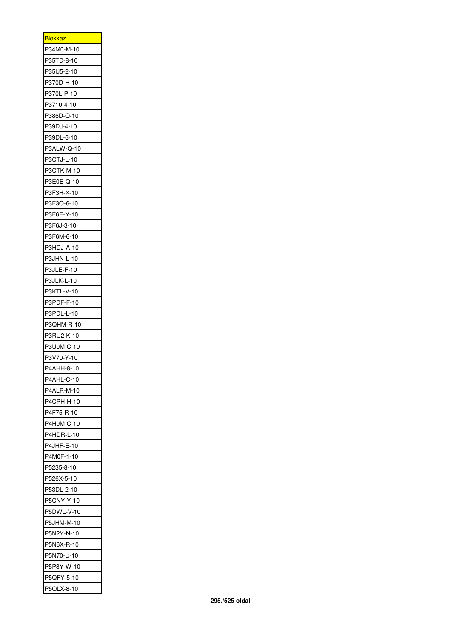| <b>Blokkaz</b>    |
|-------------------|
| P34M0-M-10        |
| P35TD-8-10        |
| P35U5-2-10        |
| P370D-H-10        |
| P370L-P-10        |
| P3710-4-10        |
| P386D-Q-10        |
| P39DJ-4-10        |
| P39DL-6-10        |
| P3ALW-Q-10        |
| P3CTJ-L-10        |
| P3CTK-M-10        |
| P3E0E-Q-10        |
| P3F3H-X-10        |
| P3F3Q-6-10        |
| P3F6E-Y-10        |
| P3F6J-3-10        |
| P3F6M-6-10        |
| P3HDJ-A-10        |
| P3JHN-L-10        |
|                   |
| P3JLE-F-10        |
| P3JLK-L-10        |
| P3KTL-V-10        |
| P3PDF-F-10        |
| P3PDL-L-10        |
| P3QHM-R-10        |
| P3RU2-K-10        |
| P3U0M-C-10        |
| P3V70-Y-10        |
| P4AHH-8-10        |
| <b>P4AHL-C-10</b> |
| P4ALR-M-10        |
| P4CPH-H-10        |
| P4F75-R-10        |
| P4H9M-C-10        |
| P4HDR-L-10        |
| P4JHF-E-10        |
| P4M0F-1-10        |
| P5235-8-10        |
| P526X-5-10        |
| P53DL-2-10        |
| P5CNY-Y-10        |
| P5DWL-V-10        |
| P5JHM-M-10        |
| P5N2Y-N-10        |
| P5N6X-R-10        |
| P5N70-U-10        |
| P5P8Y-W-10        |
| P5QFY-5-10        |
| P5QLX-8-10        |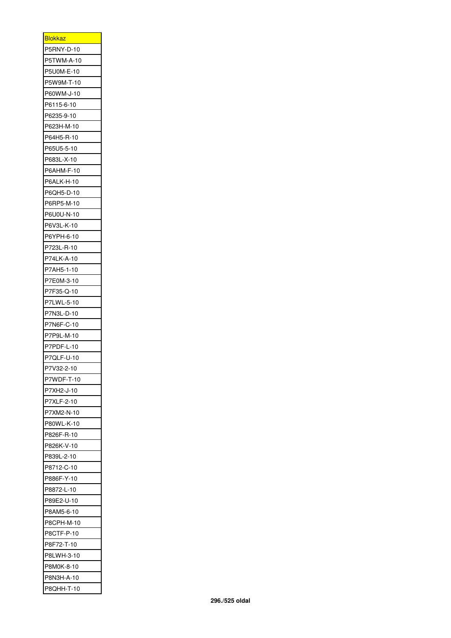| <b>Blokkaz</b> |
|----------------|
| P5RNY-D-10     |
| P5TWM-A-10     |
| P5U0M-E-10     |
| P5W9M-T-10     |
| P60WM-J-10     |
| P6115-6-10     |
| P6235-9-10     |
| P623H-M-10     |
| P64H5-R-10     |
| P65U5-5-10     |
| P683L-X-10     |
| P6AHM-F-10     |
| P6ALK-H-10     |
| P6QH5-D-10     |
| P6RP5-M-10     |
| P6U0U-N-10     |
| P6V3L-K-10     |
| P6YPH-6-10     |
| P723L-R-10     |
|                |
| P74LK-A-10     |
| P7AH5-1-10     |
| P7E0M-3-10     |
| P7F35-Q-10     |
| P7LWL-5-10     |
| P7N3L-D-10     |
| P7N6F-C-10     |
| P7P9L-M-10     |
| P7PDF-L-10     |
| P7QLF-U-10     |
| P7V32-2-10     |
| P7WDF-T-10     |
| P7XH2-J-10     |
| P7XLF-2-10     |
| P7XM2-N-10     |
| P80WL-K-10     |
| P826F-R-10     |
| P826K-V-10     |
| P839L-2-10     |
| P8712-C-10     |
| P886F-Y-10     |
| P8872-L-10     |
| P89E2-U-10     |
| P8AM5-6-10     |
| P8CPH-M-10     |
| P8CTF-P-10     |
| P8F72-T-10     |
| P8LWH-3-10     |
| P8M0K-8-10     |
| P8N3H-A-10     |
| P8QHH-T-10     |
|                |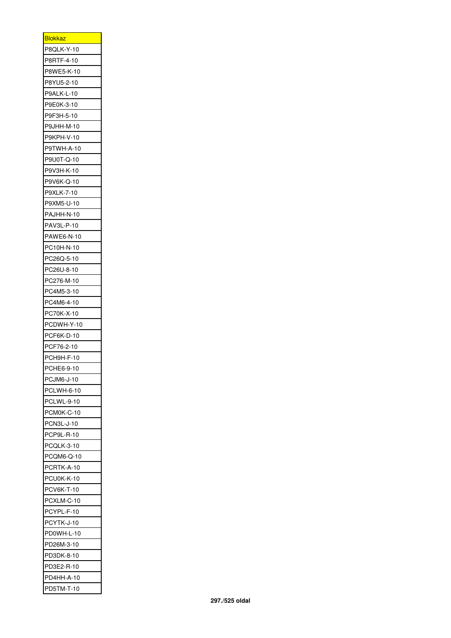| <b>Blokkaz</b>    |
|-------------------|
| P8QLK-Y-10        |
| P8RTF-4-10        |
| P8WE5-K-10        |
| P8YU5-2-10        |
| P9ALK-L-10        |
| P9E0K-3-10        |
| P9F3H-5-10        |
| P9JHH-M-10        |
| P9KPH-V-10        |
| P9TWH-A-10        |
| P9U0T-Q-10        |
| P9V3H-K-10        |
| P9V6K-Q-10        |
| P9XLK-7-10        |
| P9XM5-U-10        |
| PAJHH-N-10        |
| PAV3L-P-10        |
| PAWE6-N-10        |
| PC10H-N-10        |
| PC26Q-5-10        |
| PC26U-8-10        |
| PC276-M-10        |
| PC4M5-3-10        |
| PC4M6-4-10        |
| PC70K-X-10        |
| PCDWH-Y-10        |
| PCF6K-D-10        |
| PCF76-2-10        |
| PCH9H-F-10        |
| PCHE6-9-10        |
| <b>PCJM6-J-10</b> |
| PCLWH-6-10        |
| PCLWL-9-10        |
| PCM0K-C-10        |
| PCN3L-J-10        |
| PCP9L-R-10        |
| PCQLK-3-10        |
| PCQM6-Q-10        |
| PCRTK-A-10        |
| PCU0K-K-10        |
| PCV6K-T-10        |
| PCXLM-C-10        |
| PCYPL-F-10        |
| PCYTK-J-10        |
| PD0WH-L-10        |
| PD26M-3-10        |
| PD3DK-8-10        |
| PD3E2-R-10        |
| PD4HH-A-10        |
| PD5TM-T-10        |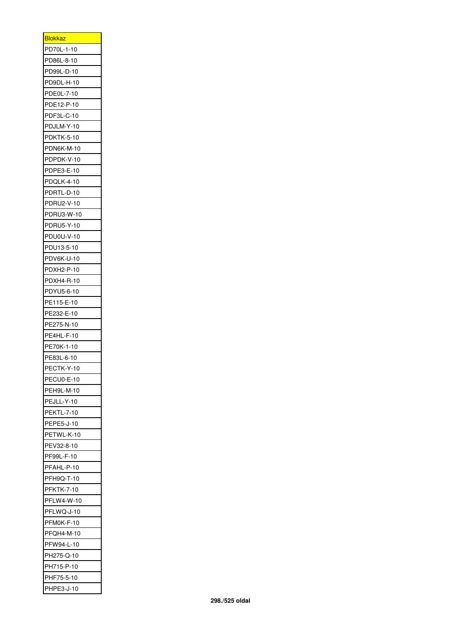| <b>Blokkaz</b>    |
|-------------------|
| PD70L-1-10        |
| PD86L-8-10        |
| PD99L-D-10        |
| PD9DL-H-10        |
| PDE0L-7-10        |
| PDE12-P-10        |
| PDF3L-C-10        |
| PDJLM-Y-10        |
| PDKTK-5-10        |
| PDN6K-M-10        |
| PDPDK-V-10        |
| PDPE3-E-10        |
| PDQLK-4-10        |
| PDRTL-D-10        |
|                   |
| PDRU2-V-10        |
| PDRU3-W-10        |
| PDRU5-Y-10        |
| PDU0U-V-10        |
| PDU13-5-10        |
| PDV6K-U-10        |
| PDXH2-P-10        |
| PDXH4-R-10        |
| PDYU5-6-10        |
| PE115-E-10        |
| PE232-E-10        |
| PE275-N-10        |
| PE4HL-F-10        |
| PE70K-1-10        |
| PE83L-6-10        |
| PECTK-Y-10        |
| PECU0-E-10        |
| PEH9L-M-10        |
| PEJLL-Y-10        |
| <b>PEKTL-7-10</b> |
| PEPE5-J-10        |
| PETWL-K-10        |
| PEV32-8-10        |
| PF99L-F-10        |
| PFAHL-P-10        |
| PFH9Q-T-10        |
|                   |
| <b>PFKTK-7-10</b> |
| PFLW4-W-10        |
| PFLWQ-J-10        |
| PFM0K-F-10        |
| PFQH4-M-10        |
| PFW94-L-10        |
| PH275-Q-10        |
| PH715-P-10        |
| PHF75-5-10        |
| PHPE3-J-10        |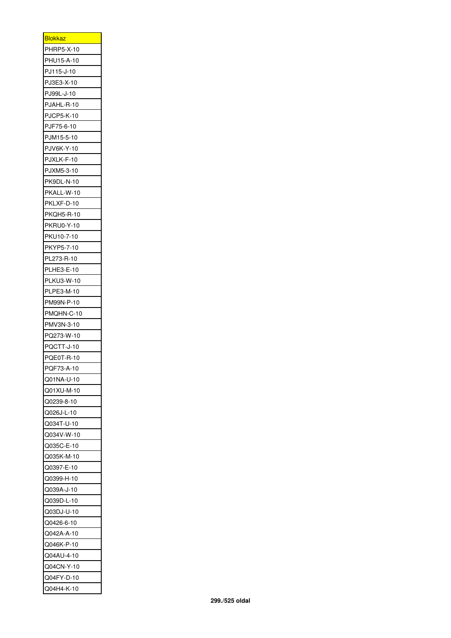| <u>Blokkaz</u>    |
|-------------------|
| PHRP5-X-10        |
| PHU15-A-10        |
| PJ115-J-10        |
| PJ3E3-X-10        |
| PJ99L-J-10        |
| PJAHL-R-10        |
| <b>PJCP5-K-10</b> |
| PJF75-6-10        |
| PJM15-5-10        |
| PJV6K-Y-10        |
| PJXLK-F-10        |
| PJXM5-3-10        |
| PK9DL-N-10        |
| PKALL-W-10        |
| PKLXF-D-10        |
| PKQH5-R-10        |
| <b>PKRU0-Y-10</b> |
| PKU10-7-10        |
| PKYP5-7-10        |
| PL273-R-10        |
| PLHE3-E-10        |
| PLKU3-W-10        |
| PLPE3-M-10        |
| PM99N-P-10        |
|                   |
| PMQHN-C-10        |
| PMV3N-3-10        |
| PQ273-W-10        |
| PQCTT-J-10        |
| PQE0T-R-10        |
| PQF73-A-10        |
| Q01NA-U-10        |
| Q01XU-M-10        |
| Q0239-8-10        |
| Q026J-L-10        |
| Q034T-U-10        |
| Q034V-W-10        |
| Q035C-E-10        |
| Q035K-M-10        |
| Q0397-E-10        |
| Q0399-H-10        |
| Q039A-J-10        |
| Q039D-L-10        |
| Q03DJ-U-10        |
| Q0426-6-10        |
| Q042A-A-10        |
| Q046K-P-10        |
| Q04AU-4-10        |
| Q04CN-Y-10        |
| Q04FY-D-10        |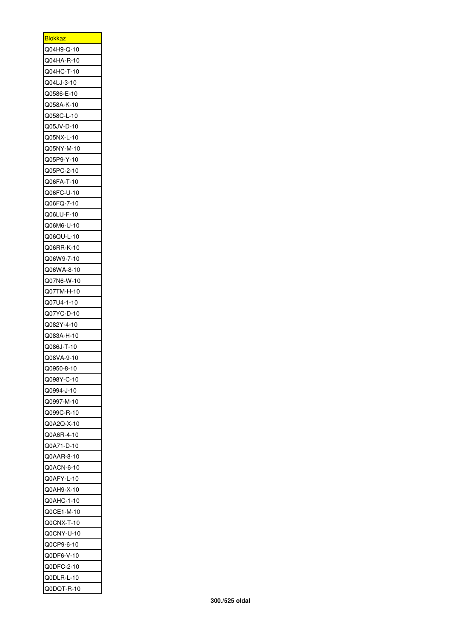| <u>Blokkaz</u> |
|----------------|
| Q04H9-Q-10     |
| Q04HA-R-10     |
| Q04HC-T-10     |
| Q04LJ-3-10     |
| Q0586-E-10     |
| Q058A-K-10     |
| Q058C-L-10     |
| Q05JV-D-10     |
| Q05NX-L-10     |
| Q05NY-M-10     |
| Q05P9-Y-10     |
| Q05PC-2-10     |
| Q06FA-T-10     |
| Q06FC-U-10     |
| Q06FQ-7-10     |
| Q06LU-F-10     |
|                |
| Q06M6-U-10     |
| Q06QU-L-10     |
| Q06RR-K-10     |
| Q06W9-7-10     |
| Q06WA-8-10     |
| Q07N6-W-10     |
| Q07TM-H-10     |
| Q07U4-1-10     |
| Q07YC-D-10     |
| Q082Y-4-10     |
| Q083A-H-10     |
| Q086J-T-10     |
| Q08VA-9-10     |
| Q0950-8-10     |
| Q098Y-C-10     |
| Q0994-J-10     |
| Q0997-M-10     |
| Q099C-R-10     |
| Q0A2Q-X-10     |
| Q0A6R-4-10     |
| Q0A71-D-10     |
| Q0AAR-8-10     |
| Q0ACN-6-10     |
| Q0AFY-L-10     |
| Q0AH9-X-10     |
| Q0AHC-1-10     |
| Q0CE1-M-10     |
| Q0CNX-T-10     |
| Q0CNY-U-10     |
| Q0CP9-6-10     |
| Q0DF6-V-10     |
| Q0DFC-2-10     |
| Q0DLR-L-10     |
| Q0DQT-R-10     |
|                |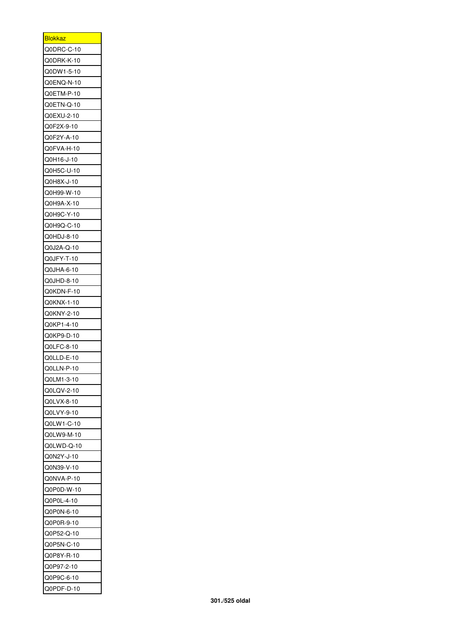| Blokkaz    |
|------------|
| Q0DRC-C-10 |
| Q0DRK-K-10 |
| Q0DW1-5-10 |
| Q0ENQ-N-10 |
| Q0ETM-P-10 |
| Q0ETN-Q-10 |
| Q0EXU-2-10 |
| Q0F2X-9-10 |
| Q0F2Y-A-10 |
| Q0FVA-H-10 |
| Q0H16-J-10 |
| Q0H5C-U-10 |
| Q0H8X-J-10 |
| Q0H99-W-10 |
| Q0H9A-X-10 |
| Q0H9C-Y-10 |
|            |
| Q0H9Q-C-10 |
| Q0HDJ-8-10 |
| Q0J2A-Q-10 |
| Q0JFY-T-10 |
| Q0JHA-6-10 |
| Q0JHD-8-10 |
| Q0KDN-F-10 |
| Q0KNX-1-10 |
| Q0KNY-2-10 |
| Q0KP1-4-10 |
| Q0KP9-D-10 |
| Q0LFC-8-10 |
| Q0LLD-E-10 |
| Q0LLN-P-10 |
| Q0LM1-3-10 |
| Q0LQV-2-10 |
| Q0LVX-8-10 |
| Q0LVY-9-10 |
| Q0LW1-C-10 |
| Q0LW9-M-10 |
| Q0LWD-Q-10 |
| Q0N2Y-J-10 |
| Q0N39-V-10 |
| Q0NVA-P-10 |
| Q0P0D-W-10 |
| Q0P0L-4-10 |
| Q0P0N-6-10 |
| Q0P0R-9-10 |
| Q0P52-Q-10 |
| Q0P5N-C-10 |
|            |
| Q0P8Y-R-10 |
| Q0P97-2-10 |
| Q0P9C-6-10 |
| Q0PDF-D-10 |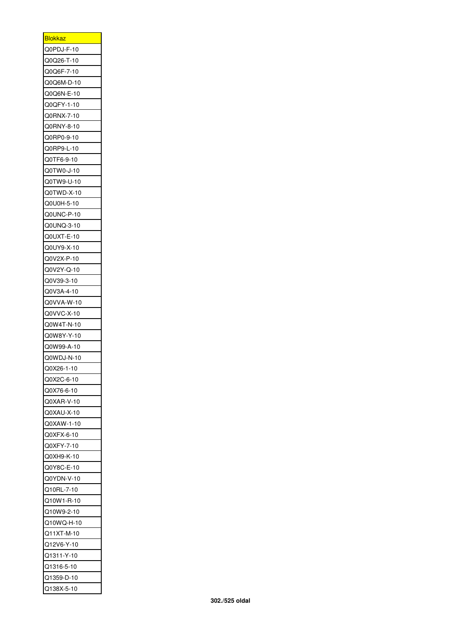| <u>Blokkaz</u> |
|----------------|
| Q0PDJ-F-10     |
| Q0Q26-T-10     |
| Q0Q6F-7-10     |
| Q0Q6M-D-10     |
| Q0Q6N-E-10     |
| Q0QFY-1-10     |
| Q0RNX-7-10     |
| Q0RNY-8-10     |
| Q0RP0-9-10     |
| Q0RP9-L-10     |
| Q0TF6-9-10     |
| Q0TW0-J-10     |
| Q0TW9-U-10     |
| Q0TWD-X-10     |
| Q0U0H-5-10     |
| Q0UNC-P-10     |
|                |
| Q0UNQ-3-10     |
| Q0UXT-E-10     |
| Q0UY9-X-10     |
| Q0V2X-P-10     |
| Q0V2Y-Q-10     |
| Q0V39-3-10     |
| Q0V3A-4-10     |
| Q0VVA-W-10     |
| Q0VVC-X-10     |
| Q0W4T-N-10     |
| Q0W8Y-Y-10     |
| Q0W99-A-10     |
| Q0WDJ-N-10     |
| Q0X26-1-10     |
| Q0X2C-6-10     |
| Q0X76-6-10     |
| Q0XAR-V-10     |
| Q0XAU-X-10     |
| Q0XAW-1-10     |
| Q0XFX-6-10     |
| Q0XFY-7-10     |
| Q0XH9-K-10     |
| Q0Y8C-E-10     |
| Q0YDN-V-10     |
| Q10RL-7-10     |
| Q10W1-R-10     |
| Q10W9-2-10     |
| Q10WQ-H-10     |
|                |
| Q11XT-M-10     |
| Q12V6-Y-10     |
| Q1311-Y-10     |
| Q1316-5-10     |
| Q1359-D-10     |
| Q138X-5-10     |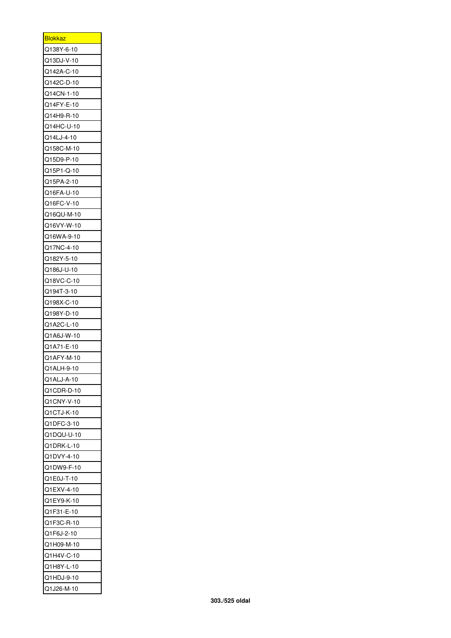| <u>Blokkaz</u> |
|----------------|
| Q138Y-6-10     |
| Q13DJ-V-10     |
| Q142A-C-10     |
| Q142C-D-10     |
| Q14CN-1-10     |
| Q14FY-E-10     |
| Q14H9-R-10     |
| Q14HC-U-10     |
| Q14LJ-4-10     |
| Q158C-M-10     |
| Q15D9-P-10     |
| Q15P1-Q-10     |
| Q15PA-2-10     |
| Q16FA-U-10     |
| Q16FC-V-10     |
| Q16QU-M-10     |
| Q16VY-W-10     |
| Q16WA-9-10     |
| Q17NC-4-10     |
| Q182Y-5-10     |
| Q186J-U-10     |
| Q18VC-C-10     |
| Q194T-3-10     |
| Q198X-C-10     |
| Q198Y-D-10     |
| Q1A2C-L-10     |
| Q1A6J-W-10     |
| Q1A71-E-10     |
| Q1AFY-M-10     |
| Q1ALH-9-10     |
| Q1ALJ-A-10     |
|                |
| Q1CDR-D-10     |
| Q1CNY-V-10     |
| Q1CTJ-K-10     |
| Q1DFC-3-10     |
| Q1DQU-U-10     |
| Q1DRK-L-10     |
| Q1DVY-4-10     |
| Q1DW9-F-10     |
| Q1E0J-T-10     |
| Q1EXV-4-10     |
| Q1EY9-K-10     |
| Q1F31-E-10     |
| Q1F3C-R-10     |
| Q1F6J-2-10     |
| Q1H09-M-10     |
| Q1H4V-C-10     |
| Q1H8Y-L-10     |
| Q1HDJ-9-10     |
| Q1J26-M-10     |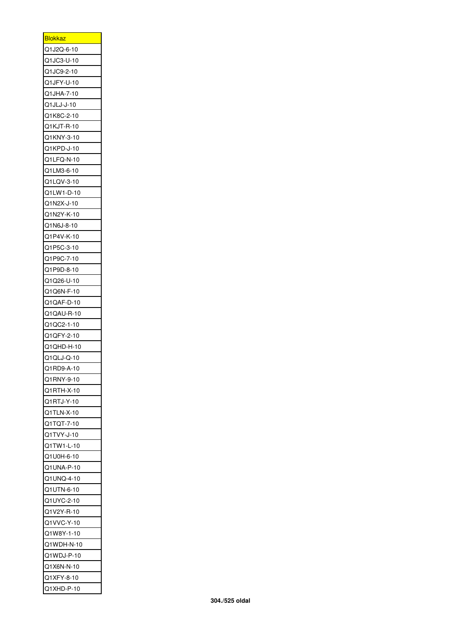| <b>Blokkaz</b> |
|----------------|
| Q1J2Q-6-10     |
| Q1JC3-U-10     |
| Q1JC9-2-10     |
| Q1JFY-U-10     |
| Q1JHA-7-10     |
| Q1JLJ-J-10     |
| Q1K8C-2-10     |
| Q1KJT-R-10     |
| Q1KNY-3-10     |
| Q1KPD-J-10     |
| Q1LFQ-N-10     |
| Q1LM3-6-10     |
| Q1LQV-3-10     |
| Q1LW1-D-10     |
| Q1N2X-J-10     |
| Q1N2Y-K-10     |
| Q1N6J-8-10     |
|                |
| Q1P4V-K-10     |
| Q1P5C-3-10     |
| Q1P9C-7-10     |
| Q1P9D-8-10     |
| Q1Q26-U-10     |
| Q1Q6N-F-10     |
| Q1QAF-D-10     |
| Q1QAU-R-10     |
| Q1QC2-1-10     |
| Q1QFY-2-10     |
| Q1QHD-H-10     |
| Q1QLJ-Q-10     |
| Q1RD9-A-10     |
| Q1RNY-9-10     |
| Q1RTH-X-10     |
| Q1RTJ-Y-10     |
| Q1TLN-X-10     |
| Q1TQT-7-10     |
| Q1TVY-J-10     |
| Q1TW1-L-10     |
| Q1U0H-6-10     |
| Q1UNA-P-10     |
| Q1UNQ-4-10     |
| Q1UTN-6-10     |
| Q1UYC-2-10     |
| Q1V2Y-R-10     |
| Q1VVC-Y-10     |
| Q1W8Y-1-10     |
| Q1WDH-N-10     |
| Q1WDJ-P-10     |
| Q1X6N-N-10     |
| Q1XFY-8-10     |
| Q1XHD-P-10     |
|                |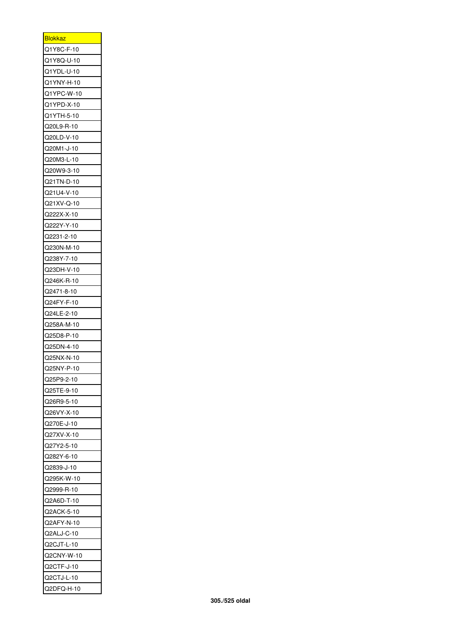| <u>Blokkaz</u> |
|----------------|
| Q1Y8C-F-10     |
| Q1Y8Q-U-10     |
| Q1YDL-U-10     |
| Q1YNY-H-10     |
| Q1YPC-W-10     |
| Q1YPD-X-10     |
| Q1YTH-5-10     |
| Q20L9-R-10     |
| Q20LD-V-10     |
| Q20M1-J-10     |
| Q20M3-L-10     |
| Q20W9-3-10     |
| Q21TN-D-10     |
| Q21U4-V-10     |
| Q21XV-Q-10     |
| Q222X-X-10     |
| Q222Y-Y-10     |
| Q2231-2-10     |
| Q230N-M-10     |
| Q238Y-7-10     |
| Q23DH-V-10     |
| Q246K-R-10     |
| Q2471-8-10     |
| Q24FY-F-10     |
| Q24LE-2-10     |
| Q258A-M-10     |
| Q25D8-P-10     |
| Q25DN-4-10     |
| Q25NX-N-10     |
| Q25NY-P-10     |
| Q25P9-2-10     |
| Q25TE-9-10     |
| Q26R9-5-10     |
| Q26VY-X-10     |
| Q270E-J-10     |
| Q27XV-X-10     |
| Q27Y2-5-10     |
| Q282Y-6-10     |
| Q2839-J-10     |
| Q295K-W-10     |
| Q2999-R-10     |
| Q2A6D-T-10     |
| Q2ACK-5-10     |
| Q2AFY-N-10     |
| Q2ALJ-C-10     |
| Q2CJT-L-10     |
| Q2CNY-W-10     |
| Q2CTF-J-10     |
| Q2CTJ-L-10     |
| Q2DFQ-H-10     |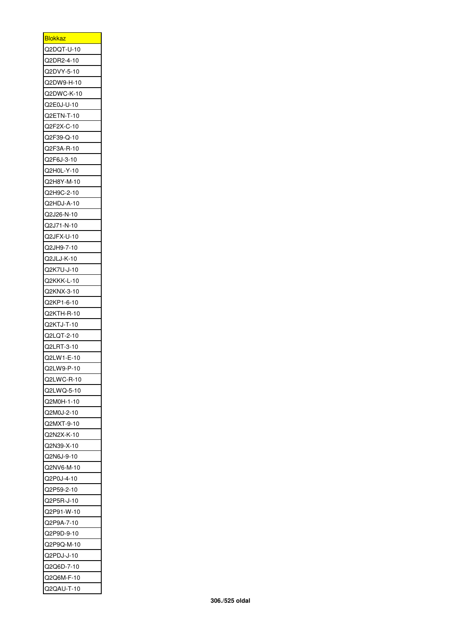| <b>Blokkaz</b> |
|----------------|
| Q2DQT-U-10     |
| Q2DR2-4-10     |
| Q2DVY-5-10     |
| Q2DW9-H-10     |
| Q2DWC-K-10     |
| Q2E0J-U-10     |
| Q2ETN-T-10     |
| Q2F2X-C-10     |
| Q2F39-Q-10     |
| Q2F3A-R-10     |
| Q2F6J-3-10     |
| Q2H0L-Y-10     |
| Q2H8Y-M-10     |
| Q2H9C-2-10     |
| Q2HDJ-A-10     |
| Q2J26-N-10     |
|                |
| Q2J71-N-10     |
| Q2JFX-U-10     |
| Q2JH9-7-10     |
| Q2JLJ-K-10     |
| Q2K7U-J-10     |
| Q2KKK-L-10     |
| Q2KNX-3-10     |
| Q2KP1-6-10     |
| Q2KTH-R-10     |
| Q2KTJ-T-10     |
| Q2LQT-2-10     |
| Q2LRT-3-10     |
| Q2LW1-E-10     |
| Q2LW9-P-10     |
| Q2LWC-R-10     |
| Q2LWQ-5-10     |
| Q2M0H-1-10     |
| Q2M0J-2-10     |
| Q2MXT-9-10     |
| Q2N2X-K-10     |
| Q2N39-X-10     |
| Q2N6J-9-10     |
| Q2NV6-M-10     |
| Q2P0J-4-10     |
| Q2P59-2-10     |
| Q2P5R-J-10     |
|                |
| Q2P91-W-10     |
| Q2P9A-7-10     |
| Q2P9D-9-10     |
| Q2P9Q-M-10     |
| Q2PDJ-J-10     |
| Q2Q6D-7-10     |
| Q2Q6M-F-10     |
| Q2QAU-T-10     |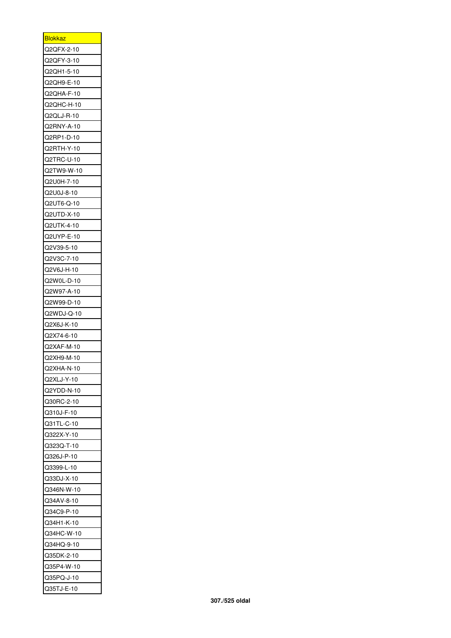| <b>Blokkaz</b>           |
|--------------------------|
| Q2QFX-2-10               |
| Q2QFY-3-10               |
| Q2QH1-5-10               |
| Q2QH9-E-10               |
| Q2QHA-F-10               |
| Q2QHC-H-10               |
| Q2QLJ-R-10               |
| Q2RNY-A-10               |
| Q2RP1-D-10               |
| Q2RTH-Y-10               |
| Q2TRC-U-10               |
| Q2TW9-W-10               |
| Q2U0H-7-10               |
| Q2U0J-8-10               |
| Q2UT6-Q-10               |
|                          |
| Q2UTD-X-10               |
| Q2UTK-4-10               |
| Q2UYP-E-10               |
| Q2V39-5-10               |
| Q2V3C-7-10               |
| Q2V6J-H-10               |
| Q2W0L-D-10               |
| Q2W97-A-10               |
| Q2W99-D-10               |
| Q2WDJ-Q-10               |
| Q2X6J-K-10               |
| Q2X74-6-10               |
| Q2XAF-M-10               |
| Q2XH9-M-10               |
| 22XHA-N-10<br>C          |
| Q2XLJ-Y-10               |
| Q2YDD-N-10               |
| Q30RC-2-10               |
| Q310J-F-10               |
| Q31TL-C-10               |
| Q322X-Y-10               |
| Q323Q-T-10               |
| Q326J-P-10               |
| Q3399-L-10               |
| Q33DJ-X-10               |
| Q346N-W-10               |
|                          |
| Q34AV-8-10               |
|                          |
| Q34C9-P-10               |
| Q34H1-K-10               |
| Q34HC-W-10               |
| Q34HQ-9-10               |
| Q35DK-2-10               |
| Q35P4-W-10               |
| Q35PQ-J-10<br>Q35TJ-E-10 |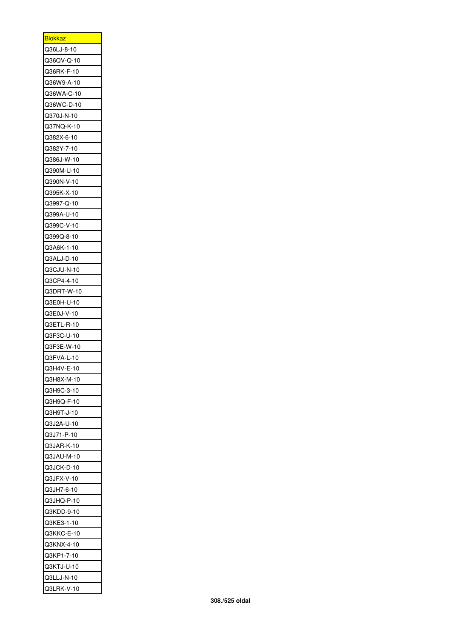| <u>Blokkaz</u> |
|----------------|
| Q36LJ-8-10     |
| Q36QV-Q-10     |
| Q36RK-F-10     |
| Q36W9-A-10     |
| Q36WA-C-10     |
| Q36WC-D-10     |
| Q370J-N-10     |
| Q37NQ-K-10     |
| Q382X-6-10     |
| Q382Y-7-10     |
| Q386J-W-10     |
| Q390M-U-10     |
| Q390N-V-10     |
| Q395K-X-10     |
| Q3997-Q-10     |
| Q399A-U-10     |
| Q399C-V-10     |
|                |
| Q399Q-8-10     |
| Q3A6K-1-10     |
| Q3ALJ-D-10     |
| Q3CJU-N-10     |
| Q3CP4-4-10     |
| Q3DRT-W-10     |
| Q3E0H-U-10     |
| Q3E0J-V-10     |
| Q3ETL-R-10     |
| Q3F3C-U-10     |
| Q3F3E-W-10     |
| Q3FVA-L-10     |
| Q3H4V-E-10     |
| Q3H8X-M-10     |
| Q3H9C-3-10     |
| Q3H9Q-F-10     |
| Q3H9T-J-10     |
| Q3J2A-U-10     |
| Q3J71-P-10     |
| Q3JAR-K-10     |
| Q3JAU-M-10     |
| Q3JCK-D-10     |
| Q3JFX-V-10     |
| Q3JH7-6-10     |
| Q3JHQ-P-10     |
| Q3KDD-9-10     |
| Q3KE3-1-10     |
| Q3KKC-E-10     |
| Q3KNX-4-10     |
| Q3KP1-7-10     |
| Q3KTJ-U-10     |
| Q3LLJ-N-10     |
| Q3LRK-V-10     |
|                |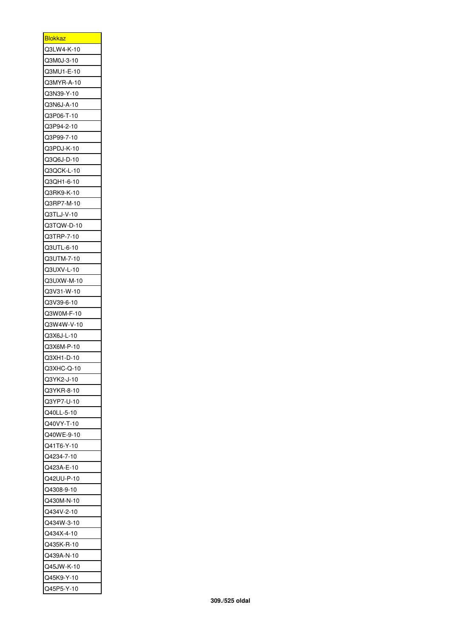| <u>Blokkaz</u>                                       |
|------------------------------------------------------|
| Q3LW4-K-10                                           |
| Q3M0J-3-10                                           |
| Q3MU1-E-10                                           |
| Q3MYR-A-10                                           |
| Q3N39-Y-10                                           |
| Q3N6J-A-10                                           |
| Q3P06-T-10                                           |
| Q3P94-2-10                                           |
| Q3P99-7-10                                           |
| Q3PDJ-K-10                                           |
| Q3Q6J-D-10                                           |
| Q3QCK-L-10                                           |
| Q3QH1-6-10                                           |
| Q3RK9-K-10                                           |
|                                                      |
| Q3RP7-M-10                                           |
| Q3TLJ-V-10                                           |
| Q3TQW-D-10                                           |
| Q3TRP-7-10                                           |
| Q3UTL-6-10                                           |
| Q3UTM-7-10                                           |
| Q3UXV-L-10                                           |
| Q3UXW-M-10                                           |
| Q3V31-W-10                                           |
| Q3V39-6-10                                           |
|                                                      |
| Q3W0M-F-10                                           |
| Q3W4W-V-10                                           |
| Q3X6J-L-10                                           |
| Q3X6M-P-10                                           |
| Q3XH1-D-10                                           |
|                                                      |
| Q3XHC-Q-10<br>Q3YK2-J-10                             |
|                                                      |
|                                                      |
|                                                      |
|                                                      |
| Q40VY-T-10                                           |
| Q40WE-9-10                                           |
| Q3YKR-8-10<br>Q3YP7-U-10<br>Q40LL-5-10<br>Q41T6-Y-10 |
| Q4234-7-10                                           |
| Q423A-E-10                                           |
|                                                      |
| Q4308-9-10                                           |
| Q430M-N-10                                           |
| Q434V-2-10                                           |
| Q434W-3-10                                           |
|                                                      |
| Q42UU-P-10<br>Q434X-4-10<br>Q435K-R-10               |
| Q439A-N-10                                           |
| Q45JW-K-10                                           |
| Q45K9-Y-10                                           |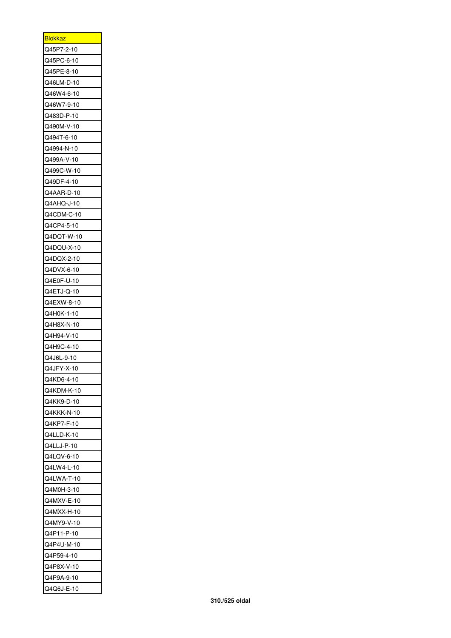| <u>Blokkaz</u> |
|----------------|
| Q45P7-2-10     |
| Q45PC-6-10     |
| Q45PE-8-10     |
| Q46LM-D-10     |
| Q46W4-6-10     |
| Q46W7-9-10     |
| Q483D-P-10     |
| Q490M-V-10     |
| Q494T-6-10     |
| Q4994-N-10     |
| Q499A-V-10     |
| Q499C-W-10     |
| Q49DF-4-10     |
| Q4AAR-D-10     |
| Q4AHQ-J-10     |
|                |
| Q4CDM-C-10     |
| Q4CP4-5-10     |
| Q4DQT-W-10     |
| Q4DQU-X-10     |
| Q4DQX-2-10     |
| Q4DVX-6-10     |
| Q4E0F-U-10     |
| Q4ETJ-Q-10     |
| Q4EXW-8-10     |
| Q4H0K-1-10     |
| Q4H8X-N-10     |
| Q4H94-V-10     |
| Q4H9C-4-10     |
| Q4J6L-9-10     |
| Q4JFY-X-10     |
| Q4KD6-4-10     |
| Q4KDM-K-10     |
| Q4KK9-D-10     |
| Q4KKK-N-10     |
| Q4KP7-F-10     |
| Q4LLD-K-10     |
| Q4LLJ-P-10     |
| Q4LQV-6-10     |
| Q4LW4-L-10     |
| Q4LWA-T-10     |
| Q4M0H-3-10     |
| Q4MXV-E-10     |
| Q4MXX-H-10     |
| Q4MY9-V-10     |
| Q4P11-P-10     |
|                |
| Q4P4U-M-10     |
| Q4P59-4-10     |
| Q4P8X-V-10     |
| Q4P9A-9-10     |
| Q4Q6J-E-10     |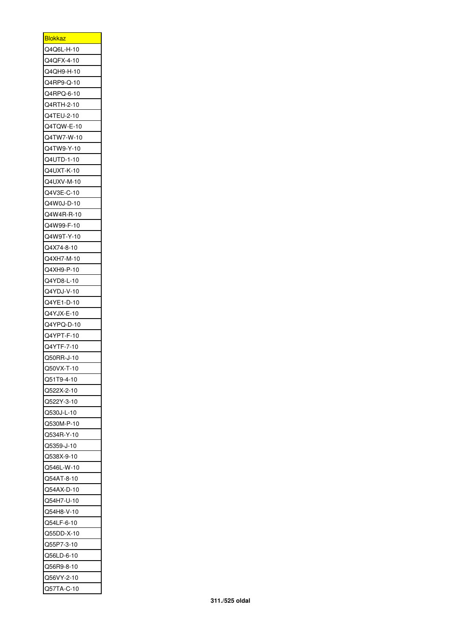| <b>Blokkaz</b> |
|----------------|
| Q4Q6L-H-10     |
| Q4QFX-4-10     |
| Q4QH9-H-10     |
| Q4RP9-Q-10     |
| Q4RPQ-6-10     |
| Q4RTH-2-10     |
| Q4TEU-2-10     |
| Q4TQW-E-10     |
| Q4TW7-W-10     |
| Q4TW9-Y-10     |
| Q4UTD-1-10     |
| Q4UXT-K-10     |
| Q4UXV-M-10     |
| Q4V3E-C-10     |
| Q4W0J-D-10     |
| Q4W4R-R-10     |
| Q4W99-F-10     |
| Q4W9T-Y-10     |
| Q4X74-8-10     |
|                |
| Q4XH7-M-10     |
| Q4XH9-P-10     |
| Q4YD8-L-10     |
| Q4YDJ-V-10     |
| Q4YE1-D-10     |
| Q4YJX-E-10     |
| Q4YPQ-D-10     |
| Q4YPT-F-10     |
| Q4YTF-7-10     |
| Q50RR-J-10     |
| Q50VX-T-10     |
| Q51T9-4-10     |
| Q522X-2-10     |
| Q522Y-3-10     |
| Q530J-L-10     |
| Q530M-P-10     |
| Q534R-Y-10     |
| Q5359-J-10     |
| Q538X-9-10     |
| Q546L-W-10     |
| Q54AT-8-10     |
| Q54AX-D-10     |
| Q54H7-U-10     |
| Q54H8-V-10     |
| Q54LF-6-10     |
| Q55DD-X-10     |
| Q55P7-3-10     |
| Q56LD-6-10     |
| Q56R9-8-10     |
|                |
| Q56VY-2-10     |
| Q57TA-C-10     |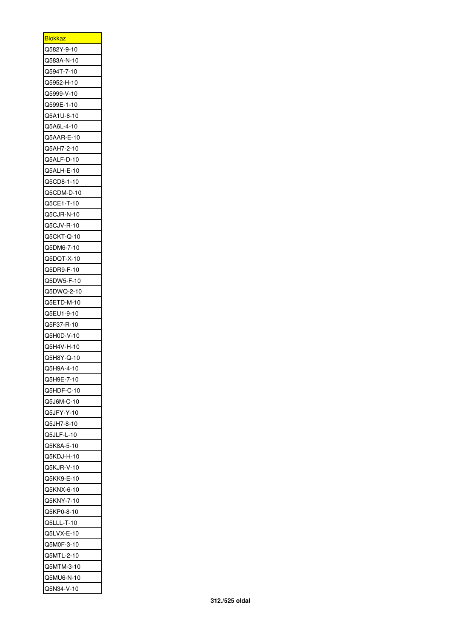| <u>Blokkaz</u>           |
|--------------------------|
| Q582Y-9-10               |
| Q583A-N-10               |
| Q594T-7-10               |
| Q5952-H-10               |
| Q5999-V-10               |
| Q599E-1-10               |
| Q5A1U-6-10               |
| Q5A6L-4-10               |
| Q5AAR-E-10               |
| Q5AH7-2-10               |
| Q5ALF-D-10               |
| Q5ALH-E-10               |
| Q5CD8-1-10               |
| Q5CDM-D-10               |
| Q5CE1-T-10               |
| Q5CJR-N-10               |
| Q5CJV-R-10               |
| Q5CKT-Q-10               |
| Q5DM6-7-10               |
| Q5DQT-X-10               |
| Q5DR9-F-10               |
| Q5DW5-F-10               |
| Q5DWQ-2-10               |
| Q5ETD-M-10               |
| Q5EU1-9-10               |
| Q5F37-R-10               |
| Q5H0D-V-10               |
| Q5H4V-H-10               |
| Q5H8Y-Q-10               |
|                          |
| Q5H9A-4-10<br>Q5H9E-7-10 |
| Q5HDF-C-10               |
| Q5J6M-C-10               |
|                          |
| Q5JFY-Y-10               |
| Q5JH7-8-10               |
| Q5JLF-L-10               |
| Q5K8A-5-10               |
| Q5KDJ-H-10               |
| Q5KJR-V-10               |
| Q5KK9-E-10               |
| Q5KNX-6-10               |
| Q5KNY-7-10               |
| Q5KP0-8-10               |
| Q5LLL-T-10               |
| Q5LVX-E-10               |
| Q5M0F-3-10               |
| Q5MTL-2-10               |
| Q5MTM-3-10               |
| Q5MU6-N-10               |
| Q5N34-V-10               |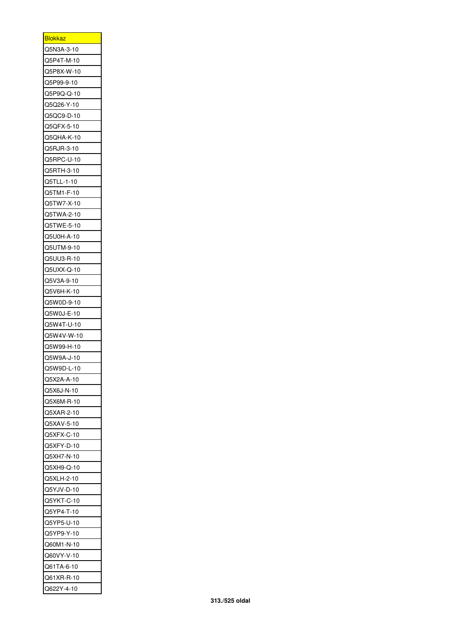| Blokkaz    |
|------------|
| Q5N3A-3-10 |
| Q5P4T-M-10 |
| Q5P8X-W-10 |
| Q5P99-9-10 |
| Q5P9Q-Q-10 |
| Q5Q26-Y-10 |
| Q5QC9-D-10 |
| Q5QFX-5-10 |
| Q5QHA-K-10 |
| Q5RJR-3-10 |
| Q5RPC-U-10 |
| Q5RTH-3-10 |
| Q5TLL-1-10 |
| Q5TM1-F-10 |
| Q5TW7-X-10 |
| Q5TWA-2-10 |
| Q5TWE-5-10 |
| Q5U0H-A-10 |
|            |
| Q5UTM-9-10 |
| Q5UU3-R-10 |
| Q5UXX-Q-10 |
| Q5V3A-9-10 |
| Q5V6H-K-10 |
| Q5W0D-9-10 |
| Q5W0J-E-10 |
| Q5W4T-U-10 |
| Q5W4V-W-10 |
| Q5W99-H-10 |
| Q5W9A-J-10 |
| Q5W9D-L-10 |
| Q5X2A-A-10 |
| Q5X6J-N-10 |
| Q5X6M-R-10 |
| Q5XAR-2-10 |
| Q5XAV-5-10 |
| Q5XFX-C-10 |
| Q5XFY-D-10 |
| Q5XH7-N-10 |
| Q5XH9-Q-10 |
| Q5XLH-2-10 |
| Q5YJV-D-10 |
| Q5YKT-C-10 |
| Q5YP4-T-10 |
| Q5YP5-U-10 |
| Q5YP9-Y-10 |
| Q60M1-N-10 |
| Q60VY-V-10 |
| Q61TA-6-10 |
| Q61XR-R-10 |
| Q622Y-4-10 |
|            |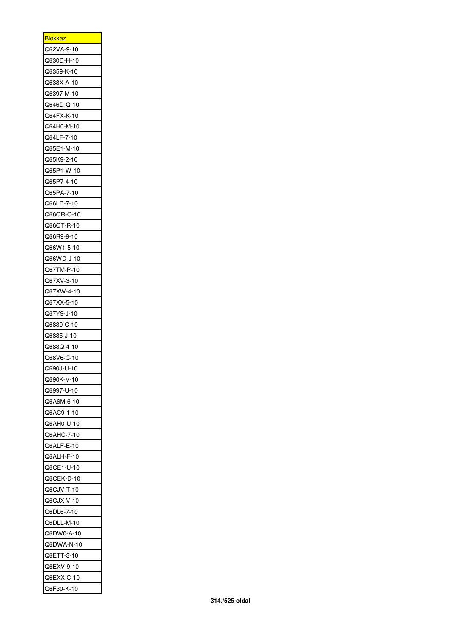| <u>Blokkaz</u> |
|----------------|
| Q62VA-9-10     |
| Q630D-H-10     |
| Q6359-K-10     |
| Q638X-A-10     |
| Q6397-M-10     |
| Q646D-Q-10     |
| Q64FX-K-10     |
| Q64H0-M-10     |
| Q64LF-7-10     |
| Q65E1-M-10     |
| Q65K9-2-10     |
| Q65P1-W-10     |
| Q65P7-4-10     |
| Q65PA-7-10     |
| Q66LD-7-10     |
| Q66QR-Q-10     |
| Q66QT-R-10     |
| Q66R9-9-10     |
| Q66W1-5-10     |
| Q66WD-J-10     |
| Q67TM-P-10     |
| Q67XV-3-10     |
| Q67XW-4-10     |
| Q67XX-5-10     |
| Q67Y9-J-10     |
| Q6830-C-10     |
| Q6835-J-10     |
| Q683Q-4-10     |
| Q68V6-C-10     |
| Q690J-U-10     |
| Q690K-V-10     |
| Q6997-U-10     |
| Q6A6M-6-10     |
| Q6AC9-1-10     |
| Q6AH0-U-10     |
| Q6AHC-7-10     |
| Q6ALF-E-10     |
| Q6ALH-F-10     |
| Q6CE1-U-10     |
| Q6CEK-D-10     |
| Q6CJV-T-10     |
| Q6CJX-V-10     |
| Q6DL6-7-10     |
| Q6DLL-M-10     |
| Q6DW0-A-10     |
| Q6DWA-N-10     |
| Q6ETT-3-10     |
| Q6EXV-9-10     |
| Q6EXX-C-10     |
| Q6F30-K-10     |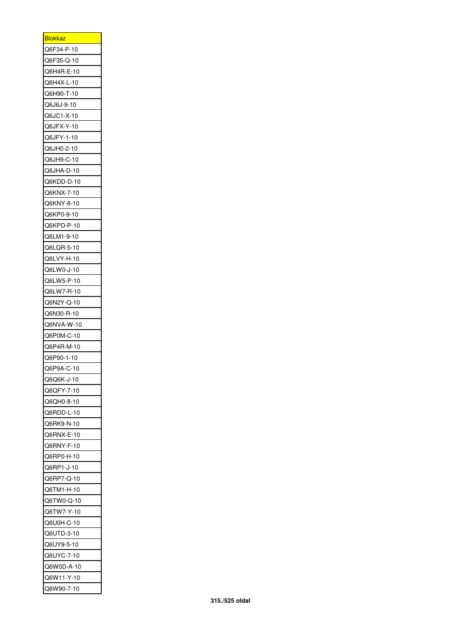| <u>Blokkaz</u> |
|----------------|
| Q6F34-P-10     |
| Q6F35-Q-10     |
| Q6H4R-E-10     |
| Q6H4X-L-10     |
| Q6H90-T-10     |
| Q6J6J-9-10     |
| Q6JC1-X-10     |
| Q6JFX-Y-10     |
| Q6JFY-1-10     |
| Q6JH0-2-10     |
| Q6JH9-C-10     |
| Q6JHA-D-10     |
| Q6KDD-D-10     |
| Q6KNX-7-10     |
| Q6KNY-8-10     |
|                |
| Q6KP0-9-10     |
| Q6KPD-P-10     |
| Q6LM1-9-10     |
| Q6LQR-5-10     |
| Q6LVY-H-10     |
| Q6LW0-J-10     |
| Q6LW5-P-10     |
| Q6LW7-R-10     |
| Q6N2Y-Q-10     |
| Q6N30-R-10     |
| Q6NVA-W-10     |
| Q6P0M-C-10     |
| Q6P4R-M-10     |
| Q6P90-1-10     |
| Q6P9A-C-10     |
| Q6Q6K-J-10     |
| Q6QFY-7-10     |
| Q6QH0-8-10     |
| Q6RDD-L-10     |
| Q6RK9-N-10     |
| Q6RNX-E-10     |
| Q6RNY-F-10     |
| Q6RP0-H-10     |
| Q6RP1-J-10     |
| Q6RP7-Q-10     |
| Q6TM1-H-10     |
| Q6TW0-Q-10     |
| Q6TW7-Y-10     |
| Q6U0H-C-10     |
| Q6UTD-3-10     |
|                |
| Q6UY9-5-10     |
| Q6UYC-7-10     |
| Q6W0D-A-10     |
| Q6W11-Y-10     |
| Q6W90-7-10     |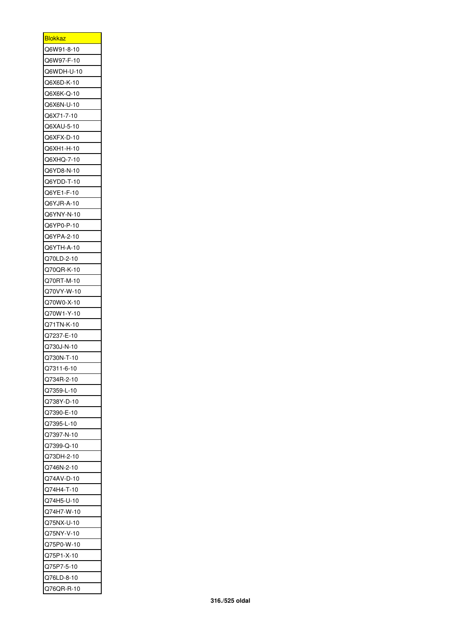| <b>Blokkaz</b> |
|----------------|
| Q6W91-8-10     |
| Q6W97-F-10     |
| Q6WDH-U-10     |
| Q6X6D-K-10     |
| Q6X6K-Q-10     |
| Q6X6N-U-10     |
| Q6X71-7-10     |
| Q6XAU-5-10     |
| Q6XFX-D-10     |
| Q6XH1-H-10     |
| Q6XHQ-7-10     |
| Q6YD8-N-10     |
| Q6YDD-T-10     |
| Q6YE1-F-10     |
| Q6YJR-A-10     |
| Q6YNY-N-10     |
|                |
| Q6YP0-P-10     |
| Q6YPA-2-10     |
| Q6YTH-A-10     |
| Q70LD-2-10     |
| Q70QR-K-10     |
| Q70RT-M-10     |
| Q70VY-W-10     |
| Q70W0-X-10     |
| Q70W1-Y-10     |
| Q71TN-K-10     |
| Q7237-E-10     |
| Q730J-N-10     |
| Q730N-T-10     |
| Q7311-6-10     |
| Q734R-2-10     |
| Q7359-L-10     |
| Q738Y-D-10     |
| Q7390-E-10     |
| Q7395-L-10     |
| Q7397-N-10     |
| Q7399-Q-10     |
| Q73DH-2-10     |
| Q746N-2-10     |
| Q74AV-D-10     |
| Q74H4-T-10     |
| Q74H5-U-10     |
| Q74H7-W-10     |
|                |
| Q75NX-U-10     |
| Q75NY-V-10     |
| Q75P0-W-10     |
| Q75P1-X-10     |
| Q75P7-5-10     |
| Q76LD-8-10     |
| Q76QR-R-10     |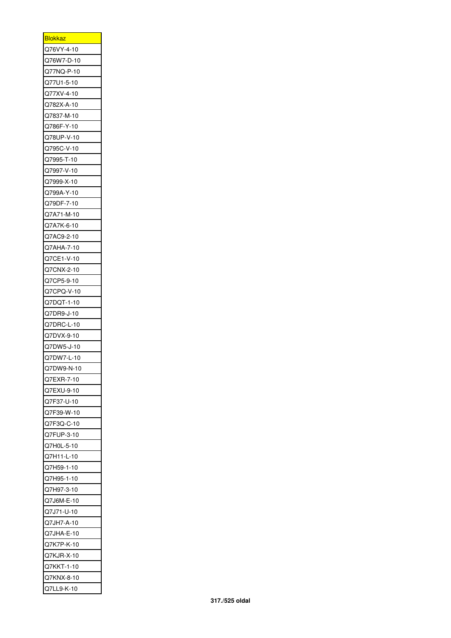| <u>Blokkaz</u>           |
|--------------------------|
| Q76VY-4-10               |
| Q76W7-D-10               |
| Q77NQ-P-10               |
| Q77U1-5-10               |
| Q77XV-4-10               |
| Q782X-A-10               |
| Q7837-M-10               |
| Q786F-Y-10               |
| Q78UP-V-10               |
| Q795C-V-10               |
| Q7995-T-10               |
| Q7997-V-10               |
| Q7999-X-10               |
| Q799A-Y-10               |
| Q79DF-7-10               |
|                          |
| Q7A71-M-10<br>Q7A7K-6-10 |
|                          |
| Q7AC9-2-10               |
| Q7AHA-7-10               |
| Q7CE1-V-10               |
| Q7CNX-2-10               |
| Q7CP5-9-10               |
| Q7CPQ-V-10               |
| Q7DQT-1-10               |
| Q7DR9-J-10               |
| Q7DRC-L-10               |
| Q7DVX-9-10               |
| Q7DW5-J-10               |
| Q7DW7-L-10               |
| Q7DW9-N-10               |
| Q7EXR-7-10               |
| Q7EXU-9-10               |
| Q7F37-U-10               |
| Q7F39-W-10               |
| Q7F3Q-C-10               |
| Q7FUP-3-10               |
| Q7H0L-5-10               |
| Q7H11-L-10               |
| Q7H59-1-10               |
| Q7H95-1-10               |
| Q7H97-3-10               |
| Q7J6M-E-10               |
| Q7J71-U-10               |
| Q7JH7-A-10               |
| Q7JHA-E-10               |
| Q7K7P-K-10               |
|                          |
| Q7KJR-X-10<br>Q7KKT-1-10 |
|                          |
| Q7KNX-8-10               |
| Q7LL9-K-10               |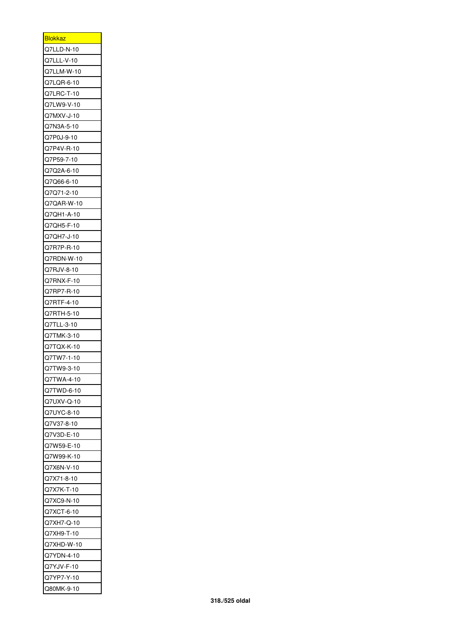| <b>Blokkaz</b> |
|----------------|
| Q7LLD-N-10     |
| Q7LLL-V-10     |
| Q7LLM-W-10     |
| Q7LQR-6-10     |
| Q7LRC-T-10     |
| Q7LW9-V-10     |
| Q7MXV-J-10     |
| Q7N3A-5-10     |
| Q7P0J-9-10     |
| Q7P4V-R-10     |
| Q7P59-7-10     |
| Q7Q2A-6-10     |
| Q7Q66-6-10     |
| Q7Q71-2-10     |
| Q7QAR-W-10     |
| Q7QH1-A-10     |
| Q7QH5-F-10     |
| Q7QH7-J-10     |
|                |
| Q7R7P-R-10     |
| Q7RDN-W-10     |
| Q7RJV-8-10     |
| Q7RNX-F-10     |
| Q7RP7-R-10     |
| Q7RTF-4-10     |
| Q7RTH-5-10     |
| Q7TLL-3-10     |
| Q7TMK-3-10     |
| Q7TQX-K-10     |
| Q7TW7-1-10     |
| Q7TW9-3-10     |
| Q7TWA-4-10     |
| Q7TWD-6-10     |
| Q7UXV-Q-10     |
| Q7UYC-8-10     |
| Q7V37-8-10     |
| Q7V3D-E-10     |
| Q7W59-E-10     |
|                |
| Q7W99-K-10     |
| Q7X6N-V-10     |
| Q7X71-8-10     |
| Q7X7K-T-10     |
| Q7XC9-N-10     |
| Q7XCT-6-10     |
| Q7XH7-Q-10     |
| Q7XH9-T-10     |
| Q7XHD-W-10     |
| Q7YDN-4-10     |
| Q7YJV-F-10     |
| Q7YP7-Y-10     |
| Q80MK-9-10     |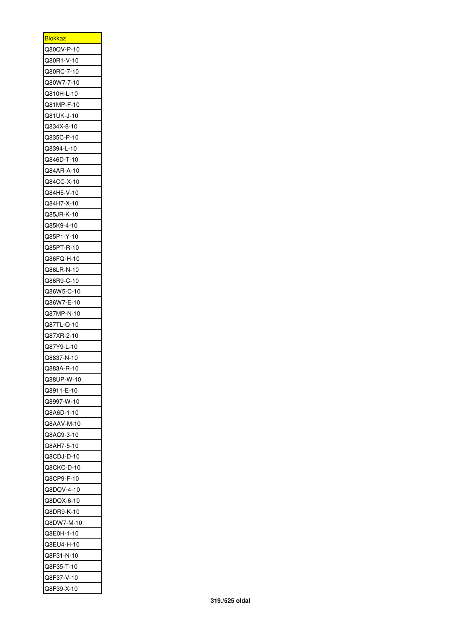| <u>Blokkaz</u> |
|----------------|
| Q80QV-P-10     |
| Q80R1-V-10     |
| Q80RC-7-10     |
| Q80W7-7-10     |
| Q810H-L-10     |
| Q81MP-F-10     |
| Q81UK-J-10     |
| Q834X-8-10     |
| Q835C-P-10     |
| Q8394-L-10     |
| Q846D-T-10     |
| Q84AR-A-10     |
| Q84CC-X-10     |
| Q84H5-V-10     |
|                |
| Q84H7-X-10     |
| Q85JR-K-10     |
| Q85K9-4-10     |
| Q85P1-Y-10     |
| Q85PT-R-10     |
| Q86FQ-H-10     |
| Q86LR-N-10     |
| Q86R9-C-10     |
| Q86W5-C-10     |
| Q86W7-E-10     |
| Q87MP-N-10     |
| Q87TL-Q-10     |
| Q87XR-2-10     |
| Q87Y9-L-10     |
| Q8837-N-10     |
| Q883A-R-10     |
| Q88UP-W-10     |
| Q8911-E-10     |
| Q8997-W-10     |
| Q8A6D-1-10     |
| Q8AAV-M-10     |
| Q8AC9-3-10     |
| Q8AH7-5-10     |
| Q8CDJ-D-10     |
| Q8CKC-D-10     |
| Q8CP9-F-10     |
| Q8DQV-4-10     |
| Q8DQX-6-10     |
| Q8DR9-K-10     |
| Q8DW7-M-10     |
| Q8E0H-1-10     |
| Q8EU4-H-10     |
| Q8F31-N-10     |
| Q8F35-T-10     |
| Q8F37-V-10     |
| Q8F39-X-10     |
|                |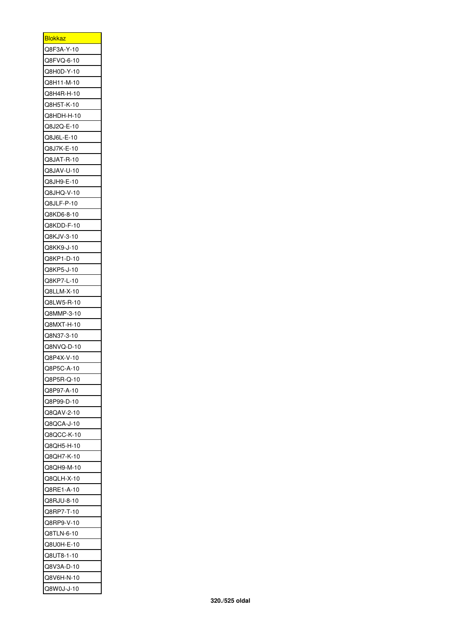| <b>Blokkaz</b>           |
|--------------------------|
| Q8F3A-Y-10               |
| Q8FVQ-6-10               |
| Q8H0D-Y-10               |
| Q8H11-M-10               |
| Q8H4R-H-10               |
| Q8H5T-K-10               |
| Q8HDH-H-10               |
| Q8J2Q-E-10               |
| Q8J6L-E-10               |
| Q8J7K-E-10               |
| Q8JAT-R-10               |
| Q8JAV-U-10               |
| Q8JH9-E-10               |
| Q8JHQ-V-10               |
| Q8JLF-P-10               |
| Q8KD6-8-10               |
| Q8KDD-F-10               |
|                          |
| Q8KJV-3-10               |
| Q8KK9-J-10               |
| Q8KP1-D-10               |
| Q8KP5-J-10               |
| Q8KP7-L-10               |
| Q8LLM-X-10               |
| Q8LW5-R-10               |
|                          |
| Q8MMP-3-10               |
| Q8MXT-H-10               |
| Q8N37-3-10               |
| Q8NVQ-D-10               |
| Q8P4X-V-10               |
| Q8P5C-A-10               |
| Q8P5R-Q-10               |
| Q8P97-A-10               |
| Q8P99-D-10               |
| Q8QAV-2-10               |
| Q8QCA-J-10               |
| Q8QCC-K-10               |
| Q8QH5-H-10               |
| Q8QH7-K-10               |
| Q8QH9-M-10               |
| Q8QLH-X-10               |
| Q8RE1-A-10               |
| Q8RJU-8-10               |
| Q8RP7-T-10               |
| Q8RP9-V-10               |
| Q8TLN-6-10               |
| Q8U0H-E-10               |
|                          |
| Q8UT8-1-10               |
| Q8V3A-D-10               |
| Q8V6H-N-10<br>Q8W0J-J-10 |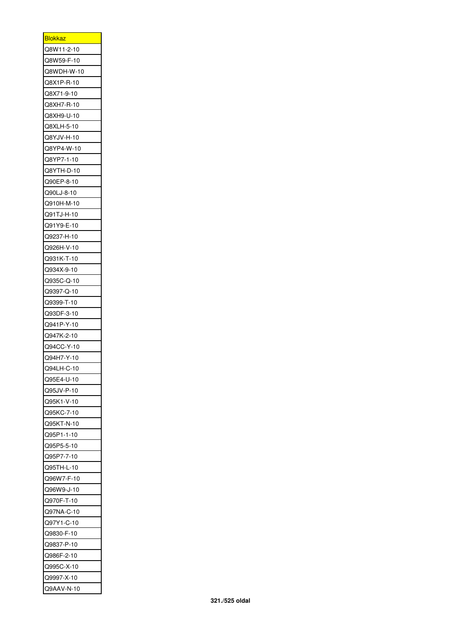| <b>Blokkaz</b> |
|----------------|
| Q8W11-2-10     |
| Q8W59-F-10     |
| Q8WDH-W-10     |
| Q8X1P-R-10     |
| Q8X71-9-10     |
| Q8XH7-R-10     |
| Q8XH9-U-10     |
| Q8XLH-5-10     |
| Q8YJV-H-10     |
| Q8YP4-W-10     |
| Q8YP7-1-10     |
| Q8YTH-D-10     |
| Q90EP-8-10     |
| Q90LJ-8-10     |
| Q910H-M-10     |
| Q91TJ-H-10     |
| Q91Y9-E-10     |
|                |
| Q9237-H-10     |
| Q926H-V-10     |
| Q931K-T-10     |
| Q934X-9-10     |
| Q935C-Q-10     |
| Q9397-Q-10     |
| Q9399-T-10     |
| Q93DF-3-10     |
| Q941P-Y-10     |
| Q947K-2-10     |
| Q94CC-Y-10     |
| Q94H7-Y-10     |
| Q94LH-C-10     |
| Q95E4-U-10     |
| Q95JV-P-10     |
| Q95K1-V-10     |
| Q95KC-7-10     |
| Q95KT-N-10     |
| Q95P1-1-10     |
| Q95P5-5-10     |
| Q95P7-7-10     |
| Q95TH-L-10     |
| Q96W7-F-10     |
| Q96W9-J-10     |
|                |
| Q970F-T-10     |
| Q97NA-C-10     |
| Q97Y1-C-10     |
| Q9830-F-10     |
| Q9837-P-10     |
| Q986F-2-10     |
| Q995C-X-10     |
| Q9997-X-10     |
| Q9AAV-N-10     |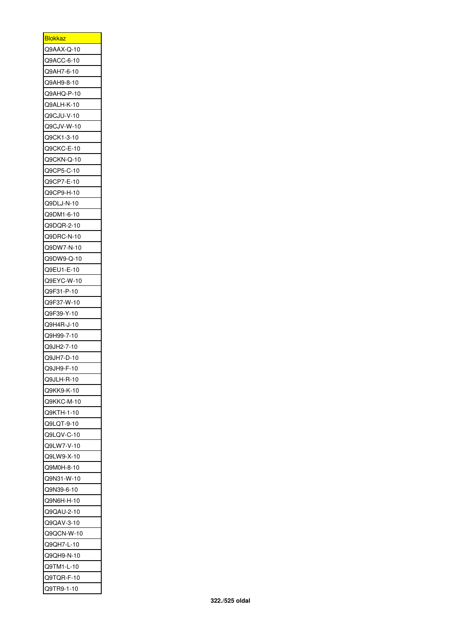| Blokkaz                      |
|------------------------------|
| $Q9AAX-Q-10$                 |
| Q9ACC-6-10                   |
| Q9AH7-6-10                   |
| Q9AH9-8-10                   |
| Q9AHQ-P-10                   |
| Q9ALH-K-10                   |
| Q9CJU-V-10                   |
| Q9CJV-W-10                   |
| Q9CK1-3-10                   |
| Q9CKC-E-10                   |
| Q9CKN-Q-10                   |
| Q9CP5-C-10                   |
| Q9CP7-E-10                   |
| Q9CP9-H-10                   |
| Q9DLJ-N-10                   |
| Q9DM1-6-10                   |
| Q9DQR-2-10                   |
| Q9DRC-N-10                   |
| Q9DW7-N-10                   |
| Q9DW9-Q-10                   |
| Q9EU1-E-10                   |
| Q9EYC-W-10                   |
| Q9F31-P-10                   |
| Q9F37-W-10                   |
| Q9F39-Y-10                   |
| Q9H4R-J-10                   |
| Q9H99-7-10                   |
| Q9JH2-7-10                   |
|                              |
| Q9JH7-D-10                   |
| Q9JH9-F-1<br>0<br>Q9JLH-R-10 |
|                              |
| Q9KK9-K-10                   |
| Q9KKC-M-10                   |
| Q9KTH-1-10                   |
| Q9LQT-9-10                   |
| Q9LQV-C-10                   |
| Q9LW7-V-10                   |
| Q9LW9-X-10                   |
| Q9M0H-8-10                   |
| Q9N31-W-10                   |
| Q9N39-6-10                   |
| Q9N6H-H-10                   |
| Q9QAU-2-10                   |
| Q9QAV-3-10                   |
| Q9QCN-W-10                   |
| Q9QH7-L-10                   |
| Q9QH9-N-10                   |
| Q9TM1-L-10                   |
| Q9TQR-F-10                   |
| Q9TR9-1-10                   |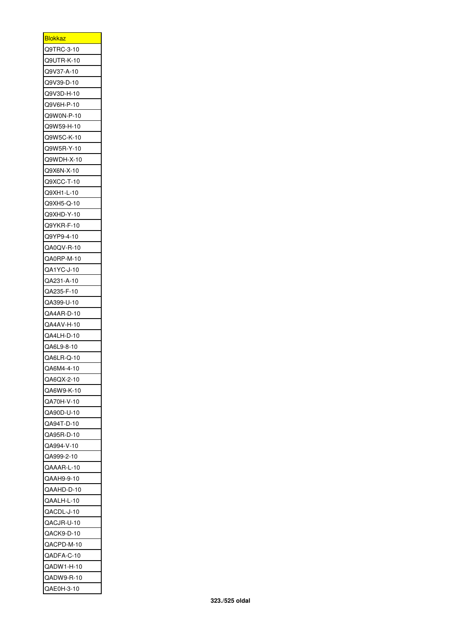| <b>Blokkaz</b>  |
|-----------------|
| Q9TRC-3-10      |
| Q9UTR-K-10      |
| Q9V37-A-10      |
| Q9V39-D-10      |
| Q9V3D-H-10      |
| Q9V6H-P-10      |
| Q9W0N-P-10      |
| Q9W59-H-10      |
| Q9W5C-K-10      |
| Q9W5R-Y-10      |
| Q9WDH-X-10      |
| Q9X6N-X-10      |
| Q9XCC-T-10      |
| Q9XH1-L-10      |
| Q9XH5-Q-10      |
| Q9XHD-Y-10      |
| Q9YKR-F-10      |
|                 |
| Q9YP9-4-10      |
| QA0QV-R-10      |
| QA0RP-M-10      |
| QA1YC-J-10      |
| QA231-A-10      |
| QA235-F-10      |
| QA399-U-10      |
| QA4AR-D-10      |
| QA4AV-H-10      |
| QA4LH-D-10      |
| QA6L9-8-10      |
| QA6LR-Q-10      |
| 2A6M4-4-10<br>C |
| QA6QX-2-10      |
| QA6W9-K-10      |
| QA70H-V-10      |
| QA90D-U-10      |
| QA94T-D-10      |
| QA95R-D-10      |
| QA994-V-10      |
| QA999-2-10      |
| QAAAR-L-10      |
| QAAH9-9-10      |
| QAAHD-D-10      |
| QAALH-L-10      |
| QACDL-J-10      |
| QACJR-U-10      |
| QACK9-D-10      |
| QACPD-M-10      |
| QADFA-C-10      |
| QADW1-H-10      |
| QADW9-R-10      |
|                 |
| QAE0H-3-10      |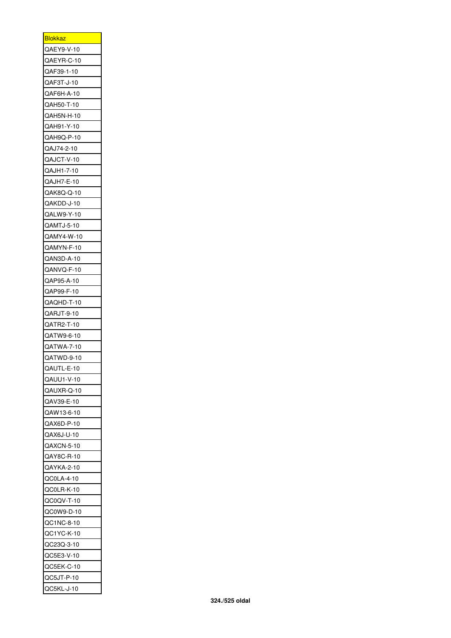| <u>Blokkaz</u> |
|----------------|
| QAEY9-V-10     |
| QAEYR-C-10     |
| QAF39-1-10     |
| QAF3T-J-10     |
| QAF6H-A-10     |
| QAH50-T-10     |
| QAH5N-H-10     |
| QAH91-Y-10     |
| QAH9Q-P-10     |
| QAJ74-2-10     |
| QAJCT-V-10     |
| QAJH1-7-10     |
| QAJH7-E-10     |
| QAK8Q-Q-10     |
| QAKDD-J-10     |
| QALW9-Y-10     |
| QAMTJ-5-10     |
| QAMY4-W-10     |
| QAMYN-F-10     |
|                |
| QAN3D-A-10     |
| QANVQ-F-10     |
| QAP95-A-10     |
| QAP99-F-10     |
| QAQHD-T-10     |
| QARJT-9-10     |
| QATR2-T-10     |
| QATW9-6-10     |
| QATWA-7-10     |
| QATWD-9-10     |
| QAUTL-E-10     |
| QAUU1-V-10     |
| QAUXR-Q-10     |
| QAV39-E-10     |
| QAW13-6-10     |
| QAX6D-P-10     |
| QAX6J-U-10     |
| QAXCN-5-10     |
| QAY8C-R-10     |
| QAYKA-2-10     |
| QC0LA-4-10     |
| QC0LR-K-10     |
| QC0QV-T-10     |
| QC0W9-D-10     |
| QC1NC-8-10     |
| QC1YC-K-10     |
| QC23Q-3-10     |
| QC5E3-V-10     |
| QC5EK-C-10     |
| QC5JT-P-10     |
| QC5KL-J-10     |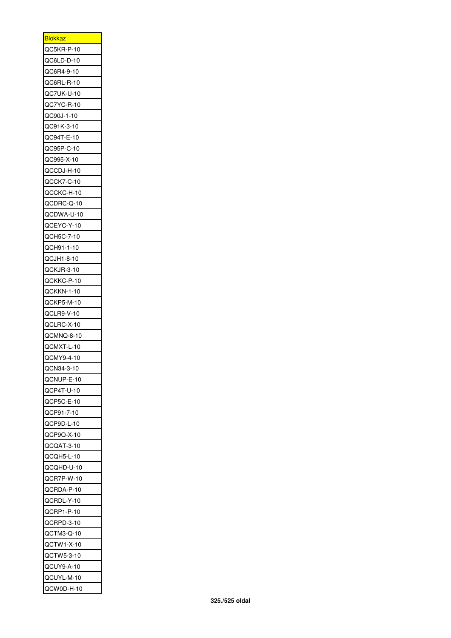| <b>Blokkaz</b> |
|----------------|
| QC5KR-P-10     |
| QC6LD-D-10     |
| QC6R4-9-10     |
| QC6RL-R-10     |
| QC7UK-U-10     |
| QC7YC-R-10     |
| QC90J-1-10     |
| QC91K-3-10     |
| QC94T-E-10     |
| QC95P-C-10     |
| QC995-X-10     |
| QCCDJ-H-10     |
| QCCK7-C-10     |
| QCCKC-H-10     |
| QCDRC-Q-10     |
| QCDWA-U-10     |
| QCEYC-Y-10     |
| QCH5C-7-10     |
| QCH91-1-10     |
| QCJH1-8-10     |
| QCKJR-3-10     |
| QCKKC-P-10     |
| QCKKN-1-10     |
| QCKP5-M-10     |
| QCLR9-V-10     |
| QCLRC-X-10     |
| QCMNQ-8-10     |
| QCMXT-L-10     |
| QCMY9-4-10     |
| QCN34-3-10     |
| QCNUP-E-10     |
| QCP4T-U-10     |
| QCP5C-E-10     |
| QCP91-7-10     |
| QCP9D-L-10     |
| $QCP9Q-X-10$   |
| QCQAT-3-10     |
| QCQH5-L-10     |
| QCQHD-U-10     |
| QCR7P-W-10     |
| QCRDA-P-10     |
| QCRDL-Y-10     |
| QCRP1-P-10     |
| QCRPD-3-10     |
| QCTM3-Q-10     |
| QCTW1-X-10     |
| QCTW5-3-10     |
| QCUY9-A-10     |
| QCUYL-M-10     |
| QCW0D-H-10     |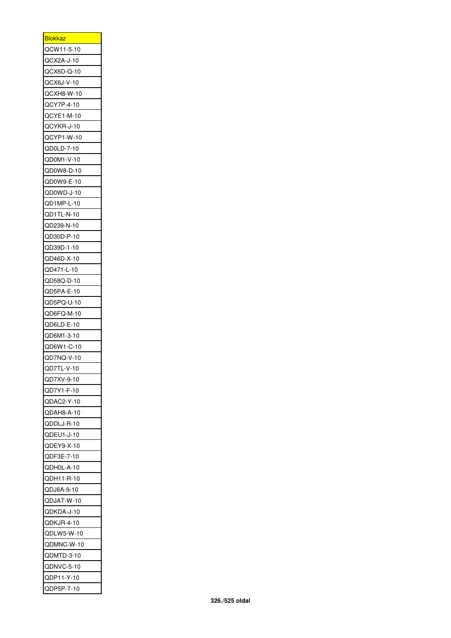| <b>Blokkaz</b> |
|----------------|
| QCW11-5-10     |
| QCX2A-J-10     |
| QCX6D-Q-10     |
| QCX6J-V-10     |
| QCXH8-W-10     |
| QCY7P-4-10     |
| QCYE1-M-10     |
| QCYKR-J-10     |
| QCYP1-W-10     |
| QD0LD-7-10     |
| QD0M1-V-10     |
| QD0W8-D-10     |
| QD0W9-E-10     |
| QD0WD-J-10     |
| QD1MP-L-10     |
| QD1TL-N-10     |
| QD239-N-10     |
|                |
| QD30D-P-10     |
| QD39D-1-10     |
| QD46D-X-10     |
| QD471-L-10     |
| QD58Q-D-10     |
| QD5PA-E-10     |
| QD5PQ-U-10     |
| QD6FQ-M-10     |
| QD6LD-E-10     |
| QD6M1-3-10     |
| QD6W1-C-10     |
| QD7NQ-V-10     |
| QD7TL-V-10     |
| QD7XV-9-10     |
| QD7Y1-F-10     |
| QDAC2-Y-10     |
| QDAH8-A-10     |
| QDDLJ-R-10     |
| QDEU1-J-10     |
| QDEY9-X-10     |
| QDF3E-7-10     |
| QDH0L-A-10     |
| QDH11-R-10     |
| QDJ6A-9-10     |
| QDJAT-W-10     |
| QDKDA-J-10     |
|                |
| QDKJR-4-10     |
| QDLW5-W-10     |
| QDMNC-W-10     |
| QDMTD-3-10     |
| QDNVC-5-10     |
| QDP11-Y-10     |
| QDP5P-T-10     |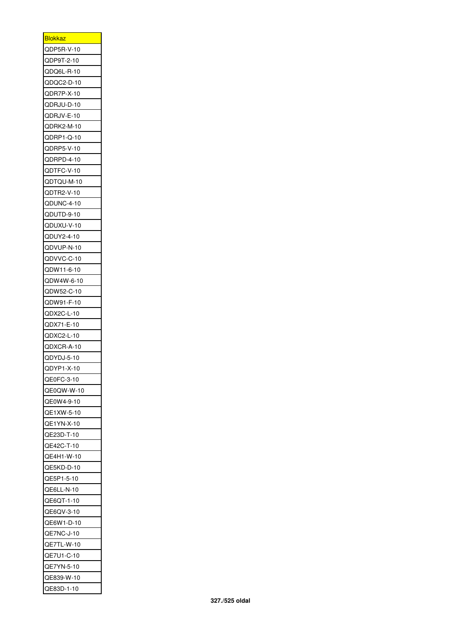| <u>Blokkaz</u> |
|----------------|
| QDP5R-V-10     |
| QDP9T-2-10     |
| QDQ6L-R-10     |
| QDQC2-D-10     |
| QDR7P-X-10     |
| QDRJU-D-10     |
| QDRJV-E-10     |
| QDRK2-M-10     |
| QDRP1-Q-10     |
| QDRP5-V-10     |
| QDRPD-4-10     |
| QDTFC-V-10     |
| QDTQU-M-10     |
| QDTR2-V-10     |
| QDUNC-4-10     |
| QDUTD-9-10     |
| QDUXU-V-10     |
| QDUY2-4-10     |
| QDVUP-N-10     |
| QDVVC-C-10     |
| QDW11-6-10     |
| QDW4W-6-10     |
| QDW52-C-10     |
| QDW91-F-10     |
|                |
| QDX2C-L-10     |
| QDX71-E-10     |
| QDXC2-L-10     |
| QDXCR-A-10     |
| QDYDJ-5-10     |
| QDYP1-X-10     |
| QE0FC-3-10     |
| QE0QW-W-10     |
| QE0W4-9-10     |
| QE1XW-5-10     |
| QE1YN-X-10     |
| QE23D-T-10     |
| QE42C-T-10     |
| QE4H1-W-10     |
| QE5KD-D-10     |
| QE5P1-5-10     |
| QE6LL-N-10     |
| QE6QT-1-10     |
| QE6QV-3-10     |
| QE6W1-D-10     |
| QE7NC-J-10     |
| 7TL-W-10<br>QE |
| QE7U1-C-10     |
| QE7YN-5-10     |
| QE839-W-10     |
| QE83D-1-10     |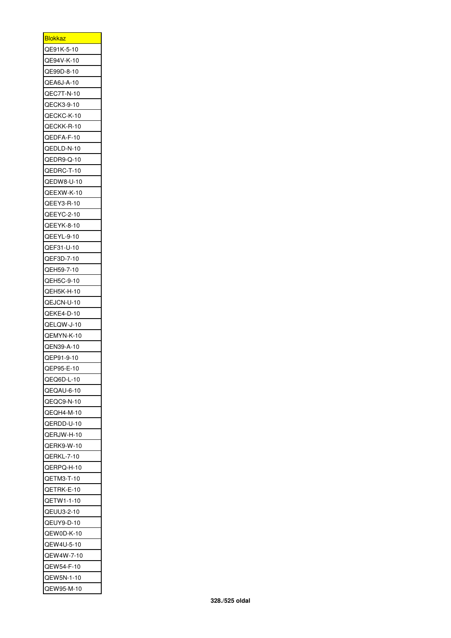| <b>Blokkaz</b>  |
|-----------------|
| QE91K-5-10      |
| QE94V-K-10      |
| QE99D-8-10      |
| QEA6J-A-10      |
| QEC7T-N-10      |
| QECK3-9-10      |
| QECKC-K-10      |
| QECKK-R-10      |
| QEDFA-F-10      |
| QEDLD-N-10      |
| QEDR9-Q-10      |
| QEDRC-T-10      |
| QEDW8-U-10      |
| QEEXW-K-10      |
| QEEY3-R-10      |
| QEEYC-2-10      |
|                 |
| QEEYK-8-10      |
| QEEYL-9-10      |
| QEF31-U-10      |
| QEF3D-7-10      |
| QEH59-7-10      |
| QEH5C-9-10      |
| QEH5K-H-10      |
| QEJCN-U-10      |
| QEKE4-D-10      |
| QELQW-J-10      |
| QEMYN-K-10      |
| QEN39-A-10      |
| QEP91-9-10      |
| QEP95-E-10      |
| QEQ6D-L-10      |
| QEQAU-6-10      |
| QEQC9-N-10      |
| QEQH4-M-10      |
| QERDD-U-10      |
| QERJW-H-10      |
| QERK9-W-10      |
| QERKL-7-10      |
| QERPQ-H-10      |
| QETM3-T-10      |
| QE<br>ETRK-E-10 |
| QETW1-1-10      |
| QEUU3-2-10      |
| QEUY9-D-10      |
| QEW0D-K-10      |
|                 |
| QEW4U-5-10      |
| QEW4W-7-10      |
| :W54-F-10<br>QE |
| QEW5N-1-10      |
| QEW95-M-10      |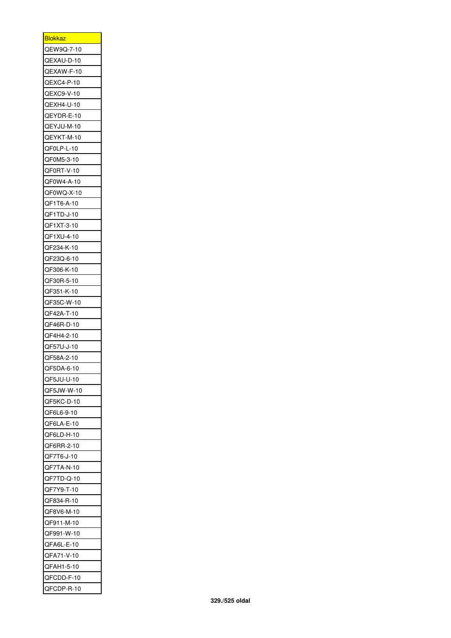| <u>Blokkaz</u> |
|----------------|
| QEW9Q-7-10     |
| QEXAU-D-10     |
| QEXAW-F-10     |
| QEXC4-P-10     |
| QEXC9-V-10     |
| QEXH4-U-10     |
| QEYDR-E-10     |
| QEYJU-M-10     |
| QEYKT-M-10     |
| QF0LP-L-10     |
| QF0M5-3-10     |
| QF0RT-V-10     |
| QF0W4-A-10     |
| QF0WQ-X-10     |
| QF1T6-A-10     |
| QF1TD-J-10     |
| QF1XT-3-10     |
| QF1XU-4-10     |
| QF234-K-10     |
| QF23Q-6-10     |
| QF306-K-10     |
| QF30R-5-10     |
| QF351-K-10     |
| QF35C-W-10     |
|                |
| QF42A-T-10     |
| QF46R-D-10     |
| QF4H4-2-10     |
| QF57U-J-10     |
| QF58A-2-10     |
| QF5DA-6-10     |
| QF5JU-U-10     |
| QF5JW-W-10     |
| QF5KC-D-10     |
| QF6L6-9-10     |
| QF6LA-E-10     |
| QF6LD-H-10     |
| QF6RR-2-10     |
| QF7T6-J-10     |
| QF7TA-N-10     |
| QF7TD-Q-10     |
| QF7Y9-T-10     |
| QF834-R-10     |
| QF8V6-M-10     |
| QF911-M-10     |
| QF991-W-10     |
| QFA6L-E-10     |
| QFA71-V-10     |
| QFAH1-5-10     |
| QFCDD-F-10     |
| QFCDP-R-10     |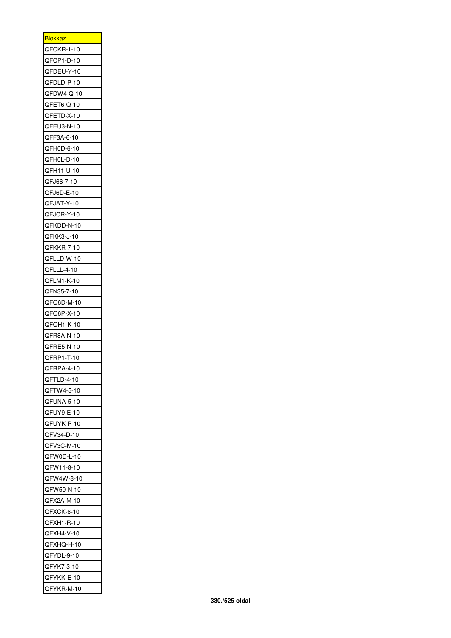| <u>Blokkaz</u> |
|----------------|
| QFCKR-1-10     |
| QFCP1-D-10     |
| QFDEU-Y-10     |
| QFDLD-P-10     |
| QFDW4-Q-10     |
| QFET6-Q-10     |
| QFETD-X-10     |
| QFEU3-N-10     |
| QFF3A-6-10     |
| QFH0D-6-10     |
| QFH0L-D-10     |
| QFH11-U-10     |
| QFJ66-7-10     |
| QFJ6D-E-10     |
| QFJAT-Y-10     |
| QFJCR-Y-10     |
| QFKDD-N-10     |
| QFKK3-J-10     |
| QFKKR-7-10     |
| QFLLD-W-10     |
| QFLLL-4-10     |
| QFLM1-K-10     |
| QFN35-7-10     |
| QFQ6D-M-10     |
| QFQ6P-X-10     |
| QFQH1-K-10     |
| QFR8A-N-10     |
| QFRE5-N-10     |
| QFRP1-T-10     |
| QFRPA-4-10     |
| QFTLD-4-10     |
| QFTW4-5-10     |
| QFUNA-5-10     |
| QFUY9-E-10     |
| QFUYK-P-10     |
| QFV34-D-10     |
| QFV3C-M-10     |
| QFW0D-L-10     |
| QFW11-8-10     |
| QFW4W-8-10     |
| QFW59-N-10     |
| QFX2A-M-10     |
| QFXCK-6-10     |
| QFXH1-R-10     |
| QFXH4-V-10     |
| QFXHQ-H-10     |
| QFYDL-9-10     |
| QFYK7-3-10     |
| QFYKK-E-10     |
| QFYKR-M-10     |
|                |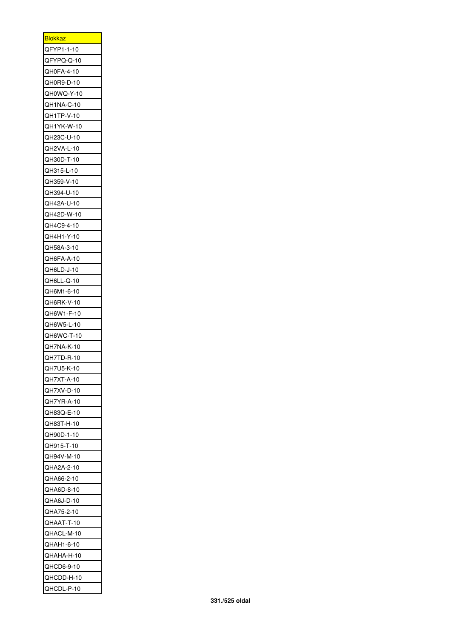| <u>Blokkaz</u> |
|----------------|
| QFYP1-1-10     |
| QFYPQ-Q-10     |
| QH0FA-4-10     |
| QH0R9-D-10     |
| QH0WQ-Y-10     |
| QH1NA-C-10     |
| QH1TP-V-10     |
| QH1YK-W-10     |
| QH23C-U-10     |
| QH2VA-L-10     |
| QH30D-T-10     |
| QH315-L-10     |
| QH359-V-10     |
| QH394-U-10     |
| QH42A-U-10     |
| QH42D-W-10     |
| QH4C9-4-10     |
| QH4H1-Y-10     |
|                |
| QH58A-3-10     |
| QH6FA-A-10     |
| QH6LD-J-10     |
| QH6LL-Q-10     |
| QH6M1-6-10     |
| QH6RK-V-10     |
| QH6W1-F-10     |
| QH6W5-L-10     |
| QH6WC-T-10     |
| QH7NA-K-10     |
| QH7TD-R-10     |
| QH7U5-K-10     |
| QH7XT-A-10     |
| QH7XV-D-10     |
| QH7YR-A-10     |
| QH83Q-E-10     |
| QH83T-H-10     |
| QH90D-1-10     |
| QH915-T-10     |
| QH94V-M-10     |
| QHA2A-2-10     |
| QHA66-2-10     |
| QHA6D-8-10     |
| QHA6J-D-10     |
| QHA75-2-10     |
| QHAAT-T-10     |
|                |
| QHACL-M-10     |
| QHAH1-6-10     |
| QHAHA-H-10     |
| QHCD6-9-10     |
| QHCDD-H-10     |
| QHCDL-P-10     |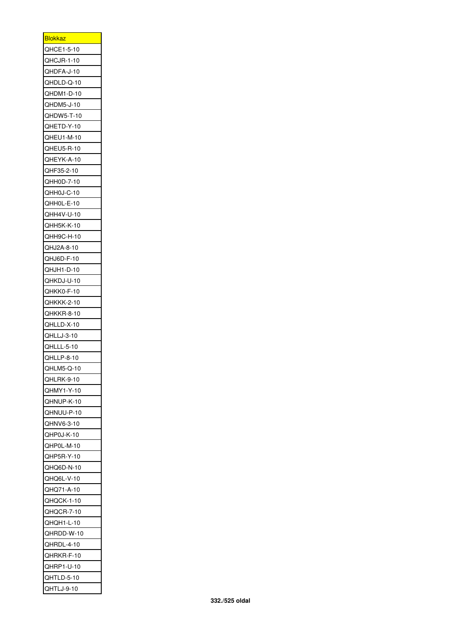| <b>Blokkaz</b> |
|----------------|
| QHCE1-5-10     |
| QHCJR-1-10     |
| QHDFA-J-10     |
| QHDLD-Q-10     |
| QHDM1-D-10     |
| QHDM5-J-10     |
| QHDW5-T-10     |
| QHETD-Y-10     |
| QHEU1-M-10     |
| QHEU5-R-10     |
| QHEYK-A-10     |
| QHF35-2-10     |
| QHH0D-7-10     |
| QHH0J-C-10     |
| QHH0L-E-10     |
| QHH4V-U-10     |
| QHH5K-K-10     |
| QHH9C-H-10     |
| QHJ2A-8-10     |
|                |
| QHJ6D-F-10     |
| QHJH1-D-10     |
| QHKDJ-U-10     |
| QHKK0-F-10     |
| QHKKK-2-10     |
| QHKKR-8-10     |
| QHLLD-X-10     |
| QHLLJ-3-10     |
| QHLLL-5-10     |
| QHLLP-8-10     |
| QHLM5-Q-10     |
| QHLRK-9-10     |
| QHMY1-Y-10     |
| QHNUP-K-10     |
| QHNUU-P-10     |
| QHNV6-3-10     |
| QHP0J-K-10     |
| QHP0L-M-10     |
| QHP5R-Y-10     |
| QHQ6D-N-10     |
| QHQ6L-V-10     |
| QHQ71-A-10     |
| QHQCK-1-10     |
| QHQCR-7-10     |
| QHQH1-L-10     |
| QHRDD-W-10     |
| QHRDL-4-10     |
| QHRKR-F-10     |
| QHRP1-U-10     |
| QHTLD-5-10     |
| QHTLJ-9-10     |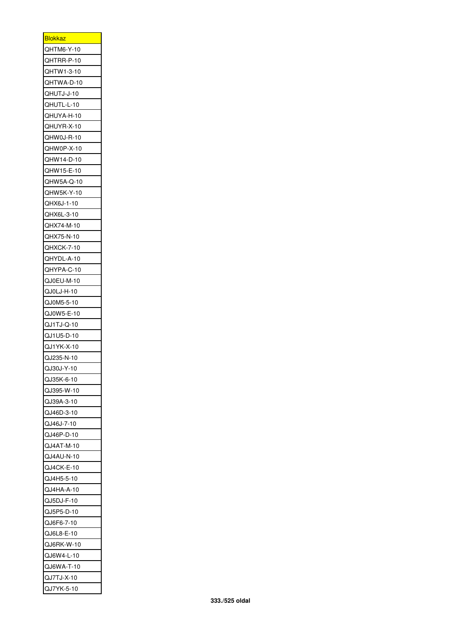| <u>Blokkaz</u>           |
|--------------------------|
| QHTM6-Y-10               |
| QHTRR-P-10               |
| QHTW1-3-10               |
| QHTWA-D-10               |
| QHUTJ-J-10               |
| QHUTL-L-10               |
| QHUYA-H-10               |
| QHUYR-X-10               |
| QHW0J-R-10               |
| QHW0P-X-10               |
| QHW14-D-10               |
| QHW15-E-10               |
| QHW5A-Q-10               |
| QHW5K-Y-10               |
| QHX6J-1-10               |
|                          |
| QHX6L-3-10<br>QHX74-M-10 |
|                          |
| QHX75-N-10               |
| QHXCK-7-10               |
| QHYDL-A-10               |
| QHYPA-C-10               |
| QJ0EU-M-10               |
| QJ0LJ-H-10               |
| QJ0M5-5-10               |
| QJ0W5-E-10               |
| QJ1TJ-Q-10               |
| QJ1U5-D-10               |
| QJ1YK-X-10               |
| QJ235-N-10               |
| QJ30J-Y-10               |
| QJ35K-6-10               |
| QJ395-W-10               |
|                          |
| QJ39A-3-10               |
| QJ46D-3-10               |
| QJ46J-7-10               |
| QJ46P-D-10               |
| QJ4AT-M-10               |
| QJ4AU-N-10               |
| QJ4CK-E-10               |
| QJ4H5-5-10               |
| QJ4HA-A-10               |
| QJ5DJ-F-10               |
|                          |
| QJ5P5-D-10               |
| QJ6F6-7-10               |
| QJ6L8-E-10               |
| QJ6RK-W-10               |
| QJ6W4-L-10               |
| QJ6WA-T-10               |
| QJ7TJ-X-10<br>QJ7YK-5-10 |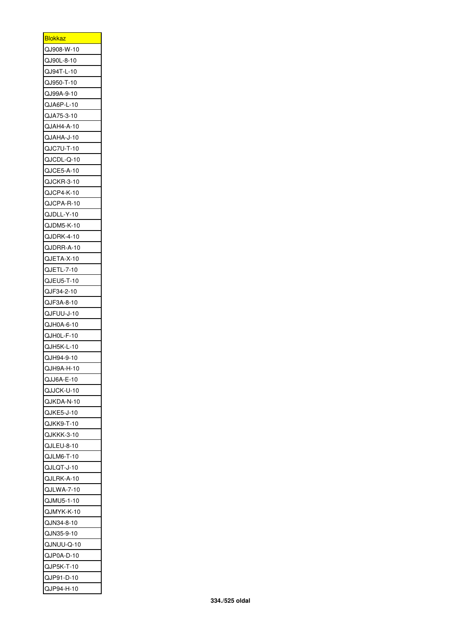| <b>Blokkaz</b>           |
|--------------------------|
| QJ908-W-10               |
| QJ90L-8-10               |
| QJ94T-L-10               |
| QJ950-T-10               |
| QJ99A-9-10               |
| QJA6P-L-10               |
| QJA75-3-10               |
| QJAH4-A-10               |
| QJAHA-J-10               |
| QJC7U-T-10               |
| QJCDL-Q-10               |
| QJCE5-A-10               |
| QJCKR-3-10               |
| QJCP4-K-10               |
| QJCPA-R-10               |
|                          |
| QJDLL-Y-10               |
| QJDM5-K-10               |
| QJDRK-4-10               |
| QJDRR-A-10               |
| QJETA-X-10               |
| QJETL-7-10               |
| QJEU5-T-10               |
| QJF34-2-10               |
| QJF3A-8-10               |
| QJFUU-J-10               |
| QJH0A-6-10               |
| QJH0L-F-10               |
| QJH5K-L-10               |
| QJH94-9-10               |
| QJH9A-H-10               |
| QJJ6A-E-10               |
| QJJCK-U-10               |
| QJKDA-N-10               |
| QJKE5-J-10               |
| QJKK9-T-10               |
| QJKKK-3-10               |
| QJLEU-8-10               |
| QJLM6-T-10               |
| QJLQT-J-10               |
| QJLRK-A-10               |
| QJLWA-7-10               |
|                          |
| QJMU5-1-10<br>QJMYK-K-10 |
|                          |
| QJN34-8-10               |
| QJN35-9-10               |
| QJNUU-Q-10               |
| QJP0A-D-10               |
| QJP5K-T-10               |
| QJP91-D-10               |
| QJP94-H-10               |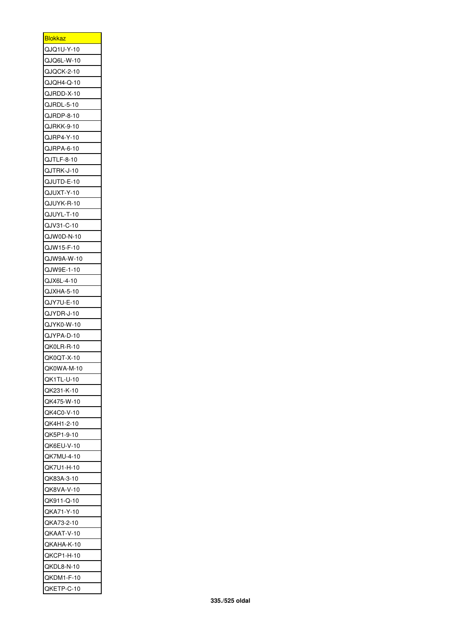| <b>Blokkaz</b> |
|----------------|
| QJQ1U-Y-10     |
| QJQ6L-W-10     |
| QJQCK-2-10     |
| QJQH4-Q-10     |
| QJRDD-X-10     |
| QJRDL-5-10     |
| QJRDP-8-10     |
| QJRKK-9-10     |
| QJRP4-Y-10     |
| QJRPA-6-10     |
| QJTLF-8-10     |
| QJTRK-J-10     |
| QJUTD-E-10     |
| QJUXT-Y-10     |
| QJUYK-R-10     |
| QJUYL-T-10     |
| QJV31-C-10     |
|                |
| QJW0D-N-10     |
| QJW15-F-10     |
| QJW9A-W-10     |
| QJW9E-1-10     |
| QJX6L-4-10     |
| QJXHA-5-10     |
| QJY7U-E-10     |
| QJYDR-J-10     |
| QJYK0-W-10     |
| QJYPA-D-10     |
| QK0LR-R-10     |
| QK0QT-X-10     |
| QK0WA-M-10     |
| QK1TL-U-10     |
| QK231-K-10     |
| QK475-W-10     |
| QK4C0-V-10     |
| QK4H1-2-10     |
| QK5P1-9-10     |
| QK6EU-V-10     |
| QK7MU-4-10     |
| QK7U1-H-10     |
| QK83A-3-10     |
| QK8VA-V-10     |
| QK911-Q-10     |
| QKA71-Y-10     |
| QKA73-2-10     |
| QKAAT-V-10     |
| QKAHA-K-10     |
| QKCP1-H-10     |
| QKDL8-N-10     |
| QKDM1-F-10     |
| QKETP-C-10     |
|                |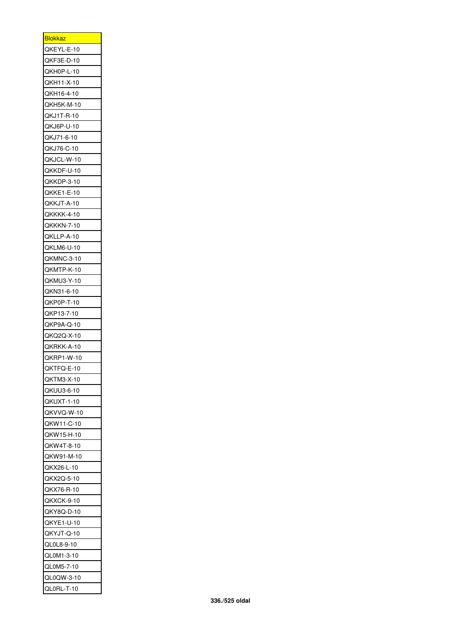| <b>Blokkaz</b> |
|----------------|
| QKEYL-E-10     |
| QKF3E-D-10     |
| QKH0P-L-10     |
| QKH11-X-10     |
| QKH16-4-10     |
| QKH5K-M-10     |
| QKJ1T-R-10     |
| QKJ6P-U-10     |
| QKJ71-6-10     |
| QKJ76-C-10     |
| QKJCL-W-10     |
| QKKDF-U-10     |
| QKKDP-3-10     |
| QKKE1-E-10     |
| QKKJT-A-10     |
| QKKKK-4-10     |
| QKKKN-7-10     |
|                |
| QKLLP-A-10     |
| QKLM6-U-10     |
| QKMNC-3-10     |
| QKMTP-K-10     |
| QKMU3-Y-10     |
| QKN31-6-10     |
| QKP0P-T-10     |
| QKP13-7-10     |
| QKP9A-Q-10     |
| QKQ2Q-X-10     |
| QKRKK-A-10     |
| QKRP1-W-10     |
| QKTFQ-E-10     |
| QKTM3-X-10     |
| QKUU3-6-10     |
| QKUXT-1-10     |
| QKVVQ-W-10     |
| QKW11-C-10     |
| QKW15-H-10     |
| QKW4T-8-10     |
| QKW91-M-10     |
| QKX26-L-10     |
| QKX2Q-5-10     |
| QKX76-R-10     |
| QKXCK-9-10     |
| QKY8Q-D-10     |
| QKYE1-U-10     |
| QKYJT-Q-10     |
| QL0L8-9-10     |
| QL0M1-3-10     |
| QL0M5-7-10     |
| QL0QW-3-10     |
| QL0RL-T-10     |
|                |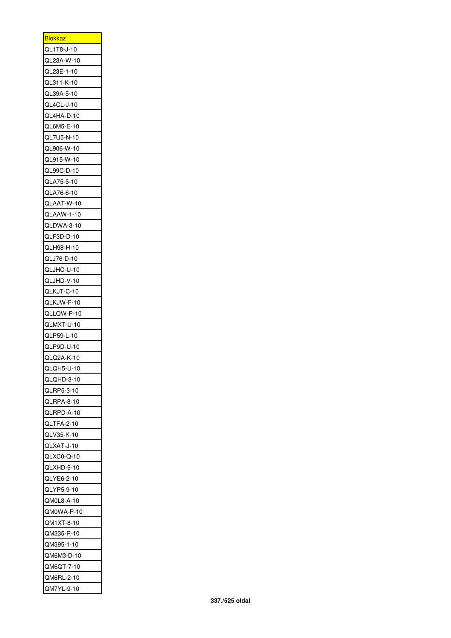| <b>Blokkaz</b>                                       |
|------------------------------------------------------|
| QL1T8-J-10                                           |
| QL23A-W-10                                           |
| QL23E-1-10                                           |
| QL311-K-10                                           |
| QL39A-5-10                                           |
| QL4CL-J-10                                           |
| QL4HA-D-10                                           |
| QL6M5-E-10                                           |
| QL7U5-N-10                                           |
| QL906-W-10                                           |
| QL915-W-10                                           |
| QL99C-D-10                                           |
| QLA75-5-10                                           |
| QLA76-6-10                                           |
| QLAAT-W-10                                           |
| QLAAW-1-10                                           |
| QLDWA-3-10                                           |
|                                                      |
| QLF3D-D-10                                           |
| QLH98-H-10                                           |
| QLJ76-D-10                                           |
| QLJHC-U-10                                           |
| QLJHD-V-10                                           |
| QLKJT-C-10                                           |
| QLKJW-F-10                                           |
| QLLQW-P-10                                           |
| QLMXT-U-10                                           |
| QLP59-L-10                                           |
| QLP9D-U-10                                           |
| QLQ2A-K-10                                           |
|                                                      |
| QLQH5-U-10                                           |
| QLQHD-3-10                                           |
| QLRP5-3-10                                           |
|                                                      |
|                                                      |
| QLTFA-2-10                                           |
| QLV35-K-10                                           |
| QLXAT-J-10                                           |
| QLXC0-Q-10                                           |
| QLXHD-9-10                                           |
|                                                      |
| QLYP5-9-10                                           |
| QM0L8-A-10                                           |
| QLRPA-8-10<br>QLRPD-A-10<br>QLYE6-2-10<br>QM0WA-P-10 |
| QM1XT-8-10                                           |
|                                                      |
|                                                      |
| QM235-R-10<br>QM395-1-10<br>QM6M3-D-10               |
|                                                      |
| QM6QT-7-10<br>QM6RL-2-10                             |
| QM7YL-9-10                                           |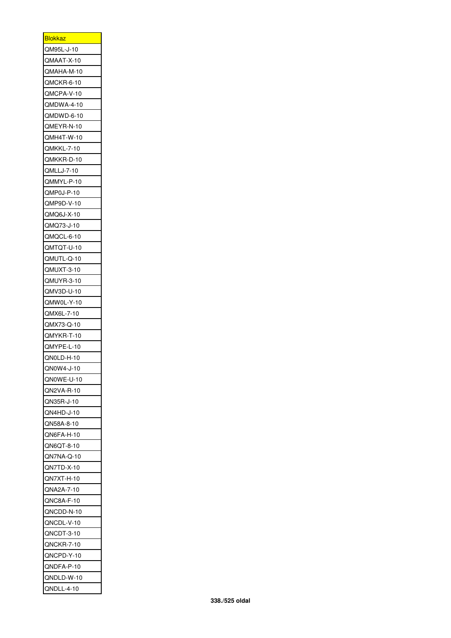| <u>Blokkaz</u> |
|----------------|
| QM95L-J-10     |
| QMAAT-X-10     |
| QMAHA-M-10     |
| QMCKR-6-10     |
| QMCPA-V-10     |
| QMDWA-4-10     |
| QMDWD-6-10     |
| QMEYR-N-10     |
| QMH4T-W-10     |
| QMKKL-7-10     |
| QMKKR-D-10     |
| QMLLJ-7-10     |
| QMMYL-P-10     |
| QMP0J-P-10     |
| QMP9D-V-10     |
| QMQ6J-X-10     |
| QMQ73-J-10     |
|                |
| QMQCL-6-10     |
| QMTQT-U-10     |
| QMUTL-Q-10     |
| QMUXT-3-10     |
| QMUYR-3-10     |
| QMV3D-U-10     |
| QMW0L-Y-10     |
| QMX6L-7-10     |
| QMX73-Q-10     |
| QMYKR-T-10     |
| QMYPE-L-10     |
| QN0LD-H-10     |
| QN0W4-J-10     |
| QN0WE-U-10     |
| QN2VA-R-10     |
| QN35R-J-10     |
| QN4HD-J-10     |
| QN58A-8-10     |
| QN6FA-H-10     |
| QN6QT-8-10     |
| QN7NA-Q-10     |
| QN7TD-X-10     |
| QN7XT-H-10     |
| QNA2A-7-10     |
| QNC8A-F-10     |
| QNCDD-N-10     |
| QNCDL-V-10     |
| QNCDT-3-10     |
| QNCKR-7-10     |
| QNCPD-Y-10     |
| QNDFA-P-10     |
| QNDLD-W-10     |
| QNDLL-4-10     |
|                |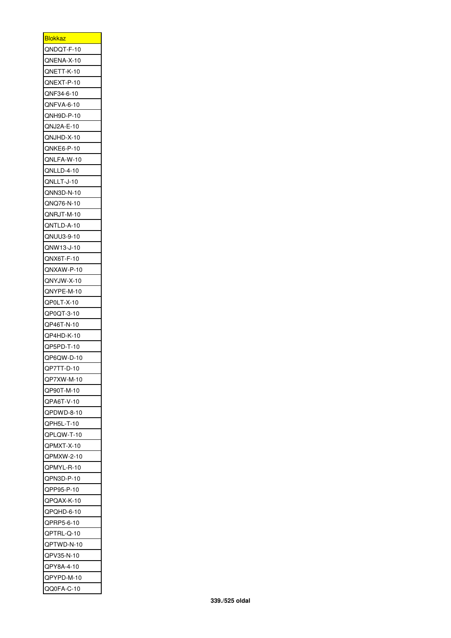| <u>Blokkaz</u> |
|----------------|
| QNDQT-F-10     |
| QNENA-X-10     |
| QNETT-K-10     |
| QNEXT-P-10     |
| QNF34-6-10     |
| QNFVA-6-10     |
| QNH9D-P-10     |
| QNJ2A-E-10     |
| QNJHD-X-10     |
| QNKE6-P-10     |
| QNLFA-W-10     |
| QNLLD-4-10     |
| QNLLT-J-10     |
| QNN3D-N-10     |
|                |
| QNQ76-N-10     |
| QNRJT-M-10     |
| QNTLD-A-10     |
| QNUU3-9-10     |
| QNW13-J-10     |
| QNX6T-F-10     |
| QNXAW-P-10     |
| QNYJW-X-10     |
| QNYPE-M-10     |
| QP0LT-X-10     |
| QP0QT-3-10     |
| QP46T-N-10     |
| QP4HD-K-10     |
| QP5PD-T-10     |
| QP6QW-D-10     |
| QP7TT-D-10     |
| QP7XW-M-10     |
| QP90T-M-10     |
| QPA6T-V-10     |
| QPDWD-8-10     |
| QPH5L-T-10     |
| QPLQW-T-10     |
| QPMXT-X-10     |
| QPMXW-2-10     |
| QPMYL-R-10     |
|                |
| QPN3D-P-10     |
| QPP95-P-10     |
| QPQAX-K-10     |
| QPQHD-6-10     |
| QPRP5-6-10     |
| QPTRL-Q-10     |
| QPTWD-N-10     |
| QPV35-N-10     |
| QPY8A-4-10     |
| QPYPD-M-10     |
| QQ0FA-C-10     |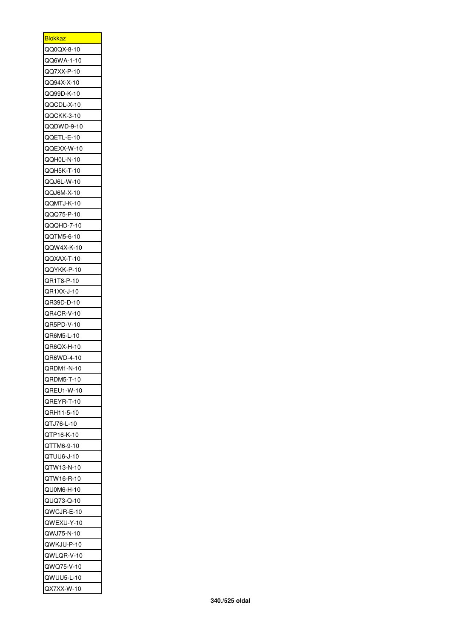| <u>Blokkaz</u> |
|----------------|
| QQ0QX-8-10     |
| QQ6WA-1-10     |
| QQ7XX-P-10     |
| QQ94X-X-10     |
| QQ99D-K-10     |
| QQCDL-X-10     |
| QQCKK-3-10     |
| QQDWD-9-10     |
| QQETL-E-10     |
| QQEXX-W-10     |
| QQH0L-N-10     |
| QQH5K-T-10     |
| QQJ6L-W-10     |
| QQJ6M-X-10     |
| QQMTJ-K-10     |
|                |
| QQQ75-P-10     |
| QQQHD-7-10     |
| QQTM5-6-10     |
| QQW4X-K-10     |
| QQXAX-T-10     |
| QQYKK-P-10     |
| QR1T8-P-10     |
| QR1XX-J-10     |
| QR39D-D-10     |
| QR4CR-V-10     |
| QR5PD-V-10     |
| QR6M5-L-10     |
| QR6QX-H-10     |
| QR6WD-4-10     |
| QRDM1-N-10     |
| QRDM5-T-10     |
| QREU1-W-10     |
| QREYR-T-10     |
| QRH11-5-10     |
| QTJ76-L-10     |
| QTP16-K-10     |
| QT<br>TM6-9-10 |
| QTUU6-J-10     |
| QTW13-N-10     |
| QTW16-R-10     |
| QU0M6-H-10     |
| QUQ73-Q-10     |
| QWCJR-E-10     |
| QWEXU-Y-10     |
| QWJ75-N-10     |
| QWKJU-P-10     |
|                |
| QWLQR-V-10     |
| QWQ75-V-10     |
| QWUU5-L-10     |
| QX7XX-W-10     |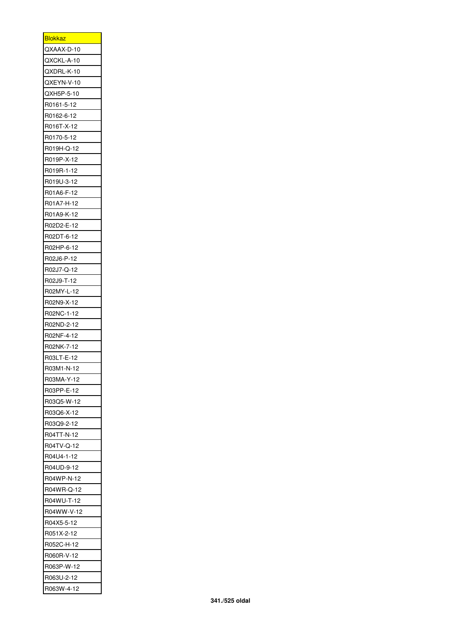| <u>Blokkaz</u>           |
|--------------------------|
| QXAAX-D-10               |
| QXCKL-A-10               |
| QXDRL-K-10               |
| QXEYN-V-10               |
| QXH5P-5-10               |
| R0161-5-12               |
| R0162-6-12               |
| R016T-X-12               |
| R0170-5-12               |
| R019H-Q-12               |
| R019P-X-12               |
| R019R-1-12               |
| R019U-3-12               |
| R01A6-F-12               |
| R01A7-H-12               |
| R01A9-K-12               |
| R02D2-E-12               |
| R02DT-6-12               |
| R02HP-6-12               |
| R02J6-P-12               |
| R02J7-Q-12               |
| R02J9-T-12               |
|                          |
| R02MY-L-12<br>R02N9-X-12 |
|                          |
| R02NC-1-12               |
| R02ND-2-12               |
| R02NF-4-12               |
| R02NK-7-12               |
| R03LT-E-12               |
| R03M1-N-12               |
| R03MA-Y-12               |
| R03PP-E-12               |
| R03Q5-W-12               |
| R03Q6-X-12               |
| R03Q9-2-12               |
| R04TT-N-12               |
| R04TV-Q-12               |
| R04U4-1-12               |
| R04UD-9-12               |
| R04WP-N-12               |
| R04WR-Q-12               |
| R04WU-T-12               |
| R04WW-V-12               |
| R04X5-5-12               |
| R051X-2-12               |
| R052C-H-12               |
| R060R-V-12               |
| R063P-W-12               |
| R063U-2-12               |
| R063W-4-12               |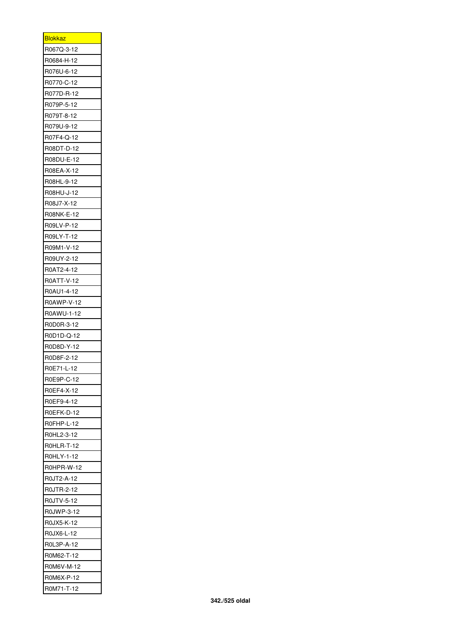| <b>Blokkaz</b>           |
|--------------------------|
| R067Q-3-12               |
| R0684-H-12               |
| R076U-6-12               |
| R0770-C-12               |
| R077D-R-12               |
| R079P-5-12               |
| R079T-8-12               |
| R079U-9-12               |
| R07F4-Q-12               |
| R08DT-D-12               |
| R08DU-E-12               |
| R08EA-X-12               |
| R08HL-9-12               |
| R08HU-J-12               |
| R08J7-X-12               |
| R08NK-E-12               |
| R09LV-P-12               |
| R09LY-T-12               |
| R09M1-V-12               |
| R09UY-2-12               |
| R0AT2-4-12               |
| R0ATT-V-12               |
| R0AU1-4-12               |
| R0AWP-V-12               |
| R0AWU-1-12               |
| R0D0R-3-12               |
| R0D1D-Q-12               |
| R0D8D-Y-12               |
| R0D8F-2-12               |
| R0E71-L-12               |
| R0E9P-C-12               |
| R0EF4-X-12               |
| R0EF9-4-12               |
| R0EFK-D-12               |
| R0FHP-L-12               |
| R0HL2-3-12               |
| R0HLR-T-12               |
| R0HLY-1-12               |
| R0HPR-W-12               |
| R0JT2-A-12               |
| R0JTR-2-12               |
| R0JTV-5-12               |
| R0JWP-3-12               |
| R0JX5-K-12               |
|                          |
| R0JX6-L-12               |
| R0L3P-A-12               |
| R0M62-T-12               |
| R0M6V-M-12               |
| R0M6X-P-12<br>R0M71-T-12 |
|                          |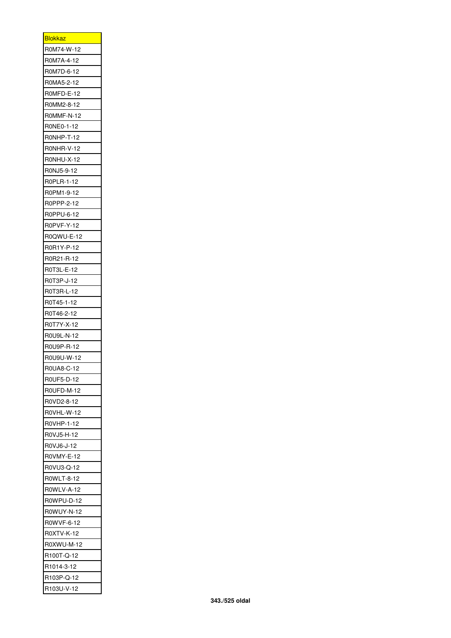| <b>Blokkaz</b> |
|----------------|
| R0M74-W-12     |
| R0M7A-4-12     |
| R0M7D-6-12     |
| R0MA5-2-12     |
| R0MFD-E-12     |
| R0MM2-8-12     |
| R0MMF-N-12     |
| R0NE0-1-12     |
| R0NHP-T-12     |
| R0NHR-V-12     |
| R0NHU-X-12     |
| R0NJ5-9-12     |
| R0PLR-1-12     |
| R0PM1-9-12     |
| R0PPP-2-12     |
| R0PPU-6-12     |
| R0PVF-Y-12     |
| R0QWU-E-12     |
| R0R1Y-P-12     |
| R0R21-R-12     |
| R0T3L-E-12     |
| R0T3P-J-12     |
| R0T3R-L-12     |
| R0T45-1-12     |
| R0T46-2-12     |
| R0T7Y-X-12     |
| R0U9L-N-12     |
| R0U9P-R-12     |
| R0U9U-W-12     |
| R0UA8-C-12     |
| R0UF5-D-12     |
| R0UFD-M-12     |
| R0VD2-8-12     |
| R0VHL-W-12     |
| R0VHP-1-12     |
| R0VJ5-H-12     |
| R0VJ6-J-12     |
| R0VMY-E-12     |
| R0VU3-Q-12     |
| R0WLT-8-12     |
| R0WLV-A-12     |
| R0WPU-D-12     |
| R0WUY-N-12     |
| R0WVF-6-12     |
| R0XTV-K-12     |
| R0XWU-M-12     |
| R100T-Q-12     |
| R1014-3-12     |
| R103P-Q-12     |
| R103U-V-12     |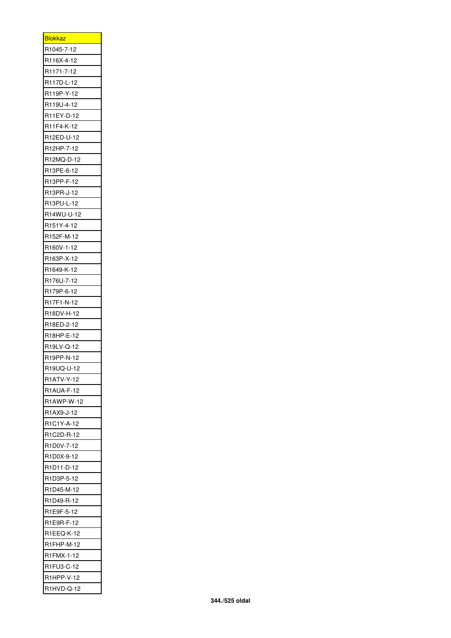| <b>Blokkaz</b> |
|----------------|
| R1045-7-12     |
| R116X-4-12     |
| R1171-7-12     |
| R117D-L-12     |
| R119P-Y-12     |
| R119U-4-12     |
| R11EY-D-12     |
| R11F4-K-12     |
| R12ED-U-12     |
| R12HP-7-12     |
| R12MQ-D-12     |
| R13PE-6-12     |
| R13PP-F-12     |
| R13PR-J-12     |
| R13PU-L-12     |
| R14WU-U-12     |
| R151Y-4-12     |
| R152F-M-12     |
| R160V-1-12     |
|                |
| R163P-X-12     |
| R1649-K-12     |
| R176U-7-12     |
| R179P-6-12     |
| R17F1-N-12     |
| R18DV-H-12     |
| R18ED-2-12     |
| R18HP-E-12     |
| R19LV-Q-12     |
| R19PP-N-12     |
| R19UQ-U-12     |
| R1ATV-Y-12     |
| R1AUA-F-12     |
| R1AWP-W-12     |
| R1AX9-J-12     |
| R1C1Y-A-12     |
| R1C2D-R-12     |
| R1D0V-7-12     |
| R1D0X-9-12     |
| R1D11-D-12     |
| R1D3P-5-12     |
| R1D45-M-12     |
| R1D49-R-12     |
| R1E9F-5-12     |
| R1E9R-F-12     |
| R1EEQ-K-12     |
| R1FHP-M-12     |
| R1FMX-1-12     |
| R1FU3-C-12     |
| R1HPP-V-12     |
| R1HVD-Q-12     |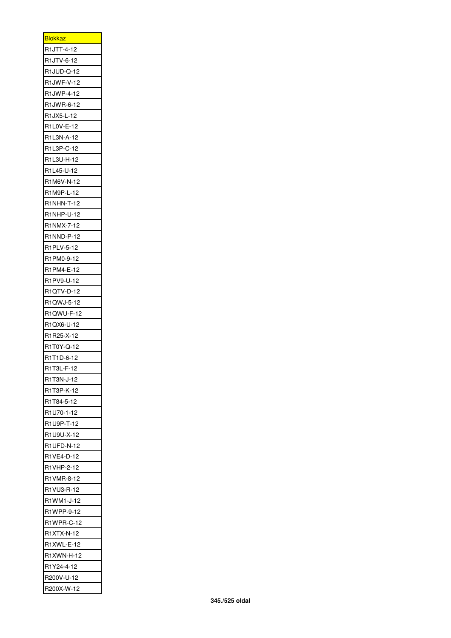| <b>Blokkaz</b> |
|----------------|
| R1JTT-4-12     |
| R1JTV-6-12     |
| R1JUD-Q-12     |
| R1JWF-V-12     |
| R1JWP-4-12     |
| R1JWR-6-12     |
| R1JX5-L-12     |
| R1L0V-E-12     |
| R1L3N-A-12     |
| R1L3P-C-12     |
| R1L3U-H-12     |
| R1L45-U-12     |
| R1M6V-N-12     |
| R1M9P-L-12     |
| R1NHN-T-12     |
| R1NHP-U-12     |
| R1NMX-7-12     |
| R1NND-P-12     |
| R1PLV-5-12     |
| R1PM0-9-12     |
| R1PM4-E-12     |
| R1PV9-U-12     |
| R1QTV-D-12     |
| R1QWJ-5-12     |
| R1QWU-F-12     |
| R1QX6-U-12     |
| R1R25-X-12     |
| R1T0Y-Q-12     |
| R1T1D-6-12     |
| R1T3L-F-12     |
| R1T3N-J-12     |
| R1T3P-K-12     |
| R1T84-5-12     |
| R1U70-1-12     |
| R1U9P-T-12     |
| R1U9U-X-12     |
|                |
| R1UFD-N-12     |
| R1VE4-D-12     |
| R1VHP-2-12     |
| R1VMR-8-12     |
| R1VU3-R-12     |
| R1WM1-J-12     |
| R1WPP-9-12     |
| R1WPR-C-12     |
| R1XTX-N-12     |
| R1XWL-E-12     |
| R1XWN-H-12     |
| R1Y24-4-12     |
| R200V-U-12     |
| R200X-W-12     |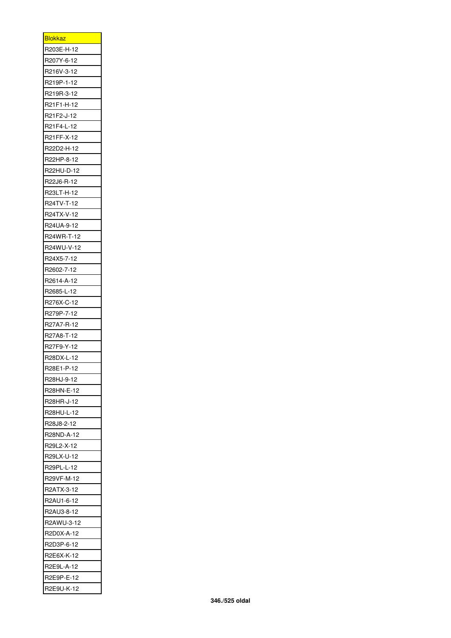| <u>Blokkaz</u> |
|----------------|
| R203E-H-12     |
| R207Y-6-12     |
| R216V-3-12     |
| R219P-1-12     |
| R219R-3-12     |
| R21F1-H-12     |
| R21F2-J-12     |
| R21F4-L-12     |
| R21FF-X-12     |
| R22D2-H-12     |
| R22HP-8-12     |
| R22HU-D-12     |
| R22J6-R-12     |
| R23LT-H-12     |
| R24TV-T-12     |
| R24TX-V-12     |
| R24UA-9-12     |
| R24WR-T-12     |
| R24WU-V-12     |
| R24X5-7-12     |
| R2602-7-12     |
| R2614-A-12     |
| R2685-L-12     |
| R276X-C-12     |
|                |
| R279P-7-12     |
| R27A7-R-12     |
| R27A8-T-12     |
| R27F9-Y-12     |
| R28DX-L-12     |
| R28E1-P-12     |
| R28HJ-9-12     |
| R28HN-E-12     |
| R28HR-J-12     |
| R28HU-L-12     |
| R28J8-2-12     |
| R28ND-A-12     |
| R29L2-X-12     |
| R29LX-U-12     |
| R29PL-L-12     |
| R29VF-M-12     |
| R2ATX-3-12     |
| R2AU1-6-12     |
| R2AU3-8-12     |
| R2AWU-3-12     |
| R2D0X-A-12     |
| R2D3P-6-12     |
| R2E6X-K-12     |
| R2E9L-A-12     |
| R2E9P-E-12     |
| R2E9U-K-12     |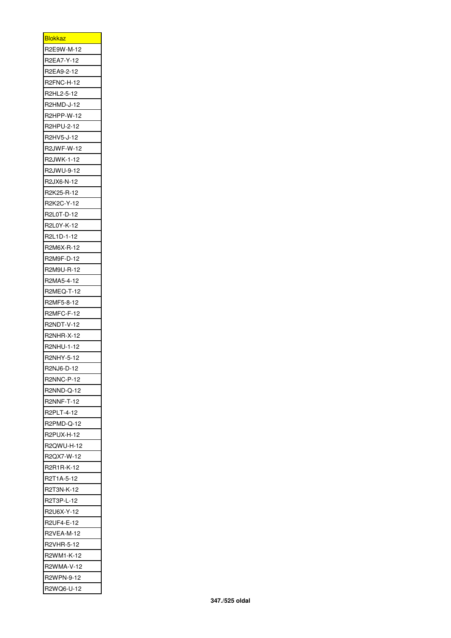| <b>Blokkaz</b>                  |
|---------------------------------|
| R2E9W-M-12                      |
| R2EA7-Y-12                      |
| R2EA9-2-12                      |
| R2FNC-H-12                      |
| R2HL2-5-12                      |
| R2HMD-J-12                      |
| R2HPP-W-12                      |
| R2HPU-2-12                      |
| R2HV5-J-12                      |
| <b>R2JWF-W-12</b>               |
| R2JWK-1-12                      |
| R2JWU-9-12                      |
| R2JX6-N-12                      |
| R2K25-R-12                      |
| R2K2C-Y-12                      |
| R2L0T-D-12                      |
| R2L0Y-K-12                      |
| R2L1D-1-12                      |
| R2M6X-R-12                      |
| R2M9F-D-12                      |
| R2M9U-R-12                      |
| R2MA5-4-12                      |
| R2MEQ-T-12                      |
| R2MF5-8-12                      |
| R2MFC-F-12                      |
| R2NDT-V-12                      |
| R2NHR-X-12                      |
| R2NHU-1-12                      |
| R2NHY-5-12                      |
|                                 |
| R2NJ6-D-12<br><b>R2NNC-P-12</b> |
|                                 |
| R2NND-Q-12<br>R2NNF-T-12        |
| R2PLT-4-12                      |
|                                 |
| R2PMD-Q-12                      |
| R2PUX-H-12                      |
| R2QWU-H-12                      |
| R2QX7-W-12                      |
| R2R1R-K-12                      |
| R2T1A-5-12                      |
| R2T3N-K-12                      |
| R2T3P-L-12                      |
| R2U6X-Y-12                      |
| R2UF4-E-12                      |
| R2VEA-M-12                      |
| R2VHR-5-12                      |
| R2WM1-K-12                      |
| R2WMA-V-12                      |
| R2WPN-9-12                      |
| R2WQ6-U-12                      |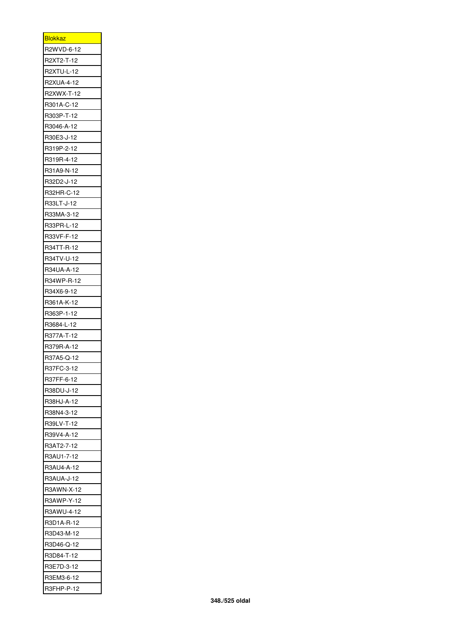| <u>Blokkaz</u>           |
|--------------------------|
| R2WVD-6-12               |
| R2XT2-T-12<br>R2XTU-L-12 |
|                          |
| R2XUA-4-12               |
| R2XWX-T-12               |
| R301A-C-12               |
| R303P-T-12               |
| R3046-A-12               |
| R30E3-J-12               |
| R319P-2-12               |
| R319R-4-12               |
| R31A9-N-12               |
| R32D2-J-12               |
| R32HR-C-12               |
| R33LT-J-12               |
| R33MA-3-12               |
| R33PR-L-12               |
| R33VF-F-12               |
| R34TT-R-12               |
| R34TV-U-12               |
| R34UA-A-12               |
| R34WP-R-12               |
| R34X6-9-12               |
| R361A-K-12               |
| R363P-1-12               |
| R3684-L-12               |
| R377A-T-12               |
| R379R-A-12               |
| R37A5-Q-12               |
| R37FC-3-12               |
| R37FF-6-12               |
| R38DU-J-12               |
| R38HJ-A-12               |
| R38N4-3-12               |
| R39LV-T-12               |
| R39V4-A-12               |
| R3AT2-7-12               |
| R3AU1-7-12               |
| R3AU4-A-12               |
| R3AUA-J-12               |
| R3AWN-X-12               |
| R3AWP-Y-12               |
| R3AWU-4-12               |
| R3D1A-R-12               |
| R3D43-M-12               |
| R3D46-Q-12               |
| R3D84-T-12               |
| R3E7D-3-12               |
| R3EM3-6-12               |
| R3FHP-P-12               |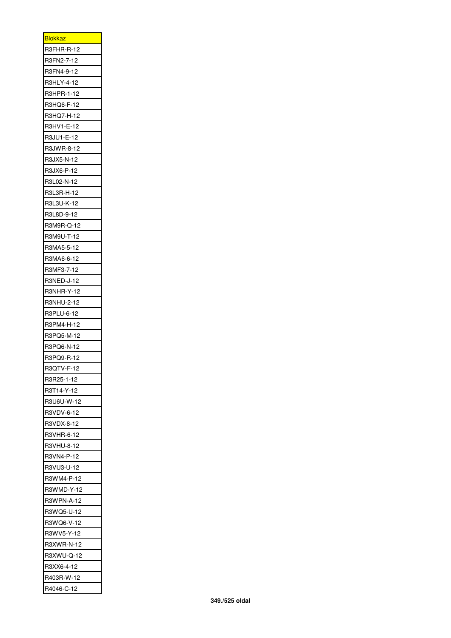| <u>Blokkaz</u> |
|----------------|
| R3FHR-R-12     |
| R3FN2-7-12     |
| R3FN4-9-12     |
| R3HLY-4-12     |
| R3HPR-1-12     |
| R3HQ6-F-12     |
| R3HQ7-H-12     |
| R3HV1-E-12     |
| R3JU1-E-12     |
| R3JWR-8-12     |
| R3JX5-N-12     |
| R3JX6-P-12     |
| R3L02-N-12     |
| R3L3R-H-12     |
| R3L3U-K-12     |
| R3L8D-9-12     |
| R3M9R-Q-12     |
| R3M9U-T-12     |
| R3MA5-5-12     |
| R3MA6-6-12     |
| R3MF3-7-12     |
| R3NED-J-12     |
| R3NHR-Y-12     |
| R3NHU-2-12     |
| R3PLU-6-12     |
| R3PM4-H-12     |
| R3PQ5-M-12     |
| R3PQ6-N-12     |
| R3PQ9-R-12     |
| R3QTV-F-12     |
| R3R25-1-12     |
| R3T14-Y-12     |
| R3U6U-W-12     |
| R3VDV-6-12     |
| R3VDX-8-12     |
| R3VHR-6-12     |
| R3VHU-8-12     |
| R3VN4-P-12     |
| R3VU3-U-12     |
|                |
| R3WM4-P-12     |
| R3WMD-Y-12     |
| R3WPN-A-12     |
| R3WQ5-U-12     |
| R3WQ6-V-12     |
| R3WV5-Y-12     |
| R3XWR-N-12     |
| R3XWU-Q-12     |
| R3XX6-4-12     |
| R403R-W-12     |
| R4046-C-12     |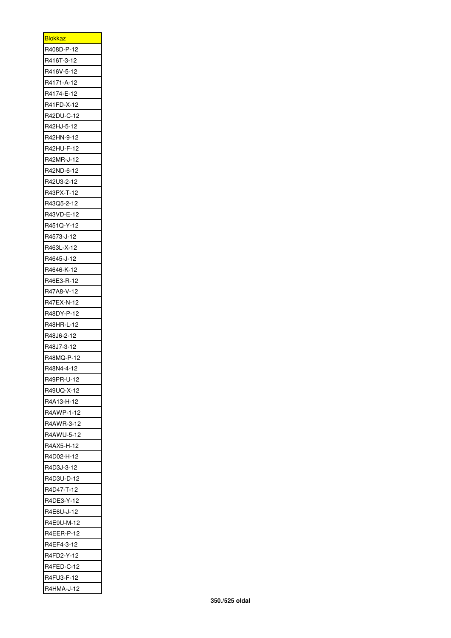| <b>Blokkaz</b> |
|----------------|
| R408D-P-12     |
| R416T-3-12     |
| R416V-5-12     |
| R4171-A-12     |
| R4174-E-12     |
| R41FD-X-12     |
| R42DU-C-12     |
| R42HJ-5-12     |
| R42HN-9-12     |
| R42HU-F-12     |
| R42MR-J-12     |
| R42ND-6-12     |
| R42U3-2-12     |
| R43PX-T-12     |
| R43Q5-2-12     |
| R43VD-E-12     |
| R451Q-Y-12     |
| R4573-J-12     |
| R463L-X-12     |
| R4645-J-12     |
| R4646-K-12     |
| R46E3-R-12     |
| R47A8-V-12     |
| R47EX-N-12     |
| R48DY-P-12     |
| R48HR-L-12     |
| R48J6-2-12     |
| R48J7-3-12     |
| R48MQ-P-12     |
| R48N4-4-12     |
| R49PR-U-12     |
| R49UQ-X-12     |
| R4A13-H-12     |
| R4AWP-1-12     |
| R4AWR-3-12     |
| R4AWU-5-12     |
| R4AX5-H-12     |
| R4D02-H-12     |
| R4D3J-3-12     |
| R4D3U-D-12     |
| R4D47-T-12     |
| R4DE3-Y-12     |
| R4E6U-J-12     |
| R4E9U-M-12     |
| R4EER-P-12     |
| R4EF4-3-12     |
| R4FD2-Y-12     |
| R4FED-C-12     |
| R4FU3-F-12     |
| R4HMA-J-12     |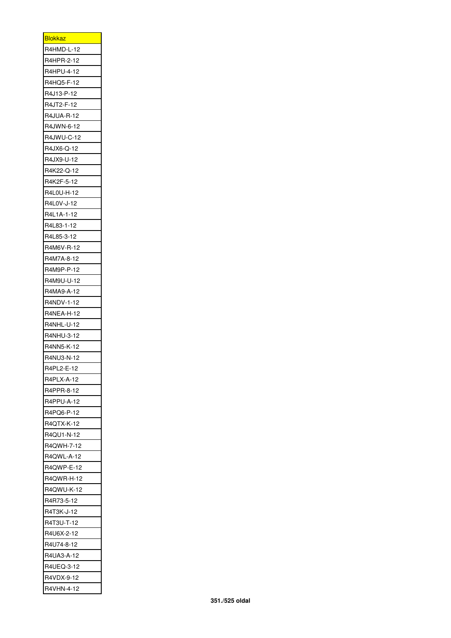| <b>Blokkaz</b>  |
|-----------------|
| R4HMD-L-12      |
| R4HPR-2-12      |
| R4HPU-4-12      |
| R4HQ5-F-12      |
| R4J13-P-12      |
| R4JT2-F-12      |
| R4JUA-R-12      |
| R4JWN-6-12      |
| R4JWU-C-12      |
| R4JX6-Q-12      |
| R4JX9-U-12      |
| R4K22-Q-12      |
| R4K2F-5-12      |
| R4L0U-H-12      |
| R4L0V-J-12      |
| R4L1A-1-12      |
| R4L83-1-12      |
|                 |
| R4L85-3-12      |
| R4M6V-R-12      |
| R4M7A-8-12      |
| R4M9P-P-12      |
| R4M9U-U-12      |
| R4MA9-A-12      |
| R4NDV-1-12      |
| R4NEA-H-12      |
| R4NHL-U-12      |
| R4NHU-3-12      |
| R4NN5-K-12      |
| R4NU3-N-12      |
| 84PL2-E-12<br>F |
| R4PLX-A-12      |
| R4PPR-8-12      |
| R4PPU-A-12      |
| R4PQ6-P-12      |
| R4QTX-K-12      |
| R4QU1-N-12      |
| R4QWH-7-12      |
| R4QWL-A-12      |
| R4QWP-E-12      |
| R4QWR-H-12      |
| R4QWU-K-12      |
| R4R73-5-12      |
|                 |
| R4T3K-J-12      |
| R4T3U-T-12      |
| R4U6X-2-12      |
| R4U74-8-12      |
| R4UA3-A-12      |
| R4UEQ-3-12      |
| R4VDX-9-12      |
| R4VHN-4-12      |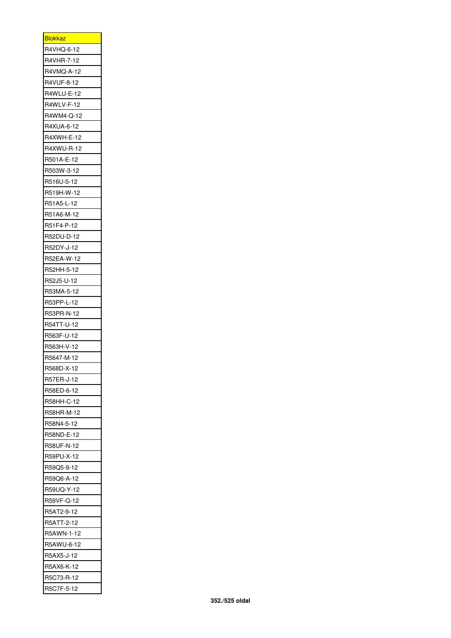| <u>Blokkaz</u> |
|----------------|
| R4VHQ-6-12     |
| R4VHR-7-12     |
| R4VMQ-A-12     |
| R4VUF-8-12     |
| R4WLU-E-12     |
| R4WLV-F-12     |
| R4WM4-Q-12     |
| R4XUA-6-12     |
| R4XWH-E-12     |
| R4XWU-R-12     |
| R501A-E-12     |
| R503W-3-12     |
| R516U-5-12     |
| R519H-W-12     |
| R51A5-L-12     |
| R51A6-M-12     |
| R51F4-P-12     |
| R52DU-D-12     |
| R52DY-J-12     |
| R52EA-W-12     |
| R52HH-5-12     |
| R52J5-U-12     |
| R53MA-5-12     |
| R53PP-L-12     |
| R53PR-N-12     |
| R54TT-U-12     |
| R563F-U-12     |
|                |
| R563H-V-12     |
| R5647-M-12     |
| R568D-X-12     |
| R57ER-J-12     |
| R58ED-6-12     |
| R58HH-C-12     |
| R58HR-M-12     |
| R58N4-5-12     |
| R58ND-E-12     |
| R58UF-N-12     |
| R59PU-X-12     |
| R59Q5-9-12     |
| R59Q6-A-12     |
| R59UQ-Y-12     |
| R59VF-Q-12     |
| R5AT2-9-12     |
| R5ATT-2-12     |
| R5AWN-1-12     |
| R5AWU-6-12     |
| R5AX5-J-12     |
| R5AX6-K-12     |
| R5C73-R-12     |
| R5C7F-5-12     |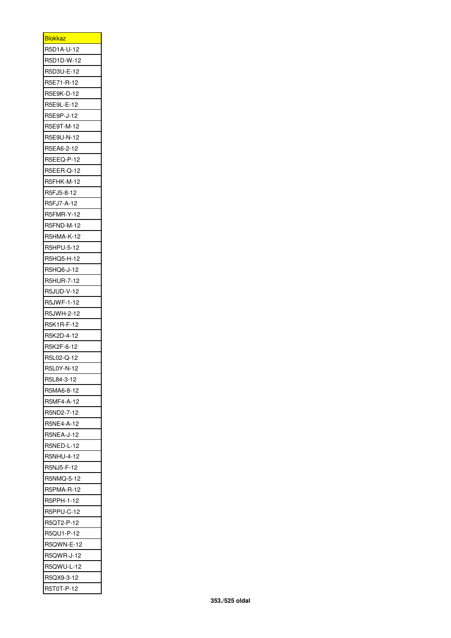| <b>Blokkaz</b>    |
|-------------------|
| R5D1A-U-12        |
| R5D1D-W-12        |
| R5D3U-E-12        |
| R5E71-R-12        |
| R5E9K-D-12        |
| R5E9L-E-12        |
| R5E9P-J-12        |
| R5E9T-M-12        |
| R5E9U-N-12        |
| R5EA6-2-12        |
| R5EEQ-P-12        |
| R5EER-Q-12        |
| R5FHK-M-12        |
| R5FJ5-8-12        |
| R5FJ7-A-12        |
| R5FMR-Y-12        |
| <b>R5FND-M-12</b> |
| <b>R5HMA-K-12</b> |
| R5HPU-5-12        |
| R5HQ5-H-12        |
|                   |
| R5HQ6-J-12        |
| R5HUR-7-12        |
| <b>R5JUD-V-12</b> |
| R5JWF-1-12        |
| R5JWH-2-12        |
| R5K1R-F-12        |
| R5K2D-4-12        |
| R5K2F-6-12        |
| R5L02-Q-12        |
| R5L0Y-N-12        |
| R5L84-3-12        |
| R5MA6-8-12        |
| R5MF4-A-12        |
| R5ND2-7-12        |
| R5NE4-A-12        |
| R5NEA-J-12        |
| <b>R5NED-L-12</b> |
| R5NHU-4-12        |
| R5NJ5-F-12        |
| R5NMQ-5-12        |
| <b>R5PMA-R-12</b> |
| R5PPH-1-12        |
| R5PPU-C-12        |
| R5QT2-P-12        |
| R5QU1-P-12        |
| R5QWN-E-12        |
| R5QWR-J-12        |
| R5QWU-L-12        |
| R5QX9-3-12        |
| R5T0T-P-12        |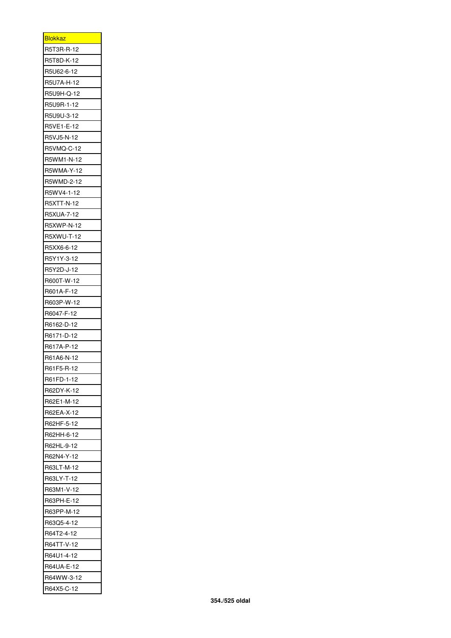| <u>Blokkaz</u>           |
|--------------------------|
| R5T3R-R-12               |
| R5T8D-K-12               |
| R5U62-6-12               |
| R5U7A-H-12               |
| R5U9H-Q-12               |
| R5U9R-1-12               |
| R5U9U-3-12               |
| R5VE1-E-12               |
| R5VJ5-N-12               |
| R5VMQ-C-12               |
| R5WM1-N-12               |
| R5WMA-Y-12               |
| R5WMD-2-12               |
| R5WV4-1-12               |
| R5XTT-N-12               |
| R5XUA-7-12               |
| R5XWP-N-12               |
| R5XWU-T-12               |
| R5XX6-6-12               |
| R5Y1Y-3-12               |
| R5Y2D-J-12               |
| R600T-W-12               |
| R601A-F-12               |
| R603P-W-12               |
| R6047-F-12               |
|                          |
| R6162-D-12<br>R6171-D-12 |
| R617A-P-12               |
|                          |
| R61A6-N-12               |
| R61F5-R-12<br>R61FD-1-12 |
|                          |
| R62DY-K-12               |
| R62E1-M-12               |
| R62EA-X-12               |
| R62HF-5-12               |
| R62HH-6-12               |
| R62HL-9-12               |
| R62N4-Y-12               |
| R63LT-M-12               |
| R63LY-T-12               |
| R63M1-V-12               |
| R63PH-E-12               |
| R63PP-M-12               |
| R63Q5-4-12               |
| R64T2-4-12               |
| R64TT-V-12               |
| R64U1-4-12               |
| R64UA-E-12               |
| R64WW-3-12               |
| R64X5-C-12               |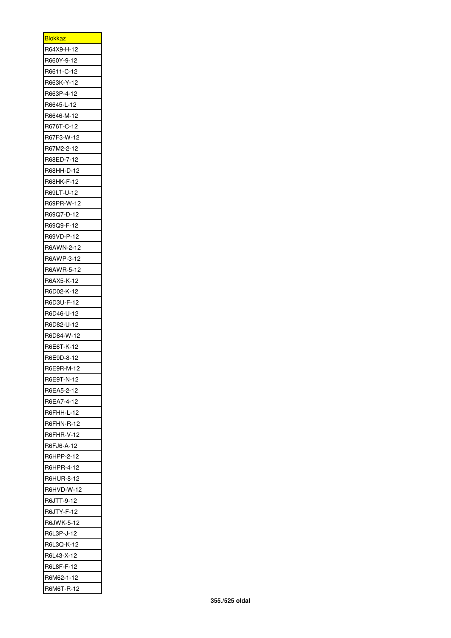| <u>Blokkaz</u>    |
|-------------------|
| R64X9-H-12        |
| R660Y-9-12        |
| R6611-C-12        |
| R663K-Y-12        |
| R663P-4-12        |
| R6645-L-12        |
| R6646-M-12        |
| R676T-C-12        |
| R67F3-W-12        |
| R67M2-2-12        |
| R68ED-7-12        |
| R68HH-D-12        |
| R68HK-F-12        |
| R69LT-U-12        |
| R69PR-W-12        |
| R69Q7-D-12        |
| R69Q9-F-12        |
| R69VD-P-12        |
| R6AWN-2-12        |
| R6AWP-3-12        |
| R6AWR-5-12        |
|                   |
| R6AX5-K-12        |
| R6D02-K-12        |
| R6D3U-F-12        |
| R6D46-U-12        |
| R6D82-U-12        |
| R6D84-W-12        |
| R6E6T-K-12        |
| R6E9D-8-12        |
| R6E9R-M-12        |
| R6E9T-N-12        |
| R6EA5-2-12        |
| R6EA7-4-12        |
| R6FHH-L-12        |
| <b>R6FHN-R-12</b> |
| R6FHR-V-12        |
| R6FJ6-A-12        |
| R6HPP-2-12        |
| R6HPR-4-12        |
| R6HUR-8-12        |
| R6HVD-W-12        |
| R6JTT-9-12        |
| R6JTY-F-12        |
| R6JWK-5-12        |
| R6L3P-J-12        |
| R6L3Q-K-12        |
| R6L43-X-12        |
| R6L8F-F-12        |
| R6M62-1-12        |
| R6M6T-R-12        |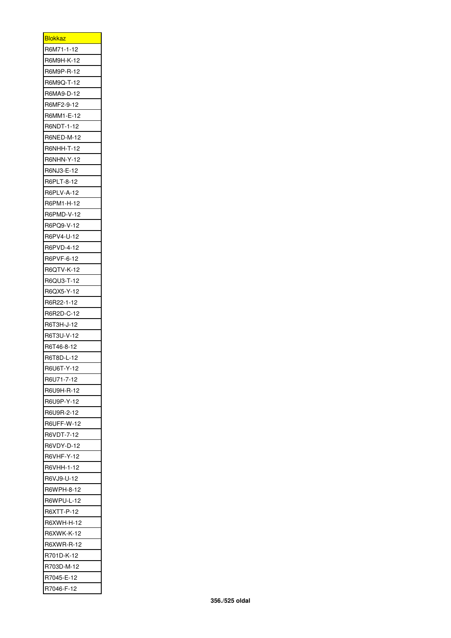| <b>Blokkaz</b>           |
|--------------------------|
| R6M71-1-12               |
| R6M9H-K-12               |
| R6M9P-R-12               |
| R6M9Q-T-12               |
| R6MA9-D-12               |
| R6MF2-9-12               |
| R6MM1-E-12               |
| R6NDT-1-12               |
| R6NED-M-12               |
| R6NHH-T-12               |
| R6NHN-Y-12               |
| R6NJ3-E-12               |
| R6PLT-8-12               |
| R6PLV-A-12               |
| R6PM1-H-12               |
| R6PMD-V-12               |
| R6PQ9-V-12               |
| R6PV4-U-12               |
| R6PVD-4-12               |
| R6PVF-6-12               |
| R6QTV-K-12               |
|                          |
| R6QU3-T-12               |
| R6QX5-Y-12<br>R6R22-1-12 |
|                          |
| R6R2D-C-12               |
| R6T3H-J-12               |
| R6T3U-V-12               |
| R6T46-8-12               |
| R6T8D-L-12               |
| R6U6T-Y-12               |
| R6U71-7-12               |
| R6U9H-R-12               |
| R6U9P-Y-12               |
| R6U9R-2-12               |
| R6UFF-W-12               |
| R6VDT-7-12               |
| R6VDY-D-12               |
| R6VHF-Y-12               |
| R6VHH-1-12               |
| R6VJ9-U-12               |
| R6WPH-8-12               |
| R6WPU-L-12               |
| R6XTT-P-12               |
| R6XWH-H-12               |
| R6XWK-K-12               |
| R6XWR-R-12               |
| R701D-K-12               |
| R703D-M-12               |
| R7045-E-12               |
| R7046-F-12               |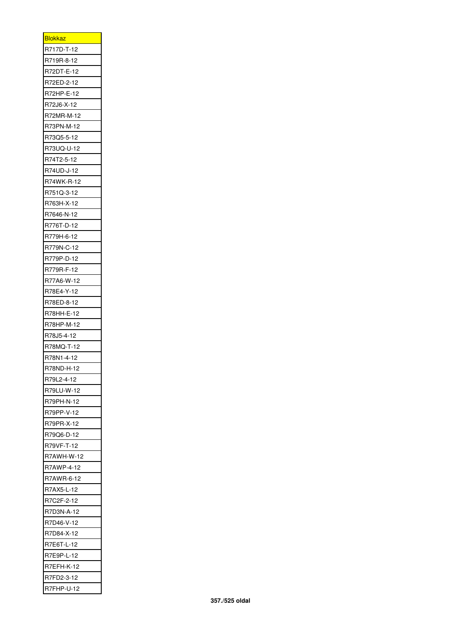| <u>Blokkaz</u>    |
|-------------------|
| R717D-T-12        |
| R719R-8-12        |
| R72DT-E-12        |
| R72ED-2-12        |
| R72HP-E-12        |
| R72J6-X-12        |
| R72MR-M-12        |
| R73PN-M-12        |
| R73Q5-5-12        |
| R73UQ-U-12        |
| R74T2-5-12        |
| R74UD-J-12        |
| R74WK-R-12        |
| R751Q-3-12        |
| R763H-X-12        |
|                   |
| R7646-N-12        |
| R776T-D-12        |
| R779H-6-12        |
| R779N-C-12        |
| R779P-D-12        |
| R779R-F-12        |
| R77A6-W-12        |
| R78E4-Y-12        |
| R78ED-8-12        |
| R78HH-E-12        |
| R78HP-M-12        |
| R78J5-4-12        |
| R78MQ-T-12        |
| R78N1-4-12        |
| R78ND-H-12        |
| R79L2-4-12        |
| R79LU-W-12        |
| R79PH-N-12        |
| R79PP-V-12        |
| R79PR-X-12        |
| R79Q6-D-12        |
|                   |
| R79VF-T-12        |
| <b>R7AWH-W-12</b> |
| R7AWP-4-12        |
| R7AWR-6-12        |
| R7AX5-L-12        |
| R7C2F-2-12        |
| R7D3N-A-12        |
| R7D46-V-12        |
| R7D84-X-12        |
| R7E6T-L-12        |
| R7E9P-L-12        |
| R7EFH-K-12        |
| R7FD2-3-12        |
| R7FHP-U-12        |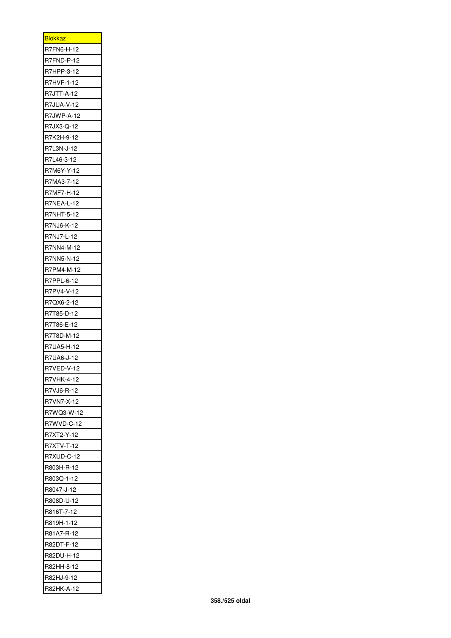| <u>Blokkaz</u>    |
|-------------------|
| R7FN6-H-12        |
| R7FND-P-12        |
| R7HPP-3-12        |
| R7HVF-1-12        |
| <b>R7JTT-A-12</b> |
| <b>R7JUA-V-12</b> |
| R7JWP-A-12        |
| R7JX3-Q-12        |
| R7K2H-9-12        |
| R7L3N-J-12        |
| R7L46-3-12        |
| R7M6Y-Y-12        |
| R7MA3-7-12        |
| R7MF7-H-12        |
| R7NEA-L-12        |
| R7NHT-5-12        |
| R7NJ6-K-12        |
| R7NJ7-L-12        |
|                   |
| R7NN4-M-12        |
| R7NN5-N-12        |
| R7PM4-M-12        |
| R7PPL-6-12        |
| R7PV4-V-12        |
| R7QX6-2-12        |
| R7T85-D-12        |
| R7T86-E-12        |
| R7T8D-M-12        |
| R7UA5-H-12        |
| R7UA6-J-12        |
| R7VED-V-12        |
| R7VHK-4-12        |
| R7VJ6-R-12        |
| R7VN7-X-12        |
| R7WQ3-W-12        |
| R7WVD-C-12        |
| R7XT2-Y-12        |
| R7XTV-T-12        |
| R7XUD-C-12        |
| R803H-R-12        |
| R803Q-1-12        |
| R8047-J-12        |
|                   |
| R808D-U-12        |
| R816T-7-12        |
| R819H-1-12        |
| R81A7-R-12        |
| R82DT-F-12        |
| R82DU-H-12        |
| R82HH-8-12        |
| R82HJ-9-12        |
| R82HK-A-12        |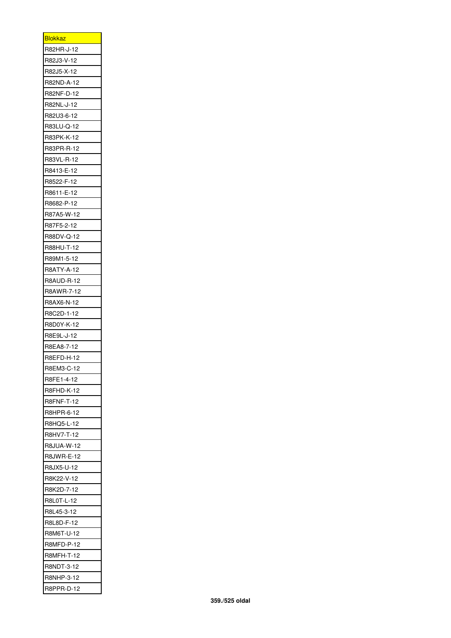| <b>Blokkaz</b> |
|----------------|
| R82HR-J-12     |
| R82J3-V-12     |
| R82J5-X-12     |
| R82ND-A-12     |
| R82NF-D-12     |
| R82NL-J-12     |
| R82U3-6-12     |
| R83LU-Q-12     |
| R83PK-K-12     |
| R83PR-R-12     |
| R83VL-R-12     |
| R8413-E-12     |
| R8522-F-12     |
| R8611-E-12     |
| R8682-P-12     |
| R87A5-W-12     |
| R87F5-2-12     |
| R88DV-Q-12     |
| R88HU-T-12     |
| R89M1-5-12     |
| R8ATY-A-12     |
| R8AUD-R-12     |
| R8AWR-7-12     |
| R8AX6-N-12     |
| R8C2D-1-12     |
| R8D0Y-K-12     |
| R8E9L-J-12     |
| R8EA8-7-12     |
| R8EFD-H-12     |
| R8EM3-C-12     |
| R8FE1-4-12     |
| R8FHD-K-12     |
| R8FNF-T-12     |
| R8HPR-6-12     |
| R8HQ5-L-12     |
| R8HV7-T-12     |
| R8JUA-W-12     |
| R8JWR-E-12     |
| R8JX5-U-12     |
| R8K22-V-12     |
| R8K2D-7-12     |
| R8L0T-L-12     |
| R8L45-3-12     |
| R8L8D-F-12     |
| R8M6T-U-12     |
| R8MFD-P-12     |
| R8MFH-T-12     |
| R8NDT-3-12     |
| R8NHP-3-12     |
| R8PPR-D-12     |
|                |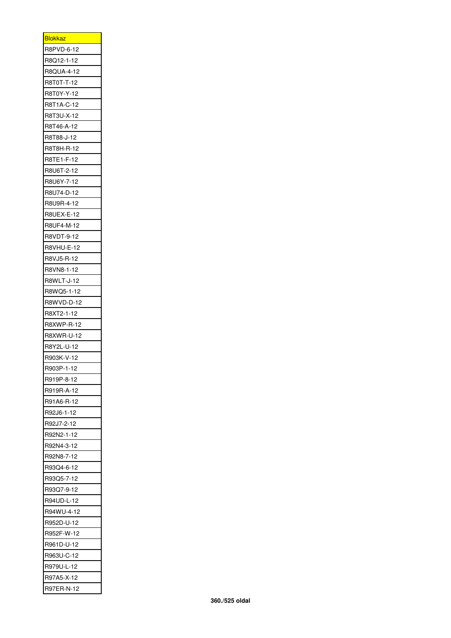| <u>Blokkaz</u>    |
|-------------------|
| R8PVD-6-12        |
| R8Q12-1-12        |
| R8QUA-4-12        |
| R8T0T-T-12        |
| R8T0Y-Y-12        |
| R8T1A-C-12        |
| R8T3U-X-12        |
| R8T46-A-12        |
| R8T88-J-12        |
| R8T8H-R-12        |
| R8TE1-F-12        |
| R8U6T-2-12        |
| R8U6Y-7-12        |
| R8U74-D-12        |
| R8U9R-4-12        |
| <b>R8UEX-E-12</b> |
| R8UF4-M-12        |
| R8VDT-9-12        |
| R8VHU-E-12        |
| R8VJ5-R-12        |
| R8VN8-1-12        |
| <b>R8WLT-J-12</b> |
| R8WQ5-1-12        |
|                   |
| R8WVD-D-12        |
| R8XT2-1-12        |
| R8XWP-R-12        |
| R8XWR-U-12        |
| R8Y2L-U-12        |
| R903K-V-12        |
| R903P-1-12        |
| R919P-8-12        |
| R919R-A-12        |
| R91A6-R-12        |
| R92J6-1-12        |
| R92J7-2-12        |
| R92N2-1-12        |
| R92N4-3-12        |
| R92N8-7-12        |
| R93Q4-6-12        |
| R93Q5-7-12        |
|                   |
| R93Q7-9-12        |
| R94UD-L-12        |
| R94WU-4-12        |
| R952D-U-12        |
| R952F-W-12        |
| R961D-U-12        |
| R963U-C-12        |
| R979U-L-12        |
| R97A5-X-12        |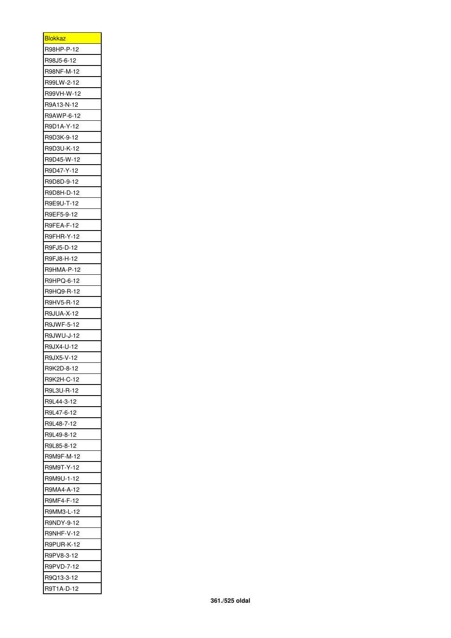| <u>Blokkaz</u>           |
|--------------------------|
| R98HP-P-12               |
| R98J5-6-12               |
| R98NF-M-12               |
| R99LW-2-12               |
| R99VH-W-12               |
| R9A13-N-12               |
| R9AWP-6-12               |
| R9D1A-Y-12               |
| R9D3K-9-12               |
| R9D3U-K-12               |
| R9D45-W-12               |
| R9D47-Y-12               |
| R9D8D-9-12               |
| R9D8H-D-12               |
| R9E9U-T-12               |
| R9EF5-9-12               |
| R9FEA-F-12               |
| R9FHR-Y-12               |
| R9FJ5-D-12               |
| R9FJ8-H-12               |
| R9HMA-P-12               |
| R9HPQ-6-12               |
| R9HQ9-R-12               |
| R9HV5-R-12               |
| R9JUA-X-12               |
| R9JWF-5-12               |
| R9JWU-J-12               |
| R9JX4-U-12               |
| R9JX5-V-12               |
| R9K2D-8-12               |
| R9K2H-C-12               |
| R9L3U-R-12               |
| R9L44-3-12               |
|                          |
| R9L47-6-12               |
| R9L48-7-12               |
| R9L49-8-12               |
| R9L85-8-12               |
| R9M9F-M-12               |
|                          |
| R9M9T-Y-12               |
| R9M9U-1-12               |
| R9MA4-A-12               |
| R9MF4-F-12               |
| R9MM3-L-12               |
| R9NDY-9-12               |
| R9NHF-V-12               |
| R9PUR-K-12               |
| R9PV8-3-12               |
| R9PVD-7-12               |
| R9Q13-3-12<br>R9T1A-D-12 |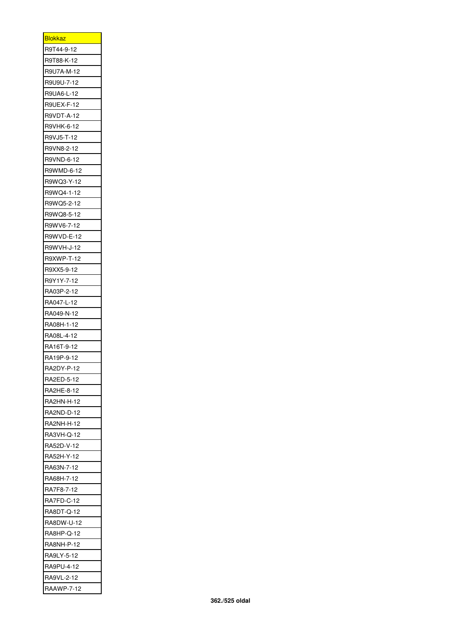| <b>Blokkaz</b> |
|----------------|
| R9T44-9-12     |
| R9T88-K-12     |
| R9U7A-M-12     |
| R9U9U-7-12     |
| R9UA6-L-12     |
| R9UEX-F-12     |
| R9VDT-A-12     |
| R9VHK-6-12     |
| R9VJ5-T-12     |
| R9VN8-2-12     |
| R9VND-6-12     |
| R9WMD-6-12     |
| R9WQ3-Y-12     |
| R9WQ4-1-12     |
| R9WQ5-2-12     |
| R9WQ8-5-12     |
| R9WV6-7-12     |
|                |
| R9WVD-E-12     |
| R9WVH-J-12     |
| R9XWP-T-12     |
| R9XX5-9-12     |
| R9Y1Y-7-12     |
| RA03P-2-12     |
| RA047-L-12     |
| RA049-N-12     |
| RA08H-1-12     |
| RA08L-4-12     |
| RA16T-9-12     |
| RA19P-9-12     |
| RA2DY-P-12     |
| RA2ED-5-12     |
| RA2HE-8-12     |
| RA2HN-H-12     |
| RA2ND-D-12     |
| RA2NH-H-12     |
| RA3VH-Q-12     |
| RA52D-V-12     |
| RA52H-Y-12     |
| RA63N-7-12     |
| RA68H-7-12     |
| RA7F8-7-12     |
| RA7FD-C-12     |
| RA8DT-Q-12     |
| RA8DW-U-12     |
| RA8HP-Q-12     |
| RA8NH-P-12     |
| RA9LY-5-12     |
| RA9PU-4-12     |
| RA9VL-2-12     |
| RAAWP-7-12     |
|                |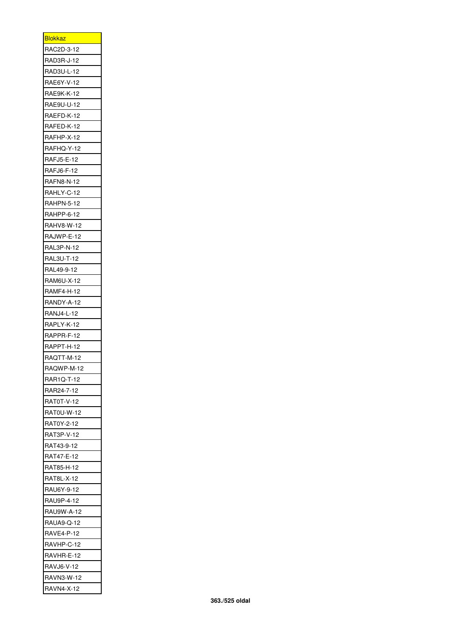| <u>Blokkaz</u>    |
|-------------------|
| RAC2D-3-12        |
| RAD3R-J-12        |
| RAD3U-L-12        |
| RAE6Y-V-12        |
| RAE9K-K-12        |
| RAE9U-U-12        |
| RAEFD-K-12        |
| RAFED-K-12        |
| RAFHP-X-12        |
| RAFHQ-Y-12        |
| RAFJ5-E-12        |
| RAFJ6-F-12        |
| RAFN8-N-12        |
| RAHLY-C-12        |
| RAHPN-5-12        |
| RAHPP-6-12        |
| RAHV8-W-12        |
| RAJWP-E-12        |
| <b>RAL3P-N-12</b> |
| RAL3U-T-12        |
| RAL49-9-12        |
| RAM6U-X-12        |
| RAMF4-H-12        |
| RANDY-A-12        |
| RANJ4-L-12        |
| RAPLY-K-12        |
| RAPPR-F-12        |
| RAPPT-H-12        |
| RAQTT-M-12        |
| RAQWP-M-12        |
| RAR1Q-T-12        |
| RAR24-7-12        |
| RAT0T-V-12        |
|                   |
| RAT0U-W-12        |
| RAT0Y-2-12        |
| RAT3P-V-12        |
| RAT43-9-12        |
| RAT47-E-12        |
| RAT85-H-12        |
| RAT8L-X-12        |
| RAU6Y-9-12        |
| RAU9P-4-12        |
| RAU9W-A-12        |
| <b>RAUA9-Q-12</b> |
| RAVE4-P-12        |
| RAVHP-C-12        |
| RAVHR-E-12        |
| RAVJ6-V-12        |
| RAVN3-W-12        |
| RAVN4-X-12        |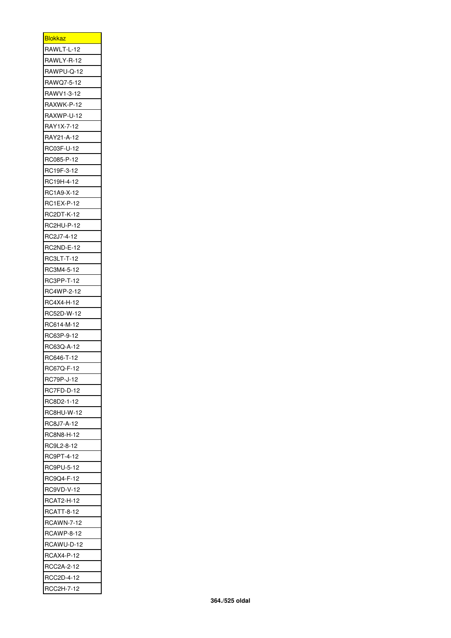| <b>Blokkaz</b>    |
|-------------------|
| RAWLT-L-12        |
| RAWLY-R-12        |
| RAWPU-Q-12        |
| RAWQ7-5-12        |
| RAWV1-3-12        |
| RAXWK-P-12        |
| RAXWP-U-12        |
| RAY1X-7-12        |
| RAY21-A-12        |
| RC03F-U-12        |
| RC085-P-12        |
| RC19F-3-12        |
| RC19H-4-12        |
| RC1A9-X-12        |
| RC1EX-P-12        |
| RC2DT-K-12        |
|                   |
| RC2HU-P-12        |
| RC2J7-4-12        |
| RC2ND-E-12        |
| RC3LT-T-12        |
| RC3M4-5-12        |
| RC3PP-T-12        |
| RC4WP-2-12        |
| RC4X4-H-12        |
| RC52D-W-12        |
| RC614-M-12        |
| RC63P-9-12        |
| RC63Q-A-12        |
| RC646-T-12        |
| RC67Q-F-12        |
| RC79P-J-12        |
| RC7FD-D-12        |
| RC8D2-1-12        |
| RC8HU-W-12        |
| RC8J7-A-12        |
| RC8N8-H-12        |
| RC9L2-8-12        |
| RC9PT-4-12        |
| RC9PU-5-12        |
| RC9Q4-F-12        |
| RC9VD-V-12        |
| RCAT2-H-12        |
| RCATT-8-12        |
| <b>RCAWN-7-12</b> |
| <b>RCAWP-8-12</b> |
| RCAWU-D-12        |
| <b>RCAX4-P-12</b> |
| RCC2A-2-12        |
| RCC2D-4-12        |
| RCC2H-7-12        |
|                   |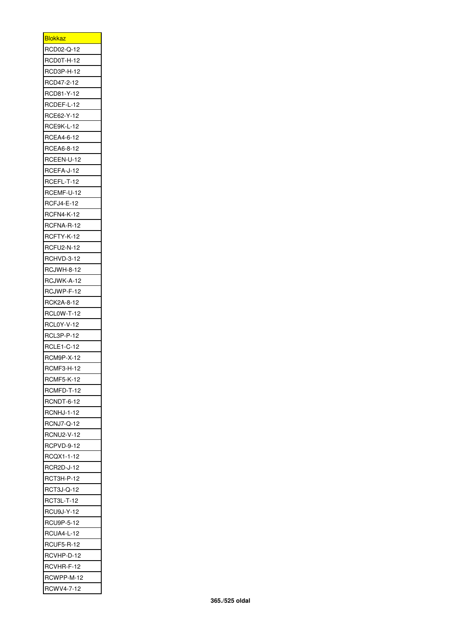| <b>Blokkaz</b>    |
|-------------------|
| RCD02-Q-12        |
| RCD0T-H-12        |
| RCD3P-H-12        |
| RCD47-2-12        |
| RCD81-Y-12        |
| RCDEF-L-12        |
| RCE62-Y-12        |
| RCE9K-L-12        |
| RCEA4-6-12        |
| RCEA6-8-12        |
| RCEEN-U-12        |
| RCEFA-J-12        |
| RCEFL-T-12        |
| RCEMF-U-12        |
| <b>RCFJ4-E-12</b> |
| RCFN4-K-12        |
| RCFNA-R-12        |
|                   |
| RCFTY-K-12        |
| RCFU2-N-12        |
| RCHVD-3-12        |
| <b>RCJWH-8-12</b> |
| RCJWK-A-12        |
| RCJWP-F-12        |
| RCK2A-8-12        |
| RCL0W-T-12        |
| RCL0Y-V-12        |
| RCL3P-P-12        |
| RCLE1-C-12        |
| <b>RCM9P-X-12</b> |
| RCMF3-H-12        |
| <b>RCMF5-K-12</b> |
| RCMFD-T-12        |
| RCNDT-6-12        |
| <b>RCNHJ-1-12</b> |
| <b>RCNJ7-Q-12</b> |
| RCNU2-V-12        |
| RCPVD-9-12        |
| RCQX1-1-12        |
| RCR2D-J-12        |
| RCT3H-P-12        |
| RCT3J-Q-12        |
| RCT3L-T-12        |
| <b>RCU9J-Y-12</b> |
|                   |
| RCU9P-5-12        |
| RCUA4-L-12        |
| RCUF5-R-12        |
| RCVHP-D-12        |
| RCVHR-F-12        |
| RCWPP-M-12        |
| RCWV4-7-12        |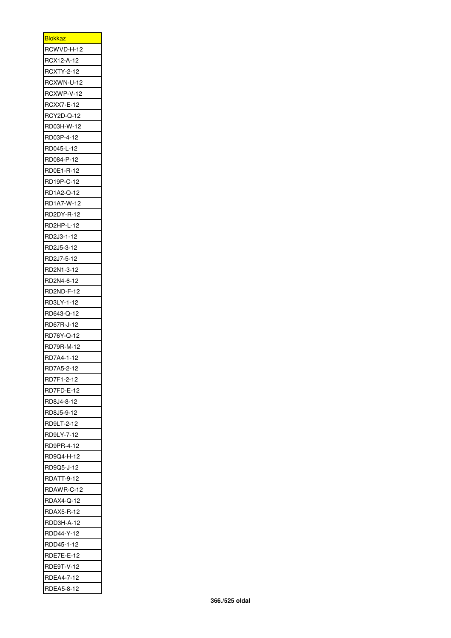| <b>Blokkaz</b>                  |
|---------------------------------|
| RCWVD-H-12                      |
| RCX12-A-12<br><b>RCXTY-2-12</b> |
|                                 |
| RCXWN-U-12<br>RCXWP-V-12        |
|                                 |
| RCXX7-E-12                      |
| RCY2D-Q-12                      |
| RD03H-W-12                      |
| RD03P-4-12                      |
| RD045-L-12                      |
| RD084-P-12                      |
| RD0E1-R-12                      |
| RD19P-C-12                      |
| RD1A2-Q-12                      |
| RD1A7-W-12                      |
| RD2DY-R-12                      |
| RD2HP-L-12                      |
| RD2J3-1-12                      |
| RD2J5-3-12                      |
| RD2J7-5-12                      |
| RD2N1-3-12                      |
| RD2N4-6-12                      |
| RD2ND-F-12                      |
| RD3LY-1-12                      |
| RD643-Q-12                      |
| RD67R-J-12                      |
| RD76Y-Q-12                      |
| RD79R-M-12                      |
| RD7A4-1-12                      |
| RD7A5-2-12                      |
| RD7F1-2-12                      |
| <b>RD7FD-E-12</b>               |
| RD8J4-8-12                      |
| RD8J5-9-12                      |
| RD9LT-2-12                      |
| RD9LY-7-12                      |
| RD9PR-4-12                      |
| RD9Q4-H-12                      |
| RD9Q5-J-12                      |
| RDATT-9-12                      |
| RDAWR-C-12                      |
| RDAX4-Q-12                      |
| <b>RDAX5-R-12</b>               |
| RDD3H-A-12                      |
| RDD44-Y-12                      |
| RDD45-1-12                      |
| RDE7E-E-12                      |
| RDE9T-V-12                      |
| RDEA4-7-12                      |
| RDEA5-8-12                      |
|                                 |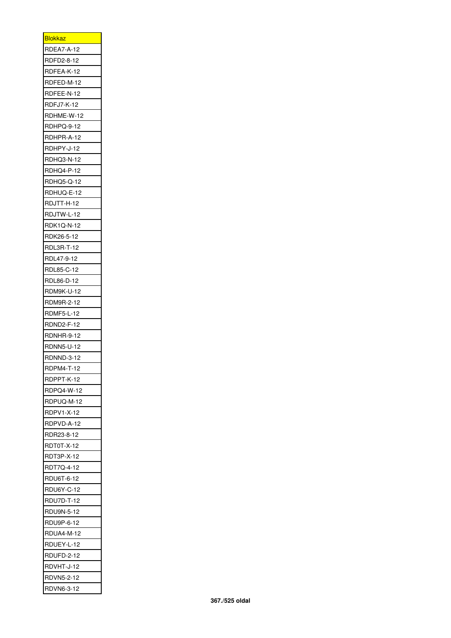| <b>Blokkaz</b>    |
|-------------------|
| <b>RDEA7-A-12</b> |
| RDFD2-8-12        |
| RDFEA-K-12        |
| RDFED-M-12        |
| RDFEE-N-12        |
| RDFJ7-K-12        |
| RDHME-W-12        |
| RDHPQ-9-12        |
| RDHPR-A-12        |
| RDHPY-J-12        |
| RDHQ3-N-12        |
| RDHQ4-P-12        |
| RDHQ5-Q-12        |
| RDHUQ-E-12        |
| RDJTT-H-12        |
| RDJTW-L-12        |
| <b>RDK1Q-N-12</b> |
| RDK26-5-12        |
|                   |
| RDL3R-T-12        |
| RDL47-9-12        |
| RDL85-C-12        |
| RDL86-D-12        |
| RDM9K-U-12        |
| RDM9R-2-12        |
| RDMF5-L-12        |
| RDND2-F-12        |
| RDNHR-9-12        |
| RDNN5-U-12        |
| <b>RDNND-3-12</b> |
| RDPM4-T-12        |
| RDPPT-K-12        |
| RDPQ4-W-12        |
| RDPUQ-M-12        |
| RDPV1-X-12        |
| RDPVD-A-12        |
| RDR23-8-12        |
| RDT0T-X-12        |
| RDT3P-X-12        |
| RDT7Q-4-12        |
| RDU6T-6-12        |
| RDU6Y-C-12        |
| <b>RDU7D-T-12</b> |
| RDU9N-5-12        |
| RDU9P-6-12        |
| RDUA4-M-12        |
| RDUEY-L-12        |
| RDUFD-2-12        |
| RDVHT-J-12        |
| RDVN5-2-12        |
| RDVN6-3-12        |
|                   |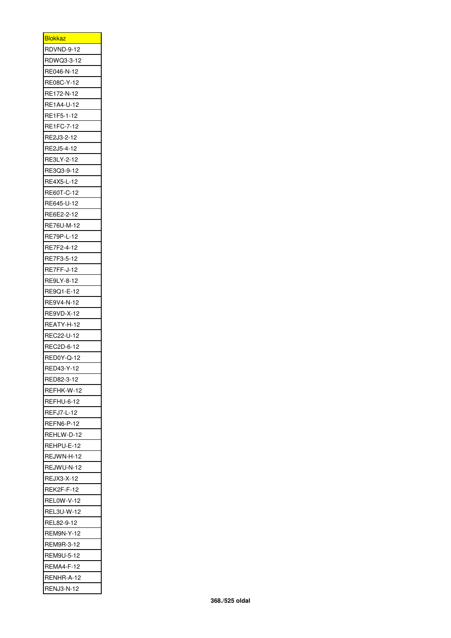| <b>Blokkaz</b>    |
|-------------------|
| RDVND-9-12        |
| RDWQ3-3-12        |
| RE046-N-12        |
| RE08C-Y-12        |
| RE172-N-12        |
| RE1A4-U-12        |
| RE1F5-1-12        |
| RE1FC-7-12        |
| RE2J3-2-12        |
| RE2J5-4-12        |
|                   |
| RE3LY-2-12        |
| RE3Q3-9-12        |
| RE4X5-L-12        |
| RE60T-C-12        |
| RE645-U-12        |
| RE6E2-2-12        |
| RE76U-M-12        |
| RE79P-L-12        |
| RE7F2-4-12        |
| RE7F3-5-12        |
| RE7FF-J-12        |
| RE9LY-8-12        |
| RE9Q1-E-12        |
| RE9V4-N-12        |
| RE9VD-X-12        |
| REATY-H-12        |
| REC22-U-12        |
| REC2D-6-12        |
| <b>RED0Y-Q-12</b> |
| RED43-Y-12        |
| RED82-3-12        |
| REFHK-W-12        |
| REFHU-6-12        |
| <b>REFJ7-L-12</b> |
| REFN6-P-12        |
| REHLW-D-12        |
| REHPU-E-12        |
| REJWN-H-12        |
| REJWU-N-12        |
|                   |
| REJX3-X-12        |
| REK2F-F-12        |
| REL0W-V-12        |
| REL3U-W-12        |
| REL82-9-12        |
| REM9N-Y-12        |
| REM9R-3-12        |
| REM9U-5-12        |
| REMA4-F-12        |
| RENHR-A-12        |
| <b>RENJ3-N-12</b> |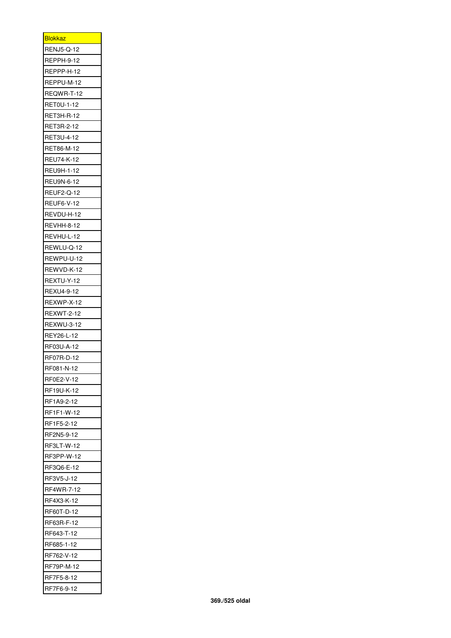| <b>Blokkaz</b><br><b>RENJ5-Q-12</b><br><b>REPPH-9-12</b><br>REPPP-H-12 |
|------------------------------------------------------------------------|
|                                                                        |
|                                                                        |
|                                                                        |
|                                                                        |
| REPPU-M-12                                                             |
| REQWR-T-12                                                             |
| RET0U-1-12                                                             |
| <b>RET3H-R-12</b>                                                      |
| RET3R-2-12                                                             |
| RET3U-4-12                                                             |
| RET86-M-12                                                             |
| REU74-K-12                                                             |
| REU9H-1-12                                                             |
| REU9N-6-12                                                             |
| <b>REUF2-Q-12</b>                                                      |
| REUF6-V-12                                                             |
| REVDU-H-12                                                             |
| REVHH-8-12                                                             |
|                                                                        |
| REVHU-L-12                                                             |
| REWLU-Q-12                                                             |
| REWPU-U-12                                                             |
| REWVD-K-12                                                             |
| REXTU-Y-12                                                             |
|                                                                        |
| REXU4-9-12                                                             |
| REXWP-X-12                                                             |
| <b>REXWT-2-12</b>                                                      |
| <b>REXWU-3-12</b>                                                      |
| REY26-L-12                                                             |
| RF03U-A-12                                                             |
| RF07R-D-12                                                             |
| RF081-N-12                                                             |
| RF0E2-V-12                                                             |
| RF19U-K-12                                                             |
| RF1A9-2-12                                                             |
| RF1F1-W-12                                                             |
| RF1F5-2-12                                                             |
| RF2N5-9-12                                                             |
| RF3LT-W-12                                                             |
| RF3PP-W-12                                                             |
| RF3Q6-E-12                                                             |
| RF3V5-J-12                                                             |
| RF4WR-7-12                                                             |
| RF4X3-K-12                                                             |
| RF60T-D-12                                                             |
| RF63R-F-12                                                             |
| RF643-T-12                                                             |
|                                                                        |
| RF685-1-12                                                             |
| RF762-V-12                                                             |
| RF79P-M-12<br>RF7F5-8-12                                               |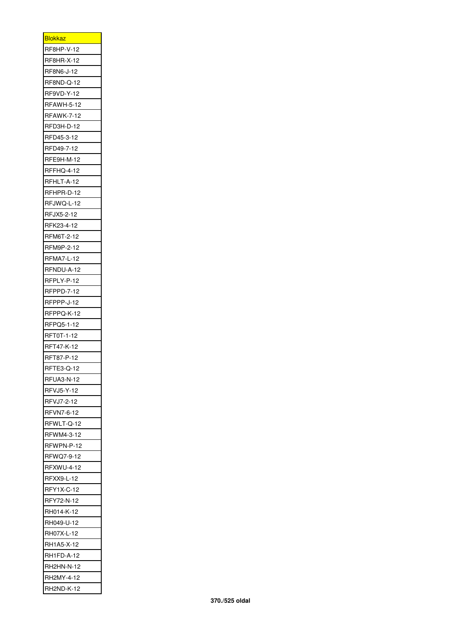| <b>Blokkaz</b>    |
|-------------------|
| RF8HP-V-12        |
| RF8HR-X-12        |
| RF8N6-J-12        |
| RF8ND-Q-12        |
| RF9VD-Y-12        |
| <b>RFAWH-5-12</b> |
| <b>RFAWK-7-12</b> |
| RFD3H-D-12        |
| RFD45-3-12        |
| RFD49-7-12        |
| RFE9H-M-12        |
| RFFHQ-4-12        |
| RFHLT-A-12        |
| RFHPR-D-12        |
| RFJWQ-L-12        |
| RFJX5-2-12        |
| RFK23-4-12        |
|                   |
| RFM6T-2-12        |
| RFM9P-2-12        |
| <b>RFMA7-L-12</b> |
| RFNDU-A-12        |
| RFPLY-P-12        |
| RFPPD-7-12        |
| RFPPP-J-12        |
| RFPPQ-K-12        |
| RFPQ5-1-12        |
| RFT0T-1-12        |
| RFT47-K-12        |
| RFT87-P-12        |
| RFTE3-Q-12        |
| <b>RFUA3-N-12</b> |
| RFVJ5-Y-12        |
| RFVJ7-2-12        |
| RFVN7-6-12        |
| RFWLT-Q-12        |
| RFWM4-3-12        |
| RFWPN-P-12        |
| RFWQ7-9-12        |
| <b>RFXWU-4-12</b> |
| RFXX9-L-12        |
| RFY1X-C-12        |
| RFY72-N-12        |
| RH014-K-12        |
| RH049-U-12        |
| RH07X-L-12        |
| RH1A5-X-12        |
| RH1FD-A-12        |
| RH2HN-N-12        |
| RH2MY-4-12        |
| RH2ND-K-12        |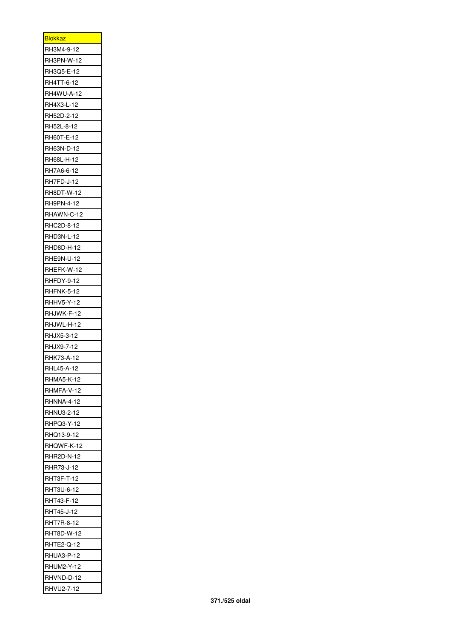| <b>Blokkaz</b>    |
|-------------------|
| RH3M4-9-12        |
| RH3PN-W-12        |
| RH3Q5-E-12        |
| RH4TT-6-12        |
| RH4WU-A-12        |
| RH4X3-L-12        |
| RH52D-2-12        |
| RH52L-8-12        |
| RH60T-E-12        |
| RH63N-D-12        |
| RH68L-H-12        |
| RH7A6-6-12        |
| RH7FD-J-12        |
| RH8DT-W-12        |
| RH9PN-4-12        |
|                   |
| RHAWN-C-12        |
| RHC2D-8-12        |
| RHD3N-L-12        |
| RHD8D-H-12        |
| RHE9N-U-12        |
| RHEFK-W-12        |
| RHFDY-9-12        |
| RHFNK-5-12        |
| <b>RHHV5-Y-12</b> |
| RHJWK-F-12        |
| RHJWL-H-12        |
| RHJX5-3-12        |
| RHJX9-7-12        |
| RHK73-A-12        |
| RHL45-A-12        |
| <b>RHMA5-K-12</b> |
| RHMFA-V-12        |
| <b>RHNNA-4-12</b> |
| RHNU3-2-12        |
| RHPQ3-Y-12        |
| RHQ13-9-12        |
| RHQWF-K-12        |
| <b>RHR2D-N-12</b> |
| RHR73-J-12        |
| RHT3F-T-12        |
| RHT3U-6-12        |
| RHT43-F-12        |
| RHT45-J-12        |
| RHT7R-8-12        |
|                   |
| RHT8D-W-12        |
| <b>RHTE2-Q-12</b> |
| RHUA3-P-12        |
| <b>RHUM2-Y-12</b> |
| RHVND-D-12        |
| RHVU2-7-12        |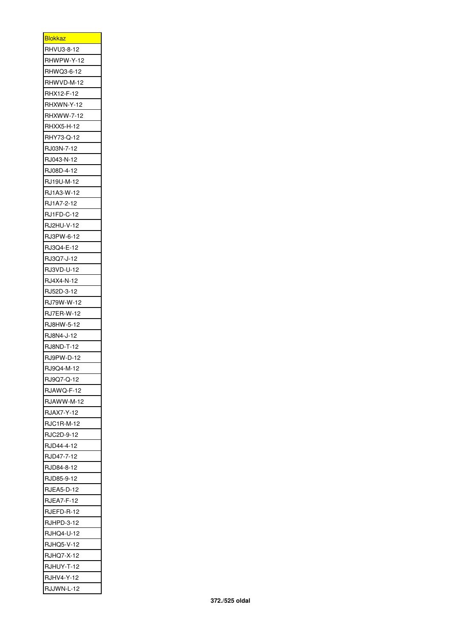| <u>Blokkaz</u>    |
|-------------------|
| RHVU3-8-12        |
| RHWPW-Y-12        |
| RHWQ3-6-12        |
|                   |
| RHWVD-M-12        |
| RHX12-F-12        |
| RHXWN-Y-12        |
| RHXWW-7-12        |
| RHXX5-H-12        |
| RHY73-Q-12        |
| RJ03N-7-12        |
| RJ043-N-12        |
| RJ08D-4-12        |
| RJ19U-M-12        |
| RJ1A3-W-12        |
| RJ1A7-2-12        |
| RJ1FD-C-12        |
| RJ2HU-V-12        |
| RJ3PW-6-12        |
| RJ3Q4-E-12        |
| RJ3Q7-J-12        |
| RJ3VD-U-12        |
|                   |
| RJ4X4-N-12        |
| RJ52D-3-12        |
| RJ79W-W-12        |
| RJ7ER-W-12        |
| RJ8HW-5-12        |
| RJ8N4-J-12        |
| RJ8ND-T-12        |
| RJ9PW-D-12        |
| RJ9Q4-M-12        |
| RJ9Q7-Q-12        |
| RJAWQ-F-12        |
| RJAWW-M-12        |
| RJAX7-Y-12        |
| RJC1R-M-12        |
| RJC2D-9-12        |
| RJD44-4-12        |
| RJD47-7-12        |
| RJD84-8-12        |
|                   |
| RJD85-9-12        |
| <b>RJEA5-D-12</b> |
| <b>RJEA7-F-12</b> |
| RJEFD-R-12        |
| RJHPD-3-12        |
| RJHQ4-U-12        |
| <b>RJHQ5-V-12</b> |
| RJHQ7-X-12        |
| RJHUY-T-12        |
| RJHV4-Y-12        |
| RJJWN-L-12        |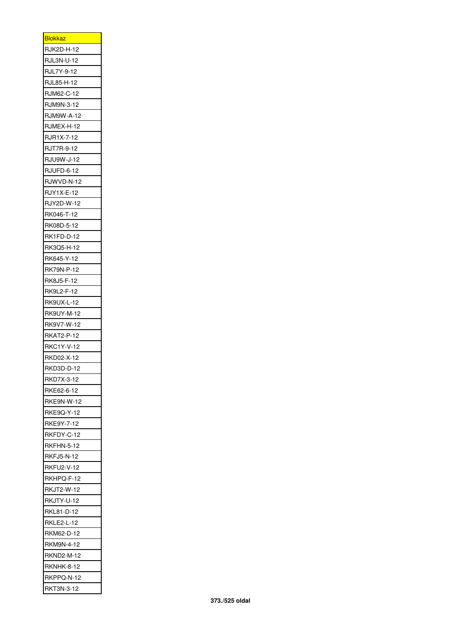| <u>Blokkaz</u>    |
|-------------------|
| RJK2D-H-12        |
| RJL3N-U-12        |
| RJL7Y-9-12        |
| RJL85-H-12        |
| RJM62-C-12        |
| RJM9N-3-12        |
| <b>RJM9W-A-12</b> |
| RJMEX-H-12        |
| RJR1X-7-12        |
| RJT7R-9-12        |
| RJU9W-J-12        |
| RJUFD-6-12        |
| RJWVD-N-12        |
| RJY1X-E-12        |
| RJY2D-W-12        |
| RK046-T-12        |
| RK08D-5-12        |
| RK1FD-D-12        |
| RK3Q5-H-12        |
| RK645-Y-12        |
|                   |
| RK79N-P-12        |
| RK8J5-F-12        |
| RK9L2-F-12        |
| <b>RK9UX-L-12</b> |
| RK9UY-M-12        |
|                   |
| RK9V7-W-12        |
| <b>RKAT2-P-12</b> |
| RKC1Y-V-12        |
| RKD02-X-12        |
| RKD3D-D-12        |
| RKD7X-3-12        |
| RKE62-6-12        |
| RKE9N-W-12        |
| RKE9Q-Y-12        |
| RKE9Y-7-12        |
| RKFDY-C-12        |
| <b>RKFHN-5-12</b> |
| <b>RKFJ5-N-12</b> |
| <b>RKFU2-V-12</b> |
| RKHPQ-F-12        |
| <b>RKJT2-W-12</b> |
| RKJTY-U-12        |
| RKL81-D-12        |
| RKLE2-L-12        |
| RKM62-D-12        |
| RKM9N-4-12        |
| RKND2-M-12        |
| RKNHK-8-12        |
| RKPPQ-N-12        |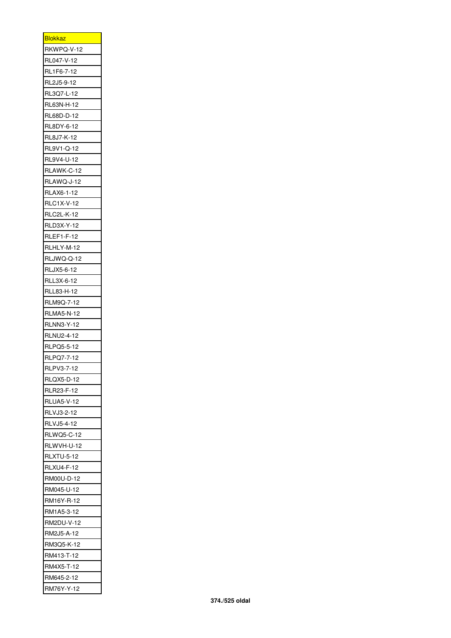| <b>Blokkaz</b>    |
|-------------------|
| RKWPQ-V-12        |
| RL047-V-12        |
| RL1F6-7-12        |
| RL2J5-9-12        |
| RL3Q7-L-12        |
| RL63N-H-12        |
| RL68D-D-12        |
| RL8DY-6-12        |
| RL8J7-K-12        |
| RL9V1-Q-12        |
| RL9V4-U-12        |
| RLAWK-C-12        |
| RLAWQ-J-12        |
| RLAX6-1-12        |
| RLC1X-V-12        |
| <b>RLC2L-K-12</b> |
| RLD3X-Y-12        |
|                   |
| <b>RLEF1-F-12</b> |
| RLHLY-M-12        |
| RLJWQ-Q-12        |
| RLJX5-6-12        |
| RLL3X-6-12        |
| RLL83-H-12        |
| RLM9Q-7-12        |
| <b>RLMA5-N-12</b> |
| <b>RLNN3-Y-12</b> |
| RLNU2-4-12        |
| RLPQ5-5-12        |
| RLPQ7-7-12        |
| RLPV3-7-12        |
| RLQX5-D-12        |
| RLR23-F-12        |
| <b>RLUA5-V-12</b> |
| RLVJ3-2-12        |
| RLVJ5-4-12        |
| <b>RLWQ5-C-12</b> |
| RLWVH-U-12        |
| <b>RLXTU-5-12</b> |
| RLXU4-F-12        |
| RM00U-D-12        |
| RM045-U-12        |
| RM16Y-R-12        |
| RM1A5-3-12        |
| RM2DU-V-12        |
|                   |
| RM2J5-A-12        |
| RM3Q5-K-12        |
| RM413-T-12        |
| RM4X5-T-12        |
| RM645-2-12        |
| RM76Y-Y-12        |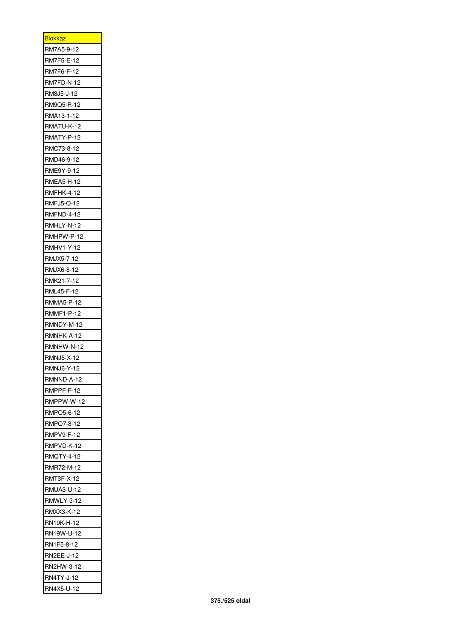| <b>Blokkaz</b>                  |
|---------------------------------|
| RM7A5-9-12                      |
| RM7F5-E-12                      |
| RM7F6-F-12                      |
| RM7FD-N-12                      |
| RM8J5-J-12                      |
| RM9Q5-R-12                      |
| RMA13-1-12                      |
| RMATU-K-12                      |
| RMATY-P-12                      |
| RMC73-8-12                      |
| RMD46-9-12                      |
| RME9Y-9-12                      |
| RMEA5-H-12                      |
| RMFHK-4-12                      |
| <b>RMFJ5-Q-12</b>               |
| RMFND-4-12                      |
| RMHLY-N-12                      |
| RMHPW-P-12                      |
| RMHV1-Y-12                      |
| RMJX5-7-12                      |
| RMJX6-8-12                      |
| RMK21-7-12                      |
| RML45-F-12                      |
| RMMA5-P-12                      |
| <b>RMMF1-P-12</b>               |
|                                 |
| RMNDY-M-12                      |
| RMNHK-A-12                      |
| RMNHW-N-12<br><b>RMNJ5-X-12</b> |
|                                 |
| RMNJ6-Y-12                      |
| RMNND-A-12                      |
| RMPPF-F-12                      |
| RMPPW-W-12                      |
| RMPQ5-6-12                      |
| RMPQ7-8-12                      |
| <b>RMPV9-F-12</b>               |
| RMPVD-K-12                      |
| <b>RMQTY-4-12</b>               |
| RMR72-M-12                      |
| <b>RMT3F-X-12</b>               |
| RMUA3-U-12                      |
| <b>RMWLY-3-12</b>               |
| RMXX3-K-12                      |
| RN19K-H-12                      |
| RN19W-U-12                      |
| RN1F5-8-12                      |
| RN2EE-J-12                      |
| RN2HW-3-12                      |
| <b>RN4TY-J-12</b>               |
| RN4X5-U-12                      |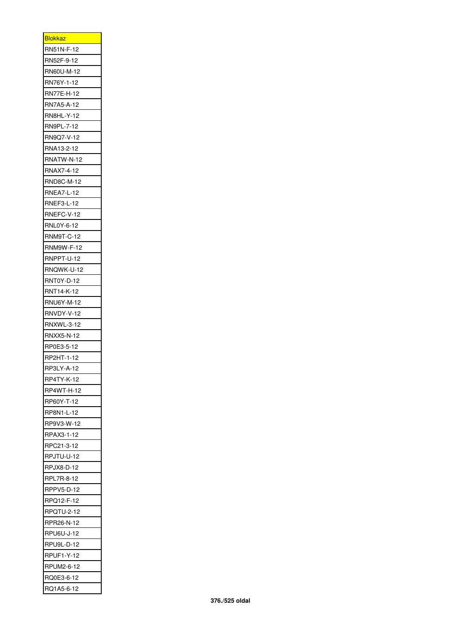| <u>Blokkaz</u>    |
|-------------------|
| RN51N-F-12        |
| RN52F-9-12        |
| RN60U-M-12        |
| RN76Y-1-12        |
| RN77E-H-12        |
| RN7A5-A-12        |
| <b>RN8HL-Y-12</b> |
| RN9PL-7-12        |
| RN9Q7-V-12        |
| RNA13-2-12        |
| RNATW-N-12        |
| RNAX7-4-12        |
| <b>RND8C-M-12</b> |
| <b>RNEA7-L-12</b> |
| <b>RNEF3-L-12</b> |
| RNEFC-V-12        |
| RNL0Y-6-12        |
| RNM9T-C-12        |
| RNM9W-F-12        |
| RNPPT-U-12        |
| RNQWK-U-12        |
| RNT0Y-D-12        |
| RNT14-K-12        |
| <b>RNU6Y-M-12</b> |
| RNVDY-V-12        |
| RNXWL-3-12        |
|                   |
| RNXX5-N-12        |
| RP0E3-5-12        |
| RP2HT-1-12        |
| RP3LY-A-12        |
| RP4TY-K-12        |
| RP4WT-H-12        |
| RP60Y-T-12        |
| RP8N1-L-12        |
| RP9V3-W-12        |
| RPAX3-1-12        |
| RPC21-3-12        |
| RPJTU-U-12        |
| <b>RPJX8-D-12</b> |
| RPL7R-8-12        |
| RPPV5-D-12        |
| RPQ12-F-12        |
| <b>RPQTU-2-12</b> |
| RPR26-N-12        |
| RPU6U-J-12        |
| RPU9L-D-12        |
| <b>RPUF1-Y-12</b> |
| RPUM2-6-12        |
| RQ0E3-6-12        |
| RQ1A5-6-12        |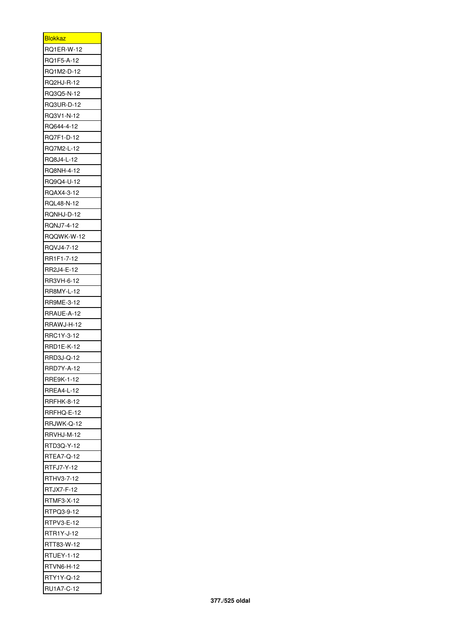| <u>Blokkaz</u>           |
|--------------------------|
| RQ1ER-W-12               |
| RQ1F5-A-12               |
| RQ1M2-D-12               |
| RQ2HJ-R-12               |
| RQ3Q5-N-12               |
| RQ3UR-D-12               |
| RQ3V1-N-12               |
| RQ644-4-12               |
| RQ7F1-D-12               |
| RQ7M2-L-12               |
| RQ8J4-L-12               |
| RQ8NH-4-12               |
| RQ9Q4-U-12               |
| RQAX4-3-12               |
| RQL48-N-12               |
| RQNHJ-D-12               |
| RQNJ7-4-12               |
| RQQWK-W-12               |
| RQVJ4-7-12               |
| RR1F1-7-12               |
| RR2J4-E-12               |
| RR3VH-6-12               |
| RR8MY-L-12               |
| RR9ME-3-12               |
| RRAUE-A-12               |
| RRAWJ-H-12               |
| RRC1Y-3-12               |
| RRD1E-K-12               |
| RRD3J-Q-12               |
|                          |
| RRD7Y-A-12<br>RRE9K-1-12 |
|                          |
| <b>RREA4-L-12</b>        |
| RRFHK-8-12               |
| RRFHQ-E-12               |
| RRJWK-Q-12               |
| RRVHJ-M-12               |
| RTD3Q-Y-12               |
| RTEA7-Q-12               |
| RTFJ7-Y-12               |
| RTHV3-7-12               |
| RTJX7-F-12               |
| RTMF3-X-12               |
| RTPQ3-9-12               |
| RTPV3-E-12               |
| RTR1Y-J-12               |
| RTT83-W-12               |
| RTUEY-1-12               |
| RTVN6-H-12               |
| RTY1Y-Q-12               |
| RU1A7-C-12               |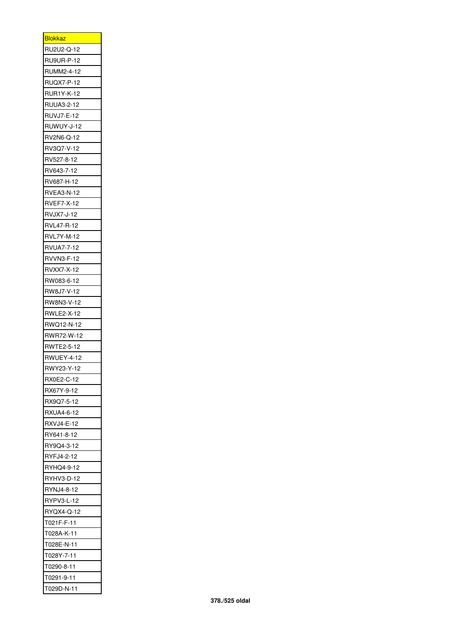| <u>Blokkaz</u>           |
|--------------------------|
| RU2U2-Q-12               |
| RU9UR-P-12               |
| RUMM2-4-12               |
| RUQX7-P-12               |
| <b>RUR1Y-K-12</b>        |
| <b>RUUA3-2-12</b>        |
| RUVJ7-E-12               |
| RUWUY-J-12               |
| RV2N6-Q-12               |
| RV3Q7-V-12               |
| RV527-8-12               |
| RV643-7-12               |
| RV687-H-12               |
| <b>RVEA3-N-12</b>        |
| <b>RVEF7-X-12</b>        |
| RVJX7-J-12               |
|                          |
| RVL47-R-12               |
| RVL7Y-M-12               |
| RVUA7-7-12               |
| RVVN3-F-12               |
| RVXX7-X-12               |
| RW083-6-12               |
| RW8J7-V-12               |
| RW8N3-V-12               |
|                          |
| RWLE2-X-12               |
| RWQ12-N-12               |
| RWR72-W-12               |
| RWTE2-5-12               |
| RWUEY-4-12               |
| RWY23-Y-12               |
| RX0E2-C-12               |
| RX67Y-9-12               |
| RX9Q7-5-12               |
| RXUA4-6-12               |
| RXVJ4-E-12               |
| RY641-8-12               |
| RY9Q4-3-12               |
| RYFJ4-2-12               |
| RYHQ4-9-12               |
| RYHV3-D-12               |
|                          |
| RYNJ4-8-12<br>RYPV3-L-12 |
|                          |
| RYQX4-Q-12               |
| T021F-F-11               |
| Г028А-К-11               |
| T028E-N-11               |
| T028Y-7-11               |
| T0290-8-11               |
| Т0291-9-11<br>T029D-N-11 |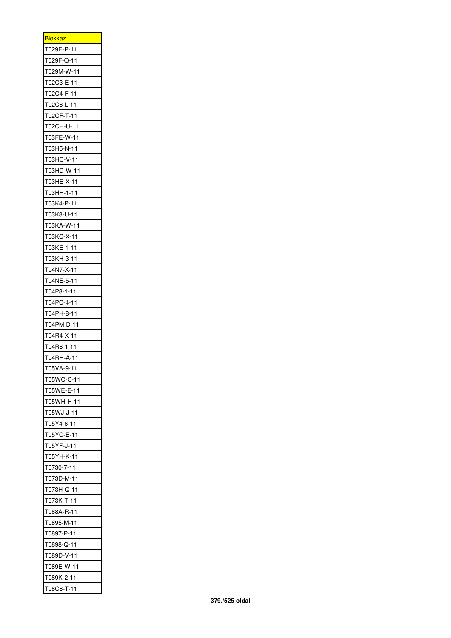| <b>Blokkaz</b> |
|----------------|
| T029E-P-11     |
| T029F-Q-11     |
| T029M-W-11     |
| T02C3-E-11     |
| T02C4-F-11     |
| T02C8-L-11     |
| T02CF-T-11     |
| T02CH-U-11     |
| T03FE-W-11     |
| T03H5-N-11     |
| T03HC-V-11     |
| T03HD-W-11     |
| T03HE-X-11     |
| Т03НН-1-11     |
| T03K4-P-11     |
| T03K8-U-11     |
| T03KA-W-11     |
| Т03КС-Х-11     |
| T03KE-1-11     |
| T03KH-3-11     |
| T04N7-X-11     |
| T04NE-5-11     |
| T04P8-1-11     |
| T04PC-4-11     |
| T04PH-8-11     |
| T04PM-D-11     |
| T04R4-X-11     |
| Г04R6-1-11     |
| T04RH-A-11     |
| T05VA-9-11     |
| T05WC-C-11     |
| T05WE-E-11     |
| Г05WH-H-11     |
| T05WJ-J-11     |
| T05Y4-6-11     |
| T05YC-E-11     |
| T05YF-J-11     |
| T05YH-K-11     |
| T0730-7-11     |
| Г073D-M-11     |
| T073H-Q-11     |
| Т073К-Т-11     |
| T088A-R-11     |
| Г0895-М-11     |
| T0897-P-11     |
| T0898-Q-11     |
| T089D-V-11     |
| T089E-W-11     |
| Г089К-2-11     |
| T08C8-T-11     |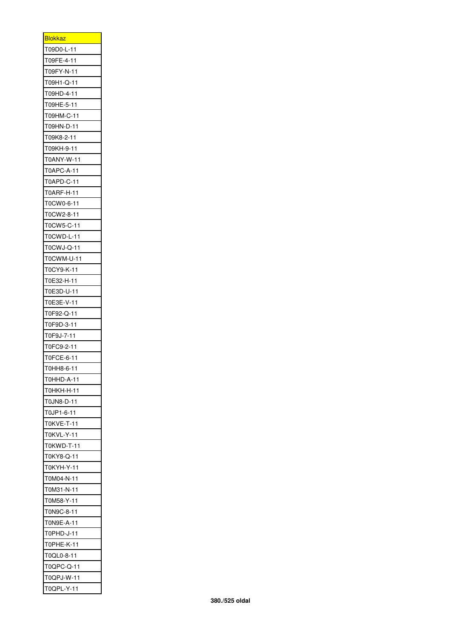| <b>Blokkaz</b> |
|----------------|
| T09D0-L-11     |
| T09FE-4-11     |
| T09FY-N-11     |
| T09H1-Q-11     |
| T09HD-4-11     |
| T09HE-5-11     |
| T09HM-C-11     |
| T09HN-D-11     |
| T09K8-2-11     |
| T09KH-9-11     |
| T0ANY-W-11     |
| T0APC-A-11     |
| T0APD-C-11     |
| T0ARF-H-11     |
| T0CW0-6-11     |
| T0CW2-8-11     |
| T0CW5-C-11     |
| T0CWD-L-11     |
| T0CWJ-Q-11     |
| T0CWM-U-11     |
| T0CY9-K-11     |
| T0E32-H-11     |
| T0E3D-U-11     |
| T0E3E-V-11     |
| T0F92-Q-11     |
| T0F9D-3-11     |
| T0F9J-7-11     |
| T0FC9-2-11     |
| T0FCE-6-11     |
| T0HH8-6-11     |
| T0HHD-A-11     |
| ГОНКН-Н-11     |
| T0JN8-D-11     |
| T0JP1-6-11     |
| T0KVE-T-11     |
| T0KVL-Y-11     |
| T0KWD-T-11     |
| T0KY8-Q-11     |
| T0KYH-Y-11     |
| T0M04-N-11     |
| T0M31-N-11     |
| T0M58-Y-11     |
| T0N9C-8-11     |
| T0N9E-A-11     |
| T0PHD-J-11     |
| Г0РНЕ-К-11     |
| T0QL0-8-11     |
| T0QPC-Q-11     |
| T0QPJ-W-11     |
| T0QPL-Y-11     |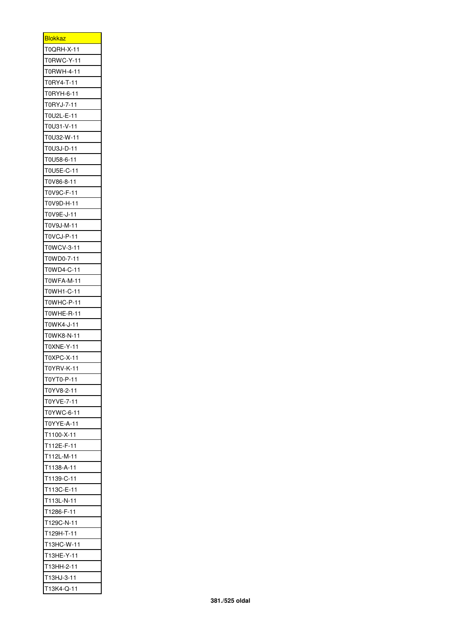| <u>Blokkaz</u> |
|----------------|
| T0QRH-X-11     |
| T0RWC-Y-11     |
| T0RWH-4-11     |
| T0RY4-T-11     |
| T0RYH-6-11     |
| T0RYJ-7-11     |
| T0U2L-E-11     |
| T0U31-V-11     |
| T0U32-W-11     |
| T0U3J-D-11     |
| T0U58-6-11     |
| T0U5E-C-11     |
| T0V86-8-11     |
| T0V9C-F-11     |
| T0V9D-H-11     |
| T0V9E-J-11     |
| T0V9J-M-11     |
| T0VCJ-P-11     |
| T0WCV-3-11     |
| T0WD0-7-11     |
| T0WD4-C-11     |
| TOWFA-M-11     |
| T0WH1-C-11     |
| T0WHC-P-11     |
| T0WHE-R-11     |
| T0WK4-J-11     |
| T0WK8-N-11     |
| T0XNE-Y-11     |
| T0XPC-X-11     |
| T0YRV-K-1<br>1 |
| T0YT0-P-11     |
| T0YV8-2-11     |
| T0YVE-7-11     |
| T0YWC-6-11     |
| T0YYE-A-11     |
| T1100-X-11     |
| T112E-F-11     |
| T112L-M-11     |
| T1138-A-11     |
| T1139-C-11     |
| T113C-E-11     |
| T113L-N-11     |
| T1286-F-11     |
| T129C-N-11     |
| T129H-T-11     |
| T13HC-W-11     |
| T13HE-Y-11     |
| T13HH-2-11     |
| T13HJ-3-11     |
| T13K4-Q-11     |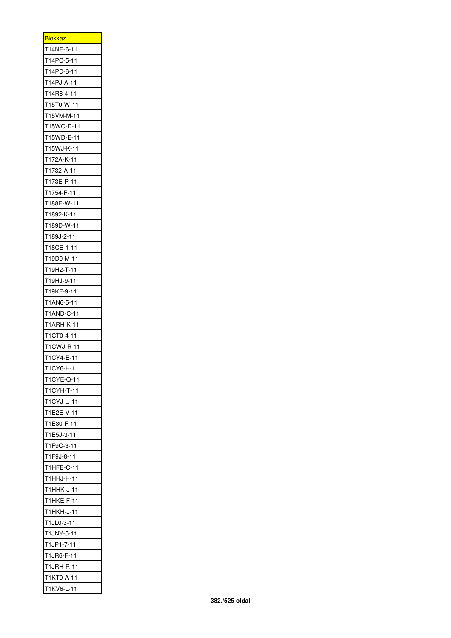| <b>Blokkaz</b>    |
|-------------------|
| T14NE-6-11        |
| T14PC-5-11        |
| T14PD-6-11        |
| T14PJ-A-11        |
| T14R8-4-11        |
| T15T0-W-11        |
| T15VM-M-11        |
| T15WC-D-11        |
| T15WD-E-11        |
| T15WJ-K-11        |
| T172A-K-11        |
| T1732-A-11        |
| T173E-P-11        |
| T1754-F-11        |
| T188E-W-11        |
| T1892-K-11        |
| T189D-W-11        |
| T189J-2-11        |
| T18CE-1-11        |
| T19D0-M-11        |
| T19H2-T-11        |
| T19HJ-9-11        |
| T19KF-9-11        |
| T1AN6-5-11        |
| T1AND-C-11        |
| T1ARH-K-11        |
| T1CT0-4-11        |
| T1CWJ-R-11        |
| T1CY4-E-11        |
| T1CY6-H-11        |
| T1CYE-Q-11        |
| T1CYH-T-11        |
| T1CYJ-U-11        |
| T1E2E-V-11        |
| T1E30-F-11        |
| T1E5J-3-11        |
| T1F9C-3-11        |
| T1F9J-8-11        |
| T1HFE-C-11        |
| T1HHJ-H-11        |
| T1HHK-J-11        |
| T1HKE-F-11        |
| <b>T1HKH-J-11</b> |
| T1JL0-3-11        |
| T1JNY-5-11        |
| T1JP1-7-11        |
| T1JR6-F-11        |
| T1JRH-R-11        |
| T1KT0-A-11        |
| T1KV6-L-11        |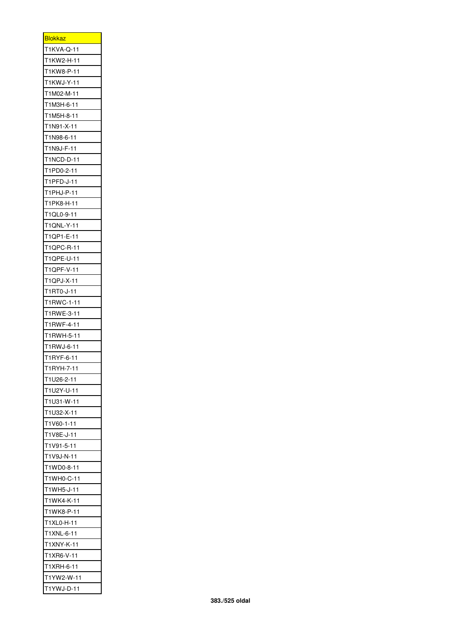| <b>Blokkaz</b> |
|----------------|
| T1KVA-Q-11     |
| T1KW2-H-11     |
| T1KW8-P-11     |
| T1KWJ-Y-11     |
| T1M02-M-11     |
| T1M3H-6-11     |
| T1M5H-8-11     |
| T1N91-X-11     |
| T1N98-6-11     |
| T1N9J-F-11     |
| T1NCD-D-11     |
| T1PD0-2-11     |
| T1PFD-J-11     |
| T1PHJ-P-11     |
| T1PK8-H-11     |
| T1QL0-9-11     |
| T1QNL-Y-11     |
| T1QP1-E-11     |
| T1QPC-R-11     |
| T1QPE-U-11     |
| T1QPF-V-11     |
| T1QPJ-X-11     |
| T1RT0-J-11     |
| T1RWC-1-11     |
| T1RWE-3-11     |
| T1RWF-4-11     |
| T1RWH-5-11     |
| T1RWJ-6-11     |
| T1RYF-6-11     |
| T1RYH-7-1<br>1 |
| T1U26-2-11     |
| T1U2Y-U-11     |
| T1U31-W-11     |
| T1U32-X-11     |
| T1V60-1-11     |
| T1V8E-J-11     |
| T1V91-5-11     |
| T1V9J-N-11     |
| T1WD0-8-11     |
| T1WH0-C-11     |
| T1WH5-J-11     |
| T1WK4-K-11     |
| T1WK8-P-11     |
|                |
| T1XL0-H-11     |
| T1XNL-6-11     |
| T1XNY-K-11     |
| T1XR6-V-11     |
| T1XRH-6-11     |
| T1YW2-W-11     |
| T1YWJ-D-11     |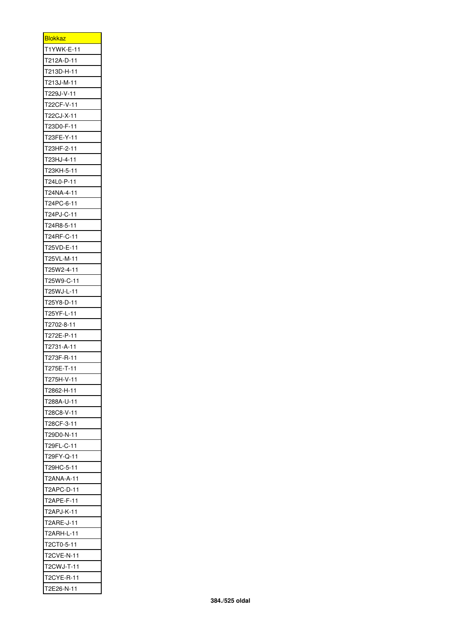| <u>Blokkaz</u> |
|----------------|
| T1YWK-E-11     |
| T212A-D-11     |
| T213D-H-11     |
| T213J-M-11     |
| T229J-V-11     |
| T22CF-V-11     |
| T22CJ-X-11     |
| T23D0-F-11     |
| T23FE-Y-11     |
| T23HF-2-11     |
| T23HJ-4-11     |
| T23KH-5-11     |
| T24L0-P-11     |
| T24NA-4-11     |
| T24PC-6-11     |
| T24PJ-C-11     |
| T24R8-5-11     |
| T24RF-C-11     |
| T25VD-E-11     |
| T25VL-M-11     |
| T25W2-4-11     |
| T25W9-C-11     |
| T25WJ-L-11     |
| T25Y8-D-11     |
| T25YF-L-11     |
| T2702-8-11     |
| T272E-P-11     |
| T2731-A-11     |
| T273F-R-11     |
| T275E-T-11     |
| T275H-V-11     |
| Г2862-Н-11     |
| T288A-U-11     |
| T28C8-V-11     |
| T28CF-3-11     |
| T29D0-N-11     |
| T29FL-C-11     |
| T29FY-Q-11     |
| Г29НС-5-11     |
| T2ANA-A-11     |
| T2APC-D-11     |
| T2APE-F-11     |
|                |
| T2APJ-K-11     |
| T2ARE-J-11     |
| T2ARH-L-11     |
| T2CT0-5-11     |
| T2CVE-N-11     |
| T2CWJ-T-11     |
| T2CYE-R-11     |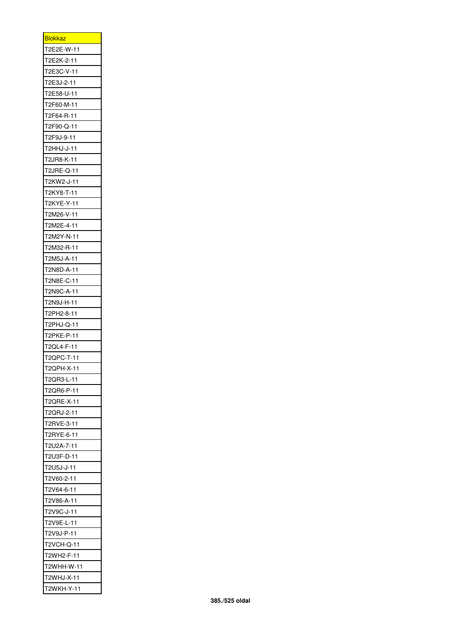| <u>Blokkaz</u> |
|----------------|
| T2E2E-W-11     |
| T2E2K-2-11     |
| T2E3C-V-11     |
| T2E3J-2-11     |
| T2E58-U-11     |
| T2F60-M-11     |
| T2F64-R-11     |
| T2F90-Q-11     |
| T2F9J-9-11     |
| T2HHJ-J-11     |
| T2JR8-K-11     |
| T2JRE-Q-11     |
| T2KW2-J-11     |
| T2KY8-T-11     |
| T2KYE-Y-11     |
| T2M26-V-11     |
| T2M2E-4-11     |
| T2M2Y-N-11     |
| T2M32-R-11     |
| T2M5J-A-11     |
| T2N8D-A-11     |
| T2N8E-C-11     |
| T2N9C-A-11     |
| T2N9J-H-11     |
| T2PH2-8-11     |
| T2PHJ-Q-11     |
| T2PKE-P-11     |
| T2QL4-F-11     |
| T2QPC-T-11     |
| T2QPH-X-11     |
| T2QR3-L-11     |
| T2QR6-P-11     |
| T2QRE-X-11     |
| T2QRJ-2-11     |
| T2RVE-3-11     |
| T2RYE-6-11     |
| T2U2A-7-11     |
| T2U3F-D-11     |
| T2U5J-J-11     |
| T2V60-2-11     |
| T2V64-6-11     |
| T2V86-A-11     |
| T2V9C-J-11     |
| T2V9E-L-11     |
| T2V9J-P-11     |
| T2VCH-Q-11     |
| T2WH2-F-11     |
| T2WHH-W-11     |
| T2WHJ-X-11     |
| T2WKH-Y-11     |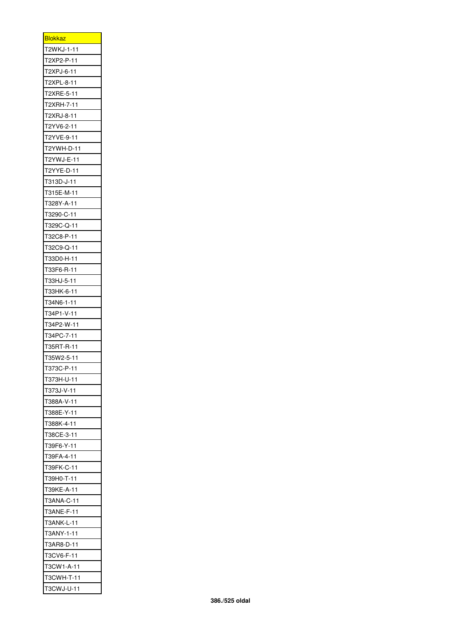| <u>Blokkaz</u> |
|----------------|
| T2WKJ-1-11     |
| T2XP2-P-11     |
| T2XPJ-6-11     |
| T2XPL-8-11     |
| T2XRE-5-11     |
| T2XRH-7-11     |
| T2XRJ-8-11     |
| T2YV6-2-11     |
| T2YVE-9-11     |
| T2YWH-D-11     |
| T2YWJ-E-11     |
| T2YYE-D-11     |
| T313D-J-11     |
| T315E-M-11     |
| T328Y-A-11     |
| Т3290-С-11     |
| T329C-Q-11     |
| T32C8-P-11     |
| T32C9-Q-11     |
| T33D0-H-11     |
| Г33F6-R-11     |
| T33HJ-5-11     |
| ТЗЗНК-6-11     |
| T34N6-1-11     |
| T34P1-V-11     |
| T34P2-W-11     |
| T34PC-7-11     |
| T35RT-R-11     |
| T35W2-5-11     |
| T373C-P-1<br>1 |
| T373H-U-11     |
| T373J-V-11     |
| T388A-V-11     |
| T388E-Y-11     |
| T388K-4-11     |
| T38CE-3-11     |
| T39F6-Y-11     |
| T39FA-4-11     |
| T39FK-C-11     |
| T39H0-T-11     |
| T39KE-A-11     |
| T3ANA-C-11     |
| T3ANE-F-11     |
| T3ANK-L-11     |
| T3ANY-1-11     |
| T3AR8-D-11     |
| T3CV6-F-11     |
| T3CW1-A-11     |
| T3CWH-T-11     |
| T3CWJ-U-11     |
|                |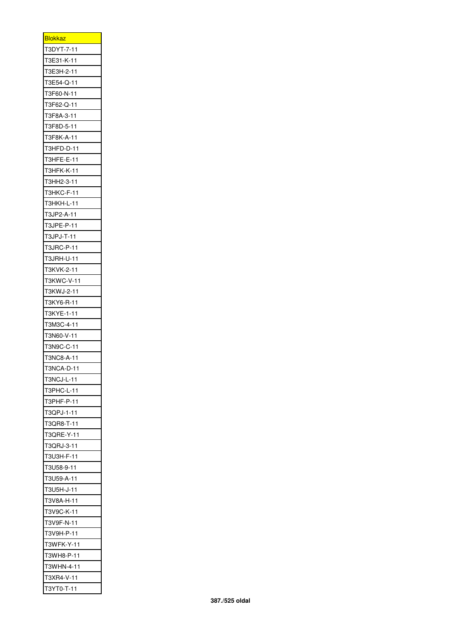| <u>Blokkaz l</u> |
|------------------|
| T3DYT-7-11       |
| T3E31-K-11       |
| T3E3H-2-11       |
| T3E54-Q-11       |
| T3F60-N-11       |
| T3F62-Q-11       |
| T3F8A-3-11       |
| T3F8D-5-11       |
| T3F8K-A-11       |
| T3HFD-D-11       |
| T3HFE-E-11       |
| T3HFK-K-11       |
| T3HH2-3-11       |
| T3HKC-F-11       |
| T3HKH-L-11       |
| T3JP2-A-11       |
| T3JPE-P-11       |
| T3JPJ-T-11       |
| T3JRC-P-11       |
| T3JRH-U-11       |
| T3KVK-2-11       |
| T3KWC-V-11       |
| T3KWJ-2-11       |
| T3KY6-R-11       |
| T3KYE-1-11       |
| T3M3C-4-11       |
| T3N60-V-11       |
| T3N9C-C-11       |
| T3NC8-A-11       |
| T3NCA-D-1<br>1   |
| T3NCJ-L-11       |
| T3PHC-L-11       |
| T3PHF-P-11       |
| T3QPJ-1-11       |
| T3QR8-T-11       |
| T3QRE-Y-11       |
| T3QRJ-3-11       |
| T3U3H-F-11       |
| T3U58-9-11       |
| T3U59-A-11       |
| T3U5H-J-11       |
| T3V8A-H-11       |
| T3V9C-K-11       |
| T3V9F-N-11       |
| T3V9H-P-11       |
| T3WFK-Y-11       |
| T3WH8-P-11       |
| T3WHN-4-11       |
| T3XR4-V-11       |
| T3YT0-T-11       |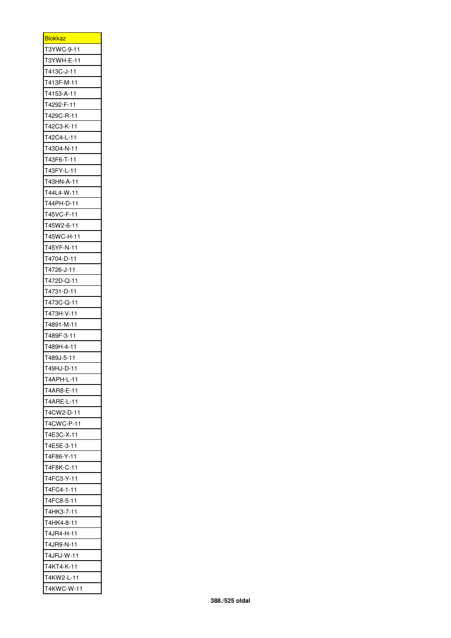| <b>Blokkaz</b> |
|----------------|
| T3YWC-9-11     |
| T3YWH-E-11     |
| T413C-J-11     |
| T413F-M-11     |
| T4153-A-11     |
| T4292-F-11     |
| T429C-R-11     |
| T42C3-K-11     |
| T42C4-L-11     |
| T43D4-N-11     |
| T43F6-T-11     |
| T43FY-L-11     |
| T43HN-A-11     |
| T44L4-W-11     |
| T44PH-D-11     |
| T45VC-F-11     |
| T45W2-6-11     |
| T45WC-H-11     |
| T45YF-N-11     |
| T4704-D-11     |
| T4726-J-11     |
| T472D-Q-11     |
| T4731-D-11     |
| T473C-Q-11     |
| T473H-V-11     |
| T4891-M-11     |
| T489F-3-11     |
| T489H-4-11     |
| T489J-5-11     |
| T49HJ-D-11     |
| T4APH-L-11     |
| T4AR8-E-11     |
| T4ARE-L-11     |
| T4CW2-D-11     |
| T4CWC-P-11     |
| T4E3C-X-11     |
| T4E5E-3-11     |
| T4F86-Y-11     |
| T4F8K-C-11     |
| T4FC3-Y-11     |
| T4FC4-1-11     |
| T4FC8-5-11     |
| T4HK3-7-11     |
| Г4НК4-8-11     |
| T4JR4-H-11     |
| T4JR9-N-11     |
| T4JRJ-W-11     |
|                |
| T4KT4-K-11     |
| T4KW2-L-11     |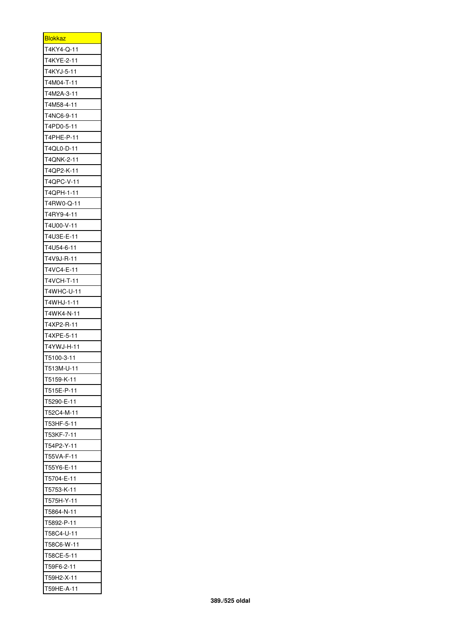| <b>Blokkaz</b> |
|----------------|
| T4KY4-Q-11     |
| T4KYE-2-11     |
| T4KYJ-5-11     |
| T4M04-T-11     |
| T4M2A-3-11     |
| T4M58-4-11     |
| T4NC6-9-11     |
| T4PD0-5-11     |
| T4PHE-P-11     |
| T4QL0-D-11     |
| T4QNK-2-11     |
| T4QP2-K-11     |
| T4QPC-V-11     |
| T4QPH-1-11     |
| T4RW0-Q-11     |
| T4RY9-4-11     |
| T4U00-V-11     |
| T4U3E-E-11     |
| T4U54-6-11     |
| T4V9J-R-11     |
| T4VC4-E-11     |
| T4VCH-T-11     |
| T4WHC-U-11     |
| T4WHJ-1-11     |
| T4WK4-N-11     |
| T4XP2-R-11     |
| T4XPE-5-11     |
| T4YWJ-H-11     |
| T5100-3-11     |
|                |
| T513M-U-11     |
| T5159-K-11     |
| T515E-P-11     |
| T5290-E-11     |
| T52C4-M-11     |
| T53HF-5-11     |
| T53KF-7-11     |
| T54P2-Y-11     |
| T55VA-F-11     |
| T55Y6-E-11     |
| T5704-E-11     |
| T5753-K-11     |
| T575H-Y-11     |
| T5864-N-11     |
| Г5892-Р-11     |
| T58C4-U-11     |
| T58C6-W-11     |
| T58CE-5-11     |
| T59F6-2-11     |
| T59H2-X-11     |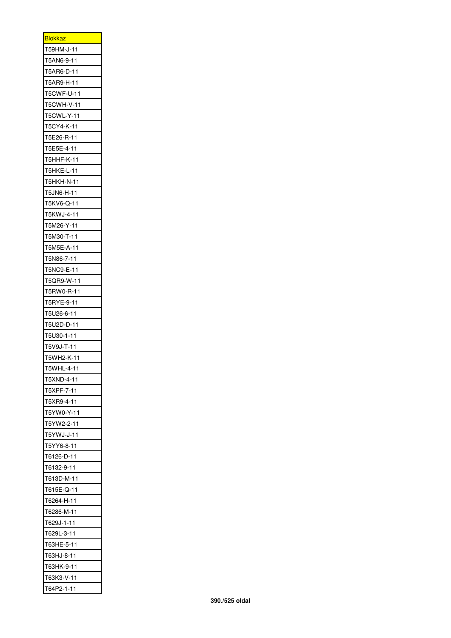| <b>Blokkaz</b> |
|----------------|
| T59HM-J-11     |
| T5AN6-9-11     |
| T5AR6-D-11     |
| T5AR9-H-11     |
| T5CWF-U-11     |
| T5CWH-V-11     |
| T5CWL-Y-11     |
| T5CY4-K-11     |
| T5E26-R-11     |
| T5E5E-4-11     |
| T5HHF-K-11     |
| T5HKE-L-11     |
| T5HKH-N-11     |
| T5JN6-H-11     |
| T5KV6-Q-11     |
| T5KWJ-4-11     |
| T5M26-Y-11     |
| T5M30-T-11     |
| T5M5E-A-11     |
| T5N86-7-11     |
| T5NC9-E-11     |
| T5QR9-W-11     |
| T5RW0-R-11     |
| T5RYE-9-11     |
| T5U26-6-11     |
| T5U2D-D-11     |
| T5U30-1-11     |
| T5V9J-T-11     |
| T5WH2-K-11     |
| T5WHL-4-11     |
| T5XND-4-11     |
| T5XPF-7-11     |
| T5XR9-4-11     |
| T5YW0-Y-11     |
| T5YW2-2-11     |
| T5YWJ-J-11     |
| T5YY6-8-11     |
| Г6126-D-11     |
| Г6132-9-11     |
| T613D-M-11     |
| T615E-Q-11     |
| Г6264-Н-11     |
| T6286-M-11     |
| Г629J-1-11     |
| T629L-3-11     |
| T63HE-5-11     |
| T63HJ-8-11     |
| Т63НК-9-11     |
| Г63К3-V-11     |
| F64P2-1-11     |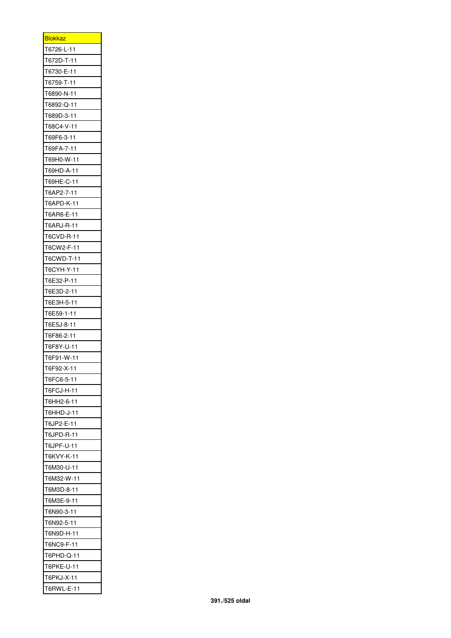| <b>Blokkaz</b> |
|----------------|
| T6726-L-11     |
| T672D-T-11     |
| T6730-E-11     |
| T6759-T-11     |
| T6890-N-11     |
| T6892-Q-11     |
| T689D-3-11     |
| T68C4-V-11     |
| T69F6-3-11     |
| T69FA-7-11     |
| T69H0-W-11     |
| T69HD-A-11     |
| T69HE-C-11     |
| T6AP2-7-11     |
| T6APD-K-11     |
| T6AR6-E-11     |
| T6ARJ-R-11     |
| T6CVD-R-11     |
|                |
| T6CW2-F-11     |
| T6CWD-T-11     |
| T6CYH-Y-11     |
| T6E32-P-11     |
| T6E3D-2-11     |
| T6E3H-5-11     |
| T6E59-1-11     |
| T6E5J-8-11     |
| T6F86-2-11     |
| T6F8Y-U-11     |
| T6F91-W-11     |
| T6F92-X-11     |
| T6FC6-5-11     |
| T6FCJ-H-11     |
| T6HH2-6-11     |
| T6HHD-J-11     |
| T6JP2-E-11     |
| T6JPD-R-11     |
| T6JPF-U-11     |
| T6KVY-K-11     |
| T6M30-U-11     |
| T6M32-W-11     |
| T6M3D-8-11     |
| Г6М3Е-9-11     |
| T6N90-3-11     |
| F6N92-5-11     |
| T6N9D-H-11     |
| T6NC9-F-11     |
| T6PHD-Q-11     |
| T6PKE-U-11     |
| T6PKJ-X-11     |
| T6RWL-E-11     |
|                |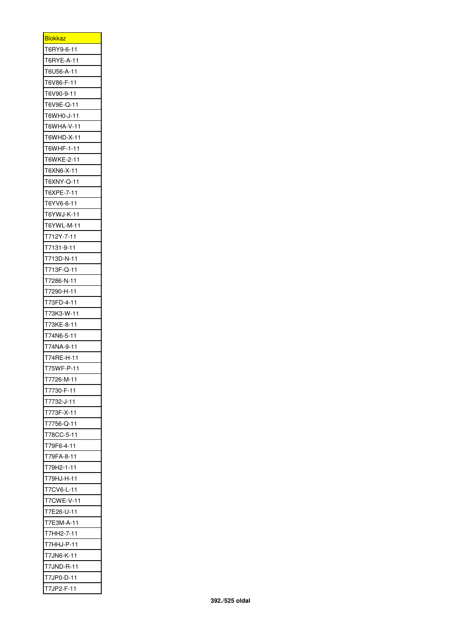| <u>Blokkaz</u> |
|----------------|
| T6RY9-6-11     |
| T6RYE-A-11     |
| T6U56-A-11     |
| T6V86-F-11     |
| T6V90-9-11     |
| T6V9E-Q-11     |
| T6WH0-J-11     |
| T6WHA-V-11     |
| T6WHD-X-11     |
| T6WHF-1-11     |
| T6WKE-2-11     |
| T6XN6-X-11     |
| T6XNY-Q-11     |
| T6XPE-7-11     |
| T6YV6-6-11     |
| T6YWJ-K-11     |
| T6YWL-M-11     |
| 712Y-7-11<br>Т |
| 7131-9-11<br>Г |
| Ī<br>713D-N-11 |
| T<br>713F-Q-11 |
| 7286-N-11<br>T |
| 7290-H-11<br>T |
| 73FD-4-11<br>Τ |
| 73K3-W-11<br>T |
| 73KE-8-11<br>Ī |
| T<br>74N6-5-11 |
| T<br>74NA-9-11 |
| T74RE-H-11     |
| 75WF-P-11<br>T |
| 7726-M-11<br>Ī |
| 7730-F-11<br>Ī |
| 7732-J-11<br>I |
| 773F-X-11<br>T |
| 7756-Q-11<br>T |
| 78CC-5-11<br>T |
| 79F6-4-11<br>T |
| 79FA-8-11<br>T |
| 79H2-1-11<br>I |
| T<br>79HJ-H-11 |
| 7CV6-L-11<br>T |
| 7CWE-V-11<br>l |
| 7E26-U-11<br>T |
| 7E3M-A-11<br>T |
| 7HH2-7-11<br>I |
| T<br>7HHJ-P-11 |
| 7JN6-K-11<br>T |
| 7JND-R-11<br>T |
| 7JP0-D-11<br>Ī |
| T7JP2-F-11     |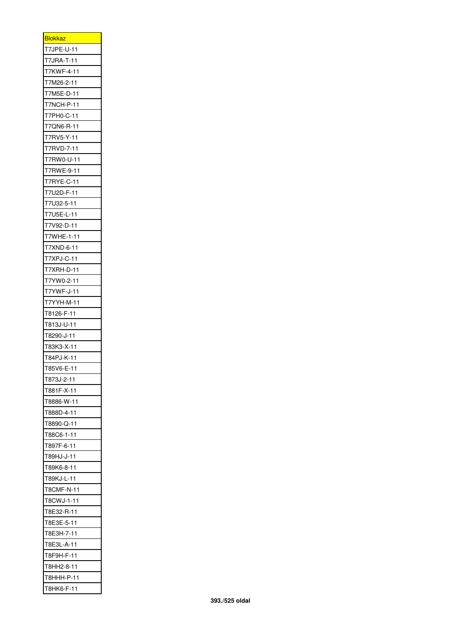| <b>Blokkaz</b> |
|----------------|
| 7JPE-U-11<br>T |
| 7JRA-T-11<br>Ī |
| T<br>7KWF-4-11 |
| 7M26-2-11<br>T |
| 7M5E-D-11<br>Τ |
| 7NCH-P-11<br>T |
| 7PH0-C-11<br>T |
| 7QN6-R-11<br>ı |
| 7RV5-Y-11<br>T |
| 7RVD-7-11<br>T |
| 7RW0-U-11<br>T |
| 7RWE-9-11<br>Τ |
| 7RYE-C-11<br>ı |
| 7U2D-F-11<br>T |
| 7U32-5-11<br>ı |
| 7U5E-L-11<br>T |
| T<br>7V92-D-11 |
| 7WHE-1-11<br>T |
| 7XND-6-11<br>T |
| 7XPJ-C-11<br>T |
| 7XRH-D-11<br>Ī |
| 7YW0-2-11<br>T |
| 7YWF-J-11<br>Τ |
| T7YYH-M-11     |
| T8126-F-11     |
| T813J-U-11     |
| T8290-J-11     |
| T83K3-X-11     |
| T84PJ-K-11     |
| T85V6-E-1<br>1 |
| T873J-2-11     |
| T881F-X-11     |
| Г8886-W-11     |
| Г888D-4-11     |
| T8890-Q-11     |
| T88C6-1-11     |
| Г897F-6-11     |
| T89HJ-J-11     |
| T89K6-8-11     |
| T89KJ-L-11     |
| T8CMF-N-11     |
| T8CWJ-1-11     |
| T8E32-R-11     |
| T8E3E-5-11     |
| T8E3H-7-11     |
| T8E3L-A-11     |
| T8F9H-F-11     |
| T8HH2-8-11     |
| T8HHH-P-11     |
| T8HK6-F-11     |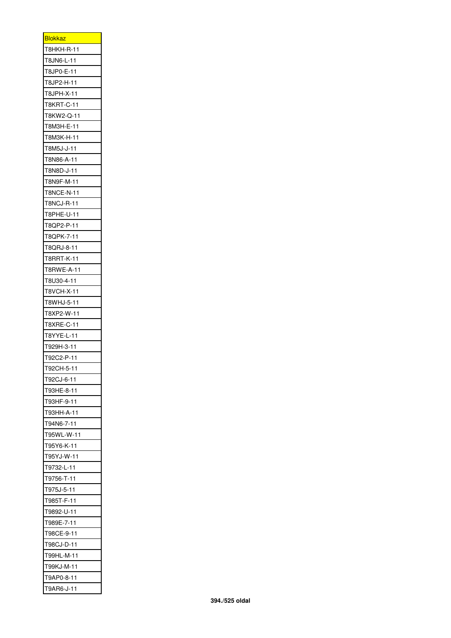| <u>Blokkaz</u> |
|----------------|
| T8HKH-R-11     |
| T8JN6-L-11     |
| T8JP0-E-11     |
| T8JP2-H-11     |
| T8JPH-X-11     |
| T8KRT-C-11     |
| T8KW2-Q-11     |
| Г8М3Н-Е-11     |
| Г8М3К-Н-11     |
| T8M5J-J-11     |
| T8N86-A-11     |
| T8N8D-J-11     |
| T8N9F-M-11     |
| T8NCE-N-11     |
| T8NCJ-R-11     |
| T8PHE-U-11     |
| T8QP2-P-11     |
| T8QPK-7-11     |
| T8QRJ-8-11     |
| T8RRT-K-11     |
| T8RWE-A-11     |
| T8U30-4-11     |
| T8VCH-X-11     |
| T8WHJ-5-11     |
| T8XP2-W-11     |
| T8XRE-C-11     |
| T8YYE-L-11     |
| Г929Н-3-11     |
| T92C2-P-11     |
| T92CH-5-11     |
| T92CJ-6-11     |
| Г93НЕ-8-11     |
| Г93НF-9-11     |
| Г93НН-А-11     |
| T94N6-7-11     |
| T95WL-W-11     |
| T95Y6-K-11     |
| T95YJ-W-11     |
| T9732-L-11     |
| T9756-T-11     |
| T975J-5-11     |
| T985T-F-11     |
| T9892-U-11     |
| T989E-7-11     |
| T98CE-9-11     |
| T98CJ-D-11     |
| Г99HL-M-11     |
| T99KJ-M-11     |
| T9AP0-8-11     |
| T9AR6-J-11     |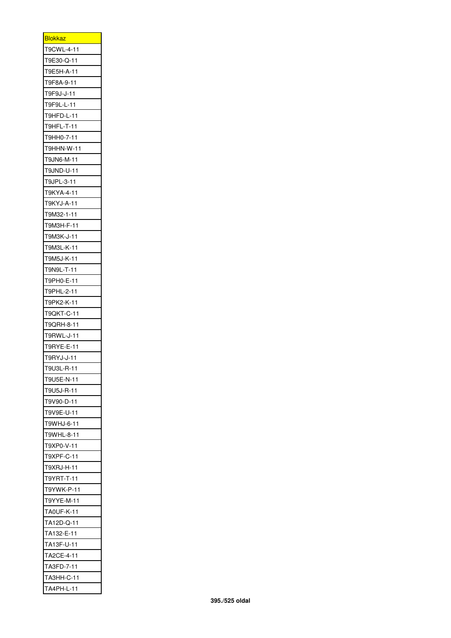| <b>Blokkaz</b> |
|----------------|
| T9CWL-4-11     |
| T9E30-Q-11     |
| T9E5H-A-11     |
| T9F8A-9-11     |
| T9F9J-J-11     |
| T9F9L-L-11     |
| T9HFD-L-11     |
| T9HFL-T-11     |
| Г9НН0-7-11     |
| T9HHN-W-11     |
| T9JN6-M-11     |
| T9JND-U-11     |
| T9JPL-3-11     |
| T9KYA-4-11     |
| T9KYJ-A-11     |
| T9M32-1-11     |
| T9M3H-F-11     |
| T9M3K-J-11     |
| T9M3L-K-11     |
| T9M5J-K-11     |
| T9N9L-T-11     |
| T9PH0-E-11     |
| T9PHL-2-11     |
| T9PK2-K-11     |
| T9QKT-C-11     |
| T9QRH-8-11     |
| T9RWL-J-11     |
| T9RYE-E-11     |
| T9RYJ-J-11     |
| T9U3L-R-11     |
| T9U5E-N-11     |
| T9U5J-R-11     |
| T9V90-D-11     |
| T9V9E-U-11     |
| T9WHJ-6-11     |
| T9WHL-8-11     |
| T9XP0-V-11     |
| T9XPF-C-11     |
| T9XRJ-H-11     |
| T9YRT-T-11     |
| T9YWK-P-11     |
| T9YYE-M-11     |
| TA0UF-K-11     |
| TA12D-Q-11     |
| TA132-E-11     |
| TA13F-U-11     |
| TA2CE-4-11     |
| TA3FD-7-11     |
| ГАЗНН-С-11     |
| TA4PH-L-11     |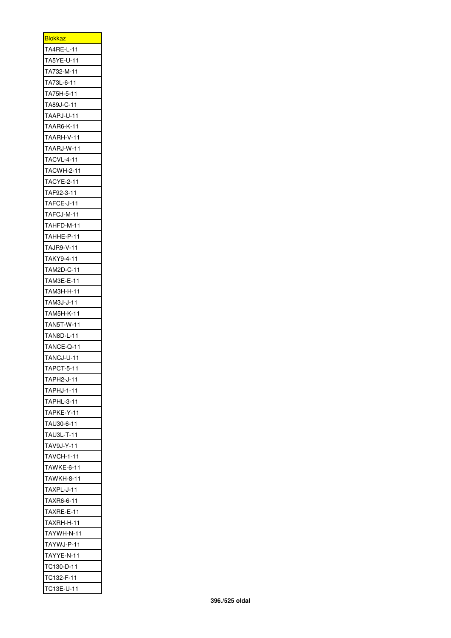| <b>Blokkaz</b>    |
|-------------------|
| TA4RE-L-11        |
| TA5YE-U-11        |
| TA732-M-11        |
| TA73L-6-11        |
| TA75H-5-11        |
| TA89J-C-11        |
| TAAPJ-U-11        |
| TAAR6-K-11        |
| TAARH-V-11        |
| TAARJ-W-11        |
| TACVL-4-11        |
| <b>TACWH-2-11</b> |
| TACYE-2-11        |
| TAF92-3-11        |
| TAFCE-J-11        |
| TAFCJ-M-11        |
| TAHFD-M-11        |
| TAHHE-P-11        |
| TAJR9-V-11        |
| TAKY9-4-11        |
| TAM2D-C-11        |
| TAM3E-E-11        |
| TAM3H-H-11        |
| TAM3J-J-11        |
| TAM5H-K-11        |
| TAN5T-W-11        |
| TAN8D-L-11        |
| TANCE-Q-11        |
| TANCJ-U-11        |
| TAPCT-5-1<br>1    |
| TAPH2-J-11        |
| TAPHJ-1-11        |
| TAPHL-3-11        |
| TAPKE-Y-11        |
| TAU30-6-11        |
| TAU3L-T-11        |
| TAV9J-Y-11        |
| TAVCH-1-11        |
| TAWKE-6-11        |
| TAWKH-8-11        |
| TAXPL-J-11        |
| TAXR6-6-11        |
| TAXRE-E-11        |
| TAXRH-H-11        |
| TAYWH-N-11        |
| TAYWJ-P-11        |
| TAYYE-N-11        |
| TC130-D-11        |
| TC132-F-11        |
| TC13E-U-11        |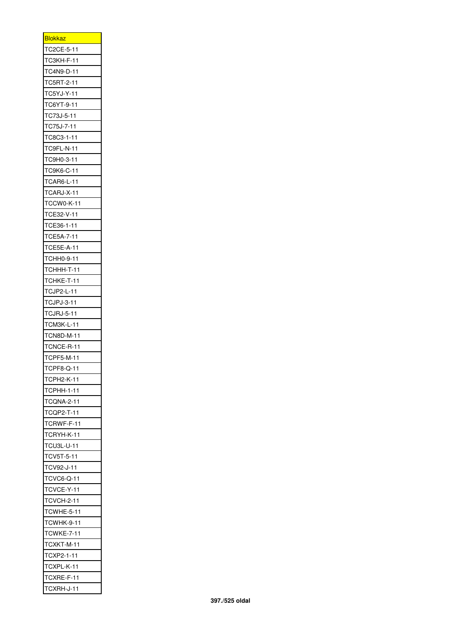| <u>Blokkaz</u>    |
|-------------------|
| TC2CE-5-11        |
| TC3KH-F-11        |
| TC4N9-D-11        |
| TC5RT-2-11        |
| TC5YJ-Y-11        |
| TC6YT-9-11        |
| TC73J-5-11        |
| TC75J-7-11        |
| TC8C3-1-11        |
| TC9FL-N-11        |
| TC9H0-3-11        |
| TC9K6-C-11        |
| TCAR6-L-11        |
| TCARJ-X-11        |
| TCCW0-K-11        |
| TCE32-V-11        |
| TCE36-1-11        |
| TCE5A-7-11        |
| <b>TCE5E-A-11</b> |
|                   |
| TCHH0-9-11        |
| TCHHH-T-11        |
| TCHKE-T-11        |
| TCJP2-L-11        |
| TCJPJ-3-11        |
| TCJRJ-5-11        |
| TCM3K-L-11        |
| TCN8D-M-11        |
| TCNCE-R-11        |
| TCPF5-M-11        |
| TCPF8-Q-1<br>1    |
| TCPH2-K-11        |
| TCPHH-1-11        |
| TCQNA-2-11        |
| TCQP2-T-11        |
| TCRWF-F-11        |
| TCRYH-K-11        |
| TCU3L-U-11        |
| TCV5T-5-11        |
| TCV92-J-11        |
| TCVC6-Q-11        |
| TCVCE-Y-11        |
| TCVCH-2-11        |
| TCWHE-5-11        |
| TCWHK-9-11        |
| TCWKE-7-11        |
| TCXKT-M-11        |
| TCXP2-1-11        |
| TCXPL-K-11        |
| TCXRE-F-11        |
| TCXRH-J-11        |
|                   |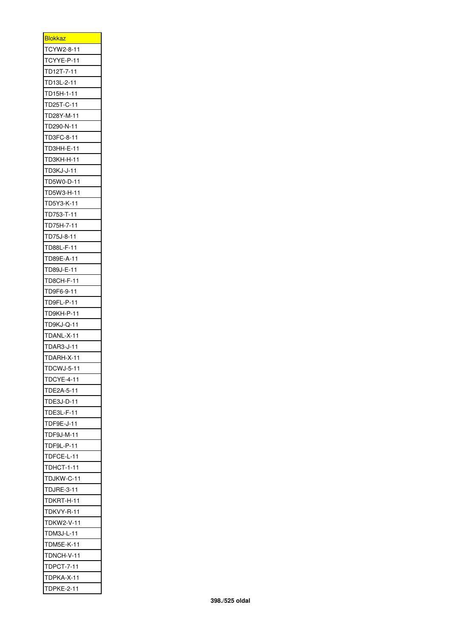| <u>Blokkaz</u>    |
|-------------------|
| TCYW2-8-11        |
| TCYYE-P-11        |
| TD12T-7-11        |
| TD13L-2-11        |
| TD15H-1-11        |
| TD25T-C-11        |
| D28Y-M-11<br>Г    |
| D290-N-11<br>Г    |
| D3FC-8-11<br>Γ    |
| TD3HH-E-11        |
| TD3KH-H-11        |
| TD3KJ-J-11        |
| D5W0-D-11<br>Г    |
| TD5W3-H-11        |
| TD5Y3-K-11        |
| TD753-T-11        |
| TD75H-7-11        |
| TD75J-8-11        |
| TD88L-F-11        |
| TD89E-A-11        |
| TD89J-E-11        |
| TD8CH-F-11        |
| TD9F6-9-11        |
| TD9FL-P-11        |
| D9KH-P-11<br>Т    |
| D9KJ-Q-11<br>Г    |
| DANL-X-11<br>Г    |
| DAR3-J-11<br>Γ    |
| TDARH-X-11        |
| DCWJ-5-11<br>Г    |
| <b>TDCYE-4-11</b> |
| TDE2A-5-11        |
| TDE3J-D-11        |
| DE3L-F-11<br>Г    |
| TDF9E-J-11        |
| TDF9J-M-11        |
| TDF9L-P-11        |
| TDFCE-L-11        |
| TDHCT-1-11        |
| TDJKW-C-11        |
| TDJRE-3-11        |
| TDKRT-H-11        |
| TDKVY-R-11        |
| TDKW2-V-11        |
| TDM3J-L-11        |
| TDM5E-K-11        |
| TDNCH-V-11        |
| TDPCT-7-11        |
| TDPKA-X-11        |
| TDPKE-2-11        |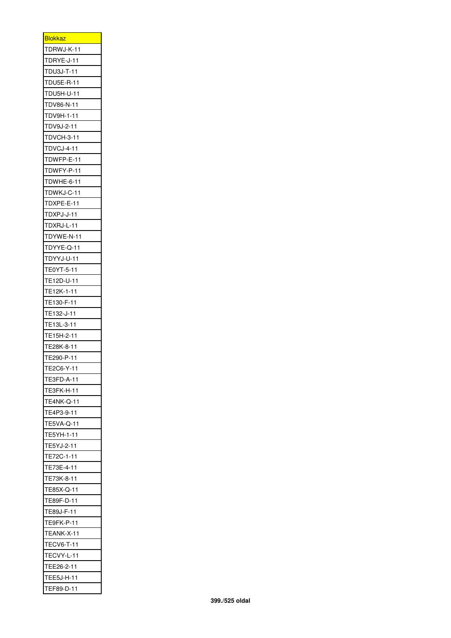| <u>Blokkaz</u>  |
|-----------------|
| TDRWJ-K-11      |
| TDRYE-J-11      |
| TDU3J-T-11      |
| TDU5E-R-11      |
| TDU5H-U-11      |
| TDV86-N-11      |
| TDV9H-1-11      |
| TDV9J-2-11      |
| TDVCH-3-11      |
| TDVCJ-4-11      |
| TDWFP-E-11      |
| DWFY-P-11<br>Г  |
| DWHE-6-11<br>Г  |
| TDWKJ-C-11      |
| TDXPE-E-11      |
| TDXPJ-J-11      |
| TDXRJ-L-11      |
| DYWE-N-11<br>Г  |
| TDYYE-Q-11      |
| TDYYJ-U-11      |
| TE0YT-5-11      |
| TE12D-U-11      |
| TE12K-1-11      |
| TE130-F-11      |
| TE132-J-11      |
| E13L-3-11<br>Г  |
| :15H-2-11<br>ΤE |
| TE28K-8-11      |
| TE290-P-11      |
| E2C6-Y-11<br>г  |
| TE3FD-A-11      |
| TE3FK-H-11      |
| TE4NK-Q-11      |
| E4P3-9-11<br>TE |
| TE5VA-Q-11      |
| TE5YH-1-11      |
|                 |
| TE5YJ-2-11      |
| TE72C-1-11      |
| ΤE<br>73E-4-11  |
| TE73K-8-11      |
| TE85X-Q-11      |
| TE89F-D-11      |
| TE89J-F-11      |
| TE9FK-P-11      |
| TEANK-X-11      |
| :CV6-T-11<br>ΤE |
| TECVY-L-11      |
| TEE26-2-11      |
| TEE5J-H-11      |
| TEF89-D-11      |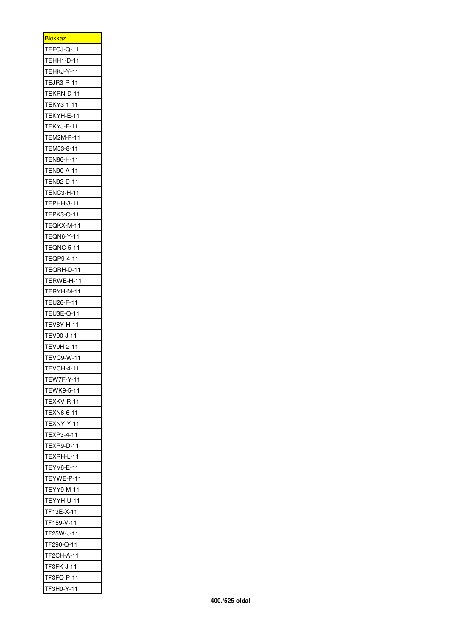| <b>Blokkaz</b>     |
|--------------------|
| TEFCJ-Q-11         |
| TEHH1-D-11         |
| TEHKJ-Y-11         |
| TEJR3-R-11         |
| TEKRN-D-11         |
| TEKY3-1-11         |
| TEKYH-E-11         |
| EKYJ-F-11<br>Г     |
| TEM2M-P-11         |
| TEM53-8-11         |
| TEN86-H-11         |
| TEN90-A-11         |
| EN92-D-11<br>T     |
| TENC3-H-11         |
| TEPHH-3-11         |
| TEPK3-Q-11         |
| TEQKX-M-11         |
| <b>TEQN6-Y-11</b>  |
| <b>TEQNC-5-11</b>  |
| EQP9-4-11<br>Г     |
| TEQRH-D-11         |
| TERWE-H-11         |
| TERYH-M-11         |
| TEU26-F-11         |
| EU3E-Q-11<br>T     |
| EV8Y-H-11<br>r     |
| V90-J-11<br>Т<br>E |
| TEV9H-2-11         |
| <b>TEVC9-W-11</b>  |
| EVCH-4-11<br>Г     |
| TEW7F-Y-11         |
| TEWK9-5-11         |
| TEXKV-R-11         |
| TEXN6-6-11         |
| TEXNY-Y-11         |
| TEXP3-4-11         |
| TEXR9-D-11         |
| TEXRH-L-11         |
| EYV6-E-11<br>Г     |
| TEYWE-P-11         |
| YY9-M-11<br>ΤE     |
| TEYYH-U-11         |
| TF13E-X-11         |
| TF159-V-11         |
| TF25W-J-11         |
| TF290-Q-11         |
| TF2CH-A-11         |
| TF3FK-J-11         |
| TF3FQ-P-11         |
| TF3H0-Y-11         |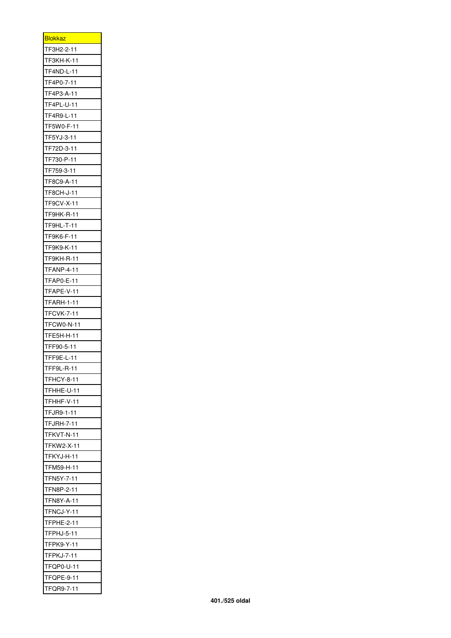| <u>Blokkaz</u>           |
|--------------------------|
| TF3H2-2-11               |
| TF3KH-K-11               |
| TF4ND-L-11               |
| TF4P0-7-11               |
| TF4P3-A-11               |
| TF4PL-U-11               |
| TF4R9-L-11               |
| TF5W0-F-11               |
| TF5YJ-3-11               |
| TF72D-3-11               |
| TF730-P-11               |
| TF759-3-11               |
| TF8C9-A-11               |
| TF8CH-J-11               |
| TF9CV-X-11               |
| TF9HK-R-11               |
| TF9HL-T-11               |
| TF9K6-F-11               |
| TF9K9-K-11               |
| TF9KH-R-11               |
| TFANP-4-11               |
| TFAP0-E-11               |
| TFAPE-V-11               |
| TFARH-1-11               |
| <b>TFCVK-7-11</b>        |
| TFCW0-N-11               |
| TFE5H-H-11               |
| TFF90-5-11               |
| TFF9E-L-11               |
|                          |
| TFF9L-R-11<br>TFHCY-8-11 |
| TFHHE-U-11               |
|                          |
| TFHHF-V-11               |
| TFJR9-1-11               |
| TFJRH-7-11               |
| TFKVT-N-11               |
| TFKW2-X-11               |
| TFKYJ-H-11               |
| TFM59-H-11               |
| TFN5Y-7-11               |
| TFN8P-2-11               |
| TFN8Y-A-11               |
| TFNCJ-Y-11               |
| TFPHE-2-11               |
|                          |
| TFPHJ-5-11               |
| TFPK9-Y-11               |
| TFPKJ-7-11               |
| TFQP0-U-11               |
| TFQPE-9-11<br>TFQR9-7-11 |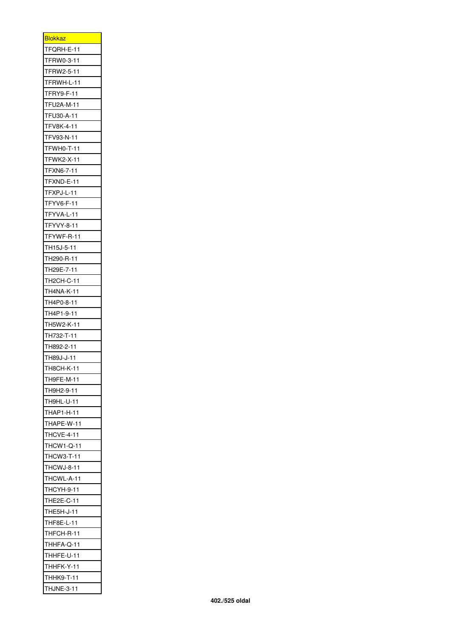| <b>Blokkaz</b>     |
|--------------------|
| TFQRH-E-11         |
| TFRW0-3-11         |
| TFRW2-5-11         |
| TFRWH-L-11         |
| TFRY9-F-11         |
| TFU2A-M-11         |
| TFU30-A-11         |
| V8K-4-11<br>T<br>F |
| FV93-N-11<br>Γ     |
| WH0-T-11<br>ΤF     |
| TFWK2-X-11         |
| TFXN6-7-11         |
| TFXND-E-11         |
| TFXPJ-L-11         |
| TFYV6-F-11         |
| TFYVA-L-11         |
| TFYVY-8-11         |
| TFYWF-R-11         |
| TH15J-5-11         |
| TH290-R-11         |
| TH29E-7-11         |
| TH2CH-C-11         |
| TH4NA-K-11         |
| TH4P0-8-11         |
| TH4P1-9-11         |
| TH5W2-K-11         |
| H732-T-11<br>Г     |
| TH892-2-11         |
| TH89J-J-11         |
| H8CH-K-1<br>Г<br>1 |
| TH9FE-M-11         |
| TH9H2-9-11         |
| TH9HL-U-11         |
| THAP1-H-11         |
| THAPE-W-11         |
| <b>THCVE-4-11</b>  |
|                    |
| THCW1-Q-11         |
| THCW3-T-11         |
| THCWJ-8-11         |
| THCWL-A-11         |
| THCYH-9-11         |
| THE2E-C-11         |
| THE5H-J-11         |
| THF8E-L-11         |
| THFCH-R-11         |
| THHFA-Q-11         |
| THHFE-U-11         |
| THHFK-Y-11         |
| THHK9-T-11         |
| THJNE-3-11         |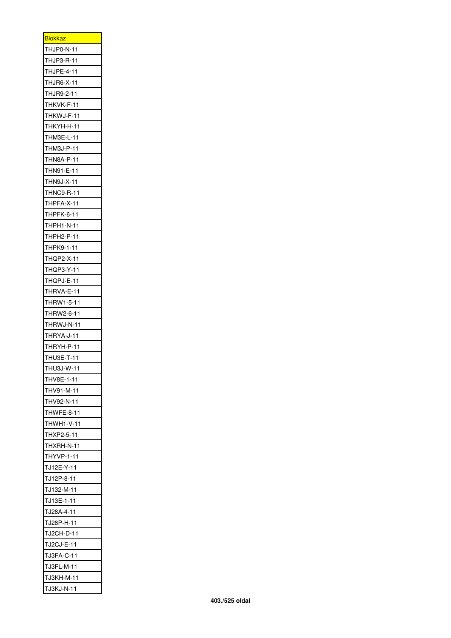| <u>Blokkaz</u>        |
|-----------------------|
| HJP0-N-11<br>T        |
| HJP3-R-11<br>L        |
| HJPE-4-11<br>Т        |
| THJR6-X-11            |
| THJR9-2-11            |
| THKVK-F-11            |
| HKWJ-F-11<br>Ī        |
| HKYH-H-11<br>Ì        |
| HM3E-L-11<br>Ī        |
| HM3J-P-11<br>ı        |
| THN8A-P-11            |
| THN91-E-11            |
| HN9J-X-11<br>T        |
| HNC9-R-11<br>Ī        |
| HPFA-X-11<br>Ī        |
| THPFK-6-11            |
| THPH1-N-11            |
| <b>HPH2-P-11</b><br>Г |
| THPK9-1-11            |
| HQP2-X-11<br>ı        |
| HQP3-Y-11<br>Ĩ        |
| HQPJ-E-11<br>Т        |
| THRVA-E-11            |
| THRW1-5-11            |
| HRW2-6-11<br>Ī        |
| HRWJ-N-11<br>I        |
| HRYA-J-11<br>I        |
| HRYH-P-11<br>ľ        |
| THU3E-T-11            |
| HU3J-W-1<br>Ī         |
| THV8E-1-11            |
| HV91-M-11<br>ı        |
| THV92-N-11            |
| HWFE-8-11<br>ľ        |
| THWH1-V-11            |
| THXP2-5-11            |
| THXRH-N-11            |
| THYVP-1-11            |
| TJ12E-Y-11            |
| TJ12P-8-11            |
| TJ132-M-11            |
| TJ13E-1-11            |
|                       |
| TJ28A-4-11            |
| TJ28P-H-11            |
| TJ2CH-D-11            |
| TJ2CJ-E-11            |
| TJ3FA-C-11            |
| TJ3FL-M-11            |
| TJ3KH-M-11            |
| TJ3KJ-N-11            |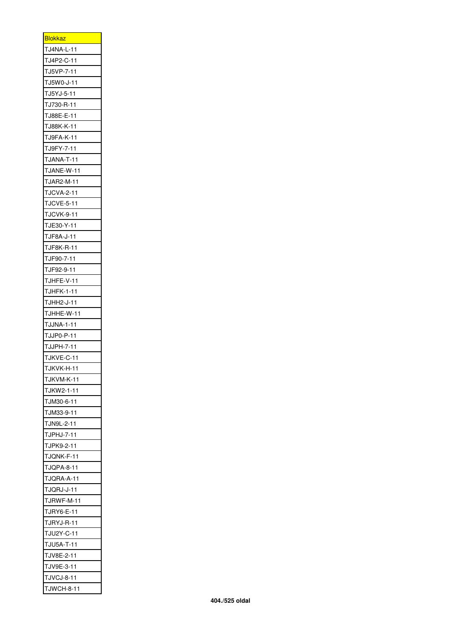| Blokkaz           |
|-------------------|
| TJ4NA-L-11        |
| TJ4P2-C-11        |
| TJ5VP-7-11        |
| TJ5W0-J-11        |
| TJ5YJ-5-11        |
| TJ730-R-11        |
| TJ88E-E-11        |
| TJ88K-K-11        |
| TJ9FA-K-11        |
| TJ9FY-7-11        |
| TJANA-T-11        |
| TJANE-W-11        |
| TJAR2-M-11        |
| <b>TJCVA-2-11</b> |
| <b>TJCVE-5-11</b> |
| <b>TJCVK-9-11</b> |
| TJE30-Y-11        |
| TJF8A-J-11        |
| TJF8K-R-11        |
| TJF90-7-11        |
| TJF92-9-11        |
| TJHFE-V-11        |
| TJHFK-1-11        |
| TJHH2-J-11        |
| TJHHE-W-11        |
| TJJNA-1-11        |
| TJJP0-P-11        |
| TJJPH-7-11        |
| TJKVE-C-11        |
| TJKVK-H-1<br>1    |
| TJKVM-K-11        |
| TJKW2-1-11        |
| TJM30-6-11        |
| TJM33-9-11        |
| TJN9L-2-11        |
| TJPHJ-7-11        |
| TJPK9-2-11        |
| TJQNK-F-11        |
| TJQPA-8-11        |
| TJQRA-A-11        |
| TJQRJ-J-11        |
| TJRWF-M-11        |
| TJRY6-E-11        |
| TJRYJ-R-11        |
| TJU2Y-C-11        |
| TJU5A-T-11        |
| TJV8E-2-11        |
| TJV9E-3-11        |
| TJVCJ-8-11        |
| TJWCH-8-11        |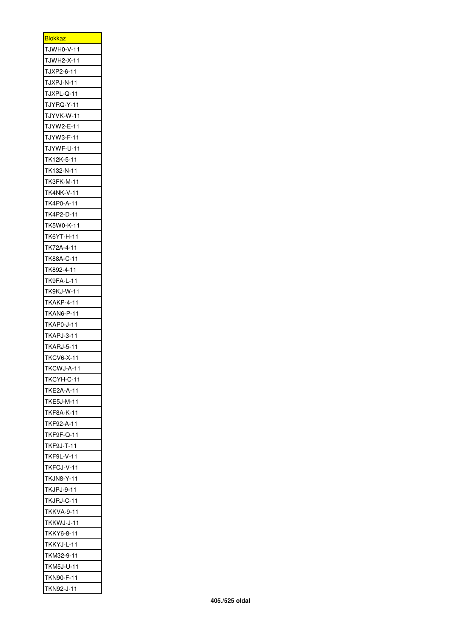| <u>Blokkaz</u>    |
|-------------------|
| TJWH0-V-11        |
| TJWH2-X-11        |
| TJXP2-6-11        |
| TJXPJ-N-11        |
| TJXPL-Q-11        |
| TJYRQ-Y-11        |
| TJYVK-W-11        |
| TJYW2-E-11        |
| TJYW3-F-11        |
| TJYWF-U-11        |
| TK12K-5-11        |
| TK132-N-11        |
| TK3FK-M-11        |
| TK4NK-V-11        |
| TK4P0-A-11        |
| TK4P2-D-11        |
| TK5W0-K-11        |
| TK6YT-H-11        |
| TK72A-4-11        |
| TK88A-C-11        |
| TK892-4-11        |
| TK9FA-L-11        |
| TK9KJ-W-11        |
| TKAKP-4-11        |
| TKAN6-P-11        |
| TKAP0-J-11        |
| TKAPJ-3-11        |
| TKARJ-5-11        |
| <b>TKCV6-X-11</b> |
| TKCWJ-A-11        |
| TKCYH-C-11        |
| TKE2A-A-11        |
| <b>TKE5J-M-11</b> |
| TKF8A-K-11        |
| TKF92-A-11        |
| TKF9F-Q-11        |
| TKF9J-T-11        |
| <b>TKF9L-V-11</b> |
| TKFCJ-V-11        |
| TKJN8-Y-11        |
| TKJPJ-9-11        |
| TKJRJ-C-11        |
| TKKVA-9-11        |
| TKKWJ-J-11        |
| TKKY6-8-11        |
| TKKYJ-L-11        |
| TKM32-9-11        |
| TKM5J-U-11        |
| <b>TKN90-F-11</b> |
| TKN92-J-11        |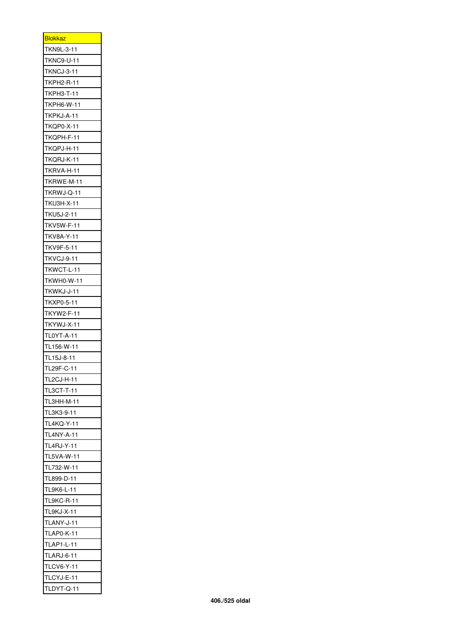| <u>Blokkaz</u>    |
|-------------------|
| TKN9L-3-11        |
| <b>TKNC9-U-11</b> |
| TKNCJ-3-11        |
| TKPH2-R-11        |
| TKPH3-T-11        |
| TKPH6-W-11        |
| TKPKJ-A-11        |
| TKQP0-X-11        |
| TKQPH-F-11        |
| TKQPJ-H-11        |
| TKQRJ-K-11        |
| TKRVA-H-11        |
| TKRWE-M-11        |
| TKRWJ-Q-11        |
| TKU3H-X-11        |
| TKU5J-2-11        |
| TKV5W-F-11        |
| TKV8A-Y-11        |
| TKV9F-5-11        |
| <b>TKVCJ-9-11</b> |
| TKWCT-L-11        |
| TKWH0-W-11        |
| TKWKJ-J-11        |
| TKXP0-5-11        |
|                   |
| TKYW2-F-11        |
|                   |
| TKYWJ-X-11        |
| TL0YT-A-11        |
| TL156-W-11        |
| TL15J-8-11        |
| TL29F-C-11        |
| <b>TL2CJ-H-11</b> |
| TL3CT-T-11        |
| TL3HH-M-11        |
| TL3K3-9-11        |
| TL4KQ-Y-11        |
| TL4NY-A-11        |
| TL4RJ-Y-11        |
| TL5VA-W-11        |
| TL732-W-11        |
| TL899-D-11        |
| TL9K6-L-11        |
| TL9KC-R-11        |
| TL9KJ-X-11        |
| TLANY-J-11        |
| TLAP0-K-11        |
| TLAP1-L-11        |
| TLARJ-6-11        |
| TLCV6-Y-11        |
| TLCYJ-E-11        |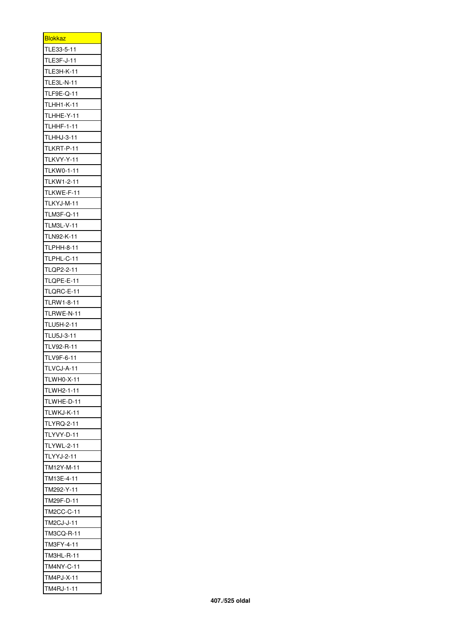| <u>Blokkaz</u>    |
|-------------------|
| TLE33-5-11        |
| TLE3F-J-11        |
| :3H-K-11<br>TLE   |
| TLE3L-N-11        |
| TLF9E-Q-11        |
| TLHH1-K-11        |
| TLHHE-Y-11        |
| TLHHF-1-11        |
| TLHHJ-3-11        |
| TLKRT-P-11        |
| TLKVY-Y-11        |
| TLKW0-1-11        |
| TLKW1-2-11        |
| TLKWE-F-11        |
| TLKYJ-M-11        |
| TLM3F-Q-11        |
| TLM3L-V-11        |
| TLN92-K-11        |
| TLPHH-8-11        |
| TLPHL-C-11        |
| TLQP2-2-11        |
| TLQPE-E-11        |
| TLQRC-E-11        |
| TLRW1-8-11        |
| TLRWE-N-11        |
| TLU5H-2-11        |
| TLU5J-3-11        |
| TLV92-R-11        |
| TLV9F-6-11        |
| TLVCJ-A-11        |
| <b>TLWH0-X-11</b> |
| TLWH2-1-11        |
| TLWHE-D-11        |
| TLWKJ-K-11        |
| TLYRQ-2-11        |
| TLYVY-D-11        |
| TLYWL-2-11        |
| TLYYJ-2-11        |
| TM12Y-M-11        |
| TM13E-4-11        |
| TM292-Y-11        |
| TM29F-D-11        |
| TM2CC-C-11        |
| M2CJ-J-11<br>ľ    |
| TM3CQ-R-11        |
| TM3FY-4-11        |
| TM3HL-R-11        |
| TM4NY-C-11        |
| $TM4PJ-X-11$      |
| TM4RJ-1-11        |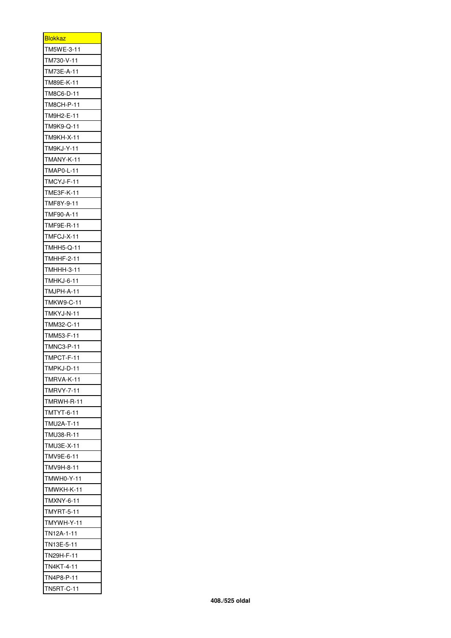| <b>Blokkaz</b>    |
|-------------------|
| TM5WE-3-11        |
| TM730-V-11        |
| TM73E-A-11        |
| TM89E-K-11        |
| TM8C6-D-11        |
| TM8CH-P-11        |
| M9H2-E-11<br>Г    |
| M9K9-Q-11<br>Г    |
| M9KH-X-11<br>Ţ    |
| TM9KJ-Y-11        |
| TMANY-K-11        |
| TMAP0-L-11        |
| TMCYJ-F-11        |
| TME3F-K-11        |
| TMF8Y-9-11        |
| TMF90-A-11        |
| TMF9E-R-11        |
| TMFCJ-X-11        |
| TMHH5-Q-11        |
| TMHHF-2-11        |
| TMHHH-3-11        |
| <b>TMHKJ-6-11</b> |
| TMJPH-A-11        |
| TMKW9-C-11        |
| TMKYJ-N-11        |
| MM32-C-11<br>Г    |
| MM53-F-11<br>Ī    |
| <b>TMNC3-P-11</b> |
| TMPCT-F-11        |
| TMPKJ-D-1<br>1    |
| TMRVA-K-11        |
| TMRVY-7-11        |
| TMRWH-R-11        |
| TMTYT-6-11        |
| TMU2A-T-11        |
| TMU38-R-11        |
| TMU3E-X-11        |
| TMV9E-6-11        |
| TMV9H-8-11        |
| TMWH0-Y-11        |
| TMWKH-K-11        |
| TMXNY-6-11        |
| TMYRT-5-11        |
| TMYWH-Y-11        |
| TN12A-1-11        |
| TN13E-5-11        |
| TN29H-F-11        |
| TN4KT-4-11        |
| TN4P8-P-11        |
| TN5RT-C-11        |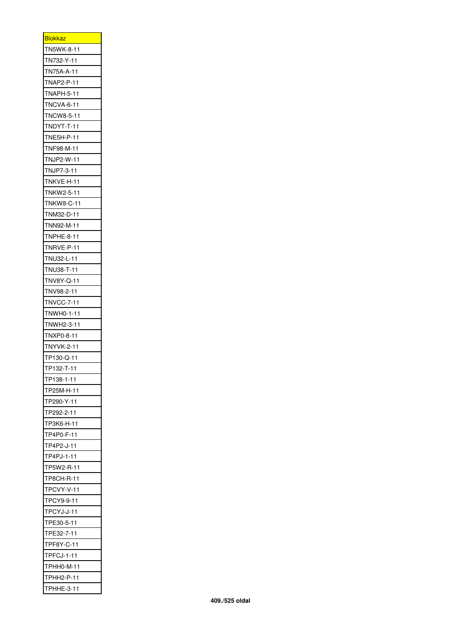| <b>Blokkaz</b>    |
|-------------------|
| TN5WK-8-11        |
| TN732-Y-11        |
| TN75A-A-11        |
| TNAP2-P-11        |
| TNAPH-5-11        |
| <b>TNCVA-6-11</b> |
| <b>TNCW8-5-11</b> |
| NDYT-T-11<br>Г    |
| TNE5H-P-11        |
| TNF98-M-11        |
| TNJP2-W-11        |
| TNJP7-3-11        |
| TNKVE-H-11        |
| <b>TNKW2-5-11</b> |
| <b>TNKW8-C-11</b> |
| TNM32-D-11        |
| TNN92-M-11        |
| TNPHE-8-11        |
| TNRVE-P-11        |
| TNU32-L-11        |
| TNU38-T-11        |
| TNV8Y-Q-11        |
| TNV98-2-11        |
| <b>TNVCC-7-11</b> |
| NWH0-1-11<br>Г    |
|                   |
|                   |
| NWH2-3-11<br>Г    |
| NXP0-8-11<br>Т    |
| TNYVK-2-11        |
| TP130-Q-11        |
| FP132-T-11        |
| FP138-1-11        |
| TP25M-H-11        |
| TP290-Y-11        |
| TP292-2-11        |
| TP3K6-H-11        |
| TP4P0-F-11        |
| TP4P2-J-11        |
| TP4PJ-1-11        |
| P5W2-R-11<br>Г    |
| TP8CH-R-11        |
| TPCVY-V-11        |
| TPCY9-9-11        |
| TPCYJ-J-11        |
| TPE30-5-11        |
| TPE32-7-11        |
| TPF8Y-C-11        |
| TPFCJ-1-11        |
| TPHH0-M-11        |
| TPHH2-P-11        |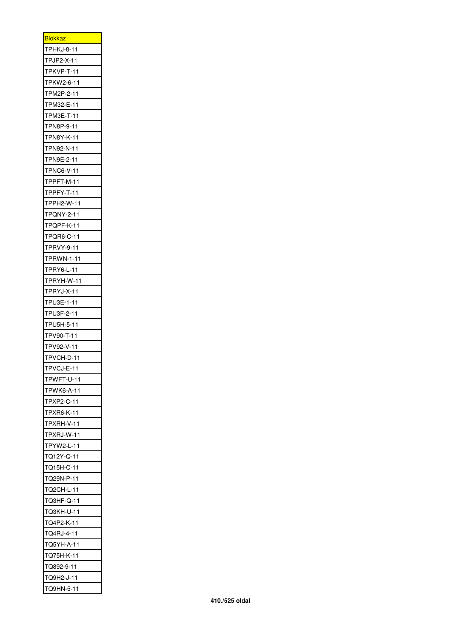| <b>Blokkaz</b>            |
|---------------------------|
| TPHKJ-8-11                |
| TPJP2-X-11                |
| TPKVP-T-11                |
| TPKW2-6-11                |
| TPM2P-2-11                |
| TPM32-E-11                |
| TPM3E-T-11                |
| PN8P-9-11<br>T            |
| PN8Y-K-11<br>Г            |
| TPN92-N-11                |
| TPN9E-2-11                |
| <b>TPNC6-V-11</b>         |
| TPPFT-M-11<br>TPPFY-T-11  |
| TPPH2-W-11                |
| <b>TPQNY-2-11</b>         |
| TPQPF-K-11                |
| TPQR6-C-11                |
| TPRVY-9-11                |
| TPRWN-1-11                |
| TPRY6-L-11                |
| TPRYH-W-11                |
| TPRYJ-X-11                |
| TPU3E-1-11                |
| TPU3F-2-11                |
| TPU5H-5-11                |
| PV90-T-11<br>Г            |
| PV92-V-11<br>Ţ            |
| TPVCH-D-11                |
| PVCJ-E-11<br>Г            |
| TPWFT-U-11                |
| TPWK6-A-11                |
| TPXP2-C-11                |
| PXR6-K-11<br>T            |
| PXRH-V-11<br>$\mathsf{r}$ |
| TPXRJ-W-11                |
| TPYW2-L-11                |
| TQ12Y-Q-11                |
| TQ15H-C-11                |
| TQ29N-P-11                |
| TQ2CH-L-11                |
| TQ3HF-Q-11                |
| TQ3KH-U-11                |
| TQ4P2-K-11                |
| TQ4RJ-4-11<br>TQ5YH-A-11  |
| TQ75H-K-11                |
| TQ892-9-11                |
| TQ9H2-J-11                |
| TQ9HN-5-11                |
|                           |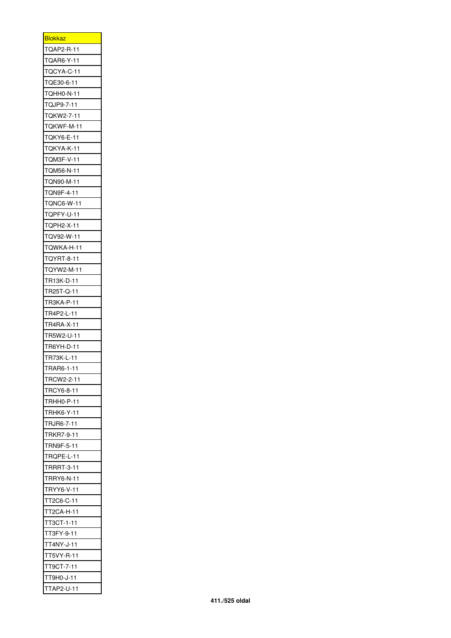| <b>Blokkaz</b>    |
|-------------------|
| TQAP2-R-11        |
| <b>TQAR6-Y-11</b> |
| TQCYA-C-11        |
| TQE30-6-11        |
| TQHH0-N-11        |
| TQJP9-7-11        |
| TQKW2-7-11        |
| TQKWF-M-11        |
| TQKY6-E-11        |
| TQKYA-K-11        |
| TQM3F-V-11        |
| TQM56-N-11        |
| TQN90-M-11        |
| TQN9F-4-11        |
| TQNC6-W-11        |
| TQPFY-U-11        |
| TQPH2-X-11        |
| TQV92-W-11        |
|                   |
| TQWKA-H-11        |
| TQYRT-8-11        |
| TQYW2-M-11        |
| TR13K-D-11        |
| TR25T-Q-11        |
| TR3KA-P-11        |
| TR4P2-L-11        |
| R4RA-X-11<br>Г    |
| R5W2-U-11<br>Г    |
| TR6YH-D-11        |
| TR73K-L-11        |
| RAR6-1-11<br>Г    |
| TRCW2-2-11        |
| TRCY6-8-11        |
| TRHH0-P-11        |
| TRHK6-Y-11        |
| TRJR6-7-11        |
| TRKR7-9-11        |
| TRN9F-5-11        |
| TRQPE-L-11        |
| TRRRT-3-11        |
| TRRY6-N-11        |
| TRYY6-V-11        |
| T2C6-C-11<br>T    |
| T2CA-H-11<br>Τ    |
| T3CT-1-11<br>T    |
| T3FY-9-11<br>T    |
| T4NY-J-11<br>T    |
| T<br>T5VY-R-11    |
| T9CT-7-11<br>Τ    |
| T                 |
| Г9Н0-J-11         |
| T<br>TAP2-U-11    |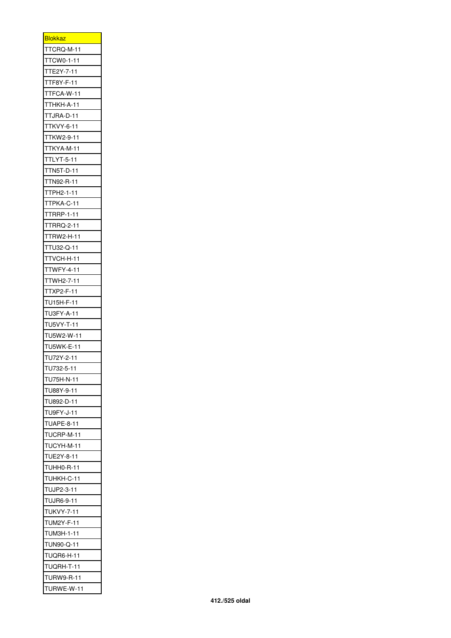| <b>Blokkaz</b>        |
|-----------------------|
| TCRQ-M-11<br>ı        |
| TCW0-1-11<br>I        |
| T<br>FE2Y-7-11        |
| T<br>TF8Y-F-11        |
| TFCA-W-11<br>T        |
| THKH-A-11<br>Ţ        |
| TJRA-D-11<br>I        |
| KVY-6-11<br>ı<br>Ī    |
| TKW2-9-11<br>I        |
| TKYA-M-11<br>T        |
| LYT-5-11<br>T<br>T    |
| TN5T-D-11<br>T        |
| N92-R-11<br>l<br>Ī    |
| PH2-1-11<br>I<br>Ī    |
| TPKA-C-11<br>T        |
| <b>TRRP-1-11</b><br>T |
| <b>FRRQ-2-11</b><br>T |
| TRW2-H-11<br>Ţ        |
| TU32-Q-11<br>T        |
| VCH-H-11<br>ı<br>Ī    |
| <b>TWFY-4-11</b><br>I |
| T<br>TWH2-7-11        |
| TXP2-F-11<br>T        |
| TU15H-F-11            |
| TU3FY-A-11            |
| U5VY-T-11<br>Г        |
| U5W2-W-11<br>Ī        |
| TU5WK-E-11            |
| TU72Y-2-11            |
| TU732-5-1             |
| TU75H-N-11            |
| TU88Y-9-11            |
| TU892-D-11            |
| TU9FY-J-11            |
| TUAPE-8-11            |
| TUCRP-M-11            |
| TUCYH-M-11            |
| TUE2Y-8-11            |
| TUHH0-R-11            |
| TUHKH-C-11            |
| TUJP2-3-11            |
| TUJR6-9-11            |
| <b>TUKVY-7-11</b>     |
| TUM2Y-F-11            |
| TUM3H-1-11            |
| TUN90-Q-11            |
| TUQR6-H-11            |
| TUQRH-T-11            |
| TURW9-R-11            |
| TURWE-W-11            |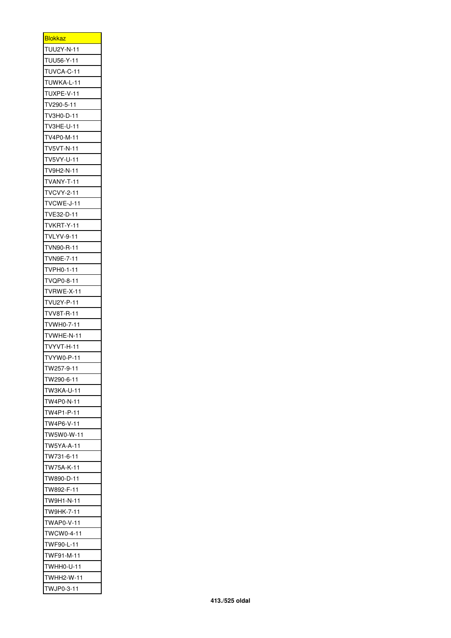| <b>Blokkaz</b>    |
|-------------------|
| TUU2Y-N-11        |
| TUU56-Y-11        |
| TUVCA-C-11        |
| TUWKA-L-11        |
| TUXPE-V-11        |
| TV290-5-11        |
| TV3H0-D-11        |
| V3HE-U-11<br>Г    |
| TV4P0-M-11        |
| TV5VT-N-11        |
| TV5VY-U-11        |
| TV9H2-N-11        |
| VANY-T-11<br>T    |
| <b>TVCVY-2-11</b> |
| TVCWE-J-11        |
| TVE32-D-11        |
| TVKRT-Y-11        |
| TVLYV-9-11        |
| TVN90-R-11        |
| VN9E-7-11<br>Г    |
| TVPH0-1-11        |
| TVQP0-8-11        |
| TVRWE-X-11        |
| TVU2Y-P-11        |
| VV8T-R-11<br>Т    |
| VWH0-7-11<br>Г    |
| VWHE-N-11<br>Ī    |
| VYVT-H-11<br>Г    |
| TVYW0-P-11        |
| W257-9-1<br>Г     |
| TW290-6-11        |
| TW3KA-U-11        |
| TW4P0-N-11        |
| TW4P1-P-11        |
| TW4P6-V-11        |
| TW5W0-W-11        |
| TW5YA-A-11        |
| TW731-6-11        |
| W75A-K-11<br>T    |
| TW890-D-11        |
| TW892-F-11        |
| TW9H1-N-11        |
| TW9HK-7-11        |
| TWAP0-V-11        |
| TWCW0-4-11        |
| TWF90-L-11        |
| TWF91-M-11        |
| TWHH0-U-11        |
| TWHH2-W-11        |
| TWJP0-3-11        |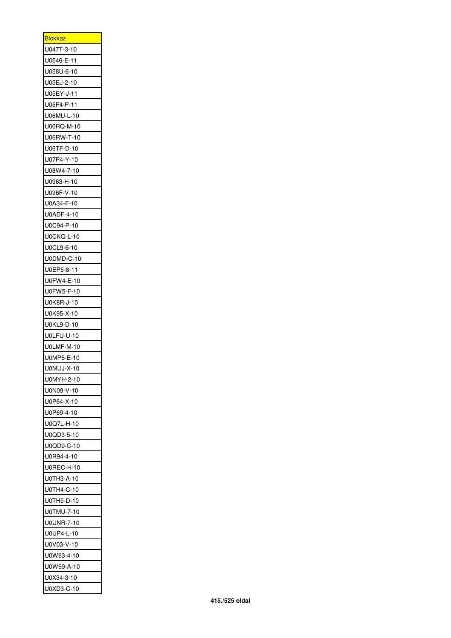| <b>Blokkaz</b> |
|----------------|
| U047T-3-10     |
| U0546-E-11     |
| U058U-6-10     |
| U05EJ-2-10     |
| U05EY-J-11     |
| U05F4-P-11     |
| U06MU-L-10     |
| U06RQ-M-10     |
| U06RW-T-10     |
| U06TF-D-10     |
| U07P4-Y-10     |
| U08W4-7-10     |
| U0963-H-10     |
| U096F-V-10     |
| U0A34-F-10     |
| U0ADF-4-10     |
| U0C94-P-10     |
| U0CKQ-L-10     |
| U0CL9-6-10     |
| U0DMD-C-10     |
| U0EP5-8-11     |
| U0FW4-E-10     |
|                |
| U0FW5-F-10     |
| U0K8R-J-10     |
| U0K95-X-10     |
| U0KL9-D-10     |
| U0LFU-U-10     |
| U0LMF-M-10     |
| U0MP5-E-10     |
| U0MUJ-X-10     |
| U0MYH-2-10     |
| U0N09-V-10     |
| U0P64-X-10     |
| U0P69-4-10     |
| U0Q7L-H-10     |
| U0QD3-5-10     |
| U0QD9-C-10     |
| U0R94-4-10     |
| U0REC-H-10     |
| U0TH3-A-10     |
| U0TH4-C-10     |
| U0TH5-D-10     |
| U0TMU-7-10     |
| U0UNR-7-10     |
| U0UP4-L-10     |
| U0V03-V-10     |
| U0W63-4-10     |
| U0W69-A-10     |
| U0X34-3-10     |
| U0XD3-C-10     |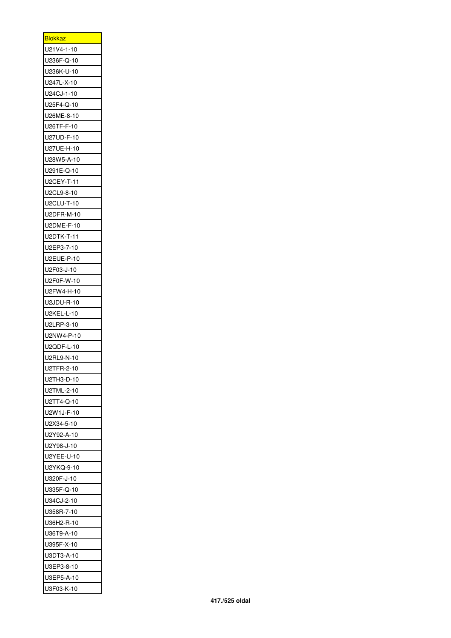| <b>Blokkaz</b>    |
|-------------------|
| U21V4-1-10        |
| U236F-Q-10        |
| U236K-U-10        |
| U247L-X-10        |
| U24CJ-1-10        |
| U25F4-Q-10        |
| U26ME-8-10        |
| U26TF-F-10        |
| U27UD-F-10        |
| U27UE-H-10        |
| U28W5-A-10        |
| U291E-Q-10        |
| U2CEY-T-11        |
| U2CL9-8-10        |
| U2CLU-T-10        |
| U2DFR-M-10        |
| U2DME-F-10        |
|                   |
| U2DTK-T-11        |
| U2EP3-7-10        |
| U2EUE-P-10        |
| U2F03-J-10        |
| U2F0F-W-10        |
| U2FW4-H-10        |
| U2JDU-R-10        |
| <b>U2KEL-L-10</b> |
| U2LRP-3-10        |
| U2NW4-P-10        |
| U2QDF-L-10        |
| U2RL9-N-10        |
| U2TFR-2-10        |
| U2TH3-D-10        |
| U2TML-2-10        |
| U2TT4-Q-10        |
| U2W1J-F-10        |
| U2X34-5-10        |
| U2Y92-A-10        |
| U2Y98-J-10        |
| U2YEE-U-10        |
| U2YKQ-9-10        |
| U320F-J-10        |
| U335F-Q-10        |
| U34CJ-2-10        |
| U358R-7-10        |
| U36H2-R-10        |
| U36T9-A-10        |
| U395F-X-10        |
| U3DT3-A-10        |
| U3EP3-8-10        |
| U3EP5-A-10        |
|                   |
| U3F03-K-10        |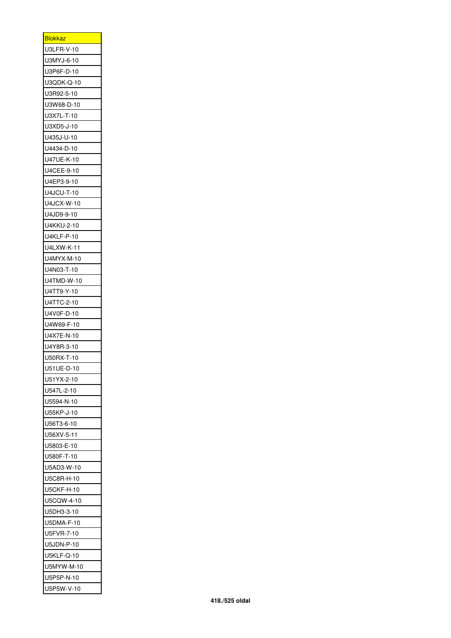| <b>Blokkaz</b>    |
|-------------------|
| U3LFR-V-10        |
| U3MYJ-6-10        |
| U3P6F-D-10        |
| U3QDK-Q-10        |
| U3R92-5-10        |
| U3W68-D-10        |
| U3X7L-T-10        |
| U3XD5-J-10        |
| U435J-U-10        |
| U4434-D-10        |
| U47UE-K-10        |
| U4CEE-9-10        |
| U4EP3-9-10        |
| U4JCU-T-10        |
| U4JCX-W-10        |
| U4JD9-9-10        |
| U4KKU-2-10        |
| U4KLF-P-10        |
| U4LXW-K-11        |
| U4MYX-M-10        |
| U4N03-T-10        |
| U4TMD-W-10        |
| U4TT9-Y-10        |
| U4TTC-2-10        |
| U4V0F-D-10        |
| U4W69-F-10        |
| U4X7E-N-10        |
| U4Y8R-3-10        |
| U50RX-T-10        |
| U51UE-D-10        |
| U51YX-2-10        |
| U547L-2-10        |
| U5594-N-10        |
| U55KP-J-10        |
| U56T3-6-10        |
| U56XV-5-11        |
| U5803-E-10        |
| U580F-T-10        |
| U5AD3-W-10        |
| U5C8R-H-10        |
| <b>U5CKF-H-10</b> |
| U5CQW-4-10        |
| U5DH3-3-10        |
| U5DMA-F-10        |
| U5FVR-7-10        |
| U5JDN-P-10        |
| U5KLF-Q-10        |
| U5MYW-M-10        |
| U5P5P-N-10        |
| U5P5W-V-10        |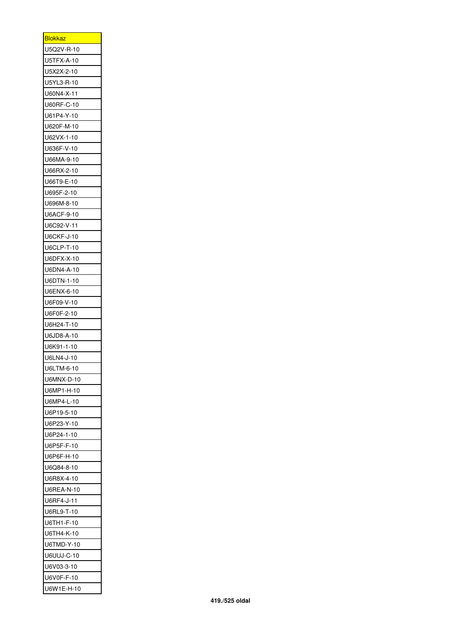| <b>Blokkaz</b>    |
|-------------------|
| U5Q2V-R-10        |
| U5TFX-A-10        |
| U5X2X-2-10        |
| U5YL3-R-10        |
| U60N4-X-11        |
| U60RF-C-10        |
| U61P4-Y-10        |
| U620F-M-10        |
| U62VX-1-10        |
| U636F-V-10        |
| U66MA-9-10        |
| U66RX-2-10        |
| U66T9-E-10        |
| U695F-2-10        |
| U696M-8-10        |
| U6ACF-9-10        |
| U6C92-V-11        |
| <b>U6CKF-J-10</b> |
| <b>U6CLP-T-10</b> |
| U6DFX-X-10        |
| U6DN4-A-10        |
| U6DTN-1-10        |
| U6ENX-6-10        |
| U6F09-V-10        |
| U6F0F-2-10        |
| U6H24-T-10        |
| U6JD8-A-10        |
| U6K91-1-10        |
| U6LN4-J-10        |
| U6LTM-6-10        |
| U6MNX-D-10        |
| U6MP1-H-10        |
| U6MP4-L-10        |
| U6P19-5-10        |
| U6P23-Y-10        |
| U6P24-1-10        |
| U6P5F-F-10        |
| U6P6F-H-10        |
| U6Q84-8-10        |
| U6R8X-4-10        |
| U6REA-N-10        |
| U6RF4-J-11        |
| U6RL9-T-10        |
| U6TH1-F-10        |
| U6TH4-K-10        |
| U6TMD-Y-10        |
| U6UUJ-C-10        |
| U6V03-3-10        |
| U6V0F-F-10        |
| U6W1E-H-10        |
|                   |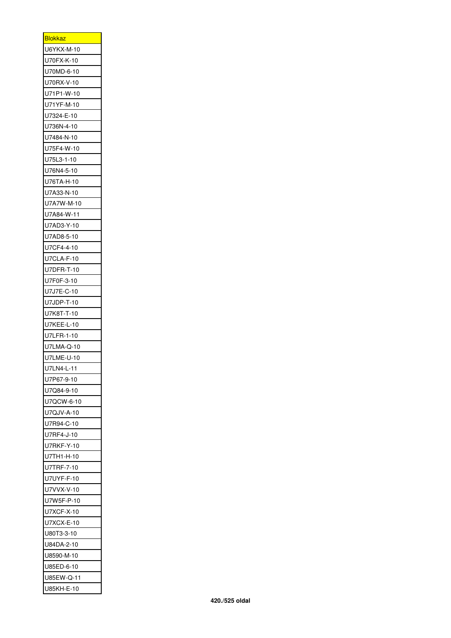| <b>Blokkaz</b> |
|----------------|
| U6YKX-M-10     |
| U70FX-K-10     |
|                |
| U70MD-6-10     |
| U70RX-V-10     |
| U71P1-W-10     |
| U71YF-M-10     |
| U7324-E-10     |
| U736N-4-10     |
| U7484-N-10     |
| U75F4-W-10     |
| U75L3-1-10     |
| U76N4-5-10     |
| U76TA-H-10     |
| U7A33-N-10     |
| U7A7W-M-10     |
| U7A84-W-11     |
| U7AD3-Y-10     |
| U7AD8-5-10     |
| U7CF4-4-10     |
| U7CLA-F-10     |
| U7DFR-T-10     |
| U7F0F-3-10     |
| U7J7E-C-10     |
| U7JDP-T-10     |
|                |
| U7K8T-T-10     |
| U7KEE-L-10     |
| U7LFR-1-10     |
| U7LMA-Q-10     |
| U7LME-U-10     |
| U7LN4-L-11     |
| U7P67-9-10     |
| U7Q84-9-10     |
| U7QCW-6-10     |
| U7QJV-A-10     |
| U7R94-C-10     |
| U7RF4-J-10     |
| U7RKF-Y-10     |
| U7TH1-H-10     |
| U7TRF-7-10     |
| U7UYF-F-10     |
| U7VVX-V-10     |
| U7W5F-P-10     |
| U7XCF-X-10     |
| U7XCX-E-10     |
| U80T3-3-10     |
| U84DA-2-10     |
| U8590-M-10     |
| U85ED-6-10     |
| U85EW-Q-11     |
| U85KH-E-10     |
|                |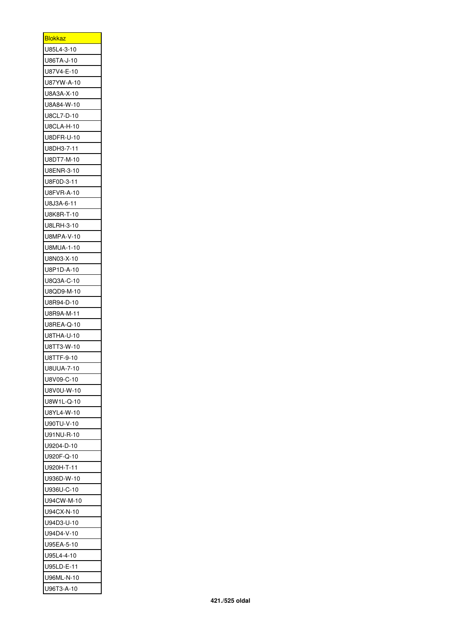| <u>Blokkaz</u> |
|----------------|
| U85L4-3-10     |
| U86TA-J-10     |
| U87V4-E-10     |
| U87YW-A-10     |
| U8A3A-X-10     |
| U8A84-W-10     |
| U8CL7-D-10     |
| U8CLA-H-10     |
| U8DFR-U-10     |
| U8DH3-7-11     |
| U8DT7-M-10     |
| U8ENR-3-10     |
| U8F0D-3-11     |
| U8FVR-A-10     |
| U8J3A-6-11     |
| U8K8R-T-10     |
| U8LRH-3-10     |
| U8MPA-V-10     |
| U8MUA-1-10     |
| U8N03-X-10     |
| U8P1D-A-10     |
| U8Q3A-C-10     |
| U8QD9-M-10     |
| U8R94-D-10     |
| U8R9A-M-11     |
|                |
| U8REA-Q-10     |
| U8THA-U-10     |
| U8TT3-W-10     |
| U8TTF-9-10     |
| U8UUA-7-10     |
| U8V09-C-10     |
| U8V0U-W-10     |
| U8W1L-Q-10     |
|                |
| U8YL4-W-10     |
| U90TU-V-10     |
| U91NU-R-10     |
| U9204-D-10     |
| U920F-Q-10     |
| U920H-T-11     |
| U936D-W-10     |
| U936U-C-10     |
| U94CW-M-10     |
| U94CX-N-10     |
| U94D3-U-10     |
| U94D4-V-10     |
| U95EA-5-10     |
| U95L4-4-10     |
| U95LD-E-11     |
| U96ML-N-10     |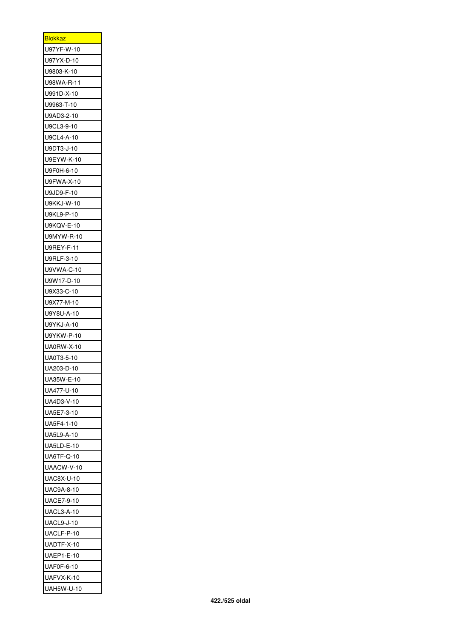| <b>Blokkaz</b>    |
|-------------------|
| U97YF-W-10        |
| U97YX-D-10        |
| U9803-K-10        |
| U98WA-R-11        |
| U991D-X-10        |
| U9963-T-10        |
| U9AD3-2-10        |
| U9CL3-9-10        |
| U9CL4-A-10        |
| U9DT3-J-10        |
| U9EYW-K-10        |
| U9F0H-6-10        |
| U9FWA-X-10        |
| U9JD9-F-10        |
| U9KKJ-W-10        |
| U9KL9-P-10        |
| U9KQV-E-10        |
| U9MYW-R-10        |
|                   |
| U9REY-F-11        |
| U9RLF-3-10        |
| U9VWA-C-10        |
| U9W17-D-10        |
| U9X33-C-10        |
| U9X77-M-10        |
| U9Y8U-A-10        |
| U9YKJ-A-10        |
| U9YKW-P-10        |
| UA0RW-X-10        |
| UA0T3-5-10        |
| UA203-D-10        |
| UA35W-E-10        |
| UA477-U-10        |
| UA4D3-V-10        |
| UA5E7-3-10        |
| UA5F4-1-10        |
| UA5L9-A-10        |
| <b>UA5LD-E-10</b> |
| <b>UA6TF-Q-10</b> |
| UAACW-V-10        |
| UAC8X-U-10        |
| UAC9A-8-10        |
| <b>UACE7-9-10</b> |
| <b>UACL3-A-10</b> |
| <b>UACL9-J-10</b> |
| UACLF-P-10        |
| UADTF-X-10        |
| UAEP1-E-10        |
| UAF0F-6-10        |
| UAFVX-K-10        |
| UAH5W-U-10        |
|                   |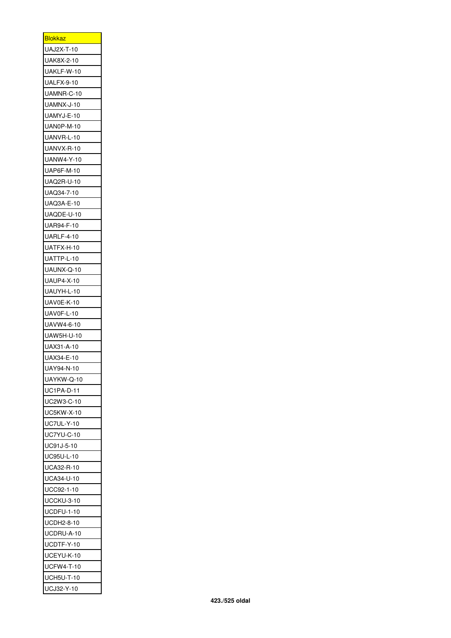| <b>Blokkaz</b>    |
|-------------------|
| UAJ2X-T-10        |
| UAK8X-2-10        |
| UAKLF-W-10        |
| <b>UALFX-9-10</b> |
| UAMNR-C-10        |
| UAMNX-J-10        |
| UAMYJ-E-10        |
| UAN0P-M-10        |
| UANVR-L-10        |
| UANVX-R-10        |
| <b>UANW4-Y-10</b> |
| UAP6F-M-10        |
| UAQ2R-U-10        |
| UAQ34-7-10        |
| UAQ3A-E-10        |
| UAQDE-U-10        |
| UAR94-F-10        |
| <b>UARLF-4-10</b> |
| UATFX-H-10        |
| UATTP-L-10        |
|                   |
| UAUNX-Q-10        |
| <b>UAUP4-X-10</b> |
| UAUYH-L-10        |
| <b>UAV0E-K-10</b> |
| UAV0F-L-10        |
| UAVW4-6-10        |
| UAW5H-U-10        |
| UAX31-A-10        |
| UAX34-E-10        |
| UAY94-N-10        |
| UAYKW-Q-10        |
| UC1PA-D-11        |
| UC2W3-C-10        |
| UC5KW-X-10        |
| <b>UC7UL-Y-10</b> |
| <b>UC7YU-C-10</b> |
| UC91J-5-10        |
| UC95U-L-10        |
| UCA32-R-10        |
| UCA34-U-10        |
| UCC92-1-10        |
| UCCKU-3-10        |
| <b>UCDFU-1-10</b> |
| UCDH2-8-10        |
| UCDRU-A-10        |
| UCDTF-Y-10        |
| UCEYU-K-10        |
| <b>UCFW4-T-10</b> |
| <b>UCH5U-T-10</b> |
| UCJ32-Y-10        |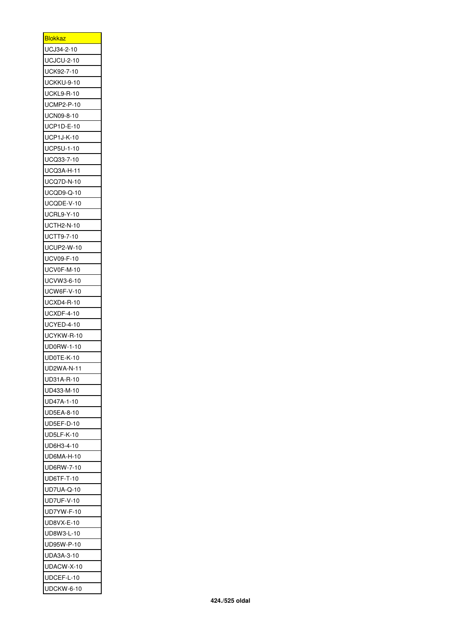| <b>Blokkaz</b>    |
|-------------------|
| UCJ34-2-10        |
| UCJCU-2-10        |
| UCK92-7-10        |
| UCKKU-9-10        |
| <b>UCKL9-R-10</b> |
| <b>UCMP2-P-10</b> |
| UCN09-8-10        |
| <b>UCP1D-E-10</b> |
| <b>UCP1J-K-10</b> |
| UCP5U-1-10        |
| UCQ33-7-10        |
| UCQ3A-H-11        |
| <b>UCQ7D-N-10</b> |
| UCQD9-Q-10        |
| UCQDE-V-10        |
| UCRL9-Y-10        |
| <b>UCTH2-N-10</b> |
| <b>UCTT9-7-10</b> |
| <b>UCUP2-W-10</b> |
| UCV09-F-10        |
|                   |
| UCV0F-M-10        |
| UCVW3-6-10        |
| UCW6F-V-10        |
| <b>UCXD4-R-10</b> |
| UCXDF-4-10        |
| <b>UCYED-4-10</b> |
| UCYKW-R-10        |
| UD0RW-1-10        |
| UD0TE-K-10        |
| UD2WA-N-11        |
| UD31A-R-10        |
|                   |
| UD433-M-10        |
| UD47A-1-10        |
| UD5EA-8-10        |
| <b>UD5EF-D-10</b> |
| <b>UD5LF-K-10</b> |
| UD6H3-4-10        |
| <b>UD6MA-H-10</b> |
| UD6RW-7-10        |
| UD6TF-T-10        |
| <b>UD7UA-Q-10</b> |
| UD7UF-V-10        |
| UD7YW-F-10        |
| UD8VX-E-10        |
| UD8W3-L-10        |
| UD95W-P-10        |
| UDA3A-3-10        |
| UDACW-X-10        |
| UDCEF-L-10        |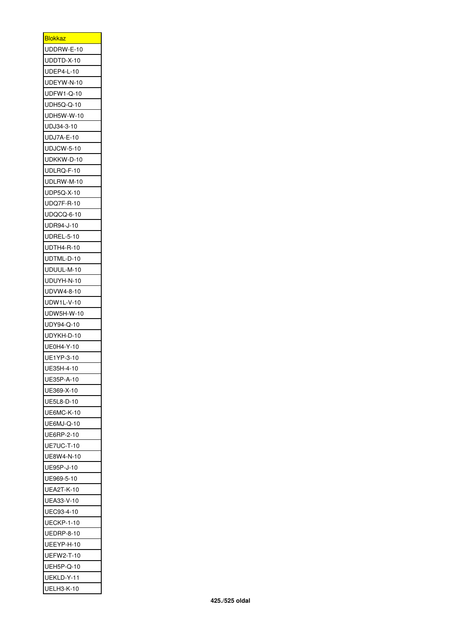| <b>Blokkaz</b>    |
|-------------------|
| UDDRW-E-10        |
| UDDTD-X-10        |
| <b>UDEP4-L-10</b> |
| UDEYW-N-10        |
| UDFW1-Q-10        |
| UDH5Q-Q-10        |
| <b>UDH5W-W-10</b> |
| UDJ34-3-10        |
| UDJ7A-E-10        |
| <b>UDJCW-5-10</b> |
| UDKKW-D-10        |
| UDLRQ-F-10        |
| UDLRW-M-10        |
| UDP5Q-X-10        |
| UDQ7F-R-10        |
| UDQCQ-6-10        |
| UDR94-J-10        |
| <b>UDREL-5-10</b> |
|                   |
| UDTH4-R-10        |
| UDTML-D-10        |
| UDUUL-M-10        |
| UDUYH-N-10        |
| UDVW4-8-10        |
| UDW1L-V-10        |
| UDW5H-W-10        |
| UDY94-Q-10        |
| UDYKH-D-10        |
| UE0H4-Y-10        |
| UE1YP-3-10        |
| UE35H-4-10        |
| UE35P-A-10        |
| UE369-X-10        |
| UE5L8-D-10        |
| <b>UE6MC-K-10</b> |
| UE6MJ-Q-10        |
| UE6RP-2-10        |
| <b>UE7UC-T-10</b> |
| UE8W4-N-10        |
| UE95P-J-10        |
| UE969-5-10        |
| UEA2T-K-10        |
| UEA33-V-10        |
| UEC93-4-10        |
| <b>UECKP-1-10</b> |
| <b>UEDRP-8-10</b> |
| UEEYP-H-10        |
| <b>UEFW2-T-10</b> |
| <b>UEH5P-Q-10</b> |
| UEKLD-Y-11        |
| UELH3-K-10        |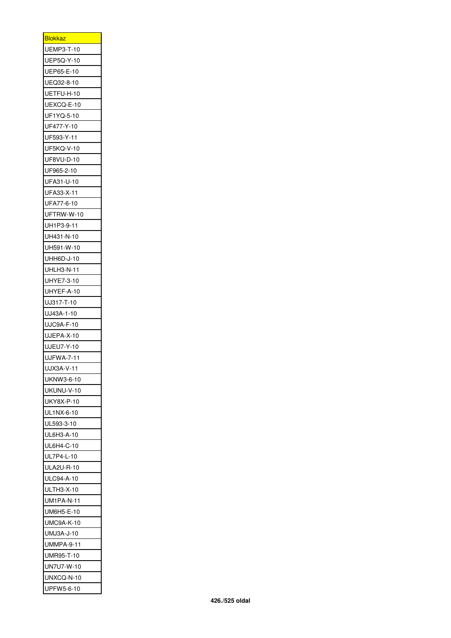| <b>Blokkaz</b>    |
|-------------------|
| <b>UEMP3-T-10</b> |
| UEP5Q-Y-10        |
| UEP65-E-10        |
| UEQ32-8-10        |
| UETFU-H-10        |
| UEXCQ-E-10        |
| UF1YQ-5-10        |
| UF477-Y-10        |
| UF593-Y-11        |
| UF5KQ-V-10        |
| UF8VU-D-10        |
| UF965-2-10        |
| UFA31-U-10        |
| UFA33-X-11        |
| UFA77-6-10        |
| UFTRW-W-10        |
| UH1P3-9-11        |
| UH431-N-10        |
| UH591-W-10        |
| UHH6D-J-10        |
| UHLH3-N-11        |
| UHYE7-3-10        |
| UHYEF-A-10        |
| UJ317-T-10        |
| UJ43A-1-10        |
| UJC9A-F-10        |
| UJEPA-X-10        |
| UJEU7-Y-10        |
| <b>UJFWA-7-11</b> |
| UJX3A-V-11        |
| UKNW3-6-10        |
| UKUNU-V-10        |
| UKY8X-P-10        |
| UL1NX-6-10        |
| UL593-3-10        |
| UL6H3-A-10        |
| UL6H4-C-10        |
| UL7P4-L-10        |
| ULA2U-R-10        |
| ULC94-A-10        |
| ULTH3-X-10        |
| <b>UM1PA-N-11</b> |
| UM6H5-E-10        |
|                   |
| <b>UMC9A-K-10</b> |
| UMJ3A-J-10        |
| <b>UMMPA-9-11</b> |
| UMR95-T-10        |
| UN7U7-W-10        |
| UNXCQ-N-10        |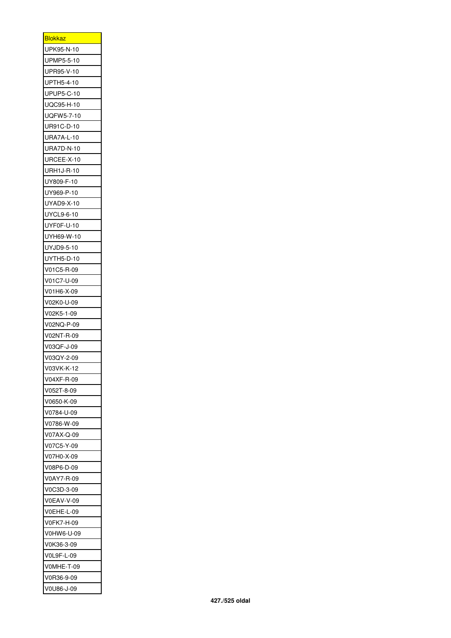| Blokkaz                  |
|--------------------------|
| UPK95-N-10               |
| UPMP5-5-10               |
| UPR95-V-10               |
| UPTH5-4-10               |
| <b>UPUP5-C-10</b>        |
| UQC95-H-10               |
| <b>UQFW5-7-10</b>        |
| UR91C-D-10               |
| <b>URA7A-L-10</b>        |
| <b>URA7D-N-10</b>        |
| URCEE-X-10               |
| <b>URH1J-R-10</b>        |
| UY809-F-10               |
| UY969-P-10               |
| UYAD9-X-10               |
|                          |
| UYCL9-6-10<br>UYF0F-U-10 |
|                          |
| UYH69-W-10               |
| UYJD9-5-10               |
| UYTH5-D-10               |
| V01C5-R-09               |
| V01C7-U-09               |
| V01H6-X-09               |
| V02K0-U-09               |
| V02K5-1-09               |
| V02NQ-P-09               |
| V02NT-R-09               |
| V03QF-J-09               |
| V03QY-2-09               |
| V03VK-K-12               |
| V04XF-R-09               |
| V052T-8-09               |
| V0650-K-09               |
| V0784-U-09               |
| V0786-W-09               |
| V07AX-Q-09               |
| V07C5-Y-09               |
| V07H0-X-09               |
| V08P6-D-09               |
| V0AY7-R-09               |
| V0C3D-3-09               |
| V0EAV-V-09               |
| V0EHE-L-09               |
| V0FK7-H-09               |
| V0HW6-U-09               |
| V0K36-3-09               |
| V0L9F-L-09               |
| V0MHE-T-09               |
|                          |
| V0R36-9-09               |
| V0U86-J-09               |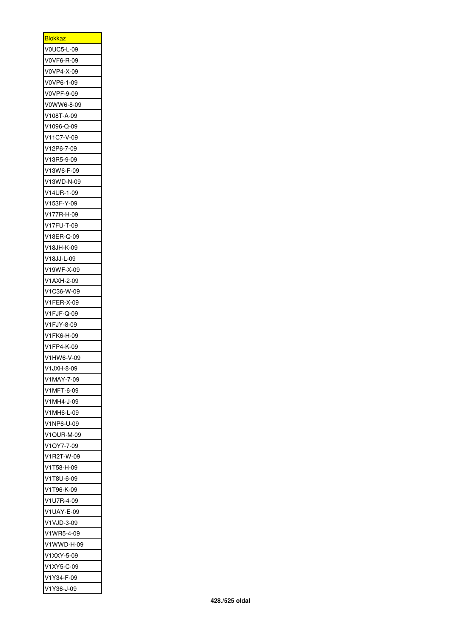| <b>Blokkaz</b> |
|----------------|
| V0UC5-L-09     |
| V0VF6-R-09     |
| V0VP4-X-09     |
| V0VP6-1-09     |
| V0VPF-9-09     |
| V0WW6-8-09     |
| V108T-A-09     |
| V1096-Q-09     |
| V11C7-V-09     |
| V12P6-7-09     |
| V13R5-9-09     |
| V13W6-F-09     |
| V13WD-N-09     |
| V14UR-1-09     |
| V153F-Y-09     |
| V177R-H-09     |
| V17FU-T-09     |
| V18ER-Q-09     |
| V18JH-K-09     |
| V18JJ-L-09     |
| V19WF-X-09     |
| V1AXH-2-09     |
| V1C36-W-09     |
| V1FER-X-09     |
| V1FJF-Q-09     |
| V1FJY-8-09     |
| V1FK6-H-09     |
| V1FP4-K-09     |
| V1HW6-V-09     |
| V1JXH-8-09     |
| V1MAY-7-09     |
| V1MFT-6-09     |
| V1MH4-J-09     |
| V1MH6-L-09     |
| V1NP6-U-09     |
| V1QUR-M-09     |
| V1QY7-7-09     |
| V1R2T-W-09     |
| V1T58-H-09     |
| V1T8U-6-09     |
| V1T96-K-09     |
| V1U7R-4-09     |
| V1UAY-E-09     |
| V1VJD-3-09     |
| V1WR5-4-09     |
| V1WWD-H-09     |
| V1XXY-5-09     |
| V1XY5-C-09     |
| V1Y34-F-09     |
| V1Y36-J-09     |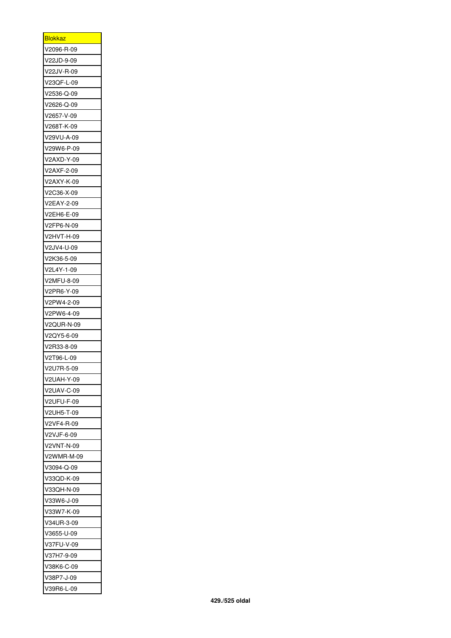| <b>Blokkaz</b>           |
|--------------------------|
| V2096-R-09               |
| V22JD-9-09               |
| V22JV-R-09               |
| V23QF-L-09               |
| V2536-Q-09               |
| V2626-Q-09               |
| V2657-V-09               |
| V268T-K-09               |
| V29VU-A-09               |
| V29W6-P-09               |
| V2AXD-Y-09               |
| V2AXF-2-09               |
| V2AXY-K-09               |
| V2C36-X-09               |
| V2EAY-2-09               |
| V2EH6-E-09               |
| V2FP6-N-09               |
|                          |
| V2HVT-H-09               |
| V2JV4-U-09               |
| V2K36-5-09               |
| V2L4Y-1-09               |
| V2MFU-8-09               |
| V2PR6-Y-09               |
| V2PW4-2-09               |
| V2PW6-4-09               |
| V2QUR-N-09               |
| V2QY5-6-09               |
| V2R33-8-09               |
| V2T96-L-09               |
| V2U7R-5-09               |
| V2UAH-Y-09               |
| V2UAV-C-09               |
| V2UFU-F-09               |
| V2UH5-T-09               |
| V2VF4-R-09               |
| V2VJF-6-09               |
| V2VNT-N-09               |
| V2WMR-M-09               |
| V3094-Q-09               |
| V33QD-K-09               |
| V33QH-N-09               |
| V33W6-J-09               |
| V33W7-K-09               |
| V34UR-3-09               |
|                          |
| V3655-U-09<br>V37FU-V-09 |
|                          |
| V37H7-9-09               |
| V38K6-C-09               |
| V38P7-J-09               |
| V39R6-L-09               |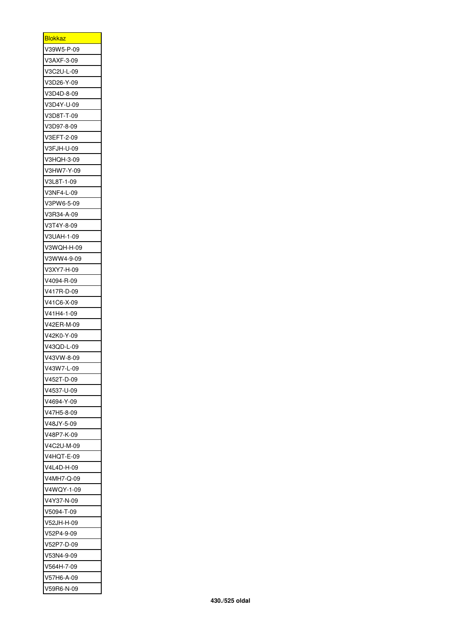| <u>Blokkaz</u>           |
|--------------------------|
| V39W5-P-09               |
| V3AXF-3-09               |
| V3C2U-L-09               |
| V3D26-Y-09               |
| V3D4D-8-09               |
| V3D4Y-U-09               |
| V3D8T-T-09               |
| V3D97-8-09               |
| V3EFT-2-09               |
| V3FJH-U-09               |
| V3HQH-3-09               |
| V3HW7-Y-09               |
| V3L8T-1-09               |
| V3NF4-L-09               |
| V3PW6-5-09               |
| V3R34-A-09               |
| V3T4Y-8-09               |
|                          |
| V3UAH-1-09<br>V3WQH-H-09 |
|                          |
| V3WW4-9-09               |
| V3XY7-H-09               |
| V4094-R-09               |
| V417R-D-09               |
| V41C6-X-09               |
| V41H4-1-09               |
| V42ER-M-09               |
| V42K0-Y-09               |
| V43QD-L-09               |
| V43VW-8-09               |
| V43W7-L-09               |
| V452T-D-09               |
| V4537-U-09               |
| V4694-Y-09               |
| V47H5-8-09               |
| V48JY-5-09               |
| V48P7-K-09               |
| V4C2U-M-09               |
| V4HQT-E-09               |
| V4L4D-H-09               |
| V4MH7-Q-09               |
| V4WQY-1-09               |
| V4Y37-N-09               |
| V5094-T-09               |
| V52JH-H-09               |
| V52P4-9-09               |
| V52P7-D-09               |
| V53N4-9-09               |
| V564H-7-09               |
|                          |
| V57H6-A-09               |
| V59R6-N-09               |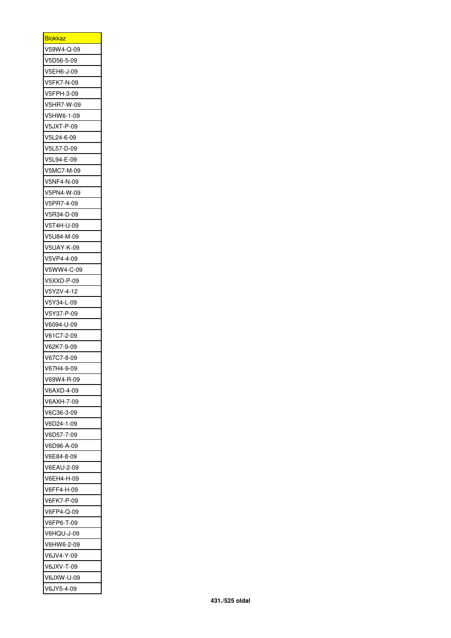| <u>Blokkaz</u> |
|----------------|
| V59W4-Q-09     |
| V5D56-5-09     |
| V5EH6-J-09     |
| V5FK7-N-09     |
| V5FPH-3-09     |
| V5HR7-W-09     |
| V5HW6-1-09     |
| V5JXT-P-09     |
| V5L24-6-09     |
| V5L57-D-09     |
| V5L94-E-09     |
| V5MC7-M-09     |
| V5NF4-N-09     |
| V5PN4-W-09     |
| V5PR7-4-09     |
| V5R34-D-09     |
| V5T4H-U-09     |
| V5U84-M-09     |
| V5UAY-K-09     |
| V5VP4-4-09     |
| V5WW4-C-09     |
| V5XXD-P-09     |
|                |
| V5Y2V-4-12     |
| V5Y34-L-09     |
| V5Y37-P-09     |
| V6094-U-09     |
| V61C7-2-09     |
| V62K7-9-09     |
| V67C7-8-09     |
| V67H4-9-09     |
| V69W4-R-09     |
| V6AXD-4-09     |
| V6AXH-7-09     |
| V6C36-3-09     |
| V6D24-1-09     |
| V6D57-7-09     |
| V6D96-A-09     |
| V6E84-8-09     |
| V6EAU-2-09     |
| V6EH4-H-09     |
| V6FF4-H-09     |
| V6FK7-P-09     |
| V6FP4-Q-09     |
| V6FP6-T-09     |
| V6HQU-J-09     |
| V6HW6-2-09     |
| V6JV4-Y-09     |
| V6JXV-T-09     |
| V6JXW-U-09     |
| V6JY5-4-09     |
|                |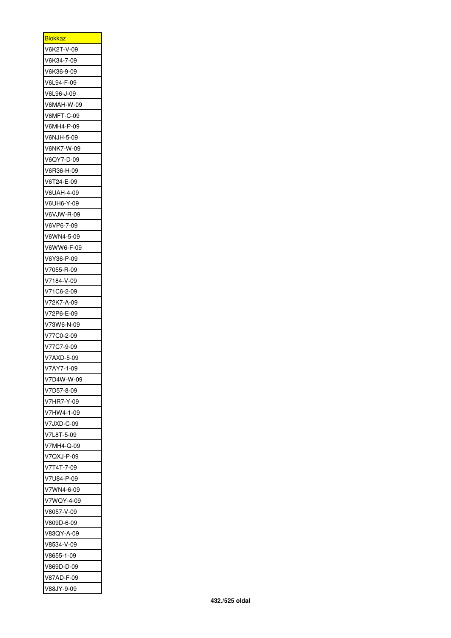| Blokkaz    |
|------------|
| V6K2T-V-09 |
| V6K34-7-09 |
| V6K36-9-09 |
| V6L94-F-09 |
| V6L96-J-09 |
| V6MAH-W-09 |
| V6MFT-C-09 |
| V6MH4-P-09 |
| V6NJH-5-09 |
| V6NK7-W-09 |
| V6QY7-D-09 |
| V6R36-H-09 |
| V6T24-E-09 |
| V6UAH-4-09 |
| V6UH6-Y-09 |
| V6VJW-R-09 |
| V6VP6-7-09 |
| V6WN4-5-09 |
|            |
| V6WW6-F-09 |
| V6Y36-P-09 |
| V7055-R-09 |
| V7184-V-09 |
| V71C6-2-09 |
| V72K7-A-09 |
| V72P6-E-09 |
| V73W6-N-09 |
| V77C0-2-09 |
| V77C7-9-09 |
| V7AXD-5-09 |
| V7AY7-1-09 |
| V7D4W-W-09 |
| V7D57-8-09 |
| V7HR7-Y-09 |
| V7HW4-1-09 |
| V7JXD-C-09 |
| V7L8T-5-09 |
| V7MH4-Q-09 |
| V7QXJ-P-09 |
| V7T4T-7-09 |
| V7U84-P-09 |
| V7WN4-6-09 |
| V7WQY-4-09 |
| V8057-V-09 |
| V809D-6-09 |
| V83QY-A-09 |
| V8534-V-09 |
| V8655-1-09 |
| V869D-D-09 |
| V87AD-F-09 |
| V88JY-9-09 |
|            |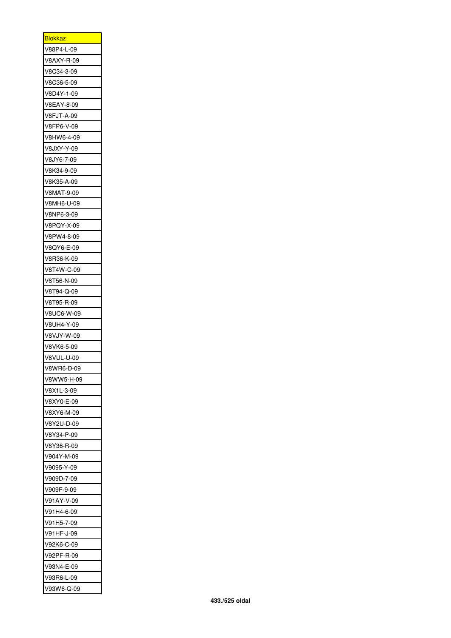| <u>Blokkaz</u>    |
|-------------------|
| V88P4-L-09        |
| V8AXY-R-09        |
| V8C34-3-09        |
| V8C36-5-09        |
| V8D4Y-1-09        |
| V8EAY-8-09        |
| <b>V8FJT-A-09</b> |
| V8FP6-V-09        |
| V8HW6-4-09        |
| V8JXY-Y-09        |
| V8JY6-7-09        |
| V8K34-9-09        |
| V8K35-A-09        |
| V8MAT-9-09        |
| V8MH6-U-09        |
| V8NP6-3-09        |
| V8PQY-X-09        |
| V8PW4-8-09        |
| V8QY6-E-09        |
| V8R36-K-09        |
| V8T4W-C-09        |
| V8T56-N-09        |
| V8T94-Q-09        |
| V8T95-R-09        |
| V8UC6-W-09        |
| V8UH4-Y-09        |
| V8VJY-W-09        |
| V8VK6-5-09        |
| <b>V8VUL-U-09</b> |
| V8WR6-D-09        |
| V8WW5-H-09        |
| V8X1L-3-09        |
| V8XY0-E-09        |
|                   |
| V8XY6-M-09        |
| V8Y2U-D-09        |
| V8Y34-P-09        |
| V8Y36-R-09        |
| V904Y-M-09        |
| V9095-Y-09        |
| V909D-7-09        |
| V909F-9-09        |
| V91AY-V-09        |
| V91H4-6-09        |
| V91H5-7-09        |
| V91HF-J-09        |
| V92K6-C-09        |
| V92PF-R-09        |
| V93N4-E-09        |
| V93R6-L-09        |
| V93W6-Q-09        |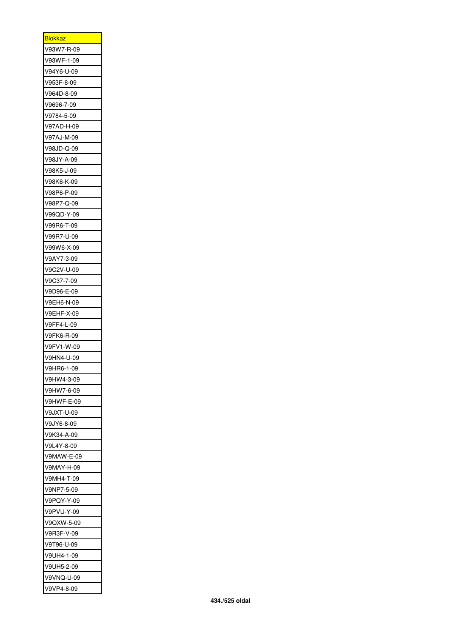| <b>Blokkaz</b> |
|----------------|
| V93W7-R-09     |
| V93WF-1-09     |
| V94Y6-U-09     |
| V953F-8-09     |
| V964D-8-09     |
| V9696-7-09     |
| V9784-5-09     |
| V97AD-H-09     |
| V97AJ-M-09     |
| V98JD-Q-09     |
| V98JY-A-09     |
| V98K5-J-09     |
| V98K6-K-09     |
| V98P6-P-09     |
| V98P7-Q-09     |
| V99QD-Y-09     |
| V99R6-T-09     |
| V99R7-U-09     |
| V99W6-X-09     |
| V9AY7-3-09     |
| V9C2V-U-09     |
| V9C37-7-09     |
| V9D96-E-09     |
| V9EH6-N-09     |
| V9EHF-X-09     |
| V9FF4-L-09     |
| V9FK6-R-09     |
| V9FV1-W-09     |
| V9HN4-U-09     |
| V9HR6-1-09     |
| V9HW4-3-09     |
| V9HW7-6-09     |
| V9HWF-E-09     |
| V9JXT-U-09     |
| V9JY6-8-09     |
| V9K34-A-09     |
| V9L4Y-8-09     |
| V9MAW-E-09     |
| V9MAY-H-09     |
| V9MH4-T-09     |
| V9NP7-5-09     |
| V9PQY-Y-09     |
| V9PVU-Y-09     |
| V9QXW-5-09     |
| V9R3F-V-09     |
| V9T96-U-09     |
| V9UH4-1-09     |
| V9UH5-2-09     |
| V9VNQ-U-09     |
| V9VP4-8-09     |
|                |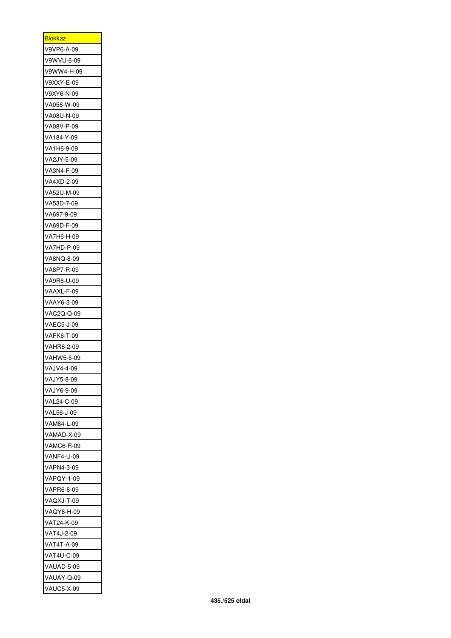| Blokkaz           |
|-------------------|
| V9VP6-A-09        |
| V9WVU-6-09        |
| V9WW4-H-09        |
| V9XXY-E-09        |
| V9XY6-N-09        |
| VA056-W-09        |
| VA08U-N-09        |
| VA08V-P-09        |
| VA184-Y-09        |
| VA1H6-9-09        |
| VA2JY-5-09        |
| VA3N4-F-09        |
| VA4XD-2-09        |
| VA52U-M-09        |
| VA53D-7-09        |
| VA697-9-09        |
| VA69D-F-09        |
|                   |
| VA7H6-H-09        |
| VA7HD-P-09        |
| VA8NQ-8-09        |
| VA8P7-R-09        |
| VA9R6-U-09        |
| VAAXL-F-09        |
| VAAY6-3-09        |
| VAC2Q-Q-09        |
| <b>VAEC5-J-09</b> |
| <b>VAFK6-T-09</b> |
| VAHR6-2-09        |
| VAHW5-5-09        |
| VAJV4-4-09        |
| VAJY5-8-09        |
| VAJY6-9-09        |
| VAL24-C-09        |
| VAL56-J-09        |
| VAM84-L-09        |
| VAMAD-X-09        |
| VAMC6-R-09        |
| <b>VANF4-U-09</b> |
| VAPN4-3-09        |
| <b>VAPQY-1-09</b> |
| VAPR6-8-09        |
| VAQXJ-T-09        |
| VAQY6-H-09        |
| VAT24-K-09        |
|                   |
| VAT4J-2-09        |
| <b>VAT4T-A-09</b> |
| <b>VAT4U-C-09</b> |
| VAUAD-5-09        |
| VAUAY-Q-09        |
| <b>VAUC5-X-09</b> |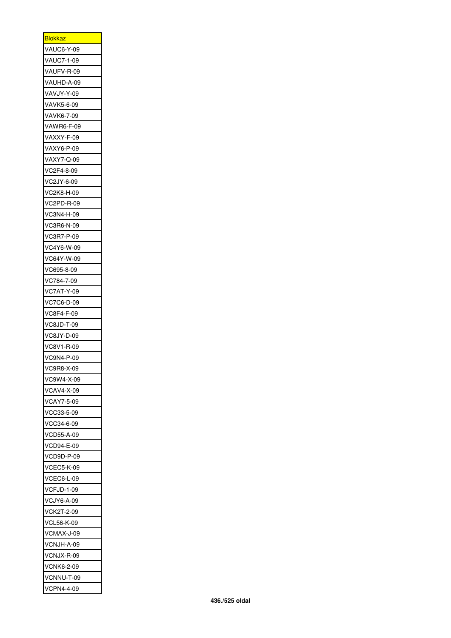| <b>Blokkaz</b>    |
|-------------------|
| <b>VAUC6-Y-09</b> |
| <b>VAUC7-1-09</b> |
| VAUFV-R-09        |
| VAUHD-A-09        |
| VAVJY-Y-09        |
| VAVK5-6-09        |
| VAVK6-7-09        |
| VAWR6-F-09        |
| VAXXY-F-09        |
| VAXY6-P-09        |
| VAXY7-Q-09        |
| VC2F4-8-09        |
| VC2JY-6-09        |
| VC2K8-H-09        |
| VC2PD-R-09        |
| VC3N4-H-09        |
| VC3R6-N-09        |
| VC3R7-P-09        |
| VC4Y6-W-09        |
| VC64Y-W-09        |
| VC695-8-09        |
| VC784-7-09        |
| <b>VC7AT-Y-09</b> |
| VC7C6-D-09        |
| VC8F4-F-09        |
|                   |
| VC8JD-T-09        |
| VC8JY-D-09        |
| VC8V1-R-09        |
| VC9N4-P-09        |
| VC9R8-X-09        |
| VC9W4-X-09        |
| VCAV4-X-09        |
| VCAY7-5-09        |
| VCC33-5-09        |
| VCC34-6-09        |
| VCD55-A-09        |
| VCD94-E-09        |
| VCD9D-P-09        |
| <b>VCEC5-K-09</b> |
| VCEC6-L-09        |
| <b>VCFJD-1-09</b> |
| <b>VCJY6-A-09</b> |
| <b>VCK2T-2-09</b> |
| VCL56-K-09        |
| VCMAX-J-09        |
| VCNJH-A-09        |
| VCNJX-R-09        |
| <b>VCNK6-2-09</b> |
| VCNNU-T-09        |
| <b>VCPN4-4-09</b> |
|                   |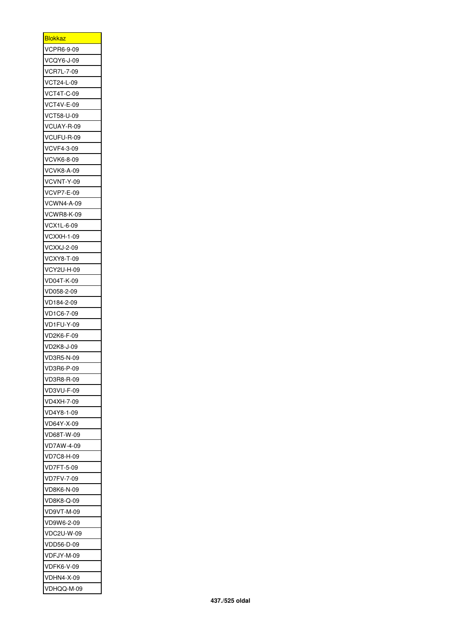| <b>Blokkaz</b>    |
|-------------------|
| VCPR6-9-09        |
| VCQY6-J-09        |
| <b>VCR7L-7-09</b> |
| VCT24-L-09        |
| VCT4T-C-09        |
| <b>VCT4V-E-09</b> |
| VCT58-U-09        |
| VCUAY-R-09        |
| VCUFU-R-09        |
| <b>VCVF4-3-09</b> |
| VCVK6-8-09        |
| <b>VCVK8-A-09</b> |
| VCVNT-Y-09        |
| <b>VCVP7-E-09</b> |
| <b>VCWN4-A-09</b> |
| VCWR8-K-09        |
| VCX1L-6-09        |
| <b>VCXXH-1-09</b> |
|                   |
| <b>VCXXJ-2-09</b> |
| VCXY8-T-09        |
| VCY2U-H-09        |
| VD04T-K-09        |
| VD058-2-09        |
| VD184-2-09        |
| VD1C6-7-09        |
| <b>VD1FU-Y-09</b> |
| VD2K6-F-09        |
| VD2K8-J-09        |
| VD3R5-N-09        |
| VD3R6-P-09        |
| VD3R8-R-09        |
| VD3VU-F-09        |
| VD4XH-7-09        |
| VD4Y8-1-09        |
| VD64Y-X-09        |
| VD68T-W-09        |
| VD7AW-4-09        |
| VD7C8-H-09        |
| VD7FT-5-09        |
| VD7FV-7-09        |
| VD8K6-N-09        |
| VD8K8-Q-09        |
| VD9VT-M-09        |
| VD9W6-2-09        |
| VDC2U-W-09        |
| VDD56-D-09        |
| VDFJY-M-09        |
| <b>VDFK6-V-09</b> |
| <b>VDHN4-X-09</b> |
| VDHQQ-M-09        |
|                   |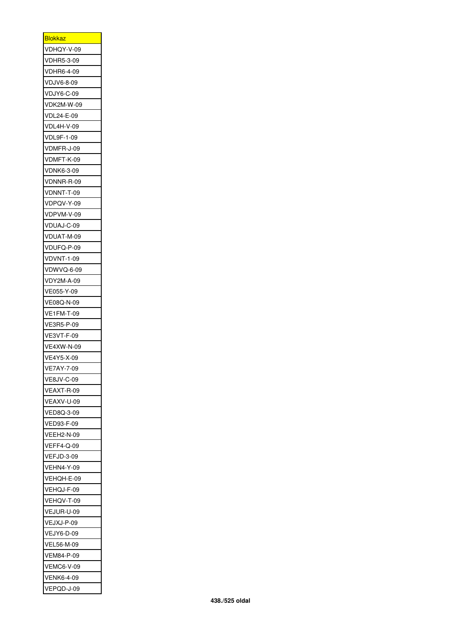| <b>Blokkaz</b>    |
|-------------------|
| VDHQY-V-09        |
| <b>VDHR5-3-09</b> |
| VDHR6-4-09        |
| VDJV6-8-09        |
| VDJY6-C-09        |
| <b>VDK2M-W-09</b> |
| VDL24-E-09        |
| VDL4H-V-09        |
| <b>VDL9F-1-09</b> |
| VDMFR-J-09        |
| VDMFT-K-09        |
| <b>VDNK6-3-09</b> |
| VDNNR-R-09        |
| VDNNT-T-09        |
| VDPQV-Y-09        |
| VDPVM-V-09        |
| VDUAJ-C-09        |
| VDUAT-M-09        |
| VDUFQ-P-09        |
| <b>VDVNT-1-09</b> |
| VDWVQ-6-09        |
| VDY2M-A-09        |
| VE055-Y-09        |
| VE08Q-N-09        |
| <b>VE1FM-T-09</b> |
| VE3R5-P-09        |
| VE3VT-F-09        |
| VE4XW-N-09        |
| VE4Y5-X-09        |
| VE7AY-7-09        |
| <b>VE8JV-C-09</b> |
| VEAXT-R-09        |
| VEAXV-U-09        |
| VED8Q-3-09        |
| VED93-F-09        |
| VEEH2-N-09        |
| <b>VEFF4-Q-09</b> |
| VEFJD-3-09        |
| <b>VEHN4-Y-09</b> |
| VEHQH-E-09        |
| VEHQJ-F-09        |
| VEHQV-T-09        |
| VEJUR-U-09        |
| VEJXJ-P-09        |
| <b>VEJY6-D-09</b> |
| VEL56-M-09        |
| VEM84-P-09        |
| <b>VEMC6-V-09</b> |
| <b>VENK6-4-09</b> |
| VEPQD-J-09        |
|                   |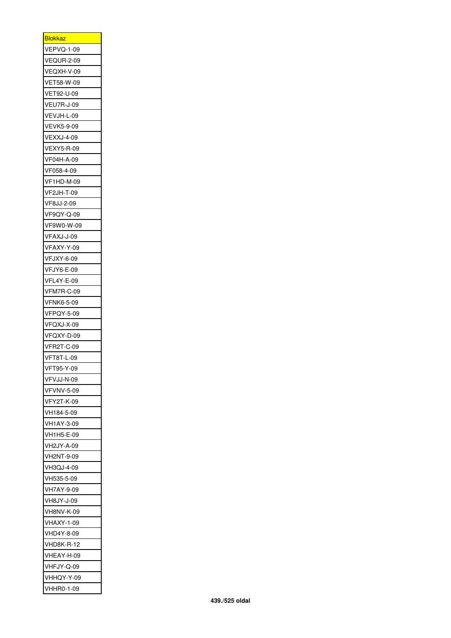| <b>Blokkaz</b>    |
|-------------------|
| <b>VEPVQ-1-09</b> |
| <b>VEQUR-2-09</b> |
| VEQXH-V-09        |
| VET58-W-09        |
| VET92-U-09        |
| <b>VEU7R-J-09</b> |
| VEVJH-L-09        |
| <b>VEVK5-9-09</b> |
| VEXXJ-4-09        |
| <b>VEXY5-R-09</b> |
| VF04H-A-09        |
| VF058-4-09        |
| VF1HD-M-09        |
| VF2JH-T-09        |
|                   |
| VF8JJ-2-09        |
| VF9QY-Q-09        |
| VF9W0-W-09        |
| VFAXJ-J-09        |
| VFAXY-Y-09        |
| VFJXY-6-09        |
| VFJY6-E-09        |
| <b>VFL4Y-E-09</b> |
| VFM7R-C-09        |
| VFNK6-5-09        |
| <b>VFPQY-5-09</b> |
| VFQXJ-X-09        |
| VFQXY-D-09        |
| VFR2T-C-09        |
| <b>VFT8T-L-09</b> |
| VFT95-Y-09        |
| VFVJJ-N-09        |
| <b>VFVNV-5-09</b> |
| <b>VFY2T-K-09</b> |
| VH184-5-09        |
| VH1AY-3-09        |
| VH1H5-E-09        |
| VH2JY-A-09        |
| VH2NT-9-09        |
|                   |
| VH3QJ-4-09        |
| VH535-5-09        |
| VH7AY-9-09        |
| VH8JY-J-09        |
| <b>VH8NV-K-09</b> |
| <b>VHAXY-1-09</b> |
| VHD4Y-8-09        |
| VHD8K-R-12        |
| VHEAY-H-09        |
| VHFJY-Q-09        |
| VHHQY-Y-09        |
| VHHR0-1-09        |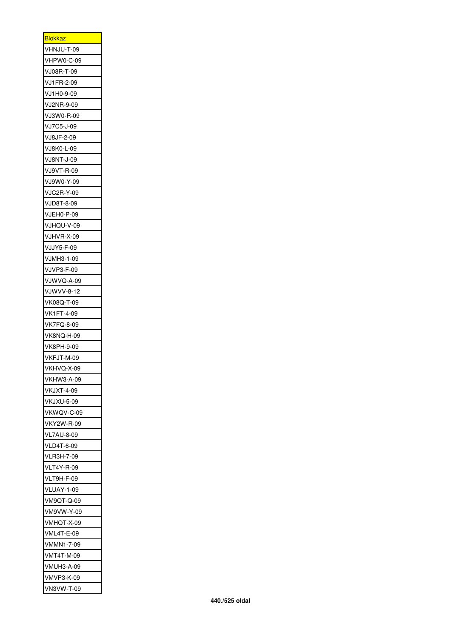| <b>Blokkaz</b>    |
|-------------------|
| VHNJU-T-09        |
| VHPW0-C-09        |
| VJ08R-T-09        |
| VJ1FR-2-09        |
| VJ1H0-9-09        |
| VJ2NR-9-09        |
| VJ3W0-R-09        |
| VJ7C5-J-09        |
| VJ8JF-2-09        |
| VJ8K0-L-09        |
| <b>VJ8NT-J-09</b> |
| VJ9VT-R-09        |
| VJ9W0-Y-09        |
| <b>VJC2R-Y-09</b> |
| VJD8T-8-09        |
| <b>VJEH0-P-09</b> |
| VJHQU-V-09        |
| VJHVR-X-09        |
|                   |
| VJJY5-F-09        |
| VJMH3-1-09        |
| VJVP3-F-09        |
| VJWVQ-A-09        |
| <b>VJWVV-8-12</b> |
| VK08Q-T-09        |
| VK1FT-4-09        |
| <b>VK7FQ-8-09</b> |
| <b>VK8NQ-H-09</b> |
| VK8PH-9-09        |
| VKFJT-M-09        |
| VKHVQ-X-09        |
| VKHW3-A-09        |
| VKJXT-4-09        |
| <b>VKJXU-5-09</b> |
| VKWQV-C-09        |
| <b>VKY2W-R-09</b> |
| VL7AU-8-09        |
| VLD4T-6-09        |
| VLR3H-7-09        |
| <b>VLT4Y-R-09</b> |
| VLT9H-F-09        |
| <b>VLUAY-1-09</b> |
| VM9QT-Q-09        |
| VM9VW-Y-09        |
| VMHQT-X-09        |
| VML4T-E-09        |
| VMMN1-7-09        |
| VMT4T-M-09        |
| VMUH3-A-09        |
| <b>VMVP3-K-09</b> |
| VN3VW-T-09        |
|                   |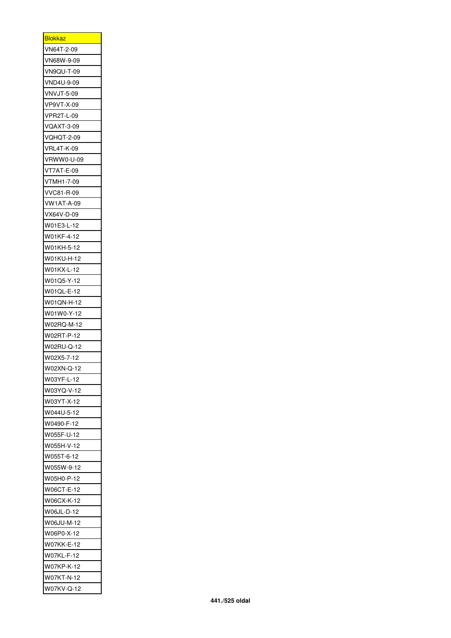| <u>Blokkaz</u>           |
|--------------------------|
| VN64T-2-09               |
| VN68W-9-09               |
| VN9QU-T-09               |
| <b>VND4U-9-09</b>        |
| <b>VNVJT-5-09</b>        |
| VP9VT-X-09               |
| VPR2T-L-09               |
| <b>VQAXT-3-09</b>        |
| VQHQT-2-09               |
| VRL4T-K-09               |
| <b>VRWW0-U-09</b>        |
| VT7AT-E-09               |
| VTMH1-7-09               |
| VVC81-R-09               |
| <b>VW1AT-A-09</b>        |
| VX64V-D-09               |
| W01E3-L-12               |
| W01KF-4-12               |
| W01KH-5-12               |
| W01KU-H-12               |
| W01KX-L-12               |
| W01Q5-Y-12               |
| W01QL-E-12               |
| W01QN-H-12               |
| W01W0-Y-12               |
| W02RQ-M-12               |
| W02RT-P-12               |
| W02RU-Q-12               |
| W02X5-7-12               |
| W02XN-Q-12               |
| W03YF-L-12               |
|                          |
| W03YQ-V-12<br>W03YT-X-12 |
|                          |
| W044U-5-12               |
| W0490-F-12               |
| W055F-U-12               |
| W055H-V-12               |
| W055T-6-12               |
| W055W-9-12               |
| W05H0-P-12               |
| W06CT-E-12               |
| W06CX-K-12               |
| W06JL-D-12               |
| W06JU-M-12               |
| W06P0-X-12               |
| W07KK-E-12               |
| W07KL-F-12               |
| W07KP-K-12               |
| W07KT-N-12               |
| W07KV-Q-12               |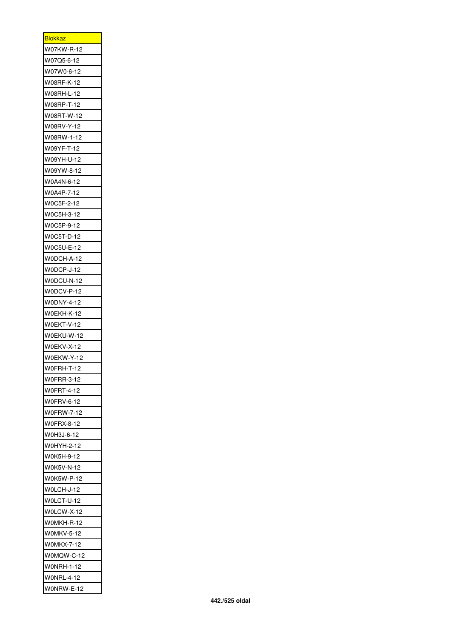| <u>Blokkaz</u>    |
|-------------------|
| W07KW-R-12        |
| W07Q5-6-12        |
| W07W0-6-12        |
| W08RF-K-12        |
| W08RH-L-12        |
| W08RP-T-12        |
| W08RT-W-12        |
| W08RV-Y-12        |
| W08RW-1-12        |
| W09YF-T-12        |
| W09YH-U-12        |
| W09YW-8-12        |
| W0A4N-6-12        |
| W0A4P-7-12        |
| W0C5F-2-12        |
| W0C5H-3-12        |
|                   |
| W0C5P-9-12        |
| W0C5T-D-12        |
| W0C5U-E-12        |
| W0DCH-A-12        |
| W0DCP-J-12        |
| W0DCU-N-12        |
| W0DCV-P-12        |
| W0DNY-4-12        |
| W0EKH-K-12        |
| W0EKT-V-12        |
| W0EKU-W-12        |
| W0EKV-X-12        |
| W0EKW-Y-12        |
| W0FRH-T-12        |
| W0FRR-3-12        |
| W0FRT-4-12        |
| W0FRV-6-12        |
| W0FRW-7-12        |
| W0FRX-8-12        |
| W0H3J-6-12        |
| W0HYH-2-12        |
| W0K5H-9-12        |
| W0K5V-N-12        |
| W0K5W-P-12        |
| W0LCH-J-12        |
| W0LCT-U-12        |
| W0LCW-X-12        |
| W0MKH-R-12        |
| <b>W0MKV-5-12</b> |
| W0MKX-7-12        |
| W0MQW-C-12        |
| W0NRH-1-12        |
| W0NRL-4-12        |
| W0NRW-E-12        |
|                   |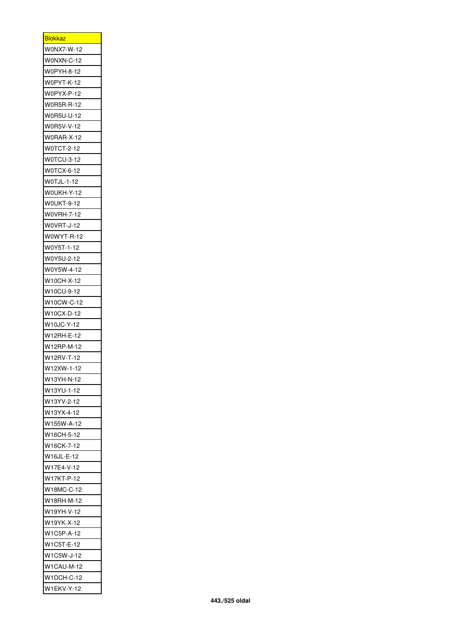| <b>Blokkaz</b>           |
|--------------------------|
| W0NX7-W-12               |
| W0NXN-C-12               |
| W0PYH-8-12               |
| W0PYT-K-12               |
| W0PYX-P-12               |
| W0R5R-R-12               |
| W0R5U-U-12               |
| W0R5V-V-12               |
| W0RAR-X-12               |
| W0TCT-2-12               |
| W0TCU-3-12               |
| W0TCX-6-12               |
| W0TJL-1-12               |
| W0UKH-Y-12               |
| W0UKT-9-12               |
|                          |
| W0VRH-7-12<br>W0VRT-J-12 |
|                          |
| W0WYT-R-12               |
| W0Y5T-1-12               |
| W0Y5U-2-12               |
| W0Y5W-4-12               |
| W10CH-X-12               |
| W10CU-9-12               |
| W10CW-C-12               |
| W10CX-D-12               |
| W10JC-Y-12               |
| W12RH-E-12               |
| W12RP-M-12               |
| W12RV-T-12               |
| W12XW-1-12               |
| W13YH-N-12               |
| W13YU-1-12               |
| W13YV-2-12               |
| W13YX-4-12               |
| W155W-A-12               |
| W16CH-5-12               |
| W16CK-7-12               |
| W16JL-E-12               |
| W17E4-V-12               |
| W17KT-P-12               |
| W18MC-C-12               |
| W18RH-M-12               |
| W19YH-V-12               |
| W19YK-X-12               |
| W1C5P-A-12               |
| W1C5T-E-12               |
| W1C5W-J-12               |
| W1CAU-M-12               |
| W1DCH-C-12               |
|                          |
| <b>W1EKV-Y-12</b>        |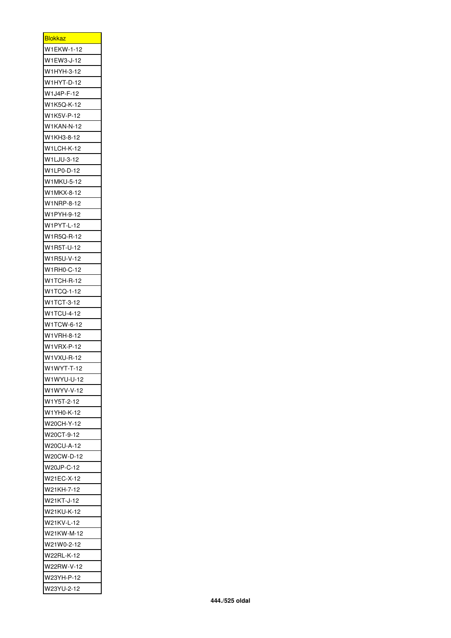| <u>Blokkaz</u> |
|----------------|
| W1EKW-1-12     |
| W1EW3-J-12     |
| W1HYH-3-12     |
| W1HYT-D-12     |
| W1J4P-F-12     |
| W1K5Q-K-12     |
| W1K5V-P-12     |
| W1KAN-N-12     |
| W1KH3-8-12     |
| W1LCH-K-12     |
| W1LJU-3-12     |
| W1LP0-D-12     |
| W1MKU-5-12     |
| W1MKX-8-12     |
|                |
| W1NRP-8-12     |
| W1PYH-9-12     |
| W1PYT-L-12     |
| W1R5Q-R-12     |
| W1R5T-U-12     |
| W1R5U-V-12     |
| W1RH0-C-12     |
| W1TCH-R-12     |
| W1TCQ-1-12     |
| W1TCT-3-12     |
| W1TCU-4-12     |
| W1TCW-6-12     |
| W1VRH-8-12     |
| W1VRX-P-12     |
| W1VXU-R-12     |
| W1WYT-T-12     |
| W1WYU-U-12     |
| W1WYV-V-12     |
| W1Y5T-2-12     |
| W1YH0-K-12     |
| W20CH-Y-12     |
| W20CT-9-12     |
| W20CU-A-12     |
| W20CW-D-12     |
| W20JP-C-12     |
|                |
| W21EC-X-12     |
| W21KH-7-12     |
| W21KT-J-12     |
| W21KU-K-12     |
| W21KV-L-12     |
| W21KW-M-12     |
| W21W0-2-12     |
| W22RL-K-12     |
| W22RW-V-12     |
| W23YH-P-12     |
| W23YU-2-12     |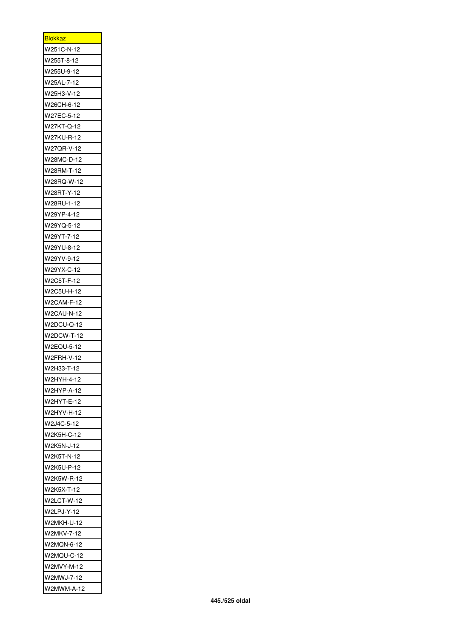| <u>Blokkaz</u> |
|----------------|
| W251C-N-12     |
| W255T-8-12     |
| W255U-9-12     |
| W25AL-7-12     |
| W25H3-V-12     |
| W26CH-6-12     |
| W27EC-5-12     |
| W27KT-Q-12     |
| W27KU-R-12     |
| W27QR-V-12     |
| W28MC-D-12     |
| W28RM-T-12     |
|                |
| W28RQ-W-12     |
| W28RT-Y-12     |
| W28RU-1-12     |
| W29YP-4-12     |
| W29YQ-5-12     |
| W29YT-7-12     |
| W29YU-8-12     |
| W29YV-9-12     |
| W29YX-C-12     |
| W2C5T-F-12     |
| W2C5U-H-12     |
| W2CAM-F-12     |
| W2CAU-N-12     |
| W2DCU-Q-12     |
| W2DCW-T-12     |
| W2EQU-5-12     |
| W2FRH-V-12     |
| W2H33-T-12     |
| W2HYH-4-12     |
| W2HYP-A-12     |
|                |
| W2HYT-E-12     |
| W2HYV-H-12     |
| W2J4C-5-12     |
| W2K5H-C-12     |
| W2K5N-J-12     |
| W2K5T-N-12     |
| W2K5U-P-12     |
| W2K5W-R-12     |
| W2K5X-T-12     |
| W2LCT-W-12     |
| W2LPJ-Y-12     |
| W2MKH-U-12     |
| W2MKV-7-12     |
| W2MQN-6-12     |
| W2MQU-C-12     |
| W2MVY-M-12     |
| W2MWJ-7-12     |
| W2MWM-A-12     |
|                |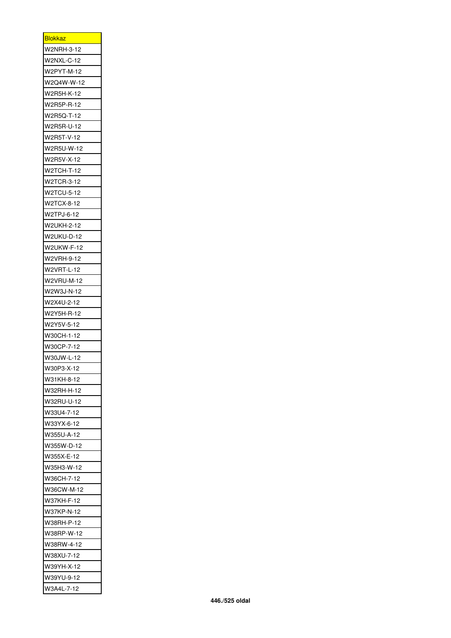| <b>Blokkaz</b> |
|----------------|
| W2NRH-3-12     |
| W2NXL-C-12     |
| W2PYT-M-12     |
| W2Q4W-W-12     |
| W2R5H-K-12     |
| W2R5P-R-12     |
| W2R5Q-T-12     |
| W2R5R-U-12     |
| W2R5T-V-12     |
| W2R5U-W-12     |
| W2R5V-X-12     |
| W2TCH-T-12     |
| W2TCR-3-12     |
| W2TCU-5-12     |
| W2TCX-8-12     |
| W2TPJ-6-12     |
|                |
| W2UKH-2-12     |
| W2UKU-D-12     |
| W2UKW-F-12     |
| W2VRH-9-12     |
| W2VRT-L-12     |
| W2VRU-M-12     |
| W2W3J-N-12     |
| W2X4U-2-12     |
| W2Y5H-R-12     |
| W2Y5V-5-12     |
| W30CH-1-12     |
| W30CP-7-12     |
| W30JW-L-12     |
| W30P3-X-12     |
| W31KH-8-12     |
| W32RH-H-12     |
| W32RU-U-12     |
| W33U4-7-12     |
| W33YX-6-12     |
| W355U-A-12     |
| W355W-D-12     |
| W355X-E-12     |
| W35H3-W-12     |
| W36CH-7-12     |
| W36CW-M-12     |
| W37KH-F-12     |
| W37KP-N-12     |
|                |
| W38RH-P-12     |
| W38RP-W-12     |
| W38RW-4-12     |
| W38XU-7-12     |
| W39YH-X-12     |
| W39YU-9-12     |
| W3A4L-7-12     |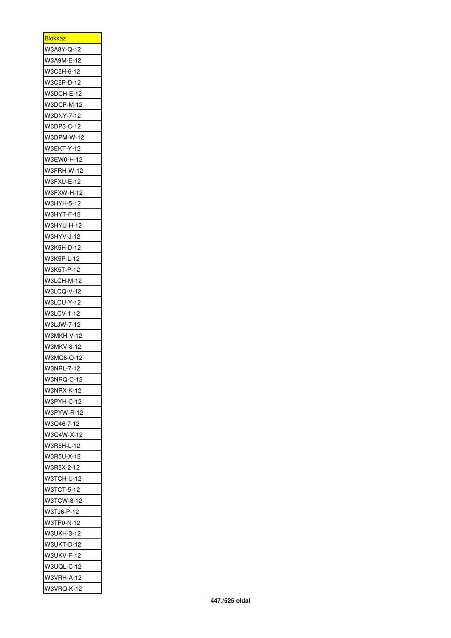| <u>Blokkaz</u>    |
|-------------------|
| W3A8Y-Q-12        |
| W3A9M-E-12        |
| W3C5H-6-12        |
| W3C5P-D-12        |
| W3DCH-E-12        |
| W3DCP-M-12        |
| W3DNY-7-12        |
| W3DP3-C-12        |
| W3DPM-W-12        |
| <b>W3EKT-Y-12</b> |
| W3EW0-H-12        |
| W3FRH-W-12        |
| W3FXU-E-12        |
| W3FXW-H-12        |
| W3HYH-5-12        |
| W3HYT-F-12        |
| W3HYU-H-12        |
| W3HYV-J-12        |
| W3K5H-D-12        |
| W3K5P-L-12        |
| W3K5T-P-12        |
| W3LCH-M-12        |
| W3LCQ-V-12        |
| W3LCU-Y-12        |
|                   |
| W3LCV-1-12        |
| W3LJW-7-12        |
| W3MKH-V-12        |
| W3MKV-8-12        |
| W3MQ6-Q-12        |
| W3NRL-7-12        |
| W3NRQ-C-12        |
| <b>W3NRX-K-12</b> |
| W3PYH-C-12        |
| W3PYW-R-12        |
| W3Q46-7-12        |
| W3Q4W-X-12        |
| W3R5H-L-12        |
| W3R5U-X-12        |
| W3R5X-2-12        |
| W3TCH-U-12        |
| W3TCT-5-12        |
| W3TCW-8-12        |
| W3TJ6-P-12        |
| W3TP0-N-12        |
| W3UKH-3-12        |
| W3UKT-D-12        |
| W3UKV-F-12        |
| W3UQL-C-12        |
| W3VRH-A-12        |
|                   |
| W3VRQ-K-12        |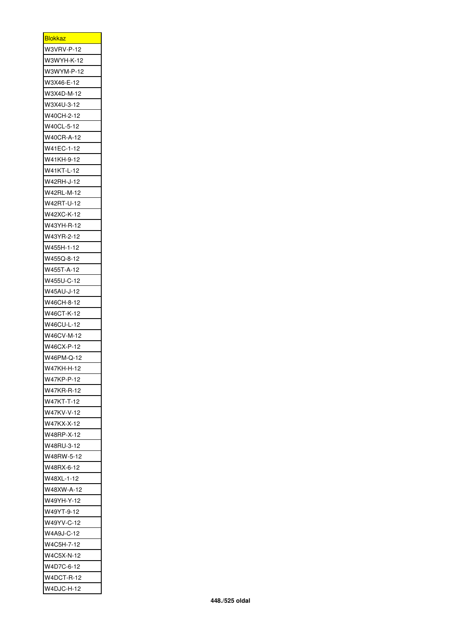| <u>Blokkaz</u> |
|----------------|
| W3VRV-P-12     |
| W3WYH-K-12     |
| W3WYM-P-12     |
| W3X46-E-12     |
| W3X4D-M-12     |
| W3X4U-3-12     |
| W40CH-2-12     |
| W40CL-5-12     |
| W40CR-A-12     |
| W41EC-1-12     |
| W41KH-9-12     |
| W41KT-L-12     |
| W42RH-J-12     |
| W42RL-M-12     |
| W42RT-U-12     |
|                |
| W42XC-K-12     |
| W43YH-R-12     |
| W43YR-2-12     |
| W455H-1-12     |
| W455Q-8-12     |
| W455T-A-12     |
| W455U-C-12     |
| W45AU-J-12     |
| W46CH-8-12     |
| W46CT-K-12     |
| W46CU-L-12     |
| W46CV-M-12     |
| W46CX-P-12     |
| W46PM-Q-12     |
| W47KH-H-12     |
| W47KP-P-12     |
| W47KR-R-12     |
| W47KT-T-12     |
| W47KV-V-12     |
| W47KX-X-12     |
| W48RP-X-12     |
| W48RU-3-12     |
| W48RW-5-12     |
| W48RX-6-12     |
| W48XL-1-12     |
| W48XW-A-12     |
| W49YH-Y-12     |
| W49YT-9-12     |
| W49YV-C-12     |
|                |
| W4A9J-C-12     |
| W4C5H-7-12     |
| W4C5X-N-12     |
| W4D7C-6-12     |
| W4DCT-R-12     |
| W4DJC-H-12     |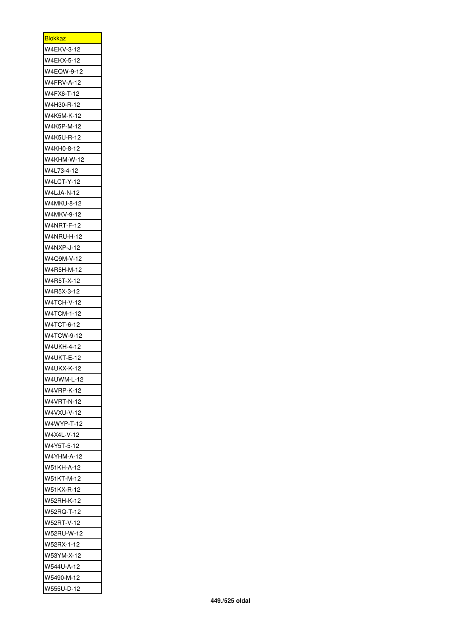| <u>Blokkaz</u>    |
|-------------------|
| W4EKV-3-12        |
| W4EKX-5-12        |
| W4EQW-9-12        |
| W4FRV-A-12        |
| W4FX6-T-12        |
| W4H30-R-12        |
| W4K5M-K-12        |
| W4K5P-M-12        |
| W4K5U-R-12        |
| W4KH0-8-12        |
| <b>W4KHM-W-12</b> |
| W4L73-4-12        |
| W4LCT-Y-12        |
| W4LJA-N-12        |
| W4MKU-8-12        |
| W4MKV-9-12        |
| W4NRT-F-12        |
| W4NRU-H-12        |
| W4NXP-J-12        |
| W4Q9M-V-12        |
| W4R5H-M-12        |
| W4R5T-X-12        |
|                   |
| W4R5X-3-12        |
| W4TCH-V-12        |
| W4TCM-1-12        |
| W4TCT-6-12        |
| W4TCW-9-12        |
| W4UKH-4-12        |
| W4UKT-E-12        |
| <b>W4UKX-K-12</b> |
| W4UWM-L-12        |
| W4VRP-K-12        |
| W4VRT-N-12        |
| W4VXU-V-12        |
| W4WYP-T-12        |
| W4X4L-V-12        |
| W4Y5T-5-12        |
| W4YHM-A-12        |
| W51KH-A-12        |
| W51KT-M-12        |
| W51KX-R-12        |
| W52RH-K-12        |
| W52RQ-T-12        |
| W52RT-V-12        |
| W52RU-W-12        |
| W52RX-1-12        |
| W53YM-X-12        |
| W544U-A-12        |
| W5490-M-12        |
| W555U-D-12        |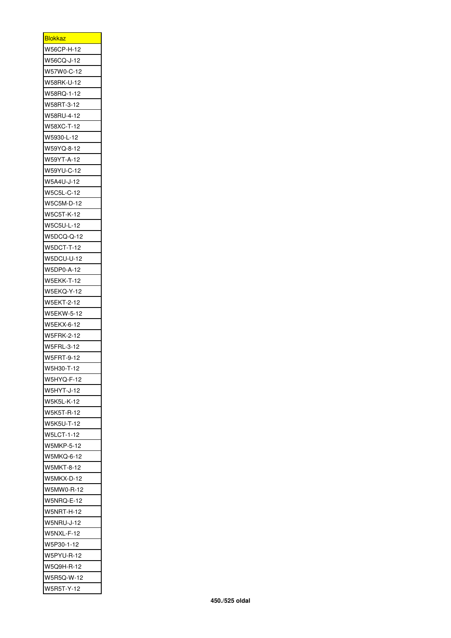| <u>Blokkaz</u>    |
|-------------------|
| W56CP-H-12        |
| W56CQ-J-12        |
| W57W0-C-12        |
| W58RK-U-12        |
| W58RQ-1-12        |
| W58RT-3-12        |
| W58RU-4-12        |
| W58XC-T-12        |
| W5930-L-12        |
| W59YQ-8-12        |
| W59YT-A-12        |
| W59YU-C-12        |
| W5A4U-J-12        |
| W5C5L-C-12        |
|                   |
| W5C5M-D-12        |
| W5C5T-K-12        |
| W5C5U-L-12        |
| W5DCQ-Q-12        |
| W5DCT-T-12        |
| W5DCU-U-12        |
| W5DP0-A-12        |
| <b>W5EKK-T-12</b> |
| W5EKQ-Y-12        |
| W5EKT-2-12        |
| W5EKW-5-12        |
| W5EKX-6-12        |
| <b>W5FRK-2-12</b> |
| W5FRL-3-12        |
| W5FRT-9-12        |
| W5H30-T-12        |
| W5HYQ-F-12        |
| <b>W5HYT-J-12</b> |
| W5K5L-K-12        |
| W5K5T-R-12        |
| W5K5U-T-12        |
| <b>W5LCT-1-12</b> |
| W5MKP-5-12        |
| W5MKQ-6-12        |
|                   |
| W5MKT-8-12        |
| W5MKX-D-12        |
| W5MW0-R-12        |
| W5NRQ-E-12        |
| W5NRT-H-12        |
| <b>W5NRU-J-12</b> |
| W5NXL-F-12        |
| W5P30-1-12        |
| W5PYU-R-12        |
| W5Q9H-R-12        |
| W5R5Q-W-12        |
| W5R5T-Y-12        |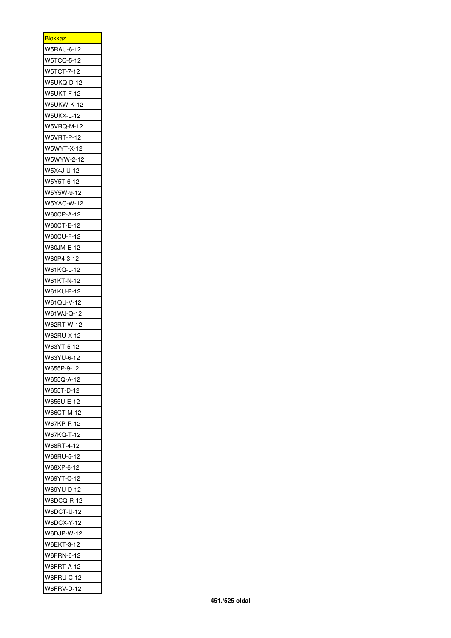| <u>Blokkaz</u>    |
|-------------------|
| <b>W5RAU-6-12</b> |
| W5TCQ-5-12        |
| W5TCT-7-12        |
| W5UKQ-D-12        |
| W5UKT-F-12        |
| W5UKW-K-12        |
| W5UKX-L-12        |
| W5VRQ-M-12        |
| W5VRT-P-12        |
| <b>W5WYT-X-12</b> |
| W5WYW-2-12        |
| W5X4J-U-12        |
| W5Y5T-6-12        |
| W5Y5W-9-12        |
| W5YAC-W-12        |
| W60CP-A-12        |
| W60CT-E-12        |
| W60CU-F-12        |
| W60JM-E-12        |
| W60P4-3-12        |
| W61KQ-L-12        |
| W61KT-N-12        |
| W61KU-P-12        |
| W61QU-V-12        |
| W61WJ-Q-12        |
| W62RT-W-12        |
| W62RU-X-12        |
| W63YT-5-12        |
| W63YU-6-12        |
| W655P-9-12        |
| W655Q-A-12        |
| W655T-D-12        |
| W655U-E-12        |
| W66CT-M-12        |
| W67KP-R-12        |
| W67KQ-T-12        |
| W68RT-4-12        |
| W68RU-5-12        |
| W68XP-6-12        |
| W69YT-C-12        |
| W69YU-D-12        |
| W6DCQ-R-12        |
| W6DCT-U-12        |
| W6DCX-Y-12        |
| W6DJP-W-12        |
| W6EKT-3-12        |
| W6FRN-6-12        |
| <b>W6FRT-A-12</b> |
| W6FRU-C-12        |
| W6FRV-D-12        |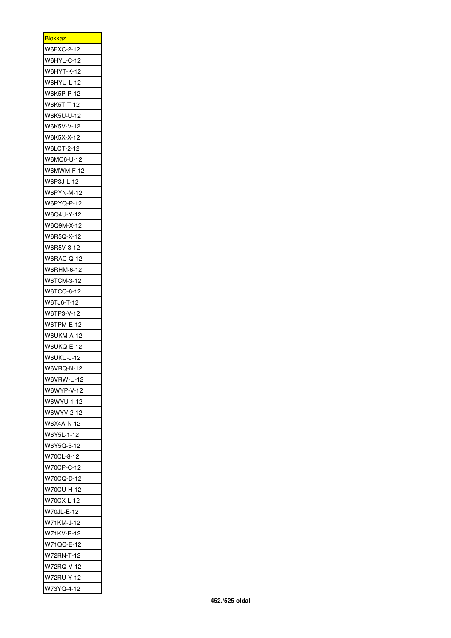| <u>Blokkaz</u>           |
|--------------------------|
| W6FXC-2-12               |
| W6HYL-C-12               |
| W6HYT-K-12               |
| W6HYU-L-12               |
| W6K5P-P-12               |
| W6K5T-T-12               |
| W6K5U-U-12               |
| W6K5V-V-12               |
| W6K5X-X-12               |
| W6LCT-2-12               |
| W6MQ6-U-12               |
| W6MWM-F-12               |
| W6P3J-L-12               |
| W6PYN-M-12               |
| W6PYQ-P-12               |
|                          |
| W6Q4U-Y-12<br>W6Q9M-X-12 |
|                          |
| W6R5Q-X-12               |
| W6R5V-3-12               |
| W6RAC-Q-12               |
| W6RHM-6-12               |
| W6TCM-3-12               |
| W6TCQ-6-12               |
| W6TJ6-T-12               |
| W6TP3-V-12               |
| W6TPM-E-12               |
| W6UKM-A-12               |
| W6UKQ-E-12               |
| W6UKU-J-12               |
| W6VRQ-N-12               |
| W6VRW-U-12               |
| W6WYP-V-12               |
| W6WYU-1-12               |
| W6WYV-2-12               |
| W6X4A-N-12               |
| W6Y5L-1-12               |
| W6Y5Q-5-12               |
| W70CL-8-12               |
| W70CP-C-12               |
| W70CQ-D-12               |
| W70CU-H-12               |
| W70CX-L-12               |
| W70JL-E-12               |
| W71KM-J-12               |
| W71KV-R-12               |
|                          |
| W71QC-E-12               |
| W72RN-T-12               |
|                          |
| W72RQ-V-12               |
| W72RU-Y-12<br>W73YQ-4-12 |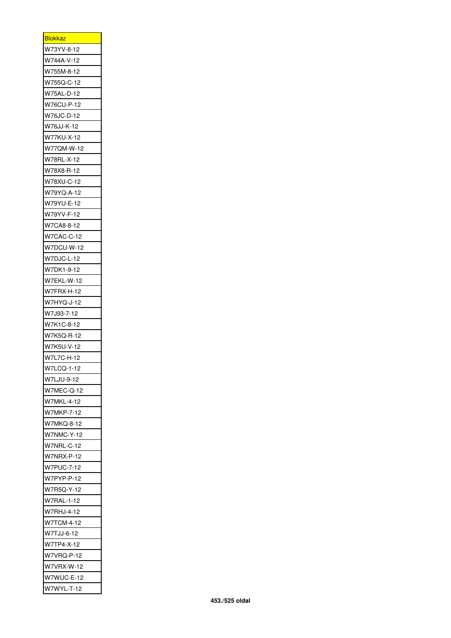| <b>Blokkaz</b>    |
|-------------------|
| W73YV-8-12        |
| W744A-V-12        |
| W755M-8-12        |
| W755Q-C-12        |
| W75AL-D-12        |
| W76CU-P-12        |
| W76JC-D-12        |
| W76JJ-K-12        |
| W77KU-X-12        |
| W77QM-W-12        |
| W78RL-X-12        |
| W78X8-R-12        |
| W78XU-C-12        |
| W79YQ-A-12        |
| W79YU-E-12        |
| W79YV-F-12        |
| W7CA8-8-12        |
| W7CAC-C-12        |
| W7DCU-W-12        |
| W7DJC-L-12        |
| W7DK1-9-12        |
| W7EKL-W-12        |
| W7FRX-H-12        |
| W7HYQ-J-12        |
| W7J93-7-12        |
| W7K1C-8-12        |
| W7K5Q-R-12        |
| W7K5U-V-12        |
| W7L7C-H-12        |
| W7LCQ-1-12        |
| W7LJU-9-12        |
| W7MEC-Q-12        |
| <b>W7MKL-4-12</b> |
| W7MKP-7-12        |
| W7MKQ-8-12        |
| W7NMC-Y-12        |
| W7NRL-C-12        |
| W7NRX-P-12        |
| W7PUC-7-12        |
| W7PYP-P-12        |
|                   |
| W7R5Q-Y-12        |
| W7RAL-1-12        |
| W7RHJ-4-12        |
| W7TCM-4-12        |
| W7TJJ-6-12        |
| W7TP4-X-12        |
| W7VRQ-P-12        |
| W7VRX-W-12        |
| W7WUC-E-12        |
| W7WYL-T-12        |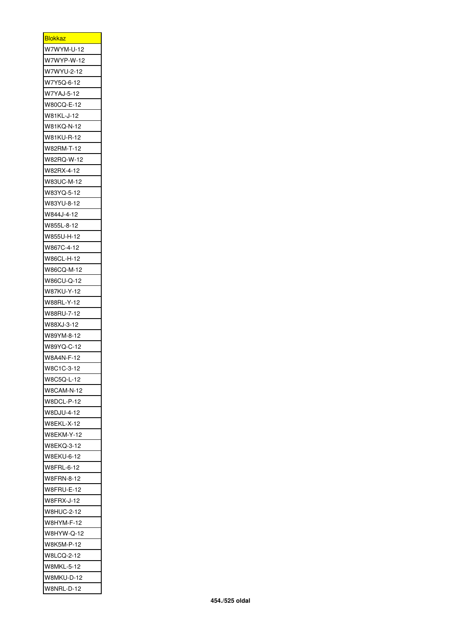| <b>Blokkaz</b>    |
|-------------------|
| W7WYM-U-12        |
| W7WYP-W-12        |
| W7WYU-2-12        |
| W7Y5Q-6-12        |
| W7YAJ-5-12        |
| W80CQ-E-12        |
| W81KL-J-12        |
| W81KQ-N-12        |
| W81KU-R-12        |
| W82RM-T-12        |
| W82RQ-W-12        |
| W82RX-4-12        |
| W83UC-M-12        |
| W83YQ-5-12        |
| W83YU-8-12        |
| W844J-4-12        |
| W855L-8-12        |
| W855U-H-12        |
| W867C-4-12        |
| W86CL-H-12        |
| W86CQ-M-12        |
| W86CU-Q-12        |
| W87KU-Y-12        |
| W88RL-Y-12        |
| W88RU-7-12        |
| W88XJ-3-12        |
| W89YM-8-12        |
| W89YQ-C-12        |
| W8A4N-F-12        |
| W8C1C-3-12        |
| W8C5Q-L-12        |
| W8CAM-N-12        |
| W8DCL-P-12        |
| W8DJU-4-12        |
| <b>W8EKL-X-12</b> |
| <b>W8EKM-Y-12</b> |
| W8EKQ-3-12        |
| W8EKU-6-12        |
| W8FRL-6-12        |
| W8FRN-8-12        |
| W8FRU-E-12        |
| <b>W8FRX-J-12</b> |
| W8HUC-2-12        |
| W8HYM-F-12        |
| W8HYW-Q-12        |
| W8K5M-P-12        |
| W8LCQ-2-12        |
| W8MKL-5-12        |
| W8MKU-D-12        |
| W8NRL-D-12        |
|                   |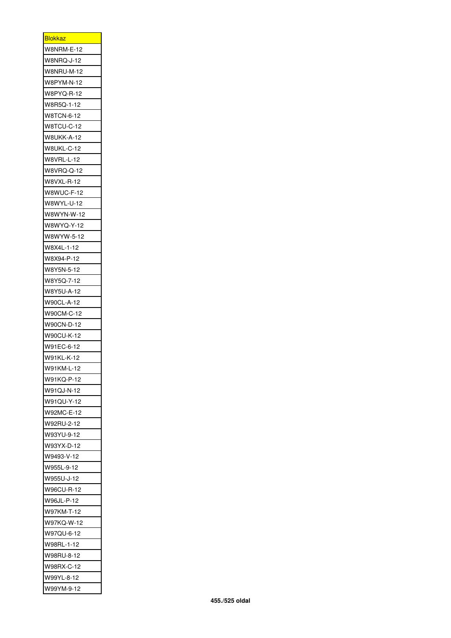| <u>Blokkaz</u><br>W8NRM-E-12<br>W8NRQ-J-12<br>W8NRU-M-12<br>W8PYM-N-12<br>W8PYQ-R-12<br>W8R5Q-1-12<br>W8TCN-6-12<br>W8TCU-C-12<br><b>W8UKK-A-12</b><br>W8UKL-C-12<br><b>W8VRL-L-12</b><br><b>W8VRQ-Q-12</b><br><b>W8VXL-R-12</b><br>W8WUC-F-12<br>W8WYL-U-12<br>W8WYN-W-12<br>W8WYQ-Y-12<br>W8WYW-5-12<br>W8X4L-1-12<br>W8X94-P-12<br>W8Y5N-5-12<br>W8Y5Q-7-12<br>W8Y5U-A-12<br>W90CL-A-12<br>W90CM-C-12<br>W90CN-D-12<br>W90CU-K-12<br>W91EC-6-12<br>W91KL-K-12<br>W91KM-L-12<br>W91KQ-P-12<br>W91QJ-N-12<br>W91QU-Y-12<br>W92MC-E-12<br>W92RU-2-12<br>W93YU-9-12<br>W93YX-D-12<br>W9493-V-12<br>W955L-9-12<br>W955U-J-12<br>W96CU-R-12<br>W96JL-P-12<br>W97KM-T-12<br>W97KQ-W-12<br>W97QU-6-12<br>W98RL-1-12<br>W98RU-8-12<br>W98RX-C-12<br>W99YL-8-12 |            |
|----------------------------------------------------------------------------------------------------------------------------------------------------------------------------------------------------------------------------------------------------------------------------------------------------------------------------------------------------------------------------------------------------------------------------------------------------------------------------------------------------------------------------------------------------------------------------------------------------------------------------------------------------------------------------------------------------------------------------------------------------------|------------|
|                                                                                                                                                                                                                                                                                                                                                                                                                                                                                                                                                                                                                                                                                                                                                          |            |
|                                                                                                                                                                                                                                                                                                                                                                                                                                                                                                                                                                                                                                                                                                                                                          |            |
|                                                                                                                                                                                                                                                                                                                                                                                                                                                                                                                                                                                                                                                                                                                                                          |            |
|                                                                                                                                                                                                                                                                                                                                                                                                                                                                                                                                                                                                                                                                                                                                                          |            |
|                                                                                                                                                                                                                                                                                                                                                                                                                                                                                                                                                                                                                                                                                                                                                          |            |
|                                                                                                                                                                                                                                                                                                                                                                                                                                                                                                                                                                                                                                                                                                                                                          |            |
|                                                                                                                                                                                                                                                                                                                                                                                                                                                                                                                                                                                                                                                                                                                                                          |            |
|                                                                                                                                                                                                                                                                                                                                                                                                                                                                                                                                                                                                                                                                                                                                                          |            |
|                                                                                                                                                                                                                                                                                                                                                                                                                                                                                                                                                                                                                                                                                                                                                          |            |
|                                                                                                                                                                                                                                                                                                                                                                                                                                                                                                                                                                                                                                                                                                                                                          |            |
|                                                                                                                                                                                                                                                                                                                                                                                                                                                                                                                                                                                                                                                                                                                                                          |            |
|                                                                                                                                                                                                                                                                                                                                                                                                                                                                                                                                                                                                                                                                                                                                                          |            |
|                                                                                                                                                                                                                                                                                                                                                                                                                                                                                                                                                                                                                                                                                                                                                          |            |
|                                                                                                                                                                                                                                                                                                                                                                                                                                                                                                                                                                                                                                                                                                                                                          |            |
|                                                                                                                                                                                                                                                                                                                                                                                                                                                                                                                                                                                                                                                                                                                                                          |            |
|                                                                                                                                                                                                                                                                                                                                                                                                                                                                                                                                                                                                                                                                                                                                                          |            |
|                                                                                                                                                                                                                                                                                                                                                                                                                                                                                                                                                                                                                                                                                                                                                          |            |
|                                                                                                                                                                                                                                                                                                                                                                                                                                                                                                                                                                                                                                                                                                                                                          |            |
|                                                                                                                                                                                                                                                                                                                                                                                                                                                                                                                                                                                                                                                                                                                                                          |            |
|                                                                                                                                                                                                                                                                                                                                                                                                                                                                                                                                                                                                                                                                                                                                                          |            |
|                                                                                                                                                                                                                                                                                                                                                                                                                                                                                                                                                                                                                                                                                                                                                          |            |
|                                                                                                                                                                                                                                                                                                                                                                                                                                                                                                                                                                                                                                                                                                                                                          |            |
|                                                                                                                                                                                                                                                                                                                                                                                                                                                                                                                                                                                                                                                                                                                                                          |            |
|                                                                                                                                                                                                                                                                                                                                                                                                                                                                                                                                                                                                                                                                                                                                                          |            |
|                                                                                                                                                                                                                                                                                                                                                                                                                                                                                                                                                                                                                                                                                                                                                          |            |
|                                                                                                                                                                                                                                                                                                                                                                                                                                                                                                                                                                                                                                                                                                                                                          |            |
|                                                                                                                                                                                                                                                                                                                                                                                                                                                                                                                                                                                                                                                                                                                                                          |            |
|                                                                                                                                                                                                                                                                                                                                                                                                                                                                                                                                                                                                                                                                                                                                                          |            |
|                                                                                                                                                                                                                                                                                                                                                                                                                                                                                                                                                                                                                                                                                                                                                          |            |
|                                                                                                                                                                                                                                                                                                                                                                                                                                                                                                                                                                                                                                                                                                                                                          |            |
|                                                                                                                                                                                                                                                                                                                                                                                                                                                                                                                                                                                                                                                                                                                                                          |            |
|                                                                                                                                                                                                                                                                                                                                                                                                                                                                                                                                                                                                                                                                                                                                                          |            |
|                                                                                                                                                                                                                                                                                                                                                                                                                                                                                                                                                                                                                                                                                                                                                          |            |
|                                                                                                                                                                                                                                                                                                                                                                                                                                                                                                                                                                                                                                                                                                                                                          |            |
|                                                                                                                                                                                                                                                                                                                                                                                                                                                                                                                                                                                                                                                                                                                                                          |            |
|                                                                                                                                                                                                                                                                                                                                                                                                                                                                                                                                                                                                                                                                                                                                                          |            |
|                                                                                                                                                                                                                                                                                                                                                                                                                                                                                                                                                                                                                                                                                                                                                          |            |
|                                                                                                                                                                                                                                                                                                                                                                                                                                                                                                                                                                                                                                                                                                                                                          |            |
|                                                                                                                                                                                                                                                                                                                                                                                                                                                                                                                                                                                                                                                                                                                                                          |            |
|                                                                                                                                                                                                                                                                                                                                                                                                                                                                                                                                                                                                                                                                                                                                                          |            |
|                                                                                                                                                                                                                                                                                                                                                                                                                                                                                                                                                                                                                                                                                                                                                          |            |
|                                                                                                                                                                                                                                                                                                                                                                                                                                                                                                                                                                                                                                                                                                                                                          |            |
|                                                                                                                                                                                                                                                                                                                                                                                                                                                                                                                                                                                                                                                                                                                                                          |            |
|                                                                                                                                                                                                                                                                                                                                                                                                                                                                                                                                                                                                                                                                                                                                                          |            |
|                                                                                                                                                                                                                                                                                                                                                                                                                                                                                                                                                                                                                                                                                                                                                          |            |
|                                                                                                                                                                                                                                                                                                                                                                                                                                                                                                                                                                                                                                                                                                                                                          |            |
|                                                                                                                                                                                                                                                                                                                                                                                                                                                                                                                                                                                                                                                                                                                                                          |            |
|                                                                                                                                                                                                                                                                                                                                                                                                                                                                                                                                                                                                                                                                                                                                                          |            |
|                                                                                                                                                                                                                                                                                                                                                                                                                                                                                                                                                                                                                                                                                                                                                          |            |
|                                                                                                                                                                                                                                                                                                                                                                                                                                                                                                                                                                                                                                                                                                                                                          |            |
|                                                                                                                                                                                                                                                                                                                                                                                                                                                                                                                                                                                                                                                                                                                                                          |            |
|                                                                                                                                                                                                                                                                                                                                                                                                                                                                                                                                                                                                                                                                                                                                                          | W99YM-9-12 |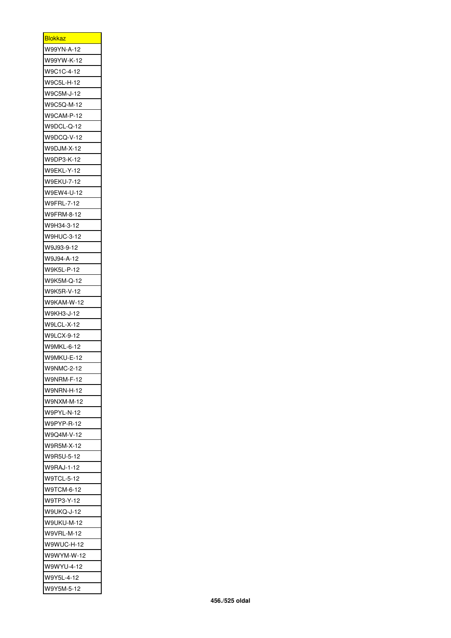| <b>Blokkaz</b>    |
|-------------------|
| W99YN-A-12        |
| W99YW-K-12        |
| W9C1C-4-12        |
| W9C5L-H-12        |
| W9C5M-J-12        |
| W9C5Q-M-12        |
| W9CAM-P-12        |
| W9DCL-Q-12        |
| W9DCQ-V-12        |
| W9DJM-X-12        |
| W9DP3-K-12        |
| <b>W9EKL-Y-12</b> |
| W9EKU-7-12        |
| W9EW4-U-12        |
| W9FRL-7-12        |
| W9FRM-8-12        |
| W9H34-3-12        |
|                   |
| W9HUC-3-12        |
| W9J93-9-12        |
| W9J94-A-12        |
| W9K5L-P-12        |
| W9K5M-Q-12        |
| W9K5R-V-12        |
| W9KAM-W-12        |
| W9KH3-J-12        |
| W9LCL-X-12        |
| W9LCX-9-12        |
| W9MKL-6-12        |
| W9MKU-E-12        |
| W9NMC-2-12        |
| W9NRM-F-12        |
| W9NRN-H-12        |
| W9NXM-M-12        |
| W9PYL-N-12        |
| W9PYP-R-12        |
| W9Q4M-V-12        |
| W9R5M-X-12        |
| W9R5U-5-12        |
| W9RAJ-1-12        |
| W9TCL-5-12        |
| W9TCM-6-12        |
| W9TP3-Y-12        |
| <b>W9UKQ-J-12</b> |
| W9UKU-M-12        |
| W9VRL-M-12        |
| W9WUC-H-12        |
| W9WYM-W-12        |
| W9WYU-4-12        |
| W9Y5L-4-12        |
| W9Y5M-5-12        |
|                   |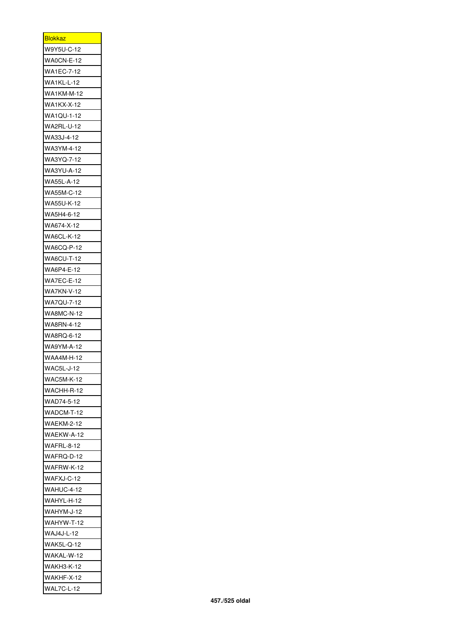| <u>Blokkaz</u>    |
|-------------------|
| W9Y5U-C-12        |
| WA0CN-E-12        |
| WA1EC-7-12        |
| <b>WA1KL-L-12</b> |
| WA1KM-M-12        |
| WA1KX-X-12        |
| WA1QU-1-12        |
| <b>WA2RL-U-12</b> |
| WA33J-4-12        |
| WA3YM-4-12        |
| WA3YQ-7-12        |
| <b>WA3YU-A-12</b> |
| WA55L-A-12        |
| WA55M-C-12        |
| WA55U-K-12        |
| WA5H4-6-12        |
| WA674-X-12        |
|                   |
| WA6CL-K-12        |
| WA6CQ-P-12        |
| WA6CU-T-12        |
| WA6P4-E-12        |
| WA7EC-E-12        |
| WA7KN-V-12        |
| <b>WA7QU-7-12</b> |
| <b>WA8MC-N-12</b> |
| WA8RN-4-12        |
| WA8RQ-6-12        |
| WA9YM-A-12        |
| <b>WAA4M-H-12</b> |
| <b>WAC5L-J-12</b> |
| WAC5M-K-12        |
| WACHH-R-12        |
| WAD74-5-12        |
| WADCM-T-12        |
| <b>WAEKM-2-12</b> |
| WAEKW-A-12        |
| <b>WAFRL-8-12</b> |
| WAFRQ-D-12        |
| WAFRW-K-12        |
| WAFXJ-C-12        |
| WAHUC-4-12        |
| WAHYL-H-12        |
| WAHYM-J-12        |
| WAHYW-T-12        |
| <b>WAJ4J-L-12</b> |
| <b>WAK5L-Q-12</b> |
| WAKAL-W-12        |
| <b>WAKH3-K-12</b> |
| WAKHF-X-12        |
| WAL7C-L-12        |
|                   |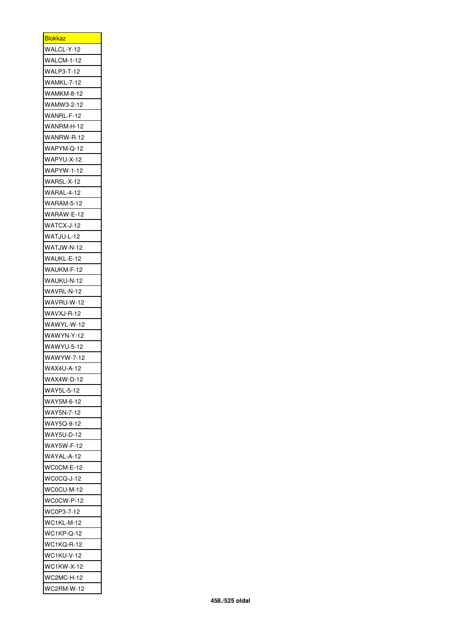| <b>Blokkaz</b>    |
|-------------------|
| WALCL-Y-12        |
| WALCM-1-12        |
| WALP3-T-12        |
| <b>WAMKL-7-12</b> |
| <b>WAMKM-8-12</b> |
| WAMW3-2-12        |
| WANRL-F-12        |
| WANRM-H-12        |
| WANRW-R-12        |
| WAPYM-Q-12        |
| WAPYU-X-12        |
| <b>WAPYW-1-12</b> |
| <b>WAR5L-X-12</b> |
| <b>WARAL-4-12</b> |
| <b>WARAM-5-12</b> |
| WARAW-E-12        |
| WATCX-J-12        |
| WATJU-L-12        |
| WATJW-N-12        |
| WAUKL-E-12        |
| WAUKM-F-12        |
| WAUKU-N-12        |
|                   |
| WAVRL-N-12        |
| WAVRU-W-12        |
| WAVXJ-R-12        |
| WAWYL-W-12        |
| WAWYN-Y-12        |
| WAWYU-5-12        |
| <b>WAWYW-7-12</b> |
| <b>WAX4U-A-12</b> |
| <b>WAX4W-D-12</b> |
| WAY5L-5-12        |
| WAY5M-6-12        |
| WAY5N-7-12        |
| WAY5Q-9-12        |
| <b>WAY5U-D-12</b> |
| <b>WAY5W-F-12</b> |
| WAYAL-A-12        |
| WC0CM-E-12        |
| WC0CQ-J-12        |
| WC0CU-M-12        |
| WC0CW-P-12        |
| WC0P3-7-12        |
| WC1KL-M-12        |
| <b>WC1KP-Q-12</b> |
| <b>WC1KQ-R-12</b> |
| <b>WC1KU-V-12</b> |
| <b>WC1KW-X-12</b> |
| WC2MC-H-12        |
|                   |
| WC2RM-W-12        |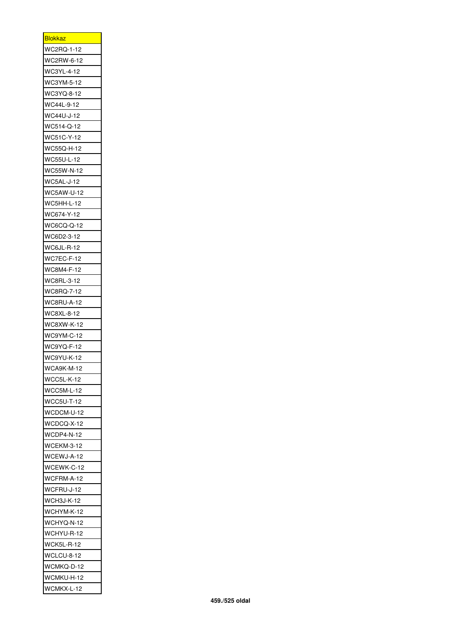| <b>Blokkaz</b>           |
|--------------------------|
| WC2RQ-1-12               |
| WC2RW-6-12               |
| WC3YL-4-12               |
| WC3YM-5-12               |
| WC3YQ-8-12               |
| WC44L-9-12               |
| WC44U-J-12               |
| WC514-Q-12               |
| WC51C-Y-12               |
| WC55Q-H-12               |
| WC55U-L-12               |
| <b>WC55W-N-12</b>        |
| WC5AL-J-12               |
| WC5AW-U-12               |
| WC5HH-L-12               |
| WC674-Y-12               |
| <b>WC6CQ-Q-12</b>        |
| WC6D2-3-12               |
|                          |
| WC6JL-R-12               |
| WC7EC-F-12               |
| WC8M4-F-12               |
| WC8RL-3-12               |
| WC8RQ-7-12               |
| <b>WC8RU-A-12</b>        |
| WC8XL-8-12               |
| <b>WC8XW-K-12</b>        |
| WC9YM-C-12               |
| WC9YQ-F-12               |
| WC9YU-K-12               |
| WCA9K-M-12               |
| WCC5L-K-12               |
| WCC5M-L-12               |
| WCC5U-T-12               |
| WCDCM-U-12               |
| WCDCQ-X-12               |
| WCDP4-N-12               |
| WCEKM-3-12               |
| WCEWJ-A-12               |
| WCEWK-C-12               |
| WCFRM-A-12               |
| WCFRU-J-12               |
| <b>WCH3J-K-12</b>        |
| WCHYM-K-12               |
| WCHYQ-N-12               |
|                          |
|                          |
| WCHYU-R-12               |
| WCK5L-R-12               |
| WCLCU-8-12               |
| WCMKQ-D-12               |
| WCMKU-H-12<br>WCMKX-L-12 |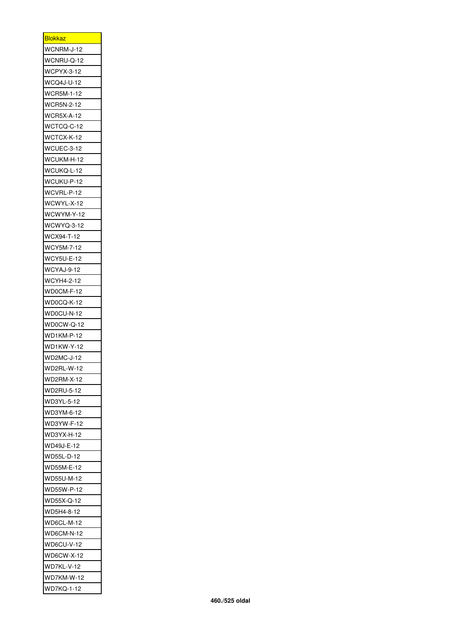| <u>Blokkaz </u>   |
|-------------------|
| WCNRM-J-12        |
| WCNRU-Q-12        |
| <b>WCPYX-3-12</b> |
| <b>WCQ4J-U-12</b> |
| <b>WCR5M-1-12</b> |
| <b>WCR5N-2-12</b> |
| <b>WCR5X-A-12</b> |
| WCTCQ-C-12        |
| WCTCX-K-12        |
| WCUEC-3-12        |
| WCUKM-H-12        |
| WCUKQ-L-12        |
| WCUKU-P-12        |
| WCVRL-P-12        |
| WCWYL-X-12        |
| WCWYM-Y-12        |
| WCWYQ-3-12        |
| WCX94-T-12        |
| WCY5M-7-12        |
|                   |
| WCY5U-E-12        |
| WCYAJ-9-12        |
| WCYH4-2-12        |
| WD0CM-F-12        |
| WD0CQ-K-12        |
| WD0CU-N-12        |
| WD0CW-Q-12        |
| WD1KM-P-12        |
| WD1KW-Y-12        |
| <b>WD2MC-J-12</b> |
| WD2RL-W-12        |
| WD2RM-X-12        |
| WD2RU-5-12        |
| WD3YL-5-12        |
| WD3YM-6-12        |
| WD3YW-F-12        |
| WD3YX-H-12        |
| WD49J-E-12        |
| WD55L-D-12        |
| WD55M-E-12        |
| WD55U-M-12        |
| WD55W-P-12        |
| WD55X-Q-12        |
|                   |
| WD5H4-8-12        |
| WD6CL-M-12        |
| WD6CM-N-12        |
| <b>WD6CU-V-12</b> |
| <b>WD6CW-X-12</b> |
| WD7KL-V-12        |
| WD7KM-W-12        |
| WD7KQ-1-12        |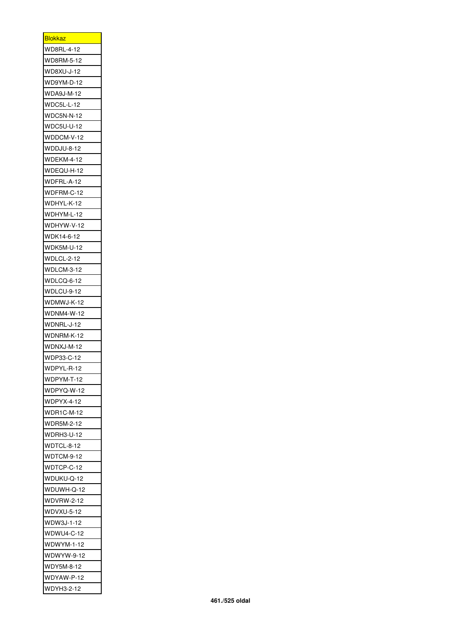| <u>Blokkaz</u>    |
|-------------------|
| WD8RL-4-12        |
| WD8RM-5-12        |
| WD8XU-J-12        |
| WD9YM-D-12        |
| <b>WDA9J-M-12</b> |
| WDC5L-L-12        |
| <b>WDC5N-N-12</b> |
| WDC5U-U-12        |
| WDDCM-V-12        |
| WDDJU-8-12        |
| WDEKM-4-12        |
| WDEQU-H-12        |
| WDFRL-A-12        |
| WDFRM-C-12        |
| WDHYL-K-12        |
| WDHYM-L-12        |
| WDHYW-V-12        |
| WDK14-6-12        |
| WDK5M-U-12        |
| WDLCL-2-12        |
| WDLCM-3-12        |
| WDLCQ-6-12        |
| WDLCU-9-12        |
| WDMWJ-K-12        |
|                   |
| <b>WDNM4-W-12</b> |
| WDNRL-J-12        |
| WDNRM-K-12        |
| WDNXJ-M-12        |
| WDP33-C-12        |
| WDPYL-R-12        |
| WDPYM-T-12        |
| WDPYQ-W-12        |
| <b>WDPYX-4-12</b> |
| <b>WDR1C-M-12</b> |
| <b>WDR5M-2-12</b> |
| <b>WDRH3-U-12</b> |
| WDTCL-8-12        |
| WDTCM-9-12        |
| WDTCP-C-12        |
| WDUKU-Q-12        |
| WDUWH-Q-12        |
| <b>WDVRW-2-12</b> |
| WDVXU-5-12        |
| WDW3J-1-12        |
| WDWU4-C-12        |
| WDWYM-1-12        |
| WDWYW-9-12        |
| WDY5M-8-12        |
| WDYAW-P-12        |
| WDYH3-2-12        |
|                   |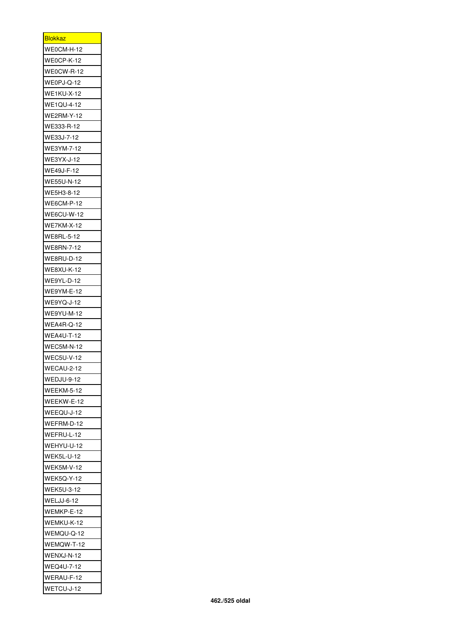| <u>Blokkaz</u>    |
|-------------------|
| WE0CM-H-12        |
| WE0CP-K-12        |
| WE0CW-R-12        |
| WE0PJ-Q-12        |
| <b>WE1KU-X-12</b> |
| <b>WE1QU-4-12</b> |
| <b>WE2RM-Y-12</b> |
| WE333-R-12        |
| WE33J-7-12        |
| WE3YM-7-12        |
| WE3YX-J-12        |
| WE49J-F-12        |
| WE55U-N-12        |
| WE5H3-8-12        |
| <b>WE6CM-P-12</b> |
| <b>WE6CU-W-12</b> |
| <b>WE7KM-X-12</b> |
| <b>WE8RL-5-12</b> |
|                   |
| WE8RN-7-12        |
| <b>WE8RU-D-12</b> |
| WE8XU-K-12        |
| WE9YL-D-12        |
| WE9YM-E-12        |
| WE9YQ-J-12        |
| <b>WE9YU-M-12</b> |
| <b>WEA4R-Q-12</b> |
| <b>WEA4U-T-12</b> |
| WEC5M-N-12        |
| <b>WEC5U-V-12</b> |
| WECAU-2-12        |
| WEDJU-9-12        |
| WEEKM-5-12        |
| WEEKW-E-12        |
| WEEQU-J-12        |
| WEFRM-D-12        |
| WEFRU-L-12        |
| WEHYU-U-12        |
| WEK5L-U-12        |
|                   |
| <b>WEK5M-V-12</b> |
| WEK5Q-Y-12        |
| WEK5U-3-12        |
| WELJJ-6-12        |
| WEMKP-E-12        |
| WEMKU-K-12        |
| WEMQU-Q-12        |
| EMQW-T-12<br>WE   |
| WENXJ-N-12        |
| WEQ4U-7-12        |
| WERAU-F-12        |
| WETCU-J-12        |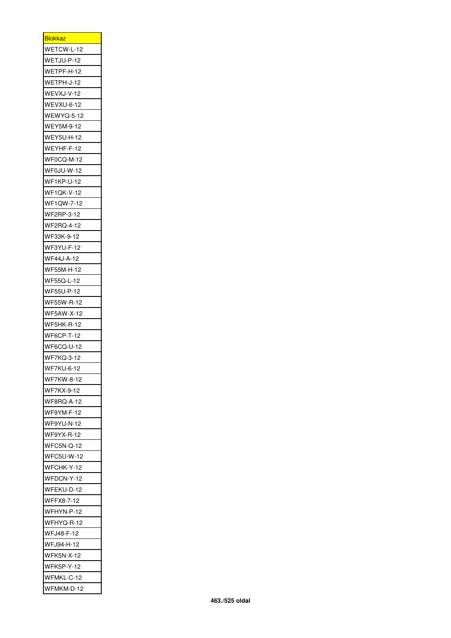| <b>Blokkaz</b>    |
|-------------------|
| WETCW-L-12        |
| WETJU-P-12        |
| WETPF-H-12        |
| WETPH-J-12        |
| WEVXJ-V-12        |
| WEVXU-6-12        |
| <b>WEWYQ-5-12</b> |
| WEY5M-9-12        |
| <b>WEY5U-H-12</b> |
| WEYHF-F-12        |
| WF0CQ-M-12        |
| WF0JU-W-12        |
| <b>WF1KP-U-12</b> |
| WF1QK-V-12        |
| WF1QW-7-12        |
|                   |
| WF2RP-3-12        |
| <b>WF2RQ-4-12</b> |
| WF33K-9-12        |
| WF3YU-F-12        |
| <b>WF44J-A-12</b> |
| WF55M-H-12        |
| WF55Q-L-12        |
| WF55U-P-12        |
| WF55W-R-12        |
| <b>WF5AW-X-12</b> |
| WF5HK-R-12        |
| <b>WF6CP-T-12</b> |
| WF6CQ-U-12        |
| WF7KQ-3-12        |
| WF7KU-6-12        |
| WF7KW-8-12        |
| WF7KX-9-12        |
| <b>WF8RQ-A-12</b> |
| WF9YM-F-12        |
| WF9YU-N-12        |
| WF9YX-R-12        |
| <b>WFC5N-Q-12</b> |
| <b>WFC5U-W-12</b> |
| WFCHK-Y-12        |
|                   |
| WFDCN-Y-12        |
| WFEKU-D-12        |
| <b>WFFX8-7-12</b> |
| WFHYN-P-12        |
| WFHYQ-R-12        |
| WFJ48-F-12        |
| WFJ94-H-12        |
| WFK5N-X-12        |
| <b>WFK5P-Y-12</b> |
| WFMKL-C-12        |
| WFMKM-D-12        |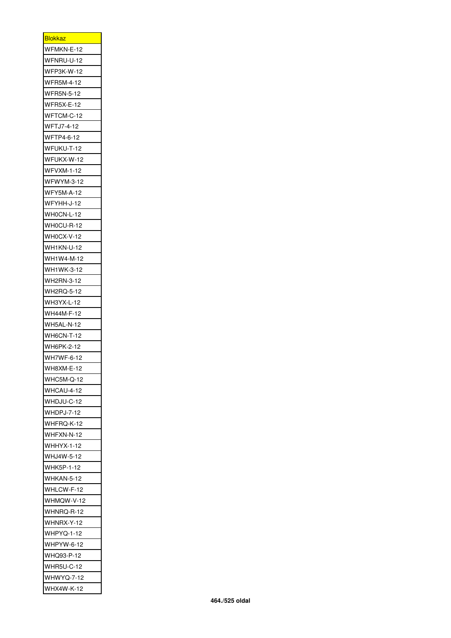| <b>Blokkaz</b>    |
|-------------------|
| WFMKN-E-12        |
| WFNRU-U-12        |
| <b>WFP3K-W-12</b> |
| WFR5M-4-12        |
| <b>WFR5N-5-12</b> |
| WFR5X-E-12        |
| WFTCM-C-12        |
| <b>WFTJ7-4-12</b> |
| WFTP4-6-12        |
| WFUKU-T-12        |
| WFUKX-W-12        |
| <b>WFVXM-1-12</b> |
| WFWYM-3-12        |
| <b>WFY5M-A-12</b> |
| WFYHH-J-12        |
| WH0CN-L-12        |
| WH0CU-R-12        |
| WH0CX-V-12        |
| <b>WH1KN-U-12</b> |
|                   |
| WH1W4-M-12        |
| WH1WK-3-12        |
| WH2RN-3-12        |
| WH2RQ-5-12        |
| WH3YX-L-12        |
| WH44M-F-12        |
| WH5AL-N-12        |
| WH6CN-T-12        |
| WH6PK-2-12        |
| WH7WF-6-12        |
| WH8XM-E-12        |
| WHC5M-Q-12        |
| WHCAU-4-12        |
| WHDJU-C-12        |
| WHDPJ-7-12        |
| WHFRQ-K-12        |
| WHFXN-N-12        |
| <b>WHHYX-1-12</b> |
| WHJ4W-5-12        |
| <b>WHK5P-1-12</b> |
| WHKAN-5-12        |
| WHLCW-F-12        |
| WHMQW-V-12        |
| WHNRQ-R-12        |
| WHNRX-Y-12        |
| WHPYQ-1-12        |
| WHPYW-6-12        |
| WHQ93-P-12        |
| WHR5U-C-12        |
| WHWYQ-7-12        |
| <b>WHX4W-K-12</b> |
|                   |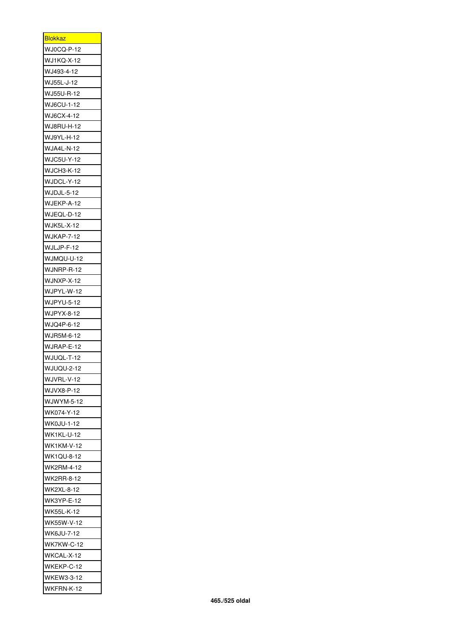| <u>Blokkaz</u>    |
|-------------------|
| WJ0CQ-P-12        |
| <b>WJ1KQ-X-12</b> |
| WJ493-4-12        |
| WJ55L-J-12        |
| WJ55U-R-12        |
| WJ6CU-1-12        |
| WJ6CX-4-12        |
| WJ8RU-H-12        |
| WJ9YL-H-12        |
| WJA4L-N-12        |
| <b>WJC5U-Y-12</b> |
| <b>WJCH3-K-12</b> |
| WJDCL-Y-12        |
| WJDJL-5-12        |
| WJEKP-A-12        |
| WJEQL-D-12        |
| <b>WJK5L-X-12</b> |
| <b>WJKAP-7-12</b> |
| WJLJP-F-12        |
| WJMQU-U-12        |
|                   |
| WJNRP-R-12        |
| WJNXP-X-12        |
| WJPYL-W-12        |
| <b>WJPYU-5-12</b> |
| <b>WJPYX-8-12</b> |
| WJQ4P-6-12        |
| WJR5M-6-12        |
| WJRAP-E-12        |
| WJUQL-T-12        |
| WJUQU-2-12        |
| WJVRL-V-12        |
| WJVX8-P-12        |
| WJWYM-5-12        |
| WK074-Y-12        |
| <b>WK0JU-1-12</b> |
| WK1KL-U-12        |
| <b>WK1KM-V-12</b> |
| <b>WK1QU-8-12</b> |
| WK2RM-4-12        |
| <b>WK2RR-8-12</b> |
| <b>WK2XL-8-12</b> |
| <b>WK3YP-E-12</b> |
| <b>WK55L-K-12</b> |
| WK55W-V-12        |
| <b>WK6JU-7-12</b> |
| WK7KW-C-12        |
| WKCAL-X-12        |
| WKEKP-C-12        |
| <b>WKEW3-3-12</b> |
| WKFRN-K-12        |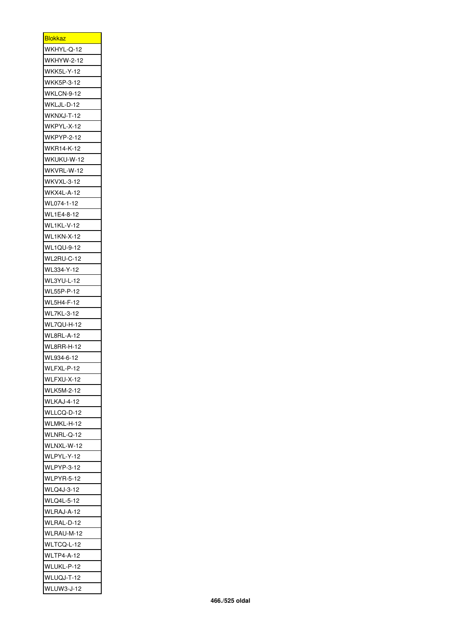| <u>Blokkaz</u>    |
|-------------------|
| WKHYL-Q-12        |
| WKHYW-2-12        |
| <b>WKK5L-Y-12</b> |
| WKK5P-3-12        |
| WKLCN-9-12        |
| WKLJL-D-12        |
| WKNXJ-T-12        |
| WKPYL-X-12        |
| WKPYP-2-12        |
| WKR14-K-12        |
| WKUKU-W-12        |
| WKVRL-W-12        |
| WKVXL-3-12        |
| WKX4L-A-12        |
| WL074-1-12        |
| WL1E4-8-12        |
| <b>WL1KL-V-12</b> |
| <b>WL1KN-X-12</b> |
| <b>WL1QU-9-12</b> |
| WL2RU-C-12        |
| WL334-Y-12        |
| WL3YU-L-12        |
| WL55P-P-12        |
| WL5H4-F-12        |
| <b>WL7KL-3-12</b> |
| WL7QU-H-12        |
| WL8RL-A-12        |
| WL8RR-H-12        |
|                   |
| WL934-6-12        |
| WLFXL-P-12        |
| WLFXU-X-12        |
| <b>WLK5M-2-12</b> |
| WLKAJ-4-12        |
| WLLCQ-D-12        |
| WLMKL-H-12        |
| WLNRL-Q-12        |
| WLNXL-W-12        |
| WLPYL-Y-12        |
| WLPYP-3-12        |
| <b>WLPYR-5-12</b> |
| WLQ4J-3-12        |
| WLQ4L-5-12        |
| WLRAJ-A-12        |
| WLRAL-D-12        |
| WLRAU-M-12        |
| WLTCQ-L-12        |
| <b>WLTP4-A-12</b> |
| WLUKL-P-12        |
| WLUQJ-T-12        |
| <b>WLUW3-J-12</b> |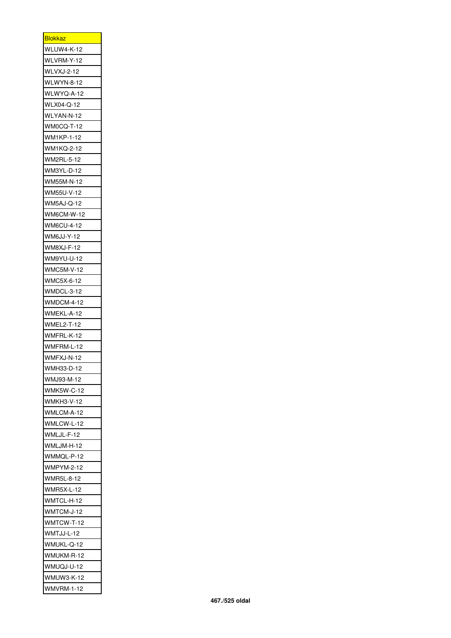| <u>Blokkaz</u>    |
|-------------------|
| <b>WLUW4-K-12</b> |
| WLVRM-Y-12        |
| WLVXJ-2-12        |
| WLWYN-8-12        |
| WLWYQ-A-12        |
| WLX04-Q-12        |
| WLYAN-N-12        |
| WM0CQ-T-12        |
| WM1KP-1-12        |
| <b>WM1KQ-2-12</b> |
| <b>WM2RL-5-12</b> |
| WM3YL-D-12        |
| WM55M-N-12        |
| WM55U-V-12        |
| <b>WM5AJ-Q-12</b> |
| WM6CM-W-12        |
| <b>WM6CU-4-12</b> |
|                   |
| <b>WM6JJ-Y-12</b> |
| <b>WM8XJ-F-12</b> |
| WM9YU-U-12        |
| WMC5M-V-12        |
| WMC5X-6-12        |
| WMDCL-3-12        |
| WMDCM-4-12        |
| WMEKL-A-12        |
| WMEL2-T-12        |
| WMFRL-K-12        |
| WMFRM-L-12        |
| WMFXJ-N-12        |
| WMH33-D-12        |
| WMJ93-M-12        |
| <b>WMK5W-C-12</b> |
| WMKH3-V-12        |
| WMLCM-A-12        |
| WMLCW-L-12        |
| WMLJL-F-12        |
| WMLJM-H-12        |
| WMMQL-P-12        |
| <b>WMPYM-2-12</b> |
| WMR5L-8-12        |
| <b>WMR5X-L-12</b> |
| WMTCL-H-12        |
| WMTCM-J-12        |
| WMTCW-T-12        |
| WMTJJ-L-12        |
| WMUKL-Q-12        |
| WMUKM-R-12        |
| WMUQJ-U-12        |
| <b>WMUW3-K-12</b> |
| <b>WMVRM-1-12</b> |
|                   |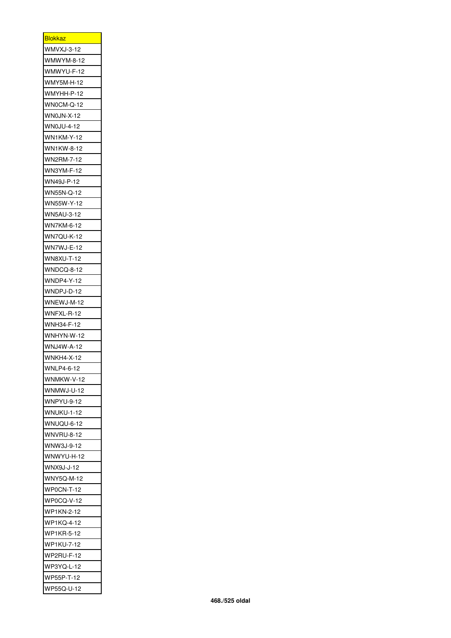| <u>Blokkaz</u>    |
|-------------------|
| WMVXJ-3-12        |
| <b>WMWYM-8-12</b> |
| WMWYU-F-12        |
| <b>WMY5M-H-12</b> |
| WMYHH-P-12        |
| WN0CM-Q-12        |
| WN0JN-X-12        |
| WN0JU-4-12        |
| <b>WN1KM-Y-12</b> |
| WN1KW-8-12        |
| WN2RM-7-12        |
| <b>WN3YM-F-12</b> |
| WN49J-P-12        |
| WN55N-Q-12        |
| WN55W-Y-12        |
| <b>WN5AU-3-12</b> |
|                   |
| <b>WN7KM-6-12</b> |
| WN7QU-K-12        |
| WN7WJ-E-12        |
| WN8XU-T-12        |
| WNDCQ-8-12        |
| <b>WNDP4-Y-12</b> |
| WNDPJ-D-12        |
| WNEWJ-M-12        |
| WNFXL-R-12        |
| WNH34-F-12        |
| WNHYN-W-12        |
| <b>WNJ4W-A-12</b> |
| <b>WNKH4-X-12</b> |
| WNLP4-6-12        |
| WNMKW-V-12        |
| WNMWJ-U-12        |
| <b>WNPYU-9-12</b> |
| WNUKU-1-12        |
| WNUQU-6-12        |
| WNVRU-8-12        |
| WNW3J-9-12        |
| WNWYU-H-12        |
| WNX9J-J-12        |
| WNY5Q-M-12        |
| WP0CN-T-12        |
| WP0CQ-V-12        |
| WP1KN-2-12        |
| WP1KQ-4-12        |
| WP1KR-5-12        |
| WP1KU-7-12        |
| WP2RU-F-12        |
| WP3YQ-L-12        |
| WP55P-T-12        |
|                   |
| WP55Q-U-12        |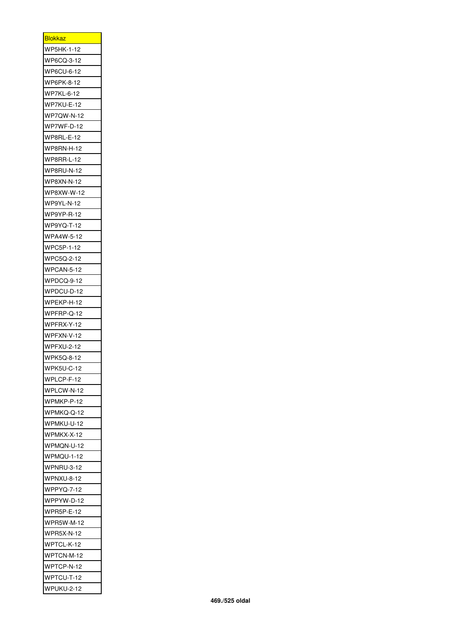| <b>Blokkaz</b>    |
|-------------------|
| WP5HK-1-12        |
| WP6CQ-3-12        |
| WP6CU-6-12        |
| WP6PK-8-12        |
| <b>WP7KL-6-12</b> |
| WP7KU-E-12        |
| <b>WP7QW-N-12</b> |
| WP7WF-D-12        |
| WP8RL-E-12        |
| WP8RN-H-12        |
| WP8RR-L-12        |
| WP8RU-N-12        |
| <b>WP8XN-N-12</b> |
| WP8XW-W-12        |
| WP9YL-N-12        |
| WP9YP-R-12        |
| WP9YQ-T-12        |
| WPA4W-5-12        |
| <b>WPC5P-1-12</b> |
| WPC5Q-2-12        |
| WPCAN-5-12        |
|                   |
| WPDCQ-9-12        |
| WPDCU-D-12        |
| WPEKP-H-12        |
| WPFRP-Q-12        |
| WPFRX-Y-12        |
| WPFXN-V-12        |
| <b>WPFXU-2-12</b> |
| WPK5Q-8-12        |
| WPK5U-C-12        |
| WPLCP-F-12        |
| WPLCW-N-12        |
| WPMKP-P-12        |
| WPMKQ-Q-12        |
| WPMKU-U-12        |
| WPMKX-X-12        |
| WPMQN-U-12        |
| <b>WPMQU-1-12</b> |
| <b>WPNRU-3-12</b> |
| <b>WPNXU-8-12</b> |
| <b>WPPYQ-7-12</b> |
| WPPYW-D-12        |
| <b>WPR5P-E-12</b> |
| <b>WPR5W-M-12</b> |
| <b>WPR5X-N-12</b> |
| WPTCL-K-12        |
| WPTCN-M-12        |
| WPTCP-N-12        |
| WPTCU-T-12        |
| WPUKU-2-12        |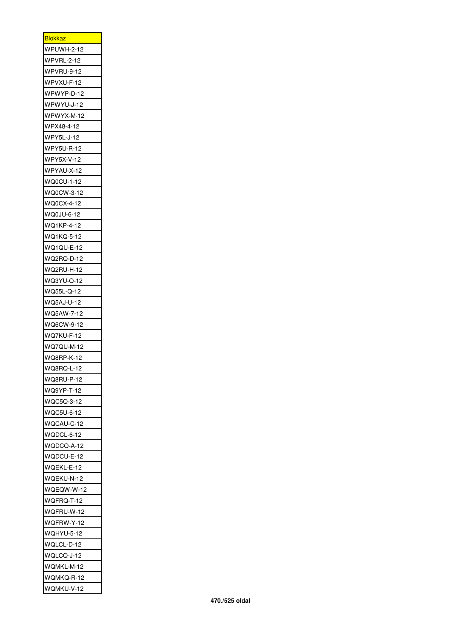| <u>Blokkaz</u>           |
|--------------------------|
| WPUWH-2-12               |
| WPVRL-2-12               |
| WPVRU-9-12               |
| WPVXU-F-12               |
| WPWYP-D-12               |
| WPWYU-J-12               |
| WPWYX-M-12               |
| WPX48-4-12               |
| WPY5L-J-12               |
| <b>WPY5U-R-12</b>        |
| WPY5X-V-12               |
| WPYAU-X-12               |
| WQ0CU-1-12               |
| WQ0CW-3-12               |
| WQ0CX-4-12               |
| WQ0JU-6-12               |
| <b>WQ1KP-4-12</b>        |
| WQ1KQ-5-12               |
|                          |
| WQ1QU-E-12               |
| WQ2RQ-D-12               |
| WQ2RU-H-12               |
| WQ3YU-Q-12               |
| WQ55L-Q-12               |
| <b>WQ5AJ-U-12</b>        |
| WQ5AW-7-12               |
| WQ6CW-9-12               |
| WQ7KU-F-12               |
| WQ7QU-M-12               |
| <b>WQ8RP-K-12</b>        |
| WQ8RQ-L-12               |
| WQ8RU-P-12               |
| WQ9YP-T-12               |
| WQC5Q-3-12               |
| WQC5U-6-12               |
| WQCAU-C-12               |
| WQDCL-6-12               |
| WQDCQ-A-12               |
| WQDCU-E-12               |
| WQEKL-E-12               |
| WQEKU-N-12               |
| WQEQW-W-12               |
| WQFRQ-T-12               |
| WQFRU-W-12               |
| WQFRW-Y-12               |
|                          |
|                          |
| WQHYU-5-12               |
| WQLCL-D-12               |
| WQLCQ-J-12               |
| WQMKL-M-12               |
| WQMKQ-R-12<br>WQMKU-V-12 |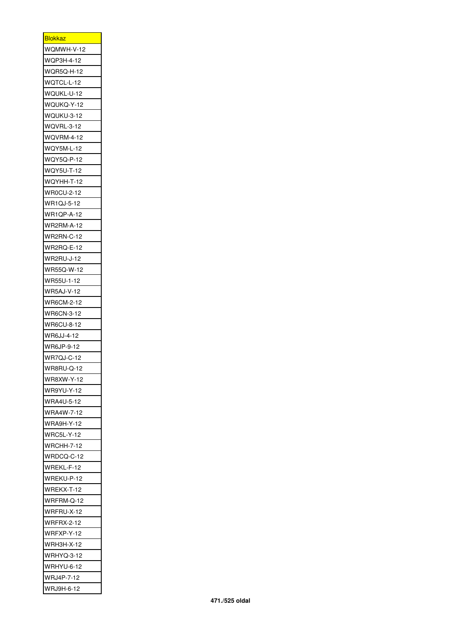| <b>Blokkaz</b>    |
|-------------------|
| WQMWH-V-12        |
| WQP3H-4-12        |
| <b>WQR5Q-H-12</b> |
| WQTCL-L-12        |
| WQUKL-U-12        |
| WQUKQ-Y-12        |
| WQUKU-3-12        |
| <b>WQVRL-3-12</b> |
| <b>WQVRM-4-12</b> |
| <b>WQY5M-L-12</b> |
| <b>WQY5Q-P-12</b> |
| <b>WQY5U-T-12</b> |
| WQYHH-T-12        |
| WR0CU-2-12        |
|                   |
| <b>WR1QJ-5-12</b> |
| <b>WR1QP-A-12</b> |
| <b>WR2RM-A-12</b> |
| WR2RN-C-12        |
| WR2RQ-E-12        |
| WR2RU-J-12        |
| WR55Q-W-12        |
| WR55U-1-12        |
| WR5AJ-V-12        |
| <b>WR6CM-2-12</b> |
| WR6CN-3-12        |
| <b>WR6CU-8-12</b> |
| WR6JJ-4-12        |
| WR6JP-9-12        |
| WR7QJ-C-12        |
| WR8RU-Q-12        |
| WR8XW-Y-12        |
| WR9YU-Y-12        |
| <b>WRA4U-5-12</b> |
| WRA4W-7-12        |
| <b>WRA9H-Y-12</b> |
| <b>WRC5L-Y-12</b> |
|                   |
| <b>WRCHH-7-12</b> |
| WRDCQ-C-12        |
| WREKL-F-12        |
| WREKU-P-12        |
| WREKX-T-12        |
| WRFRM-Q-12        |
| WRFRU-X-12        |
| <b>WRFRX-2-12</b> |
| WRFXP-Y-12        |
| <b>WRH3H-X-12</b> |
| WRHYQ-3-12        |
| <b>WRHYU-6-12</b> |
| WRJ4P-7-12        |
| WRJ9H-6-12        |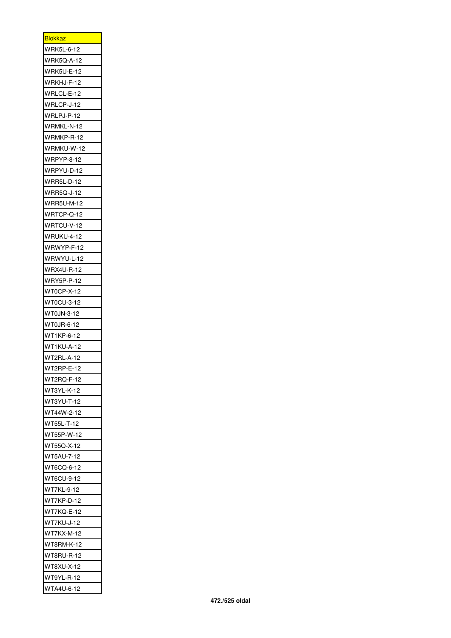| <b>Blokkaz</b>    |
|-------------------|
| <b>WRK5L-6-12</b> |
| <b>WRK5Q-A-12</b> |
| WRK5U-E-12        |
| WRKHJ-F-12        |
| WRLCL-E-12        |
| WRLCP-J-12        |
| WRLPJ-P-12        |
| WRMKL-N-12        |
|                   |
| WRMKP-R-12        |
| WRMKU-W-12        |
| <b>WRPYP-8-12</b> |
| WRPYU-D-12        |
| <b>WRR5L-D-12</b> |
| <b>WRR5Q-J-12</b> |
| <b>WRR5U-M-12</b> |
| WRTCP-Q-12        |
| WRTCU-V-12        |
| WRUKU-4-12        |
| WRWYP-F-12        |
| WRWYU-L-12        |
| WRX4U-R-12        |
| WRY5P-P-12        |
| WT0CP-X-12        |
| WT0CU-3-12        |
| WT0JN-3-12        |
|                   |
| WT0JR-6-12        |
| WT1KP-6-12        |
| WT1KU-A-12        |
| WT2RL-A-12        |
| WT2RP-E-12        |
| WT2RQ-F-12        |
| WT3YL-K-12        |
| WT3YU-T-12        |
| WT44W-2-12        |
| WT55L-T-12        |
| WT55P-W-12        |
| WT55Q-X-12        |
| <b>WT5AU-7-12</b> |
| WT6CQ-6-12        |
| WT6CU-9-12        |
| WT7KL-9-12        |
| WT7KP-D-12        |
| WT7KQ-E-12        |
|                   |
| WT7KU-J-12        |
| <b>WT7KX-M-12</b> |
| WT8RM-K-12        |
| WT8RU-R-12        |
| WT8XU-X-12        |
| WT9YL-R-12        |
| WTA4U-6-12        |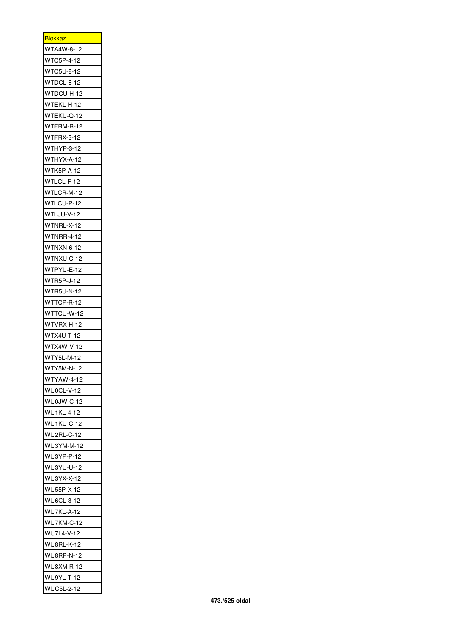| <b>Blokkaz</b>    |
|-------------------|
| WTA4W-8-12        |
| WTC5P-4-12        |
| WTC5U-8-12        |
| WTDCL-8-12        |
| WTDCU-H-12        |
| WTEKL-H-12        |
| WTEKU-Q-12        |
| WTFRM-R-12        |
| <b>WTFRX-3-12</b> |
| WTHYP-3-12        |
| WTHYX-A-12        |
| <b>WTK5P-A-12</b> |
| WTLCL-F-12        |
| WTLCR-M-12        |
| WTLCU-P-12        |
| WTLJU-V-12        |
| WTNRL-X-12        |
| WTNRR-4-12        |
|                   |
| WTNXN-6-12        |
| WTNXU-C-12        |
| WTPYU-E-12        |
| WTR5P-J-12        |
| <b>WTR5U-N-12</b> |
| WTTCP-R-12        |
| W٦<br>TCU-W-12    |
| WTVRX-H-12        |
| WTX4U-T-12        |
| WTX4W-V-12        |
| <b>WTY5L-M-12</b> |
| WTY5M-N-12        |
| WTYAW-4-12        |
| WU0CL-V-12        |
| WU0JW-C-12        |
| <b>WU1KL-4-12</b> |
| WU1KU-C-12        |
| WU2RL-C-12        |
| WU3YM-M-12        |
| WU3YP-P-12        |
| WU3YU-U-12        |
| WU3YX-X-12        |
| WU55P-X-12        |
| WU6CL-3-12        |
| WU7KL-A-12        |
| WU7KM-C-12        |
| WU7L4-V-12        |
| WU8RL-K-12        |
| <b>WU8RP-N-12</b> |
| WU8XM-R-12        |
| WU9YL-T-12        |
| WUC5L-2-12        |
|                   |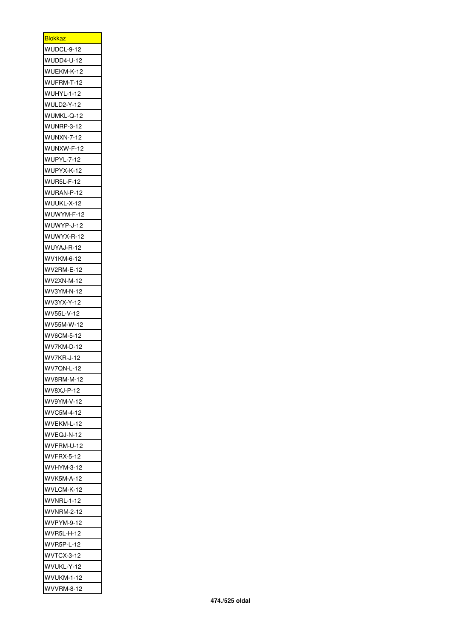| <u>Blokkaz</u>                  |
|---------------------------------|
| WUDCL-9-12                      |
| WUDD4-U-12                      |
| WUEKM-K-12                      |
| WUFRM-T-12                      |
| <b>WUHYL-1-12</b>               |
| <b>WULD2-Y-12</b>               |
| WUMKL-Q-12                      |
| <b>WUNRP-3-12</b>               |
| <b>WUNXN-7-12</b>               |
| WUNXW-F-12                      |
| WUPYL-7-12                      |
| WUPYX-K-12                      |
| WUR5L-F-12                      |
| WURAN-P-12                      |
| WUUKL-X-12                      |
|                                 |
| WUWYM-F-12<br>WUWYP-J-12        |
|                                 |
| WUWYX-R-12                      |
| WUYAJ-R-12                      |
| WV1KM-6-12                      |
| WV2RM-E-12                      |
| WV2XN-M-12                      |
| WV3YM-N-12                      |
| WV3YX-Y-12                      |
| WV55L-V-12                      |
| WV55M-W-12                      |
| WV6CM-5-12                      |
| WV7KM-D-12                      |
| WV7KR-J-12                      |
| WV7QN-L-12                      |
| <b>WV8RM-M-12</b>               |
| WV8XJ-P-12                      |
| WV9YM-V-12                      |
| WVC5M-4-12                      |
| WVEKM-L-12                      |
| WVEQJ-N-12                      |
| WVFRM-U-12                      |
| <b>WVFRX-5-12</b>               |
| WVHYM-3-12                      |
| WVK5M-A-12                      |
| WVLCM-K-12                      |
| <b>WVNRL-1-12</b>               |
| <b>WVNRM-2-12</b>               |
| <b>WVPYM-9-12</b>               |
| <b>WVR5L-H-12</b>               |
|                                 |
| <b>WVR5P-L-12</b>               |
| WVTCX-3-12                      |
| WVUKL-Y-12                      |
| WVUKM-1-12<br><b>WVVRM-8-12</b> |
|                                 |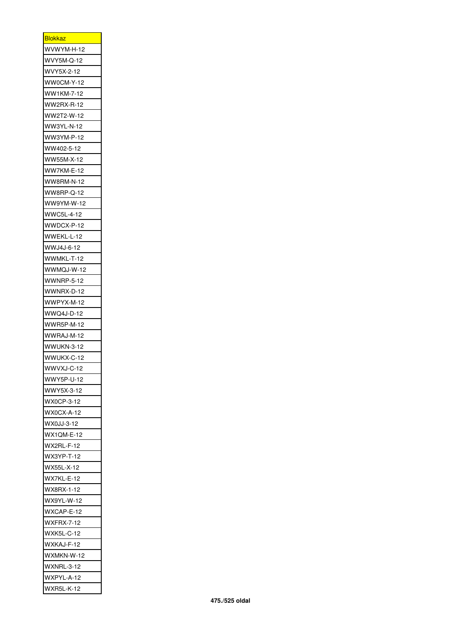| <b>Blokkaz</b>    |
|-------------------|
| WVWYM-H-12        |
| WVY5M-Q-12        |
| WVY5X-2-12        |
| WW0CM-Y-12        |
| WW1KM-7-12        |
| WW2RX-R-12        |
| WW2T2-W-12        |
| WW3YL-N-12        |
| WW3YM-P-12        |
| WW402-5-12        |
| WW55M-X-12        |
| WW7KM-E-12        |
| <b>WW8RM-N-12</b> |
| WW8RP-Q-12        |
| WW9YM-W-12        |
| WWC5L-4-12        |
| WWDCX-P-12        |
|                   |
| WWEKL-L-12        |
| WWJ4J-6-12        |
| WWMKL-T-12        |
| WWMQJ-W-12        |
| <b>WWNRP-5-12</b> |
| WWNRX-D-12        |
| WWPYX-M-12        |
| WWQ4J-D-12        |
| <b>WWR5P-M-12</b> |
| WWRAJ-M-12        |
| WWUKN-3-12        |
| WWUKX-C-12        |
| WWVXJ-C-12        |
| WWY5P-U-12        |
| WWY5X-3-12        |
| WX0CP-3-12        |
| WX0CX-A-12        |
| WX0JJ-3-12        |
| WX1QM-E-12        |
| WX2RL-F-12        |
| WX3YP-T-12        |
| WX55L-X-12        |
| <b>WX7KL-E-12</b> |
| WX8RX-1-12        |
| WX9YL-W-12        |
| WXCAP-E-12        |
| <b>WXFRX-7-12</b> |
| WXK5L-C-12        |
| WXKAJ-F-12        |
| WXMKN-W-12        |
| <b>WXNRL-3-12</b> |
| WXPYL-A-12        |
| <b>WXR5L-K-12</b> |
|                   |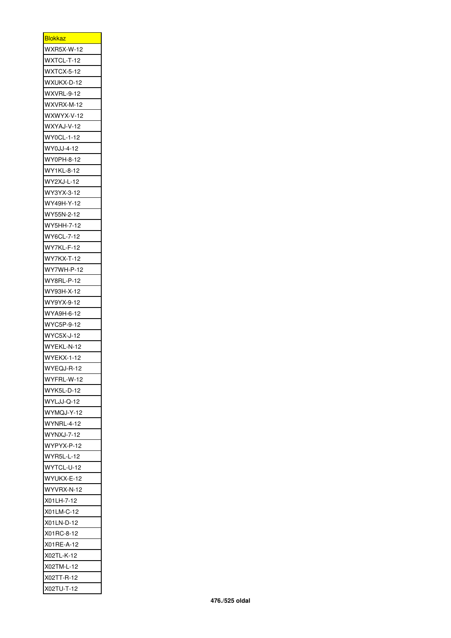| <u>Blokkaz</u>    |
|-------------------|
| WXR5X-W-12        |
| WXTCL-T-12        |
| <b>WXTCX-5-12</b> |
| WXUKX-D-12        |
| <b>WXVRL-9-12</b> |
| WXVRX-M-12        |
| WXWYX-V-12        |
| WXYAJ-V-12        |
| WY0CL-1-12        |
| WY0JJ-4-12        |
| WY0PH-8-12        |
| WY1KL-8-12        |
| WY2XJ-L-12        |
| WY3YX-3-12        |
| WY49H-Y-12        |
| WY55N-2-12        |
| WY5HH-7-12        |
| WY6CL-7-12        |
| WY7KL-F-12        |
| WY7KX-T-12        |
|                   |
| WY7WH-P-12        |
| WY8RL-P-12        |
| WY93H-X-12        |
| WY9YX-9-12        |
| WYA9H-6-12        |
| WYC5P-9-12        |
| WYC5X-J-12        |
| WYEKL-N-12        |
| <b>WYEKX-1-12</b> |
| WYEQJ-R-12        |
| WYFRL-W-12        |
| WYK5L-D-12        |
| WYLJJ-Q-12        |
| WYMQJ-Y-12        |
| WYNRL-4-12        |
| WYNXJ-7-12        |
| WYPYX-P-12        |
| <b>WYR5L-L-12</b> |
| WYTCL-U-12        |
| WYUKX-E-12        |
| WYVRX-N-12        |
| X01LH-7-12        |
| X01LM-C-12        |
| X01LN-D-12        |
| X01RC-8-12        |
| X01RE-A-12        |
| X02TL-K-12        |
| X02TM-L-12        |
| X02TT-R-12        |
| X02TU-T-12        |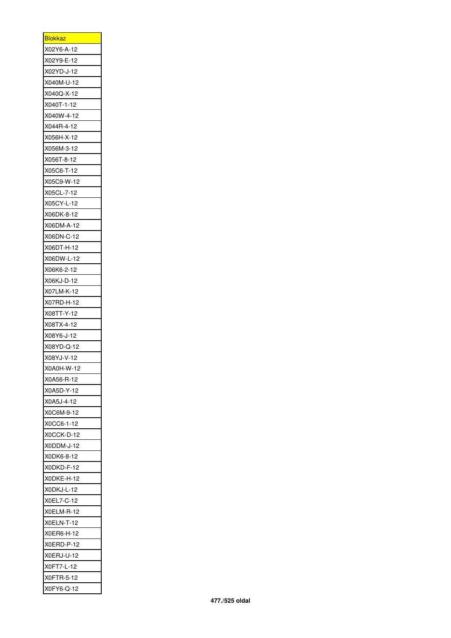| <b>Blokkaz</b> |
|----------------|
| X02Y6-A-12     |
| X02Y9-E-12     |
| X02YD-J-12     |
| X040M-U-12     |
| X040Q-X-12     |
| X040T-1-12     |
| X040W-4-12     |
| X044R-4-12     |
| X056H-X-12     |
| X056M-3-12     |
| X056T-8-12     |
| X05C6-T-12     |
| X05C9-W-12     |
| X05CL-7-12     |
| X05CY-L-12     |
| X06DK-8-12     |
| X06DM-A-12     |
| X06DN-C-12     |
| X06DT-H-12     |
| X06DW-L-12     |
| X06K6-2-12     |
| X06KJ-D-12     |
| X07LM-K-12     |
| X07RD-H-12     |
| X08TT-Y-12     |
| X08TX-4-12     |
| X08Y6-J-12     |
| X08YD-Q-12     |
| X08YJ-V-12     |
| X0A0H-W-12     |
| X0A56-R-12     |
| X0A5D-Y-12     |
| X0A5J-4-12     |
| X0C6M-9-12     |
| X0CC6-1-12     |
| X0CCK-D-12     |
| X0DDM-J-12     |
| X0DK6-8-12     |
| X0DKD-F-12     |
| X0DKE-H-12     |
| X0DKJ-L-12     |
| X0EL7-C-12     |
| X0ELM-R-12     |
| X0ELN-T-12     |
| X0ER6-H-12     |
| X0ERD-P-12     |
| X0ERJ-U-12     |
| X0FT7-L-12     |
| X0FTR-5-12     |
| X0FY6-Q-12     |
|                |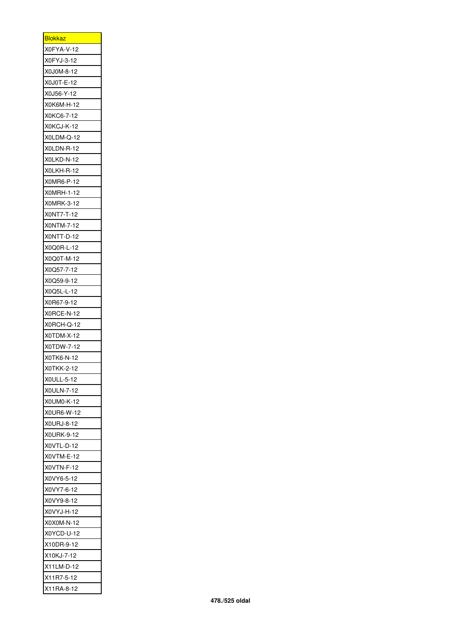| <b>Blokkaz</b> |
|----------------|
| X0FYA-V-12     |
| X0FYJ-3-12     |
| X0J0M-8-12     |
| X0J0T-E-12     |
| X0J56-Y-12     |
| X0K6M-H-12     |
| X0KC6-7-12     |
| X0KCJ-K-12     |
| X0LDM-Q-12     |
| X0LDN-R-12     |
| X0LKD-N-12     |
| X0LKH-R-12     |
| X0MR6-P-12     |
| X0MRH-1-12     |
| X0MRK-3-12     |
| X0NT7-T-12     |
| X0NTM-7-12     |
|                |
| X0NTT-D-12     |
| X0Q0R-L-12     |
| X0Q0T-M-12     |
| X0Q57-7-12     |
| X0Q59-9-12     |
| X0Q5L-L-12     |
| X0R67-9-12     |
| X0RCE-N-12     |
| X0RCH-Q-12     |
| X0TDM-X-12     |
| X0TDW-7-12     |
| X0TK6-N-12     |
| X0TKK-2-12     |
| X0ULL-5-12     |
| X0ULN-7-12     |
| X0UM0-K-12     |
| X0UR6-W-12     |
| X0URJ-8-12     |
| X0URK-9-12     |
| X0VTL-D-12     |
| X0VTM-E-12     |
| X0VTN-F-12     |
| X0VY6-5-12     |
| X0VY7-6-12     |
| X0VY9-8-12     |
| X0VYJ-H-12     |
| X0X0M-N-12     |
| X0YCD-U-12     |
| X10DR-9-12     |
| X10KJ-7-12     |
| X11LM-D-12     |
| X11R7-5-12     |
| X11RA-8-12     |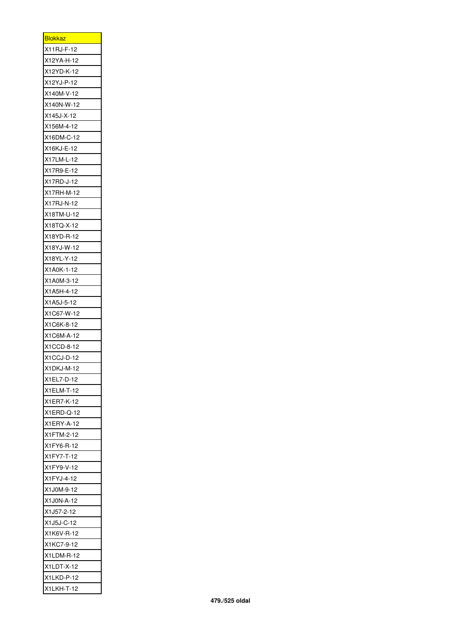| <b>Blokkaz</b> |
|----------------|
| X11RJ-F-12     |
| X12YA-H-12     |
| X12YD-K-12     |
| X12YJ-P-12     |
| X140M-V-12     |
| X140N-W-12     |
| X145J-X-12     |
| X156M-4-12     |
| X16DM-C-12     |
| X16KJ-E-12     |
| X17LM-L-12     |
| X17R9-E-12     |
| X17RD-J-12     |
| X17RH-M-12     |
| X17RJ-N-12     |
| X18TM-U-12     |
| X18TQ-X-12     |
| X18YD-R-12     |
| X18YJ-W-12     |
| X18YL-Y-12     |
| X1A0K-1-12     |
| X1A0M-3-12     |
| X1A5H-4-12     |
| X1A5J-5-12     |
| X1C67-W-12     |
| X1C6K-8-12     |
| X1C6M-A-12     |
| X1CCD-8-12     |
| X1CCJ-D-12     |
|                |
| X1DKJ-M-12     |
| X1EL7-D-12     |
| X1ELM-T-12     |
| X1ER7-K-12     |
| X1ERD-Q-12     |
| X1ERY-A-12     |
| X1FTM-2-12     |
| X1FY6-R-12     |
| X1FY7-T-12     |
| X1FY9-V-12     |
| X1FYJ-4-12     |
| X1J0M-9-12     |
| X1J0N-A-12     |
| X1J57-2-12     |
| X1J5J-C-12     |
| X1K6V-R-12     |
| X1KC7-9-12     |
| X1LDM-R-12     |
| X1LDT-X-12     |
| X1LKD-P-12     |
| X1LKH-T-12     |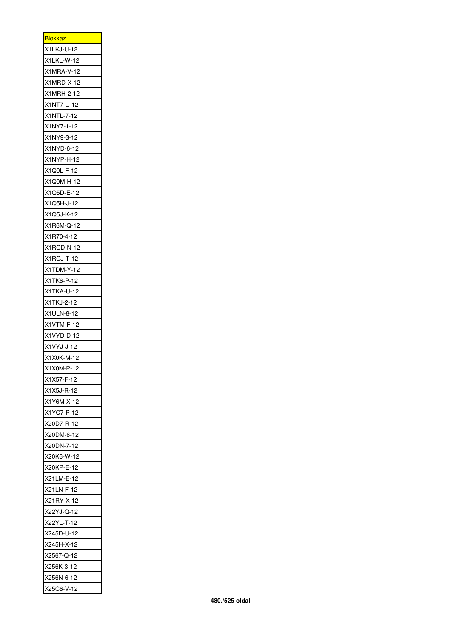| <b>Blokkaz</b> |
|----------------|
| X1LKJ-U-12     |
| X1LKL-W-12     |
| X1MRA-V-12     |
| X1MRD-X-12     |
| X1MRH-2-12     |
| X1NT7-U-12     |
| X1NTL-7-12     |
| X1NY7-1-12     |
| X1NY9-3-12     |
| X1NYD-6-12     |
| X1NYP-H-12     |
| X1Q0L-F-12     |
| X1Q0M-H-12     |
| X1Q5D-E-12     |
| X1Q5H-J-12     |
| X1Q5J-K-12     |
| X1R6M-Q-12     |
| X1R70-4-12     |
| X1RCD-N-12     |
| X1RCJ-T-12     |
|                |
| X1TDM-Y-12     |
| X1TK6-P-12     |
| X1TKA-U-12     |
| X1TKJ-2-12     |
| X1ULN-8-12     |
| X1VTM-F-12     |
| X1VYD-D-12     |
| X1 VYJ-J-12    |
| X1X0K-M-12     |
| X1X0M-P-12     |
| X1X57-F-12     |
| X1X5J-R-12     |
| X1Y6M-X-12     |
| X1YC7-P-12     |
| X20D7-R-12     |
| X20DM-6-12     |
| X20DN-7-12     |
| X20K6-W-12     |
| X20KP-E-12     |
| X21LM-E-12     |
| X21LN-F-12     |
| X21RY-X-12     |
| X22YJ-Q-12     |
| X22YL-T-12     |
| X245D-U-12     |
| X245H-X-12     |
| X2567-Q-12     |
| X256K-3-12     |
| X256N-6-12     |
| X25C6-V-12     |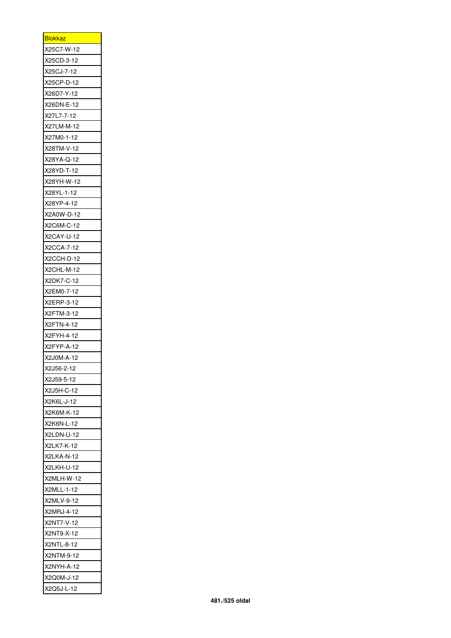| <u>Blokkaz</u> |
|----------------|
| X25C7-W-12     |
| X25CD-3-12     |
| X25CJ-7-12     |
| X25CP-D-12     |
| X26D7-Y-12     |
| X26DN-E-12     |
| X27L7-7-12     |
| X27LM-M-12     |
| X27M0-1-12     |
| X28TM-V-12     |
| X28YA-Q-12     |
| X28YD-T-12     |
| X28YH-W-12     |
| X28YL-1-12     |
| X28YP-4-12     |
| X2A0W-D-12     |
| X2C6M-C-12     |
| X2CAY-U-12     |
| X2CCA-7-12     |
| X2CCH-D-12     |
| X2CHL-M-12     |
|                |
| X2DK7-C-12     |
| X2EM0-7-12     |
| X2ERP-3-12     |
| X2FTM-3-12     |
| X2FTN-4-12     |
| X2FYH-4-12     |
| X2FYP-A-12     |
| X2J0M-A-12     |
| X2J56-2-12     |
| X2J59-5-12     |
| X2J5H-C-12     |
| X2K6L-J-12     |
| X2K6M-K-12     |
| X2K6N-L-12     |
| X2LDN-U-12     |
| X2LK7-K-12     |
| X2LKA-N-12     |
| X2LKH-U-12     |
| X2MLH-W-12     |
| X2MLL-1-12     |
| X2MLV-9-12     |
| X2MRJ-4-12     |
| X2NT7-V-12     |
| X2NT9-X-12     |
| X2NTL-8-12     |
| X2NTM-9-12     |
| X2NYH-A-12     |
|                |
| X2Q0M-J-12     |
| X2Q5J-L-12     |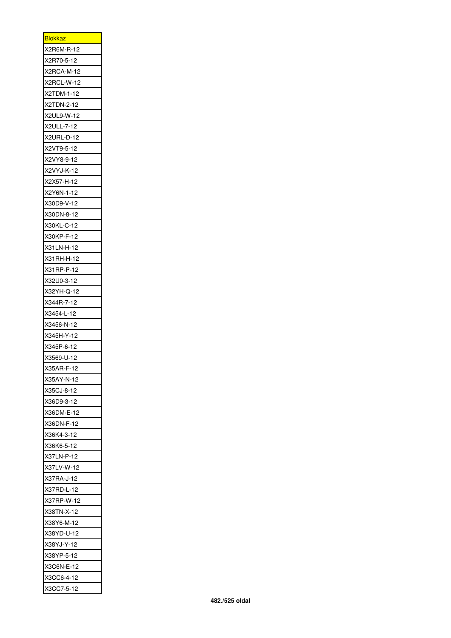| <u>Blokkaz</u> |
|----------------|
| X2R6M-R-12     |
| X2R70-5-12     |
| X2RCA-M-12     |
| X2RCL-W-12     |
| X2TDM-1-12     |
| X2TDN-2-12     |
| X2UL9-W-12     |
| X2ULL-7-12     |
| X2URL-D-12     |
| X2VT9-5-12     |
| X2VY8-9-12     |
| X2VYJ-K-12     |
| X2X57-H-12     |
| X2Y6N-1-12     |
| X30D9-V-12     |
| X30DN-8-12     |
| X30KL-C-12     |
|                |
| X30KP-F-12     |
| X31LN-H-12     |
| X31RH-H-12     |
| X31RP-P-12     |
| X32U0-3-12     |
| X32YH-Q-12     |
| X344R-7-12     |
| X3454-L-12     |
| X3456-N-12     |
| X345H-Y-12     |
| X345P-6-12     |
| X3569-U-12     |
| X35AR-F-12     |
| X35AY-N-12     |
| X35CJ-8-12     |
| X36D9-3-12     |
| X36DM-E-12     |
| X36DN-F-12     |
| X36K4-3-12     |
| X36K6-5-12     |
| X37LN-P-12     |
| X37LV-W-12     |
| X37RA-J-12     |
| X37RD-L-12     |
| X37RP-W-12     |
| X38TN-X-12     |
| X38Y6-M-12     |
| X38YD-U-12     |
| X38YJ-Y-12     |
| X38YP-5-12     |
| X3C6N-E-12     |
| X3CC6-4-12     |
|                |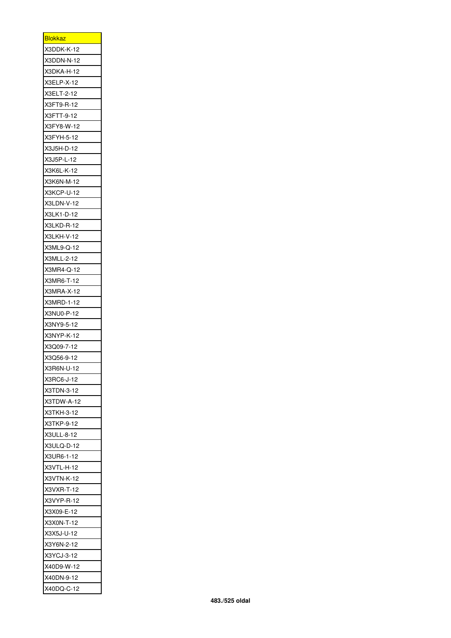| <b>Blokkaz</b> |
|----------------|
| X3DDK-K-12     |
| X3DDN-N-12     |
| X3DKA-H-12     |
| X3ELP-X-12     |
| X3ELT-2-12     |
| X3FT9-R-12     |
| X3FTT-9-12     |
| X3FY8-W-12     |
| X3FYH-5-12     |
| X3J5H-D-12     |
| X3J5P-L-12     |
| X3K6L-K-12     |
| X3K6N-M-12     |
| X3KCP-U-12     |
| X3LDN-V-12     |
| X3LK1-D-12     |
| X3LKD-R-12     |
| X3LKH-V-12     |
| X3ML9-Q-12     |
| X3MLL-2-12     |
| X3MR4-Q-12     |
| X3MR6-T-12     |
| X3MRA-X-12     |
| X3MRD-1-12     |
| X3NU0-P-12     |
|                |
| X3NY9-5-12     |
| X3NYP-K-12     |
| X3Q09-7-12     |
| X3Q56-9-12     |
| X3R6N-U-12     |
| X3RC6-J-12     |
| X3TDN-3-12     |
| X3TDW-A-12     |
| X3TKH-3-12     |
| X3TKP-9-12     |
| X3ULL-8-12     |
| X3ULQ-D-12     |
| X3UR6-1-12     |
| X3VTL-H-12     |
| X3VTN-K-12     |
| X3VXR-T-12     |
| X3VYP-R-12     |
| X3X09-E-12     |
| X3X0N-T-12     |
| X3X5J-U-12     |
| X3Y6N-2-12     |
| X3YCJ-3-12     |
| X40D9-W-12     |
| X40DN-9-12     |
| X40DQ-C-12     |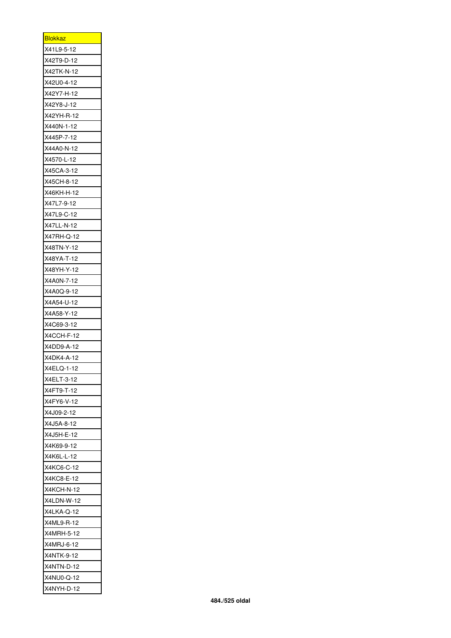| <u>Blokkaz</u> |
|----------------|
| X41L9-5-12     |
| X42T9-D-12     |
| X42TK-N-12     |
| X42U0-4-12     |
| X42Y7-H-12     |
| X42Y8-J-12     |
| X42YH-R-12     |
| X440N-1-12     |
| X445P-7-12     |
| X44A0-N-12     |
| X4570-L-12     |
| X45CA-3-12     |
| X45CH-8-12     |
| X46KH-H-12     |
| X47L7-9-12     |
| X47L9-C-12     |
| X47LL-N-12     |
| X47RH-Q-12     |
| X48TN-Y-12     |
|                |
| X48YA-T-12     |
| X48YH-Y-12     |
| X4A0N-7-12     |
| X4A0Q-9-12     |
| X4A54-U-12     |
| X4A58-Y-12     |
| X4C69-3-12     |
| X4CCH-F-12     |
| X4DD9-A-12     |
| X4DK4-A-12     |
| X4ELQ-1-12     |
| X4ELT-3-12     |
| X4FT9-T-12     |
| X4FY6-V-12     |
| X4J09-2-12     |
| X4J5A-8-12     |
| X4J5H-E-12     |
| X4K69-9-12     |
| X4K6L-L-12     |
| X4KC6-C-12     |
| X4KC8-E-12     |
| X4KCH-N-12     |
| X4LDN-W-12     |
| X4LKA-Q-12     |
| X4ML9-R-12     |
| X4MRH-5-12     |
| X4MRJ-6-12     |
| X4NTK-9-12     |
| X4NTN-D-12     |
| X4NU0-Q-12     |
| X4NYH-D-12     |
|                |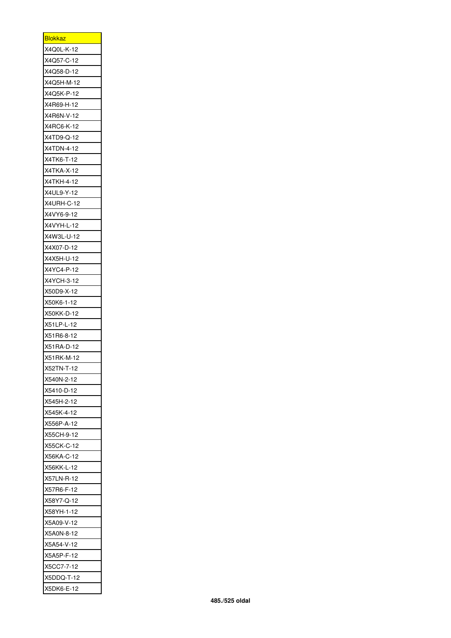| <u>Blokkaz</u> |
|----------------|
| X4Q0L-K-12     |
| X4Q57-C-12     |
| X4Q58-D-12     |
| X4Q5H-M-12     |
| X4Q5K-P-12     |
| X4R69-H-12     |
| X4R6N-V-12     |
| X4RC6-K-12     |
| X4TD9-Q-12     |
| X4TDN-4-12     |
| X4TK6-T-12     |
| X4TKA-X-12     |
| X4TKH-4-12     |
| X4UL9-Y-12     |
| X4URH-C-12     |
| X4VY6-9-12     |
| X4VYH-L-12     |
| X4W3L-U-12     |
|                |
| X4X07-D-12     |
| X4X5H-U-12     |
| X4YC4-P-12     |
| X4YCH-3-12     |
| X50D9-X-12     |
| X50K6-1-12     |
| X50KK-D-12     |
| X51LP-L-12     |
| X51R6-8-12     |
| X51RA-D-12     |
| X51RK-M-12     |
| X52TN-T-12     |
| X540N-2-12     |
| X5410-D-12     |
| X545H-2-12     |
| X545K-4-12     |
| X556P-A-12     |
| X55CH-9-12     |
| X55CK-C-12     |
| X56KA-C-12     |
| X56KK-L-12     |
| X57LN-R-12     |
| X57R6-F-12     |
| X58Y7-Q-12     |
| X58YH-1-12     |
| X5A09-V-12     |
| X5A0N-8-12     |
| X5A54-V-12     |
| X5A5P-F-12     |
| X5CC7-7-12     |
| X5DDQ-T-12     |
|                |
| X5DK6-E-12     |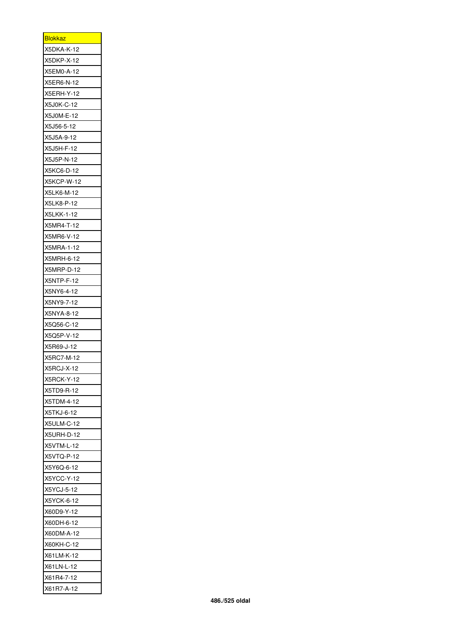| <u>Blokkaz</u>           |
|--------------------------|
| X5DKA-K-12               |
| X5DKP-X-12               |
| X5EM0-A-12               |
| X5ER6-N-12               |
| X5ERH-Y-12               |
| X5J0K-C-12               |
| X5J0M-E-12               |
| X5J56-5-12               |
| X5J5A-9-12               |
| X5J5H-F-12               |
| X5J5P-N-12               |
| X5KC6-D-12               |
| X5KCP-W-12               |
| X5LK6-M-12               |
| X5LK8-P-12               |
| X5LKK-1-12               |
| X5MR4-T-12               |
| X5MR6-V-12               |
| X5MRA-1-12               |
| X5MRH-6-12               |
| X5MRP-D-12               |
| X5NTP-F-12               |
| X5NY6-4-12               |
| X5NY9-7-12               |
| X5NYA-8-12               |
| X5Q56-C-12               |
| X5Q5P-V-12               |
| X5R69-J-12               |
| X5RC7-M-12               |
|                          |
| X5RCJ-X-12<br>X5RCK-Y-12 |
|                          |
| X5TD9-R-12               |
| X5TDM-4-12               |
| X5TKJ-6-12               |
| X5ULM-C-12               |
| X5URH-D-12               |
| X5VTM-L-12               |
| X5VTQ-P-12               |
| X5Y6Q-6-12               |
| X5YCC-Y-12               |
| X5YCJ-5-12               |
| X5YCK-6-12               |
| X60D9-Y-12               |
| X60DH-6-12               |
| X60DM-A-12               |
| X60KH-C-12               |
| X61LM-K-12               |
| X61LN-L-12               |
| X61R4-7-12               |
| X61R7-A-12               |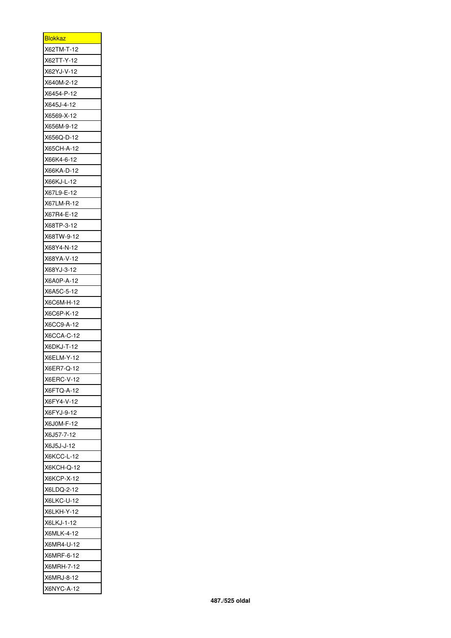| <u>Blokkaz</u><br>X62TM-T-12 |
|------------------------------|
|                              |
| X62TT-Y-12                   |
| X62YJ-V-12                   |
| X640M-2-12                   |
| X6454-P-12                   |
| X645J-4-12                   |
| X6569-X-12                   |
| X656M-9-12                   |
| X656Q-D-12                   |
| X65CH-A-12                   |
| X66K4-6-12                   |
| X66KA-D-12                   |
| X66KJ-L-12                   |
| X67L9-E-12                   |
| X67LM-R-12                   |
| X67R4-E-12                   |
| X68TP-3-12                   |
| X68TW-9-12                   |
| X68Y4-N-12                   |
|                              |
| X68YA-V-12                   |
| X68YJ-3-12                   |
| X6A0P-A-12                   |
| X6A5C-5-12                   |
| X6C6M-H-12                   |
| X6C6P-K-12                   |
| X6CC9-A-12                   |
| X6CCA-C-12                   |
| X6DKJ-T-12                   |
| <b>X6ELM-Y-12</b>            |
| X6ER7-Q-12                   |
| X6ERC-V-12                   |
| X6FTQ-A-12                   |
| X6FY4-V-12                   |
| X6FYJ-9-12                   |
| X6J0M-F-12                   |
| X6J57-7-12                   |
| X6J5J-J-12                   |
| X6KCC-L-12                   |
| X6KCH-Q-12                   |
| X6KCP-X-12                   |
| X6LDQ-2-12                   |
|                              |
| X6LKC-U-12                   |
| <b>X6LKH-Y-12</b>            |
| X6LKJ-1-12                   |
| X6MLK-4-12                   |
| X6MR4-U-12                   |
| X6MRF-6-12                   |
| X6MRH-7-12                   |
| X6MRJ-8-12                   |
| X6NYC-A-12                   |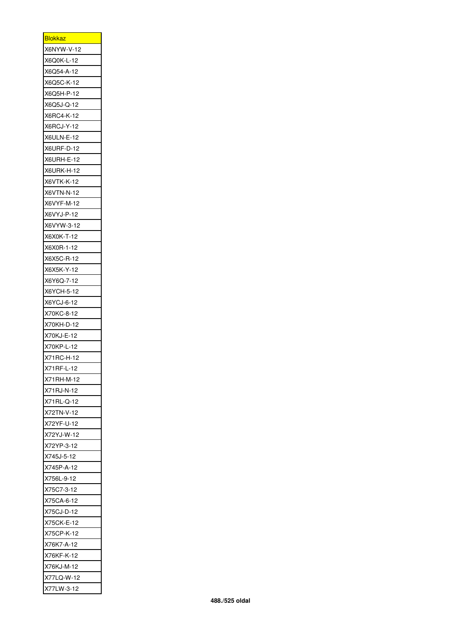| <b>Blokkaz</b> |
|----------------|
| X6NYW-V-12     |
| X6Q0K-L-12     |
| X6Q54-A-12     |
| X6Q5C-K-12     |
| X6Q5H-P-12     |
| X6Q5J-Q-12     |
| X6RC4-K-12     |
| X6RCJ-Y-12     |
| X6ULN-E-12     |
| X6URF-D-12     |
| X6URH-E-12     |
| X6URK-H-12     |
| X6VTK-K-12     |
| X6VTN-N-12     |
| X6VYF-M-12     |
| X6VYJ-P-12     |
| X6VYW-3-12     |
| X6X0K-T-12     |
| X6X0R-1-12     |
|                |
| X6X5C-R-12     |
| X6X5K-Y-12     |
| X6Y6Q-7-12     |
| X6YCH-5-12     |
| X6YCJ-6-12     |
| X70KC-8-12     |
| X70KH-D-12     |
| X70KJ-E-12     |
| X70KP-L-12     |
| X71RC-H-12     |
| X71RF-L-12     |
| X71RH-M-12     |
| X71RJ-N-12     |
| X71RL-Q-12     |
| X72TN-V-12     |
| X72YF-U-12     |
| X72YJ-W-12     |
| X72YP-3-12     |
| X745J-5-12     |
| X745P-A-12     |
| X756L-9-12     |
| X75C7-3-12     |
| X75CA-6-12     |
| X75CJ-D-12     |
| X75CK-E-12     |
| X75CP-K-12     |
| X76K7-A-12     |
| X76KF-K-12     |
| X76KJ-M-12     |
| X77LQ-W-12     |
| X77LW-3-12     |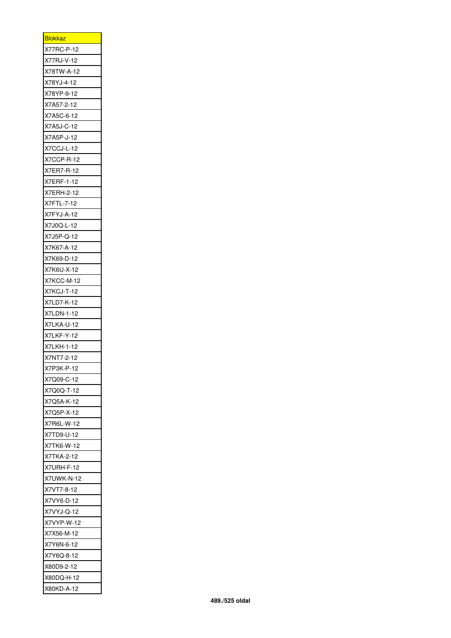| <u>Blokkaz</u> |
|----------------|
| X77RC-P-12     |
| X77RJ-V-12     |
| X78TW-A-12     |
| X78YJ-4-12     |
| X78YP-9-12     |
| X7A57-2-12     |
| X7A5C-6-12     |
| X7A5J-C-12     |
| X7A5P-J-12     |
| X7CCJ-L-12     |
| X7CCP-R-12     |
| X7ER7-R-12     |
| X7ERF-1-12     |
| X7ERH-2-12     |
| X7FTL-7-12     |
| X7FYJ-A-12     |
|                |
| X7J0Q-L-12     |
| X7J5P-Q-12     |
| X7K67-A-12     |
| X7K69-D-12     |
| X7K6U-X-12     |
| X7KCC-M-12     |
| X7KCJ-T-12     |
| X7LD7-K-12     |
| X7LDN-1-12     |
| X7LKA-U-12     |
| X7LKF-Y-12     |
| X7LKH-1-12     |
| X7NT7-2-12     |
| X7P3K-P-12     |
| X7Q09-C-12     |
| X7Q0Q-T-12     |
| X7Q5A-K-12     |
| X7Q5P-X-12     |
| X7R6L-W-12     |
| X7TD9-U-12     |
|                |
| X7TK6-W-12     |
| X7TKA-2-12     |
| X7URH-F-12     |
| X7UWK-N-12     |
| X7VT7-8-12     |
| X7VY6-D-12     |
| X7VYJ-Q-12     |
| X7VYP-W-12     |
| X7X56-M-12     |
| X7Y6N-6-12     |
| X7Y6Q-8-12     |
| X80D9-2-12     |
| X80DQ-H-12     |
| X80KD-A-12     |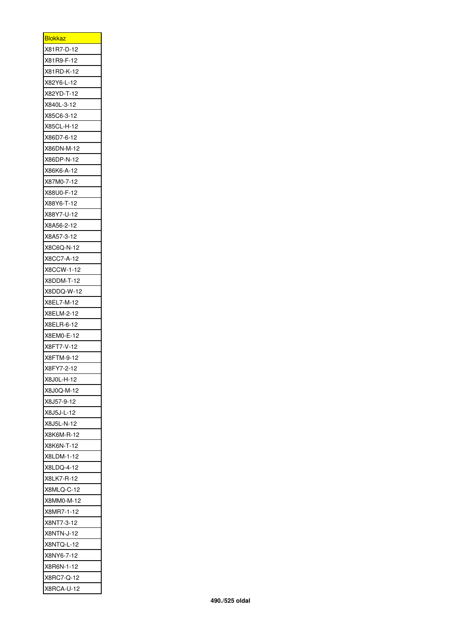| <u>Blokkaz</u> |
|----------------|
| X81R7-D-12     |
| X81R9-F-12     |
| X81RD-K-12     |
| X82Y6-L-12     |
| X82YD-T-12     |
| X840L-3-12     |
| X85C6-3-12     |
| X85CL-H-12     |
| X86D7-6-12     |
| X86DN-M-12     |
| X86DP-N-12     |
| X86K6-A-12     |
| X87M0-7-12     |
| X88U0-F-12     |
| X88Y6-T-12     |
| X88Y7-U-12     |
| X8A56-2-12     |
| X8A57-3-12     |
| X8C6Q-N-12     |
| X8CC7-A-12     |
| X8CCW-1-12     |
| X8DDM-T-12     |
| X8DDQ-W-12     |
| X8EL7-M-12     |
| X8ELM-2-12     |
|                |
| X8ELR-6-12     |
| X8EM0-E-12     |
| X8FT7-V-12     |
| X8FTM-9-12     |
| X8FY7-2-12     |
| X8J0L-H-12     |
| X8J0Q-M-12     |
| X8J57-9-12     |
| X8J5J-L-12     |
| X8J5L-N-12     |
| X8K6M-R-12     |
| X8K6N-T-12     |
| X8LDM-1-12     |
| X8LDQ-4-12     |
| X8LK7-R-12     |
| X8MLQ-C-12     |
| X8MM0-M-12     |
| X8MR7-1-12     |
| X8NT7-3-12     |
| X8NTN-J-12     |
| X8NTQ-L-12     |
| X8NY6-7-12     |
| X8R6N-1-12     |
| X8RC7-Q-12     |
| X8RCA-U-12     |
|                |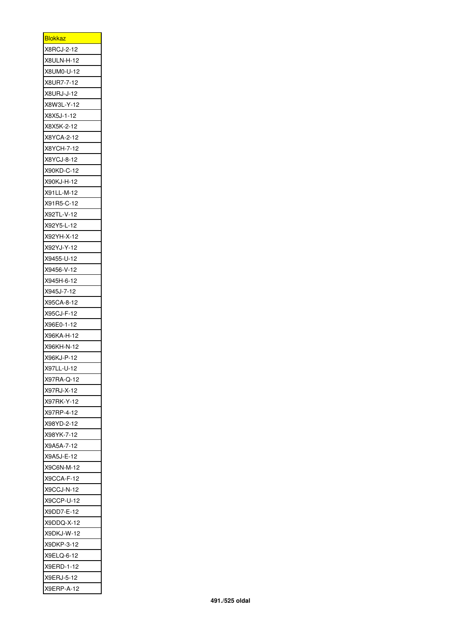| <u>Blokkaz</u> |
|----------------|
| X8RCJ-2-12     |
| X8ULN-H-12     |
| X8UM0-U-12     |
| X8UR7-7-12     |
| X8URJ-J-12     |
| X8W3L-Y-12     |
| X8X5J-1-12     |
| X8X5K-2-12     |
| X8YCA-2-12     |
| X8YCH-7-12     |
| X8YCJ-8-12     |
| X90KD-C-12     |
| X90KJ-H-12     |
| X91LL-M-12     |
| X91R5-C-12     |
| X92TL-V-12     |
| X92Y5-L-12     |
| X92YH-X-12     |
| X92YJ-Y-12     |
| X9455-U-12     |
| X9456-V-12     |
| X945H-6-12     |
| X945J-7-12     |
|                |
| X95CA-8-12     |
| X95CJ-F-12     |
| X96E0-1-12     |
| X96KA-H-12     |
| X96KH-N-12     |
| X96KJ-P-12     |
| X97LL-U-12     |
| X97RA-Q-12     |
| X97RJ-X-12     |
| X97RK-Y-12     |
| X97RP-4-12     |
| X98YD-2-12     |
| X98YK-7-12     |
| X9A5A-7-12     |
| X9A5J-E-12     |
| X9C6N-M-12     |
| X9CCA-F-12     |
| X9CCJ-N-12     |
| X9CCP-U-12     |
| X9DD7-E-12     |
| X9DDQ-X-12     |
| X9DKJ-W-12     |
| X9DKP-3-12     |
| X9ELQ-6-12     |
| X9ERD-1-12     |
| X9ERJ-5-12     |
|                |
| X9ERP-A-12     |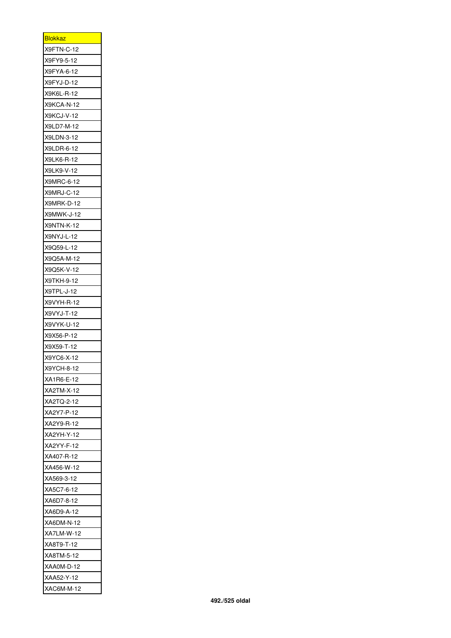| <u>Blokkaz</u>    |
|-------------------|
| X9FTN-C-12        |
| X9FY9-5-12        |
| X9FYA-6-12        |
| X9FYJ-D-12        |
| X9K6L-R-12        |
| X9KCA-N-12        |
| X9KCJ-V-12        |
| X9LD7-M-12        |
| X9LDN-3-12        |
| X9LDR-6-12        |
| X9LK6-R-12        |
| X9LK9-V-12        |
| X9MRC-6-12        |
| X9MRJ-C-12        |
| X9MRK-D-12        |
| X9MWK-J-12        |
| <b>X9NTN-K-12</b> |
| X9NYJ-L-12        |
| X9Q59-L-12        |
| X9Q5A-M-12        |
| X9Q5K-V-12        |
| X9TKH-9-12        |
| X9TPL-J-12        |
| X9VYH-R-12        |
|                   |
| X9VYJ-T-12        |
| X9VYK-U-12        |
| X9X56-P-12        |
| X9X59-T-12        |
| X9YC6-X-12        |
| X9YCH-8-12        |
| XA1R6-E-12        |
| XA2TM-X-12        |
| XA2TQ-2-12        |
| XA2Y7-P-12        |
| XA2Y9-R-12        |
| XA2YH-Y-12        |
| XA2YY-F-12        |
| XA407-R-12        |
| XA456-W-12        |
| XA569-3-12        |
| XA5C7-6-12        |
| XA6D7-8-12        |
| XA6D9-A-12        |
| XA6DM-N-12        |
| XA7LM-W-12        |
| XA8T9-T-12        |
| XA8TM-5-12        |
| XAA0M-D-12        |
| XAA52-Y-12        |
| XAC6M-M-12        |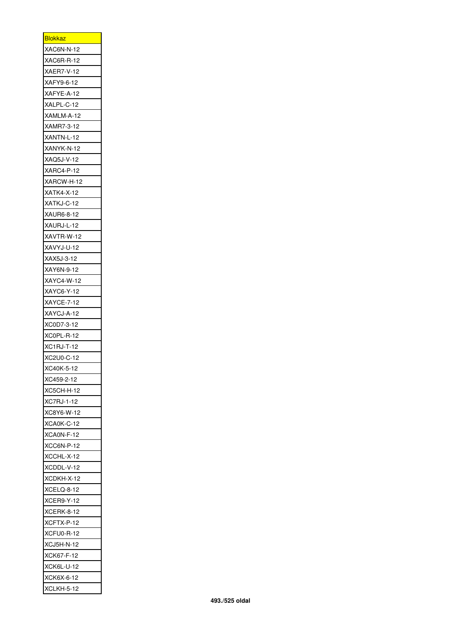| <u>Blokkaz</u>    |
|-------------------|
| XAC6N-N-12        |
| XAC6R-R-12        |
| <b>XAER7-V-12</b> |
| XAFY9-6-12        |
| XAFYE-A-12        |
| XALPL-C-12        |
| XAMLM-A-12        |
| XAMR7-3-12        |
| XANTN-L-12        |
| XANYK-N-12        |
| XAQ5J-V-12        |
| XARC4-P-12        |
| XARCW-H-12        |
| XATK4-X-12        |
| XATKJ-C-12        |
| XAUR6-8-12        |
| XAURJ-L-12        |
| XAVTR-W-12        |
| XAVYJ-U-12        |
|                   |
| XAX5J-3-12        |
| XAY6N-9-12        |
| XAYC4-W-12        |
| XAYC6-Y-12        |
| XAYCE-7-12        |
| XAYCJ-A-12        |
| XC0D7-3-12        |
| XC0PL-R-12        |
| XC1RJ-T-12        |
| XC2U0-C-12        |
| XC40K-5-12        |
| XC459-2-12        |
| XC5CH-H-12        |
| XC7RJ-1-12        |
| XC8Y6-W-12        |
| XCA0K-C-12        |
| XCA0N-F-12        |
| XCC6N-P-12        |
| XCCHL-X-12        |
| XCDDL-V-12        |
|                   |
| XCDKH-X-12        |
| XCELQ-8-12        |
| <b>XCER9-Y-12</b> |
| XCERK-8-12        |
| XCFTX-P-12        |
| XCFU0-R-12        |
| XCJ5H-N-12        |
| XCK67-F-12        |
| XCK6L-U-12        |
| XCK6X-6-12        |
| XCLKH-5-12        |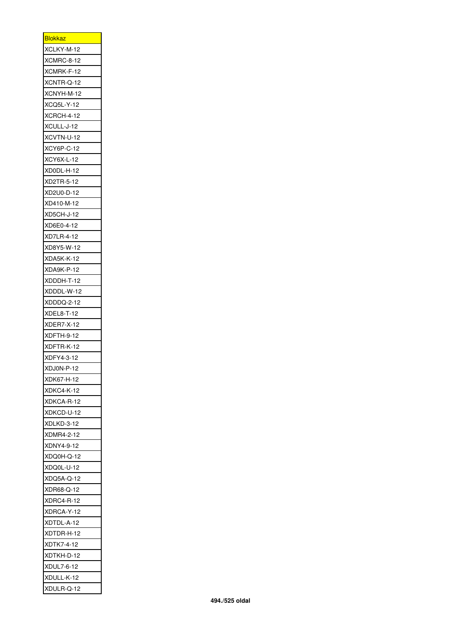| <u>Blokkaz</u>    |
|-------------------|
| XCLKY-M-12        |
| XCMRC-8-12        |
| XCMRK-F-12        |
| XCNTR-Q-12        |
| XCNYH-M-12        |
| XCQ5L-Y-12        |
| XCRCH-4-12        |
| XCULL-J-12        |
| XCVTN-U-12        |
| XCY6P-C-12        |
| XCY6X-L-12        |
| XD0DL-H-12        |
| XD2TR-5-12        |
| XD2U0-D-12        |
| XD410-M-12        |
| XD5CH-J-12        |
| XD6E0-4-12        |
| XD7LR-4-12        |
| XD8Y5-W-12        |
| XDA5K-K-12        |
| XDA9K-P-12        |
| XDDDH-T-12        |
| XDDDL-W-12        |
| XDDDQ-2-12        |
|                   |
| XDEL8-T-12        |
| <b>XDER7-X-12</b> |
| XDFTH-9-12        |
| XDFTR-K-12        |
| XDFY4-3-12        |
| XDJ0N-P-12        |
| XDK67-H-12        |
| XDKC4-K-12        |
| XDKCA-R-12        |
| XDKCD-U-12        |
| XDLKD-3-12        |
| XDMR4-2-12        |
| XDNY4-9-12        |
| XDQ0H-Q-12        |
| XDQ0L-U-12        |
| XDQ5A-Q-12        |
| XDR68-Q-12        |
| XDRC4-R-12        |
| XDRCA-Y-12        |
| XDTDL-A-12        |
| XDTDR-H-12        |
| XDTK7-4-12        |
| XDTKH-D-12        |
| XDUL7-6-12        |
|                   |
| XDULL-K-12        |
| XDULR-Q-12        |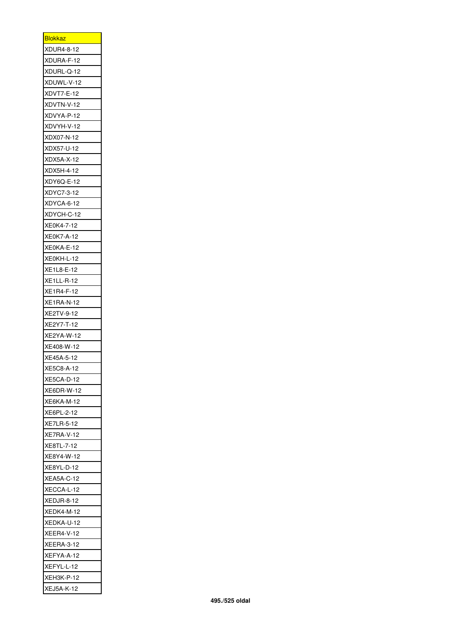| <u>Blokkaz</u>    |
|-------------------|
| XDUR4-8-12        |
| XDURA-F-12        |
| XDURL-Q-12        |
| XDUWL-V-12        |
| XDVT7-E-12        |
| XDVTN-V-12        |
| XDVYA-P-12        |
| XDVYH-V-12        |
| XDX07-N-12        |
| XDX57-U-12        |
| XDX5A-X-12        |
| XDX5H-4-12        |
| XDY6Q-E-12        |
| XDYC7-3-12        |
| XDYCA-6-12        |
| XDYCH-C-12        |
| XE0K4-7-12        |
| XE0K7-A-12        |
|                   |
| XE0KA-E-12        |
| XE0KH-L-12        |
| XE1L8-E-12        |
| <b>XE1LL-R-12</b> |
| XE1R4-F-12        |
| XE1RA-N-12        |
| XE2TV-9-12        |
| XE2Y7-T-12        |
| XE<br>2YA-W-12    |
| XE408-W-12        |
| XE45A-5-12        |
| XE5C8-A-12        |
| XE5CA-D-12        |
| XE6DR-W-12        |
| XE6KA-M-12        |
| XE6PL-2-12        |
| XE7LR-5-12        |
| <b>XE7RA-V-12</b> |
| XE8TL-7-12        |
| XE8Y4-W-12        |
| XE8YL-D-12        |
| XEA5A-C-12        |
| XECCA-L-12        |
| XEDJR-8-12        |
|                   |
| XEDK4-M-12        |
| XEDKA-U-12        |
| <b>XEER4-V-12</b> |
| <b>XEERA-3-12</b> |
| XEFYA-A-12        |
| XEFYL-L-12        |
| XEH3K-P-12        |
| <b>XEJ5A-K-12</b> |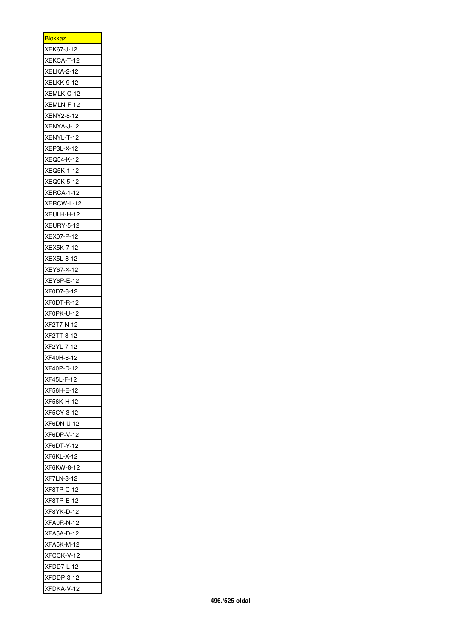| <b>Blokkaz</b>    |
|-------------------|
| XEK67-J-12        |
| XEKCA-T-12        |
| <b>XELKA-2-12</b> |
| XELKK-9-12        |
| XEMLK-C-12        |
| XEMLN-F-12        |
| XENY2-8-12        |
| XENYA-J-12        |
| XENYL-T-12        |
| XEP3L-X-12        |
| XEQ54-K-12        |
| <b>XEQ5K-1-12</b> |
| XEQ9K-5-12        |
| XERCA-1-12        |
| XERCW-L-12        |
| XEULH-H-12        |
| <b>XEURY-5-12</b> |
| XEX07-P-12        |
| XEX5K-7-12        |
| XEX5L-8-12        |
| XEY67-X-12        |
| XEY6P-E-12        |
| XF0D7-6-12        |
| XF0DT-R-12        |
| XF0PK-U-12        |
| XF2T7-N-12        |
| XF2TT-8-12        |
| XF2YL-7-12        |
| XF40H-6-12        |
| XF40P-D-12        |
| XF45L-F-12        |
| XF56H-E-12        |
| XF56K-H-12        |
| XF5CY-3-12        |
| XF6DN-U-12        |
| XF6DP-V-12        |
| XF6DT-Y-12        |
| XF6KL-X-12        |
| XF6KW-8-12        |
| XF7LN-3-12        |
|                   |
| XF8TP-C-12        |
| XF8TR-E-12        |
| XF8YK-D-12        |
| XFA0R-N-12        |
| XFA5A-D-12        |
| <b>XFA5K-M-12</b> |
| XFCCK-V-12        |
| XFDD7-L-12        |
| XFDDP-3-12        |
| XFDKA-V-12        |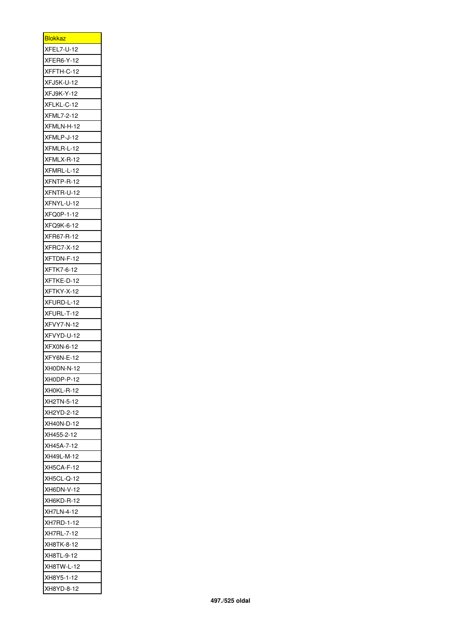| <b>Blokkaz</b>    |
|-------------------|
| XFEL7-U-12        |
| XFER6-Y-12        |
| XFFTH-C-12        |
| <b>XFJ5K-U-12</b> |
| XFJ9K-Y-12        |
| XFLKL-C-12        |
| <b>XFML7-2-12</b> |
| XFMLN-H-12        |
| XFMLP-J-12        |
| XFMLR-L-12        |
| XFMLX-R-12        |
| XFMRL-L-12        |
| XFNTP-R-12        |
| XFNTR-U-12        |
| XFNYL-U-12        |
| XFQ0P-1-12        |
| XFQ9K-6-12        |
| XFR67-R-12        |
| <b>XFRC7-X-12</b> |
|                   |
| XFTDN-F-12        |
| XFTK7-6-12        |
| XFTKE-D-12        |
| XFTKY-X-12        |
| XFURD-L-12        |
| XFURL-T-12        |
| <b>XFVY7-N-12</b> |
| XFVYD-U-12        |
| XFX0N-6-12        |
| XFY6N-E-12        |
| XH0DN-N-12        |
| XH0DP-P-12        |
| XH0KL-R-12        |
| XH2TN-5-12        |
| XH2YD-2-12        |
| XH40N-D-12        |
| XH455-2-12        |
| XH45A-7-12        |
| XH49L-M-12        |
| XH5CA-F-12        |
| XH5CL-Q-12        |
| XH6DN-V-12        |
| XH6KD-R-12        |
| XH7LN-4-12        |
| XH7RD-1-12        |
| XH7RL-7-12        |
| XH8TK-8-12        |
| XH8TL-9-12        |
| XH8TW-L-12        |
| XH8Y5-1-12        |
| XH8YD-8-12        |
|                   |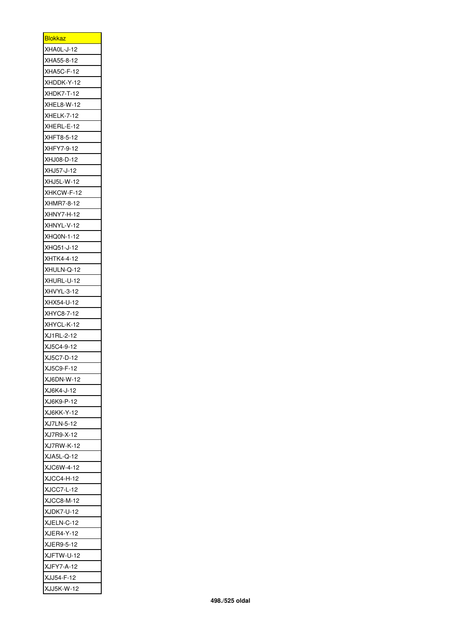| <b>Blokkaz</b>    |
|-------------------|
| XHA0L-J-12        |
| XHA55-8-12        |
| <b>XHA5C-F-12</b> |
|                   |
| XHDDK-Y-12        |
| <b>XHDK7-T-12</b> |
| XHEL8-W-12        |
| XHELK-7-12        |
| XHERL-E-12        |
| XHFT8-5-12        |
| XHFY7-9-12        |
| XHJ08-D-12        |
| XHJ57-J-12        |
| XHJ5L-W-12        |
| XHKCW-F-12        |
| XHMR7-8-12        |
| XHNY7-H-12        |
| XHNYL-V-12        |
| XHQ0N-1-12        |
| XHQ51-J-12        |
| XHTK4-4-12        |
| XHULN-Q-12        |
| XHURL-U-12        |
| XHVYL-3-12        |
| XHX54-U-12        |
|                   |
| XHYC8-7-12        |
| XHYCL-K-12        |
| XJ1RL-2-12        |
| XJ5C4-9-12        |
| XJ5C7-D-12        |
| XJ5C9-F-12        |
| XJ6DN-W-12        |
| XJ6K4-J-12        |
| XJ6K9-P-12        |
| XJ6KK-Y-12        |
| XJ7LN-5-12        |
| XJ7R9-X-12        |
| XJ7RW-K-12        |
| XJA5L-Q-12        |
| XJC6W-4-12        |
| XJCC4-H-12        |
| <b>XJCC7-L-12</b> |
| <b>XJCC8-M-12</b> |
|                   |
| XJDK7-U-12        |
| XJELN-C-12        |
| XJER4-Y-12        |
| XJER9-5-12        |
| XJFTW-U-12        |
| <b>XJFY7-A-12</b> |
| XJJ54-F-12        |
| XJJ5K-W-12        |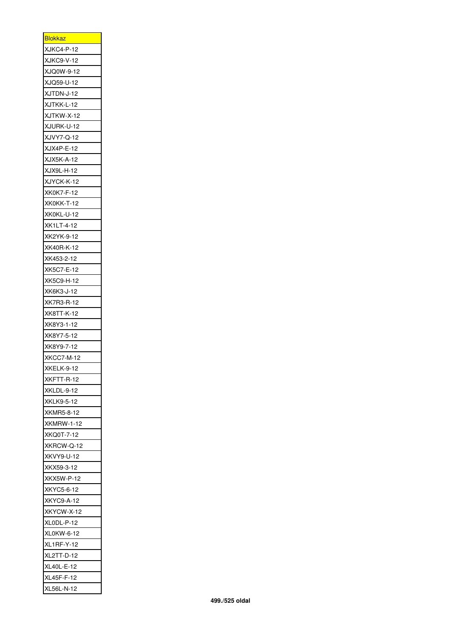| <u>Blokkaz</u>    |
|-------------------|
| <b>XJKC4-P-12</b> |
| XJKC9-V-12        |
| XJQ0W-9-12        |
| XJQ59-U-12        |
| XJTDN-J-12        |
| XJTKK-L-12        |
| XJTKW-X-12        |
| XJURK-U-12        |
| XJVY7-Q-12        |
| XJX4P-E-12        |
| XJX5K-A-12        |
| XJX9L-H-12        |
| XJYCK-K-12        |
| XK0K7-F-12        |
| XK0KK-T-12        |
| XK0KL-U-12        |
| XK1LT-4-12        |
| XK2YK-9-12        |
| XK40R-K-12        |
| XK453-2-12        |
| XK5C7-E-12        |
| XK5C9-H-12        |
|                   |
| XK6K3-J-12        |
| XK7R3-R-12        |
| XK8TT-K-12        |
| XK8Y3-1-12        |
| XK8Y7-5-12        |
| XK8Y9-7-12        |
| XKCC7-M-12        |
| XKELK-9-12        |
| XKFTT-R-12        |
| XKLDL-9-12        |
| XKLK9-5-12        |
| XKMR5-8-12        |
| XKMRW-1-12        |
| XKQ0T-7-12        |
| XKRCW-Q-12        |
| XKVY9-U-12        |
| XKX59-3-12        |
| XKX5W-P-12        |
| XKYC5-6-12        |
| XKYC9-A-12        |
| XKYCW-X-12        |
| XL0DL-P-12        |
| XL0KW-6-12        |
| XL1RF-Y-12        |
| XL2TT-D-12        |
| XL40L-E-12        |
|                   |
| XL45F-F-12        |
| XL56L-N-12        |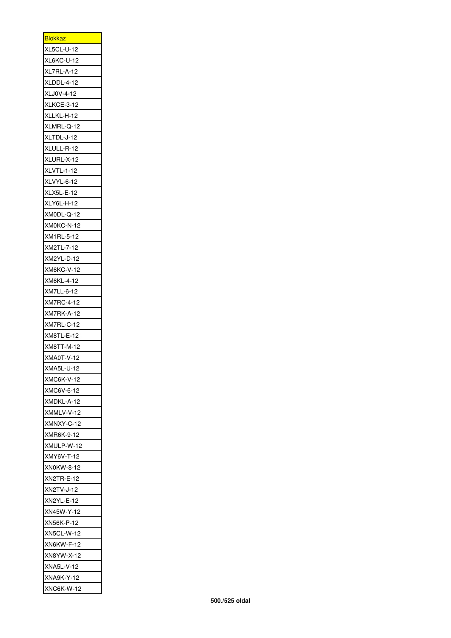| <b>Blokkaz</b>    |
|-------------------|
| <b>XL5CL-U-12</b> |
| XL6KC-U-12        |
| XL7RL-A-12        |
| XLDDL-4-12        |
| XLJ0V-4-12        |
| XLKCE-3-12        |
| XLLKL-H-12        |
| XLMRL-Q-12        |
| XLTDL-J-12        |
| XLULL-R-12        |
| XLURL-X-12        |
| <b>XLVTL-1-12</b> |
| XLVYL-6-12        |
| <b>XLX5L-E-12</b> |
| XLY6L-H-12        |
| XM0DL-Q-12        |
| XM0KC-N-12        |
|                   |
| XM1RL-5-12        |
| XM2TL-7-12        |
| XM2YL-D-12        |
| <b>XM6KC-V-12</b> |
| XM6KL-4-12        |
| XM7LL-6-12        |
| XM7RC-4-12        |
| <b>XM7RK-A-12</b> |
| XM7RL-C-12        |
| XM8TL-E-12        |
| XM8TT-M-12        |
| <b>XMA0T-V-12</b> |
| <b>XMA5L-U-12</b> |
| <b>XMC6K-V-12</b> |
| XMC6V-6-12        |
| XMDKL-A-12        |
| XMMLV-V-12        |
| XMNXY-C-12        |
| XMR6K-9-12        |
| XMULP-W-12        |
| XMY6V-T-12        |
| XN0KW-8-12        |
| XN2TR-E-12        |
| XN2TV-J-12        |
| XN2YL-E-12        |
|                   |
| XN45W-Y-12        |
| XN56K-P-12        |
| <b>XN5CL-W-12</b> |
| XN6KW-F-12        |
| XN8YW-X-12        |
| XNA5L-V-12        |
| XNA9K-Y-12        |
| XNC6K-W-12        |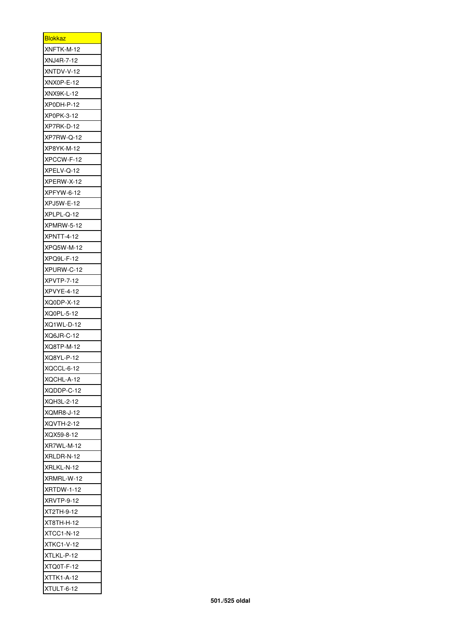| <u>Blokkaz</u>                                                            |
|---------------------------------------------------------------------------|
| XNFTK-M-12                                                                |
| XNJ4R-7-12                                                                |
| XNTDV-V-12                                                                |
| XNX0P-E-12                                                                |
| XNX9K-L-12                                                                |
| XP0DH-P-12                                                                |
| XP0PK-3-12                                                                |
| XP7RK-D-12                                                                |
| XP7RW-Q-12                                                                |
| XP8YK-M-12                                                                |
| XPCCW-F-12                                                                |
| XPELV-Q-12                                                                |
| XPERW-X-12                                                                |
| XPFYW-6-12                                                                |
| XPJ5W-E-12                                                                |
| XPLPL-Q-12                                                                |
| <b>XPMRW-5-12</b>                                                         |
| <b>XPNTT-4-12</b>                                                         |
| XPQ5W-M-12                                                                |
| XPQ9L-F-12                                                                |
| XPURW-C-12                                                                |
| XPVTP-7-12                                                                |
| <b>XPVYE-4-12</b>                                                         |
| XQ0DP-X-12                                                                |
| XQ0PL-5-12                                                                |
| XQ1WL-D-12                                                                |
| XQ6JR-C-12                                                                |
| XQ8TP-M-12                                                                |
|                                                                           |
|                                                                           |
| XQ8YL-P-12                                                                |
| XQCCL-6-12                                                                |
| XQCHL-A-12                                                                |
| XQDDP-C-12                                                                |
| XQH3L-2-12                                                                |
| XQMR8-J-12                                                                |
| XQVTH-2-12                                                                |
| XQX59-8-12                                                                |
| XR7WL-M-12                                                                |
| XRLDR-N-12                                                                |
| XRLKL-N-12                                                                |
|                                                                           |
| <b>XRTDW-1-12</b>                                                         |
| XRMRL-W-12<br><b>XRVTP-9-12</b>                                           |
| XT2TH-9-12                                                                |
| XT8TH-H-12                                                                |
|                                                                           |
|                                                                           |
|                                                                           |
| XTQ0T-F-12                                                                |
| XTCC1-N-12<br><b>XTKC1-V-12</b><br>XTLKL-P-12<br>XTTK1-A-12<br>XTULT-6-12 |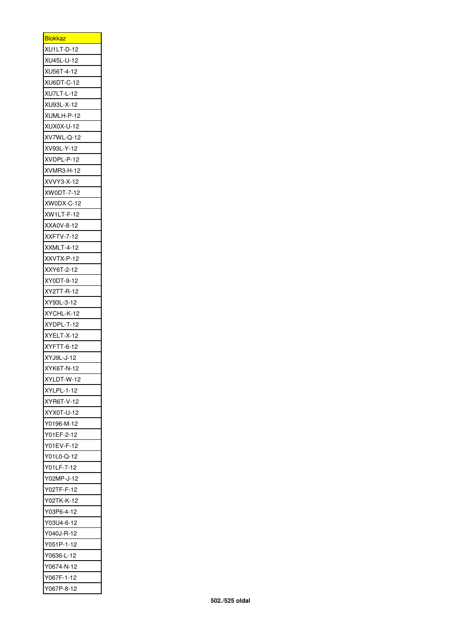| <u>Blokkaz</u>    |
|-------------------|
| XU1LT-D-12        |
| XU45L-U-12        |
| XU56T-4-12        |
| XU6DT-C-12        |
| XU7LT-L-12        |
| XU93L-X-12        |
| XUMLH-P-12        |
| XUX0X-U-12        |
| XV7WL-Q-12        |
| XV93L-Y-12        |
| XVDPL-P-12        |
| XVMR3-H-12        |
| XVVY3-X-12        |
| XW0DT-7-12        |
| XW0DX-C-12        |
| XW1LT-F-12        |
| XXA0V-8-12        |
| <b>XXFTV-7-12</b> |
| <b>XXMLT-4-12</b> |
| XXVTX-P-12        |
|                   |
| XXY6T-2-12        |
| XY0DT-9-12        |
| XY2TT-R-12        |
| XY93L-3-12        |
| XYCHL-K-12        |
| XYDPL-T-12        |
| XYELT-X-12        |
| XYFTT-6-12        |
| XYJ9L-J-12        |
| XYK6T-N-12        |
| XYLDT-W-12        |
| XYLPL-1-12        |
| XYR6T-V-12        |
| XYX0T-U-12        |
| Y0196-M-12        |
| Y01EF-2-12        |
| Y01EV-F-12        |
| Y01L0-Q-12        |
| Y01LF-7-12        |
| Y02MP-J-12        |
| Y02TF-F-12        |
| Y02TK-K-12        |
| Y03P6-4-12        |
| Y03U4-6-12        |
| Y040J-R-12        |
| Y051P-1-12        |
| Y0636-L-12        |
| Y0674-N-12        |
| Y067F-1-12        |
| Y067P-8-12        |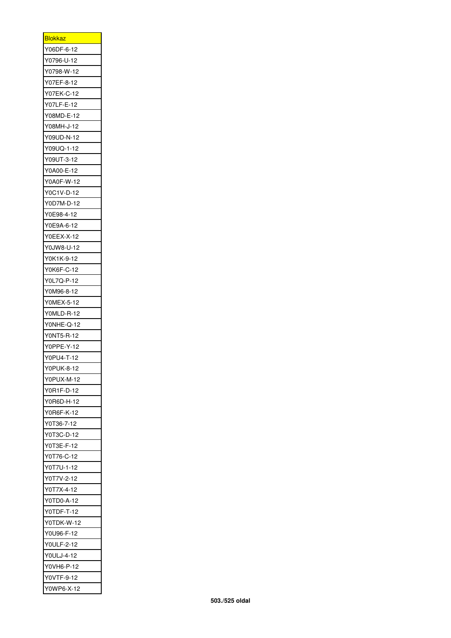| <u>Blokkaz</u> |
|----------------|
| Y06DF-6-12     |
| Y0796-U-12     |
| Y0798-W-12     |
| Y07EF-8-12     |
| Y07EK-C-12     |
| Y07LF-E-12     |
| Y08MD-E-12     |
| Y08MH-J-12     |
| Y09UD-N-12     |
| Y09UQ-1-12     |
| Y09UT-3-12     |
| Y0A00-E-12     |
| Y0A0F-W-12     |
| Y0C1V-D-12     |
| Y0D7M-D-12     |
| Y0E98-4-12     |
| Y0E9A-6-12     |
| Y0EEX-X-12     |
| Y0JW8-U-12     |
| Y0K1K-9-12     |
| Y0K6F-C-12     |
| Y0L7Q-P-12     |
| Y0M96-8-12     |
| Y0MEX-5-12     |
| Y0MLD-R-12     |
| Y0NHE-Q-12     |
| Y0NT5-R-12     |
| Y0PPE-Y-12     |
| Y0PU4-T-12     |
| Y0PUK-8-12     |
| Y0PUX-M-12     |
| Y0R1F-D-12     |
| Y0R6D-H-12     |
| Y0R6F-K-12     |
| Y0T36-7-12     |
| Y0T3C-D-12     |
| Y0T3E-F-12     |
| Y0T76-C-12     |
| Y0T7U-1-12     |
| Y0T7V-2-12     |
| Y0T7X-4-12     |
| Y0TD0-A-12     |
| Y0TDF-T-12     |
| Y0TDK-W-12     |
| Y0U96-F-12     |
| Y0ULF-2-12     |
| Y0ULJ-4-12     |
| Y0VH6-P-12     |
| Y0VTF-9-12     |
| Y0WP6-X-12     |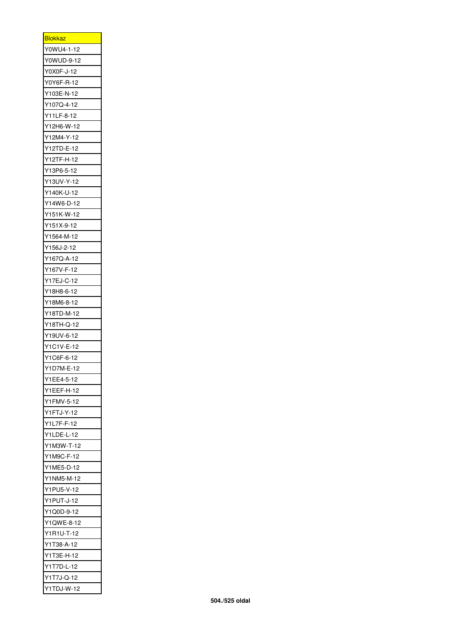| <u>Blokkaz</u> |
|----------------|
| Y0WU4-1-12     |
| Y0WUD-9-12     |
| Y0X0F-J-12     |
| Y0Y6F-R-12     |
| Y103E-N-12     |
| Y107Q-4-12     |
| Y11LF-8-12     |
| Y12H6-W-12     |
| Y12M4-Y-12     |
| Y12TD-E-12     |
| Y12TF-H-12     |
| Y13P6-5-12     |
| Y13UV-Y-12     |
| Y140K-U-12     |
| Y14W6-D-12     |
| Y151K-W-12     |
| Y151X-9-12     |
| Y1564-M-12     |
|                |
| Y156J-2-12     |
| Y167Q-A-12     |
| Y167V-F-12     |
| Y17EJ-C-12     |
| Y18H8-6-12     |
| Y18M6-8-12     |
| Y18TD-M-12     |
| Y18TH-Q-12     |
| Y19UV-6-12     |
| Y1C1V-E-12     |
| Y1C6F-6-12     |
| Y1D7M-E-12     |
| Y1EE4-5-12     |
| Y1EEF-H-12     |
| Y1FMV-5-12     |
| Y1FTJ-Y-12     |
| Y1L7F-F-12     |
| Y1LDE-L-12     |
| Y1M3W-T-12     |
| Y1M9C-F-12     |
| Y1ME5-D-12     |
| Y1NM5-M-12     |
| Y1PU5-V-12     |
| Y1PUT-J-12     |
| Y1Q0D-9-12     |
| Y1QWE-8-12     |
| Y1R1U-T-12     |
| Y1T38-A-12     |
| Y1T3E-H-12     |
| Y1T7D-L-12     |
| Y1T7J-Q-12     |
| Y1TDJ-W-12     |
|                |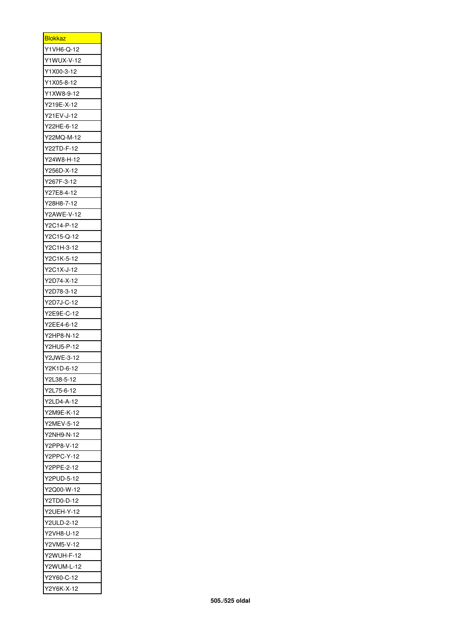| Blokkaz           |
|-------------------|
| Y1VH6-Q-12        |
| Y1WUX-V-12        |
| Y1X00-3-12        |
| Y1X05-8-12        |
| Y1XW8-9-12        |
| Y219E-X-12        |
| Y21EV-J-12        |
| Y22HE-6-12        |
| Y22MQ-M-12        |
| Y22TD-F-12        |
| Y24W8-H-12        |
| Y256D-X-12        |
| Y267F-3-12        |
| Y27E8-4-12        |
| Y28H8-7-12        |
| Y2AWE-V-12        |
| Y2C14-P-12        |
| Y2C15-Q-12        |
| Y2C1H-3-12        |
| Y2C1K-5-12        |
| Y2C1X-J-12        |
| Y2D74-X-12        |
| Y2D78-3-12        |
| Y2D7J-C-12        |
| Y2E9E-C-12        |
| Y2EE4-6-12        |
| Y2HP8-N-12        |
| Y2HU5-P-12        |
| Y2JWE-3-12        |
| Y2K1D-6-12        |
| Y2L38-5-12        |
| Y2L75-6-12        |
| Y2LD4-A-12        |
| Y2M9E-K-12        |
| Y2MEV-5-12        |
| Y2NH9-N-12        |
| Y2PP8-V-12        |
| Y2PPC-Y-12        |
| Y2PPE-2-12        |
| Y2PUD-5-12        |
| Y2Q00-W-12        |
| Y2TD0-D-12        |
| Y2UEH-Y-12        |
| Y2ULD-2-12        |
| Y2VH8-U-12        |
| Y2VM5-V-12        |
| Y2WUH-F-12        |
| <b>Y2WUM-L-12</b> |
| Y2Y60-C-12        |
| Y2Y6K-X-12        |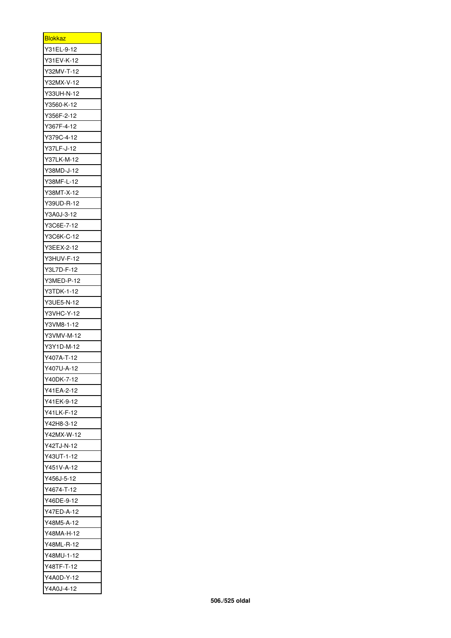| <u>Blokkaz</u> |
|----------------|
| Y31EL-9-12     |
| Y31EV-K-12     |
| Y32MV-T-12     |
| Y32MX-V-12     |
| Y33UH-N-12     |
| Y3560-K-12     |
| Y356F-2-12     |
| Y367F-4-12     |
| Y379C-4-12     |
| Y37LF-J-12     |
| Y37LK-M-12     |
| Y38MD-J-12     |
| Y38MF-L-12     |
| Y38MT-X-12     |
| Y39UD-R-12     |
| Y3A0J-3-12     |
| Y3C6E-7-12     |
| Y3C6K-C-12     |
| Y3EEX-2-12     |
| Y3HUV-F-12     |
| Y3L7D-F-12     |
| Y3MED-P-12     |
| Y3TDK-1-12     |
| Y3UE5-N-12     |
| Y3VHC-Y-12     |
| Y3VM8-1-12     |
| Y3VMV-M-12     |
| Y3Y1D-M-12     |
| Y407A-T-12     |
| Y407U-A-12     |
| Y40DK-7-12     |
| Y41EA-2-12     |
| Y41EK-9-12     |
| Y41LK-F-12     |
|                |
| Y42H8-3-12     |
| Y42MX-W-12     |
| Y42TJ-N-12     |
| Y43UT-1-12     |
| Y451V-A-12     |
| Y456J-5-12     |
| Y4674-T-12     |
| Y46DE-9-12     |
| Y47ED-A-12     |
| Y48M5-A-12     |
| Y48MA-H-12     |
| Y48ML-R-12     |
| Y48MU-1-12     |
| Y48TF-T-12     |
| Y4A0D-Y-12     |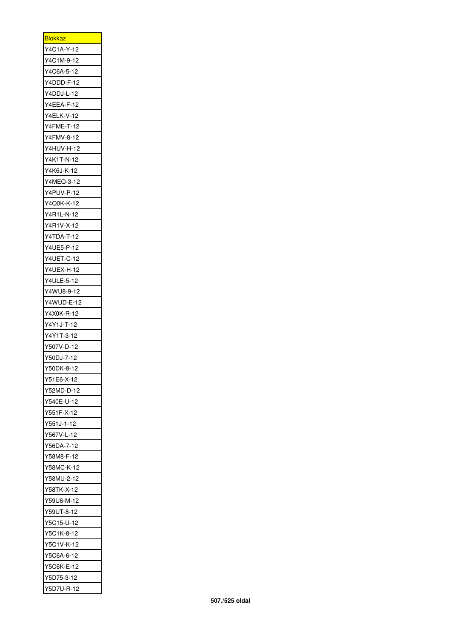| Blokkaz           |
|-------------------|
| Y4C1A-Y-12        |
| Y4C1M-9-12        |
| Y4C6A-5-12        |
| Y4DDD-F-12        |
| Y4DDJ-L-12        |
| Y4EEA-F-12        |
| <b>Y4ELK-V-12</b> |
| Y4FME-T-12        |
| Y4FMV-8-12        |
| <b>Y4HUV-H-12</b> |
| Y4K1T-N-12        |
| Y4K6J-K-12        |
| Y4MEQ-3-12        |
| Y4PUV-P-12        |
| Y4Q0K-K-12        |
| Y4R1L-N-12        |
| Y4R1V-X-12        |
| Y4TDA-T-12        |
| Y4UE5-P-12        |
| Y4UET-C-12        |
| Y4UEX-H-12        |
| Y4ULE-5-12        |
| Y4WU8-9-12        |
| Y4WUD-E-12        |
| Y4X0K-R-12        |
|                   |
| Y4Y1J-T-12        |
| Y4Y1T-3-12        |
| Y507V-D-12        |
| Y50DJ-7-12        |
| Y50DK-8-12        |
| Y51E6-X-12        |
| Y52MD-D-12        |
| Y540E-U-12        |
| Y551F-X-12        |
| Y551J-1-12        |
| Y567V-L-12        |
| Y56DA-7-12        |
| Y58M8-F-12        |
| Y58MC-K-12        |
| Y58MU-2-12        |
| Y58TK-X-12        |
| Y59U6-M-12        |
| Y59UT-8-12        |
| Y5C15-U-12        |
| Y5C1K-8-12        |
| Y5C1V-K-12        |
| Y5C6A-6-12        |
| Y5C6K-E-12        |
| Y5D75-3-12        |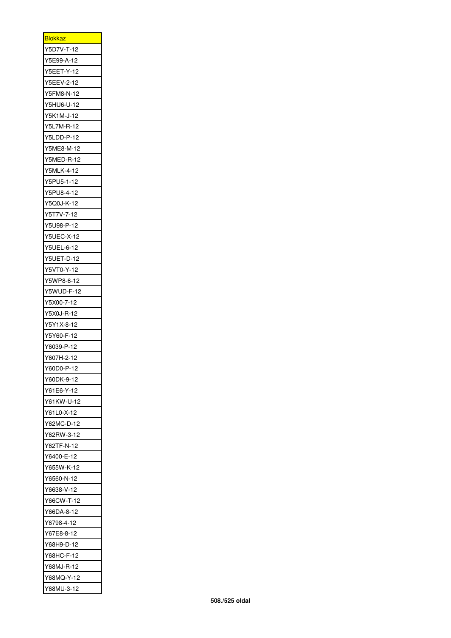| <u>Blokkaz</u>    |
|-------------------|
| Y5D7V-T-12        |
| Y5E99-A-12        |
| Y5EET-Y-12        |
| Y5EEV-2-12        |
| Y5FM8-N-12        |
| Y5HU6-U-12        |
| Y5K1M-J-12        |
| Y5L7M-R-12        |
| Y5LDD-P-12        |
| Y5ME8-M-12        |
| Y5MED-R-12        |
| Y5MLK-4-12        |
| Y5PU5-1-12        |
| Y5PU8-4-12        |
| Y5Q0J-K-12        |
| Y5T7V-7-12        |
| Y5U98-P-12        |
| <b>Y5UEC-X-12</b> |
| Y5UEL-6-12        |
| Y5UET-D-12        |
| Y5VT0-Y-12        |
| Y5WP8-6-12        |
| Y5WUD-F-12        |
| Y5X00-7-12        |
| Y5X0J-R-12        |
| Y5Y1X-8-12        |
| Y5Y60-F-12        |
| Y6039-P-12        |
| Y607H-2-12        |
| Y60D0-P-12        |
| Y60DK-9-12        |
| Y61E6-Y-12        |
| Y61KW-U-12        |
| Y61L0-X-12        |
| Y62MC-D-12        |
|                   |
| Y62RW-3-12        |
| Y62TF-N-12        |
| Y6400-E-12        |
| Y655W-K-12        |
| Y6560-N-12        |
| Y6638-V-12        |
| Y66CW-T-12        |
| Y66DA-8-12        |
| Y6798-4-12        |
| Y67E8-8-12        |
| Y68H9-D-12        |
| Y68HC-F-12        |
| Y68MJ-R-12        |
| Y68MQ-Y-12        |
| Y68MU-3-12        |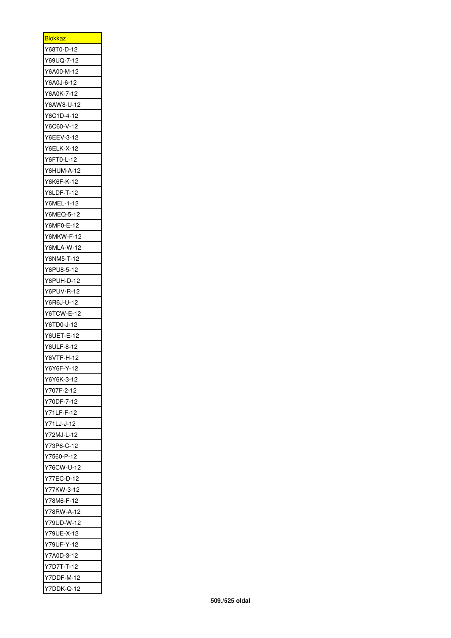| <b>Blokkaz</b>    |
|-------------------|
| Y68T0-D-12        |
| Y69UQ-7-12        |
| Y6A00-M-12        |
| Y6A0J-6-12        |
| Y6A0K-7-12        |
| Y6AW8-U-12        |
| Y6C1D-4-12        |
| Y6C60-V-12        |
| Y6EEV-3-12        |
| <b>Y6ELK-X-12</b> |
| Y6FT0-L-12        |
| Y6HUM-A-12        |
| Y6K6F-K-12        |
| Y6LDF-T-12        |
| Y6MEL-1-12        |
| Y6MEQ-5-12        |
| Y6MF0-E-12        |
| Y6MKW-F-12        |
| <b>Y6MLA-W-12</b> |
|                   |
| Y6NM5-T-12        |
| Y6PU8-5-12        |
| Y6PUH-D-12        |
| Y6PUV-R-12        |
| Y6R6J-U-12        |
| Y6TCW-E-12        |
| Y6TD0-J-12        |
| Y6UET-E-12        |
| Y6ULF-8-12        |
| Y6VTF-H-12        |
| Y6Y6F-Y-12        |
| Y6Y6K-3-12        |
| Y707F-2-12        |
| Y70DF-7-12        |
| Y71LF-F-12        |
| Y71LJ-J-12        |
| Y72MJ-L-12        |
| Y73P6-C-12        |
| Y7560-P-12        |
| Y76CW-U-12        |
| Y77EC-D-12        |
| Y77KW-3-12        |
| Y78M6-F-12        |
| Y78RW-A-12        |
| Y79UD-W-12        |
| Y79UE-X-12        |
| Y79UF-Y-12        |
| Y7A0D-3-12        |
| Y7D7T-T-12        |
| Y7DDF-M-12        |
| Y7DDK-Q-12        |
|                   |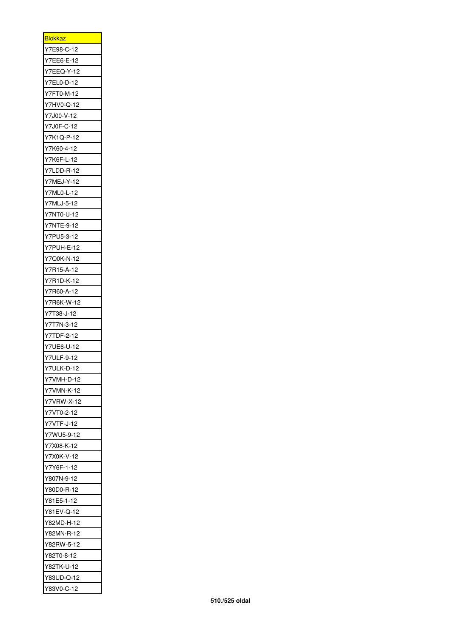| <u>Blokkaz</u>    |
|-------------------|
| Y7E98-C-12        |
| Y7EE6-E-12        |
| Y7EEQ-Y-12        |
| Y7EL0-D-12        |
| Y7FT0-M-12        |
| Y7HV0-Q-12        |
| Y7J00-V-12        |
| Y7J0F-C-12        |
| Y7K1Q-P-12        |
| Y7K60-4-12        |
| Y7K6F-L-12        |
| Y7LDD-R-12        |
| Y7MEJ-Y-12        |
| Y7ML0-L-12        |
| Y7MLJ-5-12        |
| Y7NT0-U-12        |
| Y7NTE-9-12        |
| Y7PU5-3-12        |
| Y7PUH-E-12        |
| Y7Q0K-N-12        |
| Y7R15-A-12        |
| Y7R1D-K-12        |
| Y7R60-A-12        |
| Y7R6K-W-12        |
| Y7T38-J-12        |
| Y7T7N-3-12        |
| Y7TDF-2-12        |
| Y7UE6-U-12        |
| <b>Y7ULF-9-12</b> |
| Y7ULK-D-12        |
| Y7VMH-D-12        |
| Y7VMN-K-12        |
| Y7VRW-X-12        |
| Y7VT0-2-12        |
| Y7VTF-J-12        |
| Y7WU5-9-12        |
|                   |
| Y7X08-K-12        |
| Y7X0K-V-12        |
| Y7Y6F-1-12        |
| Y807N-9-12        |
| Y80D0-R-12        |
| Y81E5-1-12        |
| Y81EV-Q-12        |
| Y82MD-H-12        |
| Y82MN-R-12        |
| Y82RW-5-12        |
| Y82T0-8-12        |
| Y82TK-U-12        |
| Y83UD-Q-12        |
| Y83V0-C-12        |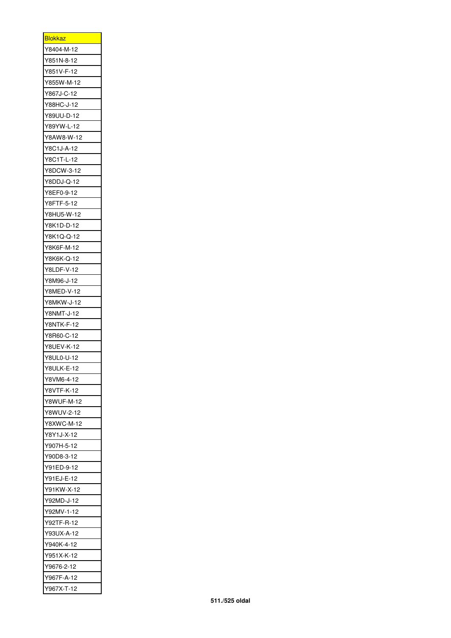| <u>Blokkaz</u> |
|----------------|
| Y8404-M-12     |
| Y851N-8-12     |
| Y851V-F-12     |
| Y855W-M-12     |
| Y867J-C-12     |
| Y88HC-J-12     |
| Y89UU-D-12     |
| Y89YW-L-12     |
| Y8AW8-W-12     |
| Y8C1J-A-12     |
| Y8C1T-L-12     |
| Y8DCW-3-12     |
| Y8DDJ-Q-12     |
| Y8EF0-9-12     |
| Y8FTF-5-12     |
| Y8HU5-W-12     |
| Y8K1D-D-12     |
| Y8K1Q-Q-12     |
| Y8K6F-M-12     |
| Y8K6K-Q-12     |
| Y8LDF-V-12     |
| Y8M96-J-12     |
|                |
| Y8MED-V-12     |
| Y8MKW-J-12     |
| Y8NMT-J-12     |
| Y8NTK-F-12     |
| Y8R60-C-12     |
| Y8UEV-K-12     |
| Y8UL0-U-12     |
| Y8ULK-E-12     |
| Y8VM6-4-12     |
| Y8VTF-K-12     |
| Y8WUF-M-12     |
| Y8WUV-2-12     |
| Y8XWC-M-12     |
| Y8Y1J-X-12     |
| Y907H-5-12     |
| Y90D8-3-12     |
| Y91ED-9-12     |
| Y91EJ-E-12     |
| Y91KW-X-12     |
| Y92MD-J-12     |
| Y92MV-1-12     |
| Y92TF-R-12     |
| Y93UX-A-12     |
| Y940K-4-12     |
| Y951X-K-12     |
| Y9676-2-12     |
| Y967F-A-12     |
| Y967X-T-12     |
|                |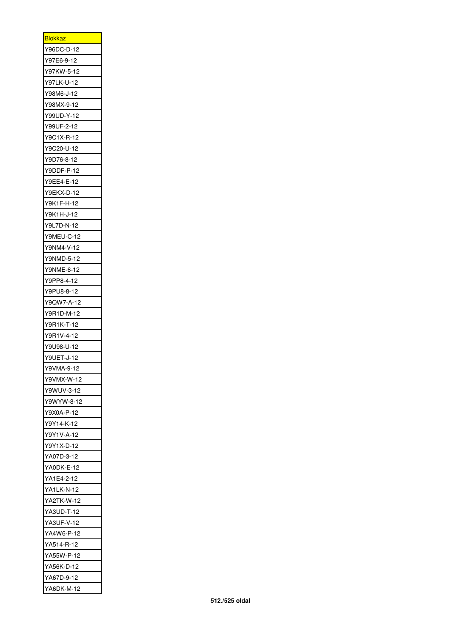| <u>Blokkaz</u>           |
|--------------------------|
| Y96DC-D-12               |
| Y97E6-9-12               |
| Y97KW-5-12               |
| Y97LK-U-12               |
| Y98M6-J-12               |
| Y98MX-9-12               |
| Y99UD-Y-12               |
| Y99UF-2-12               |
| Y9C1X-R-12               |
| Y9C20-U-12               |
| Y9D76-8-12               |
| Y9DDF-P-12               |
| Y9EE4-E-12               |
| Y9EKX-D-12               |
| Y9K1F-H-12               |
| Y9K1H-J-12               |
| Y9L7D-N-12               |
| Y9MEU-C-12               |
| Y9NM4-V-12               |
| Y9NMD-5-12               |
| Y9NME-6-12               |
| Y9PP8-4-12               |
| Y9PU8-8-12               |
| Y9QW7-A-12               |
| Y9R1D-M-12               |
| Y9R1K-T-12               |
| Y9R1V-4-12               |
| Y9U98-U-12               |
| Y9UET-J-12               |
|                          |
| Y9VMA-9-12<br>Y9VMX-W-12 |
|                          |
| Y9WUV-3-12               |
| Y9WYW-8-12               |
| Y9X0A-P-12               |
| Y9Y14-K-12               |
| Y9Y1V-A-12               |
| Y9Y1X-D-12               |
| YA07D-3-12               |
| YA0DK-E-12               |
| YA1E4-2-12               |
| YA1LK-N-12               |
| YA2TK-W-12               |
| YA3UD-T-12               |
| YA3UF-V-12               |
| YA4W6-P-12               |
| YA514-R-12               |
| YA55W-P-12               |
| YA56K-D-12               |
| YA67D-9-12               |
| YA6DK-M-12               |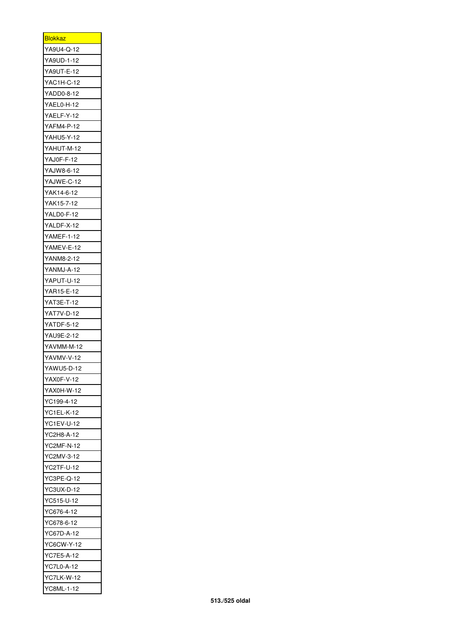| <u>Blokkaz</u>    |
|-------------------|
| YA9U4-Q-12        |
| YA9UD-1-12        |
| YA9UT-E-12        |
| YAC1H-C-12        |
| YADD0-8-12        |
| YAEL0-H-12        |
| YAELF-Y-12        |
| YAFM4-P-12        |
| <b>YAHU5-Y-12</b> |
| YAHUT-M-12        |
| YAJ0F-F-12        |
| YAJW8-6-12        |
| YAJWE-C-12        |
| YAK14-6-12        |
| YAK15-7-12        |
| YALD0-F-12        |
| YALDF-X-12        |
| YAMEF-1-12        |
| YAMEV-E-12        |
|                   |
| YANM8-2-12        |
| YANMJ-A-12        |
| YAPUT-U-12        |
| YAR15-E-12        |
| YAT3E-T-12        |
| YAT7V-D-12        |
| YATDF-5-12        |
| YAU9E-2-12        |
| YAVMM-M-12        |
| YAVMV-V-12        |
| YAWU5-D-12        |
| YAX0F-V-12        |
| YAX0H-W-12        |
| YC199-4-12        |
| YC1EL-K-12        |
| YC1EV-U-12        |
| YC2H8-A-12        |
| YC2MF-N-12        |
| YC2MV-3-12        |
| YC2TF-U-12        |
| YC3PE-Q-12        |
| YC3UX-D-12        |
| YC515-U-12        |
| YC676-4-12        |
| YC678-6-12        |
| YC67D-A-12        |
| YC6CW-Y-12        |
| YC7E5-A-12        |
| YC7L0-A-12        |
| <b>YC7LK-W-12</b> |
| YC8ML-1-12        |
|                   |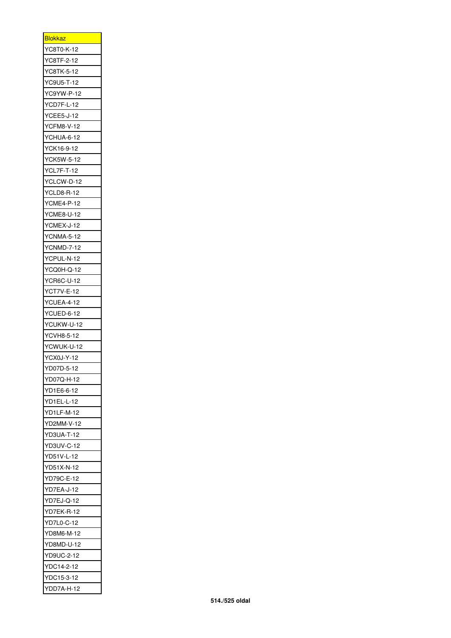| <b>Blokkaz</b>           |
|--------------------------|
| YC8T0-K-12               |
| YC8TF-2-12               |
| YC8TK-5-12               |
| YC9U5-T-12               |
| YC9YW-P-12               |
| YCD7F-L-12               |
| YCEE5-J-12               |
| <b>YCFM8-V-12</b>        |
| YCHUA-6-12               |
| YCK16-9-12               |
| YCK5W-5-12               |
| YCL7F-T-12               |
| YCLCW-D-12               |
| <b>YCLD8-R-12</b>        |
| YCME4-P-12               |
| YCME8-U-12               |
| YCMEX-J-12               |
| <b>YCNMA-5-12</b>        |
| YCNMD-7-12               |
| YCPUL-N-12               |
| YCQ0H-Q-12               |
| <b>YCR6C-U-12</b>        |
| <b>YCT7V-E-12</b>        |
| YCUEA-4-12               |
| YCUED-6-12               |
| YCUKW-U-12               |
| YCVH8-5-12               |
| YCWUK-U-12               |
| <b>YCX0J-Y-12</b>        |
|                          |
| YD07D-5-12<br>YD07Q-H-12 |
|                          |
| YD1E6-6-12               |
| YD1EL-L-12               |
| YD1LF-M-12               |
| YD2MM-V-12               |
| <b>YD3UA-T-12</b>        |
| <b>YD3UV-C-12</b>        |
| YD51V-L-12               |
| YD51X-N-12               |
| YD79C-E-12               |
| YD7EA-J-12               |
|                          |
| YD7EJ-Q-12               |
| YD7EK-R-12               |
| YD7L0-C-12               |
| YD8M6-M-12               |
| YD8MD-U-12               |
| YD9UC-2-12               |
| YDC14-2-12               |
| YDC15-3-12               |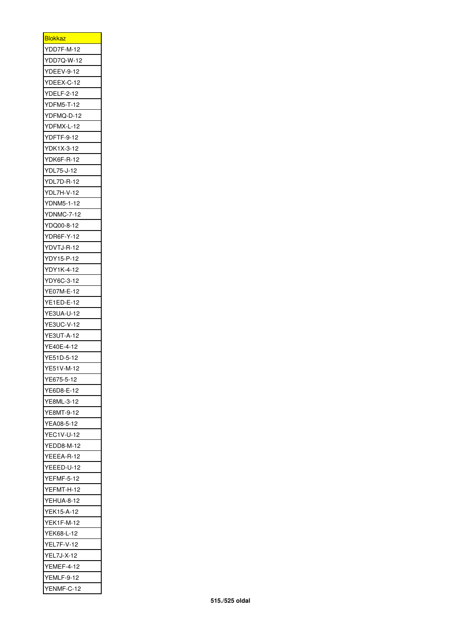| <u>Blokkaz</u>    |
|-------------------|
| YDD7F-M-12        |
| YDD7Q-W-12        |
| <b>YDEEV-9-12</b> |
| YDEEX-C-12        |
| <b>YDELF-2-12</b> |
| <b>YDFM5-T-12</b> |
| YDFMQ-D-12        |
| YDFMX-L-12        |
| YDFTF-9-12        |
| YDK1X-3-12        |
| YDK6F-R-12        |
| YDL75-J-12        |
| YDL7D-R-12        |
| YDL7H-V-12        |
| <b>YDNM5-1-12</b> |
| YDNMC-7-12        |
| YDQ00-8-12        |
| YDR6F-Y-12        |
| YDVTJ-R-12        |
| YDY15-P-12        |
|                   |
| YDY1K-4-12        |
| YDY6C-3-12        |
| YE07M-E-12        |
| YE1ED-E-12        |
| YE3UA-U-12        |
| <b>YE3UC-V-12</b> |
| YE3UT-A-12        |
| YE40E-4-12        |
| YE51D-5-12        |
| YE51V-M-12        |
| YE675-5-12        |
| YE6D8-E-12        |
| YE8ML-3-12        |
| YE8MT-9-12        |
| YEA08-5-12        |
| YEC1V-U-12        |
| YEDD8-M-12        |
| YEEEA-R-12        |
| YEEED-U-12        |
| <b>YEFMF-5-12</b> |
| YEFMT-H-12        |
| <b>YEHUA-8-12</b> |
| YEK15-A-12        |
| <b>YEK1F-M-12</b> |
| YEK68-L-12        |
| YEL7F-V-12        |
| YEL7J-X-12        |
| <b>YEMEF-4-12</b> |
| <b>YEMLF-9-12</b> |
| YENMF-C-12        |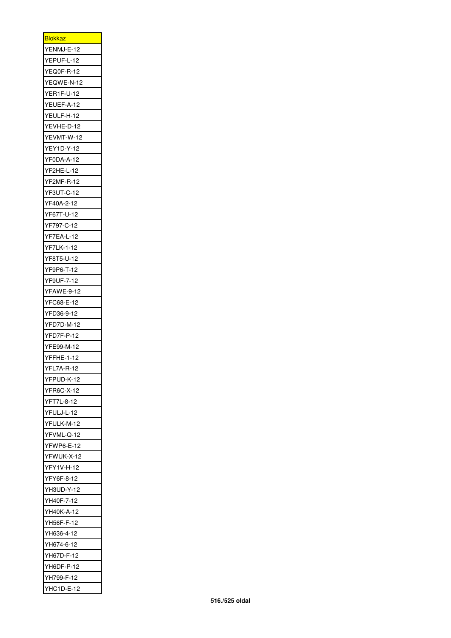| <b>Blokkaz</b>    |
|-------------------|
| YENMJ-E-12        |
| YEPUF-L-12        |
| YEQ0F-R-12        |
| YEQWE-N-12        |
| <b>YER1F-U-12</b> |
| YEUEF-A-12        |
| YEULF-H-12        |
| YEVHE-D-12        |
| YEVMT-W-12        |
| YEY1D-Y-12        |
| YF0DA-A-12        |
| YF2HE-L-12        |
| YF2MF-R-12        |
| YF3UT-C-12        |
| YF40A-2-12        |
| YF67T-U-12        |
| YF797-C-12        |
| YF7EA-L-12        |
| YF7LK-1-12        |
| YF8T5-U-12        |
| YF9P6-T-12        |
| YF9UF-7-12        |
| YFAWE-9-12        |
| YFC68-E-12        |
| YFD36-9-12        |
| YFD7D-M-12        |
| YFD7F-P-12        |
| YFE99-M-12        |
| <b>YFFHE-1-12</b> |
| YFL7A-R-12        |
| YFPUD-K-12        |
| YFR6C-X-12        |
| YFT7L-8-12        |
| YFULJ-L-12        |
| YFULK-M-12        |
| YFVML-Q-12        |
| <b>YFWP6-E-12</b> |
| YFWUK-X-12        |
| YF<br>Y1V-H-12    |
| YFY6F-8-12        |
| YH3UD-Y-12        |
| YH40F-7-12        |
| YH40K-A-12        |
| YH56F-F-12        |
| YH636-4-12        |
| YH674-6-12        |
| YH67D-F-12        |
| YH6DF-P-12        |
| YH799-F-12        |
| YHC1D-E-12        |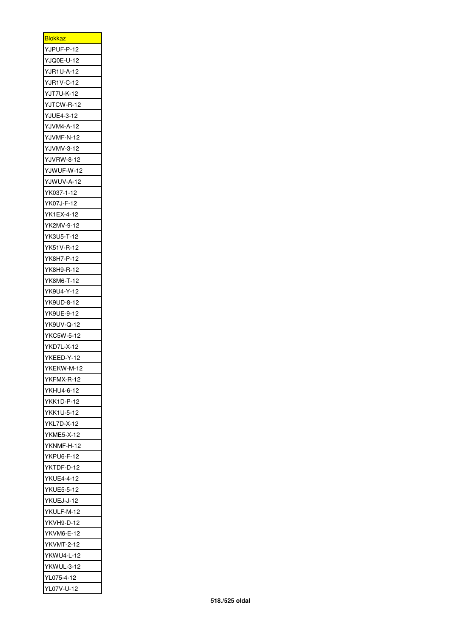| <b>Blokkaz</b>    |
|-------------------|
| YJPUF-P-12        |
| YJQ0E-U-12        |
| YJR1U-A-12        |
| YJR1V-C-12        |
| YJT7U-K-12        |
| YJTCW-R-12        |
| YJUE4-3-12        |
| YJVM4-A-12        |
| YJVMF-N-12        |
| <b>YJVMV-3-12</b> |
| <b>YJVRW-8-12</b> |
| YJWUF-W-12        |
| YJWUV-A-12        |
| YK037-1-12        |
| YK07J-F-12        |
| YK1EX-4-12        |
| YK2MV-9-12        |
| YK3U5-T-12        |
| YK51V-R-12        |
| YK8H7-P-12        |
| YK8H9-R-12        |
| YK8M6-T-12        |
| YK9U4-Y-12        |
| YK9UD-8-12        |
| YK9UE-9-12        |
| YK9UV-Q-12        |
| YKC5W-5-12        |
| YKD7L-X-12        |
| YKEED-Y-12        |
| YKEKW-M-12        |
| YKFMX-R-12        |
| YKHU4-6-12        |
| YKK1D-P-12        |
| YKK1U-5-12        |
| YKL7D-X-12        |
| <b>YKME5-X-12</b> |
| YKNMF-H-12        |
| <b>YKPU6-F-12</b> |
| YKTDF-D-12        |
| YKUE4-4-12        |
| <b>YKUE5-5-12</b> |
| YKUEJ-J-12        |
| YKULF-M-12        |
| YKVH9-D-12        |
| YKVM6-E-12        |
| YKVMT-2-12        |
| YKWU4-L-12        |
| <b>YKWUL-3-12</b> |
| YL075-4-12        |
| YL07V-U-12        |
|                   |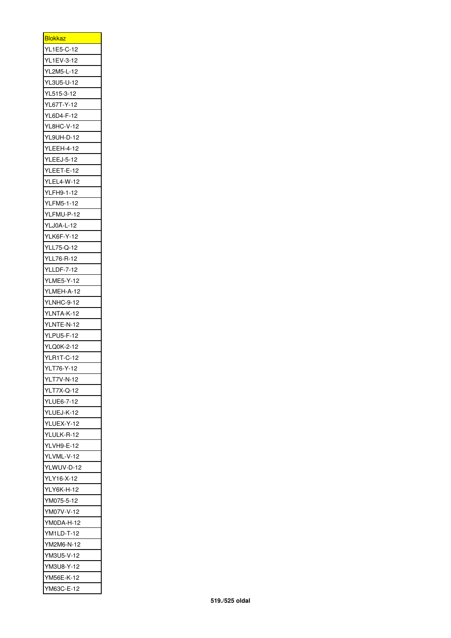| <b>Blokkaz</b>    |
|-------------------|
| <b>YL1E5-C-12</b> |
| YL1EV-3-12        |
| <b>YL2M5-L-12</b> |
| YL3U5-U-12        |
| YL515-3-12        |
| YL67T-Y-12        |
| YL6D4-F-12        |
| <b>YL8HC-V-12</b> |
| YL9UH-D-12        |
| <b>YLEEH-4-12</b> |
| <b>YLEEJ-5-12</b> |
| YLEET-E-12        |
| <b>YLEL4-W-12</b> |
| YLFH9-1-12        |
| <b>YLFM5-1-12</b> |
| YLFMU-P-12        |
| YLJ0A-L-12        |
| YLK6F-Y-12        |
| YLL75-Q-12        |
|                   |
| <b>YLL76-R-12</b> |
| <b>YLLDF-7-12</b> |
| <b>YLME5-Y-12</b> |
| YLMEH-A-12        |
| YLNHC-9-12        |
| YLNTA-K-12        |
| YLNTE-N-12        |
| <b>YLPU5-F-12</b> |
| YLQ0K-2-12        |
| <b>YLR1T-C-12</b> |
| YLT76-Y-12        |
| <b>YLT7V-N-12</b> |
| YLT7X-Q-12        |
| <b>YLUE6-7-12</b> |
| YLUEJ-K-12        |
| YLUEX-Y-12        |
| YLULK-R-12        |
| <b>YLVH9-E-12</b> |
| YLVML-V-12        |
| YLWUV-D-12        |
| YLY16-X-12        |
| YLY6K-H-12        |
| YM075-5-12        |
| YM07V-V-12        |
| YM0DA-H-12        |
| YM1LD-T-12        |
| YM2M6-N-12        |
| YM3U5-V-12        |
| YM3U8-Y-12        |
| YM56E-K-12        |
| YM63C-E-12        |
|                   |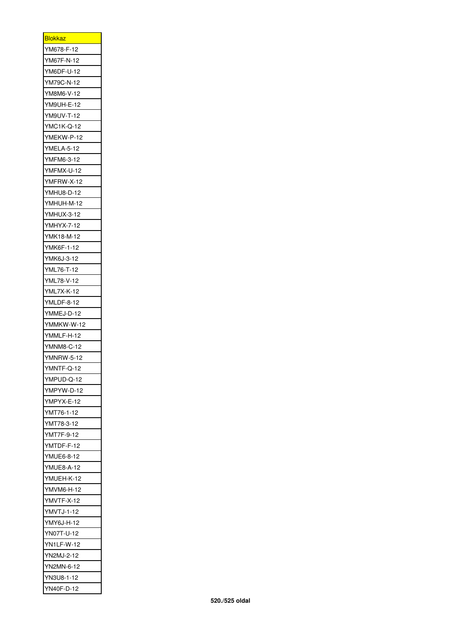| <u>Blokkaz</u>    |
|-------------------|
| YM678-F-12        |
| YM67F-N-12        |
| YM6DF-U-12        |
| YM79C-N-12        |
| YM8M6-V-12        |
| YM9UH-E-12        |
| YM9UV-T-12        |
| <b>YMC1K-Q-12</b> |
| YMEKW-P-12        |
| YMELA-5-12        |
| YMFM6-3-12        |
| YMFMX-U-12        |
| YMFRW-X-12        |
| YMHU8-D-12        |
| YMHUH-M-12        |
| YMHUX-3-12        |
| <b>YMHYX-7-12</b> |
| YMK18-M-12        |
| YMK6F-1-12        |
| YMK6J-3-12        |
| YML76-T-12        |
| YML78-V-12        |
|                   |
| <b>YML7X-K-12</b> |
| YMLDF-8-12        |
| YMMEJ-D-12        |
| YMMKW-W-12        |
| YMMLF-H-12        |
| <b>YMNM8-C-12</b> |
| <b>YMNRW-5-12</b> |
| YMNTF-Q-12        |
| YMPUD-Q-12        |
|                   |
| YMPYW-D-12        |
| YMPYX-E-12        |
| YMT76-1-12        |
| YMT78-3-12        |
| <b>YMT7F-9-12</b> |
| YMTDF-F-12        |
| YMUE6-8-12        |
| <b>YMUE8-A-12</b> |
| YMUEH-K-12        |
| YMVM6-H-12        |
| YMVTF-X-12        |
| <b>YMVTJ-1-12</b> |
| YMY6J-H-12        |
| YN07T-U-12        |
| YN1LF-W-12        |
| YN2MJ-2-12        |
| YN2MN-6-12        |
| YN3U8-1-12        |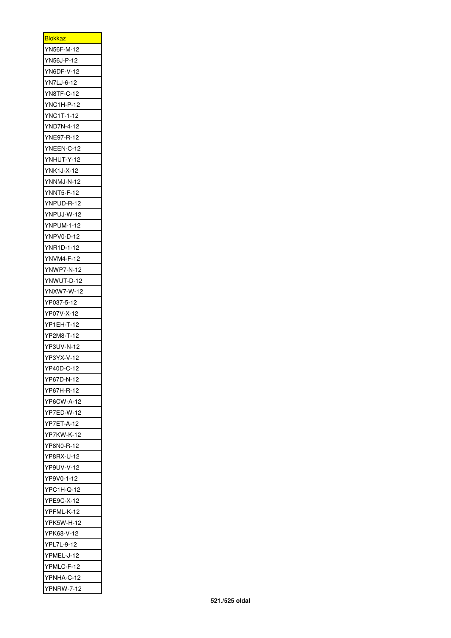| <b>Blokkaz</b>    |
|-------------------|
| YN56F-M-12        |
| YN56J-P-12        |
| YN6DF-V-12        |
| <b>YN7LJ-6-12</b> |
| YN8TF-C-12        |
| <b>YNC1H-P-12</b> |
| YNC1T-1-12        |
| YND7N-4-12        |
| YNE97-R-12        |
| YNEEN-C-12        |
| YNHUT-Y-12        |
| <b>YNK1J-X-12</b> |
| YNNMJ-N-12        |
| <b>YNNT5-F-12</b> |
| YNPUD-R-12        |
| YNPUJ-W-12        |
| <b>YNPUM-1-12</b> |
| YNPV0-D-12        |
| <b>YNR1D-1-12</b> |
| YNVM4-F-12        |
|                   |
| YNWP7-N-12        |
| YNWUT-D-12        |
| YNXW7-W-12        |
| YP037-5-12        |
| YP07V-X-12        |
| YP1EH-T-12        |
| YP2M8-T-12        |
| YP3UV-N-12        |
| YP3YX-V-12        |
| YP40D-C-12        |
| YP67D-N-12        |
| YP67H-R-12        |
| <b>YP6CW-A-12</b> |
| YP7ED-W-12        |
| YP7ET-A-12        |
| <b>YP7KW-K-12</b> |
| YP8N0-R-12        |
| YP8RX-U-12        |
| YP9UV-V-12        |
| YP9V0-1-12        |
| YPC1H-Q-12        |
| YPE9C-X-12        |
| YPFML-K-12        |
| <b>YPK5W-H-12</b> |
| YPK68-V-12        |
| YPL7L-9-12        |
| YPMEL-J-12        |
| YPMLC-F-12        |
| YPNHA-C-12        |
| <b>YPNRW-7-12</b> |
|                   |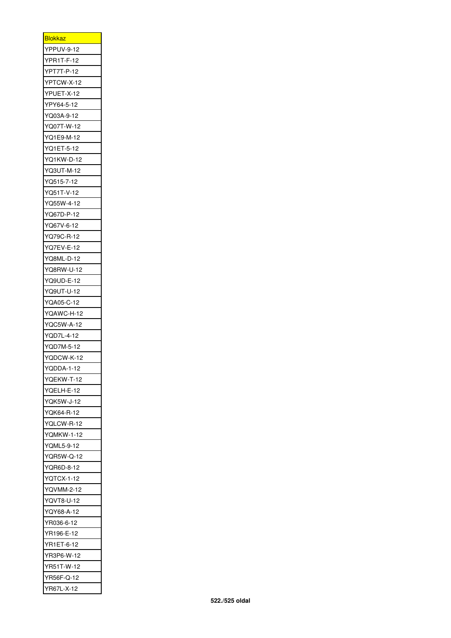| <u>Blokkaz</u>           |
|--------------------------|
| YPPUV-9-12               |
| YPR1T-F-12               |
| YPT7T-P-12               |
| YPTCW-X-12               |
| YPUET-X-12               |
| YPY64-5-12               |
| YQ03A-9-12               |
| YQ07T-W-12               |
| YQ1E9-M-12               |
| YQ1ET-5-12               |
| YQ1KW-D-12               |
| YQ3UT-M-12               |
| YQ515-7-12               |
| YQ51T-V-12               |
| YQ55W-4-12               |
| YQ67D-P-12               |
| YQ67V-6-12               |
| YQ79C-R-12               |
| <b>YQ7EV-E-12</b>        |
| YQ8ML-D-12               |
| YQ8RW-U-12               |
| YQ9UD-E-12               |
| YQ9UT-U-12               |
| YQA05-C-12               |
| YQAWC-H-12               |
| YQC5W-A-12               |
| YQD7L-4-12               |
| YQD7M-5-12               |
| YQDCW-K-12               |
|                          |
| YQDDA-1-12<br>YQEKW-T-12 |
|                          |
| YQELH-E-12               |
| <b>YQK5W-J-12</b>        |
| YQK64-R-12               |
| YQLCW-R-12               |
| YQMKW-1-12               |
| YQML5-9-12               |
| YQR5W-Q-12               |
| YQR6D-8-12               |
| YQTCX-1-12               |
| <b>YQVMM-2-12</b>        |
| YQVT8-U-12               |
| YQY68-A-12               |
| YR036-6-12               |
| YR196-E-12               |
| YR1ET-6-12               |
| YR3P6-W-12               |
| YR51T-W-12               |
| YR56F-Q-12               |
| YR67L-X-12               |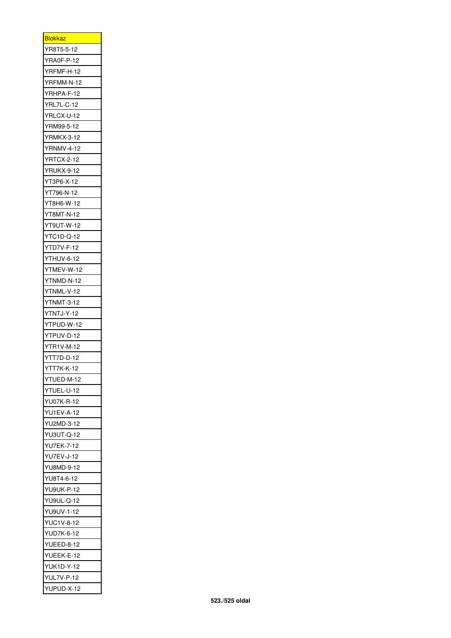| <b>Blokkaz</b>            |
|---------------------------|
| YR8T5-5-12                |
| YRA0F-P-12                |
| YRFMF-H-12                |
| YRFMM-N-12                |
| YRHPA-F-12                |
| YRL7L-C-12                |
| YRLCX-U-12                |
| YRM99-5-12                |
| <b>YRMKX-3-12</b>         |
| <b>YRNMV-4-12</b>         |
| <b>YRTCX-2-12</b>         |
| <b>YRUKX-9-12</b>         |
| YT3P6-X-12                |
| Y<br>T796-N-12            |
| YT8H6-W-12                |
| Y<br>T8MT-N-12            |
| YT9UT-W-12                |
| Y<br>TC1D-Q-12            |
| TD7V-F-12<br>Υ            |
| Υ<br>THUV-6-12            |
| Y<br>TMEV-W-12            |
| Y<br>TNMD-N-12            |
| Y<br>TNML-V-12            |
| <b>YTNMT-3-12</b>         |
| Y<br>TNTJ-Y-12            |
| <b>PUD-W-12</b><br>Υ<br>Г |
| Y<br>Г<br><b>PUV-D-12</b> |
| <b>YTR1V-M-12</b>         |
| YTT7D-D-12                |
| Y<br>7K-K-12<br>T<br>Т    |
| YTUED-M-12                |
| YTUEL-U-12                |
| YU07K-R-12                |
| <b>YU1EV-A-12</b>         |
| YU2MD-3-12                |
| <b>YU3UT-Q-12</b>         |
| <b>YU7EK-7-12</b>         |
| <b>YU7EV-J-12</b>         |
| YU8MD-9-12                |
| YU8T4-6-12                |
| YU9UK-P-12                |
| YU9UL-Q-12                |
| YU9UV-1-12                |
| YUC1V-8-12                |
| YUD7K-6-12                |
| YUEED-8-12                |
| YUEEK-E-12                |
| <b>YUK1D-Y-12</b>         |
| <b>YUL7V-P-12</b>         |
| YUPUD-X-12                |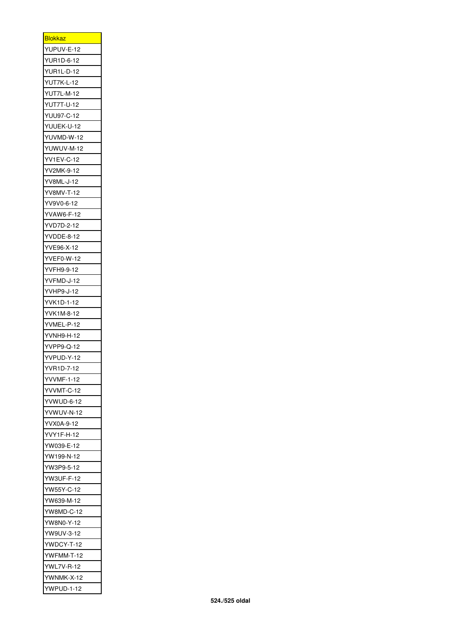| <b>Blokkaz</b>    |
|-------------------|
| YUPUV-E-12        |
| YUR1D-6-12        |
| <b>YUR1L-D-12</b> |
| YUT7K-L-12        |
| <b>YUT7L-M-12</b> |
| YUT7T-U-12        |
| <b>YUU97-C-12</b> |
| YUUEK-U-12        |
| YUVMD-W-12        |
| YUWUV-M-12        |
| YV1EV-C-12        |
| YV2MK-9-12        |
| YV8ML-J-12        |
| YV8MV-T-12        |
| YV9V0-6-12        |
| YVAW6-F-12        |
|                   |
| YVD7D-2-12        |
| YVDDE-8-12        |
| YVE96-X-12        |
| YVEF0-W-12        |
| YVFH9-9-12        |
| YVFMD-J-12        |
| YVHP9-J-12        |
| YVK1D-1-12        |
| YVK1M-8-12        |
| YVMEL-P-12        |
| YVNH9-H-12        |
| YVPP9-Q-12        |
| YVPUD-Y-12        |
| YVR1D-7-12        |
| YVVMF-1-12        |
| YVVMT-C-12        |
| YVWUD-6-12        |
| YVWUV-N-12        |
| YVX0A-9-12        |
| YVY1F-H-12        |
| YW039-E-12        |
| YW199-N-12        |
| YW3P9-5-12        |
| YW3UF-F-12        |
| YW55Y-C-12        |
| YW639-M-12        |
| <b>YW8MD-C-12</b> |
| YW8N0-Y-12        |
| YW9UV-3-12        |
|                   |
| YWDCY-T-12        |
| YWFMM-T-12        |
| <b>YWL7V-R-12</b> |
| YWNMK-X-12        |
| <b>YWPUD-1-12</b> |